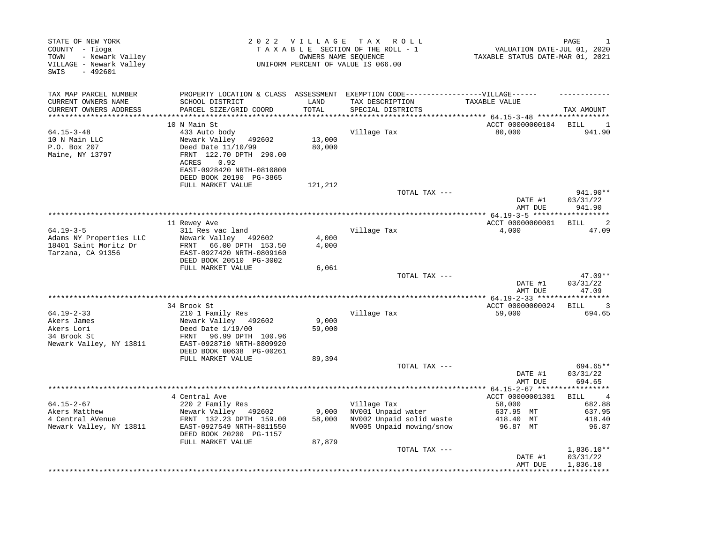| TAX MAP PARCEL NUMBER<br>PROPERTY LOCATION & CLASS ASSESSMENT<br>CURRENT OWNERS NAME<br>SCHOOL DISTRICT<br>LAND<br>TAX DESCRIPTION<br>TAXABLE VALUE<br>PARCEL SIZE/GRID COORD<br>TOTAL<br>CURRENT OWNERS ADDRESS<br>SPECIAL DISTRICTS<br>TAX AMOUNT<br>ACCT 00000000104<br>10 N Main St<br>BILL<br>$64.15 - 3 - 48$<br>433 Auto body<br>Village Tax<br>80,000<br>10 N Main LLC<br>Newark Valley<br>13,000<br>492602<br>P.O. Box 207<br>Deed Date 11/10/99<br>80,000<br>FRNT 122.70 DPTH 290.00<br>Maine, NY 13797<br>0.92<br>ACRES<br>EAST-0928420 NRTH-0810800<br>DEED BOOK 20190 PG-3865<br>FULL MARKET VALUE<br>121,212<br>TOTAL TAX ---<br>03/31/22<br>DATE #1<br>941.90<br>AMT DUE<br>ACCT 00000000001<br><b>BILL</b><br>11 Rewey Ave<br>$64.19 - 3 - 5$<br>311 Res vac land<br>Village Tax<br>4,000<br>Adams NY Properties LLC<br>Newark Valley<br>4,000<br>492602<br>18401 Saint Moritz Dr<br>4,000<br>66.00 DPTH 153.50<br>FRNT<br>Tarzana, CA 91356<br>EAST-0927420 NRTH-0809160<br>DEED BOOK 20510 PG-3002<br>FULL MARKET VALUE<br>6,061<br>TOTAL TAX ---<br>03/31/22<br>DATE #1<br>AMT DUE<br>47.09<br>**************************<br>**************** 64.19-2-33 ******<br>***********<br>ACCT 00000000024<br>34 Brook St<br>BILL<br>$64.19 - 2 - 33$<br>210 1 Family Res<br>Village Tax<br>59,000<br>Akers James<br>Newark Valley 492602<br>9,000<br>Akers Lori<br>Deed Date 1/19/00<br>59,000<br>34 Brook St<br>96.99 DPTH 100.96<br>FRNT<br>Newark Valley, NY 13811<br>EAST-0928710 NRTH-0809920<br>DEED BOOK 00638 PG-00261<br>FULL MARKET VALUE<br>89,394 | -1<br>VALUATION DATE-JUL 01, 2020<br>TAXABLE STATUS DATE-MAR 01, 2021 |
|---------------------------------------------------------------------------------------------------------------------------------------------------------------------------------------------------------------------------------------------------------------------------------------------------------------------------------------------------------------------------------------------------------------------------------------------------------------------------------------------------------------------------------------------------------------------------------------------------------------------------------------------------------------------------------------------------------------------------------------------------------------------------------------------------------------------------------------------------------------------------------------------------------------------------------------------------------------------------------------------------------------------------------------------------------------------------------------------------------------------------------------------------------------------------------------------------------------------------------------------------------------------------------------------------------------------------------------------------------------------------------------------------------------------------------------------------------------------------------------------------------------------------------------------------------------------------|-----------------------------------------------------------------------|
|                                                                                                                                                                                                                                                                                                                                                                                                                                                                                                                                                                                                                                                                                                                                                                                                                                                                                                                                                                                                                                                                                                                                                                                                                                                                                                                                                                                                                                                                                                                                                                           |                                                                       |
|                                                                                                                                                                                                                                                                                                                                                                                                                                                                                                                                                                                                                                                                                                                                                                                                                                                                                                                                                                                                                                                                                                                                                                                                                                                                                                                                                                                                                                                                                                                                                                           | 1                                                                     |
|                                                                                                                                                                                                                                                                                                                                                                                                                                                                                                                                                                                                                                                                                                                                                                                                                                                                                                                                                                                                                                                                                                                                                                                                                                                                                                                                                                                                                                                                                                                                                                           | 941.90                                                                |
|                                                                                                                                                                                                                                                                                                                                                                                                                                                                                                                                                                                                                                                                                                                                                                                                                                                                                                                                                                                                                                                                                                                                                                                                                                                                                                                                                                                                                                                                                                                                                                           | 941.90**                                                              |
|                                                                                                                                                                                                                                                                                                                                                                                                                                                                                                                                                                                                                                                                                                                                                                                                                                                                                                                                                                                                                                                                                                                                                                                                                                                                                                                                                                                                                                                                                                                                                                           |                                                                       |
|                                                                                                                                                                                                                                                                                                                                                                                                                                                                                                                                                                                                                                                                                                                                                                                                                                                                                                                                                                                                                                                                                                                                                                                                                                                                                                                                                                                                                                                                                                                                                                           | 2<br>47.09                                                            |
|                                                                                                                                                                                                                                                                                                                                                                                                                                                                                                                                                                                                                                                                                                                                                                                                                                                                                                                                                                                                                                                                                                                                                                                                                                                                                                                                                                                                                                                                                                                                                                           | $47.09**$                                                             |
|                                                                                                                                                                                                                                                                                                                                                                                                                                                                                                                                                                                                                                                                                                                                                                                                                                                                                                                                                                                                                                                                                                                                                                                                                                                                                                                                                                                                                                                                                                                                                                           |                                                                       |
|                                                                                                                                                                                                                                                                                                                                                                                                                                                                                                                                                                                                                                                                                                                                                                                                                                                                                                                                                                                                                                                                                                                                                                                                                                                                                                                                                                                                                                                                                                                                                                           | 3<br>694.65                                                           |
|                                                                                                                                                                                                                                                                                                                                                                                                                                                                                                                                                                                                                                                                                                                                                                                                                                                                                                                                                                                                                                                                                                                                                                                                                                                                                                                                                                                                                                                                                                                                                                           |                                                                       |
| TOTAL TAX ---<br>DATE #1<br>03/31/22<br>694.65<br>AMT DUE<br>****************************                                                                                                                                                                                                                                                                                                                                                                                                                                                                                                                                                                                                                                                                                                                                                                                                                                                                                                                                                                                                                                                                                                                                                                                                                                                                                                                                                                                                                                                                                 | 694.65**                                                              |
| ** $64.15 - 2 - 67$ ******<br>4 Central Ave<br>ACCT 00000001301<br>BILL                                                                                                                                                                                                                                                                                                                                                                                                                                                                                                                                                                                                                                                                                                                                                                                                                                                                                                                                                                                                                                                                                                                                                                                                                                                                                                                                                                                                                                                                                                   |                                                                       |
| $64.15 - 2 - 67$<br>220 2 Family Res<br>Village Tax<br>58,000<br>Akers Matthew<br>Newark Valley 492602<br>9,000<br>NV001 Unpaid water<br>637.95 MT<br>4 Central AVenue<br>NV002 Unpaid solid waste<br>FRNT 132.23 DPTH 159.00<br>58,000<br>418.40 MT<br>Newark Valley, NY 13811<br>EAST-0927549 NRTH-0811550<br>NV005 Unpaid mowing/snow<br>96.87 MT<br>DEED BOOK 20200 PG-1157<br>FULL MARKET VALUE<br>87,879                                                                                                                                                                                                                                                                                                                                                                                                                                                                                                                                                                                                                                                                                                                                                                                                                                                                                                                                                                                                                                                                                                                                                            | 682.88<br>637.95<br>418.40<br>96.87                                   |
| TOTAL TAX ---<br>$1,836.10**$<br>03/31/22<br>DATE #1<br>1,836.10<br>AMT DUE                                                                                                                                                                                                                                                                                                                                                                                                                                                                                                                                                                                                                                                                                                                                                                                                                                                                                                                                                                                                                                                                                                                                                                                                                                                                                                                                                                                                                                                                                               |                                                                       |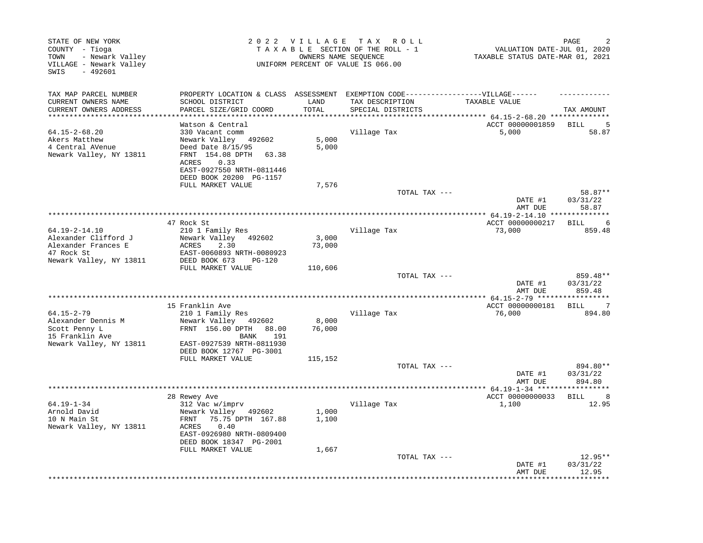| STATE OF NEW YORK<br>COUNTY - Tioga<br>- Newark Valley<br>TOWN<br>VILLAGE - Newark Valley<br>SWIS<br>$-492601$ |                                                                                                                                                                           | 2022 VILLAGE           | T A X<br>R O L L<br>TAXABLE SECTION OF THE ROLL - 1<br>OWNERS NAME SEOUENCE<br>UNIFORM PERCENT OF VALUE IS 066.00 | VALUATION DATE-JUL 01, 2020<br>TAXABLE STATUS DATE-MAR 01, 2021 | PAGE                           |
|----------------------------------------------------------------------------------------------------------------|---------------------------------------------------------------------------------------------------------------------------------------------------------------------------|------------------------|-------------------------------------------------------------------------------------------------------------------|-----------------------------------------------------------------|--------------------------------|
| TAX MAP PARCEL NUMBER                                                                                          | PROPERTY LOCATION & CLASS ASSESSMENT                                                                                                                                      |                        | EXEMPTION CODE------------------VILLAGE------                                                                     |                                                                 |                                |
| CURRENT OWNERS NAME<br>CURRENT OWNERS ADDRESS<br>********************                                          | SCHOOL DISTRICT<br>PARCEL SIZE/GRID COORD<br>*************                                                                                                                | LAND<br>TOTAL<br>***** | TAX DESCRIPTION<br>SPECIAL DISTRICTS                                                                              | TAXABLE VALUE<br>******* $64.15 - 2 - 68.20$ *************      | TAX AMOUNT                     |
|                                                                                                                | Watson & Central                                                                                                                                                          |                        |                                                                                                                   | ACCT 00000001859                                                | <b>BILL</b>                    |
| $64.15 - 2 - 68.20$<br>Akers Matthew<br>4 Central AVenue<br>Newark Valley, NY 13811                            | 330 Vacant comm<br>Newark Valley 492602<br>Deed Date 8/15/95<br>FRNT 154.08 DPTH<br>63.38<br><b>ACRES</b><br>0.33<br>EAST-0927550 NRTH-0811446<br>DEED BOOK 20200 PG-1157 | 5,000<br>5,000         | Village Tax                                                                                                       | 5,000                                                           | 58.87                          |
|                                                                                                                | FULL MARKET VALUE                                                                                                                                                         | 7,576                  |                                                                                                                   |                                                                 |                                |
|                                                                                                                |                                                                                                                                                                           |                        | TOTAL TAX ---                                                                                                     | DATE #1<br>AMT DUE                                              | 58.87**<br>03/31/22<br>58.87   |
|                                                                                                                |                                                                                                                                                                           |                        |                                                                                                                   |                                                                 |                                |
|                                                                                                                | 47 Rock St                                                                                                                                                                |                        |                                                                                                                   | ACCT 00000000217                                                | BILL<br>6                      |
| $64.19 - 2 - 14.10$<br>Alexander Clifford J<br>Alexander Frances E<br>47 Rock St                               | 210 1 Family Res<br>Newark Valley<br>492602<br><b>ACRES</b><br>2.30<br>EAST-0060893 NRTH-0080923                                                                          | 3,000<br>73,000        | Village Tax                                                                                                       | 73,000                                                          | 859.48                         |
| Newark Valley, NY 13811                                                                                        | DEED BOOK 673<br>PG-120<br>FULL MARKET VALUE                                                                                                                              | 110,606                |                                                                                                                   |                                                                 |                                |
|                                                                                                                |                                                                                                                                                                           |                        | TOTAL TAX ---                                                                                                     | DATE #1<br>AMT DUE                                              | 859.48**<br>03/31/22<br>859.48 |
|                                                                                                                |                                                                                                                                                                           |                        |                                                                                                                   |                                                                 | * * * * * * * * * * *          |
|                                                                                                                | 15 Franklin Ave                                                                                                                                                           |                        |                                                                                                                   | ACCT 00000000181                                                | 7<br>BILL                      |
| $64.15 - 2 - 79$<br>Alexander Dennis M                                                                         | 210 1 Family Res<br>Newark Valley 492602                                                                                                                                  | 8,000                  | Village Tax                                                                                                       | 76,000                                                          | 894.80                         |
| Scott Penny L<br>15 Franklin Ave                                                                               | FRNT 156.00 DPTH<br>88.00<br>191<br>BANK                                                                                                                                  | 76,000                 |                                                                                                                   |                                                                 |                                |
| Newark Valley, NY 13811                                                                                        | EAST-0927539 NRTH-0811930<br>DEED BOOK 12767 PG-3001                                                                                                                      |                        |                                                                                                                   |                                                                 |                                |
|                                                                                                                | FULL MARKET VALUE                                                                                                                                                         | 115,152                | TOTAL TAX ---                                                                                                     |                                                                 | 894.80**                       |
|                                                                                                                |                                                                                                                                                                           |                        |                                                                                                                   | DATE #1<br>AMT DUE                                              | 03/31/22<br>894.80             |
|                                                                                                                |                                                                                                                                                                           |                        |                                                                                                                   | ************ 64.19-1-34 ******************                      |                                |
| $64.19 - 1 - 34$                                                                                               | 28 Rewey Ave<br>312 Vac w/imprv                                                                                                                                           |                        | Village Tax                                                                                                       | ACCT 00000000033<br>1,100                                       | <b>BILL</b><br>8<br>12.95      |
| Arnold David<br>10 N Main St<br>Newark Valley, NY 13811                                                        | Newark Valley 492602<br>75.75 DPTH 167.88<br>FRNT<br>0.40<br>ACRES<br>EAST-0926980 NRTH-0809400<br>DEED BOOK 18347 PG-2001                                                | 1,000<br>1,100         |                                                                                                                   |                                                                 |                                |
|                                                                                                                | FULL MARKET VALUE                                                                                                                                                         | 1,667                  |                                                                                                                   |                                                                 |                                |
|                                                                                                                |                                                                                                                                                                           |                        | TOTAL TAX ---                                                                                                     | DATE #1<br>AMT DUE                                              | $12.95**$<br>03/31/22<br>12.95 |
|                                                                                                                |                                                                                                                                                                           |                        |                                                                                                                   |                                                                 |                                |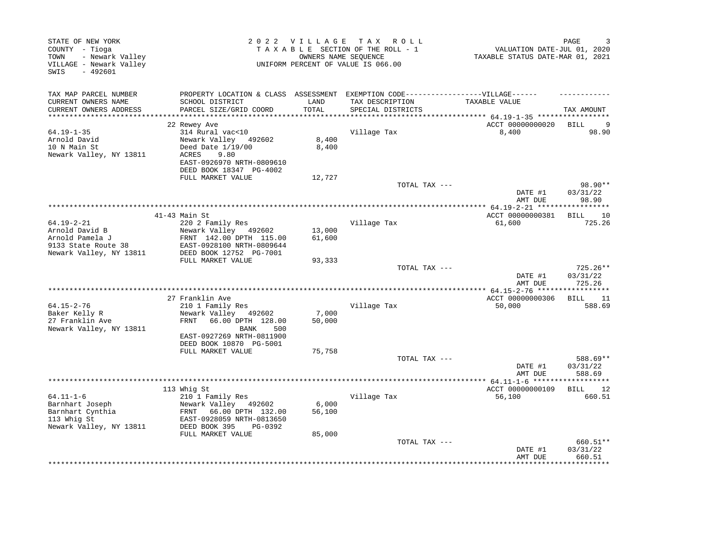| STATE OF NEW YORK<br>COUNTY - Tioga<br>- Newark Valley<br>TOWN<br>VILLAGE - Newark Valley<br>$-492601$<br>SWIS |                                                                                                                                          | 2022 VILLAGE    | T A X<br>R O L L<br>TAXABLE SECTION OF THE ROLL - 1<br>OWNERS NAME SEQUENCE<br>UNIFORM PERCENT OF VALUE IS 066.00 | VALUATION DATE-JUL 01, 2020<br>TAXABLE STATUS DATE-MAR 01, 2021 | PAGE                                        |
|----------------------------------------------------------------------------------------------------------------|------------------------------------------------------------------------------------------------------------------------------------------|-----------------|-------------------------------------------------------------------------------------------------------------------|-----------------------------------------------------------------|---------------------------------------------|
| TAX MAP PARCEL NUMBER<br>CURRENT OWNERS NAME<br>CURRENT OWNERS ADDRESS                                         | PROPERTY LOCATION & CLASS ASSESSMENT<br>SCHOOL DISTRICT<br>PARCEL SIZE/GRID COORD                                                        | LAND<br>TOTAL   | EXEMPTION CODE------------------VILLAGE------<br>TAX DESCRIPTION<br>SPECIAL DISTRICTS                             | TAXABLE VALUE                                                   | TAX AMOUNT                                  |
| ***********************                                                                                        |                                                                                                                                          |                 |                                                                                                                   |                                                                 |                                             |
|                                                                                                                | 22 Rewey Ave                                                                                                                             |                 |                                                                                                                   | ACCT 00000000020                                                | BILL<br>- 9                                 |
| $64.19 - 1 - 35$<br>Arnold David<br>10 N Main St<br>Newark Valley, NY 13811                                    | 314 Rural vac<10<br>Newark Valley 492602<br>Deed Date $1/19/00$<br>ACRES<br>9.80<br>EAST-0926970 NRTH-0809610<br>DEED BOOK 18347 PG-4002 | 8,400<br>8,400  | Village Tax                                                                                                       | 8,400                                                           | 98.90                                       |
|                                                                                                                | FULL MARKET VALUE                                                                                                                        | 12,727          |                                                                                                                   |                                                                 |                                             |
|                                                                                                                |                                                                                                                                          |                 | TOTAL TAX ---                                                                                                     | DATE #1<br>AMT DUE                                              | 98.90**<br>03/31/22<br>98.90                |
|                                                                                                                |                                                                                                                                          |                 |                                                                                                                   |                                                                 |                                             |
|                                                                                                                | $41-43$ Main St                                                                                                                          |                 |                                                                                                                   | ACCT 00000000381                                                | <b>BILL</b><br>10                           |
| 64.19-2-21<br>Arnold David B                                                                                   | 220 2 Family Res<br>Newark Valley 492602                                                                                                 | 13,000          | Village Tax                                                                                                       | 61,600                                                          | 725.26                                      |
| Arnold Pamela J                                                                                                | FRNT 142.00 DPTH 115.00                                                                                                                  | 61,600          |                                                                                                                   |                                                                 |                                             |
| 9133 State Route 38                                                                                            | EAST-0928100 NRTH-0809644                                                                                                                |                 |                                                                                                                   |                                                                 |                                             |
| Newark Valley, NY 13811                                                                                        | DEED BOOK 12752 PG-7001                                                                                                                  |                 |                                                                                                                   |                                                                 |                                             |
|                                                                                                                | FULL MARKET VALUE                                                                                                                        | 93,333          |                                                                                                                   |                                                                 |                                             |
|                                                                                                                |                                                                                                                                          |                 | TOTAL TAX ---                                                                                                     | DATE #1<br>AMT DUE                                              | $725.26**$<br>03/31/22<br>725.26            |
|                                                                                                                |                                                                                                                                          |                 |                                                                                                                   |                                                                 |                                             |
| 64.15-2-76                                                                                                     | 27 Franklin Ave<br>210 1 Family Res                                                                                                      |                 | Village Tax                                                                                                       | ACCT 00000000306<br>50,000                                      | BILL<br>11<br>588.69                        |
| Baker Kelly R                                                                                                  | Newark Valley<br>492602                                                                                                                  | 7,000           |                                                                                                                   |                                                                 |                                             |
| 27 Franklin Ave<br>Newark Valley, NY 13811                                                                     | FRNT<br>66.00 DPTH 128.00<br>BANK<br>500<br>EAST-0927269 NRTH-0811900<br>DEED BOOK 10870 PG-5001                                         | 50,000          |                                                                                                                   |                                                                 |                                             |
|                                                                                                                | FULL MARKET VALUE                                                                                                                        | 75,758          |                                                                                                                   |                                                                 |                                             |
|                                                                                                                |                                                                                                                                          |                 | TOTAL TAX ---                                                                                                     | DATE #1<br>AMT DUE                                              | 588.69**<br>03/31/22<br>588.69              |
|                                                                                                                |                                                                                                                                          |                 |                                                                                                                   | ******** 64.11-1-6 *******                                      | **********                                  |
|                                                                                                                | 113 Whig St                                                                                                                              |                 |                                                                                                                   | ACCT 00000000109                                                | <b>BILL</b><br>12<br>660.51                 |
| $64.11 - 1 - 6$<br>Barnhart Joseph<br>Barnhart Cynthia<br>113 Whig St<br>Newark Valley, NY 13811               | 210 1 Family Res<br>Newark Valley 492602<br>FRNT 66.00 DPTH 132.00<br>EAST-0928059 NRTH-0813650<br>DEED BOOK 395<br>PG-0392              | 6,000<br>56,100 | Village Tax                                                                                                       | 56,100                                                          |                                             |
|                                                                                                                | FULL MARKET VALUE                                                                                                                        | 85,000          |                                                                                                                   |                                                                 |                                             |
|                                                                                                                |                                                                                                                                          |                 | TOTAL TAX ---                                                                                                     | DATE #1<br>AMT DUE                                              | 660.51**<br>03/31/22<br>660.51<br>********* |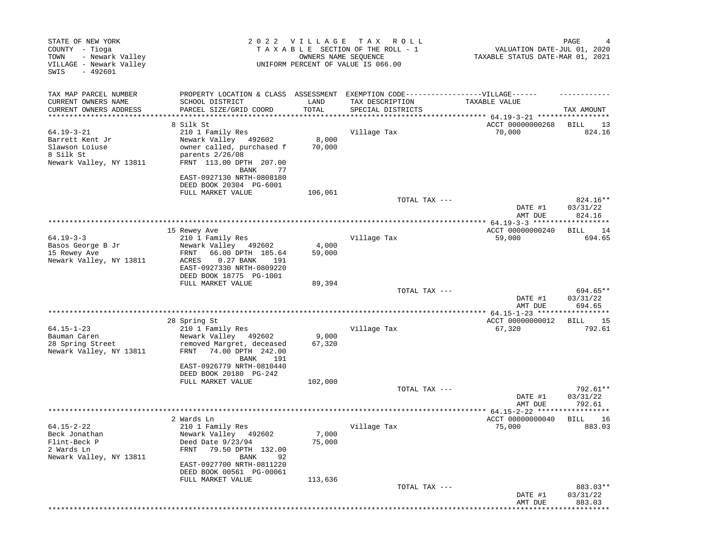| STATE OF NEW YORK<br>COUNTY - Tioga<br>- Newark Valley<br>TOWN |                                                                                   | 2022 VILLAGE              | T A X<br>R O L L<br>TAXABLE SECTION OF THE ROLL - 1<br>OWNERS NAME SEQUENCE | VALUATION DATE-JUL 01, 2020<br>TAXABLE STATUS DATE-MAR 01, 2021 | PAGE                  |
|----------------------------------------------------------------|-----------------------------------------------------------------------------------|---------------------------|-----------------------------------------------------------------------------|-----------------------------------------------------------------|-----------------------|
| VILLAGE - Newark Valley<br>$-492601$<br>SWIS                   |                                                                                   |                           | UNIFORM PERCENT OF VALUE IS 066.00                                          |                                                                 |                       |
| TAX MAP PARCEL NUMBER                                          | PROPERTY LOCATION & CLASS ASSESSMENT EXEMPTION CODE-----------------VILLAGE------ |                           |                                                                             |                                                                 |                       |
| CURRENT OWNERS NAME                                            | SCHOOL DISTRICT                                                                   | LAND                      | TAX DESCRIPTION                                                             | TAXABLE VALUE                                                   |                       |
| CURRENT OWNERS ADDRESS<br>********************                 | PARCEL SIZE/GRID COORD<br>**************************                              | TOTAL<br>**************** | SPECIAL DISTRICTS                                                           |                                                                 | TAX AMOUNT            |
|                                                                | 8 Silk St                                                                         |                           |                                                                             | ACCT 00000000268                                                | BILL<br>-13           |
| $64.19 - 3 - 21$                                               | 210 1 Family Res                                                                  |                           | Village Tax                                                                 | 70,000                                                          | 824.16                |
| Barrett Kent Jr                                                | Newark Valley<br>492602                                                           | 8,000                     |                                                                             |                                                                 |                       |
| Slawson Loiuse                                                 | owner called, purchased f                                                         | 70,000                    |                                                                             |                                                                 |                       |
| 8 Silk St<br>Newark Valley, NY 13811                           | parents 2/26/08<br>FRNT 113.00 DPTH 207.00                                        |                           |                                                                             |                                                                 |                       |
|                                                                | BANK<br>77                                                                        |                           |                                                                             |                                                                 |                       |
|                                                                | EAST-0927130 NRTH-0808180                                                         |                           |                                                                             |                                                                 |                       |
|                                                                | DEED BOOK 20304 PG-6001                                                           |                           |                                                                             |                                                                 |                       |
|                                                                | FULL MARKET VALUE                                                                 | 106,061                   | TOTAL TAX ---                                                               |                                                                 | 824.16**              |
|                                                                |                                                                                   |                           |                                                                             | DATE #1                                                         | 03/31/22              |
|                                                                |                                                                                   |                           |                                                                             | AMT DUE                                                         | 824.16                |
|                                                                | *****************                                                                 |                           | ****************************                                                | ******** 64.19-3-3 *******                                      | * * * * * * * * * * * |
| $64.19 - 3 - 3$                                                | 15 Rewey Ave<br>210 1 Family Res                                                  |                           |                                                                             | ACCT 00000000240                                                | BILL<br>14<br>694.65  |
| Basos George B Jr                                              | Newark Valley<br>492602                                                           | 4,000                     | Village Tax                                                                 | 59,000                                                          |                       |
| 15 Rewey Ave                                                   | 66.00 DPTH 185.64<br>FRNT                                                         | 59,000                    |                                                                             |                                                                 |                       |
| Newark Valley, NY 13811                                        | $0.27$ BANK<br>ACRES<br>191                                                       |                           |                                                                             |                                                                 |                       |
|                                                                | EAST-0927330 NRTH-0809220                                                         |                           |                                                                             |                                                                 |                       |
|                                                                | DEED BOOK 18775 PG-1001<br>FULL MARKET VALUE                                      | 89,394                    |                                                                             |                                                                 |                       |
|                                                                |                                                                                   |                           | TOTAL TAX ---                                                               |                                                                 | 694.65**              |
|                                                                |                                                                                   |                           |                                                                             | DATE #1                                                         | 03/31/22              |
|                                                                |                                                                                   |                           |                                                                             | AMT DUE                                                         | 694.65                |
|                                                                | 28 Spring St                                                                      |                           |                                                                             | *** $64.15 - 1 - 23$ *****<br>ACCT 00000000012                  | -15<br>BILL           |
| $64.15 - 1 - 23$                                               | 210 1 Family Res                                                                  |                           | Village Tax                                                                 | 67,320                                                          | 792.61                |
| Bauman Caren                                                   | Newark Valley 492602                                                              | 9,000                     |                                                                             |                                                                 |                       |
| 28 Spring Street                                               | removed Margret, deceased                                                         | 67,320                    |                                                                             |                                                                 |                       |
| Newark Valley, NY 13811                                        | 74.00 DPTH 242.00<br>FRNT<br>BANK<br>191                                          |                           |                                                                             |                                                                 |                       |
|                                                                | EAST-0926779 NRTH-0810440                                                         |                           |                                                                             |                                                                 |                       |
|                                                                | DEED BOOK 20180 PG-242                                                            |                           |                                                                             |                                                                 |                       |
|                                                                | FULL MARKET VALUE                                                                 | 102,000                   |                                                                             |                                                                 |                       |
|                                                                |                                                                                   |                           | TOTAL TAX ---                                                               | DATE #1                                                         | 792.61**<br>03/31/22  |
|                                                                |                                                                                   |                           |                                                                             | AMT DUE                                                         | 792.61                |
|                                                                |                                                                                   |                           |                                                                             | $64.15 - 2 - 22$ *****                                          |                       |
|                                                                | 2 Wards Ln                                                                        |                           |                                                                             | ACCT 00000000040                                                | BILL<br>16            |
| $64.15 - 2 - 22$<br>Beck Jonathan                              | 210 1 Family Res<br>Newark Valley 492602                                          | 7,000                     | Village Tax                                                                 | 75,000                                                          | 883.03                |
| Flint-Beck P                                                   | Deed Date 9/23/94                                                                 | 75,000                    |                                                                             |                                                                 |                       |
| 2 Wards Ln                                                     | <b>FRNT</b><br>79.50 DPTH 132.00                                                  |                           |                                                                             |                                                                 |                       |
| Newark Valley, NY 13811                                        | BANK<br>92                                                                        |                           |                                                                             |                                                                 |                       |
|                                                                | EAST-0927700 NRTH-0811220<br>DEED BOOK 00561 PG-00061                             |                           |                                                                             |                                                                 |                       |
|                                                                | FULL MARKET VALUE                                                                 | 113,636                   |                                                                             |                                                                 |                       |
|                                                                |                                                                                   |                           | TOTAL TAX ---                                                               |                                                                 | 883.03**              |
|                                                                |                                                                                   |                           |                                                                             | DATE #1                                                         | 03/31/22              |
|                                                                |                                                                                   |                           |                                                                             | AMT DUE                                                         | 883.03                |
|                                                                |                                                                                   |                           |                                                                             |                                                                 |                       |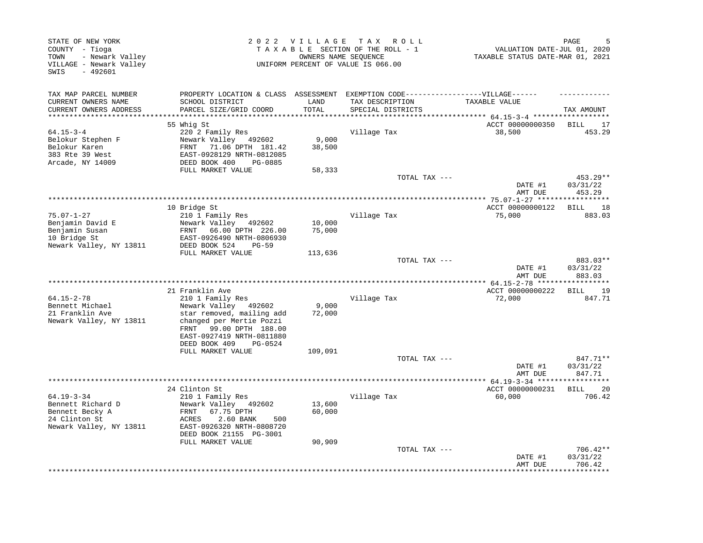| STATE OF NEW YORK<br>COUNTY - Tioga<br>- Newark Valley<br>TOWN<br>VILLAGE - Newark Valley<br>$-492601$<br>SWIS |                                                                                                                 | 2022 VILLAGE<br>T A X<br>R O L L<br>TAXABLE SECTION OF THE ROLL - 1<br>OWNERS NAME SEQUENCE<br>UNIFORM PERCENT OF VALUE IS 066.00 |                                              |                            |                                |
|----------------------------------------------------------------------------------------------------------------|-----------------------------------------------------------------------------------------------------------------|-----------------------------------------------------------------------------------------------------------------------------------|----------------------------------------------|----------------------------|--------------------------------|
| TAX MAP PARCEL NUMBER                                                                                          | PROPERTY LOCATION & CLASS ASSESSMENT                                                                            |                                                                                                                                   | EXEMPTION CODE-----------------VILLAGE------ |                            |                                |
| CURRENT OWNERS NAME<br>CURRENT OWNERS ADDRESS                                                                  | SCHOOL DISTRICT<br>PARCEL SIZE/GRID COORD                                                                       | LAND<br>TOTAL                                                                                                                     | TAX DESCRIPTION<br>SPECIAL DISTRICTS         | TAXABLE VALUE              | TAX AMOUNT                     |
| *********************                                                                                          |                                                                                                                 |                                                                                                                                   |                                              |                            |                                |
| $64.15 - 3 - 4$                                                                                                | 55 Whig St<br>220 2 Family Res                                                                                  |                                                                                                                                   | Village Tax                                  | ACCT 00000000350<br>38,500 | BILL<br>17<br>453.29           |
| Belokur Stephen F                                                                                              | Newark Valley 492602                                                                                            | 9,000                                                                                                                             |                                              |                            |                                |
| Belokur Karen                                                                                                  | 71.06 DPTH 181.42<br>FRNT                                                                                       | 38,500                                                                                                                            |                                              |                            |                                |
| 383 Rte 39 West                                                                                                | EAST-0928129 NRTH-0812085                                                                                       |                                                                                                                                   |                                              |                            |                                |
| Arcade, NY 14009                                                                                               | DEED BOOK 400<br>PG-0885                                                                                        |                                                                                                                                   |                                              |                            |                                |
|                                                                                                                | FULL MARKET VALUE                                                                                               | 58,333                                                                                                                            |                                              |                            |                                |
|                                                                                                                |                                                                                                                 |                                                                                                                                   | TOTAL TAX ---                                | DATE #1<br>AMT DUE         | 453.29**<br>03/31/22<br>453.29 |
|                                                                                                                |                                                                                                                 |                                                                                                                                   | **********************                       | ** 75.07-1-27 *****        |                                |
|                                                                                                                | 10 Bridge St                                                                                                    |                                                                                                                                   |                                              | ACCT 00000000122           | 18<br>BILL                     |
| $75.07 - 1 - 27$                                                                                               | 210 1 Family Res                                                                                                |                                                                                                                                   | Village Tax                                  | 75,000                     | 883.03                         |
| Benjamin David E<br>Benjamin Susan                                                                             | Newark Valley 492602<br>FRNT<br>66.00 DPTH 226.00                                                               | 10,000<br>75,000                                                                                                                  |                                              |                            |                                |
| 10 Bridge St                                                                                                   | EAST-0926490 NRTH-0806930                                                                                       |                                                                                                                                   |                                              |                            |                                |
| Newark Valley, NY 13811                                                                                        | DEED BOOK 524<br>$PG-59$                                                                                        |                                                                                                                                   |                                              |                            |                                |
|                                                                                                                | FULL MARKET VALUE                                                                                               | 113,636                                                                                                                           |                                              |                            |                                |
|                                                                                                                |                                                                                                                 |                                                                                                                                   | TOTAL TAX ---                                | DATE #1<br>AMT DUE         | 883.03**<br>03/31/22<br>883.03 |
|                                                                                                                |                                                                                                                 |                                                                                                                                   |                                              |                            | * * * * * * * * *              |
|                                                                                                                | 21 Franklin Ave                                                                                                 |                                                                                                                                   |                                              | ACCT 00000000222           | 19<br>BILL                     |
| $64.15 - 2 - 78$                                                                                               | 210 1 Family Res                                                                                                |                                                                                                                                   | Village Tax                                  | 72,000                     | 847.71                         |
| Bennett Michael                                                                                                | Newark Valley 492602                                                                                            | 9,000                                                                                                                             |                                              |                            |                                |
| 21 Franklin Ave<br>Newark Valley, NY 13811                                                                     | star removed, mailing add<br>changed per Mertie Pozzi<br>99.00 DPTH 188.00<br>FRNT<br>EAST-0927419 NRTH-0811880 | 72,000                                                                                                                            |                                              |                            |                                |
|                                                                                                                | DEED BOOK 409<br>PG-0524<br>FULL MARKET VALUE                                                                   | 109,091                                                                                                                           |                                              |                            |                                |
|                                                                                                                |                                                                                                                 |                                                                                                                                   | TOTAL TAX ---                                |                            | 847.71**                       |
|                                                                                                                |                                                                                                                 |                                                                                                                                   |                                              | DATE #1<br>AMT DUE         | 03/31/22<br>847.71             |
|                                                                                                                |                                                                                                                 |                                                                                                                                   | ***************************                  | ** $64.19 - 3 - 34$ ****** | * * * * * * * * * * *          |
| $64.19 - 3 - 34$                                                                                               | 24 Clinton St<br>210 1 Family Res                                                                               |                                                                                                                                   | Village Tax                                  | ACCT 00000000231<br>60,000 | <b>BILL</b><br>20<br>706.42    |
| Bennett Richard D<br>Bennett Becky A<br>24 Clinton St                                                          | Newark Valley 492602<br>FRNT<br>67.75 DPTH<br>ACRES<br>2.60 BANK<br>500                                         | 13,600<br>60,000                                                                                                                  |                                              |                            |                                |
| Newark Valley, NY 13811                                                                                        | EAST-0926320 NRTH-0808720<br>DEED BOOK 21155 PG-3001<br>FULL MARKET VALUE                                       | 90,909                                                                                                                            |                                              |                            |                                |
|                                                                                                                |                                                                                                                 |                                                                                                                                   | TOTAL TAX ---                                | DATE #1<br>AMT DUE         | 706.42**<br>03/31/22<br>706.42 |
|                                                                                                                |                                                                                                                 |                                                                                                                                   |                                              |                            | ********                       |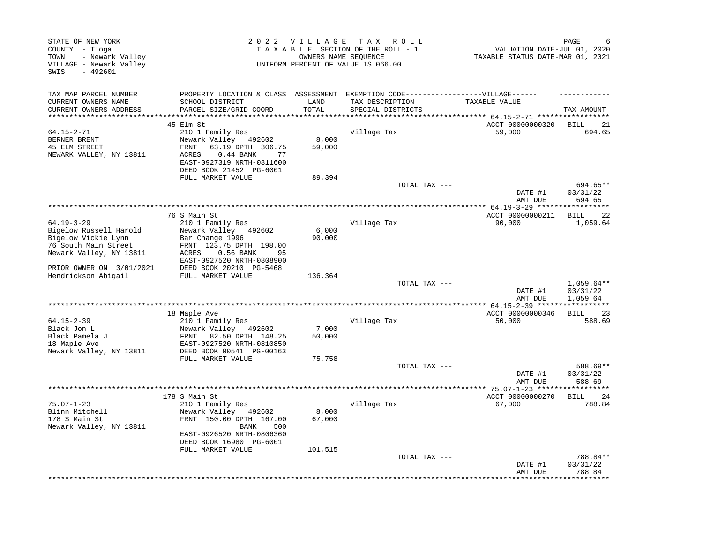| STATE OF NEW YORK<br>COUNTY - Tioga<br>- Newark Valley<br>TOWN<br>VILLAGE - Newark Valley<br>$-492601$<br>SWIS |                                                                                                                                                                    | 2022 VILLAGE                 | T A X<br>R O L L<br>TAXABLE SECTION OF THE ROLL - 1<br>OWNERS NAME SEOUENCE<br>UNIFORM PERCENT OF VALUE IS 066.00 | VALUATION DATE-JUL 01, 2020<br>TAXABLE STATUS DATE-MAR 01, 2021 | PAGE                                 |
|----------------------------------------------------------------------------------------------------------------|--------------------------------------------------------------------------------------------------------------------------------------------------------------------|------------------------------|-------------------------------------------------------------------------------------------------------------------|-----------------------------------------------------------------|--------------------------------------|
| TAX MAP PARCEL NUMBER                                                                                          | PROPERTY LOCATION & CLASS ASSESSMENT EXEMPTION CODE-----------------VILLAGE------                                                                                  |                              |                                                                                                                   |                                                                 |                                      |
| CURRENT OWNERS NAME<br>CURRENT OWNERS ADDRESS<br>***********************                                       | SCHOOL DISTRICT<br>PARCEL SIZE/GRID COORD<br>*****************************                                                                                         | LAND<br>TOTAL<br>*********** | TAX DESCRIPTION<br>SPECIAL DISTRICTS                                                                              | TAXABLE VALUE                                                   | TAX AMOUNT                           |
|                                                                                                                | 45 Elm St                                                                                                                                                          |                              |                                                                                                                   | ACCT 00000000320                                                | <b>BILL</b><br>21                    |
| $64.15 - 2 - 71$<br>BERNER BRENT<br>45 ELM STREET<br>NEWARK VALLEY, NY 13811                                   | 210 1 Family Res<br>Newark Valley 492602<br>63.19 DPTH 306.75<br>FRNT<br>ACRES<br>$0.44$ BANK<br>77<br>EAST-0927319 NRTH-0811600<br>DEED BOOK 21452 PG-6001        | 8,000<br>59,000              | Village Tax                                                                                                       | 59,000                                                          | 694.65                               |
|                                                                                                                | FULL MARKET VALUE                                                                                                                                                  | 89,394                       | TOTAL TAX ---                                                                                                     |                                                                 | 694.65**                             |
|                                                                                                                |                                                                                                                                                                    |                              |                                                                                                                   | DATE #1<br>AMT DUE                                              | 03/31/22<br>694.65                   |
|                                                                                                                |                                                                                                                                                                    |                              |                                                                                                                   |                                                                 |                                      |
| $64.19 - 3 - 29$<br>Bigelow Russell Harold                                                                     | 76 S Main St<br>210 1 Family Res<br>Newark Valley 492602                                                                                                           | 6,000                        | Village Tax                                                                                                       | ACCT 00000000211<br>90,000                                      | -22<br>BILL<br>1,059.64              |
| Bigelow Vickie Lynn<br>76 South Main Street<br>Newark Valley, NY 13811                                         | Bar Change 1996<br>FRNT 123.75 DPTH 198.00<br>ACRES<br>$0.56$ BANK<br>95<br>EAST-0927520 NRTH-0808900                                                              | 90,000                       |                                                                                                                   |                                                                 |                                      |
| PRIOR OWNER ON 3/01/2021<br>Hendrickson Abigail                                                                | DEED BOOK 20210 PG-5468<br>FULL MARKET VALUE                                                                                                                       | 136,364                      |                                                                                                                   |                                                                 |                                      |
|                                                                                                                |                                                                                                                                                                    |                              | TOTAL TAX ---                                                                                                     | DATE #1<br>AMT DUE                                              | $1,059.64**$<br>03/31/22<br>1,059.64 |
|                                                                                                                |                                                                                                                                                                    |                              |                                                                                                                   |                                                                 |                                      |
|                                                                                                                | 18 Maple Ave                                                                                                                                                       |                              |                                                                                                                   | ACCT 00000000346                                                | BILL<br>23                           |
| $64.15 - 2 - 39$<br>Black Jon L<br>Black Pamela J<br>18 Maple Ave                                              | 210 1 Family Res<br>Newark Valley 492602<br>FRNT<br>82.50 DPTH 148.25<br>EAST-0927520 NRTH-0810850                                                                 | 7,000<br>50,000              | Village Tax                                                                                                       | 50,000                                                          | 588.69                               |
| Newark Valley, NY 13811                                                                                        | DEED BOOK 00541 PG-00163<br>FULL MARKET VALUE                                                                                                                      | 75,758                       | TOTAL TAX ---                                                                                                     |                                                                 | 588.69**                             |
|                                                                                                                |                                                                                                                                                                    |                              |                                                                                                                   | DATE #1<br>AMT DUE                                              | 03/31/22<br>588.69                   |
|                                                                                                                |                                                                                                                                                                    |                              |                                                                                                                   | ************** 75.07-1-23 ********                              | * * * * * * * * *                    |
| $75.07 - 1 - 23$<br>Blinn Mitchell<br>178 S Main St<br>Newark Valley, NY 13811                                 | 178 S Main St<br>210 1 Family Res<br>Newark Valley 492602<br>FRNT 150.00 DPTH 167.00<br><b>BANK</b><br>500<br>EAST-0926520 NRTH-0806360<br>DEED BOOK 16980 PG-6001 | 8,000<br>67,000              | Village Tax                                                                                                       | ACCT 00000000270<br>67,000                                      | <b>BILL</b><br>24<br>788.84          |
|                                                                                                                | FULL MARKET VALUE                                                                                                                                                  | 101,515                      | TOTAL TAX ---                                                                                                     | DATE #1<br>AMT DUE                                              | 788.84**<br>03/31/22<br>788.84       |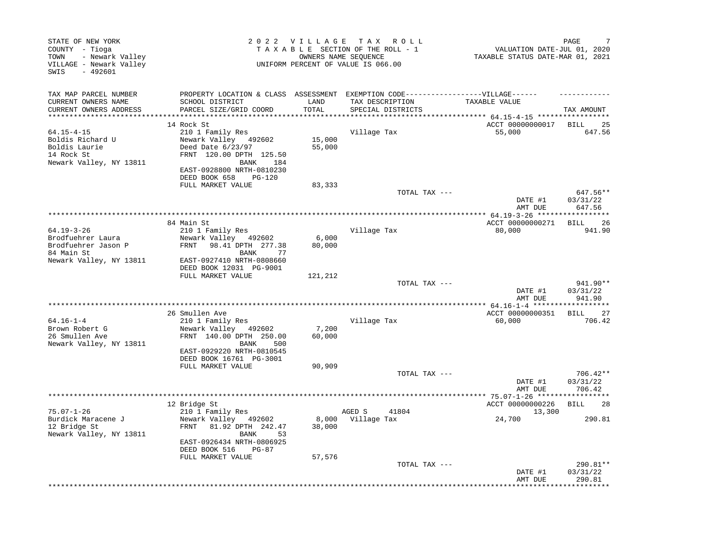| STATE OF NEW YORK<br>COUNTY - Tioga<br>- Newark Valley<br>TOWN<br>VILLAGE - Newark Valley<br>SWIS<br>$-492601$ |                                                                                                                                                                                      | 2022 VILLAGE TAX    | R O L L<br>TAXABLE SECTION OF THE ROLL - 1<br>OWNERS NAME SEOUENCE<br>UNIFORM PERCENT OF VALUE IS 066.00                  | VALUATION DATE-JUL 01, 2020<br>TAXABLE STATUS DATE-MAR 01, 2021 | PAGE                           |
|----------------------------------------------------------------------------------------------------------------|--------------------------------------------------------------------------------------------------------------------------------------------------------------------------------------|---------------------|---------------------------------------------------------------------------------------------------------------------------|-----------------------------------------------------------------|--------------------------------|
| TAX MAP PARCEL NUMBER<br>CURRENT OWNERS NAME<br>CURRENT OWNERS ADDRESS                                         | SCHOOL DISTRICT<br>PARCEL SIZE/GRID COORD                                                                                                                                            | LAND<br>TOTAL       | PROPERTY LOCATION & CLASS ASSESSMENT EXEMPTION CODE-----------------VILLAGE------<br>TAX DESCRIPTION<br>SPECIAL DISTRICTS | TAXABLE VALUE                                                   | TAX AMOUNT                     |
|                                                                                                                |                                                                                                                                                                                      |                     |                                                                                                                           | ****** 64.15-4-15 ************                                  |                                |
| $64.15 - 4 - 15$<br>Boldis Richard U<br>Boldis Laurie<br>14 Rock St<br>Newark Valley, NY 13811                 | 14 Rock St<br>210 1 Family Res<br>Newark Valley 492602<br>Deed Date 6/23/97<br>FRNT 120.00 DPTH 125.50<br>BANK<br>184<br>EAST-0928800 NRTH-0810230<br>DEED BOOK 658<br><b>PG-120</b> | 15,000<br>55,000    | Village Tax                                                                                                               | ACCT 00000000017<br>55,000                                      | <b>BILL</b><br>25<br>647.56    |
|                                                                                                                | FULL MARKET VALUE                                                                                                                                                                    | 83,333              |                                                                                                                           |                                                                 |                                |
|                                                                                                                |                                                                                                                                                                                      |                     | TOTAL TAX ---                                                                                                             | DATE #1<br>AMT DUE                                              | 647.56**<br>03/31/22<br>647.56 |
|                                                                                                                |                                                                                                                                                                                      |                     |                                                                                                                           |                                                                 |                                |
| $64.19 - 3 - 26$<br>Brodfuehrer Laura                                                                          | 84 Main St<br>210 1 Family Res<br>Newark Valley 492602                                                                                                                               | 6,000               | Village Tax                                                                                                               | ACCT 00000000271<br>80,000                                      | <b>BILL</b><br>26<br>941.90    |
| Brodfuehrer Jason P<br>84 Main St<br>Newark Valley, NY 13811                                                   | 98.41 DPTH 277.38<br>FRNT<br>BANK<br>77<br>EAST-0927410 NRTH-0808660                                                                                                                 | 80,000              |                                                                                                                           |                                                                 |                                |
|                                                                                                                | DEED BOOK 12031 PG-9001<br>FULL MARKET VALUE                                                                                                                                         | 121,212             |                                                                                                                           |                                                                 | 941.90**                       |
|                                                                                                                |                                                                                                                                                                                      |                     | TOTAL TAX ---                                                                                                             | DATE #1<br>AMT DUE<br>*********** 64.16-1-4 ****                | 03/31/22<br>941.90             |
|                                                                                                                | 26 Smullen Ave                                                                                                                                                                       |                     |                                                                                                                           | ACCT 00000000351                                                | <b>BILL</b><br>27              |
| $64.16 - 1 - 4$<br>Brown Robert G<br>26 Smullen Ave<br>Newark Valley, NY 13811                                 | 210 1 Family Res<br>Newark Valley<br>492602<br>FRNT 140.00 DPTH 250.00<br>500<br>BANK<br>EAST-0929220 NRTH-0810545                                                                   | 7,200<br>60,000     | Village Tax                                                                                                               | 60,000                                                          | 706.42                         |
|                                                                                                                | DEED BOOK 16761 PG-3001<br>FULL MARKET VALUE                                                                                                                                         | 90,909              |                                                                                                                           |                                                                 |                                |
|                                                                                                                |                                                                                                                                                                                      |                     | TOTAL TAX ---                                                                                                             | DATE #1<br>AMT DUE                                              | 706.42**<br>03/31/22<br>706.42 |
|                                                                                                                |                                                                                                                                                                                      | ******************* |                                                                                                                           | ****** 75.07-1-26 *****                                         |                                |
| $75.07 - 1 - 26$<br>Burdick Maracene J<br>12 Bridge St<br>Newark Valley, NY 13811                              | 12 Bridge St<br>210 1 Family Res<br>Newark Valley 492602<br>FRNT<br>81.92 DPTH 242.47<br>BANK<br>53<br>EAST-0926434 NRTH-0806925<br>DEED BOOK 516<br>PG-87                           | 38,000              | AGED S<br>41804<br>8,000 Village Tax                                                                                      | ACCT 00000000226<br>13,300<br>24,700                            | <b>BILL</b><br>28<br>290.81    |
|                                                                                                                | FULL MARKET VALUE                                                                                                                                                                    | 57,576              | TOTAL TAX ---                                                                                                             | DATE #1<br>AMT DUE                                              | 290.81**<br>03/31/22<br>290.81 |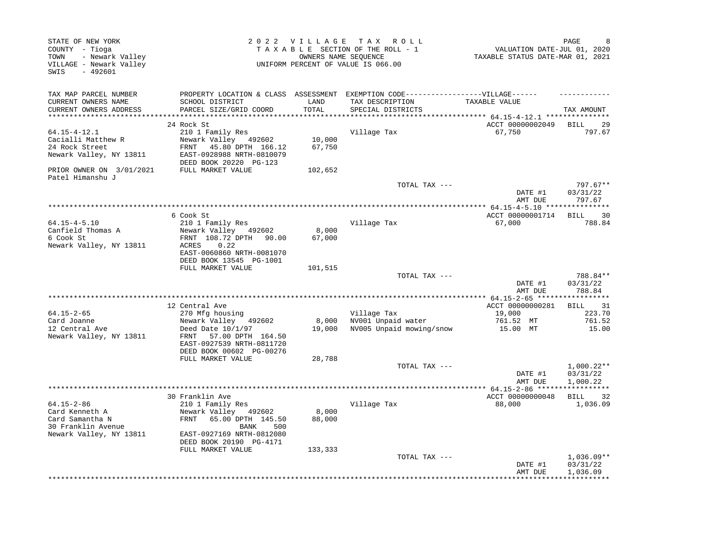| STATE OF NEW YORK<br>COUNTY - Tioga<br>- Newark Valley<br>TOWN<br>VILLAGE - Newark Valley<br>SWIS<br>$-492601$    |                                                                                                                                                   | 2022 VILLAGE                | T A X<br>R O L L<br>TAXABLE SECTION OF THE ROLL - 1<br>OWNERS NAME SEQUENCE<br>UNIFORM PERCENT OF VALUE IS 066.00 | VALUATION DATE-JUL 01, 2020<br>TAXABLE STATUS DATE-MAR 01, 2021      | PAGE                                       |
|-------------------------------------------------------------------------------------------------------------------|---------------------------------------------------------------------------------------------------------------------------------------------------|-----------------------------|-------------------------------------------------------------------------------------------------------------------|----------------------------------------------------------------------|--------------------------------------------|
| TAX MAP PARCEL NUMBER<br>CURRENT OWNERS NAME<br>CURRENT OWNERS ADDRESS<br>**********************                  | PROPERTY LOCATION & CLASS ASSESSMENT<br>SCHOOL DISTRICT<br>PARCEL SIZE/GRID COORD                                                                 | LAND<br>TOTAL<br>*********  | EXEMPTION CODE------------------VILLAGE------<br>TAX DESCRIPTION<br>SPECIAL DISTRICTS                             | TAXABLE VALUE<br>*************************** 64.15-4-12.1 ********** | TAX AMOUNT                                 |
|                                                                                                                   | 24 Rock St                                                                                                                                        |                             |                                                                                                                   | ACCT 00000002049                                                     | BILL<br>29                                 |
| $64.15 - 4 - 12.1$<br>Cacialli Matthew R<br>24 Rock Street<br>Newark Valley, NY 13811<br>PRIOR OWNER ON 3/01/2021 | 210 1 Family Res<br>Newark Valley 492602<br>45.80 DPTH 166.12<br>FRNT<br>EAST-0928988 NRTH-0810079<br>DEED BOOK 20220 PG-123<br>FULL MARKET VALUE | 10,000<br>67,750<br>102,652 | Village Tax                                                                                                       | 67,750                                                               | 797.67                                     |
| Patel Himanshu J                                                                                                  |                                                                                                                                                   |                             |                                                                                                                   |                                                                      |                                            |
|                                                                                                                   |                                                                                                                                                   |                             | TOTAL TAX ---                                                                                                     | DATE #1<br>AMT DUE                                                   | 797.67**<br>03/31/22<br>797.67             |
|                                                                                                                   | 6 Cook St                                                                                                                                         |                             |                                                                                                                   | ACCT 00000001714                                                     | <b>BILL</b><br>30                          |
| $64.15 - 4 - 5.10$<br>Canfield Thomas A<br>6 Cook St<br>Newark Valley, NY 13811                                   | 210 1 Family Res<br>Newark Valley 492602<br>FRNT 108.72 DPTH<br>90.00<br>0.22<br>ACRES<br>EAST-0060860 NRTH-0081070<br>DEED BOOK 13545 PG-1001    | 8,000<br>67,000             | Village Tax                                                                                                       | 67,000                                                               | 788.84                                     |
|                                                                                                                   | FULL MARKET VALUE                                                                                                                                 | 101,515                     |                                                                                                                   |                                                                      |                                            |
|                                                                                                                   |                                                                                                                                                   |                             | TOTAL TAX ---                                                                                                     | DATE #1<br>AMT DUE                                                   | 788.84**<br>03/31/22<br>788.84             |
|                                                                                                                   |                                                                                                                                                   |                             | *********************************                                                                                 | *********** 64.15-2-65 *****                                         | **********                                 |
| $64.15 - 2 - 65$                                                                                                  | 12 Central Ave<br>270 Mfg housing                                                                                                                 |                             | Village Tax                                                                                                       | ACCT 00000000281<br>19,000                                           | 31<br>BILL<br>223.70                       |
| Card Joanne<br>12 Central Ave                                                                                     | Newark Valley 492602<br>Deed Date $10/1/97$                                                                                                       | 8,000<br>19,000             | NV001 Unpaid water<br>NV005 Unpaid mowing/snow                                                                    | 761.52 MT<br>15.00 MT                                                | 761.52<br>15.00                            |
| Newark Valley, NY 13811                                                                                           | FRNT<br>57.00 DPTH 164.50<br>EAST-0927539 NRTH-0811720<br>DEED BOOK 00602 PG-00276                                                                |                             |                                                                                                                   |                                                                      |                                            |
|                                                                                                                   | FULL MARKET VALUE                                                                                                                                 | 28,788                      | TOTAL TAX ---                                                                                                     |                                                                      | $1,000.22**$                               |
|                                                                                                                   |                                                                                                                                                   |                             |                                                                                                                   | DATE #1<br>AMT DUE                                                   | 03/31/22<br>1,000.22                       |
|                                                                                                                   | 30 Franklin Ave                                                                                                                                   |                             | *********************************                                                                                 | ************ 64.15-2-86 ******<br>ACCT 00000000048                   | * * * * * * * * * * *<br><b>BILL</b><br>32 |
| $64.15 - 2 - 86$<br>Card Kenneth A<br>Card Samantha N<br>30 Franklin Avenue<br>Newark Valley, NY 13811            | 210 1 Family Res<br>Newark Valley 492602<br>FRNT<br>65.00 DPTH 145.50<br>BANK<br>500<br>EAST-0927169 NRTH-0812080<br>DEED BOOK 20190 PG-4171      | 8,000<br>88,000             | Village Tax                                                                                                       | 88,000                                                               | 1,036.09                                   |
|                                                                                                                   | FULL MARKET VALUE                                                                                                                                 | 133,333                     | TOTAL TAX ---                                                                                                     | DATE #1<br>AMT DUE                                                   | $1,036.09**$<br>03/31/22<br>1,036.09       |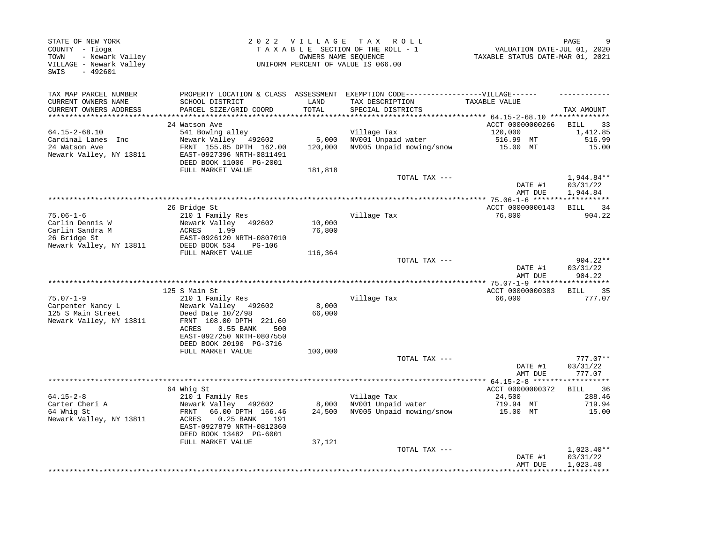| STATE OF NEW YORK<br>COUNTY - Tioga<br>- Newark Valley<br>TOWN<br>VILLAGE - Newark Valley<br>SWIS<br>$-492601$ |                                                                                                                                                                                                 | 2022 VILLAGE              | T A X<br>R O L L<br>TAXABLE SECTION OF THE ROLL - 1<br>OWNERS NAME SEOUENCE<br>UNIFORM PERCENT OF VALUE IS 066.00         | VALUATION DATE-JUL 01, 2020<br>TAXABLE STATUS DATE-MAR 01, 2021 | PAGE                                           |
|----------------------------------------------------------------------------------------------------------------|-------------------------------------------------------------------------------------------------------------------------------------------------------------------------------------------------|---------------------------|---------------------------------------------------------------------------------------------------------------------------|-----------------------------------------------------------------|------------------------------------------------|
| TAX MAP PARCEL NUMBER<br>CURRENT OWNERS NAME<br>CURRENT OWNERS ADDRESS                                         | SCHOOL DISTRICT<br>PARCEL SIZE/GRID COORD                                                                                                                                                       | LAND<br>TOTAL             | PROPERTY LOCATION & CLASS ASSESSMENT EXEMPTION CODE-----------------VILLAGE------<br>TAX DESCRIPTION<br>SPECIAL DISTRICTS | TAXABLE VALUE                                                   | TAX AMOUNT                                     |
| **************************                                                                                     | 24 Watson Ave                                                                                                                                                                                   |                           |                                                                                                                           | ACCT 00000000266                                                | 33<br>BILL                                     |
| 64.15-2-68.10                                                                                                  | 541 Bowlng alley                                                                                                                                                                                |                           | Village Tax                                                                                                               | 120,000                                                         | 1,412.85                                       |
| Cardinal Lanes Inc<br>24 Watson Ave<br>Newark Valley, NY 13811                                                 | Newark Valley 492602<br>FRNT 155.85 DPTH 162.00<br>EAST-0927396 NRTH-0811491<br>DEED BOOK 11006 PG-2001                                                                                         | 5,000<br>120,000          | NV001 Unpaid water<br>NV005 Unpaid mowing/snow                                                                            | 516.99 MT<br>15.00 MT                                           | 516.99<br>15.00                                |
|                                                                                                                | FULL MARKET VALUE                                                                                                                                                                               | 181,818                   | TOTAL TAX ---                                                                                                             | DATE #1                                                         | 1,944.84**<br>03/31/22                         |
|                                                                                                                |                                                                                                                                                                                                 |                           |                                                                                                                           | AMT DUE                                                         | 1,944.84                                       |
|                                                                                                                |                                                                                                                                                                                                 |                           |                                                                                                                           |                                                                 |                                                |
| $75.06 - 1 - 6$                                                                                                | 26 Bridge St<br>210 1 Family Res                                                                                                                                                                |                           | Village Tax                                                                                                               | ACCT 00000000143<br>76,800                                      | BILL<br>34<br>904.22                           |
| Carlin Dennis W<br>Carlin Sandra M<br>26 Bridge St                                                             | Newark Valley<br>492602<br>1.99<br>ACRES<br>EAST-0926120 NRTH-0807010                                                                                                                           | 10,000<br>76,800          |                                                                                                                           |                                                                 |                                                |
| Newark Valley, NY 13811                                                                                        | DEED BOOK 534<br><b>PG-106</b><br>FULL MARKET VALUE                                                                                                                                             | 116,364                   |                                                                                                                           |                                                                 |                                                |
|                                                                                                                |                                                                                                                                                                                                 |                           | TOTAL TAX ---                                                                                                             | DATE #1                                                         | 904.22**<br>03/31/22                           |
|                                                                                                                |                                                                                                                                                                                                 |                           |                                                                                                                           | AMT DUE                                                         | 904.22<br>*********                            |
|                                                                                                                | 125 S Main St                                                                                                                                                                                   |                           |                                                                                                                           | ACCT 00000000383                                                | <b>BILL</b><br>35                              |
| $75.07 - 1 - 9$<br>Carpenter Nancy L<br>125 S Main Street<br>Newark Valley, NY 13811                           | 210 1 Family Res<br>Newark Valley 492602<br>Deed Date $10/2/98$<br>FRNT 108.00 DPTH 221.60<br>ACRES<br>$0.55$ BANK<br>500<br>EAST-0927250 NRTH-0807550                                          | 8,000<br>66,000           | Village Tax                                                                                                               | 66,000                                                          | 777.07                                         |
|                                                                                                                | DEED BOOK 20190 PG-3716<br>FULL MARKET VALUE                                                                                                                                                    | 100,000                   |                                                                                                                           |                                                                 |                                                |
|                                                                                                                |                                                                                                                                                                                                 |                           | TOTAL TAX ---                                                                                                             | DATE #1<br>AMT DUE                                              | $777.07**$<br>03/31/22<br>777.07               |
|                                                                                                                | *****************                                                                                                                                                                               |                           | *******************************                                                                                           | ***** $64.15 - 2 - 8$ ******                                    | **********                                     |
| $64.15 - 2 - 8$<br>Carter Cheri A<br>64 Whig St<br>Newark Valley, NY 13811                                     | 64 Whig St<br>210 1 Family Res<br>Newark Valley 492602<br>66.00 DPTH 166.46<br>FRNT<br>ACRES<br>$0.25$ BANK<br>191<br>EAST-0927879 NRTH-0812360<br>DEED BOOK 13482 PG-6001<br>FULL MARKET VALUE | 8,000<br>24,500<br>37,121 | Village Tax<br>NV001 Unpaid water<br>NV005 Unpaid mowing/snow                                                             | ACCT 00000000372<br>24,500<br>719.94 MT<br>15.00 MT             | 36<br><b>BILL</b><br>288.46<br>719.94<br>15.00 |
|                                                                                                                |                                                                                                                                                                                                 |                           | TOTAL TAX ---                                                                                                             | DATE #1<br>AMT DUE                                              | $1,023.40**$<br>03/31/22<br>1,023.40           |
|                                                                                                                |                                                                                                                                                                                                 |                           |                                                                                                                           |                                                                 |                                                |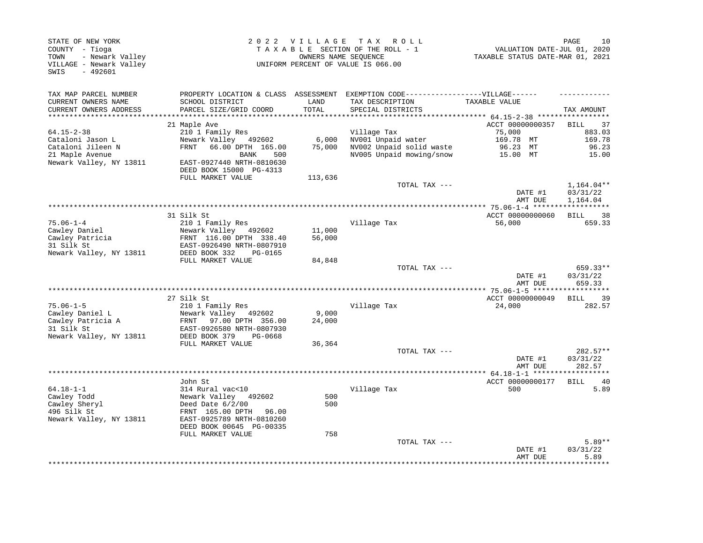| STATE OF NEW YORK<br>COUNTY - Tioga<br>- Newark Valley<br>TOWN<br>VILLAGE - Newark Valley<br>$-492601$<br>SWIS |                                                                                    |               | 2022 VILLAGE TAX ROLL<br>TAXABLE SECTION OF THE ROLL - 1<br>OWNERS NAME SEQUENCE<br>UNIFORM PERCENT OF VALUE IS 066.00    | VALUATION DATE-JUL 01, 2020<br>TAXABLE STATUS DATE-MAR 01, 2021 | 10<br>PAGE                     |
|----------------------------------------------------------------------------------------------------------------|------------------------------------------------------------------------------------|---------------|---------------------------------------------------------------------------------------------------------------------------|-----------------------------------------------------------------|--------------------------------|
| TAX MAP PARCEL NUMBER<br>CURRENT OWNERS NAME<br>CURRENT OWNERS ADDRESS                                         | SCHOOL DISTRICT<br>PARCEL SIZE/GRID COORD                                          | LAND<br>TOTAL | PROPERTY LOCATION & CLASS ASSESSMENT EXEMPTION CODE-----------------VILLAGE------<br>TAX DESCRIPTION<br>SPECIAL DISTRICTS | TAXABLE VALUE                                                   | TAX AMOUNT                     |
| ***********************                                                                                        |                                                                                    |               |                                                                                                                           |                                                                 |                                |
|                                                                                                                | 21 Maple Ave                                                                       |               |                                                                                                                           | ACCT 00000000357                                                | 37<br>BILL                     |
| $64.15 - 2 - 38$                                                                                               | 210 1 Family Res                                                                   |               | Village Tax                                                                                                               | 75,000                                                          | 883.03                         |
| Cataloni Jason L                                                                                               | Newark Valley 492602                                                               | 6,000         | NV001 Unpaid water                                                                                                        | 169.78 MT                                                       | 169.78                         |
| Cataloni Jileen N<br>21 Maple Avenue                                                                           | FRNT<br>66.00 DPTH 165.00<br><b>BANK</b><br>500                                    | 75,000        | NV002 Unpaid solid waste<br>NV005 Unpaid mowing/snow                                                                      | 96.23 MT<br>15.00 MT                                            | 96.23<br>15.00                 |
| Newark Valley, NY 13811                                                                                        | EAST-0927440 NRTH-0810630<br>DEED BOOK 15000 PG-4313                               |               |                                                                                                                           |                                                                 |                                |
|                                                                                                                | FULL MARKET VALUE                                                                  | 113,636       |                                                                                                                           |                                                                 |                                |
|                                                                                                                |                                                                                    |               | TOTAL TAX ---                                                                                                             |                                                                 | $1,164.04**$                   |
|                                                                                                                |                                                                                    |               |                                                                                                                           | DATE #1<br>AMT DUE                                              | 03/31/22<br>1,164.04           |
|                                                                                                                | 31 Silk St                                                                         |               |                                                                                                                           | ACCT 00000000060                                                | <b>BILL</b>                    |
| $75.06 - 1 - 4$                                                                                                | 210 1 Family Res                                                                   |               | Village Tax                                                                                                               | 56,000                                                          | 38<br>659.33                   |
| Cawley Daniel                                                                                                  | Newark Valley 492602                                                               | 11,000        |                                                                                                                           |                                                                 |                                |
| Cawley Patricia                                                                                                | FRNT 116.00 DPTH 338.40                                                            | 56,000        |                                                                                                                           |                                                                 |                                |
| 31 Silk St                                                                                                     | EAST-0926490 NRTH-0807910                                                          |               |                                                                                                                           |                                                                 |                                |
| Newark Valley, NY 13811                                                                                        | DEED BOOK 332<br>PG-0165                                                           |               |                                                                                                                           |                                                                 |                                |
|                                                                                                                | FULL MARKET VALUE                                                                  | 84,848        |                                                                                                                           |                                                                 |                                |
|                                                                                                                |                                                                                    |               | TOTAL TAX ---                                                                                                             | DATE #1<br>AMT DUE                                              | 659.33**<br>03/31/22<br>659.33 |
|                                                                                                                |                                                                                    |               |                                                                                                                           |                                                                 |                                |
|                                                                                                                | 27 Silk St                                                                         |               |                                                                                                                           | ACCT 00000000049                                                | 39<br>BILL                     |
| $75.06 - 1 - 5$                                                                                                | 210 1 Family Res                                                                   |               | Village Tax                                                                                                               | 24,000                                                          | 282.57                         |
| Cawley Daniel L                                                                                                | Newark Valley<br>492602                                                            | 9,000         |                                                                                                                           |                                                                 |                                |
| Cawley Patricia A<br>31 Silk St<br>Newark Valley, NY 13811                                                     | 97.00 DPTH 356.00<br>FRNT<br>EAST-0926580 NRTH-0807930<br>DEED BOOK 379<br>PG-0668 | 24,000        |                                                                                                                           |                                                                 |                                |
|                                                                                                                | FULL MARKET VALUE                                                                  | 36,364        |                                                                                                                           |                                                                 |                                |
|                                                                                                                |                                                                                    |               | TOTAL TAX ---                                                                                                             |                                                                 | 282.57**                       |
|                                                                                                                |                                                                                    |               |                                                                                                                           | DATE #1<br>AMT DUE                                              | 03/31/22<br>282.57             |
|                                                                                                                | *******************                                                                |               | *************************************                                                                                     | ************* 64.18-1-1 *******************                     |                                |
| $64.18 - 1 - 1$                                                                                                | John St<br>314 Rural vac<10                                                        |               | Village Tax                                                                                                               | ACCT 00000000177<br>500                                         | 40<br>BILL<br>5.89             |
| Cawley Todd                                                                                                    | Newark Valley 492602                                                               | 500           |                                                                                                                           |                                                                 |                                |
| Cawley Sheryl                                                                                                  | Deed Date $6/2/00$                                                                 | 500           |                                                                                                                           |                                                                 |                                |
| 496 Silk St                                                                                                    | FRNT 165.00 DPTH<br>96.00                                                          |               |                                                                                                                           |                                                                 |                                |
| Newark Valley, NY 13811                                                                                        | EAST-0925789 NRTH-0810260                                                          |               |                                                                                                                           |                                                                 |                                |
|                                                                                                                | DEED BOOK 00645 PG-00335                                                           |               |                                                                                                                           |                                                                 |                                |
|                                                                                                                | FULL MARKET VALUE                                                                  | 758           |                                                                                                                           |                                                                 |                                |
|                                                                                                                |                                                                                    |               | TOTAL TAX ---                                                                                                             | DATE #1<br>AMT DUE                                              | $5.89**$<br>03/31/22<br>5.89   |
|                                                                                                                |                                                                                    |               |                                                                                                                           |                                                                 | ******                         |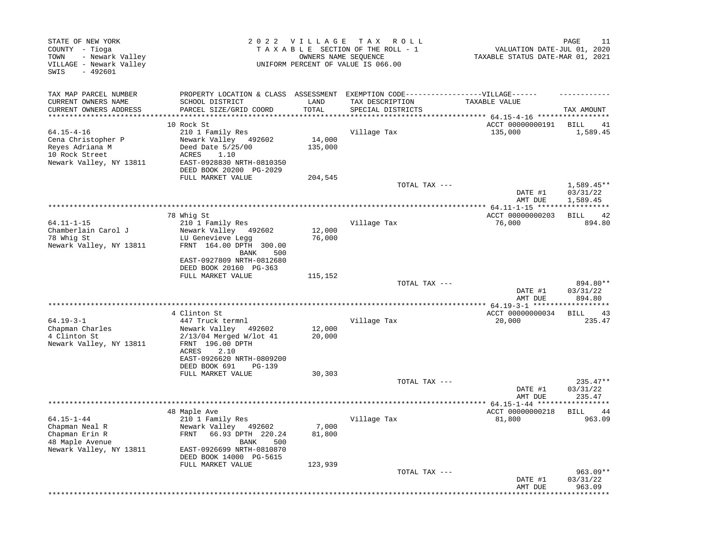| PAGE<br>11<br>VALUATION DATE-JUL 01, 2020<br>TAXABLE STATUS DATE-MAR 01, 2021          | T A X<br>R O L L<br>TAXABLE SECTION OF THE ROLL - 1<br>UNIFORM PERCENT OF VALUE IS 066.00 | 2022 VILLAGE<br>OWNERS NAME SEQUENCE |                                                                                                         | STATE OF NEW YORK<br>COUNTY - Tioga<br>- Newark Valley<br>TOWN<br>VILLAGE - Newark Valley<br>SWIS<br>$-492601$ |
|----------------------------------------------------------------------------------------|-------------------------------------------------------------------------------------------|--------------------------------------|---------------------------------------------------------------------------------------------------------|----------------------------------------------------------------------------------------------------------------|
| EXEMPTION CODE------------------VILLAGE------<br>TAXABLE VALUE<br>TAX AMOUNT           | TAX DESCRIPTION<br>SPECIAL DISTRICTS                                                      | LAND<br>TOTAL                        | PROPERTY LOCATION & CLASS ASSESSMENT<br>SCHOOL DISTRICT<br>PARCEL SIZE/GRID COORD                       | TAX MAP PARCEL NUMBER<br>CURRENT OWNERS NAME<br>CURRENT OWNERS ADDRESS                                         |
|                                                                                        |                                                                                           |                                      | ************************                                                                                | **********************                                                                                         |
| ACCT 00000000191<br>BILL<br>41<br>135,000<br>1,589.45                                  | Village Tax                                                                               | 14,000<br>135,000                    | 10 Rock St<br>210 1 Family Res<br>Newark Valley 492602<br>Deed Date 5/25/00                             | $64.15 - 4 - 16$<br>Cena Christopher P<br>Reyes Adriana M                                                      |
|                                                                                        |                                                                                           |                                      | ACRES<br>1.10<br>EAST-0928830 NRTH-0810350<br>DEED BOOK 20200 PG-2029                                   | 10 Rock Street<br>Newark Valley, NY 13811                                                                      |
| $1,589.45**$<br>TOTAL TAX ---<br>03/31/22<br>DATE #1                                   |                                                                                           | 204,545                              | FULL MARKET VALUE                                                                                       |                                                                                                                |
| AMT DUE<br>1,589.45                                                                    |                                                                                           |                                      |                                                                                                         |                                                                                                                |
| ACCT 00000000203<br>42<br>BILL                                                         |                                                                                           |                                      | 78 Whig St                                                                                              |                                                                                                                |
| 76,000<br>894.80                                                                       | Village Tax                                                                               | 12,000<br>76,000                     | 210 1 Family Res<br>Newark Valley 492602<br>LU Genevieve Legg<br>FRNT 164.00 DPTH 300.00<br>500<br>BANK | $64.11 - 1 - 15$<br>Chamberlain Carol J<br>78 Whig St<br>Newark Valley, NY 13811                               |
| 894.80**<br>TOTAL TAX ---                                                              |                                                                                           | 115,152                              | EAST-0927809 NRTH-0812680<br>DEED BOOK 20160 PG-363<br>FULL MARKET VALUE                                |                                                                                                                |
| 03/31/22<br>DATE #1<br>AMT DUE<br>894.80<br>************ 64.19-3-1 ******************* | **********************************                                                        |                                      | ************************                                                                                |                                                                                                                |
| ACCT 00000000034<br>43<br>BILL                                                         |                                                                                           |                                      | 4 Clinton St                                                                                            |                                                                                                                |
| 235.47<br>20,000                                                                       | Village Tax                                                                               | 12,000<br>20,000                     | 447 Truck termnl<br>Newark Valley<br>492602<br>$2/13/04$ Merged W/lot 41<br>FRNT 196.00 DPTH            | $64.19 - 3 - 1$<br>Chapman Charles<br>4 Clinton St<br>Newark Valley, NY 13811                                  |
|                                                                                        |                                                                                           |                                      | ACRES<br>2.10<br>EAST-0926620 NRTH-0809200<br>DEED BOOK 691<br><b>PG-139</b>                            |                                                                                                                |
|                                                                                        |                                                                                           | 30,303                               | FULL MARKET VALUE                                                                                       |                                                                                                                |
| $235.47**$<br>DATE #1<br>03/31/22<br>235.47<br>AMT DUE                                 |                                                                                           |                                      |                                                                                                         |                                                                                                                |
|                                                                                        |                                                                                           |                                      |                                                                                                         |                                                                                                                |
| 44<br>963.09                                                                           |                                                                                           |                                      |                                                                                                         |                                                                                                                |
|                                                                                        |                                                                                           | 7,000<br>81,800                      | Newark Valley 492602<br>FRNT 66.93 DPTH 220.24<br>BANK<br>500                                           | Chapman Neal R<br>Chapman Erin R<br>48 Maple Avenue                                                            |
|                                                                                        |                                                                                           |                                      | DEED BOOK 14000 PG-5615                                                                                 |                                                                                                                |
| $963.09**$<br>TOTAL TAX ---<br>DATE #1<br>03/31/22<br>963.09<br>AMT DUE                |                                                                                           |                                      |                                                                                                         |                                                                                                                |
| TOTAL TAX ---<br>ACCT 00000000218<br>BILL<br>81,800<br>* * * * * * * * *               | Village Tax                                                                               | 123,939                              | 48 Maple Ave<br>210 1 Family Res<br>EAST-0926699 NRTH-0810870<br>FULL MARKET VALUE                      | $64.15 - 1 - 44$<br>Newark Valley, NY 13811                                                                    |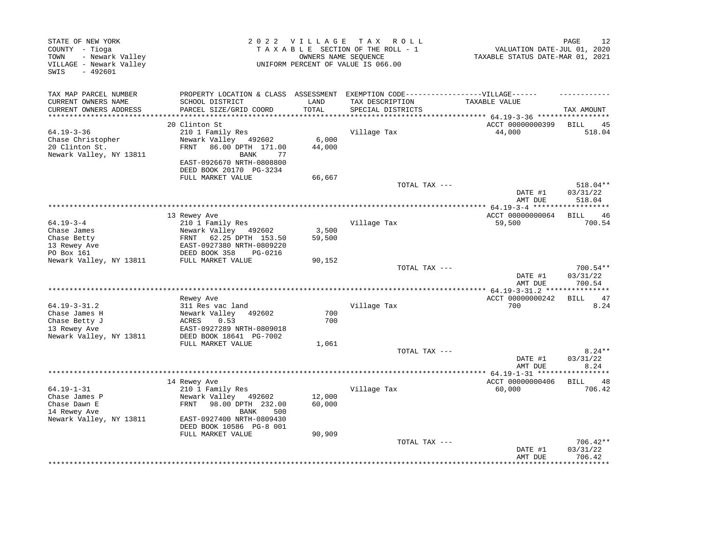| STATE OF NEW YORK<br>COUNTY - Tioga<br>- Newark Valley<br>TOWN<br>VILLAGE - Newark Valley<br>$-492601$<br>SWIS |                                                                                                      | 2022 VILLAGE | T A X<br>R O L L<br>TAXABLE SECTION OF THE ROLL - 1<br>OWNERS NAME SEQUENCE<br>UNIFORM PERCENT OF VALUE IS 066.00 | VALUATION DATE-JUL 01, 2020<br>TAXABLE STATUS DATE-MAR 01, 2021 | 12<br>PAGE                     |
|----------------------------------------------------------------------------------------------------------------|------------------------------------------------------------------------------------------------------|--------------|-------------------------------------------------------------------------------------------------------------------|-----------------------------------------------------------------|--------------------------------|
| TAX MAP PARCEL NUMBER<br>CURRENT OWNERS NAME                                                                   | PROPERTY LOCATION & CLASS ASSESSMENT EXEMPTION CODE-----------------VILLAGE------<br>SCHOOL DISTRICT | LAND         | TAX DESCRIPTION                                                                                                   | TAXABLE VALUE                                                   |                                |
| CURRENT OWNERS ADDRESS<br>***********************                                                              | PARCEL SIZE/GRID COORD                                                                               | TOTAL        | SPECIAL DISTRICTS                                                                                                 |                                                                 | TAX AMOUNT                     |
|                                                                                                                | 20 Clinton St                                                                                        |              |                                                                                                                   | ACCT 00000000399                                                | BILL<br>45                     |
| $64.19 - 3 - 36$                                                                                               | 210 1 Family Res                                                                                     |              | Village Tax                                                                                                       | 44,000                                                          | 518.04                         |
| Chase Christopher                                                                                              | Newark Valley 492602                                                                                 | 6,000        |                                                                                                                   |                                                                 |                                |
| 20 Clinton St.                                                                                                 | FRNT<br>86.00 DPTH 171.00                                                                            | 44,000       |                                                                                                                   |                                                                 |                                |
| Newark Valley, NY 13811                                                                                        | BANK<br>77                                                                                           |              |                                                                                                                   |                                                                 |                                |
|                                                                                                                | EAST-0926670 NRTH-0808800<br>DEED BOOK 20170 PG-3234                                                 |              |                                                                                                                   |                                                                 |                                |
|                                                                                                                | FULL MARKET VALUE                                                                                    | 66,667       |                                                                                                                   |                                                                 |                                |
|                                                                                                                |                                                                                                      |              | TOTAL TAX ---                                                                                                     |                                                                 | 518.04**                       |
|                                                                                                                |                                                                                                      |              |                                                                                                                   | DATE #1                                                         | 03/31/22                       |
|                                                                                                                |                                                                                                      |              |                                                                                                                   | AMT DUE                                                         | 518.04                         |
|                                                                                                                |                                                                                                      |              |                                                                                                                   |                                                                 |                                |
| $64.19 - 3 - 4$                                                                                                | 13 Rewey Ave<br>210 1 Family Res                                                                     |              | Village Tax                                                                                                       | ACCT 00000000064<br>59,500                                      | BILL<br>46<br>700.54           |
| Chase James                                                                                                    | Newark Valley 492602                                                                                 | 3,500        |                                                                                                                   |                                                                 |                                |
| Chase Betty                                                                                                    | 62.25 DPTH 153.50<br>FRNT                                                                            | 59,500       |                                                                                                                   |                                                                 |                                |
| 13 Rewey Ave                                                                                                   | EAST-0927380 NRTH-0809220                                                                            |              |                                                                                                                   |                                                                 |                                |
| PO Box 161                                                                                                     | DEED BOOK 358<br>PG-0216                                                                             |              |                                                                                                                   |                                                                 |                                |
| Newark Valley, NY 13811                                                                                        | FULL MARKET VALUE                                                                                    | 90,152       |                                                                                                                   |                                                                 |                                |
|                                                                                                                |                                                                                                      |              | TOTAL TAX ---                                                                                                     | DATE #1<br>AMT DUE                                              | 700.54**<br>03/31/22<br>700.54 |
|                                                                                                                |                                                                                                      |              |                                                                                                                   |                                                                 |                                |
|                                                                                                                | Rewey Ave                                                                                            |              |                                                                                                                   | ACCT 00000000242                                                | 47<br>BILL                     |
| $64.19 - 3 - 31.2$                                                                                             | 311 Res vac land                                                                                     |              | Village Tax                                                                                                       | 700                                                             | 8.24                           |
| Chase James H                                                                                                  | Newark Valley<br>492602                                                                              | 700          |                                                                                                                   |                                                                 |                                |
| Chase Betty J<br>13 Rewey Ave                                                                                  | <b>ACRES</b><br>0.53<br>EAST-0927289 NRTH-0809018                                                    | 700          |                                                                                                                   |                                                                 |                                |
| Newark Valley, NY 13811                                                                                        | DEED BOOK 18641 PG-7002                                                                              |              |                                                                                                                   |                                                                 |                                |
|                                                                                                                | FULL MARKET VALUE                                                                                    | 1,061        |                                                                                                                   |                                                                 |                                |
|                                                                                                                |                                                                                                      |              | TOTAL TAX ---                                                                                                     |                                                                 | $8.24**$                       |
|                                                                                                                |                                                                                                      |              |                                                                                                                   | DATE #1                                                         | 03/31/22                       |
|                                                                                                                |                                                                                                      |              |                                                                                                                   | AMT DUE                                                         | 8.24                           |
|                                                                                                                |                                                                                                      |              | ************************                                                                                          | ************ 64.19-1-31 ******<br>ACCT 00000000406              | ********<br>48                 |
| $64.19 - 1 - 31$                                                                                               | 14 Rewey Ave<br>210 1 Family Res                                                                     |              | Village Tax                                                                                                       | 60,000                                                          | BILL<br>706.42                 |
| Chase James P                                                                                                  | Newark Valley<br>492602                                                                              | 12,000       |                                                                                                                   |                                                                 |                                |
| Chase Dawn E                                                                                                   | FRNT<br>98.00 DPTH 232.00                                                                            | 60,000       |                                                                                                                   |                                                                 |                                |
| 14 Rewey Ave                                                                                                   | 500<br>BANK                                                                                          |              |                                                                                                                   |                                                                 |                                |
| Newark Valley, NY 13811                                                                                        | EAST-0927400 NRTH-0809430                                                                            |              |                                                                                                                   |                                                                 |                                |
|                                                                                                                | DEED BOOK 10586 PG-8 001                                                                             |              |                                                                                                                   |                                                                 |                                |
|                                                                                                                | FULL MARKET VALUE                                                                                    | 90,909       | TOTAL TAX ---                                                                                                     |                                                                 | 706.42**                       |
|                                                                                                                |                                                                                                      |              |                                                                                                                   | DATE #1                                                         | 03/31/22                       |
|                                                                                                                |                                                                                                      |              |                                                                                                                   | AMT DUE                                                         | 706.42                         |
|                                                                                                                |                                                                                                      |              |                                                                                                                   |                                                                 | **********                     |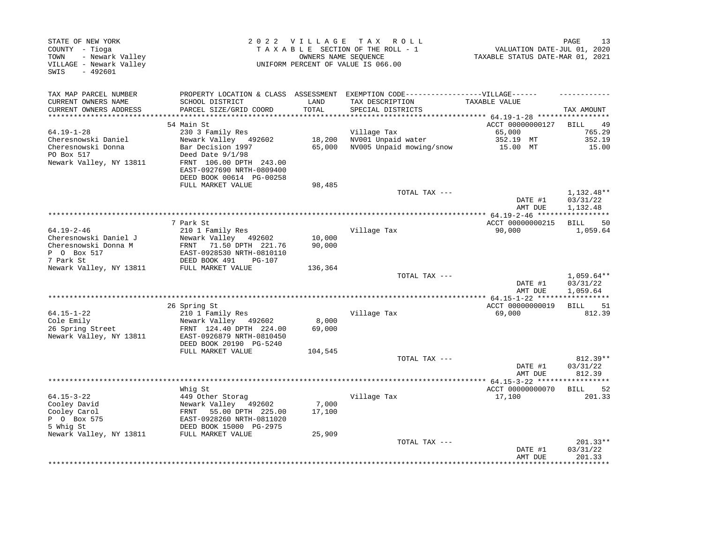| STATE OF NEW YORK<br>COUNTY - Tioga<br>- Newark Valley<br>TOWN<br>VILLAGE - Newark Valley<br>SWIS<br>$-492601$ |                                                                                                                                                     |                   | 2022 VILLAGE TAX ROLL<br>TAXABLE SECTION OF THE ROLL - 1<br>OWNERS NAME SEQUENCE<br>UNIFORM PERCENT OF VALUE IS 066.00    | VALUATION DATE-JUL 01, 2020<br>TAXABLE STATUS DATE-MAR 01, 2021 | PAGE<br>13                                    |
|----------------------------------------------------------------------------------------------------------------|-----------------------------------------------------------------------------------------------------------------------------------------------------|-------------------|---------------------------------------------------------------------------------------------------------------------------|-----------------------------------------------------------------|-----------------------------------------------|
| TAX MAP PARCEL NUMBER<br>CURRENT OWNERS NAME<br>CURRENT OWNERS ADDRESS                                         | SCHOOL DISTRICT<br>PARCEL SIZE/GRID COORD                                                                                                           | LAND<br>TOTAL     | PROPERTY LOCATION & CLASS ASSESSMENT EXEMPTION CODE-----------------VILLAGE------<br>TAX DESCRIPTION<br>SPECIAL DISTRICTS | TAXABLE VALUE                                                   | TAX AMOUNT                                    |
| ***********************                                                                                        |                                                                                                                                                     |                   |                                                                                                                           |                                                                 |                                               |
|                                                                                                                | 54 Main St                                                                                                                                          |                   |                                                                                                                           | ACCT 00000000127                                                | BILL<br>-49                                   |
| $64.19 - 1 - 28$                                                                                               | 230 3 Family Res                                                                                                                                    |                   | Village Tax                                                                                                               | 65,000                                                          | 765.29                                        |
| Cheresnowski Daniel<br>Cheresnowski Donna<br>PO Box 517<br>Newark Valley, NY 13811                             | Newark Valley 492602<br>Bar Decision 1997<br>Deed Date $9/1/98$<br>FRNT 106.00 DPTH 243.00<br>EAST-0927690 NRTH-0809400<br>DEED BOOK 00614 PG-00258 | 18,200<br>65,000  | NV001 Unpaid water<br>NV005 Unpaid mowing/snow                                                                            | 352.19 MT<br>15.00 MT                                           | 352.19<br>15.00                               |
|                                                                                                                | FULL MARKET VALUE                                                                                                                                   | 98,485            |                                                                                                                           |                                                                 |                                               |
|                                                                                                                |                                                                                                                                                     |                   | TOTAL TAX ---                                                                                                             | DATE #1<br>AMT DUE                                              | 1,132.48**<br>03/31/22<br>1,132.48            |
|                                                                                                                |                                                                                                                                                     |                   |                                                                                                                           |                                                                 |                                               |
|                                                                                                                | 7 Park St                                                                                                                                           |                   |                                                                                                                           | ACCT 00000000215                                                | 50<br>BILL                                    |
| $64.19 - 2 - 46$<br>Cheresnowski Daniel J<br>Cheresnowski Donna M<br>P 0 Box 517<br>7 Park St                  | 210 1 Family Res<br>Newark Valley 492602<br>FRNT 71.50 DPTH 221.76<br>EAST-0928530 NRTH-0810110<br>DEED BOOK 491<br>PG-107                          | 10,000<br>90,000  | Village Tax                                                                                                               | 90,000                                                          | 1,059.64                                      |
| Newark Valley, NY 13811                                                                                        | FULL MARKET VALUE                                                                                                                                   | 136,364           |                                                                                                                           |                                                                 |                                               |
|                                                                                                                |                                                                                                                                                     |                   | TOTAL TAX ---                                                                                                             | DATE #1<br>AMT DUE                                              | $1,059.64**$<br>03/31/22<br>1,059.64          |
|                                                                                                                |                                                                                                                                                     |                   |                                                                                                                           |                                                                 |                                               |
|                                                                                                                | 26 Spring St                                                                                                                                        |                   |                                                                                                                           | ACCT 00000000019                                                | BILL<br>51                                    |
| $64.15 - 1 - 22$<br>Cole Emily                                                                                 | 210 1 Family Res<br>Newark Valley 492602                                                                                                            | 8,000             | Village Tax                                                                                                               | 69,000                                                          | 812.39                                        |
| 26 Spring Street<br>Newark Valley, NY 13811                                                                    | FRNT 124.40 DPTH 224.00<br>EAST-0926879 NRTH-0810450<br>DEED BOOK 20190 PG-5240<br>FULL MARKET VALUE                                                | 69,000<br>104,545 |                                                                                                                           |                                                                 |                                               |
|                                                                                                                |                                                                                                                                                     |                   | TOTAL TAX ---                                                                                                             |                                                                 | 812.39**                                      |
|                                                                                                                |                                                                                                                                                     |                   |                                                                                                                           | DATE #1<br>AMT DUE                                              | 03/31/22<br>812.39                            |
|                                                                                                                | Whig St                                                                                                                                             |                   |                                                                                                                           | ACCT 00000000070                                                | 52<br>BILL                                    |
| $64.15 - 3 - 22$<br>Cooley David<br>Cooley Carol<br>P 0 Box 575<br>5 Whig St                                   | 449 Other Storag<br>Newark Valley 492602<br>FRNT 55.00 DPTH 225.00<br>EAST-0928260 NRTH-0811020<br>DEED BOOK 15000 PG-2975                          | 7,000<br>17,100   | Village Tax                                                                                                               | 17,100                                                          | 201.33                                        |
| Newark Valley, NY 13811                                                                                        | FULL MARKET VALUE                                                                                                                                   | 25,909            |                                                                                                                           |                                                                 |                                               |
|                                                                                                                |                                                                                                                                                     |                   | TOTAL TAX ---                                                                                                             | DATE #1<br>AMT DUE                                              | 201.33**<br>03/31/22<br>201.33<br>*********** |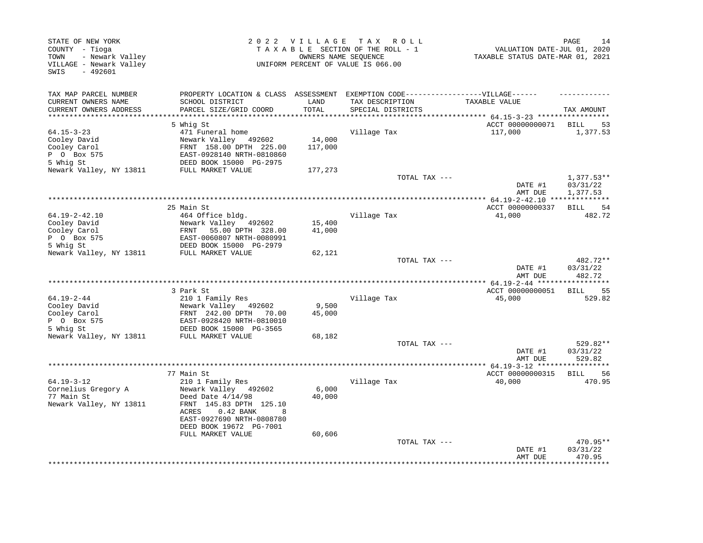| TAX AMOUNT<br>*********** 64.15-3-23 ******************<br>BILL<br>53<br>1,377.53 |
|-----------------------------------------------------------------------------------|
|                                                                                   |
|                                                                                   |
|                                                                                   |
|                                                                                   |
|                                                                                   |
|                                                                                   |
|                                                                                   |
|                                                                                   |
|                                                                                   |
| $1,377.53**$                                                                      |
| 03/31/22                                                                          |
| 1,377.53                                                                          |
|                                                                                   |
| 54<br>BILL                                                                        |
| 482.72                                                                            |
|                                                                                   |
|                                                                                   |
|                                                                                   |
|                                                                                   |
| 482.72**                                                                          |
| 03/31/22                                                                          |
| 482.72                                                                            |
| **************** 64.19-2-44 ******************                                    |
| 55<br>BILL                                                                        |
| 529.82                                                                            |
|                                                                                   |
|                                                                                   |
|                                                                                   |
|                                                                                   |
| 529.82**                                                                          |
| 03/31/22<br>529.82                                                                |
|                                                                                   |
| 56                                                                                |
| 470.95                                                                            |
|                                                                                   |
|                                                                                   |
|                                                                                   |
|                                                                                   |
|                                                                                   |
|                                                                                   |
| 470.95**                                                                          |
| 03/31/22                                                                          |
| 470.95                                                                            |
| <b>BILL</b>                                                                       |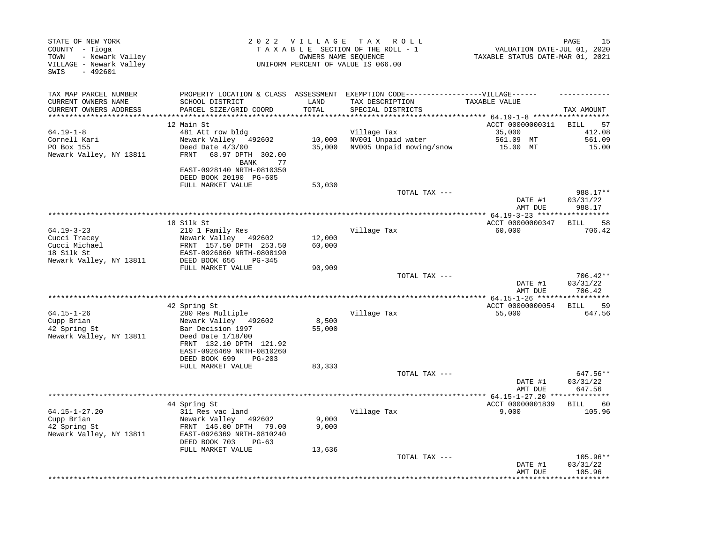| STATE OF NEW YORK<br>COUNTY - Tioga<br>- Newark Valley<br>TOWN<br>VILLAGE - Newark Valley<br>- 492601<br>SWIS | 2022 VILLAGE<br>T A X<br>R O L L<br>TAXABLE SECTION OF THE ROLL - 1<br>OWNERS NAME SEQUENCE<br>UNIFORM PERCENT OF VALUE IS 066.00 |               |                                                                                   | PAGE<br>15<br>VALUATION DATE-JUL 01, 2020<br>TAXABLE STATUS DATE-MAR 01, 2021 |                                  |  |
|---------------------------------------------------------------------------------------------------------------|-----------------------------------------------------------------------------------------------------------------------------------|---------------|-----------------------------------------------------------------------------------|-------------------------------------------------------------------------------|----------------------------------|--|
| TAX MAP PARCEL NUMBER                                                                                         |                                                                                                                                   |               | PROPERTY LOCATION & CLASS ASSESSMENT EXEMPTION CODE-----------------VILLAGE------ |                                                                               |                                  |  |
| CURRENT OWNERS NAME<br>CURRENT OWNERS ADDRESS<br>***********************                                      | SCHOOL DISTRICT<br>PARCEL SIZE/GRID COORD                                                                                         | LAND<br>TOTAL | TAX DESCRIPTION<br>SPECIAL DISTRICTS                                              | TAXABLE VALUE                                                                 | TAX AMOUNT                       |  |
|                                                                                                               | 12 Main St                                                                                                                        |               |                                                                                   | ACCT 00000000311                                                              | BILL<br>57                       |  |
| $64.19 - 1 - 8$                                                                                               | 481 Att row bldg                                                                                                                  |               | Village Tax                                                                       | 35,000                                                                        | 412.08                           |  |
| Cornell Kari                                                                                                  | Newark Valley 492602                                                                                                              | 10,000        | NV001 Unpaid water                                                                | 561.09 MT                                                                     | 561.09                           |  |
| PO Box 155                                                                                                    | Deed Date 4/3/00                                                                                                                  | 35,000        | NV005 Unpaid mowing/snow                                                          | 15.00 MT                                                                      | 15.00                            |  |
| Newark Valley, NY 13811                                                                                       | 68.97 DPTH 302.00<br>FRNT<br>77<br>BANK                                                                                           |               |                                                                                   |                                                                               |                                  |  |
|                                                                                                               | EAST-0928140 NRTH-0810350<br>DEED BOOK 20190 PG-605                                                                               |               |                                                                                   |                                                                               |                                  |  |
|                                                                                                               | FULL MARKET VALUE                                                                                                                 | 53,030        |                                                                                   |                                                                               |                                  |  |
|                                                                                                               |                                                                                                                                   |               | TOTAL TAX ---                                                                     | DATE #1<br>AMT DUE                                                            | 988.17**<br>03/31/22<br>988.17   |  |
|                                                                                                               |                                                                                                                                   |               |                                                                                   |                                                                               |                                  |  |
|                                                                                                               | 18 Silk St                                                                                                                        |               |                                                                                   | ACCT 00000000347                                                              | 58<br>BILL                       |  |
| 64.19-3-23                                                                                                    | 210 1 Family Res                                                                                                                  |               | Village Tax                                                                       | 60,000                                                                        | 706.42                           |  |
| Cucci Tracey                                                                                                  | Newark Valley 492602                                                                                                              | 12,000        |                                                                                   |                                                                               |                                  |  |
| Cucci Michael<br>18 Silk St                                                                                   | FRNT 157.50 DPTH 253.50<br>EAST-0926860 NRTH-0808190                                                                              | 60,000        |                                                                                   |                                                                               |                                  |  |
| Newark Valley, NY 13811                                                                                       | DEED BOOK 656<br>$PG-345$                                                                                                         |               |                                                                                   |                                                                               |                                  |  |
|                                                                                                               | FULL MARKET VALUE                                                                                                                 | 90,909        |                                                                                   |                                                                               |                                  |  |
|                                                                                                               |                                                                                                                                   |               | TOTAL TAX ---                                                                     | DATE #1<br>AMT DUE                                                            | $706.42**$<br>03/31/22<br>706.42 |  |
|                                                                                                               |                                                                                                                                   |               |                                                                                   |                                                                               | ***********                      |  |
|                                                                                                               | 42 Spring St                                                                                                                      |               |                                                                                   | ACCT 00000000054                                                              | 59<br>BILL                       |  |
| $64.15 - 1 - 26$                                                                                              | 280 Res Multiple                                                                                                                  |               | Village Tax                                                                       | 55,000                                                                        | 647.56                           |  |
| Cupp Brian                                                                                                    | Newark Valley 492602                                                                                                              | 8,500         |                                                                                   |                                                                               |                                  |  |
| 42 Spring St<br>Newark Valley, NY 13811                                                                       | Bar Decision 1997<br>Deed Date $1/18/00$<br>FRNT 132.10 DPTH 121.92<br>EAST-0926469 NRTH-0810260<br>DEED BOOK 699<br>$PG-203$     | 55,000        |                                                                                   |                                                                               |                                  |  |
|                                                                                                               | FULL MARKET VALUE                                                                                                                 | 83,333        |                                                                                   |                                                                               |                                  |  |
|                                                                                                               |                                                                                                                                   |               | TOTAL TAX ---                                                                     | DATE #1                                                                       | 647.56**<br>03/31/22             |  |
|                                                                                                               |                                                                                                                                   |               | **************                                                                    | AMT DUE                                                                       | 647.56                           |  |
|                                                                                                               | 44 Spring St                                                                                                                      |               |                                                                                   | $4.15 - 1 - 27.20$ **<br>ACCT 00000001839                                     | <b>BILL</b><br>60                |  |
| $64.15 - 1 - 27.20$                                                                                           | 311 Res vac land                                                                                                                  |               | Village Tax                                                                       | 9,000                                                                         | 105.96                           |  |
| Cupp Brian                                                                                                    | Newark Valley 492602                                                                                                              | 9,000         |                                                                                   |                                                                               |                                  |  |
| 42 Spring St<br>Newark Valley, NY 13811                                                                       | FRNT 145.00 DPTH 79.00<br>EAST-0926369 NRTH-0810240                                                                               | 9,000         |                                                                                   |                                                                               |                                  |  |
|                                                                                                               | DEED BOOK 703<br>$PG-63$                                                                                                          |               |                                                                                   |                                                                               |                                  |  |
|                                                                                                               | FULL MARKET VALUE                                                                                                                 | 13,636        | TOTAL TAX ---                                                                     |                                                                               | 105.96**                         |  |
|                                                                                                               |                                                                                                                                   |               |                                                                                   | DATE #1<br>AMT DUE                                                            | 03/31/22<br>105.96               |  |
|                                                                                                               |                                                                                                                                   |               |                                                                                   |                                                                               | . * * * * * * * * *              |  |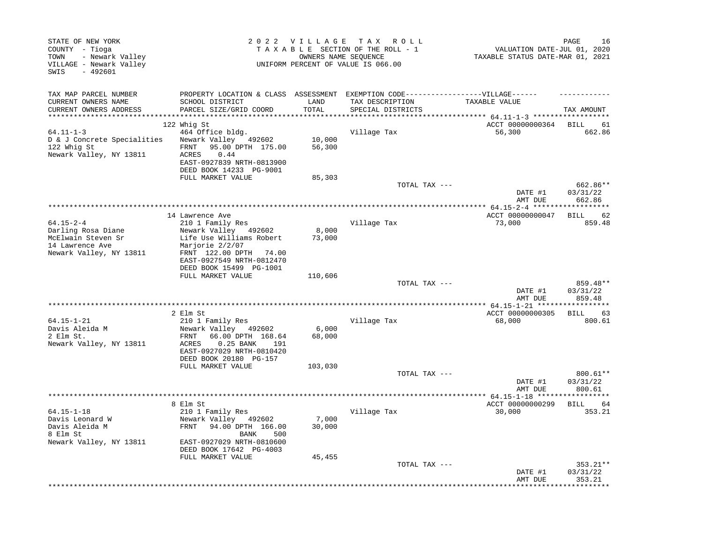| STATE OF NEW YORK<br>COUNTY - Tioga<br>- Newark Valley<br>TOWN<br>VILLAGE - Newark Valley<br>SWIS<br>$-492601$ |                                                                                   |               | 2022 VILLAGE TAX ROLL<br>TAXABLE SECTION OF THE ROLL - 1<br>OWNERS NAME SEQUENCE<br>UNIFORM PERCENT OF VALUE IS 066.00 | PAGE<br>16<br>VALUATION DATE-JUL 01, 2020<br>TAXABLE STATUS DATE-MAR 01, 2021 |                   |  |
|----------------------------------------------------------------------------------------------------------------|-----------------------------------------------------------------------------------|---------------|------------------------------------------------------------------------------------------------------------------------|-------------------------------------------------------------------------------|-------------------|--|
| TAX MAP PARCEL NUMBER                                                                                          | PROPERTY LOCATION & CLASS ASSESSMENT EXEMPTION CODE-----------------VILLAGE------ |               |                                                                                                                        |                                                                               |                   |  |
| CURRENT OWNERS NAME<br>CURRENT OWNERS ADDRESS                                                                  | SCHOOL DISTRICT<br>PARCEL SIZE/GRID COORD                                         | LAND<br>TOTAL | TAX DESCRIPTION<br>SPECIAL DISTRICTS                                                                                   | TAXABLE VALUE                                                                 | TAX AMOUNT        |  |
|                                                                                                                |                                                                                   |               |                                                                                                                        | ***** $64.11 - 1 - 3$ *****                                                   |                   |  |
|                                                                                                                | 122 Whig St                                                                       |               |                                                                                                                        | ACCT 00000000364                                                              | <b>BILL</b><br>61 |  |
| $64.11 - 1 - 3$                                                                                                | 464 Office bldg.                                                                  |               | Village Tax                                                                                                            | 56,300                                                                        | 662.86            |  |
| D & J Concrete Specialities                                                                                    | Newark Valley 492602                                                              | 10,000        |                                                                                                                        |                                                                               |                   |  |
| 122 Whig St                                                                                                    | 95.00 DPTH 175.00<br>FRNT                                                         | 56,300        |                                                                                                                        |                                                                               |                   |  |
| Newark Valley, NY 13811                                                                                        | ACRES<br>0.44<br>EAST-0927839 NRTH-0813900                                        |               |                                                                                                                        |                                                                               |                   |  |
|                                                                                                                | DEED BOOK 14233 PG-9001                                                           |               |                                                                                                                        |                                                                               |                   |  |
|                                                                                                                | FULL MARKET VALUE                                                                 | 85,303        |                                                                                                                        |                                                                               |                   |  |
|                                                                                                                |                                                                                   |               | TOTAL TAX ---                                                                                                          |                                                                               | 662.86**          |  |
|                                                                                                                |                                                                                   |               |                                                                                                                        | DATE #1                                                                       | 03/31/22          |  |
|                                                                                                                |                                                                                   |               |                                                                                                                        | AMT DUE                                                                       | 662.86            |  |
|                                                                                                                | 14 Lawrence Ave                                                                   |               |                                                                                                                        | ACCT 00000000047                                                              | <b>BILL</b><br>62 |  |
| $64.15 - 2 - 4$                                                                                                | 210 1 Family Res                                                                  |               | Village Tax                                                                                                            | 73,000                                                                        | 859.48            |  |
| Darling Rosa Diane                                                                                             | Newark Valley 492602                                                              | 8,000         |                                                                                                                        |                                                                               |                   |  |
| McElwain Steven Sr                                                                                             | Life Use Williams Robert                                                          | 73,000        |                                                                                                                        |                                                                               |                   |  |
| 14 Lawrence Ave                                                                                                | Marjorie 2/2/07                                                                   |               |                                                                                                                        |                                                                               |                   |  |
| Newark Valley, NY 13811                                                                                        | FRNT 122.00 DPTH 74.00<br>EAST-0927549 NRTH-0812470                               |               |                                                                                                                        |                                                                               |                   |  |
|                                                                                                                | DEED BOOK 15499 PG-1001                                                           |               |                                                                                                                        |                                                                               |                   |  |
|                                                                                                                | FULL MARKET VALUE                                                                 | 110,606       |                                                                                                                        |                                                                               |                   |  |
|                                                                                                                |                                                                                   |               | TOTAL TAX ---                                                                                                          |                                                                               | 859.48**          |  |
|                                                                                                                |                                                                                   |               |                                                                                                                        | DATE #1                                                                       | 03/31/22          |  |
|                                                                                                                |                                                                                   |               | ********************************                                                                                       | AMT DUE<br>** 64.15-1-21 ****                                                 | 859.48            |  |
|                                                                                                                | 2 Elm St                                                                          |               |                                                                                                                        | ACCT 00000000305                                                              | <b>BILL</b><br>63 |  |
| 64.15-1-21                                                                                                     | 210 1 Family Res                                                                  |               | Village Tax                                                                                                            | 68,000                                                                        | 800.61            |  |
| Davis Aleida M                                                                                                 | Newark Valley 492602                                                              | 6,000         |                                                                                                                        |                                                                               |                   |  |
| 2 Elm St.                                                                                                      | 66.00 DPTH 168.64<br>FRNT                                                         | 68,000        |                                                                                                                        |                                                                               |                   |  |
| Newark Valley, NY 13811                                                                                        | 0.25 BANK<br>ACRES<br>191<br>EAST-0927029 NRTH-0810420                            |               |                                                                                                                        |                                                                               |                   |  |
|                                                                                                                | DEED BOOK 20180 PG-157                                                            |               |                                                                                                                        |                                                                               |                   |  |
|                                                                                                                | FULL MARKET VALUE                                                                 | 103,030       |                                                                                                                        |                                                                               |                   |  |
|                                                                                                                |                                                                                   |               | TOTAL TAX ---                                                                                                          |                                                                               | 800.61**          |  |
|                                                                                                                |                                                                                   |               |                                                                                                                        | DATE #1                                                                       | 03/31/22          |  |
|                                                                                                                |                                                                                   |               |                                                                                                                        | AMT DUE<br>****** 64.15-1-18 ****                                             | 800.61            |  |
|                                                                                                                | 8 Elm St                                                                          |               |                                                                                                                        | ACCT 00000000299                                                              | <b>BILL</b><br>64 |  |
| $64.15 - 1 - 18$                                                                                               | 210 1 Family Res                                                                  |               | Village Tax                                                                                                            | 30,000                                                                        | 353.21            |  |
| Davis Leonard W                                                                                                | Newark Valley 492602                                                              | 7,000         |                                                                                                                        |                                                                               |                   |  |
| Davis Aleida M                                                                                                 | FRNT<br>94.00 DPTH 166.00                                                         | 30,000        |                                                                                                                        |                                                                               |                   |  |
| 8 Elm St<br>Newark Valley, NY 13811                                                                            | <b>BANK</b><br>500<br>EAST-0927029 NRTH-0810600                                   |               |                                                                                                                        |                                                                               |                   |  |
|                                                                                                                | DEED BOOK 17642 PG-4003                                                           |               |                                                                                                                        |                                                                               |                   |  |
|                                                                                                                | FULL MARKET VALUE                                                                 | 45,455        |                                                                                                                        |                                                                               |                   |  |
|                                                                                                                |                                                                                   |               | TOTAL TAX ---                                                                                                          |                                                                               | 353.21**          |  |
|                                                                                                                |                                                                                   |               |                                                                                                                        | DATE #1                                                                       | 03/31/22          |  |
|                                                                                                                |                                                                                   |               |                                                                                                                        | AMT DUE                                                                       | 353.21            |  |
|                                                                                                                |                                                                                   |               |                                                                                                                        |                                                                               |                   |  |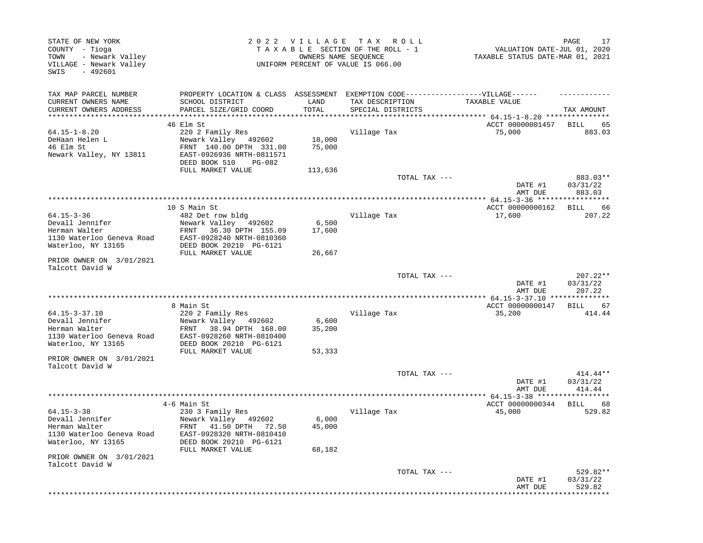| STATE OF NEW YORK<br>COUNTY - Tioga<br>- Newark Valley<br>TOWN<br>VILLAGE - Newark Valley<br>$-492601$<br>SWIS | 2022 VILLAGE<br>T A X<br>R O L L<br>TAXABLE SECTION OF THE ROLL - 1<br>OWNERS NAME SEQUENCE<br>UNIFORM PERCENT OF VALUE IS 066.00                 |                           |                                      | PAGE<br>VALUATION DATE-JUL 01, 2020<br>TAXABLE STATUS DATE-MAR 01, 2021 |                                  |  |
|----------------------------------------------------------------------------------------------------------------|---------------------------------------------------------------------------------------------------------------------------------------------------|---------------------------|--------------------------------------|-------------------------------------------------------------------------|----------------------------------|--|
| TAX MAP PARCEL NUMBER<br>CURRENT OWNERS NAME<br>CURRENT OWNERS ADDRESS                                         | PROPERTY LOCATION & CLASS ASSESSMENT EXEMPTION CODE----------------VILLAGE------<br>SCHOOL DISTRICT<br>PARCEL SIZE/GRID COORD                     | LAND<br>TOTAL             | TAX DESCRIPTION<br>SPECIAL DISTRICTS | TAXABLE VALUE                                                           | TAX AMOUNT                       |  |
| ***********************                                                                                        |                                                                                                                                                   |                           |                                      |                                                                         |                                  |  |
| $64.15 - 1 - 8.20$                                                                                             | 46 Elm St                                                                                                                                         |                           |                                      | ACCT 00000001457<br>75,000                                              | BILL<br>65<br>883.03             |  |
| DeHaan Helen L<br>46 Elm St<br>Newark Valley, NY 13811                                                         | 220 2 Family Res<br>Newark Valley 492602<br>FRNT 140.00 DPTH 331.00<br>EAST-0926936 NRTH-0811571<br>DEED BOOK 510<br>PG-082                       | 18,000<br>75,000          | Village Tax                          |                                                                         |                                  |  |
|                                                                                                                | FULL MARKET VALUE                                                                                                                                 | 113,636                   |                                      |                                                                         |                                  |  |
|                                                                                                                |                                                                                                                                                   |                           | TOTAL TAX ---                        | DATE #1<br>AMT DUE                                                      | 883.03**<br>03/31/22<br>883.03   |  |
|                                                                                                                |                                                                                                                                                   |                           | ********************************     | ********** 64.15-3-36 ******************                                |                                  |  |
|                                                                                                                | 10 S Main St                                                                                                                                      |                           |                                      | ACCT 00000000162                                                        | 66<br>BILL                       |  |
| $64.15 - 3 - 36$<br>Devall Jennifer<br>Herman Walter<br>1130 Waterloo Geneva Road<br>Waterloo, NY 13165        | 482 Det row bldg<br>Newark Valley 492602<br>FRNT<br>36.30 DPTH 155.09<br>EAST-0928240 NRTH-0810360<br>DEED BOOK 20210 PG-6121                     | 6,500<br>17,600           | Village Tax                          | 17,600                                                                  | 207.22                           |  |
|                                                                                                                | FULL MARKET VALUE                                                                                                                                 | 26,667                    |                                      |                                                                         |                                  |  |
| PRIOR OWNER ON 3/01/2021<br>Talcott David W                                                                    |                                                                                                                                                   |                           |                                      |                                                                         |                                  |  |
|                                                                                                                |                                                                                                                                                   |                           | TOTAL TAX ---                        | DATE #1<br>AMT DUE                                                      | $207.22**$<br>03/31/22<br>207.22 |  |
|                                                                                                                |                                                                                                                                                   |                           |                                      | ************* 64.15-3-37.10 ***************                             |                                  |  |
| 64.15-3-37.10                                                                                                  | 8 Main St<br>220 2 Family Res                                                                                                                     |                           | Village Tax                          | ACCT 00000000147<br>35,200                                              | BILL<br>67<br>414.44             |  |
| Devall Jennifer<br>Herman Walter<br>1130 Waterloo Geneva Road<br>Waterloo, NY 13165                            | Newark Valley 492602<br>38.94 DPTH 168.00<br>FRNT<br>EAST-0928260 NRTH-0810400<br>DEED BOOK 20210 PG-6121                                         | 6,600<br>35,200           |                                      |                                                                         |                                  |  |
| PRIOR OWNER ON 3/01/2021                                                                                       | FULL MARKET VALUE                                                                                                                                 | 53,333                    |                                      |                                                                         |                                  |  |
| Talcott David W                                                                                                |                                                                                                                                                   |                           |                                      |                                                                         |                                  |  |
|                                                                                                                |                                                                                                                                                   |                           | TOTAL TAX ---                        | DATE #1<br>AMT DUE                                                      | 414.44**<br>03/31/22<br>414.44   |  |
|                                                                                                                |                                                                                                                                                   |                           |                                      | ************* 64.15-3-38 ********                                       | ******                           |  |
|                                                                                                                | 4-6 Main St                                                                                                                                       |                           |                                      | ACCT 00000000344                                                        | 68<br>BILL                       |  |
| $64.15 - 3 - 38$<br>Devall Jennifer<br>Herman Walter<br>1130 Waterloo Geneva Road<br>Waterloo, NY 13165        | 230 3 Family Res<br>Newark Valley 492602<br>FRNT<br>41.50 DPTH 72.50<br>EAST-0928320 NRTH-0810410<br>DEED BOOK 20210 PG-6121<br>FULL MARKET VALUE | 6,000<br>45,000<br>68,182 | Village Tax                          | 45,000                                                                  | 529.82                           |  |
| PRIOR OWNER ON 3/01/2021                                                                                       |                                                                                                                                                   |                           |                                      |                                                                         |                                  |  |
| Talcott David W                                                                                                |                                                                                                                                                   |                           | TOTAL TAX ---                        | DATE #1                                                                 | $529.82**$<br>03/31/22           |  |
|                                                                                                                |                                                                                                                                                   |                           |                                      | AMT DUE                                                                 | 529.82                           |  |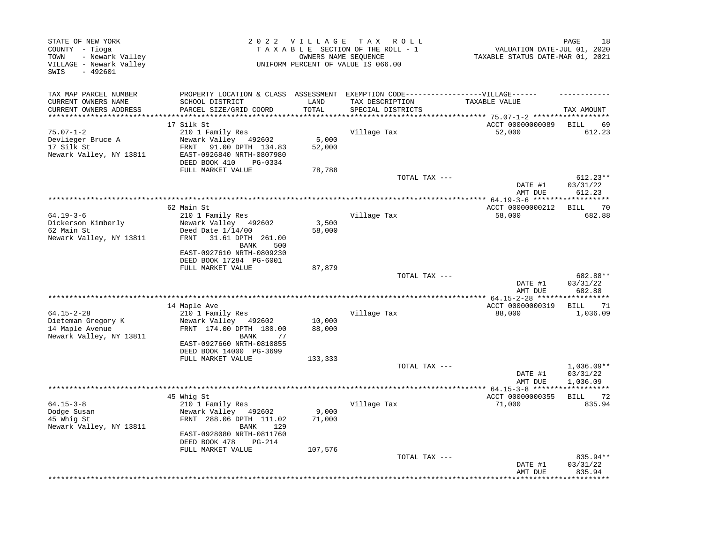| STATE OF NEW YORK<br>COUNTY - Tioga<br>- Newark Valley<br>TOWN<br>VILLAGE - Newark Valley<br>$-492601$<br>SWIS |                                                                                                                                   | 2022 VILLAGE TAX ROLL<br>TAXABLE SECTION OF THE ROLL - 1<br>OWNERS NAME SEQUENCE<br>UNIFORM PERCENT OF VALUE IS 066.00 |                                                                  |                            |                                      |
|----------------------------------------------------------------------------------------------------------------|-----------------------------------------------------------------------------------------------------------------------------------|------------------------------------------------------------------------------------------------------------------------|------------------------------------------------------------------|----------------------------|--------------------------------------|
| TAX MAP PARCEL NUMBER<br>CURRENT OWNERS NAME                                                                   | PROPERTY LOCATION & CLASS ASSESSMENT<br>SCHOOL DISTRICT                                                                           | LAND                                                                                                                   | EXEMPTION CODE------------------VILLAGE------<br>TAX DESCRIPTION | TAXABLE VALUE              |                                      |
| CURRENT OWNERS ADDRESS                                                                                         | PARCEL SIZE/GRID COORD                                                                                                            | TOTAL                                                                                                                  | SPECIAL DISTRICTS                                                | ***** 75.07-1-2 ****       | TAX AMOUNT                           |
|                                                                                                                | 17 Silk St                                                                                                                        |                                                                                                                        |                                                                  | ACCT 00000000089           | <b>BILL</b><br>69                    |
| $75.07 - 1 - 2$<br>Devlieger Bruce A<br>17 Silk St<br>Newark Valley, NY 13811                                  | 210 1 Family Res<br>Newark Valley<br>492602<br>91.00 DPTH 134.83<br>FRNT<br>EAST-0926840 NRTH-0807980<br>DEED BOOK 410<br>PG-0334 | 5,000<br>52,000                                                                                                        | Village Tax                                                      | 52,000                     | 612.23                               |
|                                                                                                                | FULL MARKET VALUE                                                                                                                 | 78,788                                                                                                                 |                                                                  |                            |                                      |
|                                                                                                                |                                                                                                                                   |                                                                                                                        | TOTAL TAX ---                                                    | DATE #1<br>AMT DUE         | $612.23**$<br>03/31/22<br>612.23     |
|                                                                                                                |                                                                                                                                   |                                                                                                                        |                                                                  | ********** 64.19-3-6 ****: |                                      |
| $64.19 - 3 - 6$<br>Dickerson Kimberly<br>62 Main St<br>Newark Valley, NY 13811                                 | 62 Main St<br>210 1 Family Res<br>Newark Valley 492602<br>Deed Date $1/14/00$<br>31.61 DPTH 261.00<br>FRNT<br>500<br>BANK         | 3,500<br>58,000                                                                                                        | Village Tax                                                      | ACCT 00000000212<br>58,000 | <b>BILL</b><br>70<br>682.88          |
|                                                                                                                | EAST-0927610 NRTH-0809230<br>DEED BOOK 17284 PG-6001                                                                              |                                                                                                                        |                                                                  |                            |                                      |
|                                                                                                                | FULL MARKET VALUE                                                                                                                 | 87,879                                                                                                                 |                                                                  |                            |                                      |
|                                                                                                                |                                                                                                                                   |                                                                                                                        | TOTAL TAX ---                                                    | DATE #1<br>AMT DUE         | 682.88**<br>03/31/22<br>682.88       |
|                                                                                                                |                                                                                                                                   |                                                                                                                        |                                                                  | ******** 64.15-2-28 *****  |                                      |
|                                                                                                                | 14 Maple Ave                                                                                                                      |                                                                                                                        |                                                                  | ACCT 00000000319           | BILL<br>71                           |
| $64.15 - 2 - 28$<br>Dieteman Gregory K                                                                         | 210 1 Family Res<br>Newark Valley 492602                                                                                          | 10,000                                                                                                                 | Village Tax                                                      | 88,000                     | 1,036.09                             |
| 14 Maple Avenue<br>Newark Valley, NY 13811                                                                     | FRNT 174.00 DPTH 180.00<br><b>BANK</b><br>77                                                                                      | 88,000                                                                                                                 |                                                                  |                            |                                      |
|                                                                                                                | EAST-0927660 NRTH-0810855<br>DEED BOOK 14000 PG-3699                                                                              |                                                                                                                        |                                                                  |                            |                                      |
|                                                                                                                | FULL MARKET VALUE                                                                                                                 | 133,333                                                                                                                |                                                                  |                            |                                      |
|                                                                                                                |                                                                                                                                   |                                                                                                                        | TOTAL TAX ---                                                    | DATE #1<br>AMT DUE         | $1,036.09**$<br>03/31/22<br>1,036.09 |
|                                                                                                                |                                                                                                                                   |                                                                                                                        |                                                                  |                            |                                      |
|                                                                                                                | 45 Whig St                                                                                                                        |                                                                                                                        |                                                                  | ACCT 00000000355           | 72<br>BILL                           |
| $64.15 - 3 - 8$<br>Dodge Susan<br>45 Whig St<br>Newark Valley, NY 13811                                        | 210 1 Family Res<br>Newark Valley 492602<br>FRNT 288.06 DPTH 111.02<br>BANK<br>129<br>EAST-0928080 NRTH-0811760                   | 9,000<br>71,000                                                                                                        | Village Tax                                                      | 71,000                     | 835.94                               |
|                                                                                                                | DEED BOOK 478<br>PG-214                                                                                                           |                                                                                                                        |                                                                  |                            |                                      |
|                                                                                                                | FULL MARKET VALUE                                                                                                                 | 107,576                                                                                                                | TOTAL TAX ---                                                    | DATE #1<br>AMT DUE         | 835.94**<br>03/31/22<br>835.94       |
|                                                                                                                |                                                                                                                                   |                                                                                                                        |                                                                  |                            |                                      |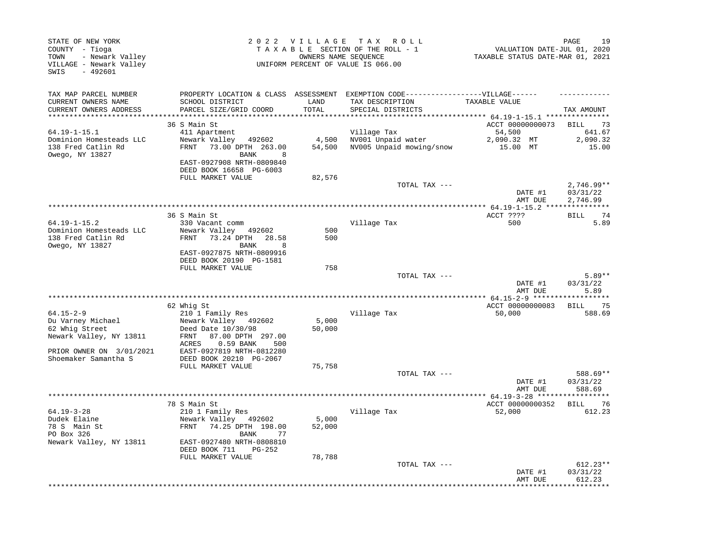| STATE OF NEW YORK<br>COUNTY - Tioga<br>- Newark Valley<br>TOWN<br>VILLAGE - Newark Valley<br>SWIS<br>$-492601$                        |                                                                                                                                                                                                                     | 2022 VILLAGE              | TAX ROLL<br>TAXABLE SECTION OF THE ROLL - 1<br>OWNERS NAME SEQUENCE<br>UNIFORM PERCENT OF VALUE IS 066.00 | 19<br>PAGE<br>VALUATION DATE-JUL 01, 2020<br>TAXABLE STATUS DATE-MAR 01, 2021               |                                                  |  |
|---------------------------------------------------------------------------------------------------------------------------------------|---------------------------------------------------------------------------------------------------------------------------------------------------------------------------------------------------------------------|---------------------------|-----------------------------------------------------------------------------------------------------------|---------------------------------------------------------------------------------------------|--------------------------------------------------|--|
| TAX MAP PARCEL NUMBER<br>CURRENT OWNERS NAME<br>CURRENT OWNERS ADDRESS                                                                | PROPERTY LOCATION & CLASS ASSESSMENT<br>SCHOOL DISTRICT<br>PARCEL SIZE/GRID COORD                                                                                                                                   | LAND<br>TOTAL             | EXEMPTION CODE------------------VILLAGE------<br>TAX DESCRIPTION<br>SPECIAL DISTRICTS                     | TAXABLE VALUE                                                                               | TAX AMOUNT                                       |  |
| $64.19 - 1 - 15.1$<br>Dominion Homesteads LLC<br>138 Fred Catlin Rd<br>Owego, NY 13827                                                | 36 S Main St<br>411 Apartment<br>Newark Valley<br>492602<br>FRNT<br>73.00 DPTH 263.00<br><b>BANK</b><br>8<br>EAST-0927908 NRTH-0809840<br>DEED BOOK 16658 PG-6003<br>FULL MARKET VALUE                              | 4,500<br>54,500<br>82,576 | Village Tax<br>NV001 Unpaid water<br>NV005 Unpaid mowing/snow                                             | ********** 64.19-1-15.1 **********<br>ACCT 00000000073<br>54,500<br>2,090.32 MT<br>15.00 MT | <b>BILL</b><br>73<br>641.67<br>2,090.32<br>15.00 |  |
|                                                                                                                                       |                                                                                                                                                                                                                     |                           | TOTAL TAX ---                                                                                             | DATE #1<br>AMT DUE                                                                          | $2,746.99**$<br>03/31/22<br>2,746.99             |  |
|                                                                                                                                       |                                                                                                                                                                                                                     |                           |                                                                                                           | ** $64.19 - 1 - 15.2$ ****                                                                  | ***********                                      |  |
| $64.19 - 1 - 15.2$<br>Dominion Homesteads LLC<br>138 Fred Catlin Rd<br>Owego, NY 13827                                                | 36 S Main St<br>330 Vacant comm<br>Newark Valley 492602<br>73.24 DPTH<br>FRNT<br>28.58<br><b>BANK</b><br>8<br>EAST-0927875 NRTH-0809916<br>DEED BOOK 20190 PG-1581<br>FULL MARKET VALUE                             | 500<br>500<br>758         | Village Tax                                                                                               | ACCT ????<br>500                                                                            | <b>BILL</b><br>74<br>5.89                        |  |
|                                                                                                                                       |                                                                                                                                                                                                                     |                           | TOTAL TAX ---                                                                                             | DATE #1<br>AMT DUE                                                                          | $5.89**$<br>03/31/22<br>5.89                     |  |
|                                                                                                                                       |                                                                                                                                                                                                                     |                           |                                                                                                           |                                                                                             |                                                  |  |
| $64.15 - 2 - 9$<br>Du Varney Michael<br>62 Whig Street<br>Newark Valley, NY 13811<br>PRIOR OWNER ON 3/01/2021<br>Shoemaker Samantha S | 62 Whig St<br>210 1 Family Res<br>Newark Valley 492602<br>Deed Date 10/30/98<br>87.00 DPTH 297.00<br>FRNT<br>ACRES<br>0.59 BANK<br>500<br>EAST-0927819 NRTH-0812280<br>DEED BOOK 20210 PG-2067<br>FULL MARKET VALUE | 5,000<br>50,000<br>75,758 | Village Tax                                                                                               | ACCT 00000000083<br>50,000                                                                  | <b>BILL</b><br>75<br>588.69                      |  |
|                                                                                                                                       |                                                                                                                                                                                                                     |                           | TOTAL TAX ---                                                                                             |                                                                                             | 588.69**                                         |  |
|                                                                                                                                       |                                                                                                                                                                                                                     |                           |                                                                                                           | DATE #1<br>AMT DUE                                                                          | 03/31/22<br>588.69                               |  |
|                                                                                                                                       |                                                                                                                                                                                                                     |                           |                                                                                                           |                                                                                             |                                                  |  |
| $64.19 - 3 - 28$<br>Dudek Elaine<br>78 S Main St<br>PO Box 326<br>Newark Valley, NY 13811                                             | 78 S Main St<br>210 1 Family Res<br>Newark Valley 492602<br>74.25 DPTH 198.00<br>FRNT<br>BANK<br>77<br>EAST-0927480 NRTH-0808810<br>PG-252<br>DEED BOOK 711<br>FULL MARKET VALUE                                    | 5,000<br>52,000<br>78,788 | Village Tax                                                                                               | ACCT 00000000352<br>52,000                                                                  | <b>BILL</b><br>76<br>612.23                      |  |
|                                                                                                                                       |                                                                                                                                                                                                                     |                           | TOTAL TAX ---                                                                                             | DATE #1<br>AMT DUE                                                                          | $612.23**$<br>03/31/22<br>612.23                 |  |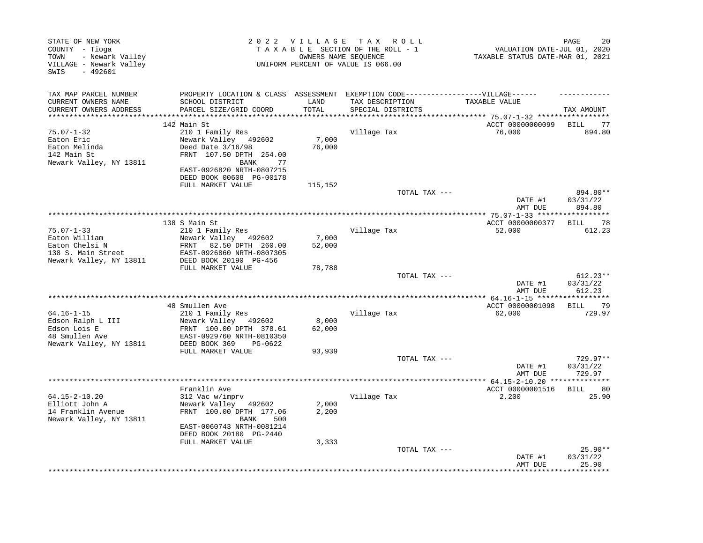| STATE OF NEW YORK<br>2022 VILLAGE TAX ROLL<br>TAXABLE SECTION OF THE ROLL - 1<br>COUNTY - Tioga<br>- Newark Valley<br>OWNERS NAME SEQUENCE<br>TOWN<br>UNIFORM PERCENT OF VALUE IS 066.00<br>VILLAGE - Newark Valley<br>- 492601<br>SWIS |                                                                                                                                                                |                         |                                        | PAGE<br>20<br>VALUATION DATE-JUL 01, 2020<br>TAXABLE STATUS DATE-MAR 01, 2021 |                                |  |
|-----------------------------------------------------------------------------------------------------------------------------------------------------------------------------------------------------------------------------------------|----------------------------------------------------------------------------------------------------------------------------------------------------------------|-------------------------|----------------------------------------|-------------------------------------------------------------------------------|--------------------------------|--|
| TAX MAP PARCEL NUMBER                                                                                                                                                                                                                   | PROPERTY LOCATION & CLASS ASSESSMENT EXEMPTION CODE----------------VILLAGE------                                                                               |                         |                                        |                                                                               |                                |  |
| CURRENT OWNERS NAME<br>CURRENT OWNERS ADDRESS<br>***********************                                                                                                                                                                | SCHOOL DISTRICT<br>PARCEL SIZE/GRID COORD                                                                                                                      | LAND<br>TOTAL           | TAX DESCRIPTION<br>SPECIAL DISTRICTS   | TAXABLE VALUE                                                                 | TAX AMOUNT                     |  |
|                                                                                                                                                                                                                                         | 142 Main St                                                                                                                                                    |                         |                                        | ACCT 00000000099                                                              | BILL 77                        |  |
| $75.07 - 1 - 32$<br>Eaton Eric<br>Eaton Melinda<br>142 Main St<br>Newark Valley, NY 13811                                                                                                                                               | 210 1 Family Res<br>Newark Valley 492602<br>Deed Date 3/16/98<br>FRNT 107.50 DPTH 254.00<br><b>BANK</b><br>77<br>EAST-0926820 NRTH-0807215                     | 7,000<br>76,000         | Village Tax                            | 76,000                                                                        | 894.80                         |  |
|                                                                                                                                                                                                                                         | DEED BOOK 00608 PG-00178<br>FULL MARKET VALUE                                                                                                                  | 115,152                 |                                        |                                                                               |                                |  |
|                                                                                                                                                                                                                                         |                                                                                                                                                                |                         | TOTAL TAX ---                          | DATE #1<br>AMT DUE                                                            | 894.80**<br>03/31/22<br>894.80 |  |
|                                                                                                                                                                                                                                         |                                                                                                                                                                |                         |                                        | ACCT 00000000377                                                              | <b>BILL</b><br>78              |  |
| $75.07 - 1 - 33$<br>Eaton William<br>Eaton Chelsi N<br>138 S. Main Street<br>Newark Valley, NY 13811                                                                                                                                    | 138 S Main St<br>210 1 Family Res<br>Newark Valley 492602<br>82.50 DPTH 260.00<br>FRNT<br>EAST-0926860 NRTH-0807305<br>DEED BOOK 20190 PG-456                  | 7,000<br>52,000         | Village Tax                            | 52,000                                                                        | 612.23                         |  |
|                                                                                                                                                                                                                                         | FULL MARKET VALUE                                                                                                                                              | 78,788                  |                                        |                                                                               |                                |  |
|                                                                                                                                                                                                                                         |                                                                                                                                                                |                         | TOTAL TAX ---                          | DATE #1<br>AMT DUE                                                            | 612.23**<br>03/31/22<br>612.23 |  |
|                                                                                                                                                                                                                                         | 48 Smullen Ave                                                                                                                                                 |                         |                                        | ACCT 00000001098                                                              | BILL 79                        |  |
| $64.16 - 1 - 15$<br>Edson Ralph L III<br>Edson Lois E<br>48 Smullen Ave<br>Newark Valley, NY 13811                                                                                                                                      | 210 1 Family Res<br>Newark Valley 492602<br>FRNT 100.00 DPTH 378.61<br>EAST-0929760 NRTH-0810350<br>DEED BOOK 369<br>PG-0622                                   | 8,000<br>62,000         | Village Tax                            | 62,000                                                                        | 729.97                         |  |
|                                                                                                                                                                                                                                         | FULL MARKET VALUE                                                                                                                                              | 93,939                  |                                        |                                                                               |                                |  |
|                                                                                                                                                                                                                                         |                                                                                                                                                                |                         | TOTAL TAX ---                          | DATE #1<br>AMT DUE                                                            | 729.97**<br>03/31/22<br>729.97 |  |
|                                                                                                                                                                                                                                         | Franklin Ave                                                                                                                                                   |                         | ************************************** | ******* 64.15-2-10.20 **<br>ACCT 00000001516                                  | ************<br>80<br>BILL     |  |
| 64.15-2-10.20<br>Elliott John A<br>14 Franklin Avenue<br>Newark Valley, NY 13811                                                                                                                                                        | 312 Vac w/imprv<br>Newark Valley 492602<br>FRNT 100.00 DPTH 177.06<br>BANK<br>500<br>EAST-0060743 NRTH-0081214<br>DEED BOOK 20180 PG-2440<br>FULL MARKET VALUE | 2,000<br>2,200<br>3,333 | Village Tax                            | 2,200                                                                         | 25.90                          |  |
|                                                                                                                                                                                                                                         |                                                                                                                                                                |                         | TOTAL TAX ---                          | DATE #1<br>AMT DUE                                                            | $25.90**$<br>03/31/22<br>25.90 |  |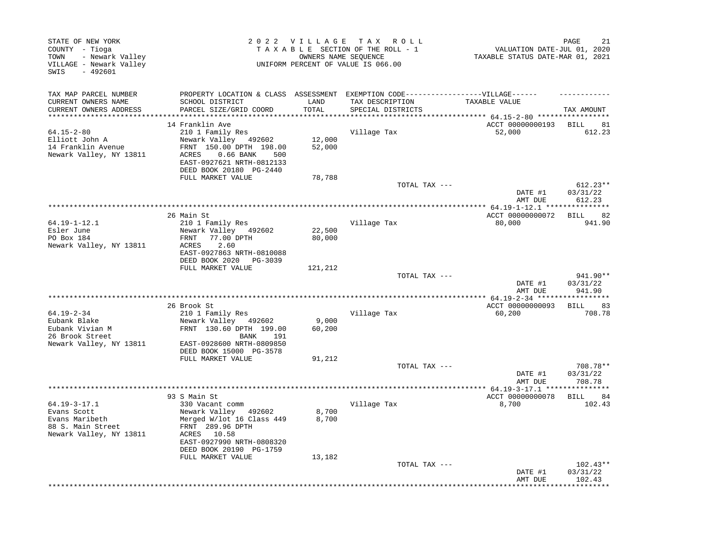| STATE OF NEW YORK<br>COUNTY - Tioga<br>- Newark Valley<br>TOWN<br>VILLAGE - Newark Valley<br>$-492601$<br>SWIS | 2022 VILLAGE<br>TAX ROLL<br>TAXABLE SECTION OF THE ROLL - 1<br>OWNERS NAME SEOUENCE<br>UNIFORM PERCENT OF VALUE IS 066.00 |                  |                                                                  | PAGE<br>VALUATION DATE-JUL 01, 2020<br>TAXABLE STATUS DATE-MAR 01, 2021 |                                  |  |
|----------------------------------------------------------------------------------------------------------------|---------------------------------------------------------------------------------------------------------------------------|------------------|------------------------------------------------------------------|-------------------------------------------------------------------------|----------------------------------|--|
| TAX MAP PARCEL NUMBER<br>CURRENT OWNERS NAME                                                                   | PROPERTY LOCATION & CLASS ASSESSMENT<br>SCHOOL DISTRICT                                                                   | LAND             | EXEMPTION CODE------------------VILLAGE------<br>TAX DESCRIPTION | TAXABLE VALUE                                                           |                                  |  |
| CURRENT OWNERS ADDRESS                                                                                         | PARCEL SIZE/GRID COORD                                                                                                    | TOTAL            | SPECIAL DISTRICTS                                                | ***** 64.15-2-80 *****                                                  | TAX AMOUNT                       |  |
|                                                                                                                | 14 Franklin Ave                                                                                                           |                  |                                                                  | ACCT 00000000193                                                        | <b>BILL</b><br>81                |  |
| $64.15 - 2 - 80$                                                                                               | 210 1 Family Res                                                                                                          |                  | Village Tax                                                      | 52,000                                                                  | 612.23                           |  |
| Elliott John A                                                                                                 | Newark Valley 492602                                                                                                      | 12,000           |                                                                  |                                                                         |                                  |  |
| 14 Franklin Avenue                                                                                             | FRNT 150.00 DPTH 198.00                                                                                                   | 52,000           |                                                                  |                                                                         |                                  |  |
| Newark Valley, NY 13811                                                                                        | $0.66$ BANK<br>ACRES<br>500<br>EAST-0927621 NRTH-0812133<br>DEED BOOK 20180 PG-2440                                       |                  |                                                                  |                                                                         |                                  |  |
|                                                                                                                | FULL MARKET VALUE                                                                                                         | 78,788           |                                                                  |                                                                         |                                  |  |
|                                                                                                                |                                                                                                                           |                  | TOTAL TAX ---                                                    |                                                                         | $612.23**$                       |  |
|                                                                                                                |                                                                                                                           |                  |                                                                  | DATE #1<br>AMT DUE                                                      | 03/31/22<br>612.23               |  |
|                                                                                                                | *****************                                                                                                         |                  | ***********************************                              | ****** 64.19-1-12.1 ****                                                |                                  |  |
|                                                                                                                | 26 Main St                                                                                                                |                  |                                                                  | ACCT 00000000072                                                        | 82<br><b>BILL</b>                |  |
| $64.19 - 1 - 12.1$                                                                                             | 210 1 Family Res                                                                                                          |                  | Village Tax                                                      | 80,000                                                                  | 941.90                           |  |
| Esler June<br>PO Box 184                                                                                       | Newark Valley 492602<br>77.00 DPTH<br>FRNT                                                                                | 22,500<br>80,000 |                                                                  |                                                                         |                                  |  |
| Newark Valley, NY 13811                                                                                        | 2.60<br>ACRES                                                                                                             |                  |                                                                  |                                                                         |                                  |  |
|                                                                                                                | EAST-0927863 NRTH-0810088<br>DEED BOOK 2020 PG-3039                                                                       |                  |                                                                  |                                                                         |                                  |  |
|                                                                                                                | FULL MARKET VALUE                                                                                                         | 121,212          |                                                                  |                                                                         |                                  |  |
|                                                                                                                |                                                                                                                           |                  | TOTAL TAX ---                                                    |                                                                         | 941.90**                         |  |
|                                                                                                                |                                                                                                                           |                  |                                                                  | DATE #1<br>AMT DUE                                                      | 03/31/22<br>941.90               |  |
|                                                                                                                | 26 Brook St                                                                                                               |                  |                                                                  | ACCT 00000000093                                                        | 83<br>BILL                       |  |
| $64.19 - 2 - 34$                                                                                               | 210 1 Family Res                                                                                                          |                  | Village Tax                                                      | 60,200                                                                  | 708.78                           |  |
| Eubank Blake                                                                                                   | Newark Valley 492602                                                                                                      | 9,000            |                                                                  |                                                                         |                                  |  |
| Eubank Vivian M<br>26 Brook Street                                                                             | FRNT 130.60 DPTH 199.00<br>BANK<br>191                                                                                    | 60,200           |                                                                  |                                                                         |                                  |  |
| Newark Valley, NY 13811                                                                                        | EAST-0928600 NRTH-0809850<br>DEED BOOK 15000 PG-3578                                                                      |                  |                                                                  |                                                                         |                                  |  |
|                                                                                                                | FULL MARKET VALUE                                                                                                         | 91,212           | TOTAL TAX ---                                                    |                                                                         | 708.78**                         |  |
|                                                                                                                |                                                                                                                           |                  |                                                                  | DATE #1<br>AMT DUE                                                      | 03/31/22<br>708.78               |  |
|                                                                                                                |                                                                                                                           |                  |                                                                  |                                                                         |                                  |  |
|                                                                                                                | 93 S Main St                                                                                                              |                  |                                                                  | ACCT 00000000078                                                        | 84<br><b>BILL</b>                |  |
| $64.19 - 3 - 17.1$                                                                                             | 330 Vacant comm                                                                                                           |                  | Village Tax                                                      | 8,700                                                                   | 102.43                           |  |
| Evans Scott<br>Evans Maribeth                                                                                  | Newark Valley 492602<br>Merged W/lot 16 Class 449                                                                         | 8,700<br>8,700   |                                                                  |                                                                         |                                  |  |
| 88 S. Main Street                                                                                              | FRNT 289.96 DPTH                                                                                                          |                  |                                                                  |                                                                         |                                  |  |
| Newark Valley, NY 13811                                                                                        | ACRES 10.58                                                                                                               |                  |                                                                  |                                                                         |                                  |  |
|                                                                                                                | EAST-0927990 NRTH-0808320<br>DEED BOOK 20190 PG-1759                                                                      |                  |                                                                  |                                                                         |                                  |  |
|                                                                                                                | FULL MARKET VALUE                                                                                                         | 13,182           |                                                                  |                                                                         |                                  |  |
|                                                                                                                |                                                                                                                           |                  | TOTAL TAX ---                                                    | DATE #1<br>AMT DUE                                                      | $102.43**$<br>03/31/22<br>102.43 |  |
|                                                                                                                |                                                                                                                           |                  |                                                                  |                                                                         |                                  |  |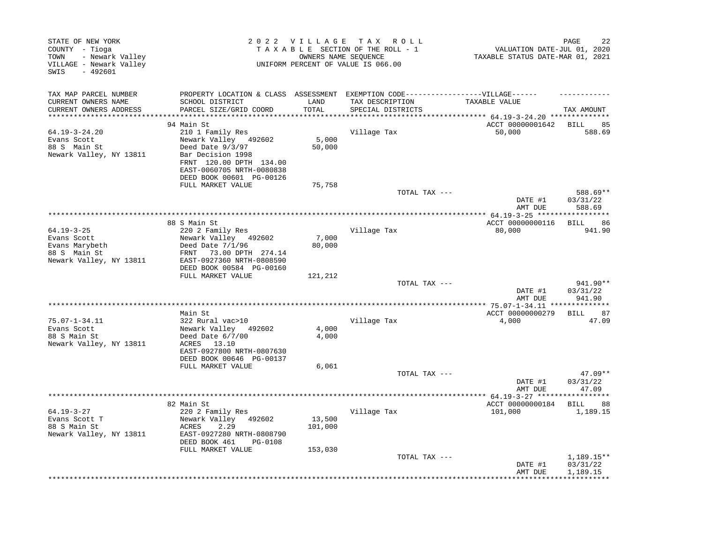| STATE OF NEW YORK<br>COUNTY - Tioga<br>- Newark Valley<br>TOWN<br>VILLAGE - Newark Valley<br>SWIS<br>$-492601$ |                                                                                                                                                                       | 2022 VILLAGE TAX | ROLL ROLL<br>TAXABLE SECTION OF THE ROLL - 1<br>OWNERS NAME SEQUENCE<br>UNIFORM PERCENT OF VALUE IS 066.00 | 22<br>PAGE<br>VALUATION DATE-JUL 01, 2020<br>TAXABLE STATUS DATE-MAR 01, 2021 |                                |  |
|----------------------------------------------------------------------------------------------------------------|-----------------------------------------------------------------------------------------------------------------------------------------------------------------------|------------------|------------------------------------------------------------------------------------------------------------|-------------------------------------------------------------------------------|--------------------------------|--|
| TAX MAP PARCEL NUMBER                                                                                          | PROPERTY LOCATION & CLASS ASSESSMENT EXEMPTION CODE-----------------VILLAGE------                                                                                     |                  |                                                                                                            |                                                                               |                                |  |
| CURRENT OWNERS NAME<br>CURRENT OWNERS ADDRESS<br>***********************                                       | SCHOOL DISTRICT<br>PARCEL SIZE/GRID COORD<br>****************************                                                                                             | LAND<br>TOTAL    | TAX DESCRIPTION<br>SPECIAL DISTRICTS                                                                       | TAXABLE VALUE                                                                 | TAX AMOUNT                     |  |
|                                                                                                                | 94 Main St                                                                                                                                                            |                  |                                                                                                            | ACCT 00000001642                                                              | <b>BILL</b><br>85              |  |
| $64.19 - 3 - 24.20$<br>Evans Scott<br>88 S Main St<br>Newark Valley, NY 13811                                  | 210 1 Family Res<br>Newark Valley 492602<br>Deed Date 9/3/97<br>Bar Decision 1998<br>FRNT 120.00 DPTH 134.00<br>EAST-0060705 NRTH-0080838<br>DEED BOOK 00601 PG-00126 | 5,000<br>50,000  | Village Tax                                                                                                | 50,000                                                                        | 588.69                         |  |
|                                                                                                                | FULL MARKET VALUE                                                                                                                                                     | 75,758           |                                                                                                            |                                                                               |                                |  |
|                                                                                                                |                                                                                                                                                                       |                  | TOTAL TAX ---                                                                                              | DATE #1<br>AMT DUE                                                            | 588.69**<br>03/31/22<br>588.69 |  |
|                                                                                                                |                                                                                                                                                                       |                  |                                                                                                            |                                                                               |                                |  |
|                                                                                                                | 88 S Main St                                                                                                                                                          |                  |                                                                                                            | ACCT 00000000116                                                              | BILL<br>86                     |  |
| $64.19 - 3 - 25$<br>Evans Scott                                                                                | 220 2 Family Res<br>Newark Valley 492602                                                                                                                              | 7,000            | Village Tax                                                                                                | 80,000                                                                        | 941.90                         |  |
| Evans Marybeth                                                                                                 | Deed Date $7/1/96$                                                                                                                                                    | 80,000           |                                                                                                            |                                                                               |                                |  |
| 88 S Main St                                                                                                   | 73.00 DPTH 274.14<br>FRNT                                                                                                                                             |                  |                                                                                                            |                                                                               |                                |  |
| Newark Valley, NY 13811                                                                                        | EAST-0927360 NRTH-0808590                                                                                                                                             |                  |                                                                                                            |                                                                               |                                |  |
|                                                                                                                | DEED BOOK 00584 PG-00160                                                                                                                                              |                  |                                                                                                            |                                                                               |                                |  |
|                                                                                                                | FULL MARKET VALUE                                                                                                                                                     | 121,212          | TOTAL TAX ---                                                                                              |                                                                               | 941.90**                       |  |
|                                                                                                                |                                                                                                                                                                       |                  |                                                                                                            | DATE #1<br>AMT DUE                                                            | 03/31/22<br>941.90             |  |
|                                                                                                                |                                                                                                                                                                       |                  |                                                                                                            |                                                                               |                                |  |
| $75.07 - 1 - 34.11$                                                                                            | Main St<br>322 Rural vac>10                                                                                                                                           |                  |                                                                                                            | ACCT 00000000279                                                              | BILL<br>87<br>47.09            |  |
| Evans Scott                                                                                                    | Newark Valley 492602                                                                                                                                                  | 4,000            | Village Tax                                                                                                | 4,000                                                                         |                                |  |
| 88 S Main St                                                                                                   | Deed Date 6/7/00                                                                                                                                                      | 4,000            |                                                                                                            |                                                                               |                                |  |
| Newark Valley, NY 13811                                                                                        | ACRES 13.10<br>EAST-0927800 NRTH-0807630                                                                                                                              |                  |                                                                                                            |                                                                               |                                |  |
|                                                                                                                | DEED BOOK 00646 PG-00137<br>FULL MARKET VALUE                                                                                                                         | 6,061            |                                                                                                            |                                                                               |                                |  |
|                                                                                                                |                                                                                                                                                                       |                  | TOTAL TAX ---                                                                                              | DATE #1                                                                       | $47.09**$<br>03/31/22          |  |
|                                                                                                                |                                                                                                                                                                       |                  |                                                                                                            | AMT DUE                                                                       | 47.09                          |  |
|                                                                                                                | 82 Main St                                                                                                                                                            |                  |                                                                                                            | ACCT 00000000184                                                              | 88<br>BILL                     |  |
| $64.19 - 3 - 27$                                                                                               | 220 2 Family Res                                                                                                                                                      |                  | Village Tax                                                                                                | 101,000                                                                       | 1,189.15                       |  |
| Evans Scott T                                                                                                  | Newark Valley 492602                                                                                                                                                  | 13,500           |                                                                                                            |                                                                               |                                |  |
| 88 S Main St                                                                                                   | ACRES<br>2.29                                                                                                                                                         | 101,000          |                                                                                                            |                                                                               |                                |  |
| Newark Valley, NY 13811                                                                                        | EAST-0927280 NRTH-0808790<br>DEED BOOK 461<br>PG-0108                                                                                                                 |                  |                                                                                                            |                                                                               |                                |  |
|                                                                                                                | FULL MARKET VALUE                                                                                                                                                     | 153,030          | TOTAL TAX ---                                                                                              |                                                                               | 1,189.15**                     |  |
|                                                                                                                |                                                                                                                                                                       |                  |                                                                                                            | DATE #1                                                                       | 03/31/22                       |  |
|                                                                                                                |                                                                                                                                                                       |                  |                                                                                                            | AMT DUE                                                                       | 1,189.15                       |  |
|                                                                                                                |                                                                                                                                                                       |                  |                                                                                                            |                                                                               |                                |  |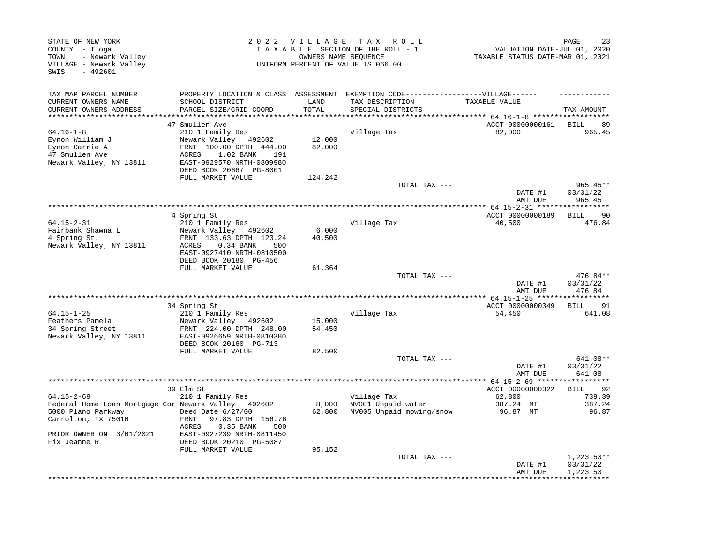| STATE OF NEW YORK<br>COUNTY - Tioga<br>- Newark Valley<br>TOWN<br>VILLAGE - Newark Valley<br>$-492601$<br>SWIS |                                                                                                                                                                        |                             | 2022 VILLAGE TAX ROLL<br>TAXABLE SECTION OF THE ROLL - 1<br>OWNERS NAME SEOUENCE<br>UNIFORM PERCENT OF VALUE IS 066.00 | PAGE<br>VALUATION DATE-JUL 01, 2020<br>TAXABLE STATUS DATE-MAR 01, 2021 |                                      |
|----------------------------------------------------------------------------------------------------------------|------------------------------------------------------------------------------------------------------------------------------------------------------------------------|-----------------------------|------------------------------------------------------------------------------------------------------------------------|-------------------------------------------------------------------------|--------------------------------------|
| TAX MAP PARCEL NUMBER                                                                                          | PROPERTY LOCATION & CLASS ASSESSMENT                                                                                                                                   |                             | EXEMPTION CODE------------------VILLAGE------                                                                          |                                                                         |                                      |
| CURRENT OWNERS NAME<br>CURRENT OWNERS ADDRESS<br>*******************                                           | SCHOOL DISTRICT<br>PARCEL SIZE/GRID COORD                                                                                                                              | LAND<br>TOTAL<br>********** | TAX DESCRIPTION<br>SPECIAL DISTRICTS                                                                                   | TAXABLE VALUE<br>*********** 64.16-1-8 ******************               | TAX AMOUNT                           |
|                                                                                                                | 47 Smullen Ave                                                                                                                                                         |                             |                                                                                                                        | ACCT 00000000161                                                        | <b>BILL</b><br>89                    |
| $64.16 - 1 - 8$<br>Eynon William J<br>Eynon Carrie A<br>47 Smullen Ave<br>Newark Valley, NY 13811              | 210 1 Family Res<br>Newark Valley 492602<br>FRNT 100.00 DPTH 444.00<br>ACRES<br>1.02 BANK<br>191<br>EAST-0929570 NRTH-0809980<br>DEED BOOK 20667 PG-8001               | 12,000<br>82,000            | Village Tax                                                                                                            | 82,000                                                                  | 965.45                               |
|                                                                                                                | FULL MARKET VALUE                                                                                                                                                      | 124,242                     | TOTAL TAX ---                                                                                                          |                                                                         | $965.45**$                           |
|                                                                                                                |                                                                                                                                                                        |                             |                                                                                                                        | DATE #1<br>AMT DUE                                                      | 03/31/22<br>965.45                   |
|                                                                                                                |                                                                                                                                                                        |                             |                                                                                                                        |                                                                         |                                      |
| $64.15 - 2 - 31$<br>Fairbank Shawna L<br>4 Spring St.<br>Newark Valley, NY 13811                               | 4 Spring St<br>210 1 Family Res<br>Newark Valley 492602<br>FRNT 133.63 DPTH 123.24<br>ACRES<br>0.34 BANK<br>500<br>EAST-0927410 NRTH-0810500<br>DEED BOOK 20180 PG-456 | 6,000<br>40,500             | Village Tax                                                                                                            | ACCT 00000000189<br>40,500                                              | 90<br>BILL<br>476.84                 |
|                                                                                                                | FULL MARKET VALUE                                                                                                                                                      | 61,364                      |                                                                                                                        |                                                                         |                                      |
|                                                                                                                |                                                                                                                                                                        |                             | TOTAL TAX ---                                                                                                          | DATE #1<br>AMT DUE                                                      | 476.84**<br>03/31/22<br>476.84       |
|                                                                                                                |                                                                                                                                                                        |                             |                                                                                                                        |                                                                         | ***********                          |
|                                                                                                                | 34 Spring St                                                                                                                                                           |                             |                                                                                                                        | ACCT 00000000349                                                        | 91<br>BILL                           |
| $64.15 - 1 - 25$<br>Feathers Pamela<br>34 Spring Street<br>Newark Valley, NY 13811                             | 210 1 Family Res<br>Newark Valley 492602<br>FRNT 224.00 DPTH 248.00<br>EAST-0926659 NRTH-0810380                                                                       | 15,000<br>54,450            | Village Tax                                                                                                            | 54,450                                                                  | 641.08                               |
|                                                                                                                | DEED BOOK 20160 PG-713                                                                                                                                                 |                             |                                                                                                                        |                                                                         |                                      |
|                                                                                                                | FULL MARKET VALUE                                                                                                                                                      | 82,500                      |                                                                                                                        |                                                                         |                                      |
|                                                                                                                |                                                                                                                                                                        |                             | TOTAL TAX ---                                                                                                          | DATE #1<br>AMT DUE                                                      | 641.08**<br>03/31/22<br>641.08       |
|                                                                                                                |                                                                                                                                                                        |                             | **********************                                                                                                 | *** $64.15 - 2 - 69$ ****                                               |                                      |
| $64.15 - 2 - 69$                                                                                               | 39 Elm St<br>210 1 Family Res                                                                                                                                          |                             | Village Tax                                                                                                            | ACCT 00000000322<br>62,800                                              | 92<br>BILL<br>739.39                 |
| Federal Home Loan Mortgage Cor Newark Valley 492602                                                            |                                                                                                                                                                        | 8,000                       | NV001 Unpaid water                                                                                                     | 387.24 MT                                                               | 387.24                               |
| 5000 Plano Parkway<br>Carrolton, TX 75010                                                                      | Deed Date $6/27/00$<br>97.83 DPTH 156.76<br>FRNT<br>ACRES<br>0.35 BANK<br>500                                                                                          | 62,800                      | NV005 Unpaid mowing/snow                                                                                               | 96.87 MT                                                                | 96.87                                |
| PRIOR OWNER ON 3/01/2021<br>Fix Jeanne R                                                                       | EAST-0927239 NRTH-0811450<br>DEED BOOK 20210 PG-5087<br>FULL MARKET VALUE                                                                                              | 95,152                      |                                                                                                                        |                                                                         |                                      |
|                                                                                                                |                                                                                                                                                                        |                             | TOTAL TAX ---                                                                                                          | DATE #1<br>AMT DUE                                                      | $1,223.50**$<br>03/31/22<br>1,223.50 |
|                                                                                                                |                                                                                                                                                                        |                             |                                                                                                                        |                                                                         |                                      |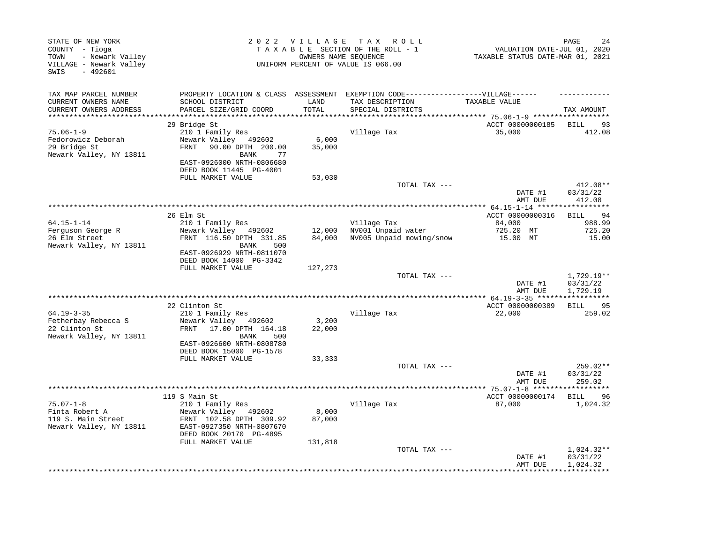| STATE OF NEW YORK<br>COUNTY - Tioga<br>- Newark Valley<br>TOWN<br>VILLAGE - Newark Valley<br>SWIS<br>$-492601$ |                                                 | 2022 VILLAGE TAX | R O L L<br>TAXABLE SECTION OF THE ROLL - 1<br>OWNERS NAME SEOUENCE<br>UNIFORM PERCENT OF VALUE IS 066.00 | PAGE<br>VALUATION DATE-JUL 01, 2020<br>TAXABLE STATUS DATE-MAR 01, 2021 |                             |
|----------------------------------------------------------------------------------------------------------------|-------------------------------------------------|------------------|----------------------------------------------------------------------------------------------------------|-------------------------------------------------------------------------|-----------------------------|
| TAX MAP PARCEL NUMBER                                                                                          | PROPERTY LOCATION & CLASS ASSESSMENT            |                  | EXEMPTION CODE------------------VILLAGE------                                                            |                                                                         |                             |
| CURRENT OWNERS NAME                                                                                            | SCHOOL DISTRICT                                 | LAND             | TAX DESCRIPTION                                                                                          | TAXABLE VALUE                                                           |                             |
| CURRENT OWNERS ADDRESS                                                                                         | PARCEL SIZE/GRID COORD                          | TOTAL            | SPECIAL DISTRICTS                                                                                        |                                                                         | TAX AMOUNT                  |
|                                                                                                                | 29 Bridge St                                    |                  |                                                                                                          | ACCT 00000000185                                                        | BILL<br>93                  |
| $75.06 - 1 - 9$                                                                                                | 210 1 Family Res                                |                  | Village Tax                                                                                              | 35,000                                                                  | 412.08                      |
| Fedorowicz Deborah                                                                                             | Newark Valley 492602                            | 6,000            |                                                                                                          |                                                                         |                             |
| 29 Bridge St                                                                                                   | 90.00 DPTH 200.00<br>FRNT                       | 35,000           |                                                                                                          |                                                                         |                             |
| Newark Valley, NY 13811                                                                                        | <b>BANK</b><br>77                               |                  |                                                                                                          |                                                                         |                             |
|                                                                                                                | EAST-0926000 NRTH-0806680                       |                  |                                                                                                          |                                                                         |                             |
|                                                                                                                | DEED BOOK 11445 PG-4001<br>FULL MARKET VALUE    | 53,030           |                                                                                                          |                                                                         |                             |
|                                                                                                                |                                                 |                  | TOTAL TAX ---                                                                                            |                                                                         | 412.08**                    |
|                                                                                                                |                                                 |                  |                                                                                                          | DATE #1                                                                 | 03/31/22                    |
|                                                                                                                |                                                 |                  |                                                                                                          | AMT DUE                                                                 | 412.08                      |
|                                                                                                                |                                                 |                  |                                                                                                          |                                                                         |                             |
| $64.15 - 1 - 14$                                                                                               | 26 Elm St<br>210 1 Family Res                   |                  | Village Tax                                                                                              | ACCT 00000000316<br>84,000                                              | <b>BILL</b><br>94<br>988.99 |
| Ferguson George R                                                                                              | Newark Valley 492602                            | 12,000           | NV001 Unpaid water                                                                                       | 725.20 MT                                                               | 725.20                      |
| 26 Elm Street                                                                                                  | FRNT 116.50 DPTH 331.85                         | 84,000           | NV005 Unpaid mowing/snow                                                                                 | 15.00 MT                                                                | 15.00                       |
| Newark Valley, NY 13811                                                                                        | 500<br>BANK                                     |                  |                                                                                                          |                                                                         |                             |
|                                                                                                                | EAST-0926929 NRTH-0811070                       |                  |                                                                                                          |                                                                         |                             |
|                                                                                                                | DEED BOOK 14000 PG-3342<br>FULL MARKET VALUE    | 127,273          |                                                                                                          |                                                                         |                             |
|                                                                                                                |                                                 |                  | TOTAL TAX ---                                                                                            |                                                                         | $1,729.19**$                |
|                                                                                                                |                                                 |                  |                                                                                                          | DATE #1                                                                 | 03/31/22                    |
|                                                                                                                |                                                 |                  |                                                                                                          | AMT DUE                                                                 | 1,729.19                    |
|                                                                                                                |                                                 |                  |                                                                                                          |                                                                         |                             |
|                                                                                                                | 22 Clinton St                                   |                  |                                                                                                          | ACCT 00000000389                                                        | 95<br><b>BILL</b>           |
| $64.19 - 3 - 35$<br>Fetherbay Rebecca S                                                                        | 210 1 Family Res<br>Newark Valley<br>492602     | 3,200            | Village Tax                                                                                              | 22,000                                                                  | 259.02                      |
| 22 Clinton St                                                                                                  | 17.00 DPTH 164.18<br>FRNT                       | 22,000           |                                                                                                          |                                                                         |                             |
| Newark Valley, NY 13811                                                                                        | <b>BANK</b><br>500                              |                  |                                                                                                          |                                                                         |                             |
|                                                                                                                | EAST-0926600 NRTH-0808780                       |                  |                                                                                                          |                                                                         |                             |
|                                                                                                                | DEED BOOK 15000 PG-1578                         |                  |                                                                                                          |                                                                         |                             |
|                                                                                                                | FULL MARKET VALUE                               | 33,333           | TOTAL TAX ---                                                                                            |                                                                         | 259.02**                    |
|                                                                                                                |                                                 |                  |                                                                                                          | DATE #1                                                                 | 03/31/22                    |
|                                                                                                                |                                                 |                  |                                                                                                          | AMT DUE                                                                 | 259.02                      |
|                                                                                                                |                                                 |                  |                                                                                                          | ******* 75.07-1-8 *******                                               |                             |
|                                                                                                                | 119 S Main St                                   |                  |                                                                                                          | ACCT 00000000174                                                        | 96<br>BILL                  |
| 75.07-1-8                                                                                                      | 210 1 Family Res                                |                  | Village Tax                                                                                              | 87,000                                                                  | 1,024.32                    |
| Finta Robert A<br>119 S. Main Street                                                                           | Newark Valley 492602<br>FRNT 102.58 DPTH 309.92 | 8,000<br>87,000  |                                                                                                          |                                                                         |                             |
| Newark Valley, NY 13811                                                                                        | EAST-0927350 NRTH-0807670                       |                  |                                                                                                          |                                                                         |                             |
|                                                                                                                | DEED BOOK 20170 PG-4895                         |                  |                                                                                                          |                                                                         |                             |
|                                                                                                                | FULL MARKET VALUE                               | 131,818          |                                                                                                          |                                                                         |                             |
|                                                                                                                |                                                 |                  | TOTAL TAX ---                                                                                            |                                                                         | 1,024.32**                  |
|                                                                                                                |                                                 |                  |                                                                                                          | DATE #1                                                                 | 03/31/22                    |
|                                                                                                                |                                                 |                  |                                                                                                          | AMT DUE                                                                 | 1,024.32                    |
|                                                                                                                |                                                 |                  |                                                                                                          |                                                                         |                             |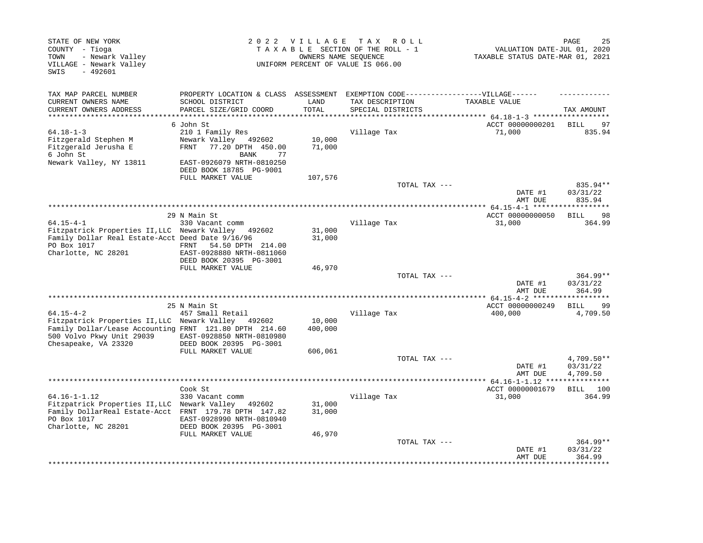| STATE OF NEW YORK<br>COUNTY - Tioga<br>TOWN<br>- Newark Valley<br>VILLAGE - Newark Valley<br>SWIS<br>$-492601$                                |                                                                           | 2022 VILLAGE     | T A X<br>R O L L<br>TAXABLE SECTION OF THE ROLL - 1<br>OWNERS NAME SEQUENCE<br>UNIFORM PERCENT OF VALUE IS 066.00 | VALUATION DATE-JUL 01, 2020<br>TAXABLE STATUS DATE-MAR 01, 2021 | 25<br>PAGE                           |
|-----------------------------------------------------------------------------------------------------------------------------------------------|---------------------------------------------------------------------------|------------------|-------------------------------------------------------------------------------------------------------------------|-----------------------------------------------------------------|--------------------------------------|
| TAX MAP PARCEL NUMBER<br>CURRENT OWNERS NAME                                                                                                  | PROPERTY LOCATION & CLASS ASSESSMENT<br>SCHOOL DISTRICT                   | LAND             | EXEMPTION CODE------------------VILLAGE------<br>TAX DESCRIPTION                                                  | TAXABLE VALUE                                                   |                                      |
| CURRENT OWNERS ADDRESS<br>**********************                                                                                              | PARCEL SIZE/GRID COORD                                                    | TOTAL            | SPECIAL DISTRICTS                                                                                                 |                                                                 | TAX AMOUNT                           |
|                                                                                                                                               | 6 John St                                                                 |                  |                                                                                                                   | ACCT 00000000201                                                | 97<br>BILL                           |
| $64.18 - 1 - 3$<br>Fitzgerald Stephen M<br>Fitzgerald Jerusha E                                                                               | 210 1 Family Res<br>Newark Valley 492602<br>77.20 DPTH 450.00<br>FRNT     | 10,000<br>71,000 | Village Tax                                                                                                       | 71,000                                                          | 835.94                               |
| 6 John St<br>Newark Valley, NY 13811                                                                                                          | <b>BANK</b><br>77<br>EAST-0926079 NRTH-0810250<br>DEED BOOK 18785 PG-9001 |                  |                                                                                                                   |                                                                 |                                      |
|                                                                                                                                               | FULL MARKET VALUE                                                         | 107,576          |                                                                                                                   |                                                                 |                                      |
|                                                                                                                                               |                                                                           |                  | TOTAL TAX ---                                                                                                     | DATE #1<br>AMT DUE                                              | 835.94**<br>03/31/22<br>835.94       |
|                                                                                                                                               |                                                                           |                  |                                                                                                                   |                                                                 | ***********                          |
| $64.15 - 4 - 1$                                                                                                                               | 29 N Main St<br>330 Vacant comm                                           |                  | Village Tax                                                                                                       | ACCT 00000000050<br>31,000                                      | <b>BILL</b><br>98<br>364.99          |
| Fitzpatrick Properties II, LLC Newark Valley 492602<br>Family Dollar Real Estate-Acct Deed Date 9/16/96<br>PO Box 1017<br>Charlotte, NC 28201 | 54.50 DPTH 214.00<br>FRNT<br>EAST-0928880 NRTH-0811060                    | 31,000<br>31,000 |                                                                                                                   |                                                                 |                                      |
|                                                                                                                                               | DEED BOOK 20395 PG-3001                                                   |                  |                                                                                                                   |                                                                 |                                      |
|                                                                                                                                               | FULL MARKET VALUE                                                         | 46,970           |                                                                                                                   |                                                                 |                                      |
|                                                                                                                                               |                                                                           |                  | TOTAL TAX ---                                                                                                     | DATE #1<br>AMT DUE                                              | $364.99**$<br>03/31/22<br>364.99     |
|                                                                                                                                               |                                                                           |                  |                                                                                                                   |                                                                 | ********                             |
|                                                                                                                                               | 25 N Main St                                                              |                  |                                                                                                                   | ACCT 00000000249                                                | 99<br><b>BILL</b>                    |
| $64.15 - 4 - 2$<br>Fitzpatrick Properties II, LLC Newark Valley                                                                               | 457 Small Retail<br>492602                                                | 10,000           | Village Tax                                                                                                       | 400,000                                                         | 4,709.50                             |
| Family Dollar/Lease Accounting FRNT 121.80 DPTH 214.60<br>500 Volvo Pkwy Unit 29039<br>Chesapeake, VA 23320                                   | EAST-0928850 NRTH-0810980<br>DEED BOOK 20395 PG-3001                      | 400,000          |                                                                                                                   |                                                                 |                                      |
|                                                                                                                                               | FULL MARKET VALUE                                                         | 606,061          |                                                                                                                   |                                                                 |                                      |
|                                                                                                                                               |                                                                           |                  | TOTAL TAX ---                                                                                                     | DATE #1<br>AMT DUE                                              | $4,709.50**$<br>03/31/22<br>4,709.50 |
|                                                                                                                                               |                                                                           |                  | *************************************                                                                             | **** 64.16-1-1.12                                               |                                      |
| $64.16 - 1 - 1.12$                                                                                                                            | Cook St<br>330 Vacant comm                                                |                  | Village Tax                                                                                                       | ACCT 00000001679<br>31,000                                      | 100<br>BILL<br>364.99                |
| Fitzpatrick Properties II, LLC Newark Valley<br>Family DollarReal Estate-Acct FRNT 179.78 DPTH 147.82<br>PO Box 1017<br>Charlotte, NC 28201   | 492602<br>EAST-0928990 NRTH-0810940<br>DEED BOOK 20395 PG-3001            | 31,000<br>31,000 |                                                                                                                   |                                                                 |                                      |
|                                                                                                                                               | FULL MARKET VALUE                                                         | 46,970           |                                                                                                                   |                                                                 |                                      |
|                                                                                                                                               |                                                                           |                  | TOTAL TAX ---                                                                                                     | DATE #1<br>AMT DUE                                              | $364.99**$<br>03/31/22<br>364.99     |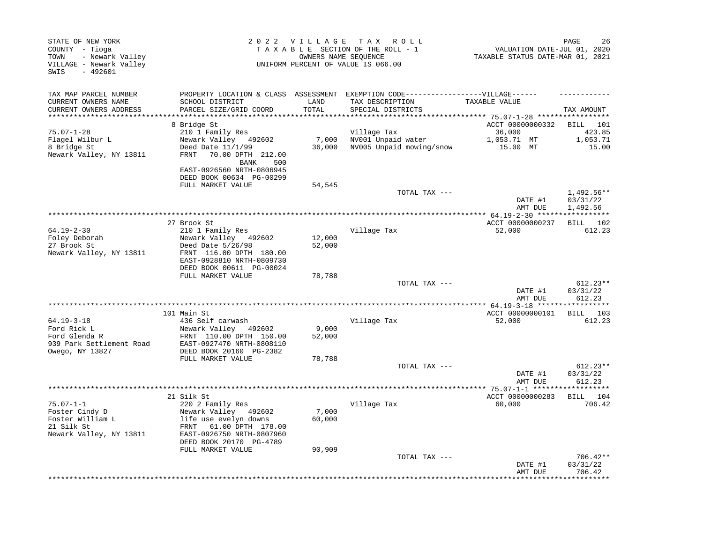| STATE OF NEW YORK<br>COUNTY - Tioga<br>- Newark Valley<br>TOWN<br>VILLAGE - Newark Valley<br>$-492601$<br>SWIS |                                                                                   | OWNERS NAME SEQUENCE            | 2022 VILLAGE TAX ROLL<br>TAXABLE SECTION OF THE ROLL - 1<br>UNIFORM PERCENT OF VALUE IS 066.00 | VALUATION DATE-JUL 01, 2020<br>TAXABLE STATUS DATE-MAR 01, 2021 | PAGE<br>26                       |
|----------------------------------------------------------------------------------------------------------------|-----------------------------------------------------------------------------------|---------------------------------|------------------------------------------------------------------------------------------------|-----------------------------------------------------------------|----------------------------------|
| TAX MAP PARCEL NUMBER                                                                                          |                                                                                   |                                 | PROPERTY LOCATION & CLASS ASSESSMENT EXEMPTION CODE-----------------VILLAGE------              |                                                                 |                                  |
| CURRENT OWNERS NAME<br>CURRENT OWNERS ADDRESS<br>**********************                                        | SCHOOL DISTRICT<br>PARCEL SIZE/GRID COORD                                         | LAND<br>TOTAL<br>************** | TAX DESCRIPTION<br>SPECIAL DISTRICTS                                                           | TAXABLE VALUE                                                   | TAX AMOUNT                       |
|                                                                                                                | 8 Bridge St                                                                       |                                 |                                                                                                | ACCT 00000000332                                                | BILL 101                         |
| $75.07 - 1 - 28$                                                                                               | 210 1 Family Res                                                                  |                                 | Village Tax                                                                                    | 36,000                                                          | 423.85                           |
| Flagel Wilbur L                                                                                                | Newark Valley 492602                                                              | 7,000                           | NV001 Unpaid water                                                                             | 1,053.71 MT                                                     | 1,053.71                         |
| 8 Bridge St<br>Newark Valley, NY 13811                                                                         | Deed Date $11/1/99$<br>70.00 DPTH 212.00<br>FRNT<br><b>BANK</b><br>500            | 36,000                          | NV005 Unpaid mowing/snow                                                                       | 15.00 MT                                                        | 15.00                            |
|                                                                                                                | EAST-0926560 NRTH-0806945<br>DEED BOOK 00634 PG-00299                             |                                 |                                                                                                |                                                                 |                                  |
|                                                                                                                | FULL MARKET VALUE                                                                 | 54,545                          |                                                                                                |                                                                 |                                  |
|                                                                                                                |                                                                                   |                                 | TOTAL TAX ---                                                                                  | DATE #1                                                         | 1,492.56**<br>03/31/22           |
|                                                                                                                |                                                                                   |                                 |                                                                                                | AMT DUE                                                         | 1,492.56                         |
| $64.19 - 2 - 30$                                                                                               | 27 Brook St<br>210 1 Family Res                                                   |                                 | Village Tax                                                                                    | ACCT 00000000237<br>52,000                                      | BILL 102<br>612.23               |
| Foley Deborah                                                                                                  | Newark Valley 492602                                                              | 12,000                          |                                                                                                |                                                                 |                                  |
| 27 Brook St                                                                                                    | Deed Date 5/26/98                                                                 | 52,000                          |                                                                                                |                                                                 |                                  |
| Newark Valley, NY 13811                                                                                        | FRNT 116.00 DPTH 180.00<br>EAST-0928810 NRTH-0809730<br>DEED BOOK 00611 PG-00024  |                                 |                                                                                                |                                                                 |                                  |
|                                                                                                                | FULL MARKET VALUE                                                                 | 78,788                          |                                                                                                |                                                                 |                                  |
|                                                                                                                |                                                                                   |                                 | TOTAL TAX ---                                                                                  | DATE #1                                                         | $612.23**$<br>03/31/22           |
|                                                                                                                |                                                                                   |                                 |                                                                                                | AMT DUE                                                         | 612.23                           |
|                                                                                                                | 101 Main St                                                                       |                                 |                                                                                                | ACCT 00000000101                                                | BILL 103                         |
| $64.19 - 3 - 18$                                                                                               | 436 Self carwash                                                                  |                                 | Village Tax                                                                                    | 52,000                                                          | 612.23                           |
| Ford Rick L                                                                                                    | Newark Valley 492602                                                              | 9,000                           |                                                                                                |                                                                 |                                  |
| Ford Glenda R<br>939 Park Settlement Road                                                                      | FRNT 110.00 DPTH 150.00<br>EAST-0927470 NRTH-0808110<br>DEED BOOK 20160 PG-2382   | 52,000                          |                                                                                                |                                                                 |                                  |
| Owego, NY 13827                                                                                                | FULL MARKET VALUE                                                                 | 78,788                          |                                                                                                |                                                                 |                                  |
|                                                                                                                |                                                                                   |                                 | TOTAL TAX ---                                                                                  |                                                                 | $612.23**$                       |
|                                                                                                                |                                                                                   |                                 |                                                                                                | DATE #1<br>AMT DUE                                              | 03/31/22<br>612.23               |
|                                                                                                                |                                                                                   |                                 |                                                                                                |                                                                 |                                  |
|                                                                                                                | 21 Silk St                                                                        |                                 |                                                                                                | ACCT 00000000283                                                | BILL 104                         |
| $75.07 - 1 - 1$<br>Foster Cindy D                                                                              | 220 2 Family Res<br>Newark Valley 492602                                          | 7,000                           | Village Tax                                                                                    | 60,000                                                          | 706.42                           |
| Foster William L                                                                                               | life use evelyn downs                                                             | 60,000                          |                                                                                                |                                                                 |                                  |
| 21 Silk St<br>Newark Valley, NY 13811                                                                          | 61.00 DPTH 178.00<br>FRNT<br>EAST-0926750 NRTH-0807960<br>DEED BOOK 20170 PG-4789 |                                 |                                                                                                |                                                                 |                                  |
|                                                                                                                | FULL MARKET VALUE                                                                 | 90,909                          |                                                                                                |                                                                 |                                  |
|                                                                                                                |                                                                                   |                                 | TOTAL TAX ---                                                                                  | DATE #1<br>AMT DUE                                              | $706.42**$<br>03/31/22<br>706.42 |
|                                                                                                                |                                                                                   |                                 |                                                                                                |                                                                 | *********                        |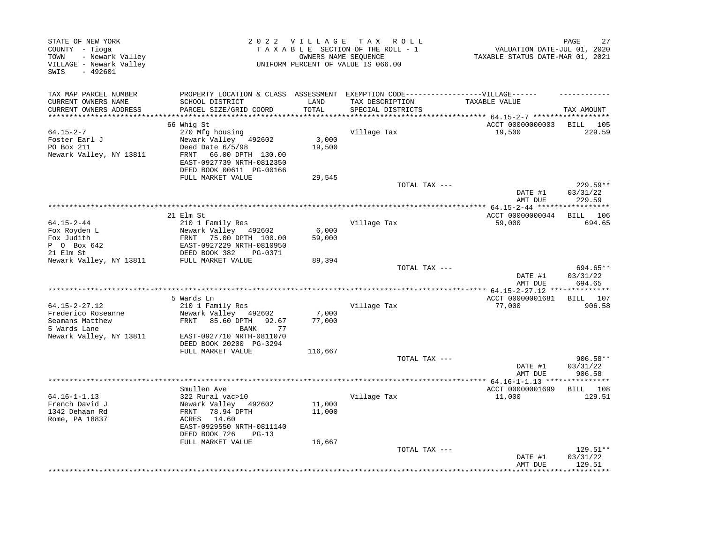| STATE OF NEW YORK<br>COUNTY - Tioga<br>- Newark Valley<br>TOWN<br>VILLAGE - Newark Valley<br>SWIS<br>$-492601$ |                                                         |         | 2022 VILLAGE TAX ROLL<br>TAXABLE SECTION OF THE ROLL - 1<br>OWNERS NAME SEQUENCE<br>UNIFORM PERCENT OF VALUE IS 066.00 | VALUATION DATE-JUL 01, 2020<br>TAXABLE STATUS DATE-MAR 01, 2021 | PAGE<br>27              |
|----------------------------------------------------------------------------------------------------------------|---------------------------------------------------------|---------|------------------------------------------------------------------------------------------------------------------------|-----------------------------------------------------------------|-------------------------|
| TAX MAP PARCEL NUMBER<br>CURRENT OWNERS NAME                                                                   | PROPERTY LOCATION & CLASS ASSESSMENT<br>SCHOOL DISTRICT | LAND    | EXEMPTION CODE------------------VILLAGE------<br>TAX DESCRIPTION                                                       | TAXABLE VALUE                                                   |                         |
| CURRENT OWNERS ADDRESS                                                                                         | PARCEL SIZE/GRID COORD                                  | TOTAL   | SPECIAL DISTRICTS                                                                                                      |                                                                 | TAX AMOUNT              |
| ********************                                                                                           | 66 Whig St                                              |         |                                                                                                                        | ************ 64.15-2-7 *******************<br>ACCT 00000000003  |                         |
| $64.15 - 2 - 7$                                                                                                | 270 Mfg housing                                         |         | Village Tax                                                                                                            | 19,500                                                          | BILL<br>105<br>229.59   |
| Foster Earl J                                                                                                  | Newark Valley 492602                                    | 3,000   |                                                                                                                        |                                                                 |                         |
| PO Box 211                                                                                                     | Deed Date 6/5/98                                        | 19,500  |                                                                                                                        |                                                                 |                         |
| Newark Valley, NY 13811                                                                                        | FRNT<br>66.00 DPTH 130.00                               |         |                                                                                                                        |                                                                 |                         |
|                                                                                                                | EAST-0927739 NRTH-0812350<br>DEED BOOK 00611 PG-00166   |         |                                                                                                                        |                                                                 |                         |
|                                                                                                                | FULL MARKET VALUE                                       | 29,545  |                                                                                                                        |                                                                 |                         |
|                                                                                                                |                                                         |         | TOTAL TAX ---                                                                                                          |                                                                 | $229.59**$              |
|                                                                                                                |                                                         |         |                                                                                                                        | DATE #1<br>AMT DUE                                              | 03/31/22<br>229.59      |
|                                                                                                                | 21 Elm St                                               |         |                                                                                                                        | ACCT 00000000044                                                | BILL 106                |
| 64.15-2-44                                                                                                     | 210 1 Family Res                                        |         | Village Tax                                                                                                            | 59,000                                                          | 694.65                  |
| Fox Royden L                                                                                                   | Newark Valley 492602                                    | 6,000   |                                                                                                                        |                                                                 |                         |
| Fox Judith                                                                                                     | 75.00 DPTH 100.00<br>FRNT                               | 59,000  |                                                                                                                        |                                                                 |                         |
| P 0 Box 642                                                                                                    | EAST-0927229 NRTH-0810950<br>DEED BOOK 382              |         |                                                                                                                        |                                                                 |                         |
| 21 Elm St<br>Newark Valley, NY 13811                                                                           | PG-0371<br>FULL MARKET VALUE                            | 89,394  |                                                                                                                        |                                                                 |                         |
|                                                                                                                |                                                         |         | TOTAL TAX ---                                                                                                          |                                                                 | 694.65**                |
|                                                                                                                |                                                         |         |                                                                                                                        | DATE #1                                                         | 03/31/22                |
|                                                                                                                |                                                         |         |                                                                                                                        | AMT DUE                                                         | 694.65                  |
|                                                                                                                | 5 Wards Ln                                              |         |                                                                                                                        | ************** 64.15-2-27.12 **<br>ACCT 00000001681             | ***********<br>BILL 107 |
| $64.15 - 2 - 27.12$                                                                                            | 210 1 Family Res                                        |         | Village Tax                                                                                                            | 77,000                                                          | 906.58                  |
| Frederico Roseanne                                                                                             | Newark Valley 492602                                    | 7,000   |                                                                                                                        |                                                                 |                         |
| Seamans Matthew                                                                                                | FRNT 85.60 DPTH<br>92.67                                | 77,000  |                                                                                                                        |                                                                 |                         |
| 5 Wards Lane                                                                                                   | BANK<br>77                                              |         |                                                                                                                        |                                                                 |                         |
| Newark Valley, NY 13811                                                                                        | EAST-0927710 NRTH-0811070<br>DEED BOOK 20200 PG-3294    |         |                                                                                                                        |                                                                 |                         |
|                                                                                                                | FULL MARKET VALUE                                       | 116,667 |                                                                                                                        |                                                                 |                         |
|                                                                                                                |                                                         |         | TOTAL TAX ---                                                                                                          |                                                                 | $906.58**$              |
|                                                                                                                |                                                         |         |                                                                                                                        | DATE #1                                                         | 03/31/22                |
|                                                                                                                | ****************                                        |         | *********************************                                                                                      | AMT DUE                                                         | 906.58                  |
|                                                                                                                | Smullen Ave                                             |         |                                                                                                                        | ************* 64.16-1-1.13 ****************<br>ACCT 00000001699 | BILL 108                |
| $64.16 - 1 - 1.13$                                                                                             | 322 Rural vac>10                                        |         | Village Tax                                                                                                            | 11,000                                                          | 129.51                  |
| French David J                                                                                                 | Newark Valley 492602                                    | 11,000  |                                                                                                                        |                                                                 |                         |
| 1342 Dehaan Rd                                                                                                 | 78.94 DPTH<br>FRNT                                      | 11,000  |                                                                                                                        |                                                                 |                         |
| Rome, PA 18837                                                                                                 | ACRES 14.60<br>EAST-0929550 NRTH-0811140                |         |                                                                                                                        |                                                                 |                         |
|                                                                                                                | DEED BOOK 726<br>$PG-13$                                |         |                                                                                                                        |                                                                 |                         |
|                                                                                                                | FULL MARKET VALUE                                       | 16,667  |                                                                                                                        |                                                                 |                         |
|                                                                                                                |                                                         |         | TOTAL TAX ---                                                                                                          |                                                                 | 129.51**                |
|                                                                                                                |                                                         |         |                                                                                                                        | DATE #1                                                         | 03/31/22<br>129.51      |
|                                                                                                                |                                                         |         |                                                                                                                        | AMT DUE                                                         |                         |
|                                                                                                                |                                                         |         |                                                                                                                        |                                                                 |                         |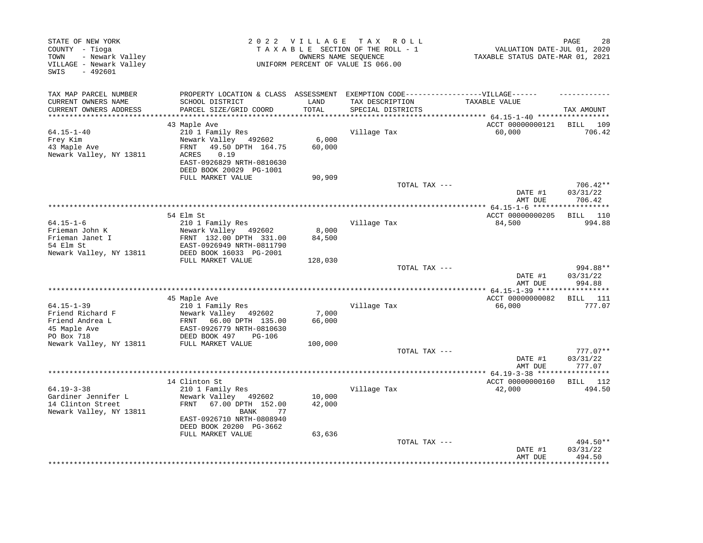| STATE OF NEW YORK<br>COUNTY - Tioga<br>- Newark Valley<br>TOWN<br>VILLAGE - Newark Valley<br>$-492601$<br>SWIS |                                                                                                                                                                                      |                            | 2022 VILLAGE TAX ROLL<br>TAXABLE SECTION OF THE ROLL - 1<br>OWNERS NAME SEQUENCE<br>UNIFORM PERCENT OF VALUE IS 066.00 | VALUATION DATE-JUL 01, 2020<br>TAXABLE STATUS DATE-MAR 01, 2021 | PAGE<br>28                       |
|----------------------------------------------------------------------------------------------------------------|--------------------------------------------------------------------------------------------------------------------------------------------------------------------------------------|----------------------------|------------------------------------------------------------------------------------------------------------------------|-----------------------------------------------------------------|----------------------------------|
| TAX MAP PARCEL NUMBER<br>CURRENT OWNERS NAME<br>CURRENT OWNERS ADDRESS                                         | PROPERTY LOCATION & CLASS ASSESSMENT EXEMPTION CODE-----------------VILLAGE------<br>SCHOOL DISTRICT<br>PARCEL SIZE/GRID COORD                                                       | LAND<br>TOTAL              | TAX DESCRIPTION<br>SPECIAL DISTRICTS                                                                                   | TAXABLE VALUE                                                   | TAX AMOUNT                       |
| *************************                                                                                      |                                                                                                                                                                                      |                            |                                                                                                                        |                                                                 |                                  |
| $64.15 - 1 - 40$<br>Frey Kim<br>43 Maple Ave<br>Newark Valley, NY 13811                                        | 43 Maple Ave<br>210 1 Family Res<br>Newark Valley 492602<br>49.50 DPTH 164.75<br>FRNT<br>0.19<br>ACRES<br>EAST-0926829 NRTH-0810630<br>DEED BOOK 20029 PG-1001                       | 6,000<br>60,000            | Village Tax                                                                                                            | ACCT 00000000121<br>60,000                                      | BILL 109<br>706.42               |
|                                                                                                                | FULL MARKET VALUE                                                                                                                                                                    | 90,909                     |                                                                                                                        |                                                                 |                                  |
|                                                                                                                |                                                                                                                                                                                      |                            | TOTAL TAX ---                                                                                                          | DATE #1<br>AMT DUE                                              | $706.42**$<br>03/31/22<br>706.42 |
|                                                                                                                |                                                                                                                                                                                      |                            |                                                                                                                        |                                                                 |                                  |
| $64.15 - 1 - 6$<br>Frieman John K<br>Frieman Janet I<br>54 Elm St<br>Newark Valley, NY 13811                   | 54 Elm St<br>210 1 Family Res<br>Newark Valley 492602<br>FRNT 132.00 DPTH 331.00<br>EAST-0926949 NRTH-0811790<br>DEED BOOK 16033 PG-2001                                             | 8,000<br>84,500            | Village Tax                                                                                                            | ACCT 00000000205<br>84,500                                      | BILL 110<br>994.88               |
|                                                                                                                | FULL MARKET VALUE                                                                                                                                                                    | 128,030                    |                                                                                                                        |                                                                 |                                  |
|                                                                                                                |                                                                                                                                                                                      |                            | TOTAL TAX ---                                                                                                          | DATE #1<br>AMT DUE                                              | 994.88**<br>03/31/22<br>994.88   |
|                                                                                                                |                                                                                                                                                                                      |                            |                                                                                                                        |                                                                 |                                  |
| $64.15 - 1 - 39$<br>Friend Richard F<br>Friend Andrea L<br>45 Maple Ave<br>PO Box 718                          | 45 Maple Ave<br>210 1 Family Res<br>Newark Valley 492602<br>FRNT<br>66.00 DPTH 135.00<br>EAST-0926779 NRTH-0810630<br>DEED BOOK 497<br><b>PG-106</b>                                 | 7,000<br>66,000            | Village Tax                                                                                                            | ACCT 00000000082<br>66,000                                      | <b>BILL</b> 111<br>777.07        |
| Newark Valley, NY 13811                                                                                        | FULL MARKET VALUE                                                                                                                                                                    | 100,000                    |                                                                                                                        |                                                                 |                                  |
|                                                                                                                |                                                                                                                                                                                      |                            | TOTAL TAX ---                                                                                                          | DATE #1<br>AMT DUE                                              | $777.07**$<br>03/31/22<br>777.07 |
|                                                                                                                |                                                                                                                                                                                      |                            |                                                                                                                        | ************ 64.19-3-38 ******************                      |                                  |
| $64.19 - 3 - 38$<br>Gardiner Jennifer L<br>14 Clinton Street<br>Newark Valley, NY 13811                        | 14 Clinton St<br>210 1 Family Res<br>Newark Valley<br>492602<br>67.00 DPTH 152.00<br>FRNT<br>BANK<br>77<br>EAST-0926710 NRTH-0808940<br>DEED BOOK 20200 PG-3662<br>FULL MARKET VALUE | 10,000<br>42,000<br>63,636 | Village Tax                                                                                                            | ACCT 00000000160<br>42,000                                      | BILL 112<br>494.50               |
|                                                                                                                |                                                                                                                                                                                      |                            | TOTAL TAX ---                                                                                                          | DATE #1<br>AMT DUE                                              | 494.50**<br>03/31/22<br>494.50   |
|                                                                                                                |                                                                                                                                                                                      |                            |                                                                                                                        |                                                                 |                                  |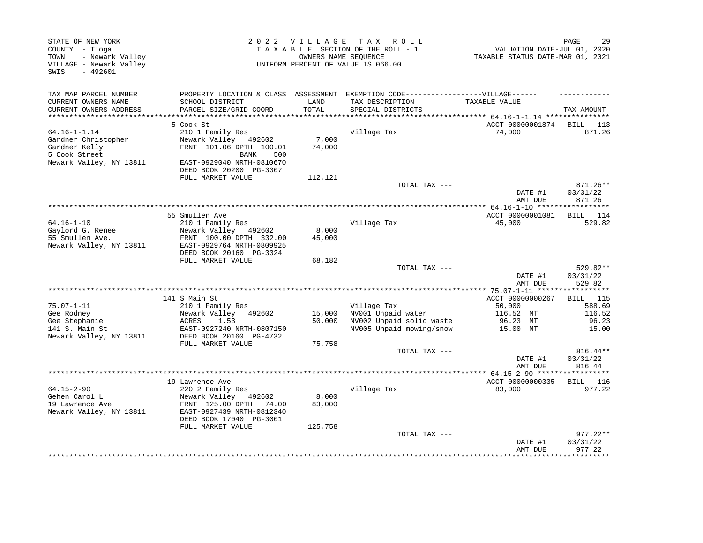| TAX MAP PARCEL NUMBER<br>PROPERTY LOCATION & CLASS ASSESSMENT EXEMPTION CODE-----------------VILLAGE------<br>CURRENT OWNERS NAME<br>SCHOOL DISTRICT<br>LAND<br>TAX DESCRIPTION<br>TAXABLE VALUE<br>CURRENT OWNERS ADDRESS<br>TOTAL<br>PARCEL SIZE/GRID COORD<br>SPECIAL DISTRICTS<br>**********************<br>ACCT 00000001874<br>5 Cook St<br>BILL 113<br>$64.16 - 1 - 1.14$<br>871.26<br>210 1 Family Res<br>Village Tax<br>74,000<br>Gardner Christopher<br>Newark Valley 492602<br>7,000<br>Gardner Kelly<br>FRNT 101.06 DPTH 100.01<br>74,000<br>5 Cook Street<br>BANK<br>500<br>Newark Valley, NY 13811<br>EAST-0929040 NRTH-0810670<br>DEED BOOK 20200 PG-3307<br>FULL MARKET VALUE<br>112,121<br>TOTAL TAX ---<br>871.26**<br>03/31/22<br>DATE #1<br>871.26<br>AMT DUE<br>55 Smullen Ave<br>ACCT 00000001081<br>$64.16 - 1 - 10$<br>Village Tax<br>45,000<br>210 1 Family Res<br>Gaylord G. Renee<br>Newark Valley 492602<br>8,000<br>55 Smullen Ave.<br>FRNT 100.00 DPTH 332.00<br>45,000<br>Newark Valley, NY 13811<br>EAST-0929764 NRTH-0809925<br>DEED BOOK 20160 PG-3324<br>FULL MARKET VALUE<br>68,182<br>TOTAL TAX ---<br>DATE #1<br>529.82<br>AMT DUE<br>141 S Main St<br>ACCT 00000000267<br><b>BILL</b> 115<br>$75.07 - 1 - 11$<br>210 1 Family Res<br>Village Tax<br>50,000<br>588.69<br>Newark Valley 492602<br>NV001 Unpaid water<br>Gee Rodney<br>15,000<br>116.52 MT<br>116.52<br>Gee Stephanie<br>ACRES<br>1.53<br>50,000<br>NV002 Unpaid solid waste<br>96.23 MT<br>96.23<br>141 S. Main St<br>EAST-0927240 NRTH-0807150<br>NV005 Unpaid mowing/snow<br>15.00 MT<br>Newark Valley, NY 13811<br>DEED BOOK 20160 PG-4732<br>FULL MARKET VALUE<br>75,758<br>TOTAL TAX ---<br>DATE #1<br>03/31/22<br>AMT DUE<br>ACCT 00000000335<br>19 Lawrence Ave<br>BILL 116<br>$64.15 - 2 - 90$<br>220 2 Family Res<br>Village Tax<br>83,000<br>977.22<br>Gehen Carol L<br>Newark Valley 492602<br>8,000<br>19 Lawrence Ave<br>83,000<br>FRNT 125.00 DPTH<br>74.00<br>Newark Valley, NY 13811<br>EAST-0927439 NRTH-0812340<br>DEED BOOK 17040 PG-3001<br>FULL MARKET VALUE<br>125,758<br>TOTAL TAX ---<br>03/31/22<br>DATE #1<br>977.22<br>AMT DUE | STATE OF NEW YORK<br>COUNTY - Tioga<br>- Newark Valley<br>TOWN<br>VILLAGE - Newark Valley<br>SWIS<br>$-492601$ |  | 2022 VILLAGE TAX ROLL<br>TAXABLE SECTION OF THE ROLL - 1<br>OWNERS NAME SEQUENCE<br>UNIFORM PERCENT OF VALUE IS 066.00 | VALUATION DATE-JUL 01, 2020<br>TAXABLE STATUS DATE-MAR 01, 2021 | PAGE<br>29 |
|---------------------------------------------------------------------------------------------------------------------------------------------------------------------------------------------------------------------------------------------------------------------------------------------------------------------------------------------------------------------------------------------------------------------------------------------------------------------------------------------------------------------------------------------------------------------------------------------------------------------------------------------------------------------------------------------------------------------------------------------------------------------------------------------------------------------------------------------------------------------------------------------------------------------------------------------------------------------------------------------------------------------------------------------------------------------------------------------------------------------------------------------------------------------------------------------------------------------------------------------------------------------------------------------------------------------------------------------------------------------------------------------------------------------------------------------------------------------------------------------------------------------------------------------------------------------------------------------------------------------------------------------------------------------------------------------------------------------------------------------------------------------------------------------------------------------------------------------------------------------------------------------------------------------------------------------------------------------------------------------------------------------------------------------------------------------------------------------------------------------------------------------------------------|----------------------------------------------------------------------------------------------------------------|--|------------------------------------------------------------------------------------------------------------------------|-----------------------------------------------------------------|------------|
|                                                                                                                                                                                                                                                                                                                                                                                                                                                                                                                                                                                                                                                                                                                                                                                                                                                                                                                                                                                                                                                                                                                                                                                                                                                                                                                                                                                                                                                                                                                                                                                                                                                                                                                                                                                                                                                                                                                                                                                                                                                                                                                                                               |                                                                                                                |  |                                                                                                                        |                                                                 |            |
|                                                                                                                                                                                                                                                                                                                                                                                                                                                                                                                                                                                                                                                                                                                                                                                                                                                                                                                                                                                                                                                                                                                                                                                                                                                                                                                                                                                                                                                                                                                                                                                                                                                                                                                                                                                                                                                                                                                                                                                                                                                                                                                                                               |                                                                                                                |  |                                                                                                                        |                                                                 | TAX AMOUNT |
|                                                                                                                                                                                                                                                                                                                                                                                                                                                                                                                                                                                                                                                                                                                                                                                                                                                                                                                                                                                                                                                                                                                                                                                                                                                                                                                                                                                                                                                                                                                                                                                                                                                                                                                                                                                                                                                                                                                                                                                                                                                                                                                                                               |                                                                                                                |  |                                                                                                                        |                                                                 |            |
|                                                                                                                                                                                                                                                                                                                                                                                                                                                                                                                                                                                                                                                                                                                                                                                                                                                                                                                                                                                                                                                                                                                                                                                                                                                                                                                                                                                                                                                                                                                                                                                                                                                                                                                                                                                                                                                                                                                                                                                                                                                                                                                                                               |                                                                                                                |  |                                                                                                                        |                                                                 |            |
|                                                                                                                                                                                                                                                                                                                                                                                                                                                                                                                                                                                                                                                                                                                                                                                                                                                                                                                                                                                                                                                                                                                                                                                                                                                                                                                                                                                                                                                                                                                                                                                                                                                                                                                                                                                                                                                                                                                                                                                                                                                                                                                                                               |                                                                                                                |  |                                                                                                                        |                                                                 |            |
|                                                                                                                                                                                                                                                                                                                                                                                                                                                                                                                                                                                                                                                                                                                                                                                                                                                                                                                                                                                                                                                                                                                                                                                                                                                                                                                                                                                                                                                                                                                                                                                                                                                                                                                                                                                                                                                                                                                                                                                                                                                                                                                                                               |                                                                                                                |  |                                                                                                                        |                                                                 |            |
|                                                                                                                                                                                                                                                                                                                                                                                                                                                                                                                                                                                                                                                                                                                                                                                                                                                                                                                                                                                                                                                                                                                                                                                                                                                                                                                                                                                                                                                                                                                                                                                                                                                                                                                                                                                                                                                                                                                                                                                                                                                                                                                                                               |                                                                                                                |  |                                                                                                                        |                                                                 |            |
|                                                                                                                                                                                                                                                                                                                                                                                                                                                                                                                                                                                                                                                                                                                                                                                                                                                                                                                                                                                                                                                                                                                                                                                                                                                                                                                                                                                                                                                                                                                                                                                                                                                                                                                                                                                                                                                                                                                                                                                                                                                                                                                                                               |                                                                                                                |  |                                                                                                                        |                                                                 |            |
|                                                                                                                                                                                                                                                                                                                                                                                                                                                                                                                                                                                                                                                                                                                                                                                                                                                                                                                                                                                                                                                                                                                                                                                                                                                                                                                                                                                                                                                                                                                                                                                                                                                                                                                                                                                                                                                                                                                                                                                                                                                                                                                                                               |                                                                                                                |  |                                                                                                                        |                                                                 |            |
|                                                                                                                                                                                                                                                                                                                                                                                                                                                                                                                                                                                                                                                                                                                                                                                                                                                                                                                                                                                                                                                                                                                                                                                                                                                                                                                                                                                                                                                                                                                                                                                                                                                                                                                                                                                                                                                                                                                                                                                                                                                                                                                                                               |                                                                                                                |  |                                                                                                                        |                                                                 |            |
|                                                                                                                                                                                                                                                                                                                                                                                                                                                                                                                                                                                                                                                                                                                                                                                                                                                                                                                                                                                                                                                                                                                                                                                                                                                                                                                                                                                                                                                                                                                                                                                                                                                                                                                                                                                                                                                                                                                                                                                                                                                                                                                                                               |                                                                                                                |  |                                                                                                                        |                                                                 | BILL 114   |
|                                                                                                                                                                                                                                                                                                                                                                                                                                                                                                                                                                                                                                                                                                                                                                                                                                                                                                                                                                                                                                                                                                                                                                                                                                                                                                                                                                                                                                                                                                                                                                                                                                                                                                                                                                                                                                                                                                                                                                                                                                                                                                                                                               |                                                                                                                |  |                                                                                                                        |                                                                 | 529.82     |
|                                                                                                                                                                                                                                                                                                                                                                                                                                                                                                                                                                                                                                                                                                                                                                                                                                                                                                                                                                                                                                                                                                                                                                                                                                                                                                                                                                                                                                                                                                                                                                                                                                                                                                                                                                                                                                                                                                                                                                                                                                                                                                                                                               |                                                                                                                |  |                                                                                                                        |                                                                 |            |
|                                                                                                                                                                                                                                                                                                                                                                                                                                                                                                                                                                                                                                                                                                                                                                                                                                                                                                                                                                                                                                                                                                                                                                                                                                                                                                                                                                                                                                                                                                                                                                                                                                                                                                                                                                                                                                                                                                                                                                                                                                                                                                                                                               |                                                                                                                |  |                                                                                                                        |                                                                 |            |
|                                                                                                                                                                                                                                                                                                                                                                                                                                                                                                                                                                                                                                                                                                                                                                                                                                                                                                                                                                                                                                                                                                                                                                                                                                                                                                                                                                                                                                                                                                                                                                                                                                                                                                                                                                                                                                                                                                                                                                                                                                                                                                                                                               |                                                                                                                |  |                                                                                                                        |                                                                 |            |
|                                                                                                                                                                                                                                                                                                                                                                                                                                                                                                                                                                                                                                                                                                                                                                                                                                                                                                                                                                                                                                                                                                                                                                                                                                                                                                                                                                                                                                                                                                                                                                                                                                                                                                                                                                                                                                                                                                                                                                                                                                                                                                                                                               |                                                                                                                |  |                                                                                                                        |                                                                 |            |
|                                                                                                                                                                                                                                                                                                                                                                                                                                                                                                                                                                                                                                                                                                                                                                                                                                                                                                                                                                                                                                                                                                                                                                                                                                                                                                                                                                                                                                                                                                                                                                                                                                                                                                                                                                                                                                                                                                                                                                                                                                                                                                                                                               |                                                                                                                |  |                                                                                                                        |                                                                 | 529.82**   |
|                                                                                                                                                                                                                                                                                                                                                                                                                                                                                                                                                                                                                                                                                                                                                                                                                                                                                                                                                                                                                                                                                                                                                                                                                                                                                                                                                                                                                                                                                                                                                                                                                                                                                                                                                                                                                                                                                                                                                                                                                                                                                                                                                               |                                                                                                                |  |                                                                                                                        |                                                                 | 03/31/22   |
|                                                                                                                                                                                                                                                                                                                                                                                                                                                                                                                                                                                                                                                                                                                                                                                                                                                                                                                                                                                                                                                                                                                                                                                                                                                                                                                                                                                                                                                                                                                                                                                                                                                                                                                                                                                                                                                                                                                                                                                                                                                                                                                                                               |                                                                                                                |  |                                                                                                                        |                                                                 |            |
|                                                                                                                                                                                                                                                                                                                                                                                                                                                                                                                                                                                                                                                                                                                                                                                                                                                                                                                                                                                                                                                                                                                                                                                                                                                                                                                                                                                                                                                                                                                                                                                                                                                                                                                                                                                                                                                                                                                                                                                                                                                                                                                                                               |                                                                                                                |  |                                                                                                                        |                                                                 |            |
|                                                                                                                                                                                                                                                                                                                                                                                                                                                                                                                                                                                                                                                                                                                                                                                                                                                                                                                                                                                                                                                                                                                                                                                                                                                                                                                                                                                                                                                                                                                                                                                                                                                                                                                                                                                                                                                                                                                                                                                                                                                                                                                                                               |                                                                                                                |  |                                                                                                                        |                                                                 |            |
|                                                                                                                                                                                                                                                                                                                                                                                                                                                                                                                                                                                                                                                                                                                                                                                                                                                                                                                                                                                                                                                                                                                                                                                                                                                                                                                                                                                                                                                                                                                                                                                                                                                                                                                                                                                                                                                                                                                                                                                                                                                                                                                                                               |                                                                                                                |  |                                                                                                                        |                                                                 |            |
|                                                                                                                                                                                                                                                                                                                                                                                                                                                                                                                                                                                                                                                                                                                                                                                                                                                                                                                                                                                                                                                                                                                                                                                                                                                                                                                                                                                                                                                                                                                                                                                                                                                                                                                                                                                                                                                                                                                                                                                                                                                                                                                                                               |                                                                                                                |  |                                                                                                                        |                                                                 | 15.00      |
|                                                                                                                                                                                                                                                                                                                                                                                                                                                                                                                                                                                                                                                                                                                                                                                                                                                                                                                                                                                                                                                                                                                                                                                                                                                                                                                                                                                                                                                                                                                                                                                                                                                                                                                                                                                                                                                                                                                                                                                                                                                                                                                                                               |                                                                                                                |  |                                                                                                                        |                                                                 |            |
|                                                                                                                                                                                                                                                                                                                                                                                                                                                                                                                                                                                                                                                                                                                                                                                                                                                                                                                                                                                                                                                                                                                                                                                                                                                                                                                                                                                                                                                                                                                                                                                                                                                                                                                                                                                                                                                                                                                                                                                                                                                                                                                                                               |                                                                                                                |  |                                                                                                                        |                                                                 | 816.44**   |
|                                                                                                                                                                                                                                                                                                                                                                                                                                                                                                                                                                                                                                                                                                                                                                                                                                                                                                                                                                                                                                                                                                                                                                                                                                                                                                                                                                                                                                                                                                                                                                                                                                                                                                                                                                                                                                                                                                                                                                                                                                                                                                                                                               |                                                                                                                |  |                                                                                                                        |                                                                 | 816.44     |
|                                                                                                                                                                                                                                                                                                                                                                                                                                                                                                                                                                                                                                                                                                                                                                                                                                                                                                                                                                                                                                                                                                                                                                                                                                                                                                                                                                                                                                                                                                                                                                                                                                                                                                                                                                                                                                                                                                                                                                                                                                                                                                                                                               |                                                                                                                |  |                                                                                                                        |                                                                 |            |
|                                                                                                                                                                                                                                                                                                                                                                                                                                                                                                                                                                                                                                                                                                                                                                                                                                                                                                                                                                                                                                                                                                                                                                                                                                                                                                                                                                                                                                                                                                                                                                                                                                                                                                                                                                                                                                                                                                                                                                                                                                                                                                                                                               |                                                                                                                |  |                                                                                                                        |                                                                 |            |
|                                                                                                                                                                                                                                                                                                                                                                                                                                                                                                                                                                                                                                                                                                                                                                                                                                                                                                                                                                                                                                                                                                                                                                                                                                                                                                                                                                                                                                                                                                                                                                                                                                                                                                                                                                                                                                                                                                                                                                                                                                                                                                                                                               |                                                                                                                |  |                                                                                                                        |                                                                 |            |
|                                                                                                                                                                                                                                                                                                                                                                                                                                                                                                                                                                                                                                                                                                                                                                                                                                                                                                                                                                                                                                                                                                                                                                                                                                                                                                                                                                                                                                                                                                                                                                                                                                                                                                                                                                                                                                                                                                                                                                                                                                                                                                                                                               |                                                                                                                |  |                                                                                                                        |                                                                 |            |
|                                                                                                                                                                                                                                                                                                                                                                                                                                                                                                                                                                                                                                                                                                                                                                                                                                                                                                                                                                                                                                                                                                                                                                                                                                                                                                                                                                                                                                                                                                                                                                                                                                                                                                                                                                                                                                                                                                                                                                                                                                                                                                                                                               |                                                                                                                |  |                                                                                                                        |                                                                 |            |
|                                                                                                                                                                                                                                                                                                                                                                                                                                                                                                                                                                                                                                                                                                                                                                                                                                                                                                                                                                                                                                                                                                                                                                                                                                                                                                                                                                                                                                                                                                                                                                                                                                                                                                                                                                                                                                                                                                                                                                                                                                                                                                                                                               |                                                                                                                |  |                                                                                                                        |                                                                 | 977.22**   |
|                                                                                                                                                                                                                                                                                                                                                                                                                                                                                                                                                                                                                                                                                                                                                                                                                                                                                                                                                                                                                                                                                                                                                                                                                                                                                                                                                                                                                                                                                                                                                                                                                                                                                                                                                                                                                                                                                                                                                                                                                                                                                                                                                               |                                                                                                                |  |                                                                                                                        |                                                                 |            |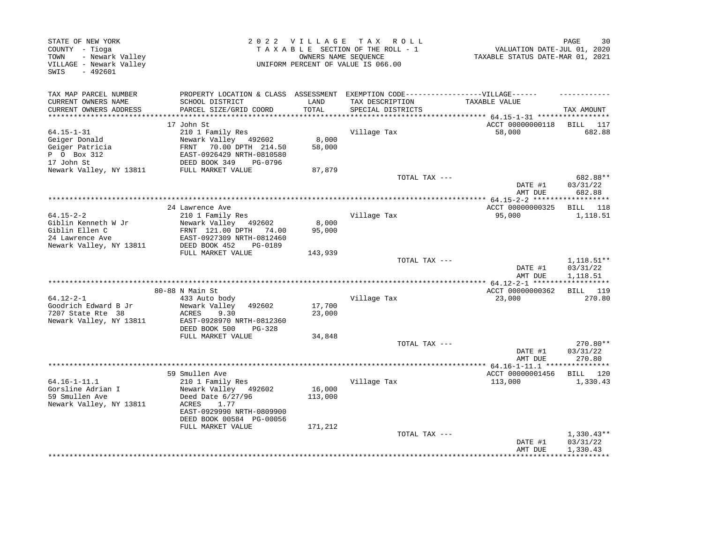| PROPERTY LOCATION & CLASS ASSESSMENT EXEMPTION CODE-----------------VILLAGE------<br>TAXABLE VALUE<br>SCHOOL DISTRICT<br>LAND<br>TAX DESCRIPTION<br>TOTAL<br>PARCEL SIZE/GRID COORD<br>SPECIAL DISTRICTS<br>TAX AMOUNT<br>***********************<br>*******************************<br>ACCT 00000000118<br>17 John St<br>BILL 117<br>$64.15 - 1 - 31$<br>Village Tax<br>682.88<br>210 1 Family Res<br>58,000<br>Newark Valley 492602<br>8,000<br>Geiger Donald<br>Geiger Patricia<br>70.00 DPTH 214.50<br>58,000<br>FRNT<br>P 0 Box 312<br>EAST-0926429 NRTH-0810580<br>17 John St<br>DEED BOOK 349<br>PG-0796<br>Newark Valley, NY 13811<br>FULL MARKET VALUE<br>87,879<br>TOTAL TAX ---<br>682.88**<br>DATE #1<br>03/31/22<br>682.88<br>AMT DUE<br>********************<br>** 64.15-2-2 *******************<br>24 Lawrence Ave<br>ACCT 00000000325<br>BILL 118<br>$64.15 - 2 - 2$<br>210 1 Family Res<br>Village Tax<br>95,000<br>1,118.51<br>8,000<br>Giblin Kenneth W Jr<br>Newark Valley 492602<br>Giblin Ellen C<br>95,000<br>FRNT 121.00 DPTH 74.00<br>24 Lawrence Ave<br>EAST-0927309 NRTH-0812460<br>Newark Valley, NY 13811<br>DEED BOOK 452<br>PG-0189<br>FULL MARKET VALUE<br>143,939<br>TOTAL TAX ---<br>$1,118.51**$<br>03/31/22<br>DATE #1<br>1,118.51<br>AMT DUE<br>80-88 N Main St<br>ACCT 00000000362<br>BILL 119<br>Village Tax<br>270.80<br>433 Auto body<br>23,000<br>Newark Valley<br>17,700<br>492602<br>23,000<br>ACRES<br>9.30<br>Newark Valley, NY 13811<br>EAST-0928970 NRTH-0812360<br>DEED BOOK 500<br>PG-328<br>34,848<br>FULL MARKET VALUE<br>270.80**<br>TOTAL TAX ---<br>DATE #1<br>03/31/22<br>270.80<br>AMT DUE<br>59 Smullen Ave<br>ACCT 00000001456<br>BILL 120<br>Village Tax<br>210 1 Family Res<br>113,000<br>1,330.43<br>16,000<br>Newark Valley 492602<br>Deed Date 6/27/96<br>113,000<br>1.77<br>ACRES<br>EAST-0929990 NRTH-0809900<br>DEED BOOK 00584 PG-00056<br>FULL MARKET VALUE<br>171,212<br>TOTAL TAX ---<br>$1,330.43**$ | STATE OF NEW YORK<br>COUNTY - Tioga<br>- Newark Valley<br>TOWN<br>VILLAGE - Newark Valley<br>$-492601$<br>SWIS | OWNERS NAME SEQUENCE | 2022 VILLAGE TAX ROLL<br>TAXABLE SECTION OF THE ROLL - 1<br>UNIFORM PERCENT OF VALUE IS 066.00 | VALUATION DATE-JUL 01, 2020<br>TAXABLE STATUS DATE-MAR 01, 2021 | PAGE<br>30 |
|------------------------------------------------------------------------------------------------------------------------------------------------------------------------------------------------------------------------------------------------------------------------------------------------------------------------------------------------------------------------------------------------------------------------------------------------------------------------------------------------------------------------------------------------------------------------------------------------------------------------------------------------------------------------------------------------------------------------------------------------------------------------------------------------------------------------------------------------------------------------------------------------------------------------------------------------------------------------------------------------------------------------------------------------------------------------------------------------------------------------------------------------------------------------------------------------------------------------------------------------------------------------------------------------------------------------------------------------------------------------------------------------------------------------------------------------------------------------------------------------------------------------------------------------------------------------------------------------------------------------------------------------------------------------------------------------------------------------------------------------------------------------------------------------------------------------------------------------------------------------------------------------------------------------------------------------------------------------------|----------------------------------------------------------------------------------------------------------------|----------------------|------------------------------------------------------------------------------------------------|-----------------------------------------------------------------|------------|
|                                                                                                                                                                                                                                                                                                                                                                                                                                                                                                                                                                                                                                                                                                                                                                                                                                                                                                                                                                                                                                                                                                                                                                                                                                                                                                                                                                                                                                                                                                                                                                                                                                                                                                                                                                                                                                                                                                                                                                              | TAX MAP PARCEL NUMBER                                                                                          |                      |                                                                                                |                                                                 |            |
|                                                                                                                                                                                                                                                                                                                                                                                                                                                                                                                                                                                                                                                                                                                                                                                                                                                                                                                                                                                                                                                                                                                                                                                                                                                                                                                                                                                                                                                                                                                                                                                                                                                                                                                                                                                                                                                                                                                                                                              | CURRENT OWNERS NAME                                                                                            |                      |                                                                                                |                                                                 |            |
|                                                                                                                                                                                                                                                                                                                                                                                                                                                                                                                                                                                                                                                                                                                                                                                                                                                                                                                                                                                                                                                                                                                                                                                                                                                                                                                                                                                                                                                                                                                                                                                                                                                                                                                                                                                                                                                                                                                                                                              | CURRENT OWNERS ADDRESS                                                                                         |                      |                                                                                                |                                                                 |            |
|                                                                                                                                                                                                                                                                                                                                                                                                                                                                                                                                                                                                                                                                                                                                                                                                                                                                                                                                                                                                                                                                                                                                                                                                                                                                                                                                                                                                                                                                                                                                                                                                                                                                                                                                                                                                                                                                                                                                                                              |                                                                                                                |                      |                                                                                                |                                                                 |            |
|                                                                                                                                                                                                                                                                                                                                                                                                                                                                                                                                                                                                                                                                                                                                                                                                                                                                                                                                                                                                                                                                                                                                                                                                                                                                                                                                                                                                                                                                                                                                                                                                                                                                                                                                                                                                                                                                                                                                                                              |                                                                                                                |                      |                                                                                                |                                                                 |            |
|                                                                                                                                                                                                                                                                                                                                                                                                                                                                                                                                                                                                                                                                                                                                                                                                                                                                                                                                                                                                                                                                                                                                                                                                                                                                                                                                                                                                                                                                                                                                                                                                                                                                                                                                                                                                                                                                                                                                                                              |                                                                                                                |                      |                                                                                                |                                                                 |            |
|                                                                                                                                                                                                                                                                                                                                                                                                                                                                                                                                                                                                                                                                                                                                                                                                                                                                                                                                                                                                                                                                                                                                                                                                                                                                                                                                                                                                                                                                                                                                                                                                                                                                                                                                                                                                                                                                                                                                                                              |                                                                                                                |                      |                                                                                                |                                                                 |            |
|                                                                                                                                                                                                                                                                                                                                                                                                                                                                                                                                                                                                                                                                                                                                                                                                                                                                                                                                                                                                                                                                                                                                                                                                                                                                                                                                                                                                                                                                                                                                                                                                                                                                                                                                                                                                                                                                                                                                                                              |                                                                                                                |                      |                                                                                                |                                                                 |            |
|                                                                                                                                                                                                                                                                                                                                                                                                                                                                                                                                                                                                                                                                                                                                                                                                                                                                                                                                                                                                                                                                                                                                                                                                                                                                                                                                                                                                                                                                                                                                                                                                                                                                                                                                                                                                                                                                                                                                                                              |                                                                                                                |                      |                                                                                                |                                                                 |            |
|                                                                                                                                                                                                                                                                                                                                                                                                                                                                                                                                                                                                                                                                                                                                                                                                                                                                                                                                                                                                                                                                                                                                                                                                                                                                                                                                                                                                                                                                                                                                                                                                                                                                                                                                                                                                                                                                                                                                                                              |                                                                                                                |                      |                                                                                                |                                                                 |            |
|                                                                                                                                                                                                                                                                                                                                                                                                                                                                                                                                                                                                                                                                                                                                                                                                                                                                                                                                                                                                                                                                                                                                                                                                                                                                                                                                                                                                                                                                                                                                                                                                                                                                                                                                                                                                                                                                                                                                                                              |                                                                                                                |                      |                                                                                                |                                                                 |            |
|                                                                                                                                                                                                                                                                                                                                                                                                                                                                                                                                                                                                                                                                                                                                                                                                                                                                                                                                                                                                                                                                                                                                                                                                                                                                                                                                                                                                                                                                                                                                                                                                                                                                                                                                                                                                                                                                                                                                                                              |                                                                                                                |                      |                                                                                                |                                                                 |            |
|                                                                                                                                                                                                                                                                                                                                                                                                                                                                                                                                                                                                                                                                                                                                                                                                                                                                                                                                                                                                                                                                                                                                                                                                                                                                                                                                                                                                                                                                                                                                                                                                                                                                                                                                                                                                                                                                                                                                                                              |                                                                                                                |                      |                                                                                                |                                                                 |            |
|                                                                                                                                                                                                                                                                                                                                                                                                                                                                                                                                                                                                                                                                                                                                                                                                                                                                                                                                                                                                                                                                                                                                                                                                                                                                                                                                                                                                                                                                                                                                                                                                                                                                                                                                                                                                                                                                                                                                                                              |                                                                                                                |                      |                                                                                                |                                                                 |            |
|                                                                                                                                                                                                                                                                                                                                                                                                                                                                                                                                                                                                                                                                                                                                                                                                                                                                                                                                                                                                                                                                                                                                                                                                                                                                                                                                                                                                                                                                                                                                                                                                                                                                                                                                                                                                                                                                                                                                                                              |                                                                                                                |                      |                                                                                                |                                                                 |            |
|                                                                                                                                                                                                                                                                                                                                                                                                                                                                                                                                                                                                                                                                                                                                                                                                                                                                                                                                                                                                                                                                                                                                                                                                                                                                                                                                                                                                                                                                                                                                                                                                                                                                                                                                                                                                                                                                                                                                                                              |                                                                                                                |                      |                                                                                                |                                                                 |            |
|                                                                                                                                                                                                                                                                                                                                                                                                                                                                                                                                                                                                                                                                                                                                                                                                                                                                                                                                                                                                                                                                                                                                                                                                                                                                                                                                                                                                                                                                                                                                                                                                                                                                                                                                                                                                                                                                                                                                                                              |                                                                                                                |                      |                                                                                                |                                                                 |            |
|                                                                                                                                                                                                                                                                                                                                                                                                                                                                                                                                                                                                                                                                                                                                                                                                                                                                                                                                                                                                                                                                                                                                                                                                                                                                                                                                                                                                                                                                                                                                                                                                                                                                                                                                                                                                                                                                                                                                                                              |                                                                                                                |                      |                                                                                                |                                                                 |            |
|                                                                                                                                                                                                                                                                                                                                                                                                                                                                                                                                                                                                                                                                                                                                                                                                                                                                                                                                                                                                                                                                                                                                                                                                                                                                                                                                                                                                                                                                                                                                                                                                                                                                                                                                                                                                                                                                                                                                                                              |                                                                                                                |                      |                                                                                                |                                                                 |            |
|                                                                                                                                                                                                                                                                                                                                                                                                                                                                                                                                                                                                                                                                                                                                                                                                                                                                                                                                                                                                                                                                                                                                                                                                                                                                                                                                                                                                                                                                                                                                                                                                                                                                                                                                                                                                                                                                                                                                                                              |                                                                                                                |                      |                                                                                                |                                                                 |            |
|                                                                                                                                                                                                                                                                                                                                                                                                                                                                                                                                                                                                                                                                                                                                                                                                                                                                                                                                                                                                                                                                                                                                                                                                                                                                                                                                                                                                                                                                                                                                                                                                                                                                                                                                                                                                                                                                                                                                                                              |                                                                                                                |                      |                                                                                                |                                                                 |            |
|                                                                                                                                                                                                                                                                                                                                                                                                                                                                                                                                                                                                                                                                                                                                                                                                                                                                                                                                                                                                                                                                                                                                                                                                                                                                                                                                                                                                                                                                                                                                                                                                                                                                                                                                                                                                                                                                                                                                                                              |                                                                                                                |                      |                                                                                                |                                                                 |            |
|                                                                                                                                                                                                                                                                                                                                                                                                                                                                                                                                                                                                                                                                                                                                                                                                                                                                                                                                                                                                                                                                                                                                                                                                                                                                                                                                                                                                                                                                                                                                                                                                                                                                                                                                                                                                                                                                                                                                                                              |                                                                                                                |                      |                                                                                                |                                                                 |            |
|                                                                                                                                                                                                                                                                                                                                                                                                                                                                                                                                                                                                                                                                                                                                                                                                                                                                                                                                                                                                                                                                                                                                                                                                                                                                                                                                                                                                                                                                                                                                                                                                                                                                                                                                                                                                                                                                                                                                                                              | $64.12 - 2 - 1$                                                                                                |                      |                                                                                                |                                                                 |            |
|                                                                                                                                                                                                                                                                                                                                                                                                                                                                                                                                                                                                                                                                                                                                                                                                                                                                                                                                                                                                                                                                                                                                                                                                                                                                                                                                                                                                                                                                                                                                                                                                                                                                                                                                                                                                                                                                                                                                                                              | Goodrich Edward B Jr                                                                                           |                      |                                                                                                |                                                                 |            |
|                                                                                                                                                                                                                                                                                                                                                                                                                                                                                                                                                                                                                                                                                                                                                                                                                                                                                                                                                                                                                                                                                                                                                                                                                                                                                                                                                                                                                                                                                                                                                                                                                                                                                                                                                                                                                                                                                                                                                                              | 7207 State Rte 38                                                                                              |                      |                                                                                                |                                                                 |            |
|                                                                                                                                                                                                                                                                                                                                                                                                                                                                                                                                                                                                                                                                                                                                                                                                                                                                                                                                                                                                                                                                                                                                                                                                                                                                                                                                                                                                                                                                                                                                                                                                                                                                                                                                                                                                                                                                                                                                                                              |                                                                                                                |                      |                                                                                                |                                                                 |            |
|                                                                                                                                                                                                                                                                                                                                                                                                                                                                                                                                                                                                                                                                                                                                                                                                                                                                                                                                                                                                                                                                                                                                                                                                                                                                                                                                                                                                                                                                                                                                                                                                                                                                                                                                                                                                                                                                                                                                                                              |                                                                                                                |                      |                                                                                                |                                                                 |            |
|                                                                                                                                                                                                                                                                                                                                                                                                                                                                                                                                                                                                                                                                                                                                                                                                                                                                                                                                                                                                                                                                                                                                                                                                                                                                                                                                                                                                                                                                                                                                                                                                                                                                                                                                                                                                                                                                                                                                                                              |                                                                                                                |                      |                                                                                                |                                                                 |            |
|                                                                                                                                                                                                                                                                                                                                                                                                                                                                                                                                                                                                                                                                                                                                                                                                                                                                                                                                                                                                                                                                                                                                                                                                                                                                                                                                                                                                                                                                                                                                                                                                                                                                                                                                                                                                                                                                                                                                                                              |                                                                                                                |                      |                                                                                                |                                                                 |            |
|                                                                                                                                                                                                                                                                                                                                                                                                                                                                                                                                                                                                                                                                                                                                                                                                                                                                                                                                                                                                                                                                                                                                                                                                                                                                                                                                                                                                                                                                                                                                                                                                                                                                                                                                                                                                                                                                                                                                                                              |                                                                                                                |                      |                                                                                                |                                                                 |            |
|                                                                                                                                                                                                                                                                                                                                                                                                                                                                                                                                                                                                                                                                                                                                                                                                                                                                                                                                                                                                                                                                                                                                                                                                                                                                                                                                                                                                                                                                                                                                                                                                                                                                                                                                                                                                                                                                                                                                                                              |                                                                                                                |                      |                                                                                                |                                                                 |            |
|                                                                                                                                                                                                                                                                                                                                                                                                                                                                                                                                                                                                                                                                                                                                                                                                                                                                                                                                                                                                                                                                                                                                                                                                                                                                                                                                                                                                                                                                                                                                                                                                                                                                                                                                                                                                                                                                                                                                                                              |                                                                                                                |                      |                                                                                                |                                                                 |            |
|                                                                                                                                                                                                                                                                                                                                                                                                                                                                                                                                                                                                                                                                                                                                                                                                                                                                                                                                                                                                                                                                                                                                                                                                                                                                                                                                                                                                                                                                                                                                                                                                                                                                                                                                                                                                                                                                                                                                                                              | $64.16 - 1 - 11.1$                                                                                             |                      |                                                                                                |                                                                 |            |
|                                                                                                                                                                                                                                                                                                                                                                                                                                                                                                                                                                                                                                                                                                                                                                                                                                                                                                                                                                                                                                                                                                                                                                                                                                                                                                                                                                                                                                                                                                                                                                                                                                                                                                                                                                                                                                                                                                                                                                              | Gorsline Adrian I                                                                                              |                      |                                                                                                |                                                                 |            |
|                                                                                                                                                                                                                                                                                                                                                                                                                                                                                                                                                                                                                                                                                                                                                                                                                                                                                                                                                                                                                                                                                                                                                                                                                                                                                                                                                                                                                                                                                                                                                                                                                                                                                                                                                                                                                                                                                                                                                                              | 59 Smullen Ave                                                                                                 |                      |                                                                                                |                                                                 |            |
|                                                                                                                                                                                                                                                                                                                                                                                                                                                                                                                                                                                                                                                                                                                                                                                                                                                                                                                                                                                                                                                                                                                                                                                                                                                                                                                                                                                                                                                                                                                                                                                                                                                                                                                                                                                                                                                                                                                                                                              | Newark Valley, NY 13811                                                                                        |                      |                                                                                                |                                                                 |            |
|                                                                                                                                                                                                                                                                                                                                                                                                                                                                                                                                                                                                                                                                                                                                                                                                                                                                                                                                                                                                                                                                                                                                                                                                                                                                                                                                                                                                                                                                                                                                                                                                                                                                                                                                                                                                                                                                                                                                                                              |                                                                                                                |                      |                                                                                                |                                                                 |            |
|                                                                                                                                                                                                                                                                                                                                                                                                                                                                                                                                                                                                                                                                                                                                                                                                                                                                                                                                                                                                                                                                                                                                                                                                                                                                                                                                                                                                                                                                                                                                                                                                                                                                                                                                                                                                                                                                                                                                                                              |                                                                                                                |                      |                                                                                                |                                                                 |            |
|                                                                                                                                                                                                                                                                                                                                                                                                                                                                                                                                                                                                                                                                                                                                                                                                                                                                                                                                                                                                                                                                                                                                                                                                                                                                                                                                                                                                                                                                                                                                                                                                                                                                                                                                                                                                                                                                                                                                                                              |                                                                                                                |                      |                                                                                                |                                                                 |            |
| 03/31/22                                                                                                                                                                                                                                                                                                                                                                                                                                                                                                                                                                                                                                                                                                                                                                                                                                                                                                                                                                                                                                                                                                                                                                                                                                                                                                                                                                                                                                                                                                                                                                                                                                                                                                                                                                                                                                                                                                                                                                     |                                                                                                                |                      |                                                                                                |                                                                 |            |
| DATE #1<br>AMT DUE<br>1,330.43                                                                                                                                                                                                                                                                                                                                                                                                                                                                                                                                                                                                                                                                                                                                                                                                                                                                                                                                                                                                                                                                                                                                                                                                                                                                                                                                                                                                                                                                                                                                                                                                                                                                                                                                                                                                                                                                                                                                               |                                                                                                                |                      |                                                                                                |                                                                 |            |
| **********                                                                                                                                                                                                                                                                                                                                                                                                                                                                                                                                                                                                                                                                                                                                                                                                                                                                                                                                                                                                                                                                                                                                                                                                                                                                                                                                                                                                                                                                                                                                                                                                                                                                                                                                                                                                                                                                                                                                                                   |                                                                                                                |                      |                                                                                                |                                                                 |            |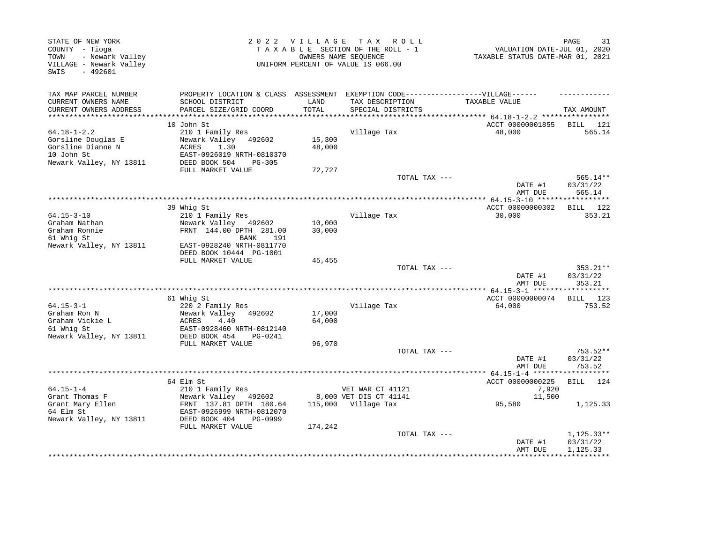| STATE OF NEW YORK<br>COUNTY - Tioga<br>- Newark Valley<br>TOWN<br>VILLAGE - Newark Valley<br>$-492601$<br>SWIS |                                                                                   |               | 2022 VILLAGE TAX ROLL<br>TAXABLE SECTION OF THE ROLL - 1<br>OWNERS NAME SEQUENCE<br>UNIFORM PERCENT OF VALUE IS 066.00 | VALUATION DATE-JUL 01, 2020<br>TAXABLE STATUS DATE-MAR 01, 2021 | PAGE<br>31           |
|----------------------------------------------------------------------------------------------------------------|-----------------------------------------------------------------------------------|---------------|------------------------------------------------------------------------------------------------------------------------|-----------------------------------------------------------------|----------------------|
| TAX MAP PARCEL NUMBER                                                                                          | PROPERTY LOCATION & CLASS ASSESSMENT EXEMPTION CODE-----------------VILLAGE------ |               |                                                                                                                        |                                                                 |                      |
| CURRENT OWNERS NAME<br>CURRENT OWNERS ADDRESS                                                                  | SCHOOL DISTRICT<br>PARCEL SIZE/GRID COORD                                         | LAND<br>TOTAL | TAX DESCRIPTION<br>SPECIAL DISTRICTS                                                                                   | TAXABLE VALUE                                                   | TAX AMOUNT           |
| ***********************                                                                                        |                                                                                   |               |                                                                                                                        |                                                                 |                      |
|                                                                                                                | 10 John St                                                                        |               |                                                                                                                        | ACCT 00000001855                                                | BILL 121             |
| $64.18 - 1 - 2.2$                                                                                              | 210 1 Family Res                                                                  |               | Village Tax                                                                                                            | 48,000                                                          | 565.14               |
| Gorsline Douglas E                                                                                             | Newark Valley 492602                                                              | 15,300        |                                                                                                                        |                                                                 |                      |
| Gorsline Dianne N<br>10 John St                                                                                | 1.30<br>ACRES                                                                     | 48,000        |                                                                                                                        |                                                                 |                      |
| Newark Valley, NY 13811                                                                                        | EAST-0926019 NRTH-0810370<br>DEED BOOK 504<br>$PG-305$                            |               |                                                                                                                        |                                                                 |                      |
|                                                                                                                | FULL MARKET VALUE                                                                 | 72,727        |                                                                                                                        |                                                                 |                      |
|                                                                                                                |                                                                                   |               | TOTAL TAX ---                                                                                                          |                                                                 | 565.14**             |
|                                                                                                                |                                                                                   |               |                                                                                                                        | DATE #1                                                         | 03/31/22             |
|                                                                                                                | * * * * * * * * * * * *                                                           |               | ******************************                                                                                         | AMT DUE                                                         | 565.14               |
|                                                                                                                | 39 Whig St                                                                        |               |                                                                                                                        | ********** 64.15-3-10 ******************<br>ACCT 00000000302    | BILL 122             |
| $64.15 - 3 - 10$                                                                                               | 210 1 Family Res                                                                  |               | Village Tax                                                                                                            | 30,000                                                          | 353.21               |
| Graham Nathan                                                                                                  | Newark Valley 492602                                                              | 10,000        |                                                                                                                        |                                                                 |                      |
| Graham Ronnie                                                                                                  | FRNT 144.00 DPTH 281.00                                                           | 30,000        |                                                                                                                        |                                                                 |                      |
| 61 Whig St                                                                                                     | <b>BANK</b><br>191                                                                |               |                                                                                                                        |                                                                 |                      |
| Newark Valley, NY 13811                                                                                        | EAST-0928240 NRTH-0811770                                                         |               |                                                                                                                        |                                                                 |                      |
|                                                                                                                | DEED BOOK 10444 PG-1001<br>FULL MARKET VALUE                                      | 45,455        |                                                                                                                        |                                                                 |                      |
|                                                                                                                |                                                                                   |               | TOTAL TAX ---                                                                                                          |                                                                 | 353.21**             |
|                                                                                                                |                                                                                   |               |                                                                                                                        | DATE #1<br>AMT DUE                                              | 03/31/22<br>353.21   |
|                                                                                                                |                                                                                   |               |                                                                                                                        |                                                                 |                      |
| $64.15 - 3 - 1$                                                                                                | 61 Whiq St                                                                        |               |                                                                                                                        | ACCT 00000000074                                                | BILL 123             |
| Graham Ron N                                                                                                   | 220 2 Family Res<br>Newark Valley 492602                                          | 17,000        | Village Tax                                                                                                            | 64,000                                                          | 753.52               |
| Graham Vickie L                                                                                                | ACRES<br>4.40                                                                     | 64,000        |                                                                                                                        |                                                                 |                      |
| 61 Whig St                                                                                                     | EAST-0928460 NRTH-0812140                                                         |               |                                                                                                                        |                                                                 |                      |
| Newark Valley, NY 13811                                                                                        | DEED BOOK 454<br>PG-0241                                                          |               |                                                                                                                        |                                                                 |                      |
|                                                                                                                | FULL MARKET VALUE                                                                 | 96,970        |                                                                                                                        |                                                                 |                      |
|                                                                                                                |                                                                                   |               | TOTAL TAX ---                                                                                                          | DATE #1                                                         | 753.52**<br>03/31/22 |
|                                                                                                                |                                                                                   |               |                                                                                                                        | AMT DUE                                                         | 753.52               |
|                                                                                                                |                                                                                   |               |                                                                                                                        |                                                                 |                      |
|                                                                                                                | 64 Elm St                                                                         |               |                                                                                                                        | ACCT 00000000225                                                | 124<br>BILL          |
| $64.15 - 1 - 4$                                                                                                | 210 1 Family Res                                                                  |               | VET WAR CT 41121                                                                                                       | 7,920                                                           |                      |
| Grant Thomas F                                                                                                 | Newark Valley 492602                                                              |               | 8,000 VET DIS CT 41141                                                                                                 | 11,500                                                          |                      |
| Grant Mary Ellen<br>64 Elm St                                                                                  | FRNT 137.81 DPTH 180.64<br>EAST-0926999 NRTH-0812070                              |               | 115,000 Village Tax                                                                                                    | 95,580                                                          | 1,125.33             |
| Newark Valley, NY 13811                                                                                        | DEED BOOK 404<br>PG-0999                                                          |               |                                                                                                                        |                                                                 |                      |
|                                                                                                                | FULL MARKET VALUE                                                                 | 174,242       |                                                                                                                        |                                                                 |                      |
|                                                                                                                |                                                                                   |               | TOTAL TAX ---                                                                                                          |                                                                 | 1,125.33**           |
|                                                                                                                |                                                                                   |               |                                                                                                                        | DATE #1                                                         | 03/31/22             |
|                                                                                                                |                                                                                   |               |                                                                                                                        | AMT DUE                                                         | 1,125.33             |
|                                                                                                                |                                                                                   |               |                                                                                                                        |                                                                 |                      |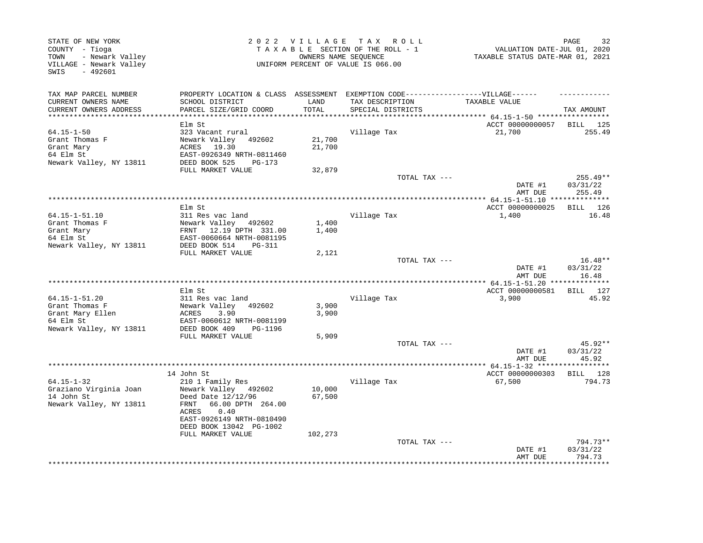|                                                                                                                                                                                    |                                                                                                                              |                           |                                                                                                                                                                                                                        | 32<br>PAGE                                                                                                                                                                                                                                                                                                                                                         |
|------------------------------------------------------------------------------------------------------------------------------------------------------------------------------------|------------------------------------------------------------------------------------------------------------------------------|---------------------------|------------------------------------------------------------------------------------------------------------------------------------------------------------------------------------------------------------------------|--------------------------------------------------------------------------------------------------------------------------------------------------------------------------------------------------------------------------------------------------------------------------------------------------------------------------------------------------------------------|
| SCHOOL DISTRICT                                                                                                                                                                    | LAND                                                                                                                         | TAX DESCRIPTION           | TAXABLE VALUE                                                                                                                                                                                                          | TAX AMOUNT                                                                                                                                                                                                                                                                                                                                                         |
|                                                                                                                                                                                    |                                                                                                                              |                           |                                                                                                                                                                                                                        |                                                                                                                                                                                                                                                                                                                                                                    |
| Elm St<br>323 Vacant rural<br>Newark Valley 492602<br>ACRES 19.30<br>EAST-0926349 NRTH-0811460                                                                                     | 21,700<br>21,700                                                                                                             | Village Tax               | 21,700                                                                                                                                                                                                                 | BILL 125<br>255.49                                                                                                                                                                                                                                                                                                                                                 |
| FULL MARKET VALUE                                                                                                                                                                  | 32,879                                                                                                                       |                           |                                                                                                                                                                                                                        |                                                                                                                                                                                                                                                                                                                                                                    |
|                                                                                                                                                                                    |                                                                                                                              |                           | DATE #1                                                                                                                                                                                                                | $255.49**$<br>03/31/22<br>255.49                                                                                                                                                                                                                                                                                                                                   |
|                                                                                                                                                                                    |                                                                                                                              |                           |                                                                                                                                                                                                                        |                                                                                                                                                                                                                                                                                                                                                                    |
| Elm St<br>311 Res vac land<br>Newark Valley 492602                                                                                                                                 | 1,400                                                                                                                        | Village Tax               | ACCT 00000000025<br>1,400                                                                                                                                                                                              | BILL 126<br>16.48                                                                                                                                                                                                                                                                                                                                                  |
| EAST-0060664 NRTH-0081195<br>DEED BOOK 514<br>PG-311                                                                                                                               |                                                                                                                              |                           |                                                                                                                                                                                                                        |                                                                                                                                                                                                                                                                                                                                                                    |
| FULL MARKET VALUE                                                                                                                                                                  | 2,121                                                                                                                        |                           | DATE #1                                                                                                                                                                                                                | $16.48**$<br>03/31/22                                                                                                                                                                                                                                                                                                                                              |
|                                                                                                                                                                                    |                                                                                                                              |                           |                                                                                                                                                                                                                        | 16.48                                                                                                                                                                                                                                                                                                                                                              |
| Elm St<br>311 Res vac land                                                                                                                                                         |                                                                                                                              | Village Tax               | ACCT 00000000581<br>3,900                                                                                                                                                                                              | BILL 127<br>45.92                                                                                                                                                                                                                                                                                                                                                  |
| Newark Valley<br>492602<br>ACRES<br>3.90<br>EAST-0060612 NRTH-0081199                                                                                                              | 3,900<br>3,900                                                                                                               |                           |                                                                                                                                                                                                                        |                                                                                                                                                                                                                                                                                                                                                                    |
| FULL MARKET VALUE                                                                                                                                                                  | 5,909                                                                                                                        |                           |                                                                                                                                                                                                                        |                                                                                                                                                                                                                                                                                                                                                                    |
|                                                                                                                                                                                    |                                                                                                                              |                           | DATE #1                                                                                                                                                                                                                | $45.92**$<br>03/31/22<br>45.92                                                                                                                                                                                                                                                                                                                                     |
|                                                                                                                                                                                    |                                                                                                                              |                           |                                                                                                                                                                                                                        |                                                                                                                                                                                                                                                                                                                                                                    |
| 14 John St<br>210 1 Family Res<br>Newark Valley 492602<br>Deed Date 12/12/96<br>66.00 DPTH 264.00<br>FRNT<br>0.40<br>ACRES<br>EAST-0926149 NRTH-0810490<br>DEED BOOK 13042 PG-1002 | 10,000<br>67,500                                                                                                             | Village Tax               | ACCT 00000000303<br>67,500                                                                                                                                                                                             | BILL 128<br>794.73                                                                                                                                                                                                                                                                                                                                                 |
|                                                                                                                                                                                    |                                                                                                                              |                           | DATE #1<br>AMT DUE                                                                                                                                                                                                     | 794.73**<br>03/31/22<br>794.73                                                                                                                                                                                                                                                                                                                                     |
|                                                                                                                                                                                    | PARCEL SIZE/GRID COORD<br>DEED BOOK 525<br>PG-173<br>FRNT 12.19 DPTH 331.00<br>DEED BOOK 409<br>PG-1196<br>FULL MARKET VALUE | TOTAL<br>1,400<br>102,273 | 2022 VILLAGE TAX ROLL<br>TAXABLE SECTION OF THE ROLL - 1<br>OWNERS NAME SEQUENCE<br>UNIFORM PERCENT OF VALUE IS 066.00<br>SPECIAL DISTRICTS<br>*************************************<br>****************************** | VALUATION DATE-JUL 01, 2020<br>TAXABLE STATUS DATE-MAR 01, 2021<br>PROPERTY LOCATION & CLASS ASSESSMENT EXEMPTION CODE-----------------VILLAGE------<br>ACCT 00000000057<br>TOTAL TAX ---<br>AMT DUE<br>********** 64.15-1-51.10 ***************<br>TOTAL TAX ---<br>AMT DUE<br>******** 64.15-1-51.20 **************<br>TOTAL TAX ---<br>AMT DUE<br>TOTAL TAX --- |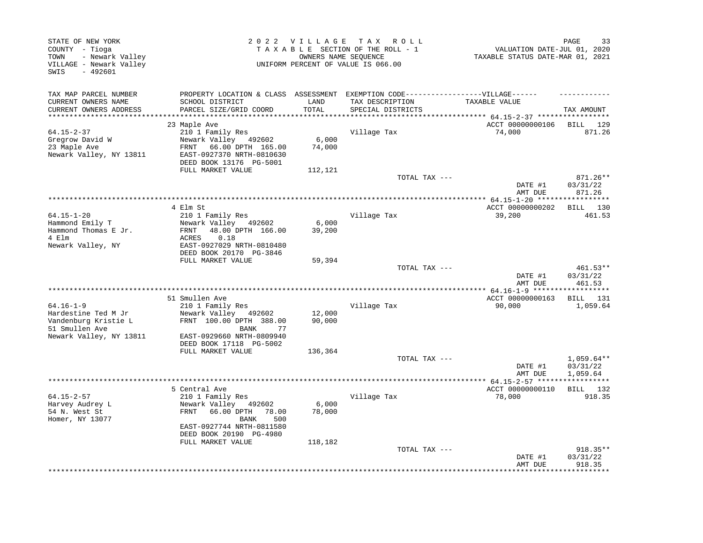| STATE OF NEW YORK<br>COUNTY - Tioga<br>- Newark Valley<br>TOWN<br>VILLAGE - Newark Valley<br>$-492601$<br>SWIS |                                                                                        | 2022 VILLAGE    | T A X<br>R O L L<br>TAXABLE SECTION OF THE ROLL - 1<br>OWNERS NAME SEQUENCE<br>UNIFORM PERCENT OF VALUE IS 066.00 | VALUATION DATE-JUL 01, 2020<br>TAXABLE STATUS DATE-MAR 01, 2021 | 33<br>PAGE                           |
|----------------------------------------------------------------------------------------------------------------|----------------------------------------------------------------------------------------|-----------------|-------------------------------------------------------------------------------------------------------------------|-----------------------------------------------------------------|--------------------------------------|
| TAX MAP PARCEL NUMBER                                                                                          | PROPERTY LOCATION & CLASS ASSESSMENT                                                   |                 | EXEMPTION CODE------------------VILLAGE------                                                                     |                                                                 |                                      |
| CURRENT OWNERS NAME<br>CURRENT OWNERS ADDRESS<br>*************************                                     | SCHOOL DISTRICT<br>PARCEL SIZE/GRID COORD                                              | LAND<br>TOTAL   | TAX DESCRIPTION<br>SPECIAL DISTRICTS                                                                              | TAXABLE VALUE                                                   | TAX AMOUNT                           |
|                                                                                                                | 23 Maple Ave                                                                           |                 |                                                                                                                   | ACCT 00000000106                                                | <b>BILL</b><br>129                   |
| $64.15 - 2 - 37$                                                                                               | 210 1 Family Res                                                                       |                 | Village Tax                                                                                                       | 74,000                                                          | 871.26                               |
| Gregrow David W<br>23 Maple Ave<br>Newark Valley, NY 13811                                                     | Newark Valley 492602<br>66.00 DPTH 165.00<br>FRNT<br>EAST-0927370 NRTH-0810630         | 6,000<br>74,000 |                                                                                                                   |                                                                 |                                      |
|                                                                                                                | DEED BOOK 13176 PG-5001                                                                |                 |                                                                                                                   |                                                                 |                                      |
|                                                                                                                | FULL MARKET VALUE                                                                      | 112,121         | TOTAL TAX ---                                                                                                     | DATE #1                                                         | 871.26**<br>03/31/22                 |
|                                                                                                                |                                                                                        |                 |                                                                                                                   | AMT DUE                                                         | 871.26                               |
|                                                                                                                |                                                                                        |                 | *****************************                                                                                     | ************ 64.15-1-20 *****                                   |                                      |
| $64.15 - 1 - 20$                                                                                               | 4 Elm St<br>210 1 Family Res                                                           |                 | Village Tax                                                                                                       | ACCT 00000000202<br>39,200                                      | BILL 130<br>461.53                   |
| Hammond Emily T                                                                                                | Newark Valley 492602                                                                   | 6,000           |                                                                                                                   |                                                                 |                                      |
| Hammond Thomas E Jr.                                                                                           | 48.00 DPTH 166.00<br>FRNT                                                              | 39,200          |                                                                                                                   |                                                                 |                                      |
| 4 Elm                                                                                                          | ACRES<br>0.18                                                                          |                 |                                                                                                                   |                                                                 |                                      |
| Newark Valley, NY                                                                                              | EAST-0927029 NRTH-0810480<br>DEED BOOK 20170 PG-3846                                   |                 |                                                                                                                   |                                                                 |                                      |
|                                                                                                                | FULL MARKET VALUE                                                                      | 59,394          | TOTAL TAX ---                                                                                                     |                                                                 | $461.53**$                           |
|                                                                                                                |                                                                                        |                 |                                                                                                                   | DATE #1<br>AMT DUE                                              | 03/31/22<br>461.53                   |
|                                                                                                                |                                                                                        |                 |                                                                                                                   | ********** 64.16-1-9 *****                                      | ********                             |
| $64.16 - 1 - 9$                                                                                                | 51 Smullen Ave<br>210 1 Family Res                                                     |                 | Village Tax                                                                                                       | ACCT 00000000163<br>90,000                                      | BILL 131<br>1,059.64                 |
| Hardestine Ted M Jr                                                                                            | Newark Valley 492602                                                                   | 12,000          |                                                                                                                   |                                                                 |                                      |
| Vandenburg Kristie L<br>51 Smullen Ave                                                                         | FRNT 100.00 DPTH 388.00<br><b>BANK</b><br>77                                           | 90,000          |                                                                                                                   |                                                                 |                                      |
| Newark Valley, NY 13811                                                                                        | EAST-0929660 NRTH-0809940<br>DEED BOOK 17118 PG-5002                                   |                 |                                                                                                                   |                                                                 |                                      |
|                                                                                                                | FULL MARKET VALUE                                                                      | 136,364         |                                                                                                                   |                                                                 |                                      |
|                                                                                                                |                                                                                        |                 | TOTAL TAX ---                                                                                                     | DATE #1<br>AMT DUE                                              | $1,059.64**$<br>03/31/22<br>1,059.64 |
|                                                                                                                | ***********                                                                            |                 | *******************************                                                                                   | ***** 64.15-2-57 ******                                         |                                      |
|                                                                                                                | 5 Central Ave                                                                          |                 |                                                                                                                   | ACCT 00000000110                                                | BILL 132                             |
| $64.15 - 2 - 57$<br>Harvey Audrey L<br>54 N. West St<br>Homer, NY 13077                                        | 210 1 Family Res<br>Newark Valley 492602<br>FRNT<br>66.00 DPTH<br>78.00<br>500<br>BANK | 6,000<br>78,000 | Village Tax                                                                                                       | 78,000                                                          | 918.35                               |
|                                                                                                                | EAST-0927744 NRTH-0811580<br>DEED BOOK 20190 PG-4980                                   |                 |                                                                                                                   |                                                                 |                                      |
|                                                                                                                | FULL MARKET VALUE                                                                      | 118,182         | TOTAL TAX ---                                                                                                     |                                                                 | 918.35**                             |
|                                                                                                                |                                                                                        |                 |                                                                                                                   | DATE #1<br>AMT DUE                                              | 03/31/22<br>918.35                   |
|                                                                                                                |                                                                                        |                 |                                                                                                                   |                                                                 | *******                              |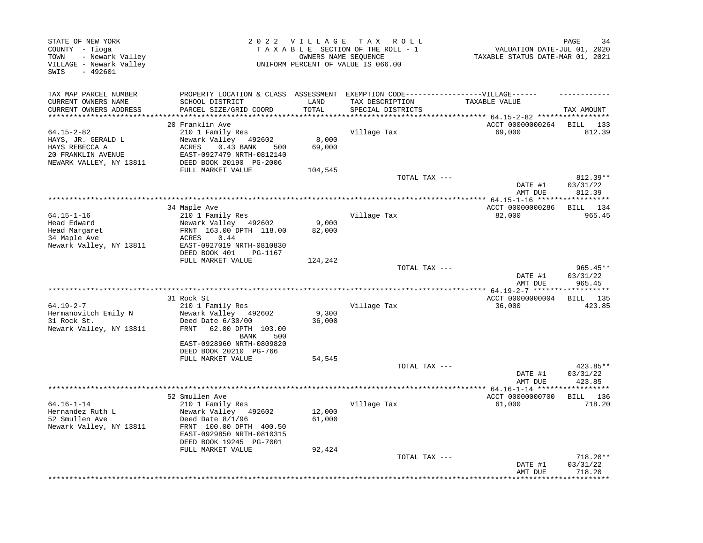| EXEMPTION CODE------------------VILLAGE------<br>TAX MAP PARCEL NUMBER<br>PROPERTY LOCATION & CLASS ASSESSMENT<br>CURRENT OWNERS NAME<br>SCHOOL DISTRICT<br>LAND<br>TAX DESCRIPTION<br>TAXABLE VALUE<br>CURRENT OWNERS ADDRESS<br>PARCEL SIZE/GRID COORD<br>TOTAL<br>SPECIAL DISTRICTS<br>TAX AMOUNT<br>**********************<br>20 Franklin Ave<br>ACCT 00000000264<br>BILL 133<br>$64.15 - 2 - 82$<br>210 1 Family Res<br>Village Tax<br>69,000<br>812.39<br>Newark Valley 492602<br>8,000<br>HAYS, JR. GERALD L<br>69,000<br>HAYS REBECCA A<br>$0.43$ BANK<br>ACRES<br>500<br>20 FRANKLIN AVENUE<br>EAST-0927479 NRTH-0812140<br>NEWARK VALLEY, NY 13811<br>DEED BOOK 20190 PG-2006<br>FULL MARKET VALUE<br>104,545<br>812.39**<br>TOTAL TAX ---<br>03/31/22<br>DATE #1<br>812.39<br>AMT DUE<br>* * * * * * * * * *<br>ACCT 00000000286<br>34 Maple Ave<br>BILL 134<br>$64.15 - 1 - 16$<br>210 1 Family Res<br>Village Tax<br>82,000<br>965.45<br>9,000<br>Head Edward<br>Newark Valley 492602<br>Head Margaret<br>FRNT 163.00 DPTH 118.00<br>82,000<br>34 Maple Ave<br>ACRES<br>0.44<br>Newark Valley, NY 13811<br>EAST-0927019 NRTH-0810830<br>DEED BOOK 401<br>PG-1167<br>FULL MARKET VALUE<br>124,242<br>TOTAL TAX ---<br>$965.45**$<br>DATE #1<br>03/31/22<br>AMT DUE<br>965.45<br>ACCT 00000000004<br>BILL 135<br>31 Rock St<br>$64.19 - 2 - 7$<br>36,000<br>423.85<br>210 1 Family Res<br>Village Tax<br>Hermanovitch Emily N<br>Newark Valley 492602<br>9,300<br>31 Rock St.<br>Deed Date 6/30/00<br>36,000<br>Newark Valley, NY 13811<br>62.00 DPTH 103.00<br>FRNT<br>BANK<br>500<br>EAST-0928960 NRTH-0809820<br>DEED BOOK 20210 PG-766<br>FULL MARKET VALUE<br>54,545<br>TOTAL TAX ---<br>423.85**<br>DATE #1<br>03/31/22<br>423.85<br>AMT DUE<br>52 Smullen Ave<br>ACCT 00000000700<br>BILL 136<br>$64.16 - 1 - 14$<br>Village Tax<br>61,000<br>210 1 Family Res<br>718.20<br>Hernandez Ruth L<br>Newark Valley 492602<br>12,000<br>52 Smullen Ave<br>Deed Date $8/1/96$<br>61,000<br>Newark Valley, NY 13811<br>FRNT 100.00 DPTH 400.50<br>EAST-0929850 NRTH-0810315<br>DEED BOOK 19245 PG-7001<br>FULL MARKET VALUE<br>92,424<br>718.20**<br>TOTAL TAX ---<br>DATE #1<br>03/31/22<br>AMT DUE<br>718.20 | STATE OF NEW YORK<br>COUNTY - Tioga<br>- Newark Valley<br>TOWN<br>VILLAGE - Newark Valley<br>$-492601$<br>SWIS |  | 2022 VILLAGE TAX ROLL<br>TAXABLE SECTION OF THE ROLL - 1<br>OWNERS NAME SEQUENCE<br>UNIFORM PERCENT OF VALUE IS 066.00 | VALUATION DATE-JUL 01, 2020<br>TAXABLE STATUS DATE-MAR 01, 2021 | PAGE<br>34 |
|--------------------------------------------------------------------------------------------------------------------------------------------------------------------------------------------------------------------------------------------------------------------------------------------------------------------------------------------------------------------------------------------------------------------------------------------------------------------------------------------------------------------------------------------------------------------------------------------------------------------------------------------------------------------------------------------------------------------------------------------------------------------------------------------------------------------------------------------------------------------------------------------------------------------------------------------------------------------------------------------------------------------------------------------------------------------------------------------------------------------------------------------------------------------------------------------------------------------------------------------------------------------------------------------------------------------------------------------------------------------------------------------------------------------------------------------------------------------------------------------------------------------------------------------------------------------------------------------------------------------------------------------------------------------------------------------------------------------------------------------------------------------------------------------------------------------------------------------------------------------------------------------------------------------------------------------------------------------------------------------------------------------------------------------------------------------------------------------------------------------------------------------------------------------------------------------------------------------------|----------------------------------------------------------------------------------------------------------------|--|------------------------------------------------------------------------------------------------------------------------|-----------------------------------------------------------------|------------|
|                                                                                                                                                                                                                                                                                                                                                                                                                                                                                                                                                                                                                                                                                                                                                                                                                                                                                                                                                                                                                                                                                                                                                                                                                                                                                                                                                                                                                                                                                                                                                                                                                                                                                                                                                                                                                                                                                                                                                                                                                                                                                                                                                                                                                          |                                                                                                                |  |                                                                                                                        |                                                                 |            |
|                                                                                                                                                                                                                                                                                                                                                                                                                                                                                                                                                                                                                                                                                                                                                                                                                                                                                                                                                                                                                                                                                                                                                                                                                                                                                                                                                                                                                                                                                                                                                                                                                                                                                                                                                                                                                                                                                                                                                                                                                                                                                                                                                                                                                          |                                                                                                                |  |                                                                                                                        |                                                                 |            |
|                                                                                                                                                                                                                                                                                                                                                                                                                                                                                                                                                                                                                                                                                                                                                                                                                                                                                                                                                                                                                                                                                                                                                                                                                                                                                                                                                                                                                                                                                                                                                                                                                                                                                                                                                                                                                                                                                                                                                                                                                                                                                                                                                                                                                          |                                                                                                                |  |                                                                                                                        |                                                                 |            |
|                                                                                                                                                                                                                                                                                                                                                                                                                                                                                                                                                                                                                                                                                                                                                                                                                                                                                                                                                                                                                                                                                                                                                                                                                                                                                                                                                                                                                                                                                                                                                                                                                                                                                                                                                                                                                                                                                                                                                                                                                                                                                                                                                                                                                          |                                                                                                                |  |                                                                                                                        |                                                                 |            |
|                                                                                                                                                                                                                                                                                                                                                                                                                                                                                                                                                                                                                                                                                                                                                                                                                                                                                                                                                                                                                                                                                                                                                                                                                                                                                                                                                                                                                                                                                                                                                                                                                                                                                                                                                                                                                                                                                                                                                                                                                                                                                                                                                                                                                          |                                                                                                                |  |                                                                                                                        |                                                                 |            |
|                                                                                                                                                                                                                                                                                                                                                                                                                                                                                                                                                                                                                                                                                                                                                                                                                                                                                                                                                                                                                                                                                                                                                                                                                                                                                                                                                                                                                                                                                                                                                                                                                                                                                                                                                                                                                                                                                                                                                                                                                                                                                                                                                                                                                          |                                                                                                                |  |                                                                                                                        |                                                                 |            |
|                                                                                                                                                                                                                                                                                                                                                                                                                                                                                                                                                                                                                                                                                                                                                                                                                                                                                                                                                                                                                                                                                                                                                                                                                                                                                                                                                                                                                                                                                                                                                                                                                                                                                                                                                                                                                                                                                                                                                                                                                                                                                                                                                                                                                          |                                                                                                                |  |                                                                                                                        |                                                                 |            |
|                                                                                                                                                                                                                                                                                                                                                                                                                                                                                                                                                                                                                                                                                                                                                                                                                                                                                                                                                                                                                                                                                                                                                                                                                                                                                                                                                                                                                                                                                                                                                                                                                                                                                                                                                                                                                                                                                                                                                                                                                                                                                                                                                                                                                          |                                                                                                                |  |                                                                                                                        |                                                                 |            |
|                                                                                                                                                                                                                                                                                                                                                                                                                                                                                                                                                                                                                                                                                                                                                                                                                                                                                                                                                                                                                                                                                                                                                                                                                                                                                                                                                                                                                                                                                                                                                                                                                                                                                                                                                                                                                                                                                                                                                                                                                                                                                                                                                                                                                          |                                                                                                                |  |                                                                                                                        |                                                                 |            |
|                                                                                                                                                                                                                                                                                                                                                                                                                                                                                                                                                                                                                                                                                                                                                                                                                                                                                                                                                                                                                                                                                                                                                                                                                                                                                                                                                                                                                                                                                                                                                                                                                                                                                                                                                                                                                                                                                                                                                                                                                                                                                                                                                                                                                          |                                                                                                                |  |                                                                                                                        |                                                                 |            |
|                                                                                                                                                                                                                                                                                                                                                                                                                                                                                                                                                                                                                                                                                                                                                                                                                                                                                                                                                                                                                                                                                                                                                                                                                                                                                                                                                                                                                                                                                                                                                                                                                                                                                                                                                                                                                                                                                                                                                                                                                                                                                                                                                                                                                          |                                                                                                                |  |                                                                                                                        |                                                                 |            |
|                                                                                                                                                                                                                                                                                                                                                                                                                                                                                                                                                                                                                                                                                                                                                                                                                                                                                                                                                                                                                                                                                                                                                                                                                                                                                                                                                                                                                                                                                                                                                                                                                                                                                                                                                                                                                                                                                                                                                                                                                                                                                                                                                                                                                          |                                                                                                                |  |                                                                                                                        |                                                                 |            |
|                                                                                                                                                                                                                                                                                                                                                                                                                                                                                                                                                                                                                                                                                                                                                                                                                                                                                                                                                                                                                                                                                                                                                                                                                                                                                                                                                                                                                                                                                                                                                                                                                                                                                                                                                                                                                                                                                                                                                                                                                                                                                                                                                                                                                          |                                                                                                                |  |                                                                                                                        |                                                                 |            |
|                                                                                                                                                                                                                                                                                                                                                                                                                                                                                                                                                                                                                                                                                                                                                                                                                                                                                                                                                                                                                                                                                                                                                                                                                                                                                                                                                                                                                                                                                                                                                                                                                                                                                                                                                                                                                                                                                                                                                                                                                                                                                                                                                                                                                          |                                                                                                                |  |                                                                                                                        |                                                                 |            |
|                                                                                                                                                                                                                                                                                                                                                                                                                                                                                                                                                                                                                                                                                                                                                                                                                                                                                                                                                                                                                                                                                                                                                                                                                                                                                                                                                                                                                                                                                                                                                                                                                                                                                                                                                                                                                                                                                                                                                                                                                                                                                                                                                                                                                          |                                                                                                                |  |                                                                                                                        |                                                                 |            |
|                                                                                                                                                                                                                                                                                                                                                                                                                                                                                                                                                                                                                                                                                                                                                                                                                                                                                                                                                                                                                                                                                                                                                                                                                                                                                                                                                                                                                                                                                                                                                                                                                                                                                                                                                                                                                                                                                                                                                                                                                                                                                                                                                                                                                          |                                                                                                                |  |                                                                                                                        |                                                                 |            |
|                                                                                                                                                                                                                                                                                                                                                                                                                                                                                                                                                                                                                                                                                                                                                                                                                                                                                                                                                                                                                                                                                                                                                                                                                                                                                                                                                                                                                                                                                                                                                                                                                                                                                                                                                                                                                                                                                                                                                                                                                                                                                                                                                                                                                          |                                                                                                                |  |                                                                                                                        |                                                                 |            |
|                                                                                                                                                                                                                                                                                                                                                                                                                                                                                                                                                                                                                                                                                                                                                                                                                                                                                                                                                                                                                                                                                                                                                                                                                                                                                                                                                                                                                                                                                                                                                                                                                                                                                                                                                                                                                                                                                                                                                                                                                                                                                                                                                                                                                          |                                                                                                                |  |                                                                                                                        |                                                                 |            |
|                                                                                                                                                                                                                                                                                                                                                                                                                                                                                                                                                                                                                                                                                                                                                                                                                                                                                                                                                                                                                                                                                                                                                                                                                                                                                                                                                                                                                                                                                                                                                                                                                                                                                                                                                                                                                                                                                                                                                                                                                                                                                                                                                                                                                          |                                                                                                                |  |                                                                                                                        |                                                                 |            |
|                                                                                                                                                                                                                                                                                                                                                                                                                                                                                                                                                                                                                                                                                                                                                                                                                                                                                                                                                                                                                                                                                                                                                                                                                                                                                                                                                                                                                                                                                                                                                                                                                                                                                                                                                                                                                                                                                                                                                                                                                                                                                                                                                                                                                          |                                                                                                                |  |                                                                                                                        |                                                                 |            |
|                                                                                                                                                                                                                                                                                                                                                                                                                                                                                                                                                                                                                                                                                                                                                                                                                                                                                                                                                                                                                                                                                                                                                                                                                                                                                                                                                                                                                                                                                                                                                                                                                                                                                                                                                                                                                                                                                                                                                                                                                                                                                                                                                                                                                          |                                                                                                                |  |                                                                                                                        |                                                                 |            |
|                                                                                                                                                                                                                                                                                                                                                                                                                                                                                                                                                                                                                                                                                                                                                                                                                                                                                                                                                                                                                                                                                                                                                                                                                                                                                                                                                                                                                                                                                                                                                                                                                                                                                                                                                                                                                                                                                                                                                                                                                                                                                                                                                                                                                          |                                                                                                                |  |                                                                                                                        |                                                                 |            |
|                                                                                                                                                                                                                                                                                                                                                                                                                                                                                                                                                                                                                                                                                                                                                                                                                                                                                                                                                                                                                                                                                                                                                                                                                                                                                                                                                                                                                                                                                                                                                                                                                                                                                                                                                                                                                                                                                                                                                                                                                                                                                                                                                                                                                          |                                                                                                                |  |                                                                                                                        |                                                                 |            |
|                                                                                                                                                                                                                                                                                                                                                                                                                                                                                                                                                                                                                                                                                                                                                                                                                                                                                                                                                                                                                                                                                                                                                                                                                                                                                                                                                                                                                                                                                                                                                                                                                                                                                                                                                                                                                                                                                                                                                                                                                                                                                                                                                                                                                          |                                                                                                                |  |                                                                                                                        |                                                                 |            |
|                                                                                                                                                                                                                                                                                                                                                                                                                                                                                                                                                                                                                                                                                                                                                                                                                                                                                                                                                                                                                                                                                                                                                                                                                                                                                                                                                                                                                                                                                                                                                                                                                                                                                                                                                                                                                                                                                                                                                                                                                                                                                                                                                                                                                          |                                                                                                                |  |                                                                                                                        |                                                                 |            |
|                                                                                                                                                                                                                                                                                                                                                                                                                                                                                                                                                                                                                                                                                                                                                                                                                                                                                                                                                                                                                                                                                                                                                                                                                                                                                                                                                                                                                                                                                                                                                                                                                                                                                                                                                                                                                                                                                                                                                                                                                                                                                                                                                                                                                          |                                                                                                                |  |                                                                                                                        |                                                                 |            |
|                                                                                                                                                                                                                                                                                                                                                                                                                                                                                                                                                                                                                                                                                                                                                                                                                                                                                                                                                                                                                                                                                                                                                                                                                                                                                                                                                                                                                                                                                                                                                                                                                                                                                                                                                                                                                                                                                                                                                                                                                                                                                                                                                                                                                          |                                                                                                                |  |                                                                                                                        |                                                                 |            |
|                                                                                                                                                                                                                                                                                                                                                                                                                                                                                                                                                                                                                                                                                                                                                                                                                                                                                                                                                                                                                                                                                                                                                                                                                                                                                                                                                                                                                                                                                                                                                                                                                                                                                                                                                                                                                                                                                                                                                                                                                                                                                                                                                                                                                          |                                                                                                                |  |                                                                                                                        |                                                                 |            |
|                                                                                                                                                                                                                                                                                                                                                                                                                                                                                                                                                                                                                                                                                                                                                                                                                                                                                                                                                                                                                                                                                                                                                                                                                                                                                                                                                                                                                                                                                                                                                                                                                                                                                                                                                                                                                                                                                                                                                                                                                                                                                                                                                                                                                          |                                                                                                                |  |                                                                                                                        |                                                                 |            |
|                                                                                                                                                                                                                                                                                                                                                                                                                                                                                                                                                                                                                                                                                                                                                                                                                                                                                                                                                                                                                                                                                                                                                                                                                                                                                                                                                                                                                                                                                                                                                                                                                                                                                                                                                                                                                                                                                                                                                                                                                                                                                                                                                                                                                          |                                                                                                                |  |                                                                                                                        |                                                                 |            |
|                                                                                                                                                                                                                                                                                                                                                                                                                                                                                                                                                                                                                                                                                                                                                                                                                                                                                                                                                                                                                                                                                                                                                                                                                                                                                                                                                                                                                                                                                                                                                                                                                                                                                                                                                                                                                                                                                                                                                                                                                                                                                                                                                                                                                          |                                                                                                                |  |                                                                                                                        |                                                                 |            |
|                                                                                                                                                                                                                                                                                                                                                                                                                                                                                                                                                                                                                                                                                                                                                                                                                                                                                                                                                                                                                                                                                                                                                                                                                                                                                                                                                                                                                                                                                                                                                                                                                                                                                                                                                                                                                                                                                                                                                                                                                                                                                                                                                                                                                          |                                                                                                                |  |                                                                                                                        |                                                                 |            |
|                                                                                                                                                                                                                                                                                                                                                                                                                                                                                                                                                                                                                                                                                                                                                                                                                                                                                                                                                                                                                                                                                                                                                                                                                                                                                                                                                                                                                                                                                                                                                                                                                                                                                                                                                                                                                                                                                                                                                                                                                                                                                                                                                                                                                          |                                                                                                                |  |                                                                                                                        |                                                                 |            |
|                                                                                                                                                                                                                                                                                                                                                                                                                                                                                                                                                                                                                                                                                                                                                                                                                                                                                                                                                                                                                                                                                                                                                                                                                                                                                                                                                                                                                                                                                                                                                                                                                                                                                                                                                                                                                                                                                                                                                                                                                                                                                                                                                                                                                          |                                                                                                                |  |                                                                                                                        |                                                                 |            |
|                                                                                                                                                                                                                                                                                                                                                                                                                                                                                                                                                                                                                                                                                                                                                                                                                                                                                                                                                                                                                                                                                                                                                                                                                                                                                                                                                                                                                                                                                                                                                                                                                                                                                                                                                                                                                                                                                                                                                                                                                                                                                                                                                                                                                          |                                                                                                                |  |                                                                                                                        |                                                                 |            |
|                                                                                                                                                                                                                                                                                                                                                                                                                                                                                                                                                                                                                                                                                                                                                                                                                                                                                                                                                                                                                                                                                                                                                                                                                                                                                                                                                                                                                                                                                                                                                                                                                                                                                                                                                                                                                                                                                                                                                                                                                                                                                                                                                                                                                          |                                                                                                                |  |                                                                                                                        |                                                                 |            |
|                                                                                                                                                                                                                                                                                                                                                                                                                                                                                                                                                                                                                                                                                                                                                                                                                                                                                                                                                                                                                                                                                                                                                                                                                                                                                                                                                                                                                                                                                                                                                                                                                                                                                                                                                                                                                                                                                                                                                                                                                                                                                                                                                                                                                          |                                                                                                                |  |                                                                                                                        |                                                                 |            |
|                                                                                                                                                                                                                                                                                                                                                                                                                                                                                                                                                                                                                                                                                                                                                                                                                                                                                                                                                                                                                                                                                                                                                                                                                                                                                                                                                                                                                                                                                                                                                                                                                                                                                                                                                                                                                                                                                                                                                                                                                                                                                                                                                                                                                          |                                                                                                                |  |                                                                                                                        |                                                                 |            |
|                                                                                                                                                                                                                                                                                                                                                                                                                                                                                                                                                                                                                                                                                                                                                                                                                                                                                                                                                                                                                                                                                                                                                                                                                                                                                                                                                                                                                                                                                                                                                                                                                                                                                                                                                                                                                                                                                                                                                                                                                                                                                                                                                                                                                          |                                                                                                                |  |                                                                                                                        |                                                                 |            |
|                                                                                                                                                                                                                                                                                                                                                                                                                                                                                                                                                                                                                                                                                                                                                                                                                                                                                                                                                                                                                                                                                                                                                                                                                                                                                                                                                                                                                                                                                                                                                                                                                                                                                                                                                                                                                                                                                                                                                                                                                                                                                                                                                                                                                          |                                                                                                                |  |                                                                                                                        |                                                                 |            |
|                                                                                                                                                                                                                                                                                                                                                                                                                                                                                                                                                                                                                                                                                                                                                                                                                                                                                                                                                                                                                                                                                                                                                                                                                                                                                                                                                                                                                                                                                                                                                                                                                                                                                                                                                                                                                                                                                                                                                                                                                                                                                                                                                                                                                          |                                                                                                                |  |                                                                                                                        |                                                                 |            |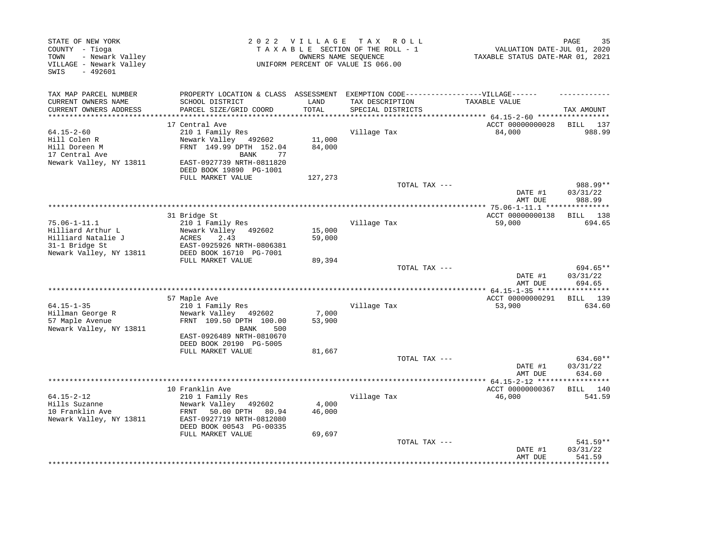| STATE OF NEW YORK<br>COUNTY - Tioga<br>- Newark Valley<br>TOWN<br>VILLAGE - Newark Valley<br>$-492601$<br>SWIS |                                                                                                                                                                | 2022 VILLAGE         | T A X<br>R O L L<br>TAXABLE SECTION OF THE ROLL - 1<br>OWNERS NAME SEQUENCE<br>UNIFORM PERCENT OF VALUE IS 066.00 | VALUATION DATE-JUL 01, 2020<br>TAXABLE STATUS DATE-MAR 01, 2021 | PAGE<br>35                     |
|----------------------------------------------------------------------------------------------------------------|----------------------------------------------------------------------------------------------------------------------------------------------------------------|----------------------|-------------------------------------------------------------------------------------------------------------------|-----------------------------------------------------------------|--------------------------------|
| TAX MAP PARCEL NUMBER<br>CURRENT OWNERS NAME<br>CURRENT OWNERS ADDRESS                                         | PROPERTY LOCATION & CLASS ASSESSMENT<br>SCHOOL DISTRICT<br>PARCEL SIZE/GRID COORD                                                                              | LAND<br><b>TOTAL</b> | EXEMPTION CODE------------------VILLAGE------<br>TAX DESCRIPTION<br>SPECIAL DISTRICTS                             | TAXABLE VALUE                                                   | TAX AMOUNT                     |
| **********************                                                                                         | *************************                                                                                                                                      |                      | *******************************                                                                                   | ************ 64.15-2-60 ******************                      |                                |
| 64.15-2-60<br>Hill Colen R<br>Hill Doreen M<br>17 Central Ave<br>Newark Valley, NY 13811                       | 17 Central Ave<br>210 1 Family Res<br>Newark Valley<br>492602<br>FRNT 149.99 DPTH 152.04<br>77<br>BANK<br>EAST-0927739 NRTH-0811820<br>DEED BOOK 19890 PG-1001 | 11,000<br>84,000     | Village Tax                                                                                                       | ACCT 00000000028<br>84,000                                      | BILL 137<br>988.99             |
|                                                                                                                | FULL MARKET VALUE                                                                                                                                              | 127,273              | TOTAL TAX ---                                                                                                     | DATE #1                                                         | 988.99**<br>03/31/22           |
|                                                                                                                |                                                                                                                                                                |                      |                                                                                                                   | AMT DUE                                                         | 988.99                         |
|                                                                                                                | 31 Bridge St                                                                                                                                                   |                      |                                                                                                                   | ACCT 00000000138                                                | 138<br>BILL                    |
| $75.06 - 1 - 11.1$<br>Hilliard Arthur L<br>Hilliard Natalie J<br>31-1 Bridge St<br>Newark Valley, NY 13811     | 210 1 Family Res<br>Newark Valley 492602<br>ACRES<br>2.43<br>EAST-0925926 NRTH-0806381<br>DEED BOOK 16710 PG-7001                                              | 15,000<br>59,000     | Village Tax                                                                                                       | 59,000                                                          | 694.65                         |
|                                                                                                                | FULL MARKET VALUE                                                                                                                                              | 89,394               |                                                                                                                   |                                                                 |                                |
|                                                                                                                |                                                                                                                                                                |                      | TOTAL TAX ---                                                                                                     | DATE #1<br>AMT DUE                                              | 694.65**<br>03/31/22<br>694.65 |
|                                                                                                                | 57 Maple Ave                                                                                                                                                   |                      |                                                                                                                   | ACCT 00000000291                                                | BILL 139                       |
| $64.15 - 1 - 35$<br>Hillman George R<br>57 Maple Avenue<br>Newark Valley, NY 13811                             | 210 1 Family Res<br>Newark Valley<br>492602<br>FRNT 109.50 DPTH 100.00<br>BANK<br>500<br>EAST-0926489 NRTH-0810670<br>DEED BOOK 20190 PG-5005                  | 7,000<br>53,900      | Village Tax                                                                                                       | 53,900                                                          | 634.60                         |
|                                                                                                                | FULL MARKET VALUE                                                                                                                                              | 81,667               |                                                                                                                   |                                                                 |                                |
|                                                                                                                |                                                                                                                                                                |                      | TOTAL TAX ---                                                                                                     | DATE #1<br>AMT DUE                                              | 634.60**<br>03/31/22<br>634.60 |
|                                                                                                                | 10 Franklin Ave                                                                                                                                                |                      |                                                                                                                   | ACCT 00000000367                                                | BILL 140                       |
| 64.15-2-12<br>Hills Suzanne<br>10 Franklin Ave<br>Newark Valley, NY 13811                                      | 210 1 Family Res<br>Newark Valley 492602<br>50.00 DPTH<br>FRNT<br>80.94<br>EAST-0927719 NRTH-0812080<br>DEED BOOK 00543 PG-00335                               | 4,000<br>46,000      | Village Tax                                                                                                       | 46,000                                                          | 541.59                         |
|                                                                                                                | FULL MARKET VALUE                                                                                                                                              | 69,697               |                                                                                                                   |                                                                 |                                |
|                                                                                                                |                                                                                                                                                                |                      | TOTAL TAX ---                                                                                                     | DATE #1<br>AMT DUE                                              | 541.59**<br>03/31/22<br>541.59 |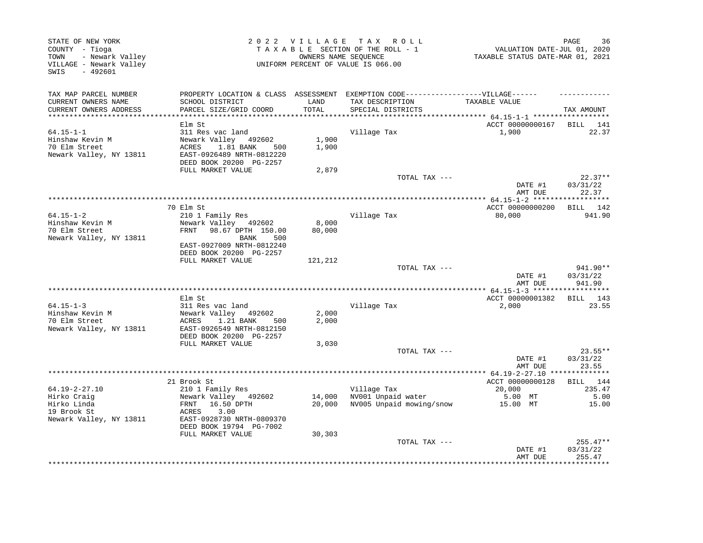| STATE OF NEW YORK<br>COUNTY - Tioga<br>TOWN<br>- Newark Valley<br>VILLAGE - Newark Valley<br>SWIS<br>- 492601 |                                                |               | 2022 VILLAGE TAX ROLL<br>TAXABLE SECTION OF THE ROLL - 1<br>OWNERS NAME SEQUENCE<br>UNIFORM PERCENT OF VALUE IS 066.00 | VALUATION DATE-JUL 01, 2020<br>TAXABLE STATUS DATE-MAR 01, 2021 | 36<br>PAGE            |
|---------------------------------------------------------------------------------------------------------------|------------------------------------------------|---------------|------------------------------------------------------------------------------------------------------------------------|-----------------------------------------------------------------|-----------------------|
| TAX MAP PARCEL NUMBER                                                                                         |                                                |               | PROPERTY LOCATION & CLASS ASSESSMENT EXEMPTION CODE-----------------VILLAGE------                                      |                                                                 |                       |
| CURRENT OWNERS NAME<br>CURRENT OWNERS ADDRESS                                                                 | SCHOOL DISTRICT<br>PARCEL SIZE/GRID COORD      | LAND<br>TOTAL | TAX DESCRIPTION<br>SPECIAL DISTRICTS                                                                                   | TAXABLE VALUE                                                   | TAX AMOUNT            |
|                                                                                                               |                                                |               |                                                                                                                        |                                                                 |                       |
|                                                                                                               | Elm St                                         |               |                                                                                                                        | ACCT 00000000167 BILL 141                                       |                       |
| $64.15 - 1 - 1$                                                                                               | 311 Res vac land                               |               | Village Tax                                                                                                            | 1,900                                                           | 22.37                 |
| Hinshaw Kevin M                                                                                               | Newark Valley 492602                           | 1,900         |                                                                                                                        |                                                                 |                       |
| 70 Elm Street                                                                                                 | ACRES<br>1.81 BANK 500                         | 1,900         |                                                                                                                        |                                                                 |                       |
| Newark Valley, NY 13811                                                                                       | EAST-0926489 NRTH-0812220                      |               |                                                                                                                        |                                                                 |                       |
|                                                                                                               | DEED BOOK 20200 PG-2257<br>FULL MARKET VALUE   | 2,879         |                                                                                                                        |                                                                 |                       |
|                                                                                                               |                                                |               | TOTAL TAX ---                                                                                                          |                                                                 | $22.37**$             |
|                                                                                                               |                                                |               |                                                                                                                        | DATE #1                                                         | 03/31/22              |
|                                                                                                               |                                                |               |                                                                                                                        | AMT DUE                                                         | 22.37                 |
|                                                                                                               |                                                |               |                                                                                                                        |                                                                 |                       |
|                                                                                                               | 70 Elm St                                      |               |                                                                                                                        | ACCT 00000000200                                                | BILL 142              |
| $64.15 - 1 - 2$                                                                                               | 210 1 Family Res                               |               | Village Tax                                                                                                            | 80,000                                                          | 941.90                |
| Hinshaw Kevin M<br>70 Elm Street                                                                              | Newark Valley 492602<br>FRNT 98.67 DPTH 150.00 | 8,000         |                                                                                                                        |                                                                 |                       |
| Newark Valley, NY 13811                                                                                       | BANK<br>500                                    | 80,000        |                                                                                                                        |                                                                 |                       |
|                                                                                                               | EAST-0927009 NRTH-0812240                      |               |                                                                                                                        |                                                                 |                       |
|                                                                                                               | DEED BOOK 20200 PG-2257                        |               |                                                                                                                        |                                                                 |                       |
|                                                                                                               | FULL MARKET VALUE                              | 121,212       |                                                                                                                        |                                                                 |                       |
|                                                                                                               |                                                |               | TOTAL TAX ---                                                                                                          |                                                                 | 941.90**              |
|                                                                                                               |                                                |               |                                                                                                                        | DATE #1                                                         | 03/31/22              |
|                                                                                                               |                                                |               |                                                                                                                        | AMT DUE                                                         | 941.90                |
|                                                                                                               | Elm St                                         |               |                                                                                                                        | ACCT 00000001382                                                | BILL 143              |
| $64.15 - 1 - 3$                                                                                               | 311 Res vac land                               |               | Village Tax                                                                                                            | 2,000                                                           | 23.55                 |
| Hinshaw Kevin M                                                                                               | Newark Valley 492602                           | 2,000         |                                                                                                                        |                                                                 |                       |
| 70 Elm Street                                                                                                 | 1.21 BANK<br>ACRES<br>500                      | 2,000         |                                                                                                                        |                                                                 |                       |
| Newark Valley, NY 13811                                                                                       | EAST-0926549 NRTH-0812150                      |               |                                                                                                                        |                                                                 |                       |
|                                                                                                               | DEED BOOK 20200 PG-2257                        |               |                                                                                                                        |                                                                 |                       |
|                                                                                                               | FULL MARKET VALUE                              | 3,030         |                                                                                                                        |                                                                 |                       |
|                                                                                                               |                                                |               | TOTAL TAX ---                                                                                                          | DATE #1                                                         | $23.55**$<br>03/31/22 |
|                                                                                                               |                                                |               |                                                                                                                        | AMT DUE                                                         | 23.55                 |
|                                                                                                               |                                                |               |                                                                                                                        |                                                                 |                       |
|                                                                                                               | 21 Brook St                                    |               |                                                                                                                        | ACCT 00000000128                                                | BILL 144              |
| $64.19 - 2 - 27.10$                                                                                           | 210 1 Family Res                               |               | Village Tax                                                                                                            | 20,000                                                          | 235.47                |
| Hirko Craig                                                                                                   | Newark Valley 492602                           | 14,000        | NV001 Unpaid water                                                                                                     | 5.00 MT                                                         | 5.00                  |
| Hirko Linda                                                                                                   | 16.50 DPTH<br>FRNT                             | 20,000        | NV005 Unpaid mowing/snow                                                                                               | 15.00 MT                                                        | 15.00                 |
| 19 Brook St                                                                                                   | ACRES<br>3.00                                  |               |                                                                                                                        |                                                                 |                       |
| Newark Valley, NY 13811                                                                                       | EAST-0928730 NRTH-0809370                      |               |                                                                                                                        |                                                                 |                       |
|                                                                                                               | DEED BOOK 19794 PG-7002<br>FULL MARKET VALUE   | 30,303        |                                                                                                                        |                                                                 |                       |
|                                                                                                               |                                                |               | TOTAL TAX ---                                                                                                          |                                                                 | $255.47**$            |
|                                                                                                               |                                                |               |                                                                                                                        | DATE #1                                                         | 03/31/22              |
|                                                                                                               |                                                |               |                                                                                                                        | AMT DUE                                                         | 255.47                |
|                                                                                                               |                                                |               |                                                                                                                        |                                                                 |                       |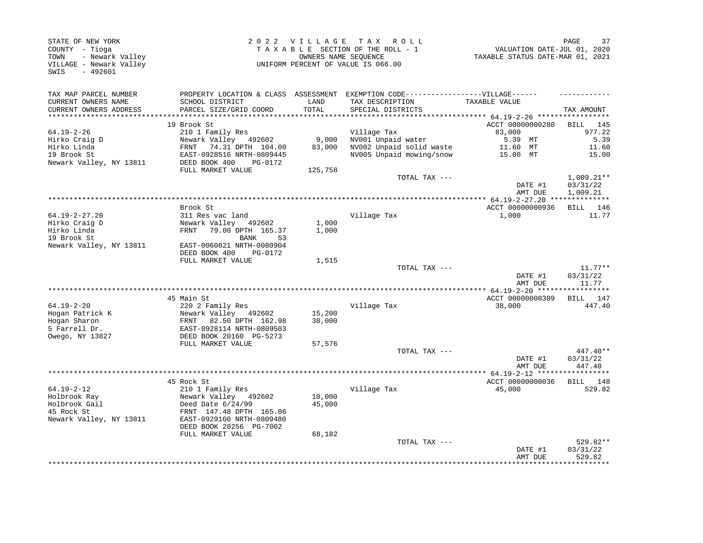| TAX MAP PARCEL NUMBER<br>PROPERTY LOCATION & CLASS ASSESSMENT EXEMPTION CODE-----------------VILLAGE------<br>CURRENT OWNERS NAME<br>SCHOOL DISTRICT<br>LAND<br>TAX DESCRIPTION<br>TAXABLE VALUE<br>TOTAL<br>CURRENT OWNERS ADDRESS<br>PARCEL SIZE/GRID COORD<br>SPECIAL DISTRICTS<br>***********************<br>19 Brook St<br>ACCT 00000000280<br>83,000<br>$64.19 - 2 - 26$<br>210 1 Family Res<br>Village Tax<br>9,000<br>NV001 Unpaid water<br>5.39 MT<br>Hirko Craig D<br>Newark Valley 492602<br>83,000<br>NV002 Unpaid solid waste<br>Hirko Linda<br>FRNT 74.31 DPTH 104.00<br>11.60 MT<br>19 Brook St<br>NV005 Unpaid mowing/snow<br>EAST-0928516 NRTH-0809445<br>15.00 MT<br>Newark Valley, NY 13811<br>DEED BOOK 400<br>PG-0172<br>FULL MARKET VALUE<br>125,758<br>TOTAL TAX ---<br>DATE #1 | TAX AMOUNT<br>BILL 145<br>977.22<br>5.39<br>11.60<br>15.00<br>$1,009.21**$<br>03/31/22<br>1,009.21<br>BILL 146<br>11.77 |
|--------------------------------------------------------------------------------------------------------------------------------------------------------------------------------------------------------------------------------------------------------------------------------------------------------------------------------------------------------------------------------------------------------------------------------------------------------------------------------------------------------------------------------------------------------------------------------------------------------------------------------------------------------------------------------------------------------------------------------------------------------------------------------------------------------|-------------------------------------------------------------------------------------------------------------------------|
|                                                                                                                                                                                                                                                                                                                                                                                                                                                                                                                                                                                                                                                                                                                                                                                                        |                                                                                                                         |
|                                                                                                                                                                                                                                                                                                                                                                                                                                                                                                                                                                                                                                                                                                                                                                                                        |                                                                                                                         |
|                                                                                                                                                                                                                                                                                                                                                                                                                                                                                                                                                                                                                                                                                                                                                                                                        |                                                                                                                         |
|                                                                                                                                                                                                                                                                                                                                                                                                                                                                                                                                                                                                                                                                                                                                                                                                        |                                                                                                                         |
|                                                                                                                                                                                                                                                                                                                                                                                                                                                                                                                                                                                                                                                                                                                                                                                                        |                                                                                                                         |
|                                                                                                                                                                                                                                                                                                                                                                                                                                                                                                                                                                                                                                                                                                                                                                                                        |                                                                                                                         |
|                                                                                                                                                                                                                                                                                                                                                                                                                                                                                                                                                                                                                                                                                                                                                                                                        |                                                                                                                         |
|                                                                                                                                                                                                                                                                                                                                                                                                                                                                                                                                                                                                                                                                                                                                                                                                        |                                                                                                                         |
|                                                                                                                                                                                                                                                                                                                                                                                                                                                                                                                                                                                                                                                                                                                                                                                                        |                                                                                                                         |
| AMT DUE                                                                                                                                                                                                                                                                                                                                                                                                                                                                                                                                                                                                                                                                                                                                                                                                |                                                                                                                         |
|                                                                                                                                                                                                                                                                                                                                                                                                                                                                                                                                                                                                                                                                                                                                                                                                        |                                                                                                                         |
| ACCT 00000000936<br>Brook St                                                                                                                                                                                                                                                                                                                                                                                                                                                                                                                                                                                                                                                                                                                                                                           |                                                                                                                         |
| $64.19 - 2 - 27.20$<br>311 Res vac land<br>Village Tax<br>1,000                                                                                                                                                                                                                                                                                                                                                                                                                                                                                                                                                                                                                                                                                                                                        |                                                                                                                         |
| Hirko Craig D<br>Newark Valley 492602<br>1,000                                                                                                                                                                                                                                                                                                                                                                                                                                                                                                                                                                                                                                                                                                                                                         |                                                                                                                         |
| Hirko Linda<br>FRNT 79.00 DPTH 165.37<br>1,000                                                                                                                                                                                                                                                                                                                                                                                                                                                                                                                                                                                                                                                                                                                                                         |                                                                                                                         |
| 19 Brook St<br>BANK<br>53                                                                                                                                                                                                                                                                                                                                                                                                                                                                                                                                                                                                                                                                                                                                                                              |                                                                                                                         |
| Newark Valley, NY 13811<br>EAST-0060821 NRTH-0080904<br>DEED BOOK 400<br>PG-0172                                                                                                                                                                                                                                                                                                                                                                                                                                                                                                                                                                                                                                                                                                                       |                                                                                                                         |
| FULL MARKET VALUE<br>1,515                                                                                                                                                                                                                                                                                                                                                                                                                                                                                                                                                                                                                                                                                                                                                                             |                                                                                                                         |
| TOTAL TAX ---                                                                                                                                                                                                                                                                                                                                                                                                                                                                                                                                                                                                                                                                                                                                                                                          | $11.77**$                                                                                                               |
| DATE #1<br>AMT DUE                                                                                                                                                                                                                                                                                                                                                                                                                                                                                                                                                                                                                                                                                                                                                                                     | 03/31/22<br>11.77                                                                                                       |
|                                                                                                                                                                                                                                                                                                                                                                                                                                                                                                                                                                                                                                                                                                                                                                                                        |                                                                                                                         |
| ACCT 00000000309<br>45 Main St                                                                                                                                                                                                                                                                                                                                                                                                                                                                                                                                                                                                                                                                                                                                                                         | BILL 147                                                                                                                |
| $64.19 - 2 - 20$<br>220 2 Family Res<br>Village Tax<br>38,000                                                                                                                                                                                                                                                                                                                                                                                                                                                                                                                                                                                                                                                                                                                                          | 447.40                                                                                                                  |
| Hogan Patrick K<br>Newark Valley 492602<br>15,200<br>Hogan Sharon<br>FRNT 82.50 DPTH 162.98<br>38,000                                                                                                                                                                                                                                                                                                                                                                                                                                                                                                                                                                                                                                                                                                  |                                                                                                                         |
| 5 Farrell Dr.<br>EAST-0928114 NRTH-0809503<br>Owego, NY 13827<br>DEED BOOK 20160 PG-5273                                                                                                                                                                                                                                                                                                                                                                                                                                                                                                                                                                                                                                                                                                               |                                                                                                                         |
| FULL MARKET VALUE<br>57,576                                                                                                                                                                                                                                                                                                                                                                                                                                                                                                                                                                                                                                                                                                                                                                            |                                                                                                                         |
| TOTAL TAX ---                                                                                                                                                                                                                                                                                                                                                                                                                                                                                                                                                                                                                                                                                                                                                                                          | 447.40**                                                                                                                |
| DATE #1<br>AMT DUE                                                                                                                                                                                                                                                                                                                                                                                                                                                                                                                                                                                                                                                                                                                                                                                     | 03/31/22<br>447.40                                                                                                      |
|                                                                                                                                                                                                                                                                                                                                                                                                                                                                                                                                                                                                                                                                                                                                                                                                        |                                                                                                                         |
| ACCT 00000000036<br>45 Rock St                                                                                                                                                                                                                                                                                                                                                                                                                                                                                                                                                                                                                                                                                                                                                                         | BILL 148                                                                                                                |
| $64.19 - 2 - 12$<br>210 1 Family Res<br>Village Tax<br>45,000<br>Holbrook Ray<br>Newark Valley 492602<br>10,000                                                                                                                                                                                                                                                                                                                                                                                                                                                                                                                                                                                                                                                                                        | 529.82                                                                                                                  |
| Holbrook Gail<br>Deed Date $6/24/99$<br>45,000                                                                                                                                                                                                                                                                                                                                                                                                                                                                                                                                                                                                                                                                                                                                                         |                                                                                                                         |
| 45 Rock St<br>FRNT 147.48 DPTH 165.06                                                                                                                                                                                                                                                                                                                                                                                                                                                                                                                                                                                                                                                                                                                                                                  |                                                                                                                         |
| Newark Valley, NY 13811<br>EAST-0929160 NRTH-0809480                                                                                                                                                                                                                                                                                                                                                                                                                                                                                                                                                                                                                                                                                                                                                   |                                                                                                                         |
| DEED BOOK 20256 PG-7002                                                                                                                                                                                                                                                                                                                                                                                                                                                                                                                                                                                                                                                                                                                                                                                |                                                                                                                         |
| FULL MARKET VALUE<br>68,182                                                                                                                                                                                                                                                                                                                                                                                                                                                                                                                                                                                                                                                                                                                                                                            |                                                                                                                         |
| TOTAL TAX ---                                                                                                                                                                                                                                                                                                                                                                                                                                                                                                                                                                                                                                                                                                                                                                                          | 529.82**                                                                                                                |
| DATE #1                                                                                                                                                                                                                                                                                                                                                                                                                                                                                                                                                                                                                                                                                                                                                                                                | 03/31/22                                                                                                                |
| AMT DUE                                                                                                                                                                                                                                                                                                                                                                                                                                                                                                                                                                                                                                                                                                                                                                                                | 529.82                                                                                                                  |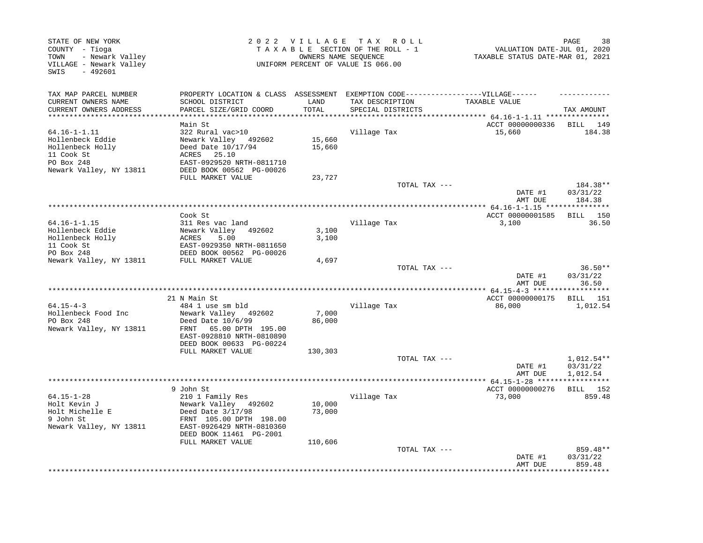| STATE OF NEW YORK<br>COUNTY - Tioga<br>- Newark Valley<br>TOWN<br>VILLAGE - Newark Valley<br>SWIS<br>$-492601$ |                                                                                                      |                  | 2022 VILLAGE TAX ROLL<br>TAXABLE SECTION OF THE ROLL - 1<br>OWNERS NAME SEQUENCE<br>UNIFORM PERCENT OF VALUE IS 066.00 | VALUATION DATE-JUL 01, 2020<br>TAXABLE STATUS DATE-MAR 01, 2021 | PAGE<br>38                           |
|----------------------------------------------------------------------------------------------------------------|------------------------------------------------------------------------------------------------------|------------------|------------------------------------------------------------------------------------------------------------------------|-----------------------------------------------------------------|--------------------------------------|
| TAX MAP PARCEL NUMBER<br>CURRENT OWNERS NAME                                                                   | PROPERTY LOCATION & CLASS ASSESSMENT EXEMPTION CODE-----------------VILLAGE------<br>SCHOOL DISTRICT | LAND             | TAX DESCRIPTION                                                                                                        | TAXABLE VALUE                                                   |                                      |
| CURRENT OWNERS ADDRESS                                                                                         | PARCEL SIZE/GRID COORD                                                                               | TOTAL            | SPECIAL DISTRICTS                                                                                                      | ******* $64.16 - 1 - 1.11$ ***************                      | TAX AMOUNT                           |
|                                                                                                                | Main St                                                                                              |                  |                                                                                                                        | ACCT 00000000336                                                | BILL 149                             |
| $64.16 - 1 - 1.11$<br>Hollenbeck Eddie                                                                         | 322 Rural vac>10<br>Newark Valley 492602                                                             | 15,660           | Village Tax                                                                                                            | 15,660                                                          | 184.38                               |
| Hollenbeck Holly<br>11 Cook St                                                                                 | Deed Date 10/17/94<br>ACRES<br>25.10                                                                 | 15,660           |                                                                                                                        |                                                                 |                                      |
| PO Box 248<br>Newark Valley, NY 13811                                                                          | EAST-0929520 NRTH-0811710<br>DEED BOOK 00562 PG-00026                                                |                  |                                                                                                                        |                                                                 |                                      |
|                                                                                                                | FULL MARKET VALUE                                                                                    | 23,727           |                                                                                                                        |                                                                 |                                      |
|                                                                                                                |                                                                                                      |                  | TOTAL TAX ---                                                                                                          | DATE #1                                                         | 184.38**<br>03/31/22                 |
|                                                                                                                |                                                                                                      |                  |                                                                                                                        | AMT DUE<br>*************** 64.16-1-1.15 ****************        | 184.38                               |
|                                                                                                                | Cook St                                                                                              |                  |                                                                                                                        | ACCT 00000001585                                                | BILL 150                             |
| $64.16 - 1 - 1.15$                                                                                             | 311 Res vac land                                                                                     |                  | Village Tax                                                                                                            | 3,100                                                           | 36.50                                |
| Hollenbeck Eddie                                                                                               | Newark Valley 492602                                                                                 | 3,100            |                                                                                                                        |                                                                 |                                      |
| Hollenbeck Holly                                                                                               | ACRES<br>5.00                                                                                        | 3,100            |                                                                                                                        |                                                                 |                                      |
| 11 Cook St                                                                                                     | EAST-0929350 NRTH-0811650                                                                            |                  |                                                                                                                        |                                                                 |                                      |
| PO Box 248                                                                                                     | DEED BOOK 00562 PG-00026                                                                             |                  |                                                                                                                        |                                                                 |                                      |
| Newark Valley, NY 13811                                                                                        | FULL MARKET VALUE                                                                                    | 4,697            | TOTAL TAX ---                                                                                                          |                                                                 | $36.50**$                            |
|                                                                                                                |                                                                                                      |                  |                                                                                                                        | DATE #1<br>AMT DUE                                              | 03/31/22<br>36.50                    |
|                                                                                                                |                                                                                                      |                  |                                                                                                                        |                                                                 |                                      |
|                                                                                                                | 21 N Main St                                                                                         |                  |                                                                                                                        | ACCT 00000000175                                                | <b>BILL</b> 151                      |
| $64.15 - 4 - 3$                                                                                                | 484 1 use sm bld                                                                                     |                  | Village Tax                                                                                                            | 86,000                                                          | 1,012.54                             |
| Hollenbeck Food Inc<br>PO Box 248                                                                              | Newark Valley 492602<br>Deed Date 10/6/99                                                            | 7,000            |                                                                                                                        |                                                                 |                                      |
| Newark Valley, NY 13811                                                                                        | 65.00 DPTH 195.00<br>FRNT<br>EAST-0928810 NRTH-0810890                                               | 86,000           |                                                                                                                        |                                                                 |                                      |
|                                                                                                                | DEED BOOK 00633 PG-00224                                                                             |                  |                                                                                                                        |                                                                 |                                      |
|                                                                                                                | FULL MARKET VALUE                                                                                    | 130,303          |                                                                                                                        |                                                                 |                                      |
|                                                                                                                |                                                                                                      |                  | TOTAL TAX ---                                                                                                          | DATE #1<br>AMT DUE                                              | $1,012.54**$<br>03/31/22<br>1,012.54 |
|                                                                                                                |                                                                                                      |                  |                                                                                                                        |                                                                 |                                      |
|                                                                                                                | 9 John St                                                                                            |                  |                                                                                                                        | ACCT 00000000276                                                | BILL 152                             |
| $64.15 - 1 - 28$                                                                                               | 210 1 Family Res                                                                                     |                  | Village Tax                                                                                                            | 73,000                                                          | 859.48                               |
| Holt Kevin J<br>Holt Michelle E<br>9 John St<br>Newark Valley, NY 13811                                        | Newark Valley 492602<br>Deed Date 3/17/98<br>FRNT 105.00 DPTH 198.00<br>EAST-0926429 NRTH-0810360    | 10,000<br>73,000 |                                                                                                                        |                                                                 |                                      |
|                                                                                                                | DEED BOOK 11461 PG-2001<br>FULL MARKET VALUE                                                         | 110,606          |                                                                                                                        |                                                                 |                                      |
|                                                                                                                |                                                                                                      |                  | TOTAL TAX ---                                                                                                          | DATE #1                                                         | 859.48**<br>03/31/22                 |
|                                                                                                                |                                                                                                      |                  |                                                                                                                        | AMT DUE                                                         | 859.48                               |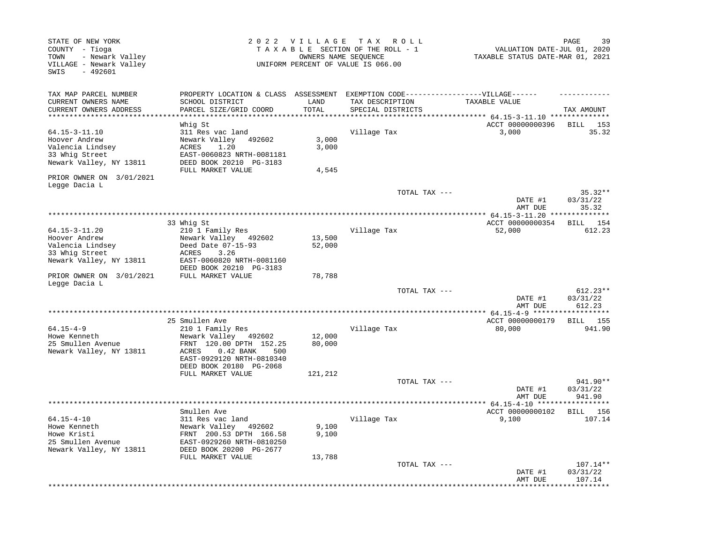| STATE OF NEW YORK<br>COUNTY - Tioga<br>- Newark Valley<br>TOWN<br>VILLAGE - Newark Valley<br>SWIS<br>$-492601$ |                                                                                   | 2022 VILLAGE                     | T A X<br>R O L L<br>TAXABLE SECTION OF THE ROLL - 1<br>OWNERS NAME SEQUENCE<br>UNIFORM PERCENT OF VALUE IS 066.00 | VALUATION DATE-JUL 01, 2020<br>TAXABLE STATUS DATE-MAR 01, 2021 | 39<br>PAGE                     |
|----------------------------------------------------------------------------------------------------------------|-----------------------------------------------------------------------------------|----------------------------------|-------------------------------------------------------------------------------------------------------------------|-----------------------------------------------------------------|--------------------------------|
| TAX MAP PARCEL NUMBER<br>CURRENT OWNERS NAME<br>CURRENT OWNERS ADDRESS                                         | PROPERTY LOCATION & CLASS ASSESSMENT<br>SCHOOL DISTRICT<br>PARCEL SIZE/GRID COORD | LAND<br>TOTAL                    | EXEMPTION CODE------------------VILLAGE------<br>TAX DESCRIPTION<br>SPECIAL DISTRICTS                             | TAXABLE VALUE                                                   | TAX AMOUNT                     |
| **********************                                                                                         | ***********************                                                           | ************                     |                                                                                                                   |                                                                 |                                |
|                                                                                                                | Whig St                                                                           |                                  |                                                                                                                   | ACCT 00000000396                                                | BILL<br>153                    |
| 64.15-3-11.10                                                                                                  | 311 Res vac land                                                                  |                                  | Village Tax                                                                                                       | 3,000                                                           | 35.32                          |
| Hoover Andrew                                                                                                  | Newark Valley<br>492602                                                           | 3,000                            |                                                                                                                   |                                                                 |                                |
| Valencia Lindsey                                                                                               | ACRES<br>1.20                                                                     | 3,000                            |                                                                                                                   |                                                                 |                                |
| 33 Whig Street<br>Newark Valley, NY 13811                                                                      | EAST-0060823 NRTH-0081181<br>DEED BOOK 20210 PG-3183                              |                                  |                                                                                                                   |                                                                 |                                |
| PRIOR OWNER ON 3/01/2021                                                                                       | FULL MARKET VALUE                                                                 | 4,545                            |                                                                                                                   |                                                                 |                                |
| Legge Dacia L                                                                                                  |                                                                                   |                                  |                                                                                                                   |                                                                 |                                |
|                                                                                                                |                                                                                   |                                  | TOTAL TAX ---                                                                                                     | DATE #1                                                         | $35.32**$<br>03/31/22<br>35.32 |
|                                                                                                                |                                                                                   | ******************************** |                                                                                                                   | AMT DUE<br>*************** 64.15-3-11.20                        | *******                        |
|                                                                                                                | 33 Whig St                                                                        |                                  |                                                                                                                   | ACCT 00000000354                                                | 154<br>BILL                    |
| 64.15-3-11.20                                                                                                  | 210 1 Family Res                                                                  |                                  | Village Tax                                                                                                       | 52,000                                                          | 612.23                         |
| Hoover Andrew                                                                                                  | Newark Valley<br>492602                                                           | 13,500                           |                                                                                                                   |                                                                 |                                |
| Valencia Lindsey                                                                                               | Deed Date 07-15-93                                                                | 52,000                           |                                                                                                                   |                                                                 |                                |
| 33 Whig Street                                                                                                 | ACRES<br>3.26                                                                     |                                  |                                                                                                                   |                                                                 |                                |
| Newark Valley, NY 13811                                                                                        | EAST-0060820 NRTH-0081160<br>DEED BOOK 20210 PG-3183                              |                                  |                                                                                                                   |                                                                 |                                |
| PRIOR OWNER ON 3/01/2021                                                                                       | FULL MARKET VALUE                                                                 | 78,788                           |                                                                                                                   |                                                                 |                                |
| Legge Dacia L                                                                                                  |                                                                                   |                                  | TOTAL TAX ---                                                                                                     |                                                                 | $612.23**$                     |
|                                                                                                                |                                                                                   |                                  |                                                                                                                   | DATE #1<br>AMT DUE                                              | 03/31/22<br>612.23             |
|                                                                                                                |                                                                                   |                                  |                                                                                                                   | ***************** 64.15-4-9 ******                              | * * * *                        |
|                                                                                                                | 25 Smullen Ave                                                                    |                                  |                                                                                                                   | ACCT 00000000179                                                | 155<br>BILL                    |
| $64.15 - 4 - 9$                                                                                                | 210 1 Family Res                                                                  |                                  | Village Tax                                                                                                       | 80,000                                                          | 941.90                         |
| Howe Kenneth                                                                                                   | Newark Valley<br>492602                                                           | 12,000                           |                                                                                                                   |                                                                 |                                |
| 25 Smullen Avenue<br>Newark Valley, NY 13811                                                                   | FRNT 120.00 DPTH 152.25<br>0.42 BANK<br>ACRES<br>500<br>EAST-0929120 NRTH-0810340 | 80,000                           |                                                                                                                   |                                                                 |                                |
|                                                                                                                | DEED BOOK 20180 PG-2068<br>FULL MARKET VALUE                                      | 121,212                          |                                                                                                                   |                                                                 |                                |
|                                                                                                                |                                                                                   |                                  | TOTAL TAX ---                                                                                                     |                                                                 | 941.90**                       |
|                                                                                                                |                                                                                   |                                  |                                                                                                                   | DATE #1<br>AMT DUE                                              | 03/31/22<br>941.90             |
|                                                                                                                | *********                                                                         |                                  | **************************                                                                                        | ***** $64.15 - 4 - 10$ ******                                   |                                |
|                                                                                                                | Smullen Ave                                                                       |                                  |                                                                                                                   | ACCT 00000000102                                                | 156<br>BILL                    |
| $64.15 - 4 - 10$                                                                                               | 311 Res vac land                                                                  |                                  | Village Tax                                                                                                       | 9,100                                                           | 107.14                         |
| Howe Kenneth<br>Howe Kristi                                                                                    | Newark Valley<br>492602<br>FRNT 200.53 DPTH 166.58                                | 9,100<br>9,100                   |                                                                                                                   |                                                                 |                                |
| 25 Smullen Avenue                                                                                              | EAST-0929260 NRTH-0810250                                                         |                                  |                                                                                                                   |                                                                 |                                |
| Newark Valley, NY 13811                                                                                        | DEED BOOK 20200 PG-2677                                                           |                                  |                                                                                                                   |                                                                 |                                |
|                                                                                                                | FULL MARKET VALUE                                                                 | 13,788                           |                                                                                                                   |                                                                 |                                |
|                                                                                                                |                                                                                   |                                  | TOTAL TAX ---                                                                                                     |                                                                 | $107.14**$                     |
|                                                                                                                |                                                                                   |                                  |                                                                                                                   | DATE #1<br>AMT DUE                                              | 03/31/22<br>107.14             |
|                                                                                                                |                                                                                   |                                  |                                                                                                                   |                                                                 |                                |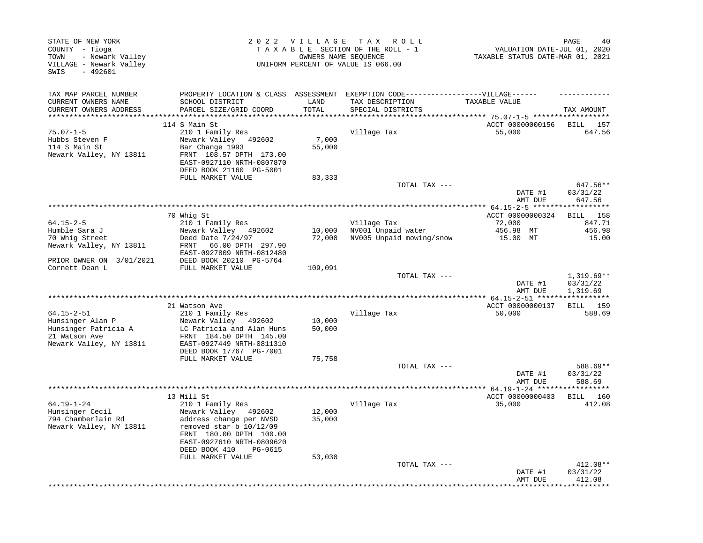| STATE OF NEW YORK<br>COUNTY - Tioga<br>- Newark Valley<br>TOWN<br>VILLAGE - Newark Valley<br>SWIS<br>$-492601$ |                                                      | 2022 VILLAGE     | TAX ROLL<br>TAXABLE SECTION OF THE ROLL - 1<br>OWNERS NAME SEQUENCE<br>UNIFORM PERCENT OF VALUE IS 066.00 | VALUATION DATE-JUL 01, 2020<br>TAXABLE STATUS DATE-MAR 01, 2021 | 40<br>PAGE                           |
|----------------------------------------------------------------------------------------------------------------|------------------------------------------------------|------------------|-----------------------------------------------------------------------------------------------------------|-----------------------------------------------------------------|--------------------------------------|
| TAX MAP PARCEL NUMBER                                                                                          | PROPERTY LOCATION & CLASS ASSESSMENT                 |                  | EXEMPTION CODE------------------VILLAGE------                                                             |                                                                 |                                      |
| CURRENT OWNERS NAME                                                                                            | SCHOOL DISTRICT                                      | LAND             | TAX DESCRIPTION                                                                                           | TAXABLE VALUE                                                   |                                      |
| CURRENT OWNERS ADDRESS<br>********************                                                                 | PARCEL SIZE/GRID COORD                               | TOTAL<br>******* | SPECIAL DISTRICTS                                                                                         | *************************** 75.07-1-5 *******************       | TAX AMOUNT                           |
|                                                                                                                | 114 S Main St                                        |                  |                                                                                                           | ACCT 00000000156                                                | <b>BILL</b><br>157                   |
| $75.07 - 1 - 5$                                                                                                | 210 1 Family Res                                     |                  | Village Tax                                                                                               | 55,000                                                          | 647.56                               |
| Hubbs Steven F                                                                                                 | Newark Valley<br>492602                              | 7,000            |                                                                                                           |                                                                 |                                      |
| 114 S Main St                                                                                                  | Bar Change 1993                                      | 55,000           |                                                                                                           |                                                                 |                                      |
| Newark Valley, NY 13811                                                                                        | FRNT 108.57 DPTH 173.00                              |                  |                                                                                                           |                                                                 |                                      |
|                                                                                                                | EAST-0927110 NRTH-0807870                            |                  |                                                                                                           |                                                                 |                                      |
|                                                                                                                | DEED BOOK 21160 PG-5001<br>FULL MARKET VALUE         |                  |                                                                                                           |                                                                 |                                      |
|                                                                                                                |                                                      | 83,333           | TOTAL TAX ---                                                                                             |                                                                 | 647.56**                             |
|                                                                                                                |                                                      |                  |                                                                                                           | DATE #1                                                         | 03/31/22                             |
|                                                                                                                |                                                      |                  |                                                                                                           | AMT DUE                                                         | 647.56                               |
|                                                                                                                |                                                      |                  |                                                                                                           |                                                                 |                                      |
|                                                                                                                | 70 Whig St                                           |                  |                                                                                                           | ACCT 00000000324                                                | BILL 158                             |
| $64.15 - 2 - 5$<br>Humble Sara J                                                                               | 210 1 Family Res                                     |                  | Village Tax                                                                                               | 72,000                                                          | 847.71<br>456.98                     |
| 70 Whig Street                                                                                                 | Newark Valley 492602<br>Deed Date 7/24/97            | 10,000<br>72,000 | NV001 Unpaid water<br>NV005 Unpaid mowing/snow                                                            | 456.98 MT<br>15.00 MT                                           | 15.00                                |
| Newark Valley, NY 13811                                                                                        | 66.00 DPTH 297.90<br>FRNT                            |                  |                                                                                                           |                                                                 |                                      |
|                                                                                                                | EAST-0927809 NRTH-0812480                            |                  |                                                                                                           |                                                                 |                                      |
| PRIOR OWNER ON 3/01/2021                                                                                       | DEED BOOK 20210 PG-5764                              |                  |                                                                                                           |                                                                 |                                      |
| Cornett Dean L                                                                                                 | FULL MARKET VALUE                                    | 109,091          |                                                                                                           |                                                                 |                                      |
|                                                                                                                |                                                      |                  | TOTAL TAX ---                                                                                             | DATE #1<br>AMT DUE                                              | $1,319.69**$<br>03/31/22<br>1,319.69 |
|                                                                                                                |                                                      |                  |                                                                                                           |                                                                 |                                      |
|                                                                                                                | 21 Watson Ave                                        |                  |                                                                                                           | ACCT 00000000137                                                | <b>BILL</b> 159                      |
| $64.15 - 2 - 51$                                                                                               | 210 1 Family Res                                     |                  | Village Tax                                                                                               | 50,000                                                          | 588.69                               |
| Hunsinger Alan P                                                                                               | Newark Valley 492602                                 | 10,000           |                                                                                                           |                                                                 |                                      |
| Hunsinger Patricia A<br>21 Watson Ave                                                                          | LC Patricia and Alan Huns<br>FRNT 184.50 DPTH 145.00 | 50,000           |                                                                                                           |                                                                 |                                      |
| Newark Valley, NY 13811                                                                                        | EAST-0927449 NRTH-0811310                            |                  |                                                                                                           |                                                                 |                                      |
|                                                                                                                | DEED BOOK 17767 PG-7001                              |                  |                                                                                                           |                                                                 |                                      |
|                                                                                                                | FULL MARKET VALUE                                    | 75,758           |                                                                                                           |                                                                 |                                      |
|                                                                                                                |                                                      |                  | TOTAL TAX ---                                                                                             |                                                                 | 588.69**                             |
|                                                                                                                |                                                      |                  |                                                                                                           | DATE #1                                                         | 03/31/22                             |
|                                                                                                                |                                                      |                  |                                                                                                           | AMT DUE<br>** 64.19-1-24 *****                                  | 588.69<br>********                   |
|                                                                                                                | 13 Mill St                                           |                  |                                                                                                           | ACCT 00000000403                                                | BILL 160                             |
| $64.19 - 1 - 24$                                                                                               | 210 1 Family Res                                     |                  | Village Tax                                                                                               | 35,000                                                          | 412.08                               |
| Hunsinger Cecil                                                                                                | Newark Valley 492602                                 | 12,000           |                                                                                                           |                                                                 |                                      |
| 794 Chamberlain Rd                                                                                             | address change per NVSD                              | 35,000           |                                                                                                           |                                                                 |                                      |
| Newark Valley, NY 13811                                                                                        | removed star $b$ 10/12/09                            |                  |                                                                                                           |                                                                 |                                      |
|                                                                                                                | FRNT 180.00 DPTH 100.00<br>EAST-0927610 NRTH-0809620 |                  |                                                                                                           |                                                                 |                                      |
|                                                                                                                | DEED BOOK 410<br>PG-0615                             |                  |                                                                                                           |                                                                 |                                      |
|                                                                                                                | FULL MARKET VALUE                                    | 53,030           |                                                                                                           |                                                                 |                                      |
|                                                                                                                |                                                      |                  | TOTAL TAX ---                                                                                             |                                                                 | 412.08**                             |
|                                                                                                                |                                                      |                  |                                                                                                           | DATE #1                                                         | 03/31/22                             |
|                                                                                                                |                                                      |                  |                                                                                                           | AMT DUE                                                         | 412.08                               |
|                                                                                                                |                                                      |                  |                                                                                                           |                                                                 |                                      |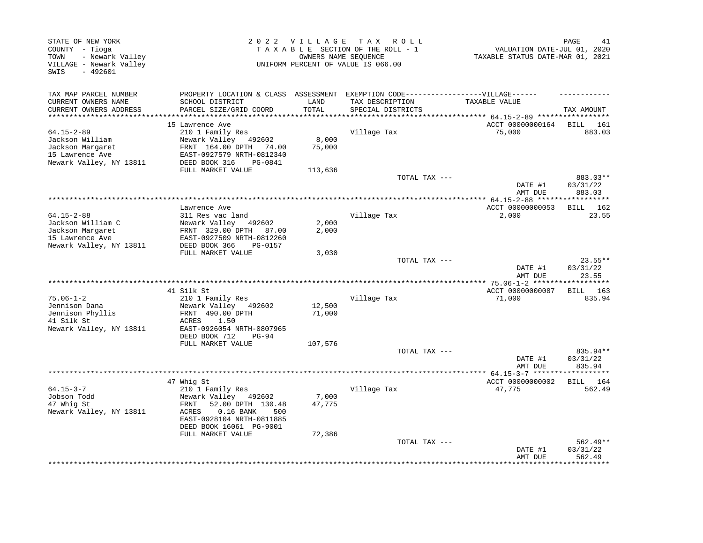| STATE OF NEW YORK<br>COUNTY - Tioga<br>- Newark Valley<br>TOWN<br>VILLAGE - Newark Valley<br>$-492601$<br>SWIS |                                                                                                                                                                            |                  | 2022 VILLAGE TAX ROLL<br>TAXABLE SECTION OF THE ROLL - 1<br>OWNERS NAME SEQUENCE<br>UNIFORM PERCENT OF VALUE IS 066.00 | VALUATION DATE-JUL 01, 2020<br>TAXABLE STATUS DATE-MAR 01, 2021 | PAGE<br>41                       |
|----------------------------------------------------------------------------------------------------------------|----------------------------------------------------------------------------------------------------------------------------------------------------------------------------|------------------|------------------------------------------------------------------------------------------------------------------------|-----------------------------------------------------------------|----------------------------------|
| TAX MAP PARCEL NUMBER<br>CURRENT OWNERS NAME<br>CURRENT OWNERS ADDRESS                                         | PROPERTY LOCATION & CLASS ASSESSMENT EXEMPTION CODE-----------------VILLAGE------<br>SCHOOL DISTRICT<br>PARCEL SIZE/GRID COORD                                             | LAND<br>TOTAL    | TAX DESCRIPTION<br>SPECIAL DISTRICTS                                                                                   | TAXABLE VALUE                                                   | TAX AMOUNT                       |
| ***********************                                                                                        |                                                                                                                                                                            |                  |                                                                                                                        |                                                                 |                                  |
| $64.15 - 2 - 89$<br>Jackson William<br>Jackson Margaret<br>15 Lawrence Ave<br>Newark Valley, NY 13811          | 15 Lawrence Ave<br>210 1 Family Res<br>Newark Valley 492602<br>FRNT 164.00 DPTH 74.00<br>EAST-0927579 NRTH-0812340<br>DEED BOOK 316<br>PG-0841                             | 8,000<br>75,000  | Village Tax                                                                                                            | ACCT 00000000164<br>75,000                                      | BILL 161<br>883.03               |
|                                                                                                                | FULL MARKET VALUE                                                                                                                                                          | 113,636          |                                                                                                                        |                                                                 |                                  |
|                                                                                                                |                                                                                                                                                                            |                  | TOTAL TAX ---                                                                                                          | DATE #1<br>AMT DUE                                              | 883.03**<br>03/31/22<br>883.03   |
|                                                                                                                |                                                                                                                                                                            |                  |                                                                                                                        | ********* 64.15-2-88 ****                                       | ********                         |
|                                                                                                                | Lawrence Ave                                                                                                                                                               |                  |                                                                                                                        | ACCT 00000000053                                                | BILL 162                         |
| $64.15 - 2 - 88$<br>Jackson William C                                                                          | 311 Res vac land<br>Newark Valley<br>492602                                                                                                                                | 2,000            | Village Tax                                                                                                            | 2,000                                                           | 23.55                            |
| Jackson Margaret                                                                                               | FRNT 329.00 DPTH<br>87.00                                                                                                                                                  | 2,000            |                                                                                                                        |                                                                 |                                  |
| 15 Lawrence Ave                                                                                                | EAST-0927509 NRTH-0812260                                                                                                                                                  |                  |                                                                                                                        |                                                                 |                                  |
| Newark Valley, NY 13811                                                                                        | DEED BOOK 366<br>PG-0157                                                                                                                                                   |                  |                                                                                                                        |                                                                 |                                  |
|                                                                                                                | FULL MARKET VALUE                                                                                                                                                          | 3,030            | TOTAL TAX ---                                                                                                          |                                                                 | 23.55**                          |
|                                                                                                                |                                                                                                                                                                            |                  |                                                                                                                        | DATE #1<br>AMT DUE                                              | 03/31/22<br>23.55                |
|                                                                                                                |                                                                                                                                                                            |                  | **************************                                                                                             | ****** 75.06-1-2 *******                                        | **********                       |
|                                                                                                                | 41 Silk St                                                                                                                                                                 |                  |                                                                                                                        | ACCT 00000000087                                                | BILL 163                         |
| $75.06 - 1 - 2$                                                                                                | 210 1 Family Res                                                                                                                                                           |                  | Village Tax                                                                                                            | 71,000                                                          | 835.94                           |
| Jennison Dana<br>Jennison Phyllis<br>41 Silk St<br>Newark Valley, NY 13811                                     | Newark Valley 492602<br>FRNT 490.00 DPTH<br>ACRES<br>1.50<br>EAST-0926054 NRTH-0807965                                                                                     | 12,500<br>71,000 |                                                                                                                        |                                                                 |                                  |
|                                                                                                                | DEED BOOK 712<br>$PG-94$                                                                                                                                                   |                  |                                                                                                                        |                                                                 |                                  |
|                                                                                                                | FULL MARKET VALUE                                                                                                                                                          | 107,576          |                                                                                                                        |                                                                 |                                  |
|                                                                                                                |                                                                                                                                                                            |                  | TOTAL TAX ---                                                                                                          | DATE #1<br>AMT DUE                                              | 835.94**<br>03/31/22<br>835.94   |
|                                                                                                                |                                                                                                                                                                            |                  | **************************************                                                                                 | ************** 64.15-3-7 *******************                    |                                  |
| $64.15 - 3 - 7$<br>Jobson Todd<br>47 Whig St<br>Newark Valley, NY 13811                                        | 47 Whig St<br>210 1 Family Res<br>Newark Valley 492602<br>52.00 DPTH 130.48<br>FRNT<br>ACRES<br>$0.16$ BANK<br>500<br>EAST-0928104 NRTH-0811885<br>DEED BOOK 16061 PG-9001 | 7,000<br>47,775  | Village Tax                                                                                                            | ACCT 00000000002<br>47,775                                      | BILL 164<br>562.49               |
|                                                                                                                | FULL MARKET VALUE                                                                                                                                                          | 72,386           |                                                                                                                        |                                                                 |                                  |
|                                                                                                                |                                                                                                                                                                            |                  | TOTAL TAX ---                                                                                                          | DATE #1<br>AMT DUE                                              | $562.49**$<br>03/31/22<br>562.49 |
|                                                                                                                |                                                                                                                                                                            |                  |                                                                                                                        |                                                                 |                                  |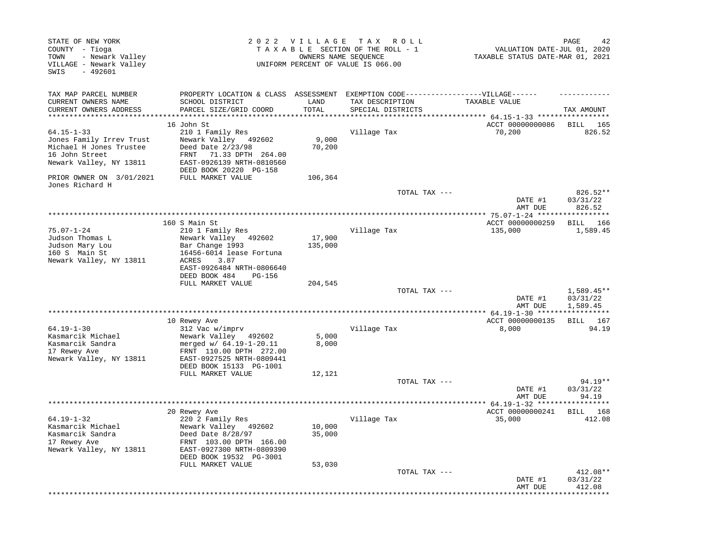| STATE OF NEW YORK<br>COUNTY - Tioga<br>- Newark Valley<br>TOWN<br>VILLAGE - Newark Valley<br>SWIS<br>$-492601$ |                                                                                                                                            |                 | 2022 VILLAGE TAX ROLL<br>TAXABLE SECTION OF THE ROLL - 1<br>OWNERS NAME SEOUENCE<br>UNIFORM PERCENT OF VALUE IS 066.00 | VALUATION DATE-JUL 01, 2020<br>TAXABLE STATUS DATE-MAR 01, 2021 | 42<br>PAGE                     |
|----------------------------------------------------------------------------------------------------------------|--------------------------------------------------------------------------------------------------------------------------------------------|-----------------|------------------------------------------------------------------------------------------------------------------------|-----------------------------------------------------------------|--------------------------------|
| TAX MAP PARCEL NUMBER                                                                                          | PROPERTY LOCATION & CLASS ASSESSMENT EXEMPTION CODE-----------------VILLAGE------                                                          |                 |                                                                                                                        |                                                                 |                                |
| CURRENT OWNERS NAME<br>CURRENT OWNERS ADDRESS                                                                  | SCHOOL DISTRICT<br>PARCEL SIZE/GRID COORD                                                                                                  | LAND<br>TOTAL   | TAX DESCRIPTION<br>SPECIAL DISTRICTS                                                                                   | TAXABLE VALUE                                                   | TAX AMOUNT                     |
|                                                                                                                | 16 John St                                                                                                                                 |                 |                                                                                                                        | **** 64.15-1-33 *****<br>ACCT 00000000086                       | <b>BILL</b><br>165             |
| $64.15 - 1 - 33$<br>Jones Family Irrev Trust<br>Michael H Jones Trustee<br>16 John Street                      | 210 1 Family Res<br>Newark Valley 492602<br>Deed Date 2/23/98<br>71.33 DPTH 264.00<br>FRNT                                                 | 9,000<br>70,200 | Village Tax                                                                                                            | 70,200                                                          | 826.52                         |
| Newark Valley, NY 13811                                                                                        | EAST-0926139 NRTH-0810560<br>DEED BOOK 20220 PG-158                                                                                        |                 |                                                                                                                        |                                                                 |                                |
| PRIOR OWNER ON 3/01/2021<br>Jones Richard H                                                                    | FULL MARKET VALUE                                                                                                                          | 106,364         |                                                                                                                        |                                                                 |                                |
|                                                                                                                |                                                                                                                                            |                 | TOTAL TAX ---                                                                                                          | DATE #1<br>AMT DUE                                              | 826.52**<br>03/31/22<br>826.52 |
|                                                                                                                |                                                                                                                                            |                 |                                                                                                                        |                                                                 |                                |
| $75.07 - 1 - 24$<br>Judson Thomas L                                                                            | 160 S Main St<br>210 1 Family Res<br>Newark Valley<br>492602                                                                               | 17,900          | Village Tax                                                                                                            | ACCT 00000000259<br>135,000                                     | BILL 166<br>1,589.45           |
| Judson Mary Lou<br>160 S Main St<br>Newark Valley, NY 13811                                                    | Bar Change 1993<br>16456-6014 lease Fortuna<br>ACRES<br>3.87<br>EAST-0926484 NRTH-0806640<br>DEED BOOK 484<br><b>PG-156</b>                | 135,000         |                                                                                                                        |                                                                 |                                |
|                                                                                                                | FULL MARKET VALUE                                                                                                                          | 204,545         | TOTAL TAX ---                                                                                                          | DATE #1                                                         | $1,589.45**$<br>03/31/22       |
|                                                                                                                |                                                                                                                                            |                 |                                                                                                                        | AMT DUE                                                         | 1,589.45                       |
|                                                                                                                |                                                                                                                                            |                 | *************************************                                                                                  | ******** 64.19-1-30 ******                                      | * * * * * * * *                |
| $64.19 - 1 - 30$<br>Kasmarcik Michael<br>Kasmarcik Sandra<br>17 Rewey Ave<br>Newark Valley, NY 13811           | 10 Rewey Ave<br>312 Vac w/imprv<br>Newark Valley 492602<br>merged w/ 64.19-1-20.11<br>FRNT 110.00 DPTH 272.00<br>EAST-0927525 NRTH-0809441 | 5,000<br>8,000  | Village Tax                                                                                                            | ACCT 00000000135<br>8,000                                       | BILL 167<br>94.19              |
|                                                                                                                | DEED BOOK 15133 PG-1001<br>FULL MARKET VALUE                                                                                               | 12,121          |                                                                                                                        |                                                                 |                                |
|                                                                                                                |                                                                                                                                            |                 | TOTAL TAX ---                                                                                                          | DATE #1<br>AMT DUE                                              | $94.19**$<br>03/31/22<br>94.19 |
|                                                                                                                |                                                                                                                                            |                 |                                                                                                                        |                                                                 |                                |
| $64.19 - 1 - 32$<br>Kasmarcik Michael                                                                          | 20 Rewey Ave<br>220 2 Family Res<br>Newark Valley 492602                                                                                   | 10,000          | Village Tax                                                                                                            | ACCT 00000000241<br>35,000                                      | <b>BILL</b> 168<br>412.08      |
| Kasmarcik Sandra<br>17 Rewey Ave<br>Newark Valley, NY 13811                                                    | Deed Date 8/28/97<br>FRNT 103.00 DPTH 166.00<br>EAST-0927300 NRTH-0809390<br>DEED BOOK 19532 PG-3001                                       | 35,000          |                                                                                                                        |                                                                 |                                |
|                                                                                                                | FULL MARKET VALUE                                                                                                                          | 53,030          |                                                                                                                        |                                                                 |                                |
|                                                                                                                |                                                                                                                                            |                 | TOTAL TAX ---                                                                                                          | DATE #1<br>AMT DUE                                              | 412.08**<br>03/31/22<br>412.08 |
|                                                                                                                |                                                                                                                                            |                 |                                                                                                                        |                                                                 |                                |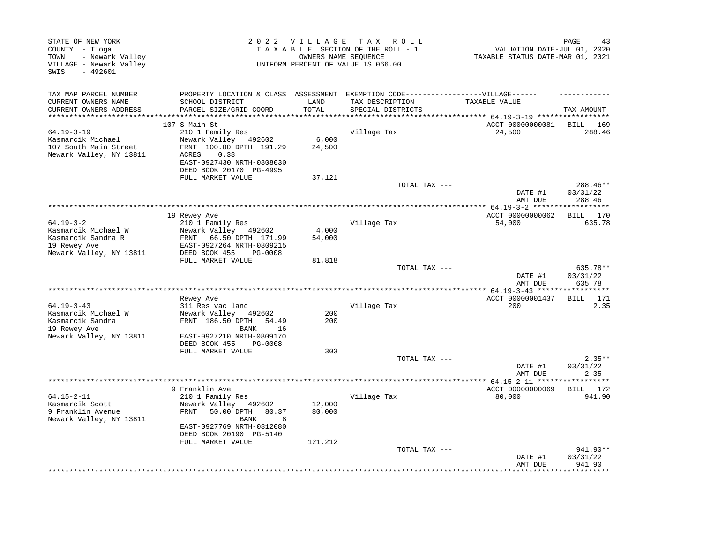| STATE OF NEW YORK<br>COUNTY - Tioga<br>- Newark Valley<br>TOWN<br>VILLAGE - Newark Valley<br>$-492601$<br>SWIS |                                                                                                                                                                   | 2022 VILLAGE        | T A X<br>R O L L<br>TAXABLE SECTION OF THE ROLL - 1<br>OWNERS NAME SEQUENCE<br>UNIFORM PERCENT OF VALUE IS 066.00 | VALUATION DATE-JUL 01, 2020<br>TAXABLE STATUS DATE-MAR 01, 2021 | PAGE<br>43                     |
|----------------------------------------------------------------------------------------------------------------|-------------------------------------------------------------------------------------------------------------------------------------------------------------------|---------------------|-------------------------------------------------------------------------------------------------------------------|-----------------------------------------------------------------|--------------------------------|
| TAX MAP PARCEL NUMBER<br>CURRENT OWNERS NAME                                                                   | PROPERTY LOCATION & CLASS ASSESSMENT<br>SCHOOL DISTRICT                                                                                                           | LAND                | EXEMPTION CODE------------------VILLAGE------<br>TAX DESCRIPTION                                                  | TAXABLE VALUE                                                   |                                |
| CURRENT OWNERS ADDRESS<br>*******************                                                                  | PARCEL SIZE/GRID COORD                                                                                                                                            | TOTAL<br>********** | SPECIAL DISTRICTS<br>********************                                                                         | ********* 64.19-3-19 ******************                         | TAX AMOUNT                     |
|                                                                                                                | 107 S Main St                                                                                                                                                     |                     |                                                                                                                   | ACCT 00000000081                                                | BILL<br>169                    |
| $64.19 - 3 - 19$<br>Kasmarcik Michael<br>107 South Main Street<br>Newark Valley, NY 13811                      | 210 1 Family Res<br>Newark Valley 492602<br>FRNT 100.00 DPTH 191.29<br>ACRES<br>0.38<br>EAST-0927430 NRTH-0808030<br>DEED BOOK 20170 PG-4995                      | 6,000<br>24,500     | Village Tax                                                                                                       | 24,500                                                          | 288.46                         |
|                                                                                                                | FULL MARKET VALUE                                                                                                                                                 | 37,121              |                                                                                                                   |                                                                 |                                |
|                                                                                                                |                                                                                                                                                                   |                     | TOTAL TAX ---                                                                                                     | DATE #1                                                         | 288.46**<br>03/31/22           |
|                                                                                                                |                                                                                                                                                                   |                     |                                                                                                                   | AMT DUE                                                         | 288.46                         |
|                                                                                                                | 19 Rewey Ave                                                                                                                                                      |                     |                                                                                                                   | ACCT 00000000062                                                | BILL 170                       |
| $64.19 - 3 - 2$<br>Kasmarcik Michael W<br>Kasmarcik Sandra R<br>19 Rewey Ave<br>Newark Valley, NY 13811        | 210 1 Family Res<br>Newark Valley<br>492602<br>66.50 DPTH 171.99<br>FRNT<br>EAST-0927264 NRTH-0809215<br>DEED BOOK 455<br>PG-0008                                 | 4,000<br>54,000     | Village Tax                                                                                                       | 54,000                                                          | 635.78                         |
|                                                                                                                | FULL MARKET VALUE                                                                                                                                                 | 81,818              | TOTAL TAX ---                                                                                                     | DATE #1<br>AMT DUE                                              | 635.78**<br>03/31/22<br>635.78 |
|                                                                                                                |                                                                                                                                                                   |                     |                                                                                                                   | ******** 64.19-3-43 ****                                        |                                |
| $64.19 - 3 - 43$<br>Kasmarcik Michael W<br>Kasmarcik Sandra<br>19 Rewey Ave                                    | Rewey Ave<br>311 Res vac land<br>Newark Valley<br>492602<br>FRNT 186.50 DPTH<br>54.49<br><b>BANK</b><br>16                                                        | 200<br>200          | Village Tax                                                                                                       | ACCT 00000001437<br>200                                         | <b>BILL</b><br>171<br>2.35     |
| Newark Valley, NY 13811                                                                                        | EAST-0927210 NRTH-0809170<br>DEED BOOK 455<br>PG-0008                                                                                                             |                     |                                                                                                                   |                                                                 |                                |
|                                                                                                                | FULL MARKET VALUE                                                                                                                                                 | 303                 | TOTAL TAX ---                                                                                                     | DATE #1<br>AMT DUE                                              | $2.35**$<br>03/31/22<br>2.35   |
|                                                                                                                |                                                                                                                                                                   |                     | *******************************                                                                                   | ***** 64.15-2-11 ******                                         | *******                        |
| $64.15 - 2 - 11$<br>Kasmarcik Scott<br>9 Franklin Avenue<br>Newark Valley, NY 13811                            | 9 Franklin Ave<br>210 1 Family Res<br>Newark Valley<br>492602<br>50.00 DPTH<br>FRNT<br>80.37<br>BANK<br>8<br>EAST-0927769 NRTH-0812080<br>DEED BOOK 20190 PG-5140 | 12,000<br>80,000    | Village Tax                                                                                                       | ACCT 00000000069<br>80,000                                      | BILL 172<br>941.90             |
|                                                                                                                | FULL MARKET VALUE                                                                                                                                                 | 121,212             | TOTAL TAX ---                                                                                                     | DATE #1<br>AMT DUE                                              | 941.90**<br>03/31/22<br>941.90 |
|                                                                                                                |                                                                                                                                                                   |                     |                                                                                                                   |                                                                 |                                |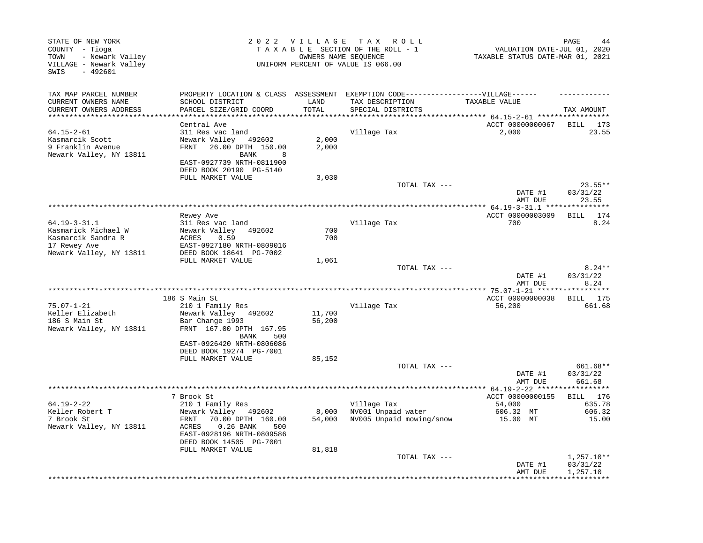| STATE OF NEW YORK<br>COUNTY - Tioga<br>- Newark Valley<br>TOWN<br>VILLAGE - Newark Valley<br>$-492601$<br>SWIS |                                                                                                                                                                            | 2022 VILLAGE TAX           | R O L L<br>TAXABLE SECTION OF THE ROLL - 1<br>OWNERS NAME SEOUENCE<br>UNIFORM PERCENT OF VALUE IS 066.00 | VALUATION DATE-JUL 01, 2020<br>TAXABLE STATUS DATE-MAR 01, 2021 | PAGE<br>44                            |
|----------------------------------------------------------------------------------------------------------------|----------------------------------------------------------------------------------------------------------------------------------------------------------------------------|----------------------------|----------------------------------------------------------------------------------------------------------|-----------------------------------------------------------------|---------------------------------------|
| TAX MAP PARCEL NUMBER                                                                                          | PROPERTY LOCATION & CLASS ASSESSMENT                                                                                                                                       |                            | EXEMPTION CODE------------------VILLAGE------                                                            |                                                                 |                                       |
| CURRENT OWNERS NAME<br>CURRENT OWNERS ADDRESS                                                                  | SCHOOL DISTRICT<br>PARCEL SIZE/GRID COORD                                                                                                                                  | LAND<br>TOTAL<br>********* | TAX DESCRIPTION<br>SPECIAL DISTRICTS                                                                     | TAXABLE VALUE<br>*********** 64.15-2-61 ******************      | TAX AMOUNT                            |
|                                                                                                                | Central Ave                                                                                                                                                                |                            |                                                                                                          | ACCT 00000000067                                                | BILL<br>173                           |
| $64.15 - 2 - 61$<br>Kasmarcik Scott<br>9 Franklin Avenue<br>Newark Valley, NY 13811                            | 311 Res vac land<br>Newark Valley<br>492602<br>26.00 DPTH 150.00<br>FRNT<br>BANK<br>8<br>EAST-0927739 NRTH-0811900<br>DEED BOOK 20190 PG-5140                              | 2,000<br>2,000             | Village Tax                                                                                              | 2,000                                                           | 23.55                                 |
|                                                                                                                | FULL MARKET VALUE                                                                                                                                                          | 3,030                      |                                                                                                          |                                                                 |                                       |
|                                                                                                                |                                                                                                                                                                            |                            | TOTAL TAX ---                                                                                            | DATE #1<br>AMT DUE                                              | $23.55**$<br>03/31/22<br>23.55        |
|                                                                                                                |                                                                                                                                                                            |                            |                                                                                                          |                                                                 |                                       |
| $64.19 - 3 - 31.1$                                                                                             | Rewey Ave<br>311 Res vac land                                                                                                                                              |                            | Village Tax                                                                                              | ACCT 00000003009<br>700                                         | BILL<br>174<br>8.24                   |
| Kasmarick Michael W<br>Kasmarcik Sandra R<br>17 Rewey Ave<br>Newark Valley, NY 13811                           | Newark Valley<br>492602<br>ACRES<br>0.59<br>EAST-0927180 NRTH-0809016<br>DEED BOOK 18641 PG-7002                                                                           | 700<br>700                 |                                                                                                          |                                                                 |                                       |
|                                                                                                                | FULL MARKET VALUE                                                                                                                                                          | 1,061                      |                                                                                                          |                                                                 |                                       |
|                                                                                                                |                                                                                                                                                                            |                            | TOTAL TAX ---                                                                                            | DATE #1<br>AMT DUE                                              | $8.24**$<br>03/31/22<br>8.24          |
|                                                                                                                |                                                                                                                                                                            |                            |                                                                                                          |                                                                 |                                       |
| $75.07 - 1 - 21$<br>Keller Elizabeth<br>186 S Main St<br>Newark Valley, NY 13811                               | 186 S Main St<br>210 1 Family Res<br>Newark Valley 492602<br>Bar Change 1993<br>FRNT 167.00 DPTH 167.95                                                                    | 11,700<br>56,200           | Village Tax                                                                                              | ACCT 00000000038<br>56,200                                      | BILL 175<br>661.68                    |
|                                                                                                                | BANK<br>500<br>EAST-0926420 NRTH-0806086<br>DEED BOOK 19274 PG-7001<br>FULL MARKET VALUE                                                                                   | 85,152                     |                                                                                                          |                                                                 |                                       |
|                                                                                                                |                                                                                                                                                                            |                            | TOTAL TAX ---                                                                                            | DATE #1<br>AMT DUE                                              | 661.68**<br>03/31/22<br>661.68        |
|                                                                                                                |                                                                                                                                                                            |                            |                                                                                                          |                                                                 |                                       |
| $64.19 - 2 - 22$<br>Keller Robert T<br>7 Brook St<br>Newark Valley, NY 13811                                   | 7 Brook St<br>210 1 Family Res<br>Newark Valley 492602<br>70.00 DPTH 160.00<br>FRNT<br>ACRES<br>$0.26$ BANK<br>500<br>EAST-0928196 NRTH-0809586<br>DEED BOOK 14505 PG-7001 | 8,000<br>54,000            | Village Tax<br>NV001 Unpaid water<br>NV005 Unpaid mowing/snow                                            | ACCT 00000000155<br>54,000<br>606.32 MT<br>15.00 MT             | BILL 176<br>635.78<br>606.32<br>15.00 |
|                                                                                                                | FULL MARKET VALUE                                                                                                                                                          | 81,818                     | TOTAL TAX ---                                                                                            | DATE #1<br>AMT DUE                                              | $1,257.10**$<br>03/31/22<br>1,257.10  |
|                                                                                                                |                                                                                                                                                                            |                            |                                                                                                          |                                                                 |                                       |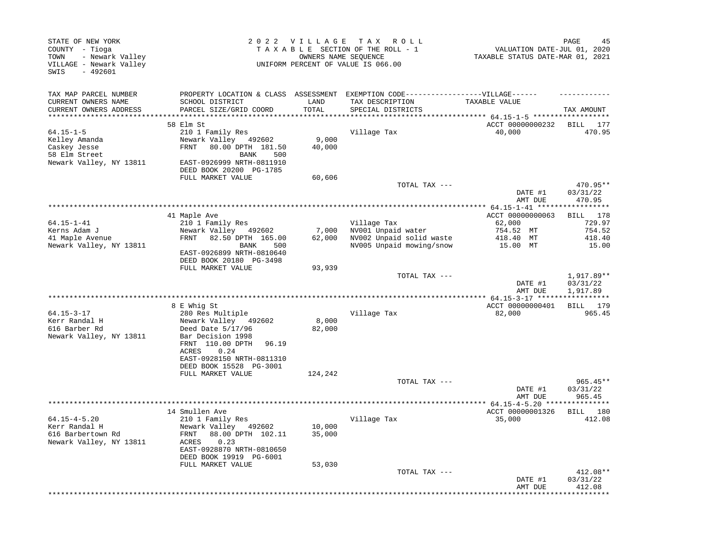| STATE OF NEW YORK<br>COUNTY - Tioga<br>- Newark Valley<br>TOWN<br>VILLAGE - Newark Valley<br>SWIS<br>$-492601$ |                                              | 2022 VILLAGE | T A X<br>R O L L<br>TAXABLE SECTION OF THE ROLL - 1<br>OWNERS NAME SEQUENCE<br>UNIFORM PERCENT OF VALUE IS 066.00 | VALUATION DATE-JUL 01, 2020<br>TAXABLE STATUS DATE-MAR 01, 2021 | PAGE<br>45           |
|----------------------------------------------------------------------------------------------------------------|----------------------------------------------|--------------|-------------------------------------------------------------------------------------------------------------------|-----------------------------------------------------------------|----------------------|
| TAX MAP PARCEL NUMBER                                                                                          | PROPERTY LOCATION & CLASS ASSESSMENT         |              | EXEMPTION CODE------------------VILLAGE------                                                                     |                                                                 |                      |
| CURRENT OWNERS NAME                                                                                            | SCHOOL DISTRICT                              | LAND         | TAX DESCRIPTION                                                                                                   | TAXABLE VALUE                                                   |                      |
| CURRENT OWNERS ADDRESS<br>***********************                                                              | PARCEL SIZE/GRID COORD                       | TOTAL        | SPECIAL DISTRICTS                                                                                                 |                                                                 | TAX AMOUNT           |
|                                                                                                                | 58 Elm St                                    |              |                                                                                                                   | ACCT 00000000232                                                | BILL<br>177          |
| $64.15 - 1 - 5$                                                                                                | 210 1 Family Res                             |              | Village Tax                                                                                                       | 40,000                                                          | 470.95               |
| Kelley Amanda                                                                                                  | Newark Valley 492602                         | 9,000        |                                                                                                                   |                                                                 |                      |
| Caskey Jesse                                                                                                   | 80.00 DPTH 181.50<br>FRNT                    | 40,000       |                                                                                                                   |                                                                 |                      |
| 58 Elm Street                                                                                                  | BANK<br>500                                  |              |                                                                                                                   |                                                                 |                      |
| Newark Valley, NY 13811                                                                                        | EAST-0926999 NRTH-0811910                    |              |                                                                                                                   |                                                                 |                      |
|                                                                                                                | DEED BOOK 20200 PG-1785                      |              |                                                                                                                   |                                                                 |                      |
|                                                                                                                | FULL MARKET VALUE                            | 60,606       |                                                                                                                   |                                                                 |                      |
|                                                                                                                |                                              |              | TOTAL TAX ---                                                                                                     | DATE #1                                                         | 470.95**<br>03/31/22 |
|                                                                                                                |                                              |              |                                                                                                                   | AMT DUE                                                         | 470.95               |
|                                                                                                                |                                              |              |                                                                                                                   |                                                                 |                      |
|                                                                                                                | 41 Maple Ave                                 |              |                                                                                                                   | ACCT 00000000063                                                | BILL 178             |
| $64.15 - 1 - 41$                                                                                               | 210 1 Family Res                             |              | Village Tax                                                                                                       | 62,000                                                          | 729.97               |
| Kerns Adam J                                                                                                   | Newark Valley<br>492602                      | 7,000        | NV001 Unpaid water                                                                                                | 754.52 MT                                                       | 754.52               |
| 41 Maple Avenue                                                                                                | 82.50 DPTH 165.00<br>FRNT                    | 62,000       | NV002 Unpaid solid waste                                                                                          | 418.40 MT                                                       | 418.40               |
| Newark Valley, NY 13811                                                                                        | BANK<br>500                                  |              | NV005 Unpaid mowing/snow                                                                                          | 15.00 MT                                                        | 15.00                |
|                                                                                                                | EAST-0926899 NRTH-0810640                    |              |                                                                                                                   |                                                                 |                      |
|                                                                                                                | DEED BOOK 20180 PG-3498<br>FULL MARKET VALUE | 93,939       |                                                                                                                   |                                                                 |                      |
|                                                                                                                |                                              |              | TOTAL TAX ---                                                                                                     |                                                                 | 1,917.89**           |
|                                                                                                                |                                              |              |                                                                                                                   | DATE #1<br>AMT DUE                                              | 03/31/22<br>1,917.89 |
|                                                                                                                |                                              |              |                                                                                                                   |                                                                 |                      |
|                                                                                                                | 8 E Whig St                                  |              |                                                                                                                   | ACCT 00000000401                                                | BILL 179             |
| $64.15 - 3 - 17$                                                                                               | 280 Res Multiple                             |              | Village Tax                                                                                                       | 82,000                                                          | 965.45               |
| Kerr Randal H                                                                                                  | Newark Valley 492602                         | 8,000        |                                                                                                                   |                                                                 |                      |
| 616 Barber Rd<br>Newark Valley, NY 13811                                                                       | Deed Date 5/17/96<br>Bar Decision 1998       | 82,000       |                                                                                                                   |                                                                 |                      |
|                                                                                                                | FRNT 110.00 DPTH<br>96.19                    |              |                                                                                                                   |                                                                 |                      |
|                                                                                                                | 0.24<br>ACRES                                |              |                                                                                                                   |                                                                 |                      |
|                                                                                                                | EAST-0928150 NRTH-0811310                    |              |                                                                                                                   |                                                                 |                      |
|                                                                                                                | DEED BOOK 15528 PG-3001                      |              |                                                                                                                   |                                                                 |                      |
|                                                                                                                | FULL MARKET VALUE                            | 124,242      |                                                                                                                   |                                                                 |                      |
|                                                                                                                |                                              |              | TOTAL TAX ---                                                                                                     |                                                                 | $965.45**$           |
|                                                                                                                |                                              |              |                                                                                                                   | DATE #1                                                         | 03/31/22             |
|                                                                                                                |                                              |              |                                                                                                                   | AMT DUE                                                         | 965.45               |
|                                                                                                                | 14 Smullen Ave                               |              |                                                                                                                   | ACCT 00000001326                                                | BILL<br>180          |
| $64.15 - 4 - 5.20$                                                                                             | 210 1 Family Res                             |              | Village Tax                                                                                                       | 35,000                                                          | 412.08               |
| Kerr Randal H                                                                                                  | Newark Valley 492602                         | 10,000       |                                                                                                                   |                                                                 |                      |
| 616 Barbertown Rd                                                                                              | FRNT 88.00 DPTH 102.11                       | 35,000       |                                                                                                                   |                                                                 |                      |
| Newark Valley, NY 13811                                                                                        | 0.23<br>ACRES                                |              |                                                                                                                   |                                                                 |                      |
|                                                                                                                | EAST-0928870 NRTH-0810650                    |              |                                                                                                                   |                                                                 |                      |
|                                                                                                                | DEED BOOK 19919 PG-6001                      |              |                                                                                                                   |                                                                 |                      |
|                                                                                                                | FULL MARKET VALUE                            | 53,030       |                                                                                                                   |                                                                 | 412.08**             |
|                                                                                                                |                                              |              | TOTAL TAX ---                                                                                                     | DATE #1                                                         | 03/31/22             |
|                                                                                                                |                                              |              |                                                                                                                   | AMT DUE                                                         | 412.08               |
|                                                                                                                |                                              |              |                                                                                                                   |                                                                 | * * * * * * * * *    |
|                                                                                                                |                                              |              |                                                                                                                   |                                                                 |                      |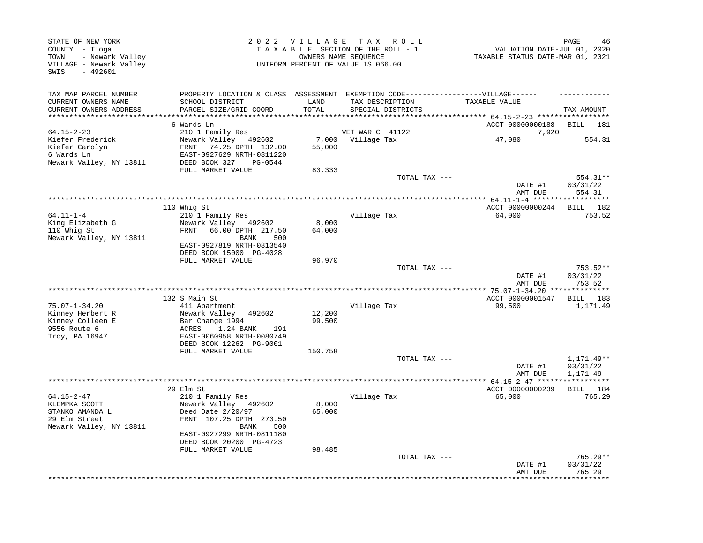| STATE OF NEW YORK<br>COUNTY - Tioga<br>- Newark Valley<br>TOWN<br>VILLAGE - Newark Valley<br>$-492601$<br>SWIS |                                                                                                                                                                        | 2022 VILLAGE<br>OWNERS NAME SEOUENCE | TAX ROLL<br>TAXABLE SECTION OF THE ROLL - 1<br>UNIFORM PERCENT OF VALUE IS 066.00                                         | VALUATION DATE-JUL 01, 2020<br>TAXABLE STATUS DATE-MAR 01, 2021 | PAGE<br>46                         |
|----------------------------------------------------------------------------------------------------------------|------------------------------------------------------------------------------------------------------------------------------------------------------------------------|--------------------------------------|---------------------------------------------------------------------------------------------------------------------------|-----------------------------------------------------------------|------------------------------------|
| TAX MAP PARCEL NUMBER<br>CURRENT OWNERS NAME<br>CURRENT OWNERS ADDRESS<br>**********************               | SCHOOL DISTRICT<br>PARCEL SIZE/GRID COORD<br>********************                                                                                                      | LAND<br>TOTAL<br>*************       | PROPERTY LOCATION & CLASS ASSESSMENT EXEMPTION CODE-----------------VILLAGE------<br>TAX DESCRIPTION<br>SPECIAL DISTRICTS | TAXABLE VALUE                                                   | TAX AMOUNT                         |
|                                                                                                                | 6 Wards Ln                                                                                                                                                             |                                      |                                                                                                                           | ACCT 00000000188                                                | BILL<br>181                        |
| $64.15 - 2 - 23$                                                                                               | 210 1 Family Res                                                                                                                                                       |                                      | VET WAR C 41122                                                                                                           | 7,920                                                           |                                    |
| Kiefer Frederick<br>Kiefer Carolyn<br>6 Wards Ln<br>Newark Valley, NY 13811                                    | Newark Valley 492602<br>74.25 DPTH 132.00<br>FRNT<br>EAST-0927629 NRTH-0811220<br>DEED BOOK 327<br>PG-0544                                                             | 7,000<br>55,000                      | Village Tax                                                                                                               | 47,080                                                          | 554.31                             |
|                                                                                                                | FULL MARKET VALUE                                                                                                                                                      | 83,333                               |                                                                                                                           |                                                                 |                                    |
|                                                                                                                |                                                                                                                                                                        |                                      | TOTAL TAX ---                                                                                                             | DATE #1<br>AMT DUE                                              | 554.31**<br>03/31/22<br>554.31     |
|                                                                                                                |                                                                                                                                                                        |                                      |                                                                                                                           | ***************** 64.11-1-4 ******                              | ********                           |
| $64.11 - 1 - 4$<br>King Elizabeth G<br>110 Whig St<br>Newark Valley, NY 13811                                  | 110 Whig St<br>210 1 Family Res<br>Newark Valley 492602<br>66.00 DPTH 217.50<br>FRNT<br>BANK<br>500<br>EAST-0927819 NRTH-0813540                                       | 8,000<br>64,000                      | Village Tax                                                                                                               | ACCT 00000000244<br>64,000                                      | BILL 182<br>753.52                 |
|                                                                                                                | DEED BOOK 15000 PG-4028                                                                                                                                                |                                      |                                                                                                                           |                                                                 |                                    |
|                                                                                                                | FULL MARKET VALUE                                                                                                                                                      | 96,970                               | TOTAL TAX ---                                                                                                             | DATE #1<br>AMT DUE                                              | 753.52**<br>03/31/22<br>753.52     |
|                                                                                                                |                                                                                                                                                                        |                                      |                                                                                                                           |                                                                 |                                    |
| $75.07 - 1 - 34.20$<br>Kinney Herbert R                                                                        | 132 S Main St<br>411 Apartment<br>Newark Valley<br>492602                                                                                                              | 12,200                               | Village Tax                                                                                                               | ACCT 00000001547<br>99,500                                      | BILL 183<br>1,171.49               |
| Kinney Colleen E<br>9556 Route 6<br>Troy, PA 16947                                                             | Bar Change 1994<br>1.24 BANK<br>ACRES<br>191<br>EAST-0060958 NRTH-0080749<br>DEED BOOK 12262 PG-9001                                                                   | 99,500                               |                                                                                                                           |                                                                 |                                    |
|                                                                                                                | FULL MARKET VALUE                                                                                                                                                      | 150,758                              |                                                                                                                           |                                                                 |                                    |
|                                                                                                                |                                                                                                                                                                        |                                      | TOTAL TAX ---                                                                                                             | DATE #1<br>AMT DUE                                              | 1,171.49**<br>03/31/22<br>1,171.49 |
|                                                                                                                |                                                                                                                                                                        |                                      |                                                                                                                           | ** 64.15-2-47 *****                                             |                                    |
|                                                                                                                | 29 Elm St                                                                                                                                                              |                                      |                                                                                                                           | ACCT 00000000239                                                | BILL 184                           |
| $64.15 - 2 - 47$<br>KLEMPKA SCOTT<br>STANKO AMANDA L<br>29 Elm Street<br>Newark Valley, NY 13811               | 210 1 Family Res<br>Newark Valley 492602<br>Deed Date 2/20/97<br>FRNT 107.25 DPTH 273.50<br>500<br><b>BANK</b><br>EAST-0927299 NRTH-0811180<br>DEED BOOK 20200 PG-4723 | 8,000<br>65,000                      | Village Tax                                                                                                               | 65,000                                                          | 765.29                             |
|                                                                                                                | FULL MARKET VALUE                                                                                                                                                      | 98,485                               |                                                                                                                           |                                                                 |                                    |
|                                                                                                                |                                                                                                                                                                        |                                      | TOTAL TAX ---                                                                                                             | DATE #1<br>AMT DUE                                              | $765.29**$<br>03/31/22<br>765.29   |
|                                                                                                                |                                                                                                                                                                        |                                      |                                                                                                                           |                                                                 | * * * * * * * * *                  |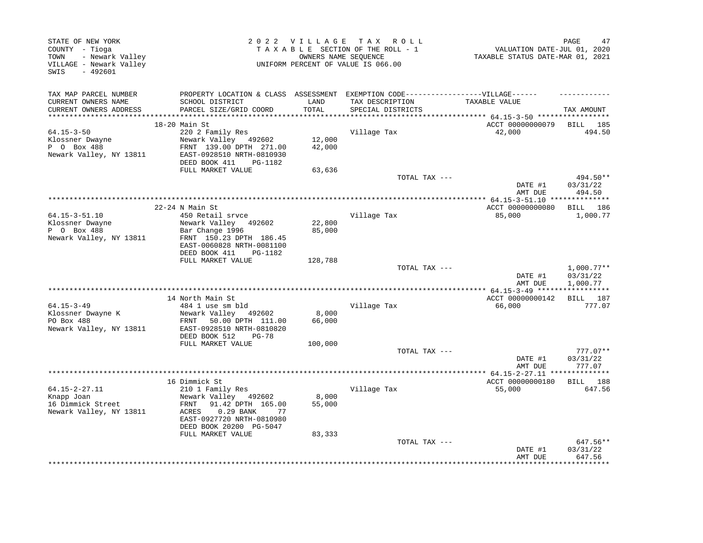| STATE OF NEW YORK<br>COUNTY - Tioga<br>TOWN<br>- Newark Valley<br>VILLAGE - Newark Valley<br>SWIS<br>$-492601$ |                                                                                                              |                  | 2022 VILLAGE TAX ROLL<br>TAXABLE SECTION OF THE ROLL - 1<br>OWNERS NAME SEQUENCE<br>UNIFORM PERCENT OF VALUE IS 066.00 | VALUATION DATE-JUL 01, 2020<br>TAXABLE STATUS DATE-MAR 01, 2021 | 47<br>PAGE               |
|----------------------------------------------------------------------------------------------------------------|--------------------------------------------------------------------------------------------------------------|------------------|------------------------------------------------------------------------------------------------------------------------|-----------------------------------------------------------------|--------------------------|
| TAX MAP PARCEL NUMBER                                                                                          | PROPERTY LOCATION & CLASS ASSESSMENT EXEMPTION CODE-----------------VILLAGE------                            |                  |                                                                                                                        |                                                                 |                          |
| CURRENT OWNERS NAME<br>CURRENT OWNERS ADDRESS                                                                  | SCHOOL DISTRICT<br>PARCEL SIZE/GRID COORD                                                                    | LAND<br>TOTAL    | TAX DESCRIPTION<br>SPECIAL DISTRICTS                                                                                   | TAXABLE VALUE                                                   | TAX AMOUNT               |
|                                                                                                                |                                                                                                              |                  |                                                                                                                        |                                                                 |                          |
|                                                                                                                | 18-20 Main St                                                                                                |                  |                                                                                                                        | ACCT 00000000079                                                | BILL 185                 |
| $64.15 - 3 - 50$                                                                                               | 220 2 Family Res                                                                                             |                  | Village Tax                                                                                                            | 42,000                                                          | 494.50                   |
| Klossner Dwayne<br>P 0 Box 488                                                                                 | Newark Valley 492602                                                                                         | 12,000<br>42,000 |                                                                                                                        |                                                                 |                          |
| Newark Valley, NY 13811                                                                                        | FRNT 139.00 DPTH 271.00<br>EAST-0928510 NRTH-0810930                                                         |                  |                                                                                                                        |                                                                 |                          |
|                                                                                                                | DEED BOOK 411<br>PG-1182<br>FULL MARKET VALUE                                                                | 63,636           |                                                                                                                        |                                                                 |                          |
|                                                                                                                |                                                                                                              |                  | TOTAL TAX ---                                                                                                          |                                                                 | 494.50**                 |
|                                                                                                                |                                                                                                              |                  |                                                                                                                        | DATE #1<br>AMT DUE                                              | 03/31/22<br>494.50       |
|                                                                                                                |                                                                                                              |                  |                                                                                                                        |                                                                 |                          |
|                                                                                                                | $22-24$ N Main St                                                                                            |                  |                                                                                                                        | ACCT 00000000080                                                | BILL 186                 |
| $64.15 - 3 - 51.10$                                                                                            | 450 Retail srvce                                                                                             |                  | Village Tax                                                                                                            | 85,000                                                          | 1,000.77                 |
| Klossner Dwayne                                                                                                | Newark Valley 492602                                                                                         | 22,800           |                                                                                                                        |                                                                 |                          |
| P 0 Box 488<br>Newark Valley, NY 13811                                                                         | Bar Change 1996<br>FRNT 150.23 DPTH 186.45                                                                   | 85,000           |                                                                                                                        |                                                                 |                          |
|                                                                                                                | EAST-0060828 NRTH-0081100<br>DEED BOOK 411<br>PG-1182                                                        |                  |                                                                                                                        |                                                                 |                          |
|                                                                                                                | FULL MARKET VALUE                                                                                            | 128,788          |                                                                                                                        |                                                                 |                          |
|                                                                                                                |                                                                                                              |                  | TOTAL TAX ---                                                                                                          | DATE #1                                                         | $1,000.77**$<br>03/31/22 |
|                                                                                                                |                                                                                                              |                  |                                                                                                                        | AMT DUE                                                         | 1,000.77                 |
|                                                                                                                | 14 North Main St                                                                                             |                  |                                                                                                                        | ACCT 00000000142                                                | BILL 187                 |
| $64.15 - 3 - 49$                                                                                               | 484 1 use sm bld                                                                                             |                  | Village Tax                                                                                                            | 66,000                                                          | 777.07                   |
| Klossner Dwayne K                                                                                              | Newark Valley 492602                                                                                         | 8,000            |                                                                                                                        |                                                                 |                          |
| PO Box 488<br>Newark Valley, NY 13811                                                                          | FRNT 50.00 DPTH 111.00<br>EAST-0928510 NRTH-0810820<br>DEED BOOK 512<br>PG-78                                | 66,000           |                                                                                                                        |                                                                 |                          |
|                                                                                                                | FULL MARKET VALUE                                                                                            | 100,000          |                                                                                                                        |                                                                 |                          |
|                                                                                                                |                                                                                                              |                  | TOTAL TAX ---                                                                                                          |                                                                 | $777.07**$               |
|                                                                                                                |                                                                                                              |                  |                                                                                                                        | DATE #1<br>AMT DUE                                              | 03/31/22<br>777.07       |
|                                                                                                                |                                                                                                              |                  |                                                                                                                        |                                                                 |                          |
|                                                                                                                | 16 Dimmick St                                                                                                |                  |                                                                                                                        | ACCT 00000000180                                                | BILL 188                 |
| $64.15 - 2 - 27.11$                                                                                            | 210 1 Family Res                                                                                             |                  | Village Tax                                                                                                            | 55,000                                                          | 647.56                   |
| Knapp Joan<br>16 Dimmick Street<br>Newark Valley, NY 13811                                                     | Newark Valley 492602<br>91.42 DPTH 165.00<br>FRNT<br>ACRES<br>$0.29$ BANK<br>77<br>EAST-0927720 NRTH-0810980 | 8,000<br>55,000  |                                                                                                                        |                                                                 |                          |
|                                                                                                                | DEED BOOK 20200 PG-5047<br>FULL MARKET VALUE                                                                 | 83,333           |                                                                                                                        |                                                                 |                          |
|                                                                                                                |                                                                                                              |                  | TOTAL TAX ---                                                                                                          | DATE #1                                                         | 647.56**<br>03/31/22     |
|                                                                                                                |                                                                                                              |                  |                                                                                                                        | AMT DUE                                                         | 647.56                   |
|                                                                                                                |                                                                                                              |                  |                                                                                                                        |                                                                 | ***********              |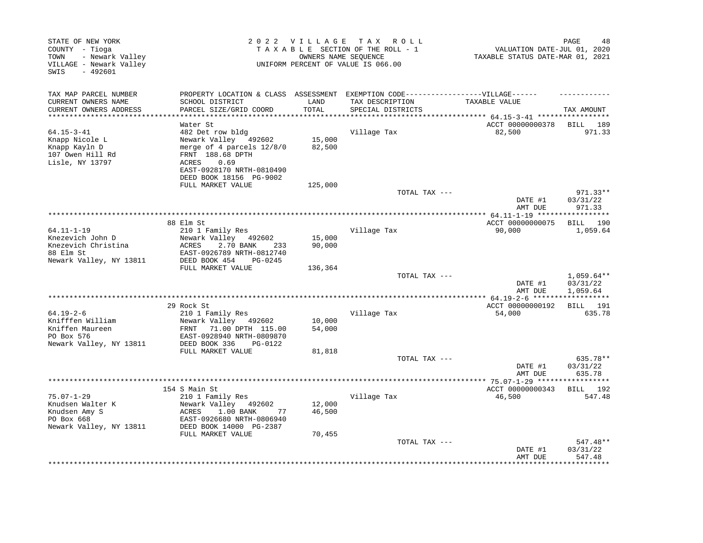| STATE OF NEW YORK<br>COUNTY - Tioga<br>- Newark Valley<br>TOWN<br>VILLAGE - Newark Valley<br>SWIS<br>$-492601$ |                                                                                                                                         |                            | 2022 VILLAGE TAX ROLL<br>TAXABLE SECTION OF THE ROLL - 1<br>OWNERS NAME SEQUENCE<br>UNIFORM PERCENT OF VALUE IS 066.00 | VALUATION DATE-JUL 01, 2020<br>TAXABLE STATUS DATE-MAR 01, 2021 | 48<br>PAGE                     |
|----------------------------------------------------------------------------------------------------------------|-----------------------------------------------------------------------------------------------------------------------------------------|----------------------------|------------------------------------------------------------------------------------------------------------------------|-----------------------------------------------------------------|--------------------------------|
| TAX MAP PARCEL NUMBER<br>CURRENT OWNERS NAME                                                                   | PROPERTY LOCATION & CLASS ASSESSMENT EXEMPTION CODE-----------------VILLAGE------<br>SCHOOL DISTRICT                                    | LAND                       | TAX DESCRIPTION                                                                                                        | TAXABLE VALUE                                                   |                                |
| CURRENT OWNERS ADDRESS                                                                                         | PARCEL SIZE/GRID COORD                                                                                                                  | TOTAL                      | SPECIAL DISTRICTS                                                                                                      |                                                                 | TAX AMOUNT                     |
|                                                                                                                | Water St                                                                                                                                |                            |                                                                                                                        | ******* 64.15-3-41 *****************<br>ACCT 00000000378        | BILL 189                       |
| $64.15 - 3 - 41$<br>Knapp Nicole L<br>Knapp Kayln D<br>107 Owen Hill Rd<br>Lisle, NY 13797                     | 482 Det row bldg<br>Newark Valley 492602<br>merge of 4 parcels 12/8/0<br>FRNT 188.68 DPTH<br>0.69<br>ACRES<br>EAST-0928170 NRTH-0810490 | 15,000<br>82,500           | Village Tax                                                                                                            | 82,500                                                          | 971.33                         |
|                                                                                                                | DEED BOOK 18156 PG-9002                                                                                                                 |                            |                                                                                                                        |                                                                 |                                |
|                                                                                                                | FULL MARKET VALUE                                                                                                                       | 125,000                    | TOTAL TAX ---                                                                                                          | DATE #1                                                         | $971.33**$<br>03/31/22         |
|                                                                                                                |                                                                                                                                         |                            |                                                                                                                        | AMT DUE                                                         | 971.33                         |
|                                                                                                                |                                                                                                                                         |                            |                                                                                                                        |                                                                 |                                |
|                                                                                                                | 88 Elm St                                                                                                                               |                            |                                                                                                                        | ACCT 00000000075                                                | BILL 190                       |
| $64.11 - 1 - 19$<br>Knezevich John D<br>Knezevich Christina<br>88 Elm St<br>Newark Valley, NY 13811            | 210 1 Family Res<br>Newark Valley 492602<br>ACRES<br>2.70 BANK<br>233<br>EAST-0926789 NRTH-0812740<br>DEED BOOK 454<br>PG-0245          | 15,000<br>90,000           | Village Tax                                                                                                            | 90,000                                                          | 1,059.64                       |
|                                                                                                                | FULL MARKET VALUE                                                                                                                       | 136,364                    |                                                                                                                        |                                                                 |                                |
|                                                                                                                |                                                                                                                                         |                            | TOTAL TAX ---                                                                                                          | DATE #1                                                         | $1,059.64**$<br>03/31/22       |
|                                                                                                                |                                                                                                                                         |                            |                                                                                                                        | AMT DUE                                                         | 1,059.64<br>***********        |
|                                                                                                                | 29 Rock St                                                                                                                              |                            |                                                                                                                        | ACCT 00000000192                                                | BILL 191                       |
| $64.19 - 2 - 6$                                                                                                | 210 1 Family Res                                                                                                                        |                            | Village Tax                                                                                                            | 54,000                                                          | 635.78                         |
| Knifffen William<br>Kniffen Maureen<br>PO Box 576<br>Newark Valley, NY 13811                                   | Newark Valley 492602<br>FRNT<br>71.00 DPTH 115.00<br>EAST-0928940 NRTH-0809870<br>DEED BOOK 336<br>PG-0122<br>FULL MARKET VALUE         | 10,000<br>54,000<br>81,818 |                                                                                                                        |                                                                 |                                |
|                                                                                                                |                                                                                                                                         |                            | TOTAL TAX ---                                                                                                          |                                                                 | 635.78**                       |
|                                                                                                                |                                                                                                                                         |                            |                                                                                                                        | DATE #1<br>AMT DUE                                              | 03/31/22<br>635.78             |
|                                                                                                                | 154 S Main St                                                                                                                           |                            |                                                                                                                        | ACCT 00000000343                                                | BILL 192                       |
| 75.07-1-29<br>Knudsen Walter K<br>Knudsen Amy S<br>PO Box 668<br>Newark Valley, NY 13811                       | 210 1 Family Res<br>Newark Valley 492602<br>ACRES<br>1.00 BANK<br>77<br>EAST-0926680 NRTH-0806940<br>DEED BOOK 14000 PG-2387            | 12,000<br>46,500           | Village Tax                                                                                                            | 46,500                                                          | 547.48                         |
|                                                                                                                | FULL MARKET VALUE                                                                                                                       | 70,455                     | TOTAL TAX ---                                                                                                          | DATE #1<br>AMT DUE                                              | 547.48**<br>03/31/22<br>547.48 |
|                                                                                                                |                                                                                                                                         |                            |                                                                                                                        |                                                                 |                                |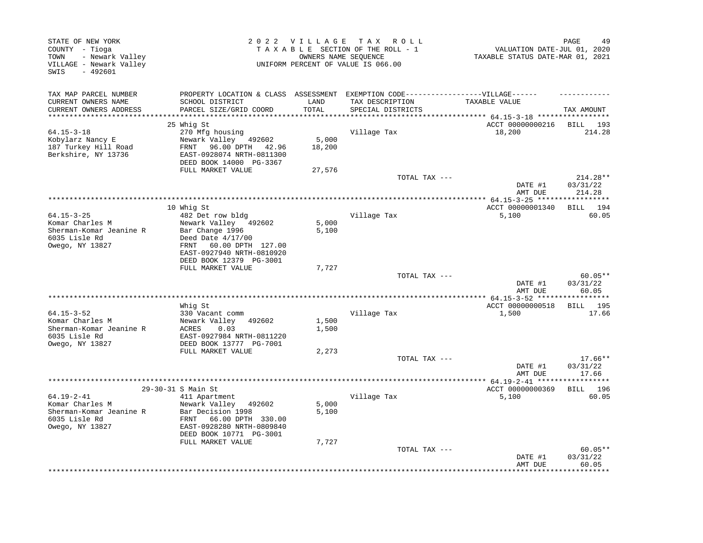| STATE OF NEW YORK<br>COUNTY - Tioga<br>- Newark Valley<br>TOWN<br>VILLAGE - Newark Valley<br>$-492601$<br>SWIS |                                                                                                                                                 | 2022 VILLAGE    | T A X<br>R O L L<br>TAXABLE SECTION OF THE ROLL - 1<br>OWNERS NAME SEQUENCE<br>UNIFORM PERCENT OF VALUE IS 066.00 | VALUATION DATE-JUL 01, 2020<br>TAXABLE STATUS DATE-MAR 01, 2021 | PAGE<br>49                     |
|----------------------------------------------------------------------------------------------------------------|-------------------------------------------------------------------------------------------------------------------------------------------------|-----------------|-------------------------------------------------------------------------------------------------------------------|-----------------------------------------------------------------|--------------------------------|
| TAX MAP PARCEL NUMBER<br>CURRENT OWNERS NAME<br>CURRENT OWNERS ADDRESS                                         | PROPERTY LOCATION & CLASS ASSESSMENT<br>SCHOOL DISTRICT<br>PARCEL SIZE/GRID COORD                                                               | LAND<br>TOTAL   | EXEMPTION CODE------------------VILLAGE------<br>TAX DESCRIPTION<br>SPECIAL DISTRICTS                             | TAXABLE VALUE                                                   | TAX AMOUNT                     |
| **************************                                                                                     |                                                                                                                                                 |                 |                                                                                                                   |                                                                 |                                |
|                                                                                                                | 25 Whig St                                                                                                                                      |                 |                                                                                                                   | ACCT 00000000216                                                | 193<br>BILL                    |
| $64.15 - 3 - 18$<br>Kobylarz Nancy E<br>187 Turkey Hill Road<br>Berkshire, NY 13736                            | 270 Mfg housing<br>Newark Valley 492602<br>FRNT 96.00 DPTH<br>42.96<br>EAST-0928074 NRTH-0811300<br>DEED BOOK 14000 PG-3367                     | 5,000<br>18,200 | Village Tax                                                                                                       | 18,200                                                          | 214.28                         |
|                                                                                                                | FULL MARKET VALUE                                                                                                                               | 27,576          | TOTAL TAX ---                                                                                                     | DATE #1                                                         | $214.28**$<br>03/31/22         |
|                                                                                                                |                                                                                                                                                 |                 | ************************************                                                                              | AMT DUE<br>************ 64.15-3-25 *****                        | 214.28                         |
|                                                                                                                | 10 Whig St                                                                                                                                      |                 |                                                                                                                   | ACCT 00000001340                                                | BILL 194                       |
| $64.15 - 3 - 25$<br>Komar Charles M<br>Sherman-Komar Jeanine R<br>6035 Lisle Rd<br>Owego, NY 13827             | 482 Det row bldg<br>Newark Valley 492602<br>Bar Change 1996<br>Deed Date $4/17/00$<br>60.00 DPTH 127.00<br>FRNT<br>EAST-0927940 NRTH-0810920    | 5,000<br>5,100  | Village Tax                                                                                                       | 5,100                                                           | 60.05                          |
|                                                                                                                | DEED BOOK 12379 PG-3001<br>FULL MARKET VALUE                                                                                                    |                 |                                                                                                                   |                                                                 |                                |
|                                                                                                                |                                                                                                                                                 | 7,727           | TOTAL TAX ---                                                                                                     | DATE #1<br>AMT DUE                                              | $60.05**$<br>03/31/22<br>60.05 |
|                                                                                                                |                                                                                                                                                 |                 |                                                                                                                   |                                                                 |                                |
| $64.15 - 3 - 52$<br>Komar Charles M<br>Sherman-Komar Jeanine R<br>6035 Lisle Rd<br>Owego, NY 13827             | Whig St<br>330 Vacant comm<br>Newark Valley<br>492602<br>ACRES<br>0.03<br>EAST-0927984 NRTH-0811220<br>DEED BOOK 13777 PG-7001                  | 1,500<br>1,500  | Village Tax                                                                                                       | ACCT 00000000518<br>1,500                                       | BILL 195<br>17.66              |
|                                                                                                                | FULL MARKET VALUE                                                                                                                               | 2,273           | TOTAL TAX ---                                                                                                     | DATE #1                                                         | $17.66**$<br>03/31/22<br>17.66 |
|                                                                                                                |                                                                                                                                                 |                 | *******************************                                                                                   | AMT DUE<br>***** $64.19 - 2 - 41$ ******                        | * * * * * * * * * * *          |
|                                                                                                                | 29-30-31 S Main St                                                                                                                              |                 |                                                                                                                   | ACCT 00000000369                                                | BILL 196                       |
| $64.19 - 2 - 41$<br>Komar Charles M<br>Sherman-Komar Jeanine R<br>6035 Lisle Rd<br>Owego, NY 13827             | 411 Apartment<br>Newark Valley 492602<br>Bar Decision 1998<br>FRNT<br>66.00 DPTH 330.00<br>EAST-0928280 NRTH-0809840<br>DEED BOOK 10771 PG-3001 | 5,000<br>5,100  | Village Tax                                                                                                       | 5,100                                                           | 60.05                          |
|                                                                                                                | FULL MARKET VALUE                                                                                                                               | 7,727           | TOTAL TAX ---                                                                                                     | DATE #1<br>AMT DUE                                              | $60.05**$<br>03/31/22<br>60.05 |
|                                                                                                                |                                                                                                                                                 |                 |                                                                                                                   |                                                                 | ******                         |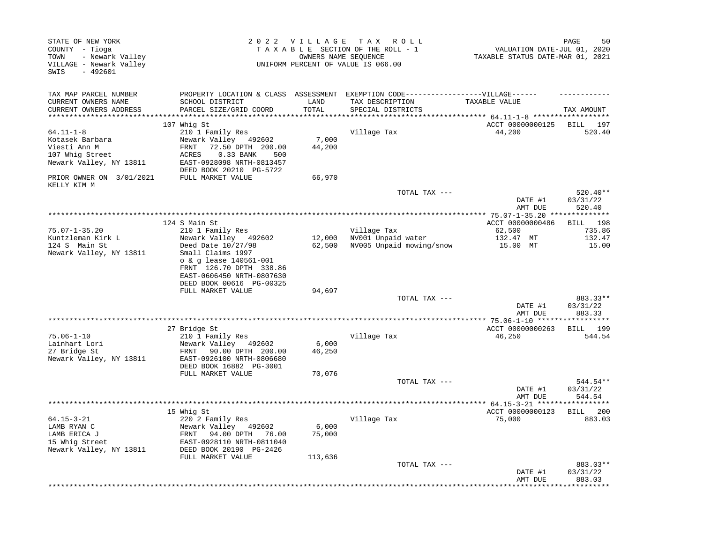| STATE OF NEW YORK<br>COUNTY - Tioga<br>- Newark Valley<br>TOWN<br>VILLAGE - Newark Valley<br>$-492601$<br>SWIS |                                                                                                                                                                           |                  | 2022 VILLAGE TAX ROLL<br>TAXABLE SECTION OF THE ROLL - 1<br>OWNERS NAME SEQUENCE<br>UNIFORM PERCENT OF VALUE IS 066.00    | VALUATION DATE-JUL 01, 2020<br>TAXABLE STATUS DATE-MAR 01, 2021 | 50<br>PAGE                     |
|----------------------------------------------------------------------------------------------------------------|---------------------------------------------------------------------------------------------------------------------------------------------------------------------------|------------------|---------------------------------------------------------------------------------------------------------------------------|-----------------------------------------------------------------|--------------------------------|
| TAX MAP PARCEL NUMBER<br>CURRENT OWNERS NAME<br>CURRENT OWNERS ADDRESS                                         | SCHOOL DISTRICT<br>PARCEL SIZE/GRID COORD                                                                                                                                 | LAND<br>TOTAL    | PROPERTY LOCATION & CLASS ASSESSMENT EXEMPTION CODE-----------------VILLAGE------<br>TAX DESCRIPTION<br>SPECIAL DISTRICTS | TAXABLE VALUE                                                   | TAX AMOUNT                     |
|                                                                                                                |                                                                                                                                                                           |                  |                                                                                                                           |                                                                 |                                |
| $64.11 - 1 - 8$<br>Kotasek Barbara<br>Viesti Ann M<br>107 Whig Street<br>Newark Valley, NY 13811               | 107 Whig St<br>210 1 Family Res<br>Newark Valley 492602<br>FRNT<br>72.50 DPTH 200.00<br>ACRES<br>0.33 BANK<br>500<br>EAST-0928098 NRTH-0813457<br>DEED BOOK 20210 PG-5722 | 7,000<br>44,200  | Village Tax                                                                                                               | ACCT 00000000125<br>44,200                                      | BILL 197<br>520.40             |
| PRIOR OWNER ON 3/01/2021<br>KELLY KIM M                                                                        | FULL MARKET VALUE                                                                                                                                                         | 66,970           |                                                                                                                           |                                                                 |                                |
|                                                                                                                |                                                                                                                                                                           |                  | TOTAL TAX ---                                                                                                             | DATE #1<br>AMT DUE                                              | 520.40**<br>03/31/22<br>520.40 |
|                                                                                                                |                                                                                                                                                                           |                  |                                                                                                                           |                                                                 |                                |
|                                                                                                                | 124 S Main St                                                                                                                                                             |                  |                                                                                                                           | ACCT 00000000486                                                | BILL 198                       |
| $75.07 - 1 - 35.20$<br>Kuntzleman Kirk L<br>124 S Main St                                                      | 210 1 Family Res<br>Newark Valley 492602<br>Deed Date 10/27/98                                                                                                            | 12,000<br>62,500 | Village Tax<br>NV001 Unpaid water<br>NV005 Unpaid mowing/snow                                                             | 62,500<br>132.47 MT<br>15.00 MT                                 | 735.86<br>132.47<br>15.00      |
| Newark Valley, NY 13811                                                                                        | Small Claims 1997<br>o & g lease 140561-001<br>FRNT 126.70 DPTH 338.86<br>EAST-0606450 NRTH-0807630<br>DEED BOOK 00616 PG-00325                                           |                  |                                                                                                                           |                                                                 |                                |
|                                                                                                                | FULL MARKET VALUE                                                                                                                                                         | 94,697           |                                                                                                                           |                                                                 |                                |
|                                                                                                                |                                                                                                                                                                           |                  | TOTAL TAX ---                                                                                                             | DATE #1<br>AMT DUE                                              | 883.33**<br>03/31/22<br>883.33 |
|                                                                                                                |                                                                                                                                                                           |                  |                                                                                                                           |                                                                 |                                |
| $75.06 - 1 - 10$<br>Lainhart Lori<br>27 Bridge St<br>Newark Valley, NY 13811                                   | 27 Bridge St<br>210 1 Family Res<br>Newark Valley 492602<br>90.00 DPTH 200.00<br>FRNT<br>EAST-0926100 NRTH-0806680                                                        | 6,000<br>46,250  | Village Tax                                                                                                               | ACCT 00000000263<br>46,250                                      | BILL 199<br>544.54             |
|                                                                                                                | DEED BOOK 16882 PG-3001<br>FULL MARKET VALUE                                                                                                                              | 70,076           |                                                                                                                           |                                                                 |                                |
|                                                                                                                |                                                                                                                                                                           |                  | TOTAL TAX ---                                                                                                             | DATE #1<br>AMT DUE                                              | 544.54**<br>03/31/22<br>544.54 |
|                                                                                                                |                                                                                                                                                                           |                  |                                                                                                                           |                                                                 |                                |
| $64.15 - 3 - 21$<br>LAMB RYAN C<br>LAMB ERICA J<br>15 Whig Street<br>Newark Valley, NY 13811                   | 15 Whig St<br>220 2 Family Res<br>Newark Valley 492602<br>94.00 DPTH<br>FRNT<br>76.00<br>EAST-0928110 NRTH-0811040<br>DEED BOOK 20190 PG-2426                             | 6,000<br>75,000  | Village Tax                                                                                                               | ACCT 00000000123<br>75,000                                      | BILL 200<br>883.03             |
|                                                                                                                | FULL MARKET VALUE                                                                                                                                                         | 113,636          | TOTAL TAX ---                                                                                                             | DATE #1<br>AMT DUE                                              | 883.03**<br>03/31/22<br>883.03 |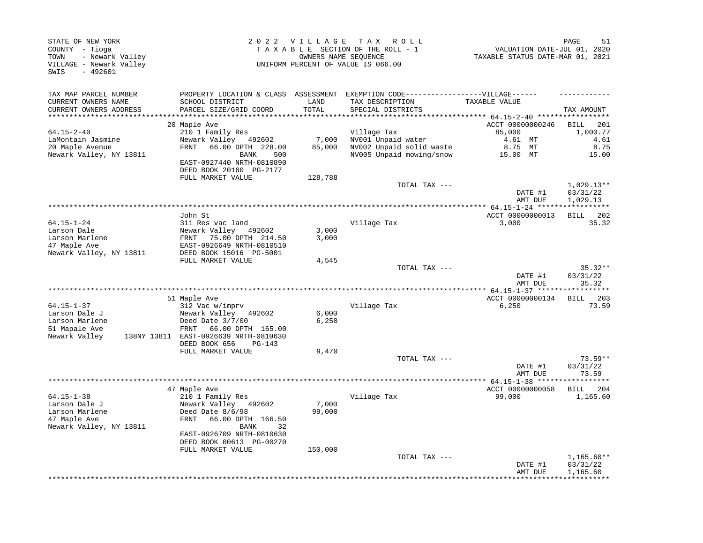| STATE OF NEW YORK<br>COUNTY - Tioga<br>- Newark Valley<br>TOWN<br>VILLAGE - Newark Valley<br>SWIS<br>$-492601$ |                                                                                   | 2022 VILLAGE  | T A X<br>R O L L<br>TAXABLE SECTION OF THE ROLL - 1<br>OWNERS NAME SEQUENCE<br>UNIFORM PERCENT OF VALUE IS 066.00 | VALUATION DATE-JUL 01, 2020<br>TAXABLE STATUS DATE-MAR 01, 2021 | PAGE<br>51                           |
|----------------------------------------------------------------------------------------------------------------|-----------------------------------------------------------------------------------|---------------|-------------------------------------------------------------------------------------------------------------------|-----------------------------------------------------------------|--------------------------------------|
| TAX MAP PARCEL NUMBER<br>CURRENT OWNERS NAME<br>CURRENT OWNERS ADDRESS<br>***********************              | PROPERTY LOCATION & CLASS ASSESSMENT<br>SCHOOL DISTRICT<br>PARCEL SIZE/GRID COORD | LAND<br>TOTAL | EXEMPTION CODE------------------VILLAGE------<br>TAX DESCRIPTION<br>SPECIAL DISTRICTS                             | TAXABLE VALUE                                                   | TAX AMOUNT                           |
|                                                                                                                | 20 Maple Ave                                                                      |               |                                                                                                                   | ACCT 00000000246                                                | 201<br>BILL                          |
| $64.15 - 2 - 40$                                                                                               | 210 1 Family Res                                                                  |               | Village Tax                                                                                                       | 85,000                                                          | 1,000.77                             |
| LaMontain Jasmine                                                                                              | Newark Valley 492602                                                              | 7,000         | NV001 Unpaid water                                                                                                | 4.61 MT                                                         | 4.61                                 |
| 20 Maple Avenue                                                                                                | FRNT<br>66.00 DPTH 228.00                                                         | 85,000        | NV002 Unpaid solid waste                                                                                          | 8.75 MT                                                         | 8.75                                 |
| Newark Valley, NY 13811                                                                                        | BANK<br>500<br>EAST-0927440 NRTH-0810890<br>DEED BOOK 20160 PG-2177               |               | NV005 Unpaid mowing/snow                                                                                          | 15.00 MT                                                        | 15.00                                |
|                                                                                                                | FULL MARKET VALUE                                                                 | 128,788       |                                                                                                                   |                                                                 | $1,029.13**$                         |
|                                                                                                                |                                                                                   |               | TOTAL TAX ---                                                                                                     | DATE #1<br>AMT DUE                                              | 03/31/22<br>1,029.13                 |
|                                                                                                                |                                                                                   |               |                                                                                                                   | $4* 64.15 - 1 - 24$ *****                                       |                                      |
| $64.15 - 1 - 24$                                                                                               | John St                                                                           |               |                                                                                                                   | ACCT 00000000013                                                | BILL 202<br>35.32                    |
| Larson Dale                                                                                                    | 311 Res vac land<br>Newark Valley 492602                                          | 3,000         | Village Tax                                                                                                       | 3,000                                                           |                                      |
| Larson Marlene                                                                                                 | FRNT<br>75.00 DPTH 214.50                                                         | 3,000         |                                                                                                                   |                                                                 |                                      |
| 47 Maple Ave                                                                                                   | EAST-0926649 NRTH-0810510                                                         |               |                                                                                                                   |                                                                 |                                      |
| Newark Valley, NY 13811                                                                                        | DEED BOOK 15016 PG-5001                                                           |               |                                                                                                                   |                                                                 |                                      |
|                                                                                                                | FULL MARKET VALUE                                                                 | 4,545         | TOTAL TAX ---                                                                                                     |                                                                 | $35.32**$                            |
|                                                                                                                |                                                                                   |               |                                                                                                                   | DATE #1                                                         | 03/31/22                             |
|                                                                                                                |                                                                                   |               |                                                                                                                   | AMT DUE                                                         | 35.32                                |
|                                                                                                                |                                                                                   |               |                                                                                                                   |                                                                 |                                      |
|                                                                                                                | 51 Maple Ave                                                                      |               |                                                                                                                   | ACCT 00000000134                                                | BILL 203                             |
| $64.15 - 1 - 37$<br>Larson Dale J                                                                              | 312 Vac w/imprv<br>Newark Valley 492602                                           | 6,000         | Village Tax                                                                                                       | 6,250                                                           | 73.59                                |
| Larson Marlene                                                                                                 | Deed Date 3/7/00                                                                  | 6,250         |                                                                                                                   |                                                                 |                                      |
| 51 Mapale Ave                                                                                                  | 66.00 DPTH 165.00<br>FRNT                                                         |               |                                                                                                                   |                                                                 |                                      |
| Newark Valley                                                                                                  | 138NY 13811 EAST-0926639 NRTH-0810630                                             |               |                                                                                                                   |                                                                 |                                      |
|                                                                                                                | DEED BOOK 656<br>PG-143                                                           |               |                                                                                                                   |                                                                 |                                      |
|                                                                                                                | FULL MARKET VALUE                                                                 | 9,470         | TOTAL TAX ---                                                                                                     |                                                                 | $73.59**$                            |
|                                                                                                                |                                                                                   |               |                                                                                                                   | DATE #1<br>AMT DUE                                              | 03/31/22<br>73.59                    |
|                                                                                                                |                                                                                   |               | *******************                                                                                               | ** 64.15-1-38 ****                                              |                                      |
| $64.15 - 1 - 38$                                                                                               | 47 Maple Ave<br>210 1 Family Res                                                  |               | Village Tax                                                                                                       | ACCT 00000000058<br>99,000                                      | 204<br>BILL<br>1,165.60              |
| Larson Dale J                                                                                                  | Newark Valley 492602                                                              | 7,000         |                                                                                                                   |                                                                 |                                      |
| Larson Marlene                                                                                                 | Deed Date 8/6/98                                                                  | 99,000        |                                                                                                                   |                                                                 |                                      |
| 47 Maple Ave<br>Newark Valley, NY 13811                                                                        | 66.00 DPTH 166.50<br>FRNT<br><b>BANK</b><br>32                                    |               |                                                                                                                   |                                                                 |                                      |
|                                                                                                                | EAST-0926709 NRTH-0810630<br>DEED BOOK 00613 PG-00270                             |               |                                                                                                                   |                                                                 |                                      |
|                                                                                                                | FULL MARKET VALUE                                                                 | 150,000       |                                                                                                                   |                                                                 |                                      |
|                                                                                                                |                                                                                   |               | TOTAL TAX ---                                                                                                     | DATE #1<br>AMT DUE                                              | $1,165.60**$<br>03/31/22<br>1,165.60 |
|                                                                                                                |                                                                                   |               |                                                                                                                   |                                                                 |                                      |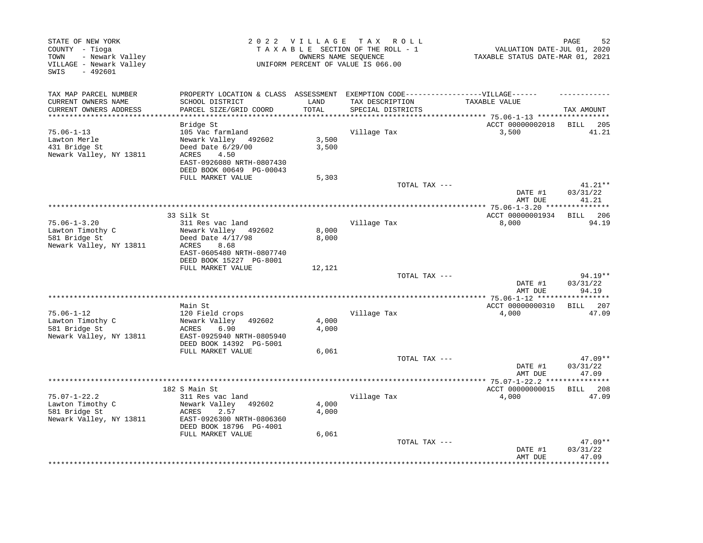| STATE OF NEW YORK<br>COUNTY - Tioga<br>- Newark Valley<br>TOWN<br>VILLAGE - Newark Valley<br>SWIS<br>$-492601$ |                                                                                                      |        | 2022 VILLAGE TAX ROLL<br>TAXABLE SECTION OF THE ROLL - 1<br>OWNERS NAME SEQUENCE<br>UNIFORM PERCENT OF VALUE IS 066.00 | VALUATION DATE-JUL 01, 2020<br>TAXABLE STATUS DATE-MAR 01, 2021 | 52<br>PAGE         |
|----------------------------------------------------------------------------------------------------------------|------------------------------------------------------------------------------------------------------|--------|------------------------------------------------------------------------------------------------------------------------|-----------------------------------------------------------------|--------------------|
| TAX MAP PARCEL NUMBER<br>CURRENT OWNERS NAME                                                                   | PROPERTY LOCATION & CLASS ASSESSMENT EXEMPTION CODE-----------------VILLAGE------<br>SCHOOL DISTRICT | LAND   | TAX DESCRIPTION                                                                                                        | TAXABLE VALUE                                                   |                    |
| CURRENT OWNERS ADDRESS                                                                                         | PARCEL SIZE/GRID COORD                                                                               | TOTAL  | SPECIAL DISTRICTS                                                                                                      |                                                                 | TAX AMOUNT         |
|                                                                                                                |                                                                                                      |        |                                                                                                                        | ******* 75.06-1-13 ******************                           |                    |
|                                                                                                                | Bridge St                                                                                            |        |                                                                                                                        | ACCT 00000002018                                                | BILL 205           |
| $75.06 - 1 - 13$<br>Lawton Merle                                                                               | 105 Vac farmland<br>Newark Valley 492602                                                             | 3,500  | Village Tax                                                                                                            | 3,500                                                           | 41.21              |
| 431 Bridge St                                                                                                  | Deed Date 6/29/00                                                                                    | 3,500  |                                                                                                                        |                                                                 |                    |
| Newark Valley, NY 13811                                                                                        | 4.50<br>ACRES                                                                                        |        |                                                                                                                        |                                                                 |                    |
|                                                                                                                | EAST-0926080 NRTH-0807430                                                                            |        |                                                                                                                        |                                                                 |                    |
|                                                                                                                | DEED BOOK 00649 PG-00043                                                                             |        |                                                                                                                        |                                                                 |                    |
|                                                                                                                | FULL MARKET VALUE                                                                                    | 5,303  | TOTAL TAX ---                                                                                                          |                                                                 | $41.21**$          |
|                                                                                                                |                                                                                                      |        |                                                                                                                        | DATE #1<br>AMT DUE                                              | 03/31/22<br>41.21  |
|                                                                                                                |                                                                                                      |        |                                                                                                                        |                                                                 |                    |
|                                                                                                                | 33 Silk St                                                                                           |        |                                                                                                                        | ACCT 00000001934                                                | - 206<br>BILL      |
| $75.06 - 1 - 3.20$<br>Lawton Timothy C                                                                         | 311 Res vac land<br>Newark Valley 492602                                                             | 8,000  | Village Tax                                                                                                            | 8,000                                                           | 94.19              |
| 581 Bridge St                                                                                                  | Deed Date $4/17/98$                                                                                  | 8,000  |                                                                                                                        |                                                                 |                    |
| Newark Valley, NY 13811                                                                                        | ACRES<br>8.68                                                                                        |        |                                                                                                                        |                                                                 |                    |
|                                                                                                                | EAST-0605480 NRTH-0807740                                                                            |        |                                                                                                                        |                                                                 |                    |
|                                                                                                                | DEED BOOK 15227 PG-8001                                                                              |        |                                                                                                                        |                                                                 |                    |
|                                                                                                                | FULL MARKET VALUE                                                                                    | 12,121 | TOTAL TAX ---                                                                                                          |                                                                 | $94.19**$          |
|                                                                                                                |                                                                                                      |        |                                                                                                                        | DATE #1                                                         | 03/31/22           |
|                                                                                                                |                                                                                                      |        |                                                                                                                        | AMT DUE                                                         | 94.19              |
|                                                                                                                |                                                                                                      |        |                                                                                                                        |                                                                 | *******            |
|                                                                                                                | Main St                                                                                              |        |                                                                                                                        | ACCT 00000000310                                                | <b>BILL</b><br>207 |
| $75.06 - 1 - 12$<br>Lawton Timothy C                                                                           | 120 Field crops<br>Newark Valley<br>492602                                                           | 4,000  | Village Tax                                                                                                            | 4,000                                                           | 47.09              |
| 581 Bridge St                                                                                                  | 6.90<br>ACRES                                                                                        | 4,000  |                                                                                                                        |                                                                 |                    |
| Newark Valley, NY 13811                                                                                        | EAST-0925940 NRTH-0805940                                                                            |        |                                                                                                                        |                                                                 |                    |
|                                                                                                                | DEED BOOK 14392 PG-5001                                                                              |        |                                                                                                                        |                                                                 |                    |
|                                                                                                                | FULL MARKET VALUE                                                                                    | 6,061  |                                                                                                                        |                                                                 |                    |
|                                                                                                                |                                                                                                      |        | TOTAL TAX ---                                                                                                          |                                                                 | 47.09**            |
|                                                                                                                |                                                                                                      |        |                                                                                                                        | DATE #1<br>AMT DUE                                              | 03/31/22<br>47.09  |
|                                                                                                                |                                                                                                      |        |                                                                                                                        | ***** 75.07-1-22.2 ***                                          |                    |
|                                                                                                                | 182 S Main St                                                                                        |        |                                                                                                                        | ACCT 00000000015                                                | BILL 208           |
| $75.07 - 1 - 22.2$                                                                                             | 311 Res vac land                                                                                     |        | Village Tax                                                                                                            | 4,000                                                           | 47.09              |
| Lawton Timothy C                                                                                               | Newark Valley<br>492602                                                                              | 4,000  |                                                                                                                        |                                                                 |                    |
| 581 Bridge St<br>Newark Valley, NY 13811                                                                       | ACRES<br>2.57<br>EAST-0926300 NRTH-0806360                                                           | 4,000  |                                                                                                                        |                                                                 |                    |
|                                                                                                                | DEED BOOK 18796 PG-4001                                                                              |        |                                                                                                                        |                                                                 |                    |
|                                                                                                                | FULL MARKET VALUE                                                                                    | 6,061  |                                                                                                                        |                                                                 |                    |
|                                                                                                                |                                                                                                      |        | TOTAL TAX ---                                                                                                          |                                                                 | $47.09**$          |
|                                                                                                                |                                                                                                      |        |                                                                                                                        | DATE #1                                                         | 03/31/22           |
|                                                                                                                |                                                                                                      |        |                                                                                                                        | AMT DUE                                                         | 47.09<br>********  |
|                                                                                                                |                                                                                                      |        |                                                                                                                        |                                                                 |                    |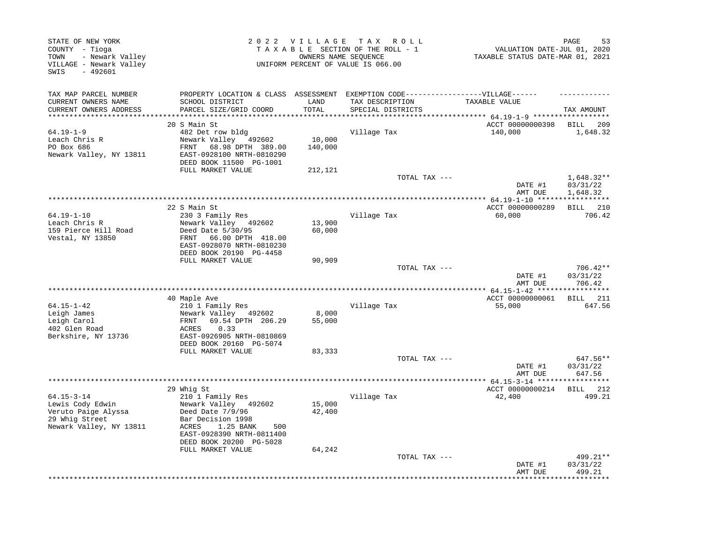| STATE OF NEW YORK<br>COUNTY - Tioga<br>- Newark Valley<br>TOWN<br>VILLAGE - Newark Valley<br>$-492601$<br>SWIS |                                                                                                                                                                        | 2022 VILLAGE      | TAX ROLL<br>TAXABLE SECTION OF THE ROLL - 1<br>OWNERS NAME SEQUENCE<br>UNIFORM PERCENT OF VALUE IS 066.00 | VALUATION DATE-JUL 01, 2020<br>TAXABLE STATUS DATE-MAR 01, 2021 | 53<br>PAGE                        |
|----------------------------------------------------------------------------------------------------------------|------------------------------------------------------------------------------------------------------------------------------------------------------------------------|-------------------|-----------------------------------------------------------------------------------------------------------|-----------------------------------------------------------------|-----------------------------------|
| TAX MAP PARCEL NUMBER<br>CURRENT OWNERS NAME<br>CURRENT OWNERS ADDRESS<br>***********************              | PROPERTY LOCATION & CLASS ASSESSMENT<br>SCHOOL DISTRICT<br>PARCEL SIZE/GRID COORD                                                                                      | LAND<br>TOTAL     | EXEMPTION CODE------------------VILLAGE------<br>TAX DESCRIPTION<br>SPECIAL DISTRICTS                     | TAXABLE VALUE                                                   | TAX AMOUNT                        |
|                                                                                                                | 20 S Main St                                                                                                                                                           |                   |                                                                                                           | ACCT 00000000398                                                | BILL<br>209                       |
| $64.19 - 1 - 9$<br>Leach Chris R<br>PO Box 686<br>Newark Valley, NY 13811                                      | 482 Det row bldg<br>Newark Valley 492602<br>68.98 DPTH 389.00<br>FRNT<br>EAST-0928100 NRTH-0810290<br>DEED BOOK 11500 PG-1001                                          | 10,000<br>140,000 | Village Tax                                                                                               | 140,000                                                         | 1,648.32                          |
|                                                                                                                | FULL MARKET VALUE                                                                                                                                                      | 212,121           | TOTAL TAX ---                                                                                             | DATE #1                                                         | $1,648.32**$<br>03/31/22          |
|                                                                                                                |                                                                                                                                                                        |                   |                                                                                                           | AMT DUE<br>******************* 64.19-1-10 *****                 | 1,648.32<br>* * * * * * * * * * * |
| $64.19 - 1 - 10$<br>Leach Chris R<br>159 Pierce Hill Road<br>Vestal, NY 13850                                  | 22 S Main St<br>230 3 Family Res<br>Newark Valley 492602<br>Deed Date 5/30/95<br>66.00 DPTH 418.00<br>FRNT<br>EAST-0928070 NRTH-0810230<br>DEED BOOK 20190 PG-4458     | 13,900<br>60,000  | Village Tax                                                                                               | ACCT 00000000289<br>60,000                                      | BILL 210<br>706.42                |
|                                                                                                                | FULL MARKET VALUE                                                                                                                                                      | 90,909            |                                                                                                           |                                                                 |                                   |
|                                                                                                                |                                                                                                                                                                        |                   | TOTAL TAX ---                                                                                             | DATE #1<br>AMT DUE                                              | 706.42**<br>03/31/22<br>706.42    |
|                                                                                                                | 40 Maple Ave                                                                                                                                                           |                   |                                                                                                           | ACCT 00000000061                                                | BILL 211                          |
| $64.15 - 1 - 42$<br>Leigh James<br>Leigh Carol<br>402 Glen Road<br>Berkshire, NY 13736                         | 210 1 Family Res<br>Newark Valley 492602<br>69.54 DPTH 206.29<br>FRNT<br>0.33<br>ACRES<br>EAST-0926905 NRTH-0810869<br>DEED BOOK 20160 PG-5074                         | 8,000<br>55,000   | Village Tax                                                                                               | 55,000                                                          | 647.56                            |
|                                                                                                                | FULL MARKET VALUE                                                                                                                                                      | 83,333            |                                                                                                           |                                                                 |                                   |
|                                                                                                                |                                                                                                                                                                        |                   | TOTAL TAX ---                                                                                             | DATE #1<br>AMT DUE                                              | 647.56**<br>03/31/22<br>647.56    |
|                                                                                                                | 29 Whig St                                                                                                                                                             |                   | *********************                                                                                     | ** $64.15 - 3 - 14$ *****<br>ACCT 00000000214                   | 212<br>BILL                       |
| $64.15 - 3 - 14$<br>Lewis Cody Edwin<br>Veruto Paige Alyssa<br>29 Whig Street<br>Newark Valley, NY 13811       | 210 1 Family Res<br>Newark Valley 492602<br>Deed Date 7/9/96<br>Bar Decision 1998<br>1.25 BANK<br>ACRES<br>500<br>EAST-0928390 NRTH-0811400<br>DEED BOOK 20200 PG-5028 | 15,000<br>42,400  | Village Tax                                                                                               | 42,400                                                          | 499.21                            |
|                                                                                                                | FULL MARKET VALUE                                                                                                                                                      | 64,242            | TOTAL TAX ---                                                                                             | DATE #1<br>AMT DUE                                              | 499.21**<br>03/31/22<br>499.21    |
|                                                                                                                |                                                                                                                                                                        |                   |                                                                                                           |                                                                 |                                   |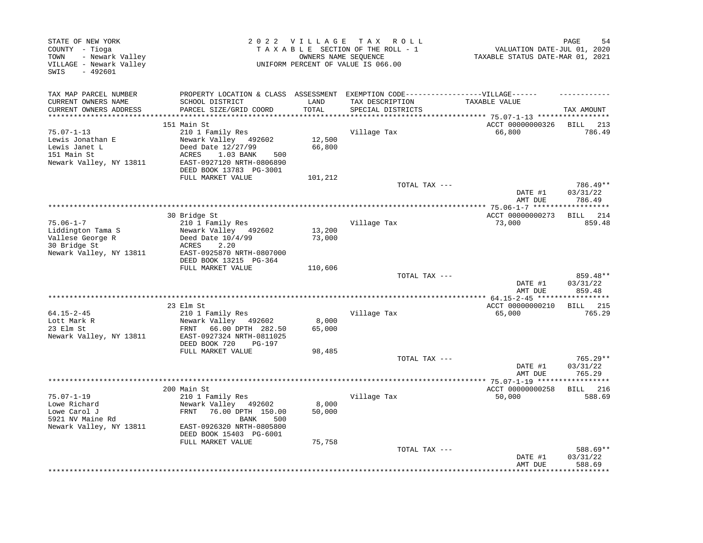| STATE OF NEW YORK<br>COUNTY - Tioga<br>- Newark Valley<br>TOWN<br>VILLAGE - Newark Valley<br>SWIS<br>$-492601$ |                                                                                                                                         | 2022 VILLAGE TAX | R O L L<br>TAXABLE SECTION OF THE ROLL - 1<br>OWNERS NAME SEOUENCE<br>UNIFORM PERCENT OF VALUE IS 066.00 | VALUATION DATE-JUL 01, 2020<br>TAXABLE STATUS DATE-MAR 01, 2021 | PAGE<br>54                       |
|----------------------------------------------------------------------------------------------------------------|-----------------------------------------------------------------------------------------------------------------------------------------|------------------|----------------------------------------------------------------------------------------------------------|-----------------------------------------------------------------|----------------------------------|
| TAX MAP PARCEL NUMBER                                                                                          | PROPERTY LOCATION & CLASS ASSESSMENT                                                                                                    |                  | EXEMPTION CODE------------------VILLAGE------                                                            |                                                                 |                                  |
| CURRENT OWNERS NAME                                                                                            | SCHOOL DISTRICT                                                                                                                         | LAND             | TAX DESCRIPTION                                                                                          | TAXABLE VALUE                                                   |                                  |
| CURRENT OWNERS ADDRESS                                                                                         | PARCEL SIZE/GRID COORD                                                                                                                  | TOTAL            | SPECIAL DISTRICTS                                                                                        |                                                                 | TAX AMOUNT                       |
|                                                                                                                | 151 Main St                                                                                                                             |                  |                                                                                                          | ACCT 00000000326                                                | BILL<br>213                      |
| $75.07 - 1 - 13$                                                                                               | 210 1 Family Res                                                                                                                        |                  | Village Tax                                                                                              | 66,800                                                          | 786.49                           |
| Lewis Jonathan E<br>Lewis Janet L<br>151 Main St                                                               | Newark Valley 492602<br>Deed Date 12/27/99<br>ACRES<br>1.03 BANK<br>500                                                                 | 12,500<br>66,800 |                                                                                                          |                                                                 |                                  |
| Newark Valley, NY 13811                                                                                        | EAST-0927120 NRTH-0806890<br>DEED BOOK 13783 PG-3001<br>FULL MARKET VALUE                                                               | 101,212          |                                                                                                          |                                                                 |                                  |
|                                                                                                                |                                                                                                                                         |                  | TOTAL TAX ---                                                                                            | DATE #1                                                         | 786.49**<br>03/31/22             |
|                                                                                                                |                                                                                                                                         |                  |                                                                                                          | AMT DUE                                                         | 786.49                           |
|                                                                                                                | 30 Bridge St                                                                                                                            |                  |                                                                                                          | ACCT 00000000273                                                | BILL 214                         |
| $75.06 - 1 - 7$<br>Liddington Tama S<br>Vallese George R<br>30 Bridge St<br>Newark Valley, NY 13811            | 210 1 Family Res<br>Newark Valley 492602<br>Deed Date $10/4/99$<br>2.20<br>ACRES<br>EAST-0925870 NRTH-0807000<br>DEED BOOK 13215 PG-364 | 13,200<br>73,000 | Village Tax                                                                                              | 73,000                                                          | 859.48                           |
|                                                                                                                | FULL MARKET VALUE                                                                                                                       | 110,606          |                                                                                                          |                                                                 |                                  |
|                                                                                                                |                                                                                                                                         |                  | TOTAL TAX ---                                                                                            | DATE #1<br>AMT DUE                                              | 859.48**<br>03/31/22<br>859.48   |
|                                                                                                                |                                                                                                                                         |                  |                                                                                                          |                                                                 |                                  |
| $64.15 - 2 - 45$                                                                                               | 23 Elm St<br>210 1 Family Res                                                                                                           |                  | Village Tax                                                                                              | ACCT 00000000210<br>65,000                                      | <b>BILL</b> 215<br>765.29        |
| Lott Mark R<br>23 Elm St<br>Newark Valley, NY 13811                                                            | Newark Valley<br>492602<br>FRNT<br>66.00 DPTH 282.50<br>EAST-0927324 NRTH-0811025<br>DEED BOOK 720<br>PG-197                            | 8,000<br>65,000  |                                                                                                          |                                                                 |                                  |
|                                                                                                                | FULL MARKET VALUE                                                                                                                       | 98,485           |                                                                                                          |                                                                 |                                  |
|                                                                                                                |                                                                                                                                         |                  | TOTAL TAX ---                                                                                            | DATE #1<br>AMT DUE                                              | $765.29**$<br>03/31/22<br>765.29 |
|                                                                                                                |                                                                                                                                         |                  | ******************************                                                                           | ***** 75.07-1-19 ******                                         | ***********                      |
| $75.07 - 1 - 19$                                                                                               | 200 Main St                                                                                                                             |                  |                                                                                                          | ACCT 00000000258                                                | BILL 216                         |
| Lowe Richard<br>Lowe Carol J<br>5921 NV Maine Rd                                                               | 210 1 Family Res<br>Newark Valley 492602<br>FRNT<br>76.00 DPTH 150.00<br>BANK<br>500                                                    | 8,000<br>50,000  | Village Tax                                                                                              | 50,000                                                          | 588.69                           |
| Newark Valley, NY 13811                                                                                        | EAST-0926320 NRTH-0805800<br>DEED BOOK 15403 PG-6001<br>FULL MARKET VALUE                                                               | 75,758           |                                                                                                          |                                                                 |                                  |
|                                                                                                                |                                                                                                                                         |                  | TOTAL TAX ---                                                                                            | DATE #1<br>AMT DUE                                              | 588.69**<br>03/31/22<br>588.69   |
|                                                                                                                |                                                                                                                                         |                  |                                                                                                          |                                                                 |                                  |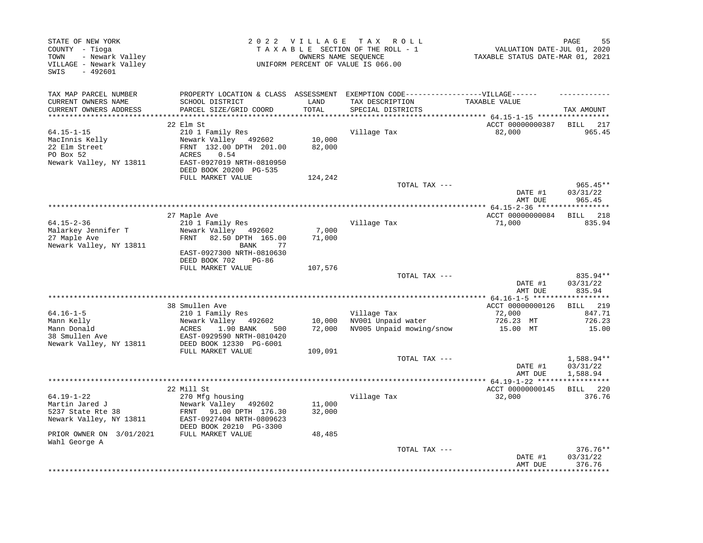| STATE OF NEW YORK<br>COUNTY - Tioga<br>- Newark Valley<br>TOWN<br>VILLAGE - Newark Valley<br>$-492601$<br>SWIS |                                                                                                                                                                   | 2022 VILLAGE                | T A X<br>R O L L<br>TAXABLE SECTION OF THE ROLL - 1<br>OWNERS NAME SEQUENCE<br>UNIFORM PERCENT OF VALUE IS 066.00         | VALUATION DATE-JUL 01, 2020<br>TAXABLE STATUS DATE-MAR 01, 2021 | PAGE<br>55                     |
|----------------------------------------------------------------------------------------------------------------|-------------------------------------------------------------------------------------------------------------------------------------------------------------------|-----------------------------|---------------------------------------------------------------------------------------------------------------------------|-----------------------------------------------------------------|--------------------------------|
| TAX MAP PARCEL NUMBER<br>CURRENT OWNERS NAME<br>CURRENT OWNERS ADDRESS                                         | SCHOOL DISTRICT<br>PARCEL SIZE/GRID COORD                                                                                                                         | LAND<br>TOTAL               | PROPERTY LOCATION & CLASS ASSESSMENT EXEMPTION CODE-----------------VILLAGE------<br>TAX DESCRIPTION<br>SPECIAL DISTRICTS | TAXABLE VALUE                                                   | TAX AMOUNT                     |
|                                                                                                                |                                                                                                                                                                   |                             |                                                                                                                           | ******* 64.15-1-15 ******************                           |                                |
|                                                                                                                | 22 Elm St                                                                                                                                                         |                             |                                                                                                                           | ACCT 00000000387                                                | BILL<br>217                    |
| $64.15 - 1 - 15$<br>MacInnis Kelly<br>22 Elm Street<br>PO Box 52<br>Newark Valley, NY 13811                    | 210 1 Family Res<br>Newark Valley 492602<br>FRNT 132.00 DPTH 201.00<br>ACRES<br>0.54<br>EAST-0927019 NRTH-0810950<br>DEED BOOK 20200 PG-535                       | 10,000<br>82,000            | Village Tax                                                                                                               | 82,000                                                          | 965.45                         |
|                                                                                                                | FULL MARKET VALUE                                                                                                                                                 | 124,242                     |                                                                                                                           |                                                                 |                                |
|                                                                                                                |                                                                                                                                                                   |                             | TOTAL TAX ---                                                                                                             | DATE #1<br>AMT DUE                                              | 965.45**<br>03/31/22<br>965.45 |
|                                                                                                                |                                                                                                                                                                   |                             |                                                                                                                           |                                                                 |                                |
| $64.15 - 2 - 36$<br>Malarkey Jennifer T<br>27 Maple Ave<br>Newark Valley, NY 13811                             | 27 Maple Ave<br>210 1 Family Res<br>Newark Valley 492602<br>FRNT<br>82.50 DPTH 165.00<br>BANK<br>77<br>EAST-0927300 NRTH-0810630<br>DEED BOOK 702<br><b>PG-86</b> | 7,000<br>71,000             | Village Tax                                                                                                               | ACCT 00000000084<br>71,000                                      | <b>BILL</b><br>218<br>835.94   |
|                                                                                                                | FULL MARKET VALUE                                                                                                                                                 | 107,576                     | TOTAL TAX ---                                                                                                             | DATE #1<br>AMT DUE                                              | 835.94**<br>03/31/22<br>835.94 |
|                                                                                                                | 38 Smullen Ave                                                                                                                                                    |                             |                                                                                                                           | ACCT 00000000126                                                | <b>BILL</b> 219                |
| $64.16 - 1 - 5$<br>Mann Kelly<br>Mann Donald<br>38 Smullen Ave<br>Newark Valley, NY 13811                      | 210 1 Family Res<br>Newark Valley<br>492602<br>1.90 BANK<br>ACRES<br>500<br>EAST-0929590 NRTH-0810420<br>DEED BOOK 12330 PG-6001<br>FULL MARKET VALUE             | 10,000<br>72,000<br>109,091 | Village Tax<br>NV001 Unpaid water<br>NV005 Unpaid mowing/snow                                                             | 72,000<br>726.23 MT<br>15.00 MT                                 | 847.71<br>726.23<br>15.00      |
|                                                                                                                |                                                                                                                                                                   |                             | TOTAL TAX ---                                                                                                             | DATE #1                                                         | 1,588.94**<br>03/31/22         |
|                                                                                                                |                                                                                                                                                                   |                             |                                                                                                                           | AMT DUE<br>***************** 64.19-1-22 ******************      | 1,588.94                       |
|                                                                                                                | 22 Mill St                                                                                                                                                        |                             |                                                                                                                           | ACCT 00000000145                                                | BILL 220                       |
| $64.19 - 1 - 22$<br>Martin Jared J<br>5237 State Rte 38<br>Newark Valley, NY 13811                             | 270 Mfg housing<br>Newark Valley 492602<br>FRNT 91.00 DPTH 176.30<br>EAST-0927404 NRTH-0809623<br>DEED BOOK 20210 PG-3300                                         | 11,000<br>32,000            | Village Tax                                                                                                               | 32,000                                                          | 376.76                         |
| PRIOR OWNER ON 3/01/2021                                                                                       | FULL MARKET VALUE                                                                                                                                                 | 48,485                      |                                                                                                                           |                                                                 |                                |
| Wahl George A                                                                                                  |                                                                                                                                                                   |                             | TOTAL TAX ---                                                                                                             | DATE #1<br>AMT DUE                                              | 376.76**<br>03/31/22<br>376.76 |
|                                                                                                                |                                                                                                                                                                   |                             |                                                                                                                           |                                                                 | ********                       |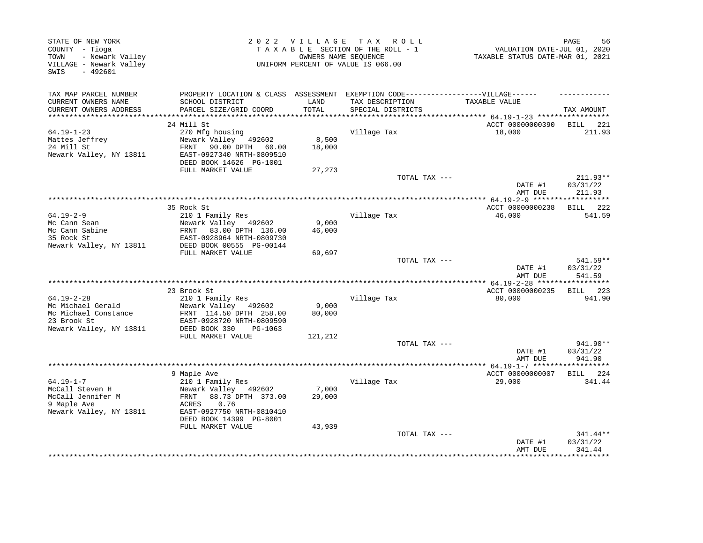| STATE OF NEW YORK<br>COUNTY - Tioga<br>- Newark Valley<br>TOWN<br>VILLAGE - Newark Valley<br>$-492601$<br>SWIS |                                                                                                      |                 | 2022 VILLAGE TAX ROLL<br>TAXABLE SECTION OF THE ROLL - 1<br>OWNERS NAME SEQUENCE<br>UNIFORM PERCENT OF VALUE IS 066.00 | VALUATION DATE-JUL 01, 2020<br>TAXABLE STATUS DATE-MAR 01, 2021 | 56<br>PAGE                     |
|----------------------------------------------------------------------------------------------------------------|------------------------------------------------------------------------------------------------------|-----------------|------------------------------------------------------------------------------------------------------------------------|-----------------------------------------------------------------|--------------------------------|
| TAX MAP PARCEL NUMBER<br>CURRENT OWNERS NAME                                                                   | PROPERTY LOCATION & CLASS ASSESSMENT EXEMPTION CODE-----------------VILLAGE------<br>SCHOOL DISTRICT | LAND            | TAX DESCRIPTION                                                                                                        | TAXABLE VALUE                                                   |                                |
| CURRENT OWNERS ADDRESS<br>***********************                                                              | PARCEL SIZE/GRID COORD                                                                               | TOTAL           | SPECIAL DISTRICTS                                                                                                      |                                                                 | TAX AMOUNT                     |
|                                                                                                                | 24 Mill St                                                                                           |                 |                                                                                                                        | ACCT 00000000390                                                | BILL 221                       |
| $64.19 - 1 - 23$                                                                                               | 270 Mfg housing                                                                                      |                 | Village Tax                                                                                                            | 18,000                                                          | 211.93                         |
| Mattes Jeffrey                                                                                                 | Newark Valley 492602                                                                                 | 8,500           |                                                                                                                        |                                                                 |                                |
| 24 Mill St<br>Newark Valley, NY 13811                                                                          | FRNT 90.00 DPTH 60.00<br>EAST-0927340 NRTH-0809510<br>DEED BOOK 14626 PG-1001                        | 18,000          |                                                                                                                        |                                                                 |                                |
|                                                                                                                | FULL MARKET VALUE                                                                                    | 27,273          |                                                                                                                        |                                                                 |                                |
|                                                                                                                |                                                                                                      |                 | TOTAL TAX ---                                                                                                          |                                                                 | 211.93**                       |
|                                                                                                                |                                                                                                      |                 |                                                                                                                        | DATE #1<br>AMT DUE                                              | 03/31/22<br>211.93             |
|                                                                                                                | *************                                                                                        |                 | *********************************                                                                                      | ************* 64.19-2-9 *******************                     |                                |
| $64.19 - 2 - 9$                                                                                                | 35 Rock St<br>210 1 Family Res                                                                       |                 | Village Tax                                                                                                            | ACCT 00000000238<br>46,000                                      | BILL 222<br>541.59             |
| Mc Cann Sean                                                                                                   | Newark Valley 492602                                                                                 | 9,000           |                                                                                                                        |                                                                 |                                |
| Mc Cann Sabine                                                                                                 | FRNT 83.00 DPTH 136.00                                                                               | 46,000          |                                                                                                                        |                                                                 |                                |
| 35 Rock St                                                                                                     | EAST-0928964 NRTH-0809730                                                                            |                 |                                                                                                                        |                                                                 |                                |
| Newark Valley, NY 13811                                                                                        | DEED BOOK 00555 PG-00144                                                                             |                 |                                                                                                                        |                                                                 |                                |
|                                                                                                                | FULL MARKET VALUE                                                                                    | 69,697          | TOTAL TAX ---                                                                                                          |                                                                 | 541.59**                       |
|                                                                                                                |                                                                                                      |                 |                                                                                                                        | DATE #1<br>AMT DUE                                              | 03/31/22<br>541.59             |
|                                                                                                                |                                                                                                      |                 |                                                                                                                        |                                                                 |                                |
|                                                                                                                | 23 Brook St                                                                                          |                 |                                                                                                                        | ACCT 00000000235                                                | BILL 223                       |
| $64.19 - 2 - 28$<br>Mc Michael Gerald                                                                          | 210 1 Family Res<br>Newark Valley 492602                                                             | 9,000           | Village Tax                                                                                                            | 80,000                                                          | 941.90                         |
| Mc Michael Constance                                                                                           | FRNT 114.50 DPTH 258.00                                                                              | 80,000          |                                                                                                                        |                                                                 |                                |
| 23 Brook St<br>Newark Valley, NY 13811                                                                         | EAST-0928720 NRTH-0809590<br>DEED BOOK 330<br>PG-1063                                                |                 |                                                                                                                        |                                                                 |                                |
|                                                                                                                | FULL MARKET VALUE                                                                                    | 121,212         |                                                                                                                        |                                                                 |                                |
|                                                                                                                |                                                                                                      |                 | TOTAL TAX ---                                                                                                          | DATE #1<br>AMT DUE                                              | 941.90**<br>03/31/22<br>941.90 |
|                                                                                                                |                                                                                                      |                 |                                                                                                                        |                                                                 |                                |
|                                                                                                                | 9 Maple Ave                                                                                          |                 |                                                                                                                        | ACCT 00000000007                                                | BILL 224                       |
| $64.19 - 1 - 7$                                                                                                | 210 1 Family Res                                                                                     |                 | Village Tax                                                                                                            | 29,000                                                          | 341.44                         |
| McCall Steven H<br>McCall Jennifer M                                                                           | Newark Valley 492602<br>88.73 DPTH 373.00<br>FRNT                                                    | 7,000<br>29,000 |                                                                                                                        |                                                                 |                                |
| 9 Maple Ave                                                                                                    | <b>ACRES</b><br>0.76                                                                                 |                 |                                                                                                                        |                                                                 |                                |
| Newark Valley, NY 13811                                                                                        | EAST-0927750 NRTH-0810410                                                                            |                 |                                                                                                                        |                                                                 |                                |
|                                                                                                                | DEED BOOK 14399 PG-8001                                                                              |                 |                                                                                                                        |                                                                 |                                |
|                                                                                                                | FULL MARKET VALUE                                                                                    | 43,939          |                                                                                                                        |                                                                 |                                |
|                                                                                                                |                                                                                                      |                 | TOTAL TAX ---                                                                                                          | DATE #1<br>AMT DUE                                              | 341.44**<br>03/31/22<br>341.44 |
|                                                                                                                |                                                                                                      |                 |                                                                                                                        |                                                                 |                                |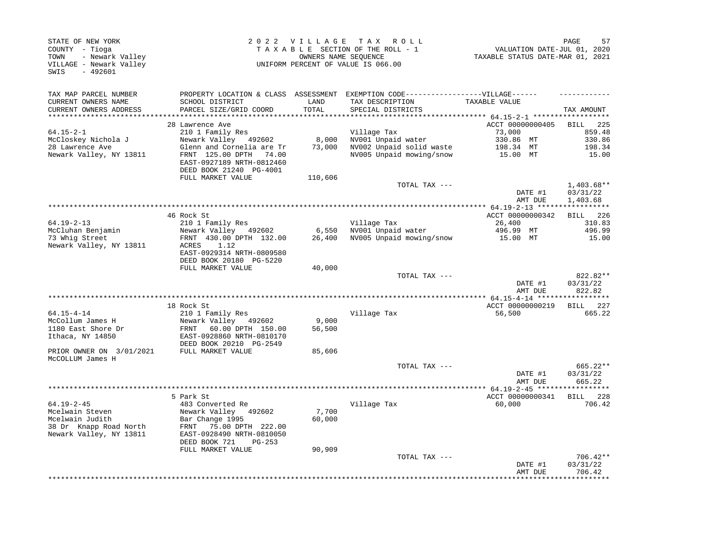| STATE OF NEW YORK<br>COUNTY - Tioga<br>- Newark Valley<br>TOWN<br>VILLAGE - Newark Valley<br>SWIS<br>$-492601$ |                                                                                                                                                                                       | 2022 VILLAGE              | TAX ROLL<br>TAXABLE SECTION OF THE ROLL - 1<br>OWNERS NAME SEQUENCE<br>UNIFORM PERCENT OF VALUE IS 066.00 | VALUATION DATE-JUL 01, 2020<br>TAXABLE STATUS DATE-MAR 01, 2021 | PAGE<br>57                            |
|----------------------------------------------------------------------------------------------------------------|---------------------------------------------------------------------------------------------------------------------------------------------------------------------------------------|---------------------------|-----------------------------------------------------------------------------------------------------------|-----------------------------------------------------------------|---------------------------------------|
| TAX MAP PARCEL NUMBER<br>CURRENT OWNERS NAME<br>CURRENT OWNERS ADDRESS                                         | PROPERTY LOCATION & CLASS ASSESSMENT<br>SCHOOL DISTRICT<br>PARCEL SIZE/GRID COORD<br>*************************                                                                        | LAND<br>TOTAL             | EXEMPTION CODE------------------VILLAGE------<br>TAX DESCRIPTION<br>SPECIAL DISTRICTS                     | TAXABLE VALUE                                                   | TAX AMOUNT                            |
| *********************                                                                                          | 28 Lawrence Ave                                                                                                                                                                       | *********                 |                                                                                                           | ACCT 00000000405                                                | <b>BILL</b><br>225                    |
| $64.15 - 2 - 1$<br>McCloskey Nichola J<br>28 Lawrence Ave<br>Newark Valley, NY 13811                           | 210 1 Family Res<br>Newark Valley 492602<br>Glenn and Cornelia are Tr<br>FRNT 125.00 DPTH 74.00<br>EAST-0927189 NRTH-0812460<br>DEED BOOK 21240 PG-4001                               | 8,000<br>73,000           | Village Tax<br>NV001 Unpaid water<br>NV002 Unpaid solid waste<br>NV005 Unpaid mowing/snow                 | 73,000<br>330.86 MT<br>198.34 MT<br>15.00 MT                    | 859.48<br>330.86<br>198.34<br>15.00   |
|                                                                                                                | FULL MARKET VALUE                                                                                                                                                                     | 110,606                   |                                                                                                           |                                                                 |                                       |
|                                                                                                                |                                                                                                                                                                                       |                           | TOTAL TAX ---                                                                                             | DATE #1<br>AMT DUE                                              | $1,403.68**$<br>03/31/22<br>1,403.68  |
|                                                                                                                |                                                                                                                                                                                       |                           |                                                                                                           |                                                                 | ***********                           |
| $64.19 - 2 - 13$<br>McCluhan Benjamin<br>73 Whig Street<br>Newark Valley, NY 13811                             | 46 Rock St<br>210 1 Family Res<br>Newark Valley 492602<br>FRNT 430.00 DPTH 132.00<br>1.12<br>ACRES<br>EAST-0929314 NRTH-0809580<br>DEED BOOK 20180 PG-5220                            | 6,550<br>26,400           | Village Tax<br>NV001 Unpaid water<br>NV005 Unpaid mowing/snow                                             | ACCT 00000000342<br>26,400<br>496.99 MT<br>15.00 MT             | BILL 226<br>310.83<br>496.99<br>15.00 |
|                                                                                                                | FULL MARKET VALUE                                                                                                                                                                     | 40,000                    |                                                                                                           |                                                                 | 822.82**                              |
|                                                                                                                |                                                                                                                                                                                       |                           | TOTAL TAX ---                                                                                             | DATE #1<br>AMT DUE                                              | 03/31/22<br>822.82                    |
|                                                                                                                |                                                                                                                                                                                       |                           |                                                                                                           |                                                                 | ***********                           |
| $64.15 - 4 - 14$                                                                                               | 18 Rock St<br>210 1 Family Res                                                                                                                                                        |                           | Village Tax                                                                                               | ACCT 00000000219<br>56,500                                      | BILL 227<br>665.22                    |
| McCollum James H<br>1180 East Shore Dr<br>Ithaca, NY 14850                                                     | Newark Valley 492602<br>FRNT 60.00 DPTH 150.00<br>EAST-0928860 NRTH-0810170<br>DEED BOOK 20210 PG-2549                                                                                | 9,000<br>56,500           |                                                                                                           |                                                                 |                                       |
| PRIOR OWNER ON 3/01/2021<br>McCOLLUM James H                                                                   | FULL MARKET VALUE                                                                                                                                                                     | 85,606                    |                                                                                                           |                                                                 |                                       |
|                                                                                                                |                                                                                                                                                                                       |                           | TOTAL TAX ---                                                                                             | DATE #1<br>AMT DUE                                              | 665.22**<br>03/31/22<br>665.22        |
|                                                                                                                |                                                                                                                                                                                       |                           |                                                                                                           |                                                                 |                                       |
| $64.19 - 2 - 45$<br>Mcelwain Steven<br>Mcelwain Judith<br>38 Dr Knapp Road North<br>Newark Valley, NY 13811    | 5 Park St<br>483 Converted Re<br>Newark Valley<br>492602<br>Bar Change 1995<br>75.00 DPTH 222.00<br>FRNT<br>EAST-0928490 NRTH-0810050<br>DEED BOOK 721<br>PG-253<br>FULL MARKET VALUE | 7,700<br>60,000<br>90,909 | Village Tax                                                                                               | ACCT 00000000341<br>60,000                                      | BILL 228<br>706.42                    |
|                                                                                                                |                                                                                                                                                                                       |                           | TOTAL TAX ---                                                                                             | DATE #1<br>AMT DUE                                              | $706.42**$<br>03/31/22<br>706.42      |
|                                                                                                                |                                                                                                                                                                                       |                           |                                                                                                           |                                                                 |                                       |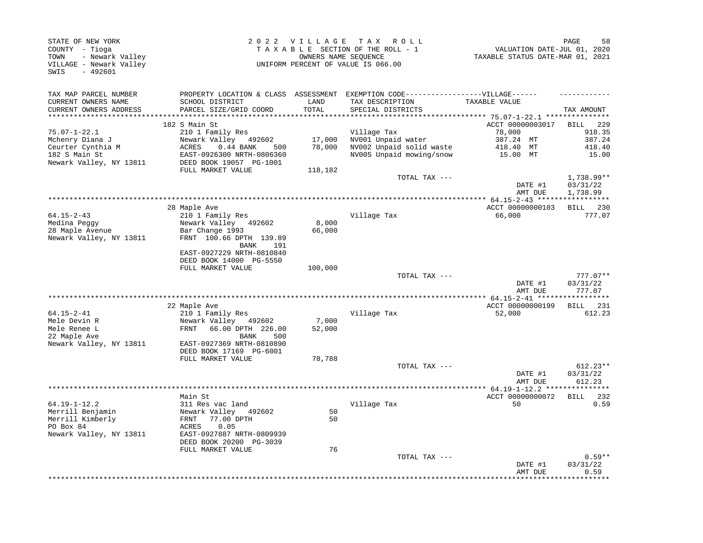| STATE OF NEW YORK<br>COUNTY - Tioga<br>- Newark Valley<br>TOWN<br>VILLAGE - Newark Valley<br>$-492601$<br>SWIS |                                                                                                                                                    | 2022 VILLAGE     | T A X<br>R O L L<br>TAXABLE SECTION OF THE ROLL - 1<br>OWNERS NAME SEQUENCE<br>UNIFORM PERCENT OF VALUE IS 066.00 | VALUATION DATE-JUL 01, 2020<br>TAXABLE STATUS DATE-MAR 01, 2021 | 58<br>PAGE                          |
|----------------------------------------------------------------------------------------------------------------|----------------------------------------------------------------------------------------------------------------------------------------------------|------------------|-------------------------------------------------------------------------------------------------------------------|-----------------------------------------------------------------|-------------------------------------|
| TAX MAP PARCEL NUMBER<br>CURRENT OWNERS NAME<br>CURRENT OWNERS ADDRESS<br>***********************              | PROPERTY LOCATION & CLASS ASSESSMENT<br>SCHOOL DISTRICT<br>PARCEL SIZE/GRID COORD<br>********************************                              | LAND<br>TOTAL    | EXEMPTION CODE------------------VILLAGE------<br>TAX DESCRIPTION<br>SPECIAL DISTRICTS                             | TAXABLE VALUE                                                   | TAX AMOUNT                          |
|                                                                                                                | 182 S Main St                                                                                                                                      |                  |                                                                                                                   | ACCT 00000003017                                                | BILL<br>229                         |
| $75.07 - 1 - 22.1$<br>Mchenry Diana J<br>Ceurter Cynthia M<br>182 S Main St                                    | 210 1 Family Res<br>Newark Valley 492602<br>0.44 BANK<br>ACRES<br>500<br>EAST-0926300 NRTH-0806360                                                 | 17,000<br>78,000 | Village Tax<br>NV001 Unpaid water<br>NV002 Unpaid solid waste<br>NV005 Unpaid mowing/snow                         | 78,000<br>387.24 MT<br>418.40 MT<br>15.00 MT                    | 918.35<br>387.24<br>418.40<br>15.00 |
| Newark Valley, NY 13811                                                                                        | DEED BOOK 19057 PG-1001<br>FULL MARKET VALUE                                                                                                       | 118,182          |                                                                                                                   |                                                                 |                                     |
|                                                                                                                |                                                                                                                                                    |                  | TOTAL TAX ---                                                                                                     | DATE #1<br>AMT DUE                                              | 1,738.99**<br>03/31/22<br>1,738.99  |
|                                                                                                                |                                                                                                                                                    |                  |                                                                                                                   | ************** 64.15-2-43 ****                                  |                                     |
| $64.15 - 2 - 43$<br>Medina Peggy<br>28 Maple Avenue<br>Newark Valley, NY 13811                                 | 28 Maple Ave<br>210 1 Family Res<br>Newark Valley 492602<br>Bar Change 1993<br>FRNT 100.66 DPTH 139.89<br>BANK<br>191                              | 8,000<br>66,000  | Village Tax                                                                                                       | ACCT 00000000103<br>66,000                                      | BILL<br>230<br>777.07               |
|                                                                                                                | EAST-0927229 NRTH-0810840<br>DEED BOOK 14000 PG-5550<br>FULL MARKET VALUE                                                                          | 100,000          |                                                                                                                   |                                                                 |                                     |
|                                                                                                                |                                                                                                                                                    |                  | TOTAL TAX ---                                                                                                     | DATE #1<br>AMT DUE                                              | $777.07**$<br>03/31/22<br>777.07    |
|                                                                                                                |                                                                                                                                                    |                  |                                                                                                                   |                                                                 |                                     |
|                                                                                                                | 22 Maple Ave                                                                                                                                       |                  |                                                                                                                   | ACCT 00000000199                                                | 231<br>BILL                         |
| $64.15 - 2 - 41$                                                                                               | 210 1 Family Res                                                                                                                                   |                  | Village Tax                                                                                                       | 52,000                                                          | 612.23                              |
| Mele Devin R<br>Mele Renee L<br>22 Maple Ave                                                                   | Newark Valley 492602<br>66.00 DPTH 226.00<br>FRNT<br>BANK<br>500                                                                                   | 7,000<br>52,000  |                                                                                                                   |                                                                 |                                     |
| Newark Valley, NY 13811                                                                                        | EAST-0927369 NRTH-0810890<br>DEED BOOK 17169 PG-6001                                                                                               |                  |                                                                                                                   |                                                                 |                                     |
|                                                                                                                | FULL MARKET VALUE                                                                                                                                  | 78,788           | TOTAL TAX ---                                                                                                     |                                                                 | $612.23**$                          |
|                                                                                                                |                                                                                                                                                    |                  |                                                                                                                   | DATE #1<br>AMT DUE                                              | 03/31/22<br>612.23                  |
|                                                                                                                |                                                                                                                                                    |                  |                                                                                                                   |                                                                 |                                     |
| $64.19 - 1 - 12.2$<br>Merrill Benjamin<br>Merrill Kimberly<br>PO Box 84<br>Newark Valley, NY 13811             | Main St<br>311 Res vac land<br>Newark Valley 492602<br>77.00 DPTH<br>FRNT<br>ACRES<br>0.05<br>EAST-0927887 NRTH-0809939<br>DEED BOOK 20200 PG-3039 | 50<br>50         | Village Tax                                                                                                       | ACCT 00000000072<br>50                                          | <b>BILL</b><br>232<br>0.59          |
|                                                                                                                | FULL MARKET VALUE                                                                                                                                  | 76               | TOTAL TAX ---                                                                                                     | DATE #1<br>AMT DUE                                              | $0.59**$<br>03/31/22<br>0.59        |
|                                                                                                                |                                                                                                                                                    |                  |                                                                                                                   |                                                                 |                                     |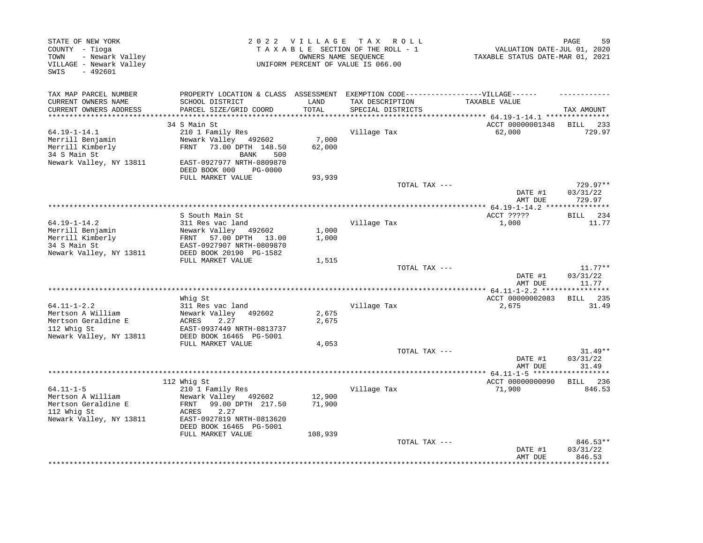| STATE OF NEW YORK<br>COUNTY - Tioga<br>- Newark Valley<br>TOWN<br>VILLAGE - Newark Valley<br>$-492601$<br>SWIS |                                                                                                                                                                                    | 2022 VILLAGE     | T A X<br>R O L L<br>TAXABLE SECTION OF THE ROLL - 1<br>OWNERS NAME SEQUENCE<br>UNIFORM PERCENT OF VALUE IS 066.00 | VALUATION DATE-JUL 01, 2020<br>TAXABLE STATUS DATE-MAR 01, 2021 | PAGE<br>59                     |
|----------------------------------------------------------------------------------------------------------------|------------------------------------------------------------------------------------------------------------------------------------------------------------------------------------|------------------|-------------------------------------------------------------------------------------------------------------------|-----------------------------------------------------------------|--------------------------------|
| TAX MAP PARCEL NUMBER<br>CURRENT OWNERS NAME<br>CURRENT OWNERS ADDRESS                                         | PROPERTY LOCATION & CLASS ASSESSMENT<br>SCHOOL DISTRICT<br>PARCEL SIZE/GRID COORD                                                                                                  | LAND<br>TOTAL    | EXEMPTION CODE------------------VILLAGE------<br>TAX DESCRIPTION<br>SPECIAL DISTRICTS                             | TAXABLE VALUE                                                   | TAX AMOUNT                     |
| **********************                                                                                         |                                                                                                                                                                                    |                  | ********************************                                                                                  | ************ 64.19-1-14.1 ****************                      |                                |
| $64.19 - 1 - 14.1$<br>Merrill Benjamin<br>Merrill Kimberly<br>34 S Main St<br>Newark Valley, NY 13811          | 34 S Main St<br>210 1 Family Res<br>Newark Valley<br>492602<br>73.00 DPTH 148.50<br>FRNT<br>500<br>BANK<br>EAST-0927977 NRTH-0809870<br>DEED BOOK 000<br><b>PG-0000</b>            | 7,000<br>62,000  | Village Tax                                                                                                       | ACCT 00000001348<br>62,000                                      | BILL 233<br>729.97             |
|                                                                                                                | FULL MARKET VALUE                                                                                                                                                                  | 93,939           |                                                                                                                   |                                                                 |                                |
|                                                                                                                |                                                                                                                                                                                    |                  | TOTAL TAX ---                                                                                                     | DATE #1<br>AMT DUE                                              | 729.97**<br>03/31/22<br>729.97 |
|                                                                                                                |                                                                                                                                                                                    |                  |                                                                                                                   |                                                                 |                                |
| $64.19 - 1 - 14.2$<br>Merrill Benjamin<br>Merrill Kimberly<br>34 S Main St<br>Newark Valley, NY 13811          | S South Main St<br>311 Res vac land<br>Newark Valley 492602<br>FRNT 57.00 DPTH<br>13.00<br>EAST-0927907 NRTH-0809870<br>DEED BOOK 20190 PG-1582                                    | 1,000<br>1,000   | Village Tax                                                                                                       | ACCT ?????<br>1,000                                             | 234<br>BILL<br>11.77           |
|                                                                                                                | FULL MARKET VALUE                                                                                                                                                                  | 1,515            |                                                                                                                   |                                                                 |                                |
|                                                                                                                |                                                                                                                                                                                    |                  | TOTAL TAX ---                                                                                                     | DATE #1<br>AMT DUE                                              | $11.77**$<br>03/31/22<br>11.77 |
|                                                                                                                | Whig St                                                                                                                                                                            |                  |                                                                                                                   | ACCT 00000002083                                                | BILL 235                       |
| $64.11 - 1 - 2.2$<br>Mertson A William<br>Mertson Geraldine E<br>112 Whiq St<br>Newark Valley, NY 13811        | 311 Res vac land<br>Newark Valley<br>492602<br>2.27<br>ACRES<br>EAST-0937449 NRTH-0813737<br>DEED BOOK 16465 PG-5001                                                               | 2,675<br>2,675   | Village Tax                                                                                                       | 2,675                                                           | 31.49                          |
|                                                                                                                | FULL MARKET VALUE                                                                                                                                                                  | 4,053            | TOTAL TAX ---                                                                                                     | DATE #1<br>AMT DUE                                              | $31.49**$<br>03/31/22<br>31.49 |
|                                                                                                                |                                                                                                                                                                                    |                  | *****************************                                                                                     | ********* 64.11-1-5 *******                                     | ***********                    |
| $64.11 - 1 - 5$<br>Mertson A William<br>Mertson Geraldine E<br>112 Whig St<br>Newark Valley, NY 13811          | 112 Whig St<br>210 1 Family Res<br>Newark Valley 492602<br>FRNT<br>99.00 DPTH 217.50<br>2.27<br>ACRES<br>EAST-0927819 NRTH-0813620<br>DEED BOOK 16465 PG-5001<br>FULL MARKET VALUE | 12,900<br>71,900 | Village Tax                                                                                                       | ACCT 00000000090<br>71,900                                      | BILL 236<br>846.53             |
|                                                                                                                |                                                                                                                                                                                    | 108,939          | TOTAL TAX ---                                                                                                     | DATE #1<br>AMT DUE                                              | 846.53**<br>03/31/22<br>846.53 |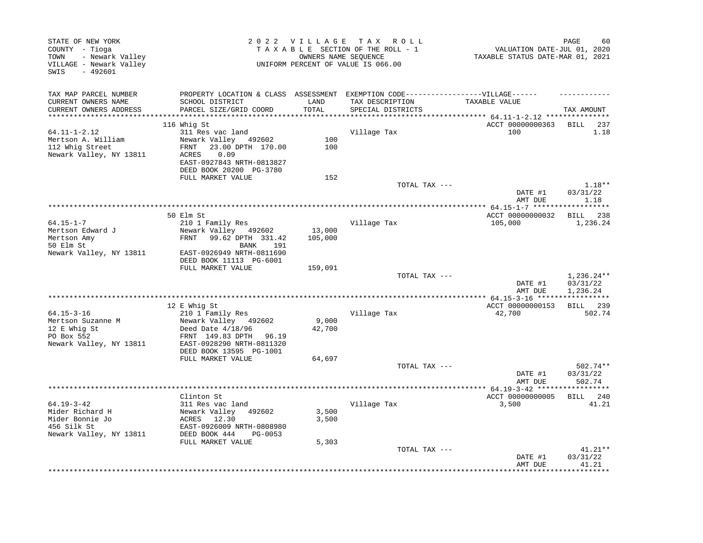| TAX MAP PARCEL NUMBER<br>PROPERTY LOCATION & CLASS ASSESSMENT<br>EXEMPTION CODE------------------VILLAGE------<br>CURRENT OWNERS NAME<br>SCHOOL DISTRICT<br>LAND<br>TAX DESCRIPTION<br>TAXABLE VALUE<br>TOTAL                                                                                                              | TAX AMOUNT<br>BILL<br>237                       |
|----------------------------------------------------------------------------------------------------------------------------------------------------------------------------------------------------------------------------------------------------------------------------------------------------------------------------|-------------------------------------------------|
| CURRENT OWNERS ADDRESS<br>PARCEL SIZE/GRID COORD<br>SPECIAL DISTRICTS                                                                                                                                                                                                                                                      |                                                 |
| *******************<br>*********************<br>************ 64.11-1-2.12 ****************                                                                                                                                                                                                                                 |                                                 |
| 116 Whig St<br>ACCT 00000000363<br>$64.11 - 1 - 2.12$<br>311 Res vac land<br>Village Tax<br>100<br>Mertson A. William<br>Newark Valley 492602<br>100<br>112 Whig Street<br>100<br>23.00 DPTH 170.00<br>FRNT<br>Newark Valley, NY 13811<br>0.09<br>ACRES<br>EAST-0927843 NRTH-0813827<br>DEED BOOK 20200 PG-3780            | 1.18                                            |
| FULL MARKET VALUE<br>152                                                                                                                                                                                                                                                                                                   |                                                 |
| TOTAL TAX ---<br>DATE #1<br>AMT DUE                                                                                                                                                                                                                                                                                        | $1.18**$<br>03/31/22<br>1.18                    |
|                                                                                                                                                                                                                                                                                                                            |                                                 |
| 50 Elm St<br>ACCT 00000000032<br>$64.15 - 1 - 7$<br>210 1 Family Res<br>Village Tax<br>105,000<br>Mertson Edward J<br>Newark Valley 492602<br>13,000<br>FRNT<br>99.62 DPTH 331.42<br>105,000<br>Mertson Amy<br>50 Elm St<br>BANK<br>191<br>Newark Valley, NY 13811<br>EAST-0926949 NRTH-0811690<br>DEED BOOK 11113 PG-6001 | BILL 238<br>1,236.24                            |
| FULL MARKET VALUE<br>159,091<br>TOTAL TAX ---<br>DATE #1<br>AMT DUE                                                                                                                                                                                                                                                        | $1,236.24**$<br>03/31/22<br>1,236.24            |
| 12 E Whig St<br>ACCT 00000000153                                                                                                                                                                                                                                                                                           | BILL 239                                        |
| $64.15 - 3 - 16$<br>210 1 Family Res<br>Village Tax<br>42,700<br>Newark Valley 492602<br>9,000<br>Mertson Suzanne M<br>12 E Whig St<br>Deed Date 4/18/96<br>42,700<br>PO Box 552<br>FRNT 149.83 DPTH<br>96.19<br>Newark Valley, NY 13811<br>EAST-0928290 NRTH-0811320<br>DEED BOOK 13595 PG-1001                           | 502.74                                          |
| FULL MARKET VALUE<br>64,697                                                                                                                                                                                                                                                                                                |                                                 |
| TOTAL TAX ---<br>DATE #1<br>AMT DUE                                                                                                                                                                                                                                                                                        | 502.74**<br>03/31/22<br>502.74                  |
| **** 64.19-3-42 ******<br>ACCT 00000000005<br>Clinton St                                                                                                                                                                                                                                                                   | ********<br>BILL 240                            |
| 64.19-3-42<br>3,500<br>311 Res vac land<br>Village Tax<br>Mider Richard H<br>3,500<br>Newark Valley 492602<br>Mider Bonnie Jo<br>ACRES 12.30<br>3,500<br>456 Silk St<br>EAST-0926009 NRTH-0808980<br>DEED BOOK 444<br>Newark Valley, NY 13811<br>PG-0053<br>FULL MARKET VALUE<br>5,303                                     | 41.21                                           |
| TOTAL TAX ---<br>DATE #1<br>AMT DUE                                                                                                                                                                                                                                                                                        | 41.21**<br>03/31/22<br>41.21<br>* * * * * * * * |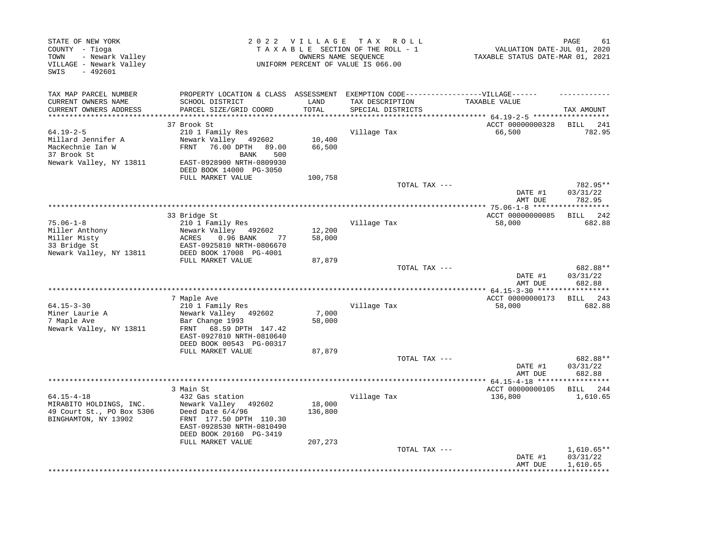| STATE OF NEW YORK<br>COUNTY - Tioga<br>- Newark Valley<br>TOWN<br>VILLAGE - Newark Valley<br>- 492601<br>SWIS | 2022 VILLAGE<br>TAX ROLL<br>TAXABLE SECTION OF THE ROLL - 1<br>OWNERS NAME SEOUENCE<br>UNIFORM PERCENT OF VALUE IS 066.00                        |                   |                                      | PAGE<br>61<br>VALUATION DATE-JUL 01, 2020<br>TAXABLE STATUS DATE-MAR 01, 2021 |                                      |  |
|---------------------------------------------------------------------------------------------------------------|--------------------------------------------------------------------------------------------------------------------------------------------------|-------------------|--------------------------------------|-------------------------------------------------------------------------------|--------------------------------------|--|
| TAX MAP PARCEL NUMBER                                                                                         | PROPERTY LOCATION & CLASS ASSESSMENT EXEMPTION CODE-----------------VILLAGE------                                                                |                   |                                      |                                                                               |                                      |  |
| CURRENT OWNERS NAME<br>CURRENT OWNERS ADDRESS                                                                 | SCHOOL DISTRICT<br>PARCEL SIZE/GRID COORD                                                                                                        | LAND<br>TOTAL     | TAX DESCRIPTION<br>SPECIAL DISTRICTS | TAXABLE VALUE<br>******** 64.19-2-5 ******************                        | TAX AMOUNT                           |  |
|                                                                                                               | 37 Brook St                                                                                                                                      |                   |                                      | ACCT 00000000328                                                              | BILL 241                             |  |
| $64.19 - 2 - 5$                                                                                               | 210 1 Family Res                                                                                                                                 |                   | Village Tax                          | 66,500                                                                        | 782.95                               |  |
| Millard Jennifer A<br>MacKechnie Ian W<br>37 Brook St                                                         | Newark Valley 492602<br><b>FRNT</b><br>76.00 DPTH 89.00<br>BANK<br>500                                                                           | 10,400<br>66,500  |                                      |                                                                               |                                      |  |
| Newark Valley, NY 13811                                                                                       | EAST-0928900 NRTH-0809930<br>DEED BOOK 14000 PG-3050                                                                                             |                   |                                      |                                                                               |                                      |  |
|                                                                                                               | FULL MARKET VALUE                                                                                                                                | 100,758           | TOTAL TAX ---                        |                                                                               | 782.95**                             |  |
|                                                                                                               |                                                                                                                                                  |                   |                                      | DATE #1<br>AMT DUE                                                            | 03/31/22<br>782.95                   |  |
|                                                                                                               |                                                                                                                                                  |                   |                                      |                                                                               |                                      |  |
|                                                                                                               | 33 Bridge St                                                                                                                                     |                   |                                      | ACCT 00000000085                                                              | BILL<br>242                          |  |
| $75.06 - 1 - 8$                                                                                               | 210 1 Family Res                                                                                                                                 |                   | Village Tax                          | 58,000                                                                        | 682.88                               |  |
| Miller Anthony                                                                                                | Newark Valley 492602                                                                                                                             | 12,200            |                                      |                                                                               |                                      |  |
| Miller Misty                                                                                                  | 77<br>ACRES<br>0.96 BANK                                                                                                                         | 58,000            |                                      |                                                                               |                                      |  |
| 33 Bridge St<br>Newark Valley, NY 13811                                                                       | EAST-0925810 NRTH-0806670<br>DEED BOOK 17008 PG-4001<br>FULL MARKET VALUE                                                                        |                   |                                      |                                                                               |                                      |  |
|                                                                                                               |                                                                                                                                                  | 87,879            | TOTAL TAX ---                        | DATE #1<br>AMT DUE                                                            | 682.88**<br>03/31/22<br>682.88       |  |
|                                                                                                               |                                                                                                                                                  |                   |                                      |                                                                               |                                      |  |
|                                                                                                               | 7 Maple Ave                                                                                                                                      |                   |                                      | ACCT 00000000173                                                              | BILL 243                             |  |
| $64.15 - 3 - 30$                                                                                              | 210 1 Family Res                                                                                                                                 |                   | Village Tax                          | 58,000                                                                        | 682.88                               |  |
| Miner Laurie A<br>7 Maple Ave<br>Newark Valley, NY 13811                                                      | Newark Valley 492602<br>Bar Change 1993<br>68.59 DPTH 147.42<br>FRNT                                                                             | 7,000<br>58,000   |                                      |                                                                               |                                      |  |
|                                                                                                               | EAST-0927810 NRTH-0810640<br>DEED BOOK 00543 PG-00317                                                                                            |                   |                                      |                                                                               |                                      |  |
|                                                                                                               | FULL MARKET VALUE                                                                                                                                | 87,879            |                                      |                                                                               |                                      |  |
|                                                                                                               |                                                                                                                                                  |                   | TOTAL TAX ---                        | DATE #1<br>AMT DUE                                                            | 682.88**<br>03/31/22<br>682.88       |  |
|                                                                                                               |                                                                                                                                                  |                   | **********************************   | ************** 64.15-4-18 ******                                              | **********                           |  |
|                                                                                                               | 3 Main St                                                                                                                                        |                   |                                      | ACCT 00000000105                                                              | BILL<br>244                          |  |
| $64.15 - 4 - 18$<br>MIRABITO HOLDINGS, INC.<br>49 Court St., PO Box 5306<br>BINGHAMTON, NY 13902              | 432 Gas station<br>Newark Valley 492602<br>Deed Date $6/4/96$<br>FRNT 177.50 DPTH 110.30<br>EAST-0928530 NRTH-0810490<br>DEED BOOK 20160 PG-3419 | 18,000<br>136,800 | Village Tax                          | 136,800                                                                       | 1,610.65                             |  |
|                                                                                                               | FULL MARKET VALUE                                                                                                                                | 207,273           |                                      |                                                                               |                                      |  |
|                                                                                                               |                                                                                                                                                  |                   | TOTAL TAX ---                        | DATE #1<br>AMT DUE                                                            | $1,610.65**$<br>03/31/22<br>1,610.65 |  |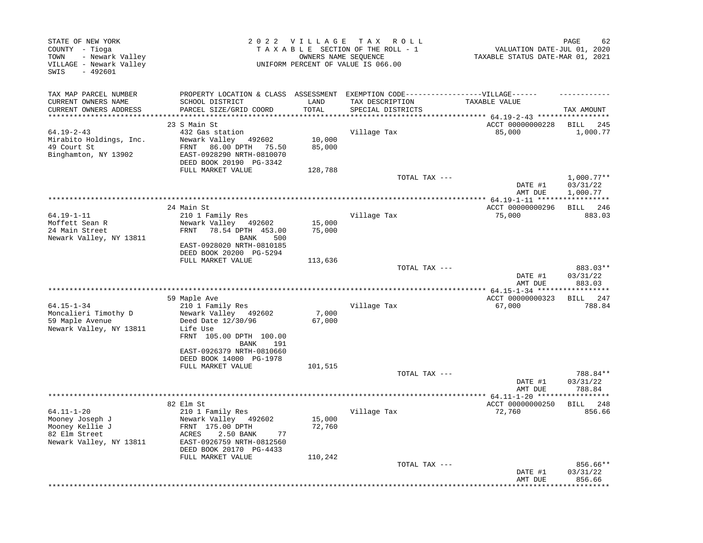| STATE OF NEW YORK<br>COUNTY - Tioga<br>- Newark Valley<br>TOWN<br>VILLAGE - Newark Valley<br>SWIS<br>$-492601$ |                                                                                                                                                                                              | 2022 VILLAGE                        | TAX ROLL<br>TAXABLE SECTION OF THE ROLL - 1<br>OWNERS NAME SEQUENCE<br>UNIFORM PERCENT OF VALUE IS 066.00 | VALUATION DATE-JUL 01, 2020<br>TAXABLE STATUS DATE-MAR 01, 2021 | 62<br>PAGE                                     |
|----------------------------------------------------------------------------------------------------------------|----------------------------------------------------------------------------------------------------------------------------------------------------------------------------------------------|-------------------------------------|-----------------------------------------------------------------------------------------------------------|-----------------------------------------------------------------|------------------------------------------------|
| TAX MAP PARCEL NUMBER<br>CURRENT OWNERS NAME<br>CURRENT OWNERS ADDRESS                                         | PROPERTY LOCATION & CLASS ASSESSMENT EXEMPTION CODE-----------------VILLAGE------<br>SCHOOL DISTRICT<br>PARCEL SIZE/GRID COORD                                                               | LAND<br>TOTAL                       | TAX DESCRIPTION<br>SPECIAL DISTRICTS                                                                      | TAXABLE VALUE                                                   | TAX AMOUNT                                     |
| **********************<br>$64.19 - 2 - 43$<br>Mirabito Holdings, Inc.<br>49 Court St<br>Binghamton, NY 13902   | *****************************<br>23 S Main St<br>432 Gas station<br>Newark Valley 492602<br>FRNT<br>86.00 DPTH 75.50<br>EAST-0928290 NRTH-0810070<br>DEED BOOK 20190 PG-3342                 | ***************<br>10,000<br>85,000 | Village Tax                                                                                               | ACCT 00000000228<br>85,000                                      | BILL<br>245<br>1,000.77                        |
|                                                                                                                | FULL MARKET VALUE                                                                                                                                                                            | 128,788                             | TOTAL TAX ---                                                                                             | DATE #1<br>AMT DUE                                              | $1,000.77**$<br>03/31/22<br>1,000.77           |
|                                                                                                                |                                                                                                                                                                                              |                                     |                                                                                                           |                                                                 |                                                |
| $64.19 - 1 - 11$<br>Moffett Sean R<br>24 Main Street<br>Newark Valley, NY 13811                                | 24 Main St<br>210 1 Family Res<br>Newark Valley 492602<br>FRNT<br>78.54 DPTH 453.00<br>500<br>BANK<br>EAST-0928020 NRTH-0810185                                                              | 15,000<br>75,000                    | Village Tax                                                                                               | ACCT 00000000296<br>75,000                                      | BILL 246<br>883.03                             |
|                                                                                                                | DEED BOOK 20200 PG-5294<br>FULL MARKET VALUE                                                                                                                                                 | 113,636                             | TOTAL TAX ---                                                                                             | DATE #1<br>AMT DUE                                              | 883.03**<br>03/31/22<br>883.03                 |
|                                                                                                                |                                                                                                                                                                                              |                                     | **************************                                                                                | ***** $64.15 - 1 - 34$ *****                                    |                                                |
| $64.15 - 1 - 34$<br>Moncalieri Timothy D<br>59 Maple Avenue<br>Newark Valley, NY 13811                         | 59 Maple Ave<br>210 1 Family Res<br>Newark Valley 492602<br>Deed Date 12/30/96<br>Life Use<br>FRNT 105.00 DPTH 100.00<br>BANK<br>191<br>EAST-0926379 NRTH-0810660<br>DEED BOOK 14000 PG-1978 | 7,000<br>67,000                     | Village Tax                                                                                               | ACCT 00000000323<br>67,000                                      | <b>BILL</b><br>247<br>788.84                   |
|                                                                                                                | FULL MARKET VALUE                                                                                                                                                                            | 101,515                             |                                                                                                           |                                                                 |                                                |
|                                                                                                                |                                                                                                                                                                                              |                                     | TOTAL TAX ---                                                                                             | DATE #1<br>AMT DUE                                              | 788.84**<br>03/31/22<br>788.84                 |
|                                                                                                                |                                                                                                                                                                                              |                                     |                                                                                                           |                                                                 |                                                |
| $64.11 - 1 - 20$<br>Mooney Joseph J<br>Mooney Kellie J<br>82 Elm Street<br>Newark Valley, NY 13811             | 82 Elm St<br>210 1 Family Res<br>Newark Valley 492602<br>FRNT 175.00 DPTH<br>ACRES<br>2.50 BANK<br>77<br>EAST-0926759 NRTH-0812560<br>DEED BOOK 20170 PG-4433                                | 15,000<br>72,760                    | Village Tax                                                                                               | ACCT 00000000250<br>72,760                                      | BILL 248<br>856.66                             |
|                                                                                                                | FULL MARKET VALUE                                                                                                                                                                            | 110,242                             | TOTAL TAX ---                                                                                             | DATE #1<br>AMT DUE                                              | 856.66**<br>03/31/22<br>856.66<br>************ |
|                                                                                                                |                                                                                                                                                                                              |                                     |                                                                                                           |                                                                 |                                                |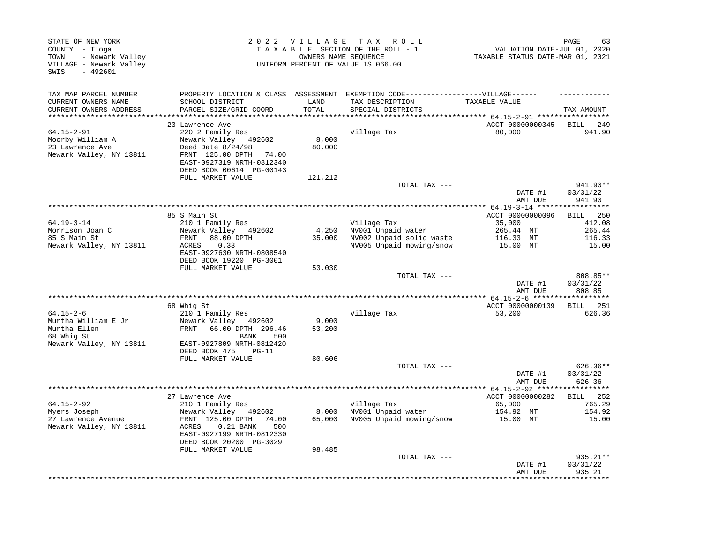| STATE OF NEW YORK<br>COUNTY - Tioga<br>- Newark Valley<br>TOWN<br>VILLAGE - Newark Valley<br>$-492601$<br>SWIS |                                                                                                                                                     |                 | 2022 VILLAGE TAX ROLL<br>TAXABLE SECTION OF THE ROLL - 1<br>OWNERS NAME SEQUENCE<br>UNIFORM PERCENT OF VALUE IS 066.00 | VALUATION DATE-JUL 01, 2020<br>TAXABLE STATUS DATE-MAR 01, 2021 | PAGE<br>63                     |
|----------------------------------------------------------------------------------------------------------------|-----------------------------------------------------------------------------------------------------------------------------------------------------|-----------------|------------------------------------------------------------------------------------------------------------------------|-----------------------------------------------------------------|--------------------------------|
| TAX MAP PARCEL NUMBER                                                                                          | PROPERTY LOCATION & CLASS ASSESSMENT                                                                                                                |                 | EXEMPTION CODE------------------VILLAGE------                                                                          |                                                                 |                                |
| CURRENT OWNERS NAME<br>CURRENT OWNERS ADDRESS                                                                  | SCHOOL DISTRICT<br>PARCEL SIZE/GRID COORD                                                                                                           | LAND<br>TOTAL   | TAX DESCRIPTION<br>SPECIAL DISTRICTS                                                                                   | TAXABLE VALUE                                                   | TAX AMOUNT                     |
| ***********************                                                                                        |                                                                                                                                                     | **********      |                                                                                                                        |                                                                 |                                |
|                                                                                                                | 23 Lawrence Ave                                                                                                                                     |                 |                                                                                                                        | ACCT 00000000345                                                | BILL<br>249                    |
| $64.15 - 2 - 91$<br>Moorby William A<br>23 Lawrence Ave<br>Newark Valley, NY 13811                             | 220 2 Family Res<br>Newark Valley 492602<br>Deed Date 8/24/98<br>FRNT 125.00 DPTH<br>74.00<br>EAST-0927319 NRTH-0812340<br>DEED BOOK 00614 PG-00143 | 8,000<br>80,000 | Village Tax                                                                                                            | 80,000                                                          | 941.90                         |
|                                                                                                                | FULL MARKET VALUE                                                                                                                                   | 121,212         |                                                                                                                        |                                                                 |                                |
|                                                                                                                |                                                                                                                                                     |                 | TOTAL TAX ---                                                                                                          | DATE #1                                                         | 941.90**<br>03/31/22<br>941.90 |
|                                                                                                                |                                                                                                                                                     |                 |                                                                                                                        | AMT DUE                                                         |                                |
|                                                                                                                | 85 S Main St                                                                                                                                        |                 |                                                                                                                        | ACCT 00000000096                                                | 250<br>BILL                    |
| $64.19 - 3 - 14$<br>Morrison Joan C<br>85 S Main St                                                            | 210 1 Family Res<br>Newark Valley 492602<br>88.00 DPTH<br>FRNT                                                                                      | 4,250<br>35,000 | Village Tax<br>NV001 Unpaid water<br>NV002 Unpaid solid waste                                                          | 35,000<br>265.44 MT<br>116.33 MT                                | 412.08<br>265.44<br>116.33     |
| Newark Valley, NY 13811                                                                                        | ACRES<br>0.33<br>EAST-0927630 NRTH-0808540<br>DEED BOOK 19220 PG-3001                                                                               |                 | NV005 Unpaid mowing/snow                                                                                               | 15.00 MT                                                        | 15.00                          |
|                                                                                                                | FULL MARKET VALUE                                                                                                                                   | 53,030          | TOTAL TAX ---                                                                                                          |                                                                 | 808.85**                       |
|                                                                                                                |                                                                                                                                                     |                 |                                                                                                                        | DATE #1<br>AMT DUE                                              | 03/31/22<br>808.85             |
|                                                                                                                |                                                                                                                                                     |                 |                                                                                                                        |                                                                 |                                |
| $64.15 - 2 - 6$                                                                                                | 68 Whig St                                                                                                                                          |                 |                                                                                                                        | ACCT 00000000139                                                | <b>BILL</b> 251                |
| Murtha William E Jr                                                                                            | 210 1 Family Res<br>Newark Valley 492602                                                                                                            | 9,000           | Village Tax                                                                                                            | 53,200                                                          | 626.36                         |
| Murtha Ellen<br>68 Whig St                                                                                     | FRNT 66.00 DPTH 296.46<br>BANK<br>500                                                                                                               | 53,200          |                                                                                                                        |                                                                 |                                |
| Newark Valley, NY 13811                                                                                        | EAST-0927809 NRTH-0812420<br>DEED BOOK 475<br>$PG-11$<br>FULL MARKET VALUE                                                                          | 80,606          |                                                                                                                        |                                                                 |                                |
|                                                                                                                |                                                                                                                                                     |                 | TOTAL TAX ---                                                                                                          |                                                                 | $626.36**$                     |
|                                                                                                                |                                                                                                                                                     |                 |                                                                                                                        | DATE #1<br>AMT DUE                                              | 03/31/22<br>626.36             |
|                                                                                                                | 27 Lawrence Ave                                                                                                                                     |                 |                                                                                                                        | ACCT 00000000282                                                | BILL 252                       |
| $64.15 - 2 - 92$                                                                                               | 210 1 Family Res                                                                                                                                    |                 | Village Tax                                                                                                            | 65,000                                                          | 765.29                         |
| Myers Joseph                                                                                                   | Newark Valley 492602                                                                                                                                | 8,000           | NV001 Unpaid water                                                                                                     | 154.92 MT                                                       | 154.92                         |
| 27 Lawrence Avenue<br>Newark Valley, NY 13811                                                                  | FRNT 125.00 DPTH<br>74.00<br>ACRES<br>$0.21$ BANK<br>500<br>EAST-0927199 NRTH-0812330<br>DEED BOOK 20200 PG-3029                                    | 65,000          | NV005 Unpaid mowing/snow                                                                                               | 15.00 MT                                                        | 15.00                          |
|                                                                                                                | FULL MARKET VALUE                                                                                                                                   | 98,485          |                                                                                                                        |                                                                 |                                |
|                                                                                                                |                                                                                                                                                     |                 | TOTAL TAX ---                                                                                                          | DATE #1<br>AMT DUE                                              | 935.21**<br>03/31/22<br>935.21 |
|                                                                                                                |                                                                                                                                                     |                 |                                                                                                                        |                                                                 |                                |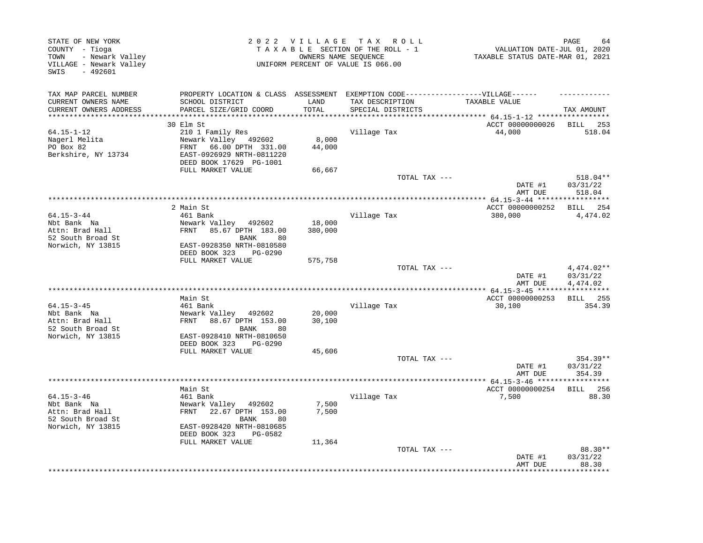| STATE OF NEW YORK<br>COUNTY - Tioga<br>- Newark Valley<br>TOWN<br>VILLAGE - Newark Valley<br>SWIS<br>$-492601$ |                                                       | 2022 VILLAGE      | TAX ROLL<br>TAXABLE SECTION OF THE ROLL - 1<br>OWNERS NAME SEQUENCE<br>UNIFORM PERCENT OF VALUE IS 066.00 | VALUATION DATE-JUL 01, 2020<br>TAXABLE STATUS DATE-MAR 01, 2021 | PAGE<br>64                         |
|----------------------------------------------------------------------------------------------------------------|-------------------------------------------------------|-------------------|-----------------------------------------------------------------------------------------------------------|-----------------------------------------------------------------|------------------------------------|
| TAX MAP PARCEL NUMBER                                                                                          | PROPERTY LOCATION & CLASS ASSESSMENT                  |                   | EXEMPTION CODE------------------VILLAGE------                                                             |                                                                 |                                    |
| CURRENT OWNERS NAME<br>CURRENT OWNERS ADDRESS                                                                  | SCHOOL DISTRICT<br>PARCEL SIZE/GRID COORD             | LAND<br>TOTAL     | TAX DESCRIPTION<br>SPECIAL DISTRICTS                                                                      | TAXABLE VALUE                                                   | TAX AMOUNT                         |
|                                                                                                                |                                                       |                   |                                                                                                           |                                                                 |                                    |
|                                                                                                                | 30 Elm St                                             |                   |                                                                                                           | ACCT 00000000026                                                | BILL<br>253                        |
| $64.15 - 1 - 12$                                                                                               | 210 1 Family Res                                      |                   | Village Tax                                                                                               | 44,000                                                          | 518.04                             |
| Nagerl Melita                                                                                                  | Newark Valley 492602                                  | 8,000             |                                                                                                           |                                                                 |                                    |
| PO Box 82                                                                                                      | 66.00 DPTH 331.00<br>FRNT                             | 44,000            |                                                                                                           |                                                                 |                                    |
| Berkshire, NY 13734                                                                                            | EAST-0926929 NRTH-0811220                             |                   |                                                                                                           |                                                                 |                                    |
|                                                                                                                | DEED BOOK 17629 PG-1001<br>FULL MARKET VALUE          | 66,667            |                                                                                                           |                                                                 |                                    |
|                                                                                                                |                                                       |                   | TOTAL TAX ---                                                                                             |                                                                 | 518.04**                           |
|                                                                                                                |                                                       |                   |                                                                                                           | DATE #1                                                         | 03/31/22                           |
|                                                                                                                |                                                       |                   |                                                                                                           | AMT DUE                                                         | 518.04                             |
|                                                                                                                |                                                       |                   | **********************************                                                                        | **************** 64.15-3-44 *****                               | **********                         |
|                                                                                                                | 2 Main St                                             |                   |                                                                                                           | ACCT 00000000252                                                | BILL 254                           |
| $64.15 - 3 - 44$<br>Nbt Bank Na                                                                                | 461 Bank                                              |                   | Village Tax                                                                                               | 380,000                                                         | 4,474.02                           |
| Attn: Brad Hall                                                                                                | Newark Valley 492602<br>FRNT 85.67 DPTH 183.00        | 18,000<br>380,000 |                                                                                                           |                                                                 |                                    |
| 52 South Broad St                                                                                              | <b>BANK</b><br>80                                     |                   |                                                                                                           |                                                                 |                                    |
| Norwich, NY 13815                                                                                              | EAST-0928350 NRTH-0810580<br>DEED BOOK 323<br>PG-0290 |                   |                                                                                                           |                                                                 |                                    |
|                                                                                                                | FULL MARKET VALUE                                     | 575,758           |                                                                                                           |                                                                 |                                    |
|                                                                                                                |                                                       |                   | TOTAL TAX ---                                                                                             | DATE #1<br>AMT DUE                                              | 4,474.02**<br>03/31/22<br>4,474.02 |
|                                                                                                                |                                                       |                   |                                                                                                           | ************ 64.15-3-45 *****                                   | ***********                        |
|                                                                                                                | Main St                                               |                   |                                                                                                           | ACCT 00000000253                                                | <b>BILL</b> 255                    |
| $64.15 - 3 - 45$                                                                                               | 461 Bank                                              |                   | Village Tax                                                                                               | 30,100                                                          | 354.39                             |
| Nbt Bank Na                                                                                                    | Newark Valley 492602                                  | 20,000            |                                                                                                           |                                                                 |                                    |
| Attn: Brad Hall<br>52 South Broad St                                                                           | FRNT 88.67 DPTH 153.00<br><b>BANK</b><br>80           | 30,100            |                                                                                                           |                                                                 |                                    |
| Norwich, NY 13815                                                                                              | EAST-0928410 NRTH-0810650                             |                   |                                                                                                           |                                                                 |                                    |
|                                                                                                                | DEED BOOK 323<br>PG-0290                              |                   |                                                                                                           |                                                                 |                                    |
|                                                                                                                | FULL MARKET VALUE                                     | 45,606            |                                                                                                           |                                                                 |                                    |
|                                                                                                                |                                                       |                   | TOTAL TAX ---                                                                                             |                                                                 | $354.39**$                         |
|                                                                                                                |                                                       |                   |                                                                                                           | DATE #1                                                         | 03/31/22                           |
|                                                                                                                | **********                                            |                   | ********************************                                                                          | AMT DUE<br>************ 64.15-3-46 ******************           | 354.39                             |
|                                                                                                                | Main St                                               |                   |                                                                                                           | ACCT 00000000254                                                | BILL 256                           |
| $64.15 - 3 - 46$                                                                                               | 461 Bank                                              |                   | Village Tax                                                                                               | 7,500                                                           | 88.30                              |
| Nbt Bank Na                                                                                                    | Newark Valley 492602                                  | 7,500             |                                                                                                           |                                                                 |                                    |
| Attn: Brad Hall                                                                                                | FRNT 22.67 DPTH 153.00                                | 7,500             |                                                                                                           |                                                                 |                                    |
| 52 South Broad St                                                                                              | BANK<br>80                                            |                   |                                                                                                           |                                                                 |                                    |
| Norwich, NY 13815                                                                                              | EAST-0928420 NRTH-0810685<br>DEED BOOK 323<br>PG-0582 |                   |                                                                                                           |                                                                 |                                    |
|                                                                                                                | FULL MARKET VALUE                                     | 11,364            |                                                                                                           |                                                                 |                                    |
|                                                                                                                |                                                       |                   | TOTAL TAX ---                                                                                             | DATE #1<br>AMT DUE                                              | 88.30 **<br>03/31/22<br>88.30      |
|                                                                                                                |                                                       |                   |                                                                                                           |                                                                 | *******                            |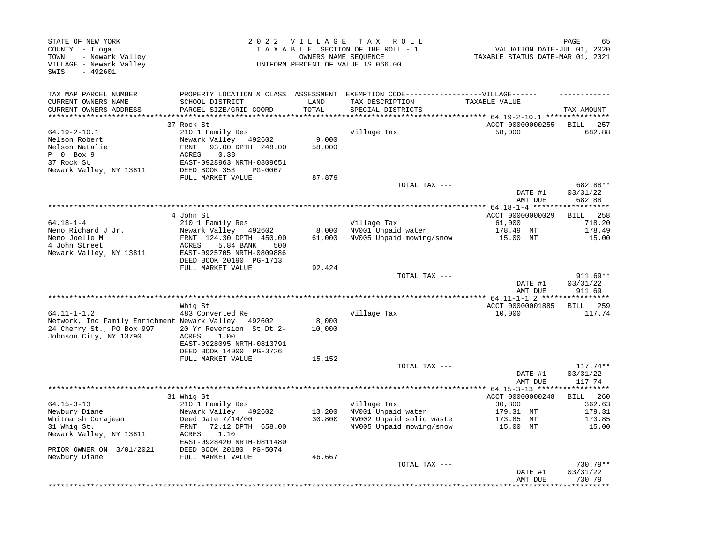| STATE OF NEW YORK<br>COUNTY - Tioga<br>TOWN<br>- Newark Valley<br>VILLAGE - Newark Valley<br>SWIS<br>$-492601$ |                                                        | 2022 VILLAGE        | T A X<br>R O L L<br>TAXABLE SECTION OF THE ROLL - 1<br>OWNERS NAME SEQUENCE<br>UNIFORM PERCENT OF VALUE IS 066.00 | VALUATION DATE-JUL 01, 2020<br>TAXABLE STATUS DATE-MAR 01, 2021 | PAGE<br>65                   |
|----------------------------------------------------------------------------------------------------------------|--------------------------------------------------------|---------------------|-------------------------------------------------------------------------------------------------------------------|-----------------------------------------------------------------|------------------------------|
| TAX MAP PARCEL NUMBER                                                                                          | PROPERTY LOCATION & CLASS ASSESSMENT                   |                     | EXEMPTION CODE-----------------VILLAGE------                                                                      |                                                                 |                              |
| CURRENT OWNERS NAME<br>CURRENT OWNERS ADDRESS                                                                  | SCHOOL DISTRICT<br>PARCEL SIZE/GRID COORD              | LAND<br>TOTAL       | TAX DESCRIPTION<br>SPECIAL DISTRICTS                                                                              | TAXABLE VALUE                                                   | TAX AMOUNT                   |
| **********************                                                                                         |                                                        | * * * * * * * * * * |                                                                                                                   | **************************** 64.19-2-10.1 ***************       |                              |
| 64.19-2-10.1                                                                                                   | 37 Rock St<br>210 1 Family Res                         |                     | Village Tax                                                                                                       | ACCT 00000000255<br>58,000                                      | 257<br><b>BILL</b><br>682.88 |
| Nelson Robert                                                                                                  | Newark Valley<br>492602                                | 9,000               |                                                                                                                   |                                                                 |                              |
| Nelson Natalie                                                                                                 | 93.00 DPTH 248.00<br>FRNT                              | 58,000              |                                                                                                                   |                                                                 |                              |
| P 0 Box 9                                                                                                      | 0.38<br>ACRES                                          |                     |                                                                                                                   |                                                                 |                              |
| 37 Rock St                                                                                                     | EAST-0928963 NRTH-0809651                              |                     |                                                                                                                   |                                                                 |                              |
| Newark Valley, NY 13811                                                                                        | DEED BOOK 353<br>PG-0067<br>FULL MARKET VALUE          | 87,879              |                                                                                                                   |                                                                 |                              |
|                                                                                                                |                                                        |                     | TOTAL TAX ---                                                                                                     |                                                                 | 682.88**                     |
|                                                                                                                |                                                        |                     |                                                                                                                   | DATE #1                                                         | 03/31/22                     |
|                                                                                                                |                                                        |                     | ****************                                                                                                  | AMT DUE                                                         | 682.88                       |
|                                                                                                                | 4 John St                                              |                     |                                                                                                                   | ** 64.18-1-4 ****<br>ACCT 00000000029                           | BILL<br>258                  |
| $64.18 - 1 - 4$                                                                                                | 210 1 Family Res                                       |                     | Village Tax                                                                                                       | 61,000                                                          | 718.20                       |
| Neno Richard J Jr.                                                                                             | Newark Valley<br>492602                                | 8,000               | NV001 Unpaid water                                                                                                | 178.49 MT                                                       | 178.49                       |
| Neno Joelle M                                                                                                  | FRNT 124.30 DPTH 450.00                                | 61,000              | NV005 Unpaid mowing/snow                                                                                          | 15.00 MT                                                        | 15.00                        |
| 4 John Street<br>Newark Valley, NY 13811                                                                       | ACRES<br>5.84 BANK<br>500<br>EAST-0925705 NRTH-0809886 |                     |                                                                                                                   |                                                                 |                              |
|                                                                                                                | DEED BOOK 20190 PG-1713                                |                     |                                                                                                                   |                                                                 |                              |
|                                                                                                                | FULL MARKET VALUE                                      | 92,424              |                                                                                                                   |                                                                 |                              |
|                                                                                                                |                                                        |                     | TOTAL TAX ---                                                                                                     |                                                                 | 911.69**                     |
|                                                                                                                |                                                        |                     |                                                                                                                   | DATE #1<br>AMT DUE                                              | 03/31/22<br>911.69           |
|                                                                                                                |                                                        |                     |                                                                                                                   | ************ 64.11-1-1.2 ***                                    | * * * * * * * * *            |
|                                                                                                                | Whig St                                                |                     |                                                                                                                   | ACCT 00000001885                                                | <b>BILL</b><br>259           |
| 64.11-1-1.2                                                                                                    | 483 Converted Re                                       |                     | Village Tax                                                                                                       | 10,000                                                          | 117.74                       |
| Network, Inc Family Enrichment Newark Valley 492602                                                            |                                                        | 8,000               |                                                                                                                   |                                                                 |                              |
| 24 Cherry St., PO Box 997<br>Johnson City, NY 13790                                                            | 20 Yr Reversion St Dt 2-<br><b>ACRES</b><br>1.00       | 10,000              |                                                                                                                   |                                                                 |                              |
|                                                                                                                | EAST-0928095 NRTH-0813791                              |                     |                                                                                                                   |                                                                 |                              |
|                                                                                                                | DEED BOOK 14000 PG-3726                                |                     |                                                                                                                   |                                                                 |                              |
|                                                                                                                | FULL MARKET VALUE                                      | 15,152              |                                                                                                                   |                                                                 |                              |
|                                                                                                                |                                                        |                     | TOTAL TAX ---                                                                                                     | DATE #1                                                         | $117.74**$<br>03/31/22       |
|                                                                                                                |                                                        |                     |                                                                                                                   | AMT DUE                                                         | 117.74                       |
|                                                                                                                |                                                        |                     |                                                                                                                   |                                                                 | *********                    |
|                                                                                                                | 31 Whig St                                             |                     |                                                                                                                   | ACCT 00000000248                                                | BILL 260                     |
| $64.15 - 3 - 13$                                                                                               | 210 1 Family Res                                       |                     | Village Tax                                                                                                       | 30,800                                                          | 362.63                       |
| Newbury Diane<br>Whitmarsh Corajean                                                                            | Newark Valley 492602<br>Deed Date $7/14/00$            | 13,200<br>30,800    | NV001 Unpaid water<br>NV002 Unpaid solid waste                                                                    | 179.31 MT<br>173.85<br>МT                                       | 179.31<br>173.85             |
| 31 Whig St.                                                                                                    | 72.12 DPTH 658.00<br>FRNT                              |                     | NV005 Unpaid mowing/snow                                                                                          | 15.00 MT                                                        | 15.00                        |
| Newark Valley, NY 13811                                                                                        | ACRES<br>1.10                                          |                     |                                                                                                                   |                                                                 |                              |
|                                                                                                                | EAST-0928420 NRTH-0811480                              |                     |                                                                                                                   |                                                                 |                              |
| PRIOR OWNER ON 3/01/2021                                                                                       | DEED BOOK 20180 PG-5074                                |                     |                                                                                                                   |                                                                 |                              |
| Newbury Diane                                                                                                  | FULL MARKET VALUE                                      | 46,667              | TOTAL TAX ---                                                                                                     |                                                                 | $730.79**$                   |
|                                                                                                                |                                                        |                     |                                                                                                                   | DATE #1                                                         | 03/31/22                     |
|                                                                                                                |                                                        |                     |                                                                                                                   | AMT DUE                                                         | 730.79                       |
|                                                                                                                |                                                        |                     |                                                                                                                   |                                                                 |                              |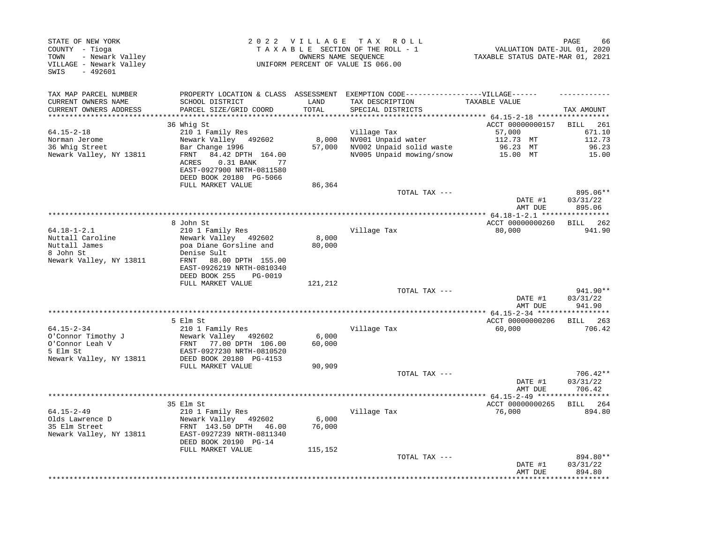| STATE OF NEW YORK<br>COUNTY - Tioga<br>- Newark Valley<br>TOWN<br>VILLAGE - Newark Valley<br>SWIS<br>$-492601$ |                                                                                                                                                          | 2022 VILLAGE               | T A X<br>R O L L<br>TAXABLE SECTION OF THE ROLL - 1<br>OWNERS NAME SEQUENCE<br>UNIFORM PERCENT OF VALUE IS 066.00 | VALUATION DATE-JUL 01, 2020<br>TAXABLE STATUS DATE-MAR 01, 2021 | PAGE<br>66                         |
|----------------------------------------------------------------------------------------------------------------|----------------------------------------------------------------------------------------------------------------------------------------------------------|----------------------------|-------------------------------------------------------------------------------------------------------------------|-----------------------------------------------------------------|------------------------------------|
| TAX MAP PARCEL NUMBER<br>CURRENT OWNERS NAME<br>CURRENT OWNERS ADDRESS<br>**********************               | PROPERTY LOCATION & CLASS ASSESSMENT<br>SCHOOL DISTRICT<br>PARCEL SIZE/GRID COORD                                                                        | LAND<br>TOTAL<br>********* | EXEMPTION CODE------------------VILLAGE------<br>TAX DESCRIPTION<br>SPECIAL DISTRICTS                             | TAXABLE VALUE                                                   | TAX AMOUNT                         |
|                                                                                                                | 36 Whig St                                                                                                                                               |                            |                                                                                                                   | *********** 64.15-2-18 ******************<br>ACCT 00000000157   | BILL<br>261                        |
| 64.15-2-18<br>Norman Jerome<br>36 Whig Street<br>Newark Valley, NY 13811                                       | 210 1 Family Res<br>Newark Valley 492602<br>Bar Change 1996<br>FRNT<br>84.42 DPTH 164.00<br>ACRES<br>$0.31$ BANK<br>77<br>EAST-0927900 NRTH-0811580      | 8,000<br>57,000            | Village Tax<br>NV001 Unpaid water<br>NV002 Unpaid solid waste<br>NV005 Unpaid mowing/snow                         | 57,000<br>112.73 MT<br>96.23 MT<br>15.00 MT                     | 671.10<br>112.73<br>96.23<br>15.00 |
|                                                                                                                | DEED BOOK 20180 PG-5066<br>FULL MARKET VALUE                                                                                                             | 86,364                     |                                                                                                                   |                                                                 |                                    |
|                                                                                                                |                                                                                                                                                          |                            | TOTAL TAX ---                                                                                                     | DATE #1<br>AMT DUE                                              | 895.06**<br>03/31/22<br>895.06     |
|                                                                                                                |                                                                                                                                                          |                            |                                                                                                                   |                                                                 |                                    |
| $64.18 - 1 - 2.1$<br>Nuttall Caroline<br>Nuttall James<br>8 John St<br>Newark Valley, NY 13811                 | 8 John St<br>210 1 Family Res<br>Newark Valley 492602<br>poa Diane Gorsline and<br>Denise Sult<br>88.00 DPTH 155.00<br>FRNT<br>EAST-0926219 NRTH-0810340 | 8,000<br>80,000            | Village Tax                                                                                                       | ACCT 00000000260<br>80,000                                      | BILL 262<br>941.90                 |
|                                                                                                                | DEED BOOK 255<br>PG-0019                                                                                                                                 |                            |                                                                                                                   |                                                                 |                                    |
|                                                                                                                | FULL MARKET VALUE                                                                                                                                        | 121,212                    | TOTAL TAX ---                                                                                                     | DATE #1<br>AMT DUE                                              | 941.90**<br>03/31/22<br>941.90     |
|                                                                                                                |                                                                                                                                                          |                            |                                                                                                                   | ACCT 00000000206                                                |                                    |
| $64.15 - 2 - 34$<br>O'Connor Timothy J<br>O'Connor Leah V<br>5 Elm St<br>Newark Valley, NY 13811               | 5 Elm St<br>210 1 Family Res<br>Newark Valley 492602<br>FRNT<br>77.00 DPTH 106.00<br>EAST-0927230 NRTH-0810520<br>DEED BOOK 20180 PG-4153                | 6,000<br>60,000            | Village Tax                                                                                                       | 60,000                                                          | <b>BILL</b> 263<br>706.42          |
|                                                                                                                | FULL MARKET VALUE                                                                                                                                        | 90,909                     |                                                                                                                   |                                                                 |                                    |
|                                                                                                                |                                                                                                                                                          |                            | TOTAL TAX ---                                                                                                     | DATE #1<br>AMT DUE                                              | 706.42**<br>03/31/22<br>706.42     |
|                                                                                                                |                                                                                                                                                          |                            | *********************                                                                                             | **** 64.15-2-49 ****                                            |                                    |
| 64.15-2-49<br>Olds Lawrence D<br>35 Elm Street<br>Newark Valley, NY 13811                                      | 35 Elm St<br>210 1 Family Res<br>Newark Valley 492602<br>FRNT 143.50 DPTH<br>46.00<br>EAST-0927239 NRTH-0811340<br>DEED BOOK 20190 PG-14                 | 6,000<br>76,000            | Village Tax                                                                                                       | ACCT 00000000265<br>76,000                                      | BILL 264<br>894.80                 |
|                                                                                                                | FULL MARKET VALUE                                                                                                                                        | 115,152                    | TOTAL TAX ---                                                                                                     | DATE #1<br>AMT DUE                                              | 894.80**<br>03/31/22<br>894.80     |
|                                                                                                                |                                                                                                                                                          |                            |                                                                                                                   |                                                                 |                                    |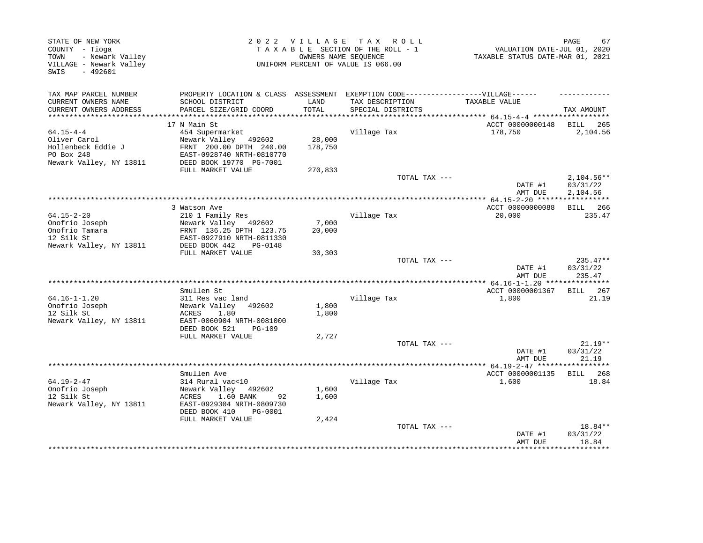| STATE OF NEW YORK<br>COUNTY - Tioga<br>- Newark Valley<br>TOWN<br>VILLAGE - Newark Valley<br>$-492601$<br>SWIS |                                                       | 2022 VILLAGE | TAX ROLL<br>TAXABLE SECTION OF THE ROLL - 1<br>OWNERS NAME SEQUENCE<br>UNIFORM PERCENT OF VALUE IS 066.00 | VALUATION DATE-JUL 01, 2020<br>TAXABLE STATUS DATE-MAR 01, 2021 | PAGE<br>67           |
|----------------------------------------------------------------------------------------------------------------|-------------------------------------------------------|--------------|-----------------------------------------------------------------------------------------------------------|-----------------------------------------------------------------|----------------------|
| TAX MAP PARCEL NUMBER                                                                                          | PROPERTY LOCATION & CLASS ASSESSMENT                  |              | EXEMPTION CODE------------------VILLAGE------                                                             |                                                                 |                      |
| CURRENT OWNERS NAME                                                                                            | SCHOOL DISTRICT                                       | LAND         | TAX DESCRIPTION                                                                                           | TAXABLE VALUE                                                   |                      |
| CURRENT OWNERS ADDRESS                                                                                         | PARCEL SIZE/GRID COORD                                | TOTAL        | SPECIAL DISTRICTS                                                                                         |                                                                 | TAX AMOUNT           |
| *********************                                                                                          |                                                       |              |                                                                                                           |                                                                 |                      |
| $64.15 - 4 - 4$                                                                                                | 17 N Main St<br>454 Supermarket                       |              | Village Tax                                                                                               | ACCT 00000000148<br>178,750                                     | BILL 265<br>2,104.56 |
| Oliver Carol                                                                                                   | Newark Valley 492602                                  | 28,000       |                                                                                                           |                                                                 |                      |
| Hollenbeck Eddie J                                                                                             | FRNT 200.00 DPTH 240.00                               | 178,750      |                                                                                                           |                                                                 |                      |
| PO Box 248                                                                                                     | EAST-0928740 NRTH-0810770                             |              |                                                                                                           |                                                                 |                      |
| Newark Valley, NY 13811                                                                                        | DEED BOOK 19770 PG-7001                               |              |                                                                                                           |                                                                 |                      |
|                                                                                                                | FULL MARKET VALUE                                     | 270,833      |                                                                                                           |                                                                 |                      |
|                                                                                                                |                                                       |              | TOTAL TAX ---                                                                                             |                                                                 | $2,104.56**$         |
|                                                                                                                |                                                       |              |                                                                                                           | DATE #1<br>AMT DUE                                              | 03/31/22<br>2,104.56 |
|                                                                                                                |                                                       |              |                                                                                                           | **************** 64.15-2-20 ******                              | ***********          |
|                                                                                                                | 3 Watson Ave                                          |              |                                                                                                           | ACCT 00000000088                                                | BILL 266             |
| $64.15 - 2 - 20$                                                                                               | 210 1 Family Res                                      |              | Village Tax                                                                                               | 20,000                                                          | 235.47               |
| Onofrio Joseph                                                                                                 | Newark Valley 492602                                  | 7,000        |                                                                                                           |                                                                 |                      |
| Onofrio Tamara                                                                                                 | FRNT 136.25 DPTH 123.75                               | 20,000       |                                                                                                           |                                                                 |                      |
| 12 Silk St<br>Newark Valley, NY 13811                                                                          | EAST-0927910 NRTH-0811330<br>DEED BOOK 442<br>PG-0148 |              |                                                                                                           |                                                                 |                      |
|                                                                                                                | FULL MARKET VALUE                                     | 30,303       |                                                                                                           |                                                                 |                      |
|                                                                                                                |                                                       |              | TOTAL TAX ---                                                                                             |                                                                 | $235.47**$           |
|                                                                                                                |                                                       |              |                                                                                                           | DATE #1                                                         | 03/31/22             |
|                                                                                                                |                                                       |              |                                                                                                           | AMT DUE                                                         | 235.47               |
|                                                                                                                |                                                       |              | *************************                                                                                 | * $64.16 - 1 - 1.20$ ***************                            |                      |
| $64.16 - 1 - 1.20$                                                                                             | Smullen St<br>311 Res vac land                        |              |                                                                                                           | ACCT 00000001367<br>1,800                                       | BILL 267<br>21.19    |
| Onofrio Joseph                                                                                                 | Newark Valley<br>492602                               | 1,800        | Village Tax                                                                                               |                                                                 |                      |
| 12 Silk St                                                                                                     | ACRES<br>1.80                                         | 1,800        |                                                                                                           |                                                                 |                      |
| Newark Valley, NY 13811                                                                                        | EAST-0060904 NRTH-0081000                             |              |                                                                                                           |                                                                 |                      |
|                                                                                                                | DEED BOOK 521<br><b>PG-109</b>                        |              |                                                                                                           |                                                                 |                      |
|                                                                                                                | FULL MARKET VALUE                                     | 2,727        |                                                                                                           |                                                                 |                      |
|                                                                                                                |                                                       |              | TOTAL TAX ---                                                                                             |                                                                 | $21.19**$            |
|                                                                                                                |                                                       |              |                                                                                                           | DATE #1                                                         | 03/31/22<br>21.19    |
|                                                                                                                |                                                       |              |                                                                                                           | AMT DUE                                                         | ********             |
|                                                                                                                | Smullen Ave                                           |              |                                                                                                           | ACCT 00000001135                                                | BILL 268             |
| $64.19 - 2 - 47$                                                                                               | 314 Rural vac<10                                      |              | Village Tax                                                                                               | 1,600                                                           | 18.84                |
| Onofrio Joseph                                                                                                 | Newark Valley<br>492602                               | 1,600        |                                                                                                           |                                                                 |                      |
| 12 Silk St                                                                                                     | 1.60 BANK<br>ACRES<br>92                              | 1,600        |                                                                                                           |                                                                 |                      |
| Newark Valley, NY 13811                                                                                        | EAST-0929304 NRTH-0809730                             |              |                                                                                                           |                                                                 |                      |
|                                                                                                                | DEED BOOK 410<br>PG-0001                              |              |                                                                                                           |                                                                 |                      |
|                                                                                                                | FULL MARKET VALUE                                     | 2,424        | TOTAL TAX ---                                                                                             |                                                                 | 18.84**              |
|                                                                                                                |                                                       |              |                                                                                                           | DATE #1                                                         | 03/31/22             |
|                                                                                                                |                                                       |              |                                                                                                           | AMT DUE                                                         | 18.84                |
|                                                                                                                |                                                       |              |                                                                                                           |                                                                 | ***********          |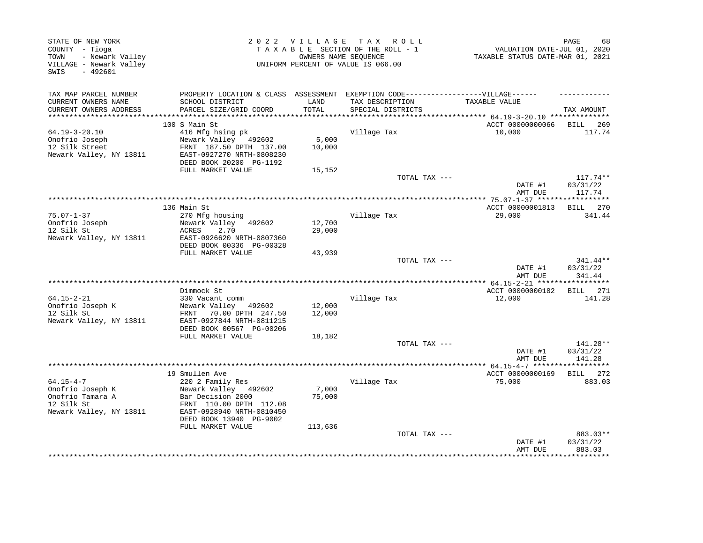| STATE OF NEW YORK<br>COUNTY - Tioga<br>- Newark Valley<br>TOWN<br>VILLAGE - Newark Valley<br>$-492601$<br>SWIS |                                                                                                      |                  | 2022 VILLAGE TAX ROLL<br>TAXABLE SECTION OF THE ROLL - 1<br>OWNERS NAME SEOUENCE<br>UNIFORM PERCENT OF VALUE IS 066.00 | VALUATION DATE-JUL 01, 2020<br>TAXABLE STATUS DATE-MAR 01, 2021 | 68<br>PAGE |
|----------------------------------------------------------------------------------------------------------------|------------------------------------------------------------------------------------------------------|------------------|------------------------------------------------------------------------------------------------------------------------|-----------------------------------------------------------------|------------|
| TAX MAP PARCEL NUMBER<br>CURRENT OWNERS NAME                                                                   | PROPERTY LOCATION & CLASS ASSESSMENT EXEMPTION CODE-----------------VILLAGE------<br>SCHOOL DISTRICT | LAND             | TAX DESCRIPTION                                                                                                        | TAXABLE VALUE                                                   |            |
| CURRENT OWNERS ADDRESS                                                                                         | PARCEL SIZE/GRID COORD                                                                               | TOTAL            | SPECIAL DISTRICTS                                                                                                      |                                                                 | TAX AMOUNT |
| ***********************                                                                                        | *************************                                                                            |                  | ***********************************                                                                                    | ************ 64.19-3-20.10 ***************                      |            |
|                                                                                                                | 100 S Main St                                                                                        |                  |                                                                                                                        | ACCT 00000000066                                                | BILL 269   |
| $64.19 - 3 - 20.10$                                                                                            | 416 Mfg hsing pk                                                                                     |                  | Village Tax                                                                                                            | 10,000                                                          | 117.74     |
| Onofrio Joseph                                                                                                 | Newark Valley 492602                                                                                 | 5,000            |                                                                                                                        |                                                                 |            |
| 12 Silk Street                                                                                                 | FRNT 187.50 DPTH 137.00                                                                              | 10,000           |                                                                                                                        |                                                                 |            |
| Newark Valley, NY 13811                                                                                        | EAST-0927270 NRTH-0808230<br>DEED BOOK 20200 PG-1192                                                 |                  |                                                                                                                        |                                                                 |            |
|                                                                                                                | FULL MARKET VALUE                                                                                    | 15,152           |                                                                                                                        |                                                                 |            |
|                                                                                                                |                                                                                                      |                  | TOTAL TAX ---                                                                                                          |                                                                 | $117.74**$ |
|                                                                                                                |                                                                                                      |                  |                                                                                                                        | DATE #1                                                         | 03/31/22   |
|                                                                                                                |                                                                                                      |                  |                                                                                                                        | AMT DUE                                                         | 117.74     |
|                                                                                                                |                                                                                                      |                  | ********************************                                                                                       | ************ 75.07-1-37 *****************                       |            |
|                                                                                                                | 136 Main St                                                                                          |                  |                                                                                                                        | ACCT 00000001813                                                | BILL 270   |
| $75.07 - 1 - 37$                                                                                               | 270 Mfg housing                                                                                      |                  | Village Tax                                                                                                            | 29,000                                                          | 341.44     |
| Onofrio Joseph                                                                                                 | Newark Valley 492602                                                                                 | 12,700           |                                                                                                                        |                                                                 |            |
| 12 Silk St                                                                                                     | ACRES<br>2.70                                                                                        | 29,000           |                                                                                                                        |                                                                 |            |
| Newark Valley, NY 13811                                                                                        | EAST-0926620 NRTH-0807360<br>DEED BOOK 00336 PG-00328                                                |                  |                                                                                                                        |                                                                 |            |
|                                                                                                                | FULL MARKET VALUE                                                                                    | 43,939           |                                                                                                                        |                                                                 |            |
|                                                                                                                |                                                                                                      |                  | TOTAL TAX ---                                                                                                          |                                                                 | 341.44**   |
|                                                                                                                |                                                                                                      |                  |                                                                                                                        | DATE #1                                                         | 03/31/22   |
|                                                                                                                |                                                                                                      |                  |                                                                                                                        | AMT DUE                                                         | 341.44     |
|                                                                                                                |                                                                                                      |                  |                                                                                                                        |                                                                 |            |
|                                                                                                                | Dimmock St                                                                                           |                  |                                                                                                                        | ACCT 00000000182                                                | BILL 271   |
| $64.15 - 2 - 21$                                                                                               | 330 Vacant comm                                                                                      |                  | Village Tax                                                                                                            | 12,000                                                          | 141.28     |
| Onofrio Joseph K<br>12 Silk St                                                                                 | Newark Valley 492602<br>70.00 DPTH 247.50<br>FRNT                                                    | 12,000<br>12,000 |                                                                                                                        |                                                                 |            |
| Newark Valley, NY 13811                                                                                        | EAST-0927844 NRTH-0811215                                                                            |                  |                                                                                                                        |                                                                 |            |
|                                                                                                                | DEED BOOK 00567 PG-00206                                                                             |                  |                                                                                                                        |                                                                 |            |
|                                                                                                                | FULL MARKET VALUE                                                                                    | 18,182           |                                                                                                                        |                                                                 |            |
|                                                                                                                |                                                                                                      |                  | TOTAL TAX ---                                                                                                          |                                                                 | 141.28**   |
|                                                                                                                |                                                                                                      |                  |                                                                                                                        | DATE #1                                                         | 03/31/22   |
|                                                                                                                |                                                                                                      |                  |                                                                                                                        | AMT DUE                                                         | 141.28     |
|                                                                                                                |                                                                                                      |                  |                                                                                                                        |                                                                 |            |
|                                                                                                                | 19 Smullen Ave                                                                                       |                  |                                                                                                                        | ACCT 00000000169                                                | BILL 272   |
| $64.15 - 4 - 7$<br>Onofrio Joseph K                                                                            | 220 2 Family Res<br>Newark Valley 492602                                                             | 7,000            | Village Tax                                                                                                            | 75,000                                                          | 883.03     |
| Onofrio Tamara A                                                                                               | Bar Decision 2000                                                                                    | 75,000           |                                                                                                                        |                                                                 |            |
| 12 Silk St                                                                                                     | FRNT 110.00 DPTH 112.08                                                                              |                  |                                                                                                                        |                                                                 |            |
| Newark Valley, NY 13811                                                                                        | EAST-0928940 NRTH-0810450                                                                            |                  |                                                                                                                        |                                                                 |            |
|                                                                                                                | DEED BOOK 13940 PG-9002                                                                              |                  |                                                                                                                        |                                                                 |            |
|                                                                                                                | FULL MARKET VALUE                                                                                    | 113,636          |                                                                                                                        |                                                                 |            |
|                                                                                                                |                                                                                                      |                  | TOTAL TAX ---                                                                                                          |                                                                 | 883.03**   |
|                                                                                                                |                                                                                                      |                  |                                                                                                                        | DATE #1                                                         | 03/31/22   |
|                                                                                                                |                                                                                                      |                  |                                                                                                                        | AMT DUE                                                         | 883.03     |
|                                                                                                                |                                                                                                      |                  |                                                                                                                        |                                                                 |            |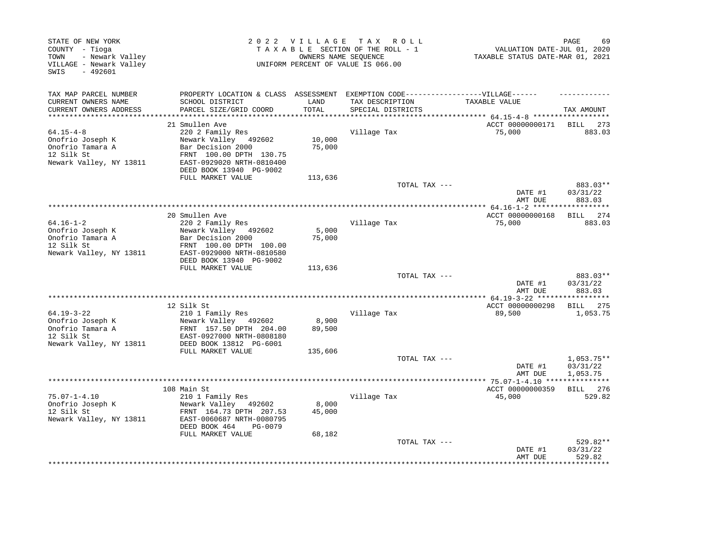| STATE OF NEW YORK<br>COUNTY - Tioga<br>- Newark Valley<br>TOWN<br>VILLAGE - Newark Valley<br>$-492601$<br>SWIS |                                                                                                      |                  | 2022 VILLAGE TAX ROLL<br>TAXABLE SECTION OF THE ROLL - 1<br>OWNERS NAME SEQUENCE<br>UNIFORM PERCENT OF VALUE IS 066.00 | VALUATION DATE-JUL 01, 2020<br>TAXABLE STATUS DATE-MAR 01, 2021 | 69<br>PAGE                     |
|----------------------------------------------------------------------------------------------------------------|------------------------------------------------------------------------------------------------------|------------------|------------------------------------------------------------------------------------------------------------------------|-----------------------------------------------------------------|--------------------------------|
| TAX MAP PARCEL NUMBER<br>CURRENT OWNERS NAME                                                                   | PROPERTY LOCATION & CLASS ASSESSMENT EXEMPTION CODE-----------------VILLAGE------<br>SCHOOL DISTRICT | LAND             | TAX DESCRIPTION                                                                                                        | TAXABLE VALUE                                                   |                                |
| CURRENT OWNERS ADDRESS                                                                                         | PARCEL SIZE/GRID COORD                                                                               | TOTAL            | SPECIAL DISTRICTS                                                                                                      |                                                                 | TAX AMOUNT                     |
|                                                                                                                | 21 Smullen Ave                                                                                       |                  |                                                                                                                        | ACCT 00000000171                                                | BILL 273                       |
| $64.15 - 4 - 8$                                                                                                | 220 2 Family Res                                                                                     |                  | Village Tax                                                                                                            | 75,000                                                          | 883.03                         |
| Onofrio Joseph K<br>Onofrio Tamara A                                                                           | Newark Valley 492602<br>Bar Decision 2000                                                            | 10,000<br>75,000 |                                                                                                                        |                                                                 |                                |
| 12 Silk St<br>Newark Valley, NY 13811                                                                          | FRNT 100.00 DPTH 130.75<br>EAST-0929020 NRTH-0810400<br>DEED BOOK 13940 PG-9002                      |                  |                                                                                                                        |                                                                 |                                |
|                                                                                                                | FULL MARKET VALUE                                                                                    | 113,636          |                                                                                                                        |                                                                 |                                |
|                                                                                                                |                                                                                                      |                  | TOTAL TAX ---                                                                                                          | DATE #1                                                         | 883.03**<br>03/31/22           |
|                                                                                                                |                                                                                                      |                  |                                                                                                                        | AMT DUE                                                         | 883.03                         |
|                                                                                                                | 20 Smullen Ave                                                                                       |                  |                                                                                                                        | ACCT 00000000168                                                | BILL 274                       |
| $64.16 - 1 - 2$                                                                                                | 220 2 Family Res                                                                                     |                  | Village Tax                                                                                                            | 75,000                                                          | 883.03                         |
| Onofrio Joseph K                                                                                               | Newark Valley 492602                                                                                 | 5,000            |                                                                                                                        |                                                                 |                                |
| Onofrio Tamara A                                                                                               | Bar Decision 2000                                                                                    | 75,000           |                                                                                                                        |                                                                 |                                |
| 12 Silk St                                                                                                     | FRNT 100.00 DPTH 100.00                                                                              |                  |                                                                                                                        |                                                                 |                                |
| Newark Valley, NY 13811                                                                                        | EAST-0929000 NRTH-0810580<br>DEED BOOK 13940 PG-9002                                                 |                  |                                                                                                                        |                                                                 |                                |
|                                                                                                                | FULL MARKET VALUE                                                                                    | 113,636          |                                                                                                                        |                                                                 |                                |
|                                                                                                                |                                                                                                      |                  | TOTAL TAX ---                                                                                                          |                                                                 | 883.03**                       |
|                                                                                                                |                                                                                                      |                  |                                                                                                                        | DATE #1<br>AMT DUE                                              | 03/31/22<br>883.03             |
|                                                                                                                |                                                                                                      |                  |                                                                                                                        |                                                                 |                                |
| $64.19 - 3 - 22$                                                                                               | 12 Silk St<br>210 1 Family Res                                                                       |                  | Village Tax                                                                                                            | ACCT 00000000298<br>89,500                                      | BILL 275<br>1,053.75           |
| Onofrio Joseph K                                                                                               | Newark Valley 492602                                                                                 | 8,900            |                                                                                                                        |                                                                 |                                |
| Onofrio Tamara A                                                                                               | FRNT 157.50 DPTH 204.00                                                                              | 89,500           |                                                                                                                        |                                                                 |                                |
| 12 Silk St                                                                                                     | EAST-0927000 NRTH-0808180                                                                            |                  |                                                                                                                        |                                                                 |                                |
| Newark Valley, NY 13811                                                                                        | DEED BOOK 13812 PG-6001                                                                              |                  |                                                                                                                        |                                                                 |                                |
|                                                                                                                | FULL MARKET VALUE                                                                                    | 135,606          | TOTAL TAX ---                                                                                                          |                                                                 | $1,053.75**$                   |
|                                                                                                                |                                                                                                      |                  |                                                                                                                        | DATE #1<br>AMT DUE                                              | 03/31/22<br>1,053.75           |
|                                                                                                                |                                                                                                      |                  |                                                                                                                        |                                                                 |                                |
|                                                                                                                | 108 Main St                                                                                          |                  |                                                                                                                        | ACCT 00000000359                                                | BILL 276                       |
| $75.07 - 1 - 4.10$                                                                                             | 210 1 Family Res                                                                                     |                  | Village Tax                                                                                                            | 45,000                                                          | 529.82                         |
| Onofrio Joseph K<br>12 Silk St                                                                                 | Newark Valley 492602<br>FRNT 164.73 DPTH 207.53                                                      | 8,000<br>45,000  |                                                                                                                        |                                                                 |                                |
| Newark Valley, NY 13811                                                                                        | EAST-0060687 NRTH-0080795<br>DEED BOOK 464<br>PG-0079                                                |                  |                                                                                                                        |                                                                 |                                |
|                                                                                                                | FULL MARKET VALUE                                                                                    | 68,182           |                                                                                                                        |                                                                 |                                |
|                                                                                                                |                                                                                                      |                  | TOTAL TAX ---                                                                                                          | DATE #1<br>AMT DUE                                              | 529.82**<br>03/31/22<br>529.82 |
|                                                                                                                |                                                                                                      |                  |                                                                                                                        |                                                                 | ***********                    |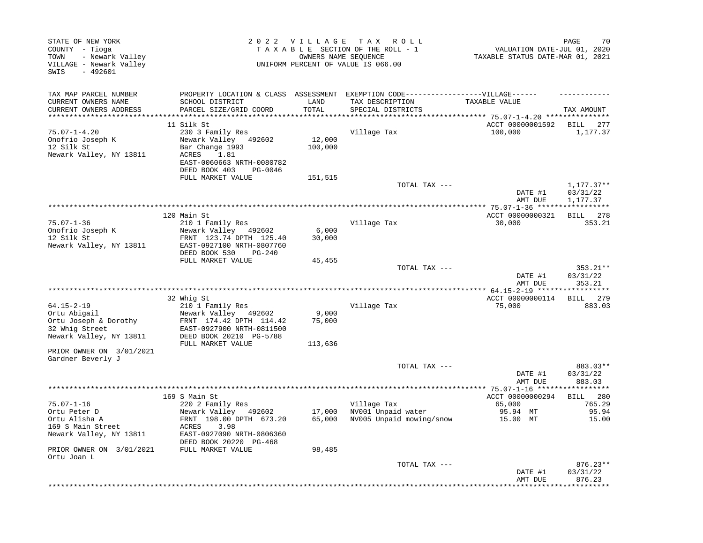| STATE OF NEW YORK<br>COUNTY - Tioga<br>- Newark Valley<br>TOWN<br>VILLAGE - Newark Valley<br>$-492601$<br>SWIS                     |                                                                                                                                                                | 2022 VILLAGE               | T A X<br>R O L L<br>TAXABLE SECTION OF THE ROLL - 1<br>OWNERS NAME SEQUENCE<br>UNIFORM PERCENT OF VALUE IS 066.00         | VALUATION DATE-JUL 01, 2020<br>TAXABLE STATUS DATE-MAR 01, 2021 | 70<br>PAGE                              |
|------------------------------------------------------------------------------------------------------------------------------------|----------------------------------------------------------------------------------------------------------------------------------------------------------------|----------------------------|---------------------------------------------------------------------------------------------------------------------------|-----------------------------------------------------------------|-----------------------------------------|
| TAX MAP PARCEL NUMBER<br>CURRENT OWNERS NAME<br>CURRENT OWNERS ADDRESS                                                             | SCHOOL DISTRICT<br>PARCEL SIZE/GRID COORD                                                                                                                      | LAND<br>TOTAL              | PROPERTY LOCATION & CLASS ASSESSMENT EXEMPTION CODE-----------------VILLAGE------<br>TAX DESCRIPTION<br>SPECIAL DISTRICTS | TAXABLE VALUE                                                   | TAX AMOUNT                              |
| ***********************                                                                                                            |                                                                                                                                                                |                            |                                                                                                                           |                                                                 |                                         |
| $75.07 - 1 - 4.20$<br>Onofrio Joseph K<br>12 Silk St<br>Newark Valley, NY 13811                                                    | 11 Silk St<br>230 3 Family Res<br>Newark Valley<br>492602<br>Bar Change 1993<br>ACRES<br>1.81<br>EAST-0060663 NRTH-0080782<br>DEED BOOK 403<br>PG-0046         | 12,000<br>100,000          | Village Tax                                                                                                               | ACCT 00000001592<br>100,000                                     | BILL 277<br>1,177.37                    |
|                                                                                                                                    | FULL MARKET VALUE                                                                                                                                              | 151,515                    | TOTAL TAX ---                                                                                                             | DATE #1                                                         | $1,177.37**$<br>03/31/22                |
|                                                                                                                                    |                                                                                                                                                                |                            |                                                                                                                           | AMT DUE                                                         | 1,177.37                                |
|                                                                                                                                    | 120 Main St                                                                                                                                                    |                            |                                                                                                                           | ********** 75.07-1-36 *****************<br>ACCT 00000000321     | BILL 278                                |
| $75.07 - 1 - 36$<br>Onofrio Joseph K<br>12 Silk St<br>Newark Valley, NY 13811                                                      | 210 1 Family Res<br>Newark Valley 492602<br>FRNT 123.74 DPTH 125.40<br>EAST-0927100 NRTH-0807760<br>DEED BOOK 530<br>$PG-240$                                  | 6,000<br>30,000            | Village Tax                                                                                                               | 30,000                                                          | 353.21                                  |
|                                                                                                                                    | FULL MARKET VALUE                                                                                                                                              | 45,455                     |                                                                                                                           |                                                                 |                                         |
|                                                                                                                                    |                                                                                                                                                                |                            | TOTAL TAX ---                                                                                                             | DATE #1<br>AMT DUE                                              | 353.21**<br>03/31/22<br>353.21          |
|                                                                                                                                    |                                                                                                                                                                |                            |                                                                                                                           |                                                                 |                                         |
| $64.15 - 2 - 19$<br>Ortu Abigail<br>Ortu Joseph & Dorothy<br>32 Whig Street<br>Newark Valley, NY 13811<br>PRIOR OWNER ON 3/01/2021 | 32 Whig St<br>210 1 Family Res<br>Newark Valley 492602<br>FRNT 174.42 DPTH 114.42<br>EAST-0927900 NRTH-0811500<br>DEED BOOK 20210 PG-5788<br>FULL MARKET VALUE | 9,000<br>75,000<br>113,636 | Village Tax                                                                                                               | ACCT 00000000114<br>75,000                                      | 279<br>BILL<br>883.03                   |
| Gardner Beverly J                                                                                                                  |                                                                                                                                                                |                            |                                                                                                                           |                                                                 |                                         |
|                                                                                                                                    |                                                                                                                                                                |                            | TOTAL TAX ---                                                                                                             | DATE #1<br>AMT DUE                                              | 883.03**<br>03/31/22<br>883.03          |
|                                                                                                                                    |                                                                                                                                                                |                            |                                                                                                                           | ** 75.07-1-16 ****                                              |                                         |
| $75.07 - 1 - 16$<br>Ortu Peter D<br>Ortu Alisha A<br>169 S Main Street<br>Newark Valley, NY 13811                                  | 169 S Main St<br>220 2 Family Res<br>Newark Valley 492602<br>FRNT 198.00 DPTH 673.20<br>3.98<br>ACRES<br>EAST-0927090 NRTH-0806360<br>DEED BOOK 20220 PG-468   | 17,000<br>65,000           | Village Tax<br>NV001 Unpaid water<br>NV005 Unpaid mowing/snow                                                             | ACCT 00000000294<br>65,000<br>95.94 MT<br>15.00 MT              | 280<br>BILL<br>765.29<br>95.94<br>15.00 |
| PRIOR OWNER ON 3/01/2021                                                                                                           | FULL MARKET VALUE                                                                                                                                              | 98,485                     |                                                                                                                           |                                                                 |                                         |
| Ortu Joan L                                                                                                                        |                                                                                                                                                                |                            | TOTAL TAX ---                                                                                                             | DATE #1<br>AMT DUE                                              | $876.23**$<br>03/31/22<br>876.23        |
|                                                                                                                                    |                                                                                                                                                                |                            |                                                                                                                           |                                                                 |                                         |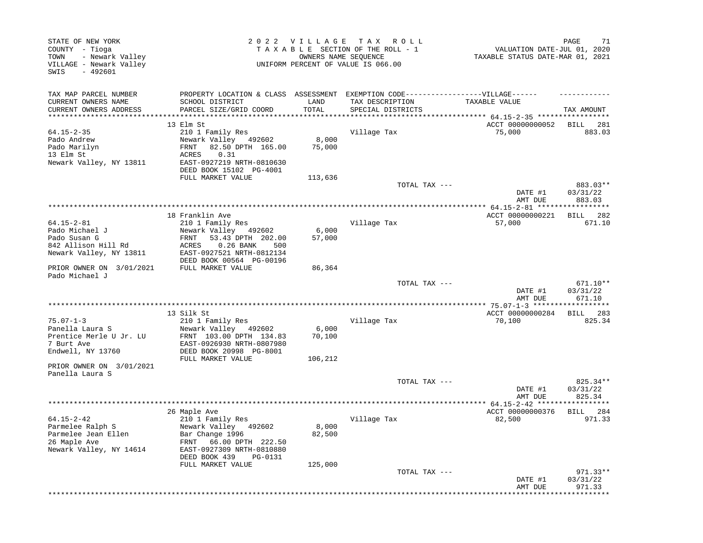| STATE OF NEW YORK<br>COUNTY - Tioga<br>- Newark Valley<br>TOWN<br>VILLAGE - Newark Valley<br>$-492601$<br>SWIS |                                                                                  |                 | 2022 VILLAGE TAX ROLL<br>TAXABLE SECTION OF THE ROLL - 1<br>OWNERS NAME SEQUENCE<br>UNIFORM PERCENT OF VALUE IS 066.00 | VALUATION DATE-JUL 01, 2020<br>TAXABLE STATUS DATE-MAR 01, 2021 | 71<br>PAGE         |
|----------------------------------------------------------------------------------------------------------------|----------------------------------------------------------------------------------|-----------------|------------------------------------------------------------------------------------------------------------------------|-----------------------------------------------------------------|--------------------|
| TAX MAP PARCEL NUMBER                                                                                          | PROPERTY LOCATION & CLASS ASSESSMENT EXEMPTION CODE----------------VILLAGE------ |                 |                                                                                                                        |                                                                 |                    |
| CURRENT OWNERS NAME<br>CURRENT OWNERS ADDRESS                                                                  | SCHOOL DISTRICT<br>PARCEL SIZE/GRID COORD                                        | LAND<br>TOTAL   | TAX DESCRIPTION<br>SPECIAL DISTRICTS                                                                                   | TAXABLE VALUE                                                   | TAX AMOUNT         |
| **********************                                                                                         |                                                                                  |                 |                                                                                                                        | *************************** 64.15-2-35 ******************       |                    |
|                                                                                                                | 13 Elm St                                                                        |                 |                                                                                                                        | ACCT 00000000052                                                | BILL 281           |
| $64.15 - 2 - 35$                                                                                               | 210 1 Family Res                                                                 |                 | Village Tax                                                                                                            | 75,000                                                          | 883.03             |
| Pado Andrew<br>Pado Marilyn                                                                                    | Newark Valley 492602<br>FRNT                                                     | 8,000<br>75,000 |                                                                                                                        |                                                                 |                    |
| 13 Elm St                                                                                                      | 82.50 DPTH 165.00<br>ACRES<br>0.31                                               |                 |                                                                                                                        |                                                                 |                    |
| Newark Valley, NY 13811                                                                                        | EAST-0927219 NRTH-0810630<br>DEED BOOK 15102 PG-4001                             |                 |                                                                                                                        |                                                                 |                    |
|                                                                                                                | FULL MARKET VALUE                                                                | 113,636         |                                                                                                                        |                                                                 |                    |
|                                                                                                                |                                                                                  |                 | TOTAL TAX ---                                                                                                          |                                                                 | 883.03**           |
|                                                                                                                |                                                                                  |                 |                                                                                                                        | DATE #1<br>AMT DUE                                              | 03/31/22<br>883.03 |
|                                                                                                                |                                                                                  |                 |                                                                                                                        |                                                                 |                    |
|                                                                                                                | 18 Franklin Ave                                                                  |                 |                                                                                                                        | ACCT 00000000221                                                | 282<br>BILL        |
| $64.15 - 2 - 81$                                                                                               | 210 1 Family Res                                                                 |                 | Village Tax                                                                                                            | 57,000                                                          | 671.10             |
| Pado Michael J                                                                                                 | Newark Valley 492602                                                             | 6,000           |                                                                                                                        |                                                                 |                    |
| Pado Susan G                                                                                                   | FRNT<br>53.43 DPTH 202.00                                                        | 57,000          |                                                                                                                        |                                                                 |                    |
| 842 Allison Hill Rd                                                                                            | ACRES<br>$0.26$ BANK<br>500                                                      |                 |                                                                                                                        |                                                                 |                    |
| Newark Valley, NY 13811                                                                                        | EAST-0927521 NRTH-0812134                                                        |                 |                                                                                                                        |                                                                 |                    |
| PRIOR OWNER ON 3/01/2021<br>Pado Michael J                                                                     | DEED BOOK 00564 PG-00196<br>FULL MARKET VALUE                                    | 86,364          |                                                                                                                        |                                                                 |                    |
|                                                                                                                |                                                                                  |                 | TOTAL TAX ---                                                                                                          |                                                                 | 671.10**           |
|                                                                                                                |                                                                                  |                 |                                                                                                                        | DATE #1<br>AMT DUE                                              | 03/31/22<br>671.10 |
|                                                                                                                |                                                                                  |                 |                                                                                                                        |                                                                 | * * * * * * * * *  |
|                                                                                                                | 13 Silk St                                                                       |                 |                                                                                                                        | ACCT 00000000284                                                | 283<br>BILL        |
| $75.07 - 1 - 3$                                                                                                | 210 1 Family Res                                                                 |                 | Village Tax                                                                                                            | 70,100                                                          | 825.34             |
| Panella Laura S                                                                                                | Newark Valley 492602                                                             | 6,000           |                                                                                                                        |                                                                 |                    |
| Prentice Merle U Jr. LU                                                                                        | FRNT 103.00 DPTH 134.83                                                          | 70,100          |                                                                                                                        |                                                                 |                    |
| 7 Burt Ave<br>Endwell, NY 13760                                                                                | EAST-0926930 NRTH-0807980                                                        |                 |                                                                                                                        |                                                                 |                    |
|                                                                                                                | DEED BOOK 20998 PG-8001<br>FULL MARKET VALUE                                     | 106,212         |                                                                                                                        |                                                                 |                    |
| PRIOR OWNER ON 3/01/2021                                                                                       |                                                                                  |                 |                                                                                                                        |                                                                 |                    |
| Panella Laura S                                                                                                |                                                                                  |                 |                                                                                                                        |                                                                 |                    |
|                                                                                                                |                                                                                  |                 | TOTAL TAX ---                                                                                                          |                                                                 | 825.34**           |
|                                                                                                                |                                                                                  |                 |                                                                                                                        | DATE #1                                                         | 03/31/22           |
|                                                                                                                |                                                                                  |                 |                                                                                                                        | AMT DUE                                                         | 825.34             |
|                                                                                                                |                                                                                  |                 |                                                                                                                        | ** $64.15 - 2 - 42$ ***                                         |                    |
|                                                                                                                | 26 Maple Ave                                                                     |                 |                                                                                                                        | ACCT 00000000376                                                | BILL 284           |
| 64.15-2-42<br>Parmelee Ralph S                                                                                 | 210 1 Family Res<br>Newark Valley<br>492602                                      | 8,000           | Village Tax                                                                                                            | 82,500                                                          | 971.33             |
| Parmelee Jean Ellen                                                                                            | Bar Change 1996                                                                  | 82,500          |                                                                                                                        |                                                                 |                    |
| 26 Maple Ave                                                                                                   | FRNT<br>66.00 DPTH 222.50                                                        |                 |                                                                                                                        |                                                                 |                    |
| Newark Valley, NY 14614                                                                                        | EAST-0927309 NRTH-0810880                                                        |                 |                                                                                                                        |                                                                 |                    |
|                                                                                                                | DEED BOOK 439<br>PG-0131                                                         |                 |                                                                                                                        |                                                                 |                    |
|                                                                                                                | FULL MARKET VALUE                                                                | 125,000         |                                                                                                                        |                                                                 |                    |
|                                                                                                                |                                                                                  |                 | TOTAL TAX ---                                                                                                          |                                                                 | 971.33**           |
|                                                                                                                |                                                                                  |                 |                                                                                                                        |                                                                 |                    |
|                                                                                                                |                                                                                  |                 |                                                                                                                        | DATE #1<br>AMT DUE                                              | 03/31/22<br>971.33 |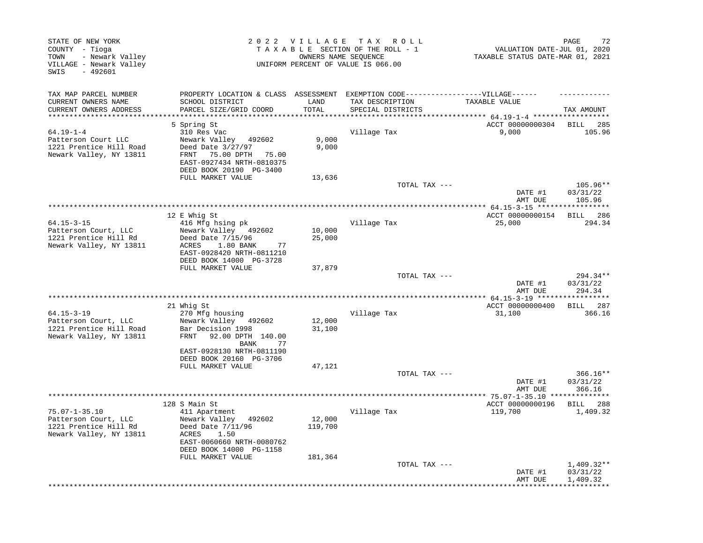| STATE OF NEW YORK<br>COUNTY - Tioga<br>- Newark Valley<br>TOWN<br>VILLAGE - Newark Valley<br>$-492601$<br>SWIS |                                                                                   | 2022 VILLAGE | TAX ROLL<br>TAXABLE SECTION OF THE ROLL - 1<br>OWNERS NAME SEQUENCE<br>UNIFORM PERCENT OF VALUE IS 066.00 | VALUATION DATE-JUL 01, 2020<br>TAXABLE STATUS DATE-MAR 01, 2021 | PAGE<br>72                     |
|----------------------------------------------------------------------------------------------------------------|-----------------------------------------------------------------------------------|--------------|-----------------------------------------------------------------------------------------------------------|-----------------------------------------------------------------|--------------------------------|
| TAX MAP PARCEL NUMBER                                                                                          | PROPERTY LOCATION & CLASS ASSESSMENT EXEMPTION CODE-----------------VILLAGE------ |              |                                                                                                           |                                                                 |                                |
| CURRENT OWNERS NAME                                                                                            | SCHOOL DISTRICT                                                                   | LAND         | TAX DESCRIPTION                                                                                           | TAXABLE VALUE                                                   |                                |
| CURRENT OWNERS ADDRESS                                                                                         | PARCEL SIZE/GRID COORD                                                            | TOTAL        | SPECIAL DISTRICTS                                                                                         | ********** 64.19-1-4 ******                                     | TAX AMOUNT                     |
|                                                                                                                | 5 Spring St                                                                       |              |                                                                                                           | ACCT 00000000304                                                | <b>BILL</b><br>285             |
| $64.19 - 1 - 4$                                                                                                | 310 Res Vac                                                                       |              | Village Tax                                                                                               | 9,000                                                           | 105.96                         |
| Patterson Court LLC                                                                                            | Newark Valley 492602                                                              | 9,000        |                                                                                                           |                                                                 |                                |
| 1221 Prentice Hill Road                                                                                        | Deed Date 3/27/97                                                                 | 9,000        |                                                                                                           |                                                                 |                                |
| Newark Valley, NY 13811                                                                                        | 75.00 DPTH<br>FRNT<br>75.00                                                       |              |                                                                                                           |                                                                 |                                |
|                                                                                                                | EAST-0927434 NRTH-0810375                                                         |              |                                                                                                           |                                                                 |                                |
|                                                                                                                | DEED BOOK 20190 PG-3400<br>FULL MARKET VALUE                                      | 13,636       |                                                                                                           |                                                                 |                                |
|                                                                                                                |                                                                                   |              | TOTAL TAX ---                                                                                             |                                                                 | $105.96**$                     |
|                                                                                                                |                                                                                   |              |                                                                                                           | DATE #1                                                         | 03/31/22                       |
|                                                                                                                |                                                                                   |              |                                                                                                           | AMT DUE                                                         | 105.96                         |
|                                                                                                                | 12 E Whig St                                                                      |              |                                                                                                           | ACCT 00000000154                                                | BILL 286                       |
| $64.15 - 3 - 15$                                                                                               | 416 Mfg hsing pk                                                                  |              | Village Tax                                                                                               | 25,000                                                          | 294.34                         |
| Patterson Court, LLC                                                                                           | Newark Valley 492602                                                              | 10,000       |                                                                                                           |                                                                 |                                |
| 1221 Prentice Hill Rd                                                                                          | Deed Date 7/15/96                                                                 | 25,000       |                                                                                                           |                                                                 |                                |
| Newark Valley, NY 13811                                                                                        | 1.80 BANK<br>ACRES<br>77                                                          |              |                                                                                                           |                                                                 |                                |
|                                                                                                                | EAST-0928420 NRTH-0811210                                                         |              |                                                                                                           |                                                                 |                                |
|                                                                                                                | DEED BOOK 14000 PG-3728<br>FULL MARKET VALUE                                      | 37,879       |                                                                                                           |                                                                 |                                |
|                                                                                                                |                                                                                   |              | TOTAL TAX ---                                                                                             |                                                                 | 294.34**                       |
|                                                                                                                |                                                                                   |              |                                                                                                           | DATE #1                                                         | 03/31/22                       |
|                                                                                                                |                                                                                   |              |                                                                                                           | AMT DUE                                                         | 294.34                         |
|                                                                                                                |                                                                                   |              |                                                                                                           |                                                                 |                                |
| $64.15 - 3 - 19$                                                                                               | 21 Whig St<br>270 Mfg housing                                                     |              | Village Tax                                                                                               | ACCT 00000000400<br>31,100                                      | BILL 287<br>366.16             |
| Patterson Court, LLC                                                                                           | Newark Valley 492602                                                              | 12,000       |                                                                                                           |                                                                 |                                |
| 1221 Prentice Hill Road                                                                                        | Bar Decision 1998                                                                 | 31,100       |                                                                                                           |                                                                 |                                |
| Newark Valley, NY 13811                                                                                        | FRNT<br>92.00 DPTH 140.00                                                         |              |                                                                                                           |                                                                 |                                |
|                                                                                                                | 77<br>BANK                                                                        |              |                                                                                                           |                                                                 |                                |
|                                                                                                                | EAST-0928130 NRTH-0811190                                                         |              |                                                                                                           |                                                                 |                                |
|                                                                                                                | DEED BOOK 20160 PG-3706<br>FULL MARKET VALUE                                      | 47,121       |                                                                                                           |                                                                 |                                |
|                                                                                                                |                                                                                   |              | TOTAL TAX ---                                                                                             |                                                                 | 366.16**                       |
|                                                                                                                |                                                                                   |              |                                                                                                           | DATE #1                                                         | 03/31/22                       |
|                                                                                                                |                                                                                   |              |                                                                                                           | AMT DUE                                                         | 366.16                         |
|                                                                                                                |                                                                                   |              |                                                                                                           | ********** 75.07-1-35.10 ***                                    | ********                       |
| $75.07 - 1 - 35.10$                                                                                            | 128 S Main St<br>411 Apartment                                                    |              | Village Tax                                                                                               | ACCT 00000000196<br>119,700                                     | <b>BILL</b><br>288<br>1,409.32 |
| Patterson Court, LLC                                                                                           | Newark Valley 492602                                                              | 12,000       |                                                                                                           |                                                                 |                                |
| 1221 Prentice Hill Rd                                                                                          | Deed Date 7/11/96                                                                 | 119,700      |                                                                                                           |                                                                 |                                |
| Newark Valley, NY 13811                                                                                        | 1.50<br>ACRES                                                                     |              |                                                                                                           |                                                                 |                                |
|                                                                                                                | EAST-0060660 NRTH-0080762                                                         |              |                                                                                                           |                                                                 |                                |
|                                                                                                                | DEED BOOK 14000 PG-1158                                                           |              |                                                                                                           |                                                                 |                                |
|                                                                                                                | FULL MARKET VALUE                                                                 | 181,364      | TOTAL TAX ---                                                                                             |                                                                 | $1,409.32**$                   |
|                                                                                                                |                                                                                   |              |                                                                                                           | DATE #1                                                         | 03/31/22                       |
|                                                                                                                |                                                                                   |              |                                                                                                           | AMT DUE                                                         | 1,409.32                       |
|                                                                                                                |                                                                                   |              |                                                                                                           |                                                                 |                                |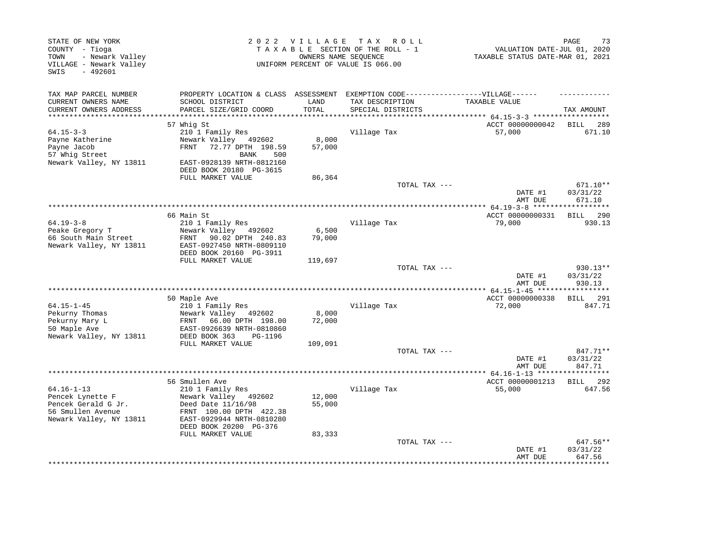| STATE OF NEW YORK<br>COUNTY - Tioga<br>- Newark Valley<br>TOWN<br>VILLAGE - Newark Valley<br>$-492601$<br>SWIS |                                                                                                                                                  | 2022 VILLAGE     | T A X<br>R O L L<br>TAXABLE SECTION OF THE ROLL - 1<br>OWNERS NAME SEQUENCE<br>UNIFORM PERCENT OF VALUE IS 066.00 | VALUATION DATE-JUL 01, 2020<br>TAXABLE STATUS DATE-MAR 01, 2021 | PAGE<br>73                     |
|----------------------------------------------------------------------------------------------------------------|--------------------------------------------------------------------------------------------------------------------------------------------------|------------------|-------------------------------------------------------------------------------------------------------------------|-----------------------------------------------------------------|--------------------------------|
| TAX MAP PARCEL NUMBER<br>CURRENT OWNERS NAME                                                                   | PROPERTY LOCATION & CLASS ASSESSMENT<br>SCHOOL DISTRICT                                                                                          | LAND             | EXEMPTION CODE------------------VILLAGE------<br>TAX DESCRIPTION                                                  | TAXABLE VALUE                                                   |                                |
| CURRENT OWNERS ADDRESS<br>**********************                                                               | PARCEL SIZE/GRID COORD<br>*****************************                                                                                          | TOTAL            | SPECIAL DISTRICTS<br>********************************                                                             | ************ 64.15-3-3 *******************                      | TAX AMOUNT                     |
|                                                                                                                | 57 Whiq St                                                                                                                                       |                  |                                                                                                                   | ACCT 00000000042                                                | BILL 289                       |
| $64.15 - 3 - 3$                                                                                                | 210 1 Family Res                                                                                                                                 |                  | Village Tax                                                                                                       | 57,000                                                          | 671.10                         |
| Payne Katherine<br>Payne Jacob<br>57 Whig Street<br>Newark Valley, NY 13811                                    | Newark Valley 492602<br>72.77 DPTH 198.59<br>FRNT<br>500<br>BANK<br>EAST-0928139 NRTH-0812160                                                    | 8,000<br>57,000  |                                                                                                                   |                                                                 |                                |
|                                                                                                                | DEED BOOK 20180 PG-3615                                                                                                                          |                  |                                                                                                                   |                                                                 |                                |
|                                                                                                                | FULL MARKET VALUE                                                                                                                                | 86,364           |                                                                                                                   |                                                                 |                                |
|                                                                                                                |                                                                                                                                                  |                  | TOTAL TAX ---                                                                                                     | DATE #1<br>AMT DUE                                              | 671.10**<br>03/31/22<br>671.10 |
|                                                                                                                |                                                                                                                                                  |                  |                                                                                                                   |                                                                 |                                |
|                                                                                                                | 66 Main St                                                                                                                                       |                  |                                                                                                                   | ACCT 00000000331                                                | BILL<br>290                    |
| $64.19 - 3 - 8$                                                                                                | 210 1 Family Res                                                                                                                                 |                  | Village Tax                                                                                                       | 79,000                                                          | 930.13                         |
| Peake Gregory T                                                                                                | Newark Valley 492602<br>FRNT 90.02 DPTH 240.83                                                                                                   | 6,500<br>79,000  |                                                                                                                   |                                                                 |                                |
| 66 South Main Street<br>Newark Valley, NY 13811                                                                | EAST-0927450 NRTH-0809110<br>DEED BOOK 20160 PG-3911                                                                                             |                  |                                                                                                                   |                                                                 |                                |
|                                                                                                                | FULL MARKET VALUE                                                                                                                                | 119,697          |                                                                                                                   |                                                                 |                                |
|                                                                                                                |                                                                                                                                                  |                  | TOTAL TAX ---                                                                                                     | DATE #1<br>AMT DUE                                              | 930.13**<br>03/31/22<br>930.13 |
|                                                                                                                |                                                                                                                                                  |                  |                                                                                                                   |                                                                 |                                |
|                                                                                                                | 50 Maple Ave                                                                                                                                     |                  |                                                                                                                   | ACCT 00000000338                                                | BILL 291                       |
| $64.15 - 1 - 45$                                                                                               | 210 1 Family Res                                                                                                                                 |                  | Village Tax                                                                                                       | 72,000                                                          | 847.71                         |
| Pekurny Thomas<br>Pekurny Mary L<br>50 Maple Ave<br>Newark Valley, NY 13811                                    | Newark Valley<br>492602<br><b>FRNT</b><br>66.00 DPTH 198.00<br>EAST-0926639 NRTH-0810860<br>DEED BOOK 363<br>PG-1196                             | 8,000<br>72,000  |                                                                                                                   |                                                                 |                                |
|                                                                                                                | FULL MARKET VALUE                                                                                                                                | 109,091          |                                                                                                                   |                                                                 |                                |
|                                                                                                                |                                                                                                                                                  |                  | TOTAL TAX ---                                                                                                     | DATE #1<br>AMT DUE                                              | 847.71**<br>03/31/22<br>847.71 |
|                                                                                                                | **********                                                                                                                                       |                  | *************************                                                                                         | *********** 64.16-1-13 ******************                       |                                |
|                                                                                                                | 56 Smullen Ave                                                                                                                                   |                  |                                                                                                                   | ACCT 00000001213                                                | BILL 292                       |
| $64.16 - 1 - 13$<br>Pencek Lynette F<br>Pencek Gerald G Jr.<br>56 Smullen Avenue<br>Newark Valley, NY 13811    | 210 1 Family Res<br>Newark Valley 492602<br>Deed Date 11/16/98<br>FRNT 100.00 DPTH 422.38<br>EAST-0929944 NRTH-0810280<br>DEED BOOK 20200 PG-376 | 12,000<br>55,000 | Village Tax                                                                                                       | 55,000                                                          | 647.56                         |
|                                                                                                                | FULL MARKET VALUE                                                                                                                                | 83,333           |                                                                                                                   |                                                                 |                                |
|                                                                                                                |                                                                                                                                                  |                  | TOTAL TAX ---                                                                                                     | DATE #1<br>AMT DUE                                              | 647.56**<br>03/31/22<br>647.56 |
|                                                                                                                |                                                                                                                                                  |                  |                                                                                                                   |                                                                 |                                |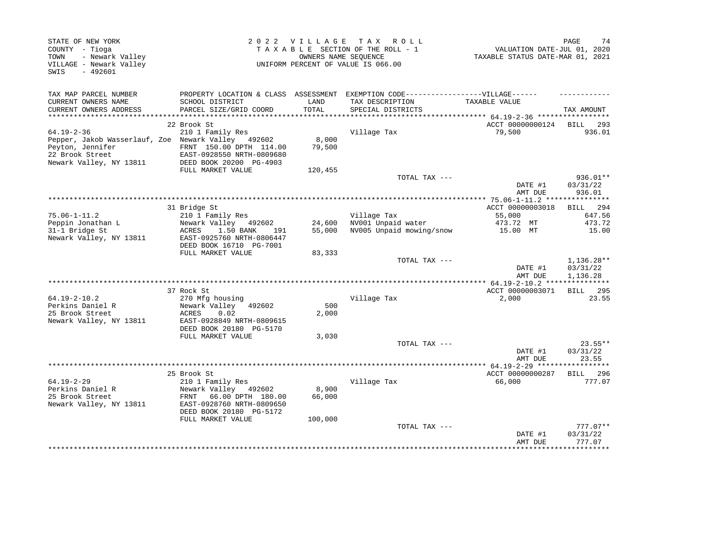| STATE OF NEW YORK<br>COUNTY - Tioga<br>- Newark Valley<br>TOWN<br>VILLAGE - Newark Valley<br>SWIS<br>$-492601$ |              |                                                                                |                 | 2022 VILLAGE TAX ROLL<br>TAXABLE SECTION OF THE ROLL - 1<br>OWNERS NAME SEQUENCE<br>UNIFORM PERCENT OF VALUE IS 066.00 | VALUATION DATE-JUL 01, 2020<br>TAXABLE STATUS DATE-MAR 01, 2021 | PAGE<br>74                         |
|----------------------------------------------------------------------------------------------------------------|--------------|--------------------------------------------------------------------------------|-----------------|------------------------------------------------------------------------------------------------------------------------|-----------------------------------------------------------------|------------------------------------|
| TAX MAP PARCEL NUMBER                                                                                          |              | PROPERTY LOCATION & CLASS ASSESSMENT                                           |                 | EXEMPTION CODE------------------VILLAGE------                                                                          |                                                                 |                                    |
| CURRENT OWNERS NAME<br>CURRENT OWNERS ADDRESS                                                                  |              | SCHOOL DISTRICT<br>PARCEL SIZE/GRID COORD                                      | LAND<br>TOTAL   | TAX DESCRIPTION<br>SPECIAL DISTRICTS                                                                                   | TAXABLE VALUE<br>********* 64.19-2-36 *********                 | TAX AMOUNT                         |
|                                                                                                                | 22 Brook St  |                                                                                |                 |                                                                                                                        | ACCT 00000000124                                                | <b>BILL</b><br>293                 |
| $64.19 - 2 - 36$<br>Pepper, Jakob Wasserlauf, Zoe Newark Valley 492602<br>Peyton, Jennifer                     |              | 210 1 Family Res<br>FRNT 150.00 DPTH 114.00                                    | 8,000<br>79,500 | Village Tax                                                                                                            | 79,500                                                          | 936.01                             |
| 22 Brook Street<br>Newark Valley, NY 13811                                                                     |              | EAST-0928550 NRTH-0809680<br>DEED BOOK 20200 PG-4903<br>FULL MARKET VALUE      | 120,455         |                                                                                                                        |                                                                 |                                    |
|                                                                                                                |              |                                                                                |                 | TOTAL TAX ---                                                                                                          |                                                                 | 936.01**                           |
|                                                                                                                |              |                                                                                |                 |                                                                                                                        | DATE #1<br>AMT DUE                                              | 03/31/22<br>936.01                 |
|                                                                                                                |              |                                                                                |                 |                                                                                                                        | ************* 75.06-1-11.2 ***                                  | ***********                        |
|                                                                                                                | 31 Bridge St |                                                                                |                 |                                                                                                                        | ACCT 00000003018                                                | 294<br>BILL                        |
| $75.06 - 1 - 11.2$<br>Peppin Jonathan L                                                                        |              | 210 1 Family Res<br>Newark Valley 492602                                       | 24,600          | Village Tax<br>NV001 Unpaid water                                                                                      | 55,000<br>473.72 MT                                             | 647.56<br>473.72                   |
| 31-1 Bridge St                                                                                                 | ACRES        | 1.50 BANK<br>191                                                               | 55,000          | NV005 Unpaid mowing/snow                                                                                               | 15.00 MT                                                        | 15.00                              |
| Newark Valley, NY 13811                                                                                        |              | EAST-0925760 NRTH-0806447<br>DEED BOOK 16710 PG-7001                           |                 |                                                                                                                        |                                                                 |                                    |
|                                                                                                                |              | FULL MARKET VALUE                                                              | 83,333          |                                                                                                                        |                                                                 |                                    |
|                                                                                                                |              |                                                                                |                 | TOTAL TAX ---                                                                                                          | DATE #1<br>AMT DUE                                              | 1,136.28**<br>03/31/22<br>1,136.28 |
|                                                                                                                |              |                                                                                |                 |                                                                                                                        | ** 64.19-2-10.2 ****************                                |                                    |
|                                                                                                                | 37 Rock St   |                                                                                |                 |                                                                                                                        | ACCT 00000003071                                                | BILL 295                           |
| $64.19 - 2 - 10.2$<br>Perkins Daniel R                                                                         |              | 270 Mfg housing<br>Newark Valley 492602                                        | 500             | Village Tax                                                                                                            | 2,000                                                           | 23.55                              |
| 25 Brook Street                                                                                                | ACRES        | 0.02                                                                           | 2,000           |                                                                                                                        |                                                                 |                                    |
| Newark Valley, NY 13811                                                                                        |              | EAST-0928849 NRTH-0809615<br>DEED BOOK 20180 PG-5170                           |                 |                                                                                                                        |                                                                 |                                    |
|                                                                                                                |              | FULL MARKET VALUE                                                              | 3,030           |                                                                                                                        |                                                                 |                                    |
|                                                                                                                |              |                                                                                |                 | TOTAL TAX ---                                                                                                          | DATE #1                                                         | 23.55**<br>03/31/22                |
|                                                                                                                |              |                                                                                |                 |                                                                                                                        | AMT DUE                                                         | 23.55                              |
|                                                                                                                | 25 Brook St  |                                                                                |                 |                                                                                                                        | ACCT 00000000287                                                | BILL 296                           |
| $64.19 - 2 - 29$                                                                                               |              | 210 1 Family Res                                                               |                 | Village Tax                                                                                                            | 66,000                                                          | 777.07                             |
| Perkins Daniel R                                                                                               |              | Newark Valley 492602                                                           | 8,900           |                                                                                                                        |                                                                 |                                    |
| 25 Brook Street<br>Newark Valley, NY 13811                                                                     |              | FRNT 66.00 DPTH 180.00<br>EAST-0928760 NRTH-0809650<br>DEED BOOK 20180 PG-5172 | 66,000          |                                                                                                                        |                                                                 |                                    |
|                                                                                                                |              | FULL MARKET VALUE                                                              | 100,000         |                                                                                                                        |                                                                 |                                    |
|                                                                                                                |              |                                                                                |                 | TOTAL TAX ---                                                                                                          | DATE #1<br>AMT DUE                                              | $777.07**$<br>03/31/22<br>777.07   |
|                                                                                                                |              |                                                                                |                 |                                                                                                                        |                                                                 | ***********                        |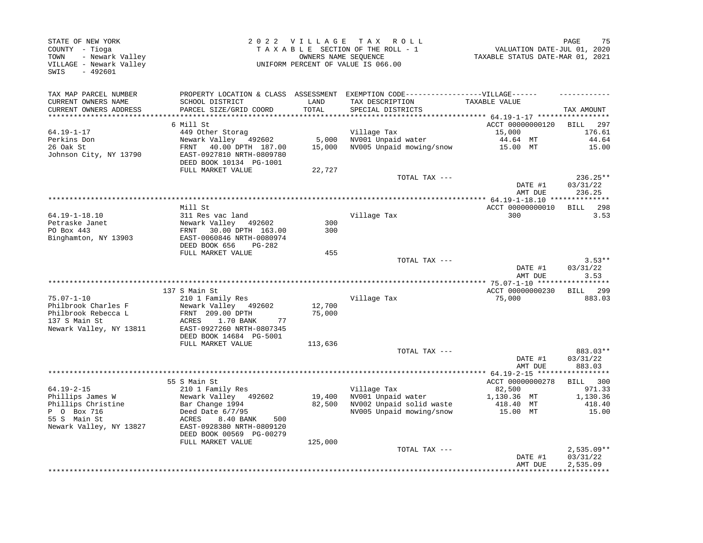| STATE OF NEW YORK<br>COUNTY - Tioga<br>- Newark Valley<br>TOWN<br>VILLAGE - Newark Valley<br>$-492601$<br>SWIS |                                                                                    | 2022 VILLAGE    | TAX ROLL<br>TAXABLE SECTION OF THE ROLL - 1<br>OWNERS NAME SEQUENCE<br>UNIFORM PERCENT OF VALUE IS 066.00                 | VALUATION DATE-JUL 01, 2020<br>TAXABLE STATUS DATE-MAR 01, 2021 | PAGE<br>75                     |
|----------------------------------------------------------------------------------------------------------------|------------------------------------------------------------------------------------|-----------------|---------------------------------------------------------------------------------------------------------------------------|-----------------------------------------------------------------|--------------------------------|
| TAX MAP PARCEL NUMBER<br>CURRENT OWNERS NAME<br>CURRENT OWNERS ADDRESS                                         | SCHOOL DISTRICT<br>PARCEL SIZE/GRID COORD                                          | LAND<br>TOTAL   | PROPERTY LOCATION & CLASS ASSESSMENT EXEMPTION CODE-----------------VILLAGE------<br>TAX DESCRIPTION<br>SPECIAL DISTRICTS | TAXABLE VALUE                                                   | TAX AMOUNT                     |
| *******************                                                                                            |                                                                                    |                 | **********************************                                                                                        | ******** 64.19-1-17 ******************                          |                                |
| 64.19-1-17                                                                                                     | 6 Mill St<br>449 Other Storag                                                      |                 | Village Tax                                                                                                               | ACCT 00000000120<br>15,000                                      | BILL<br>297<br>176.61          |
| Perkins Don<br>26 Oak St                                                                                       | Newark Valley 492602<br>FRNT 40.00 DPTH 187.00                                     | 5,000<br>15,000 | NV001 Unpaid water<br>NV005 Unpaid mowing/snow                                                                            | 44.64 MT<br>15.00 MT                                            | 44.64<br>15.00                 |
| Johnson City, NY 13790                                                                                         | EAST-0927810 NRTH-0809780<br>DEED BOOK 10134 PG-1001<br>FULL MARKET VALUE          | 22,727          |                                                                                                                           |                                                                 |                                |
|                                                                                                                |                                                                                    |                 | TOTAL TAX ---                                                                                                             | DATE #1<br>AMT DUE                                              | 236.25**<br>03/31/22<br>236.25 |
|                                                                                                                |                                                                                    |                 |                                                                                                                           |                                                                 |                                |
|                                                                                                                | Mill St                                                                            |                 |                                                                                                                           | ACCT 00000000010                                                | BILL 298                       |
| 64.19-1-18.10<br>Petraske Janet                                                                                | 311 Res vac land<br>Newark Valley 492602                                           | 300             | Village Tax                                                                                                               | 300                                                             | 3.53                           |
| PO Box 443                                                                                                     | FRNT 30.00 DPTH 163.00                                                             | 300             |                                                                                                                           |                                                                 |                                |
| Binghamton, NY 13903                                                                                           | EAST-0060846 NRTH-0080974                                                          |                 |                                                                                                                           |                                                                 |                                |
|                                                                                                                | DEED BOOK 656<br>$PG-282$<br>FULL MARKET VALUE                                     | 455             |                                                                                                                           |                                                                 |                                |
|                                                                                                                |                                                                                    |                 | TOTAL TAX ---                                                                                                             |                                                                 | $3.53**$                       |
|                                                                                                                |                                                                                    |                 |                                                                                                                           | DATE #1<br>AMT DUE                                              | 03/31/22<br>3.53               |
|                                                                                                                |                                                                                    |                 |                                                                                                                           |                                                                 | $*********$                    |
| $75.07 - 1 - 10$                                                                                               | 137 S Main St<br>210 1 Family Res                                                  |                 | Village Tax                                                                                                               | ACCT 00000000230<br>75,000                                      | BILL 299<br>883.03             |
| Philbrook Charles F                                                                                            | Newark Valley 492602                                                               | 12,700          |                                                                                                                           |                                                                 |                                |
| Philbrook Rebecca L                                                                                            | FRNT 209.00 DPTH                                                                   | 75,000          |                                                                                                                           |                                                                 |                                |
| 137 S Main St<br>Newark Valley, NY 13811                                                                       | 1.70 BANK<br>ACRES<br>77<br>EAST-0927260 NRTH-0807345<br>DEED BOOK 14684 PG-5001   |                 |                                                                                                                           |                                                                 |                                |
|                                                                                                                | FULL MARKET VALUE                                                                  | 113,636         |                                                                                                                           |                                                                 |                                |
|                                                                                                                |                                                                                    |                 | TOTAL TAX ---                                                                                                             | DATE #1<br>AMT DUE                                              | 883.03**<br>03/31/22<br>883.03 |
|                                                                                                                |                                                                                    |                 |                                                                                                                           |                                                                 | ***********                    |
|                                                                                                                | 55 S Main St                                                                       |                 |                                                                                                                           | ACCT 00000000278                                                | BILL 300                       |
| $64.19 - 2 - 15$<br>Phillips James W                                                                           | 210 1 Family Res<br>Newark Valley 492602                                           | 19,400          | Village Tax<br>NV001 Unpaid water                                                                                         | 82,500<br>1,130.36 MT                                           | 971.33<br>1,130.36             |
| Phillips Christine<br>P 0 Box 716                                                                              | Bar Change 1994<br>Deed Date $6/7/95$                                              | 82,500          | NV002 Unpaid solid waste<br>NV005 Unpaid mowing/snow                                                                      | 418.40 MT<br>15.00 MT                                           | 418.40<br>15.00                |
| 55 S Main St<br>Newark Valley, NY 13827                                                                        | ACRES<br>8.40 BANK<br>500<br>EAST-0928380 NRTH-0809120<br>DEED BOOK 00569 PG-00279 |                 |                                                                                                                           |                                                                 |                                |
|                                                                                                                | FULL MARKET VALUE                                                                  | 125,000         | TOTAL TAX ---                                                                                                             |                                                                 | $2,535.09**$                   |
|                                                                                                                |                                                                                    |                 |                                                                                                                           | DATE #1<br>AMT DUE                                              | 03/31/22<br>2,535.09           |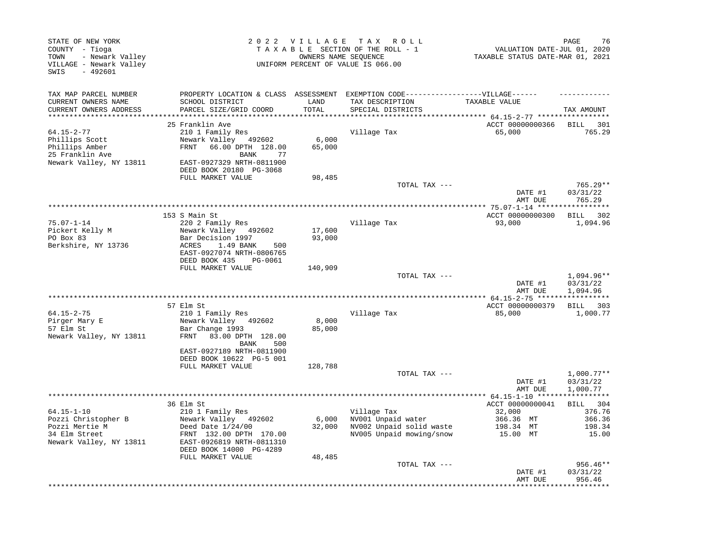| STATE OF NEW YORK<br>COUNTY - Tioga<br>- Newark Valley<br>TOWN<br>VILLAGE - Newark Valley<br>SWIS<br>$-492601$ |                                                                                                                                     |                 | 2022 VILLAGE TAX ROLL<br>TAXABLE SECTION OF THE ROLL - 1<br>OWNERS NAME SEQUENCE<br>UNIFORM PERCENT OF VALUE IS 066.00 | VALUATION DATE-JUL 01, 2020<br>TAXABLE STATUS DATE-MAR 01, 2021 | PAGE<br>76                           |
|----------------------------------------------------------------------------------------------------------------|-------------------------------------------------------------------------------------------------------------------------------------|-----------------|------------------------------------------------------------------------------------------------------------------------|-----------------------------------------------------------------|--------------------------------------|
| TAX MAP PARCEL NUMBER<br>CURRENT OWNERS NAME<br>CURRENT OWNERS ADDRESS                                         | PROPERTY LOCATION & CLASS ASSESSMENT EXEMPTION CODE-----------------VILLAGE------<br>SCHOOL DISTRICT<br>PARCEL SIZE/GRID COORD      | LAND<br>TOTAL   | TAX DESCRIPTION<br>SPECIAL DISTRICTS                                                                                   | TAXABLE VALUE                                                   | TAX AMOUNT                           |
| **********************                                                                                         |                                                                                                                                     | **********      |                                                                                                                        | ********************************* 64.15-2-77 ****************** |                                      |
| 64.15-2-77<br>Phillips Scott<br>Phillips Amber<br>25 Franklin Ave<br>Newark Valley, NY 13811                   | 25 Franklin Ave<br>210 1 Family Res<br>Newark Valley 492602<br>66.00 DPTH 128.00<br>FRNT<br>77<br>BANK<br>EAST-0927329 NRTH-0811900 | 6,000<br>65,000 | Village Tax                                                                                                            | ACCT 00000000366<br>65,000                                      | <b>BILL</b><br>301<br>765.29         |
|                                                                                                                | DEED BOOK 20180 PG-3068                                                                                                             |                 |                                                                                                                        |                                                                 |                                      |
|                                                                                                                | FULL MARKET VALUE                                                                                                                   | 98,485          |                                                                                                                        |                                                                 |                                      |
|                                                                                                                |                                                                                                                                     |                 | TOTAL TAX ---                                                                                                          | DATE #1                                                         | 765.29**<br>03/31/22<br>765.29       |
|                                                                                                                |                                                                                                                                     |                 |                                                                                                                        | AMT DUE<br>**** 75.07-1-14 ****                                 |                                      |
|                                                                                                                | 153 S Main St                                                                                                                       |                 |                                                                                                                        | ACCT 00000000300                                                | 302<br>BILL                          |
| $75.07 - 1 - 14$<br>Pickert Kelly M                                                                            | 220 2 Family Res<br>Newark Valley 492602                                                                                            | 17,600          | Village Tax                                                                                                            | 93,000                                                          | 1,094.96                             |
| PO Box 83                                                                                                      | Bar Decision 1997                                                                                                                   | 93,000          |                                                                                                                        |                                                                 |                                      |
| Berkshire, NY 13736                                                                                            | ACRES<br>1.49 BANK<br>500<br>EAST-0927074 NRTH-0806765<br>DEED BOOK 435<br>PG-0061                                                  |                 |                                                                                                                        |                                                                 |                                      |
|                                                                                                                | FULL MARKET VALUE                                                                                                                   | 140,909         |                                                                                                                        |                                                                 | 1,094.96**                           |
|                                                                                                                |                                                                                                                                     |                 | TOTAL TAX ---                                                                                                          | DATE #1<br>AMT DUE                                              | 03/31/22<br>1,094.96                 |
|                                                                                                                |                                                                                                                                     |                 |                                                                                                                        |                                                                 | ***********                          |
| $64.15 - 2 - 75$                                                                                               | 57 Elm St<br>210 1 Family Res                                                                                                       |                 | Village Tax                                                                                                            | ACCT 00000000379<br>85,000                                      | BILL 303<br>1,000.77                 |
| Pirger Mary E                                                                                                  | Newark Valley<br>492602                                                                                                             | 8,000           |                                                                                                                        |                                                                 |                                      |
| 57 Elm St<br>Newark Valley, NY 13811                                                                           | Bar Change 1993<br>FRNT<br>83.00 DPTH 128.00<br>BANK<br>500                                                                         | 85,000          |                                                                                                                        |                                                                 |                                      |
|                                                                                                                | EAST-0927189 NRTH-0811900<br>DEED BOOK 10622 PG-5 001                                                                               |                 |                                                                                                                        |                                                                 |                                      |
|                                                                                                                | FULL MARKET VALUE                                                                                                                   | 128,788         |                                                                                                                        |                                                                 |                                      |
|                                                                                                                |                                                                                                                                     |                 | TOTAL TAX ---                                                                                                          | DATE #1<br>AMT DUE                                              | $1,000.77**$<br>03/31/22<br>1,000.77 |
|                                                                                                                |                                                                                                                                     |                 |                                                                                                                        |                                                                 | * * * * * * * * * * *                |
| $64.15 - 1 - 10$                                                                                               | 36 Elm St                                                                                                                           |                 | Village Tax                                                                                                            | ACCT 00000000041<br>32,000                                      | <b>BILL</b><br>304<br>376.76         |
| Pozzi Christopher B                                                                                            | 210 1 Family Res<br>Newark Valley 492602                                                                                            | 6,000           | NV001 Unpaid water                                                                                                     | 366.36 MT                                                       | 366.36                               |
| Pozzi Mertie M                                                                                                 | Deed Date $1/24/00$                                                                                                                 | 32,000          | NV002 Unpaid solid waste                                                                                               | 198.34 MT                                                       | 198.34                               |
| 34 Elm Street<br>Newark Valley, NY 13811                                                                       | FRNT 132.00 DPTH 170.00<br>EAST-0926819 NRTH-0811310<br>DEED BOOK 14000 PG-4289                                                     |                 | NV005 Unpaid mowing/snow                                                                                               | 15.00 MT                                                        | 15.00                                |
|                                                                                                                | FULL MARKET VALUE                                                                                                                   | 48,485          |                                                                                                                        |                                                                 |                                      |
|                                                                                                                |                                                                                                                                     |                 | TOTAL TAX ---                                                                                                          | DATE #1<br>AMT DUE                                              | 956.46**<br>03/31/22<br>956.46       |
|                                                                                                                |                                                                                                                                     |                 |                                                                                                                        |                                                                 |                                      |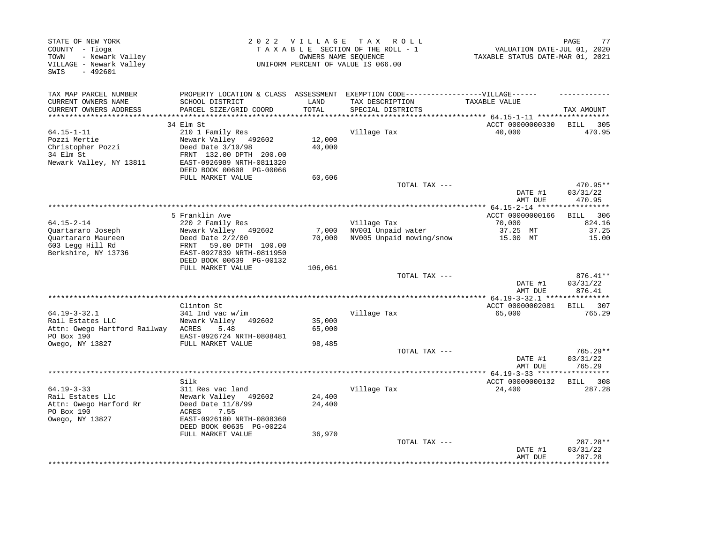| STATE OF NEW YORK<br>COUNTY - Tioga<br>- Newark Valley<br>TOWN<br>VILLAGE - Newark Valley<br>$-492601$<br>SWIS |                                                                                                                                                                                             | 2022 VILLAGE               | TAX ROLL<br>TAXABLE SECTION OF THE ROLL - 1<br>OWNERS NAME SEQUENCE<br>UNIFORM PERCENT OF VALUE IS 066.00                 | VALUATION DATE-JUL 01, 2020<br>TAXABLE STATUS DATE-MAR 01, 2021          | 77<br>PAGE                                                                         |
|----------------------------------------------------------------------------------------------------------------|---------------------------------------------------------------------------------------------------------------------------------------------------------------------------------------------|----------------------------|---------------------------------------------------------------------------------------------------------------------------|--------------------------------------------------------------------------|------------------------------------------------------------------------------------|
| TAX MAP PARCEL NUMBER<br>CURRENT OWNERS NAME<br>CURRENT OWNERS ADDRESS                                         | SCHOOL DISTRICT<br>PARCEL SIZE/GRID COORD                                                                                                                                                   | LAND<br>TOTAL              | PROPERTY LOCATION & CLASS ASSESSMENT EXEMPTION CODE-----------------VILLAGE------<br>TAX DESCRIPTION<br>SPECIAL DISTRICTS | TAXABLE VALUE                                                            | TAX AMOUNT                                                                         |
| *************************                                                                                      |                                                                                                                                                                                             |                            |                                                                                                                           |                                                                          |                                                                                    |
| $64.15 - 1 - 11$<br>Pozzi Mertie<br>Christopher Pozzi<br>34 Elm St<br>Newark Valley, NY 13811                  | 34 Elm St<br>210 1 Family Res<br>Newark Valley 492602<br>Deed Date 3/10/98<br>FRNT 132.00 DPTH 200.00<br>EAST-0926989 NRTH-0811320<br>DEED BOOK 00608 PG-00066                              | 12,000<br>40,000           | Village Tax                                                                                                               | ACCT 00000000330<br>40,000                                               | BILL 305<br>470.95                                                                 |
|                                                                                                                | FULL MARKET VALUE                                                                                                                                                                           | 60,606                     |                                                                                                                           |                                                                          |                                                                                    |
|                                                                                                                |                                                                                                                                                                                             |                            | TOTAL TAX ---                                                                                                             | DATE #1<br>AMT DUE                                                       | 470.95**<br>03/31/22<br>470.95                                                     |
|                                                                                                                |                                                                                                                                                                                             |                            |                                                                                                                           |                                                                          |                                                                                    |
| $64.15 - 2 - 14$<br>Quartararo Joseph<br>Quartararo Maureen<br>603 Legg Hill Rd<br>Berkshire, NY 13736         | 5 Franklin Ave<br>220 2 Family Res<br>Newark Valley 492602<br>Deed Date $2/2/00$<br>59.00 DPTH 100.00<br>FRNT<br>EAST-0927839 NRTH-0811950<br>DEED BOOK 00639 PG-00132<br>FULL MARKET VALUE | 7,000<br>70,000<br>106,061 | Village Tax<br>NV001 Unpaid water<br>NV005 Unpaid mowing/snow<br>TOTAL TAX ---                                            | ACCT 00000000166<br>70,000<br>37.25 MT<br>15.00 MT<br>DATE #1<br>AMT DUE | 306<br><b>BILL</b><br>824.16<br>37.25<br>15.00<br>$876.41**$<br>03/31/22<br>876.41 |
|                                                                                                                |                                                                                                                                                                                             |                            |                                                                                                                           |                                                                          |                                                                                    |
| $64.19 - 3 - 32.1$<br>Rail Estates LLC<br>Attn: Owego Hartford Railway<br>PO Box 190<br>Owego, NY 13827        | Clinton St<br>$341$ Ind vac w/im<br>Newark Valley<br>492602<br>ACRES<br>5.48<br>EAST-0926724 NRTH-0808481<br>FULL MARKET VALUE                                                              | 35,000<br>65,000<br>98,485 | Village Tax                                                                                                               | ACCT 00000002081<br>65,000                                               | BILL 307<br>765.29                                                                 |
|                                                                                                                |                                                                                                                                                                                             |                            | TOTAL TAX ---                                                                                                             | DATE #1<br>AMT DUE                                                       | 765.29**<br>03/31/22<br>765.29                                                     |
|                                                                                                                | *****************<br>Silk                                                                                                                                                                   |                            | ****************************                                                                                              | ******* $64.19-3-33$ ******<br>ACCT 00000000132                          | ********<br>BILL 308                                                               |
| $64.19 - 3 - 33$<br>Rail Estates Llc<br>Attn: Owego Harford Rr<br>PO Box 190<br>Owego, NY 13827                | 311 Res vac land<br>Newark Valley<br>492602<br>Deed Date 11/8/99<br>ACRES<br>7.55<br>EAST-0926180 NRTH-0808360<br>DEED BOOK 00635 PG-00224                                                  | 24,400<br>24,400           | Village Tax                                                                                                               | 24,400                                                                   | 287.28                                                                             |
|                                                                                                                | FULL MARKET VALUE                                                                                                                                                                           | 36,970                     | TOTAL TAX ---                                                                                                             | DATE #1<br>AMT DUE                                                       | 287.28**<br>03/31/22<br>287.28                                                     |
|                                                                                                                |                                                                                                                                                                                             |                            |                                                                                                                           |                                                                          | **********                                                                         |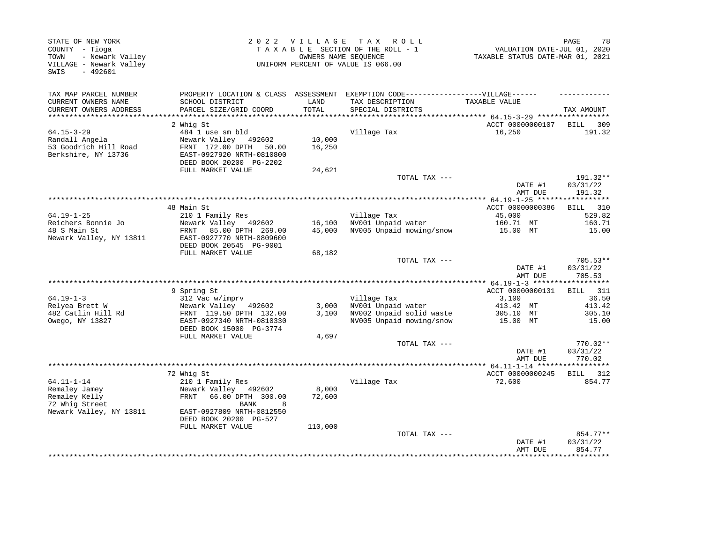| STATE OF NEW YORK<br>COUNTY - Tioga<br>- Newark Valley<br>TOWN<br>VILLAGE - Newark Valley<br>$-492601$<br>SWIS |                                                                                                           | 2022 VILLAGE     | TAX ROLL<br>TAXABLE SECTION OF THE ROLL - 1<br>OWNERS NAME SEQUENCE<br>UNIFORM PERCENT OF VALUE IS 066.00 | VALUATION DATE-JUL 01, 2020<br>TAXABLE STATUS DATE-MAR 01, 2021 | 78<br>PAGE                     |
|----------------------------------------------------------------------------------------------------------------|-----------------------------------------------------------------------------------------------------------|------------------|-----------------------------------------------------------------------------------------------------------|-----------------------------------------------------------------|--------------------------------|
| TAX MAP PARCEL NUMBER<br>CURRENT OWNERS NAME                                                                   | SCHOOL DISTRICT                                                                                           | LAND             | PROPERTY LOCATION & CLASS ASSESSMENT EXEMPTION CODE-----------------VILLAGE------<br>TAX DESCRIPTION      | TAXABLE VALUE                                                   |                                |
| CURRENT OWNERS ADDRESS                                                                                         | PARCEL SIZE/GRID COORD                                                                                    | TOTAL            | SPECIAL DISTRICTS                                                                                         |                                                                 | TAX AMOUNT                     |
| ***********************                                                                                        |                                                                                                           |                  | **********************************                                                                        | ************ 64.15-3-29 ******************                      |                                |
|                                                                                                                | 2 Whig St                                                                                                 |                  |                                                                                                           | ACCT 00000000107                                                | 309<br>BILL                    |
| $64.15 - 3 - 29$                                                                                               | 484 1 use sm bld                                                                                          |                  | Village Tax                                                                                               | 16,250                                                          | 191.32                         |
| Randall Angela<br>53 Goodrich Hill Road<br>Berkshire, NY 13736                                                 | Newark Valley 492602<br>FRNT 172.00 DPTH<br>50.00<br>EAST-0927920 NRTH-0810800<br>DEED BOOK 20200 PG-2202 | 10,000<br>16,250 |                                                                                                           |                                                                 |                                |
|                                                                                                                | FULL MARKET VALUE                                                                                         | 24,621           | TOTAL TAX ---                                                                                             |                                                                 | 191.32**                       |
|                                                                                                                |                                                                                                           |                  |                                                                                                           | DATE #1<br>AMT DUE                                              | 03/31/22<br>191.32             |
|                                                                                                                |                                                                                                           |                  | *****************************                                                                             | ********* 64.19-1-25 ******                                     | **********                     |
|                                                                                                                | 48 Main St                                                                                                |                  |                                                                                                           | ACCT 00000000386                                                | BILL 310                       |
| $64.19 - 1 - 25$<br>Reichers Bonnie Jo                                                                         | 210 1 Family Res<br>Newark Valley 492602                                                                  | 16,100           | Village Tax<br>NV001 Unpaid water                                                                         | 45,000<br>160.71 MT                                             | 529.82<br>160.71               |
| 48 S Main St<br>Newark Valley, NY 13811                                                                        | FRNT<br>85.00 DPTH 269.00<br>EAST-0927770 NRTH-0809600<br>DEED BOOK 20545 PG-9001                         | 45,000           | NV005 Unpaid mowing/snow                                                                                  | 15.00 MT                                                        | 15.00                          |
|                                                                                                                | FULL MARKET VALUE                                                                                         | 68,182           | TOTAL TAX ---                                                                                             |                                                                 | 705.53**                       |
|                                                                                                                |                                                                                                           |                  |                                                                                                           | DATE #1<br>AMT DUE                                              | 03/31/22<br>705.53             |
|                                                                                                                |                                                                                                           |                  |                                                                                                           |                                                                 |                                |
|                                                                                                                | 9 Spring St                                                                                               |                  |                                                                                                           | ACCT 00000000131                                                | <b>BILL</b><br>311             |
| $64.19 - 1 - 3$                                                                                                | 312 Vac w/imprv                                                                                           |                  | Village Tax                                                                                               | 3,100                                                           | 36.50                          |
| Relyea Brett W                                                                                                 | Newark Valley 492602                                                                                      | 3,000            | NV001 Unpaid water                                                                                        | 413.42 MT                                                       | 413.42                         |
| 482 Catlin Hill Rd<br>Owego, NY 13827                                                                          | FRNT 119.50 DPTH 132.00<br>EAST-0927340 NRTH-0810330<br>DEED BOOK 15000 PG-3774                           | 3,100            | NV002 Unpaid solid waste<br>NV005 Unpaid mowing/snow                                                      | 305.10 MT<br>15.00 MT                                           | 305.10<br>15.00                |
|                                                                                                                | FULL MARKET VALUE                                                                                         | 4,697            |                                                                                                           |                                                                 |                                |
|                                                                                                                |                                                                                                           |                  | TOTAL TAX ---                                                                                             | DATE #1<br>AMT DUE                                              | 770.02**<br>03/31/22<br>770.02 |
|                                                                                                                |                                                                                                           |                  |                                                                                                           |                                                                 |                                |
|                                                                                                                | 72 Whig St                                                                                                |                  |                                                                                                           | ACCT 00000000245                                                | BILL 312                       |
| $64.11 - 1 - 14$<br>Remaley Jamey<br>Remaley Kelly<br>72 Whig Street                                           | 210 1 Family Res<br>Newark Valley 492602<br>66.00 DPTH 300.00<br>FRNT<br><b>BANK</b><br>8                 | 8,000<br>72,600  | Village Tax                                                                                               | 72,600                                                          | 854.77                         |
| Newark Valley, NY 13811                                                                                        | EAST-0927809 NRTH-0812550<br>DEED BOOK 20200 PG-527                                                       |                  |                                                                                                           |                                                                 |                                |
|                                                                                                                | FULL MARKET VALUE                                                                                         | 110,000          |                                                                                                           |                                                                 |                                |
|                                                                                                                |                                                                                                           |                  | TOTAL TAX ---                                                                                             | DATE #1<br>AMT DUE                                              | 854.77**<br>03/31/22<br>854.77 |
|                                                                                                                |                                                                                                           |                  |                                                                                                           |                                                                 |                                |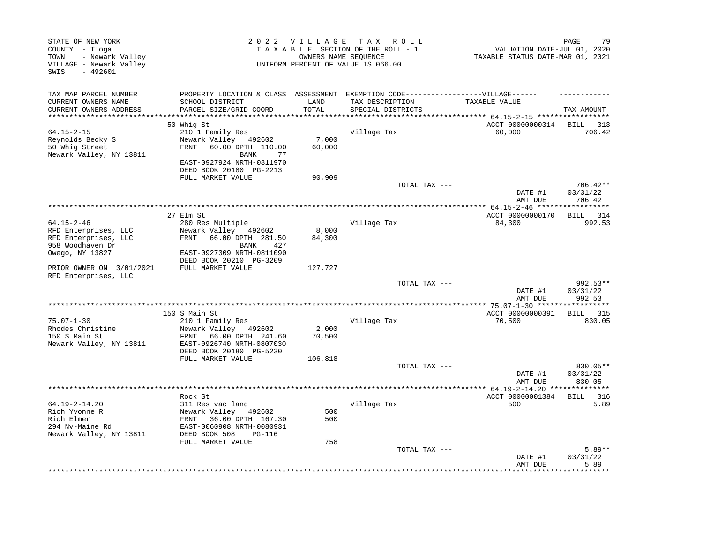| STATE OF NEW YORK<br>COUNTY - Tioga<br>- Newark Valley<br>TOWN<br>VILLAGE - Newark Valley<br>$-492601$<br>SWIS |                                                                           | 2022 VILLAGE    | T A X<br>R O L L<br>TAXABLE SECTION OF THE ROLL - 1<br>OWNERS NAME SEQUENCE<br>UNIFORM PERCENT OF VALUE IS 066.00 | VALUATION DATE-JUL 01, 2020<br>TAXABLE STATUS DATE-MAR 01, 2021 | PAGE<br>79                     |
|----------------------------------------------------------------------------------------------------------------|---------------------------------------------------------------------------|-----------------|-------------------------------------------------------------------------------------------------------------------|-----------------------------------------------------------------|--------------------------------|
| TAX MAP PARCEL NUMBER<br>CURRENT OWNERS NAME                                                                   | PROPERTY LOCATION & CLASS ASSESSMENT<br>SCHOOL DISTRICT                   | LAND            | EXEMPTION CODE------------------VILLAGE------<br>TAX DESCRIPTION                                                  | TAXABLE VALUE                                                   |                                |
| CURRENT OWNERS ADDRESS<br>*************************                                                            | PARCEL SIZE/GRID COORD                                                    | TOTAL           | SPECIAL DISTRICTS                                                                                                 |                                                                 | TAX AMOUNT                     |
|                                                                                                                | 50 Whig St                                                                |                 |                                                                                                                   | ACCT 00000000314                                                | <b>BILL</b><br>313             |
| $64.15 - 2 - 15$                                                                                               | 210 1 Family Res                                                          |                 | Village Tax                                                                                                       | 60,000                                                          | 706.42                         |
| Reynolds Becky S<br>50 Whig Street<br>Newark Valley, NY 13811                                                  | Newark Valley 492602<br>60.00 DPTH 110.00<br>FRNT<br>BANK<br>77           | 7,000<br>60,000 |                                                                                                                   |                                                                 |                                |
|                                                                                                                | EAST-0927924 NRTH-0811970<br>DEED BOOK 20180 PG-2213<br>FULL MARKET VALUE | 90,909          |                                                                                                                   |                                                                 |                                |
|                                                                                                                |                                                                           |                 | TOTAL TAX ---                                                                                                     |                                                                 | $706.42**$                     |
|                                                                                                                |                                                                           |                 |                                                                                                                   | DATE #1<br>AMT DUE                                              | 03/31/22<br>706.42             |
|                                                                                                                |                                                                           |                 |                                                                                                                   |                                                                 |                                |
| $64.15 - 2 - 46$                                                                                               | 27 Elm St                                                                 |                 | Village Tax                                                                                                       | ACCT 00000000170<br>84,300                                      | BILL 314                       |
| RFD Enterprises, LLC                                                                                           | 280 Res Multiple<br>Newark Valley 492602                                  | 8,000           |                                                                                                                   |                                                                 | 992.53                         |
| RFD Enterprises, LLC                                                                                           | FRNT<br>66.00 DPTH 281.50                                                 | 84,300          |                                                                                                                   |                                                                 |                                |
| 958 Woodhaven Dr                                                                                               | 427<br>BANK                                                               |                 |                                                                                                                   |                                                                 |                                |
| Owego, NY 13827                                                                                                | EAST-0927309 NRTH-0811090                                                 |                 |                                                                                                                   |                                                                 |                                |
| PRIOR OWNER ON 3/01/2021                                                                                       | DEED BOOK 20210 PG-3209<br>FULL MARKET VALUE                              | 127,727         |                                                                                                                   |                                                                 |                                |
| RFD Enterprises, LLC                                                                                           |                                                                           |                 |                                                                                                                   |                                                                 |                                |
|                                                                                                                |                                                                           |                 | TOTAL TAX ---                                                                                                     | DATE #1                                                         | 992.53**<br>03/31/22           |
|                                                                                                                |                                                                           |                 |                                                                                                                   | AMT DUE                                                         | 992.53                         |
|                                                                                                                |                                                                           |                 | **************************************                                                                            | ************** 75.07-1-30 ****                                  | ********                       |
|                                                                                                                | 150 S Main St                                                             |                 |                                                                                                                   | ACCT 00000000391                                                | BILL 315                       |
| $75.07 - 1 - 30$                                                                                               | 210 1 Family Res                                                          |                 | Village Tax                                                                                                       | 70,500                                                          | 830.05                         |
| Rhodes Christine<br>150 S Main St                                                                              | Newark Valley 492602<br>FRNT<br>66.00 DPTH 241.60                         | 2,000<br>70,500 |                                                                                                                   |                                                                 |                                |
| Newark Valley, NY 13811                                                                                        | EAST-0926740 NRTH-0807030                                                 |                 |                                                                                                                   |                                                                 |                                |
|                                                                                                                | DEED BOOK 20180 PG-5230                                                   |                 |                                                                                                                   |                                                                 |                                |
|                                                                                                                | FULL MARKET VALUE                                                         | 106,818         |                                                                                                                   |                                                                 |                                |
|                                                                                                                |                                                                           |                 | TOTAL TAX ---                                                                                                     | DATE #1<br>AMT DUE                                              | 830.05**<br>03/31/22<br>830.05 |
|                                                                                                                |                                                                           |                 | **********************************                                                                                | ** 64.19-2-14.20 **************                                 |                                |
|                                                                                                                | Rock St                                                                   |                 |                                                                                                                   | ACCT 00000001384                                                | BILL 316                       |
| 64.19-2-14.20<br>Rich Yvonne R                                                                                 | 311 Res vac land<br>Newark Valley 492602                                  | 500             | Village Tax                                                                                                       | 500                                                             | 5.89                           |
| Rich Elmer                                                                                                     | FRNT 36.00 DPTH 167.30                                                    | 500             |                                                                                                                   |                                                                 |                                |
| 294 Nv-Maine Rd                                                                                                | EAST-0060908 NRTH-0080931                                                 |                 |                                                                                                                   |                                                                 |                                |
| Newark Valley, NY 13811                                                                                        | DEED BOOK 508<br><b>PG-116</b>                                            |                 |                                                                                                                   |                                                                 |                                |
|                                                                                                                | FULL MARKET VALUE                                                         | 758             |                                                                                                                   |                                                                 |                                |
|                                                                                                                |                                                                           |                 | TOTAL TAX ---                                                                                                     | DATE #1<br>AMT DUE                                              | $5.89**$<br>03/31/22<br>5.89   |
|                                                                                                                |                                                                           |                 |                                                                                                                   |                                                                 |                                |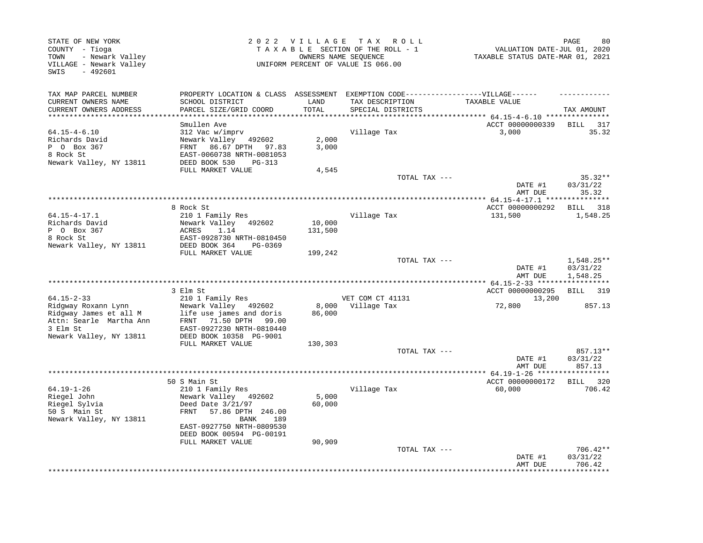| TAX MAP PARCEL NUMBER<br>PROPERTY LOCATION & CLASS ASSESSMENT<br>EXEMPTION CODE------------------VILLAGE------<br>CURRENT OWNERS NAME<br>SCHOOL DISTRICT<br>LAND<br>TAX DESCRIPTION<br>TAXABLE VALUE<br>PARCEL SIZE/GRID COORD<br>TOTAL<br>CURRENT OWNERS ADDRESS<br>SPECIAL DISTRICTS<br>TAX AMOUNT<br>************************<br>ACCT 00000000339<br>Smullen Ave<br>BILL<br>317<br>35.32<br>$64.15 - 4 - 6.10$<br>312 Vac w/imprv<br>Village Tax<br>3,000<br>2,000<br>Richards David<br>Newark Valley 492602<br>3,000<br>P 0 Box 367<br>FRNT 86.67 DPTH<br>97.83<br>8 Rock St<br>EAST-0060738 NRTH-0081053<br>Newark Valley, NY 13811<br>DEED BOOK 530<br>$PG-313$<br>FULL MARKET VALUE<br>4,545<br>TOTAL TAX ---<br>$35.32**$<br>DATE #1<br>03/31/22<br>35.32<br>AMT DUE<br>****************************<br>**** 64.15-4-17.1 ***<br>8 Rock St<br>ACCT 00000000292<br>BILL 318<br>$64.15 - 4 - 17.1$<br>210 1 Family Res<br>Village Tax<br>131,500<br>1,548.25<br>Richards David<br>Newark Valley<br>10,000<br>492602<br>P 0 Box 367<br>1.14<br>131,500<br>ACRES<br>8 Rock St<br>EAST-0928730 NRTH-0810450<br>Newark Valley, NY 13811<br>DEED BOOK 364<br>PG-0369<br>FULL MARKET VALUE<br>199,242<br>$1,548.25**$<br>TOTAL TAX ---<br>DATE #1<br>03/31/22<br>1,548.25<br>AMT DUE<br>** $64.15 - 2 - 33$ ******<br>***********<br>ACCT 00000000295<br>3 Elm St<br><b>BILL</b><br>319<br>$64.15 - 2 - 33$<br>210 1 Family Res<br>VET COM CT 41131<br>13,200<br>8,000<br>Village Tax<br>72,800<br>Ridgway Roxann Lynn<br>Newark Valley 492602<br>857.13<br>Ridgway James et all M<br>life use james and doris<br>86,000<br>Attn: Searle Martha Ann<br>71.50 DPTH<br>FRNT<br>99.00<br>3 Elm St<br>EAST-0927230 NRTH-0810440<br>Newark Valley, NY 13811<br>DEED BOOK 10358 PG-9001<br>FULL MARKET VALUE<br>130,303<br>857.13**<br>TOTAL TAX ---<br>03/31/22<br>DATE #1<br>AMT DUE<br>857.13<br>************<br>************** 64.19-1-26 *****<br>********<br>50 S Main St<br>ACCT 00000000172<br>320<br><b>BILL</b><br>$64.19 - 1 - 26$<br>210 1 Family Res<br>Village Tax<br>60,000<br>706.42<br>Riegel John<br>Newark Valley 492602<br>5,000<br>Riegel Sylvia<br>Deed Date 3/21/97<br>60,000<br>50 S Main St<br>FRNT<br>57.86 DPTH 246.00<br>Newark Valley, NY 13811<br>BANK<br>189<br>EAST-0927750 NRTH-0809530<br>DEED BOOK 00594 PG-00191<br>FULL MARKET VALUE<br>90,909<br>706.42**<br>TOTAL TAX ---<br>03/31/22<br>DATE #1<br>706.42<br>AMT DUE<br>******** | STATE OF NEW YORK<br>COUNTY - Tioga<br>- Newark Valley<br>TOWN<br>VILLAGE - Newark Valley<br>SWIS<br>$-492601$ | 2022 VILLAGE | T A X<br>R O L L<br>TAXABLE SECTION OF THE ROLL - 1<br>OWNERS NAME SEOUENCE<br>UNIFORM PERCENT OF VALUE IS 066.00 | VALUATION DATE-JUL 01, 2020<br>TAXABLE STATUS DATE-MAR 01, 2021 | 80<br>PAGE |
|--------------------------------------------------------------------------------------------------------------------------------------------------------------------------------------------------------------------------------------------------------------------------------------------------------------------------------------------------------------------------------------------------------------------------------------------------------------------------------------------------------------------------------------------------------------------------------------------------------------------------------------------------------------------------------------------------------------------------------------------------------------------------------------------------------------------------------------------------------------------------------------------------------------------------------------------------------------------------------------------------------------------------------------------------------------------------------------------------------------------------------------------------------------------------------------------------------------------------------------------------------------------------------------------------------------------------------------------------------------------------------------------------------------------------------------------------------------------------------------------------------------------------------------------------------------------------------------------------------------------------------------------------------------------------------------------------------------------------------------------------------------------------------------------------------------------------------------------------------------------------------------------------------------------------------------------------------------------------------------------------------------------------------------------------------------------------------------------------------------------------------------------------------------------------------------------------------------------------------------------------------------------------------------------------------------------------------------------------------------------------------------------------------------------------------------------------------------------|----------------------------------------------------------------------------------------------------------------|--------------|-------------------------------------------------------------------------------------------------------------------|-----------------------------------------------------------------|------------|
|                                                                                                                                                                                                                                                                                                                                                                                                                                                                                                                                                                                                                                                                                                                                                                                                                                                                                                                                                                                                                                                                                                                                                                                                                                                                                                                                                                                                                                                                                                                                                                                                                                                                                                                                                                                                                                                                                                                                                                                                                                                                                                                                                                                                                                                                                                                                                                                                                                                                    |                                                                                                                |              |                                                                                                                   |                                                                 |            |
|                                                                                                                                                                                                                                                                                                                                                                                                                                                                                                                                                                                                                                                                                                                                                                                                                                                                                                                                                                                                                                                                                                                                                                                                                                                                                                                                                                                                                                                                                                                                                                                                                                                                                                                                                                                                                                                                                                                                                                                                                                                                                                                                                                                                                                                                                                                                                                                                                                                                    |                                                                                                                |              |                                                                                                                   |                                                                 |            |
|                                                                                                                                                                                                                                                                                                                                                                                                                                                                                                                                                                                                                                                                                                                                                                                                                                                                                                                                                                                                                                                                                                                                                                                                                                                                                                                                                                                                                                                                                                                                                                                                                                                                                                                                                                                                                                                                                                                                                                                                                                                                                                                                                                                                                                                                                                                                                                                                                                                                    |                                                                                                                |              |                                                                                                                   |                                                                 |            |
|                                                                                                                                                                                                                                                                                                                                                                                                                                                                                                                                                                                                                                                                                                                                                                                                                                                                                                                                                                                                                                                                                                                                                                                                                                                                                                                                                                                                                                                                                                                                                                                                                                                                                                                                                                                                                                                                                                                                                                                                                                                                                                                                                                                                                                                                                                                                                                                                                                                                    |                                                                                                                |              |                                                                                                                   |                                                                 |            |
|                                                                                                                                                                                                                                                                                                                                                                                                                                                                                                                                                                                                                                                                                                                                                                                                                                                                                                                                                                                                                                                                                                                                                                                                                                                                                                                                                                                                                                                                                                                                                                                                                                                                                                                                                                                                                                                                                                                                                                                                                                                                                                                                                                                                                                                                                                                                                                                                                                                                    |                                                                                                                |              |                                                                                                                   |                                                                 |            |
|                                                                                                                                                                                                                                                                                                                                                                                                                                                                                                                                                                                                                                                                                                                                                                                                                                                                                                                                                                                                                                                                                                                                                                                                                                                                                                                                                                                                                                                                                                                                                                                                                                                                                                                                                                                                                                                                                                                                                                                                                                                                                                                                                                                                                                                                                                                                                                                                                                                                    |                                                                                                                |              |                                                                                                                   |                                                                 |            |
|                                                                                                                                                                                                                                                                                                                                                                                                                                                                                                                                                                                                                                                                                                                                                                                                                                                                                                                                                                                                                                                                                                                                                                                                                                                                                                                                                                                                                                                                                                                                                                                                                                                                                                                                                                                                                                                                                                                                                                                                                                                                                                                                                                                                                                                                                                                                                                                                                                                                    |                                                                                                                |              |                                                                                                                   |                                                                 |            |
|                                                                                                                                                                                                                                                                                                                                                                                                                                                                                                                                                                                                                                                                                                                                                                                                                                                                                                                                                                                                                                                                                                                                                                                                                                                                                                                                                                                                                                                                                                                                                                                                                                                                                                                                                                                                                                                                                                                                                                                                                                                                                                                                                                                                                                                                                                                                                                                                                                                                    |                                                                                                                |              |                                                                                                                   |                                                                 |            |
|                                                                                                                                                                                                                                                                                                                                                                                                                                                                                                                                                                                                                                                                                                                                                                                                                                                                                                                                                                                                                                                                                                                                                                                                                                                                                                                                                                                                                                                                                                                                                                                                                                                                                                                                                                                                                                                                                                                                                                                                                                                                                                                                                                                                                                                                                                                                                                                                                                                                    |                                                                                                                |              |                                                                                                                   |                                                                 |            |
|                                                                                                                                                                                                                                                                                                                                                                                                                                                                                                                                                                                                                                                                                                                                                                                                                                                                                                                                                                                                                                                                                                                                                                                                                                                                                                                                                                                                                                                                                                                                                                                                                                                                                                                                                                                                                                                                                                                                                                                                                                                                                                                                                                                                                                                                                                                                                                                                                                                                    |                                                                                                                |              |                                                                                                                   |                                                                 |            |
|                                                                                                                                                                                                                                                                                                                                                                                                                                                                                                                                                                                                                                                                                                                                                                                                                                                                                                                                                                                                                                                                                                                                                                                                                                                                                                                                                                                                                                                                                                                                                                                                                                                                                                                                                                                                                                                                                                                                                                                                                                                                                                                                                                                                                                                                                                                                                                                                                                                                    |                                                                                                                |              |                                                                                                                   |                                                                 |            |
|                                                                                                                                                                                                                                                                                                                                                                                                                                                                                                                                                                                                                                                                                                                                                                                                                                                                                                                                                                                                                                                                                                                                                                                                                                                                                                                                                                                                                                                                                                                                                                                                                                                                                                                                                                                                                                                                                                                                                                                                                                                                                                                                                                                                                                                                                                                                                                                                                                                                    |                                                                                                                |              |                                                                                                                   |                                                                 |            |
|                                                                                                                                                                                                                                                                                                                                                                                                                                                                                                                                                                                                                                                                                                                                                                                                                                                                                                                                                                                                                                                                                                                                                                                                                                                                                                                                                                                                                                                                                                                                                                                                                                                                                                                                                                                                                                                                                                                                                                                                                                                                                                                                                                                                                                                                                                                                                                                                                                                                    |                                                                                                                |              |                                                                                                                   |                                                                 |            |
|                                                                                                                                                                                                                                                                                                                                                                                                                                                                                                                                                                                                                                                                                                                                                                                                                                                                                                                                                                                                                                                                                                                                                                                                                                                                                                                                                                                                                                                                                                                                                                                                                                                                                                                                                                                                                                                                                                                                                                                                                                                                                                                                                                                                                                                                                                                                                                                                                                                                    |                                                                                                                |              |                                                                                                                   |                                                                 |            |
|                                                                                                                                                                                                                                                                                                                                                                                                                                                                                                                                                                                                                                                                                                                                                                                                                                                                                                                                                                                                                                                                                                                                                                                                                                                                                                                                                                                                                                                                                                                                                                                                                                                                                                                                                                                                                                                                                                                                                                                                                                                                                                                                                                                                                                                                                                                                                                                                                                                                    |                                                                                                                |              |                                                                                                                   |                                                                 |            |
|                                                                                                                                                                                                                                                                                                                                                                                                                                                                                                                                                                                                                                                                                                                                                                                                                                                                                                                                                                                                                                                                                                                                                                                                                                                                                                                                                                                                                                                                                                                                                                                                                                                                                                                                                                                                                                                                                                                                                                                                                                                                                                                                                                                                                                                                                                                                                                                                                                                                    |                                                                                                                |              |                                                                                                                   |                                                                 |            |
|                                                                                                                                                                                                                                                                                                                                                                                                                                                                                                                                                                                                                                                                                                                                                                                                                                                                                                                                                                                                                                                                                                                                                                                                                                                                                                                                                                                                                                                                                                                                                                                                                                                                                                                                                                                                                                                                                                                                                                                                                                                                                                                                                                                                                                                                                                                                                                                                                                                                    |                                                                                                                |              |                                                                                                                   |                                                                 |            |
|                                                                                                                                                                                                                                                                                                                                                                                                                                                                                                                                                                                                                                                                                                                                                                                                                                                                                                                                                                                                                                                                                                                                                                                                                                                                                                                                                                                                                                                                                                                                                                                                                                                                                                                                                                                                                                                                                                                                                                                                                                                                                                                                                                                                                                                                                                                                                                                                                                                                    |                                                                                                                |              |                                                                                                                   |                                                                 |            |
|                                                                                                                                                                                                                                                                                                                                                                                                                                                                                                                                                                                                                                                                                                                                                                                                                                                                                                                                                                                                                                                                                                                                                                                                                                                                                                                                                                                                                                                                                                                                                                                                                                                                                                                                                                                                                                                                                                                                                                                                                                                                                                                                                                                                                                                                                                                                                                                                                                                                    |                                                                                                                |              |                                                                                                                   |                                                                 |            |
|                                                                                                                                                                                                                                                                                                                                                                                                                                                                                                                                                                                                                                                                                                                                                                                                                                                                                                                                                                                                                                                                                                                                                                                                                                                                                                                                                                                                                                                                                                                                                                                                                                                                                                                                                                                                                                                                                                                                                                                                                                                                                                                                                                                                                                                                                                                                                                                                                                                                    |                                                                                                                |              |                                                                                                                   |                                                                 |            |
|                                                                                                                                                                                                                                                                                                                                                                                                                                                                                                                                                                                                                                                                                                                                                                                                                                                                                                                                                                                                                                                                                                                                                                                                                                                                                                                                                                                                                                                                                                                                                                                                                                                                                                                                                                                                                                                                                                                                                                                                                                                                                                                                                                                                                                                                                                                                                                                                                                                                    |                                                                                                                |              |                                                                                                                   |                                                                 |            |
|                                                                                                                                                                                                                                                                                                                                                                                                                                                                                                                                                                                                                                                                                                                                                                                                                                                                                                                                                                                                                                                                                                                                                                                                                                                                                                                                                                                                                                                                                                                                                                                                                                                                                                                                                                                                                                                                                                                                                                                                                                                                                                                                                                                                                                                                                                                                                                                                                                                                    |                                                                                                                |              |                                                                                                                   |                                                                 |            |
|                                                                                                                                                                                                                                                                                                                                                                                                                                                                                                                                                                                                                                                                                                                                                                                                                                                                                                                                                                                                                                                                                                                                                                                                                                                                                                                                                                                                                                                                                                                                                                                                                                                                                                                                                                                                                                                                                                                                                                                                                                                                                                                                                                                                                                                                                                                                                                                                                                                                    |                                                                                                                |              |                                                                                                                   |                                                                 |            |
|                                                                                                                                                                                                                                                                                                                                                                                                                                                                                                                                                                                                                                                                                                                                                                                                                                                                                                                                                                                                                                                                                                                                                                                                                                                                                                                                                                                                                                                                                                                                                                                                                                                                                                                                                                                                                                                                                                                                                                                                                                                                                                                                                                                                                                                                                                                                                                                                                                                                    |                                                                                                                |              |                                                                                                                   |                                                                 |            |
|                                                                                                                                                                                                                                                                                                                                                                                                                                                                                                                                                                                                                                                                                                                                                                                                                                                                                                                                                                                                                                                                                                                                                                                                                                                                                                                                                                                                                                                                                                                                                                                                                                                                                                                                                                                                                                                                                                                                                                                                                                                                                                                                                                                                                                                                                                                                                                                                                                                                    |                                                                                                                |              |                                                                                                                   |                                                                 |            |
|                                                                                                                                                                                                                                                                                                                                                                                                                                                                                                                                                                                                                                                                                                                                                                                                                                                                                                                                                                                                                                                                                                                                                                                                                                                                                                                                                                                                                                                                                                                                                                                                                                                                                                                                                                                                                                                                                                                                                                                                                                                                                                                                                                                                                                                                                                                                                                                                                                                                    |                                                                                                                |              |                                                                                                                   |                                                                 |            |
|                                                                                                                                                                                                                                                                                                                                                                                                                                                                                                                                                                                                                                                                                                                                                                                                                                                                                                                                                                                                                                                                                                                                                                                                                                                                                                                                                                                                                                                                                                                                                                                                                                                                                                                                                                                                                                                                                                                                                                                                                                                                                                                                                                                                                                                                                                                                                                                                                                                                    |                                                                                                                |              |                                                                                                                   |                                                                 |            |
|                                                                                                                                                                                                                                                                                                                                                                                                                                                                                                                                                                                                                                                                                                                                                                                                                                                                                                                                                                                                                                                                                                                                                                                                                                                                                                                                                                                                                                                                                                                                                                                                                                                                                                                                                                                                                                                                                                                                                                                                                                                                                                                                                                                                                                                                                                                                                                                                                                                                    |                                                                                                                |              |                                                                                                                   |                                                                 |            |
|                                                                                                                                                                                                                                                                                                                                                                                                                                                                                                                                                                                                                                                                                                                                                                                                                                                                                                                                                                                                                                                                                                                                                                                                                                                                                                                                                                                                                                                                                                                                                                                                                                                                                                                                                                                                                                                                                                                                                                                                                                                                                                                                                                                                                                                                                                                                                                                                                                                                    |                                                                                                                |              |                                                                                                                   |                                                                 |            |
|                                                                                                                                                                                                                                                                                                                                                                                                                                                                                                                                                                                                                                                                                                                                                                                                                                                                                                                                                                                                                                                                                                                                                                                                                                                                                                                                                                                                                                                                                                                                                                                                                                                                                                                                                                                                                                                                                                                                                                                                                                                                                                                                                                                                                                                                                                                                                                                                                                                                    |                                                                                                                |              |                                                                                                                   |                                                                 |            |
|                                                                                                                                                                                                                                                                                                                                                                                                                                                                                                                                                                                                                                                                                                                                                                                                                                                                                                                                                                                                                                                                                                                                                                                                                                                                                                                                                                                                                                                                                                                                                                                                                                                                                                                                                                                                                                                                                                                                                                                                                                                                                                                                                                                                                                                                                                                                                                                                                                                                    |                                                                                                                |              |                                                                                                                   |                                                                 |            |
|                                                                                                                                                                                                                                                                                                                                                                                                                                                                                                                                                                                                                                                                                                                                                                                                                                                                                                                                                                                                                                                                                                                                                                                                                                                                                                                                                                                                                                                                                                                                                                                                                                                                                                                                                                                                                                                                                                                                                                                                                                                                                                                                                                                                                                                                                                                                                                                                                                                                    |                                                                                                                |              |                                                                                                                   |                                                                 |            |
|                                                                                                                                                                                                                                                                                                                                                                                                                                                                                                                                                                                                                                                                                                                                                                                                                                                                                                                                                                                                                                                                                                                                                                                                                                                                                                                                                                                                                                                                                                                                                                                                                                                                                                                                                                                                                                                                                                                                                                                                                                                                                                                                                                                                                                                                                                                                                                                                                                                                    |                                                                                                                |              |                                                                                                                   |                                                                 |            |
|                                                                                                                                                                                                                                                                                                                                                                                                                                                                                                                                                                                                                                                                                                                                                                                                                                                                                                                                                                                                                                                                                                                                                                                                                                                                                                                                                                                                                                                                                                                                                                                                                                                                                                                                                                                                                                                                                                                                                                                                                                                                                                                                                                                                                                                                                                                                                                                                                                                                    |                                                                                                                |              |                                                                                                                   |                                                                 |            |
|                                                                                                                                                                                                                                                                                                                                                                                                                                                                                                                                                                                                                                                                                                                                                                                                                                                                                                                                                                                                                                                                                                                                                                                                                                                                                                                                                                                                                                                                                                                                                                                                                                                                                                                                                                                                                                                                                                                                                                                                                                                                                                                                                                                                                                                                                                                                                                                                                                                                    |                                                                                                                |              |                                                                                                                   |                                                                 |            |
|                                                                                                                                                                                                                                                                                                                                                                                                                                                                                                                                                                                                                                                                                                                                                                                                                                                                                                                                                                                                                                                                                                                                                                                                                                                                                                                                                                                                                                                                                                                                                                                                                                                                                                                                                                                                                                                                                                                                                                                                                                                                                                                                                                                                                                                                                                                                                                                                                                                                    |                                                                                                                |              |                                                                                                                   |                                                                 |            |
|                                                                                                                                                                                                                                                                                                                                                                                                                                                                                                                                                                                                                                                                                                                                                                                                                                                                                                                                                                                                                                                                                                                                                                                                                                                                                                                                                                                                                                                                                                                                                                                                                                                                                                                                                                                                                                                                                                                                                                                                                                                                                                                                                                                                                                                                                                                                                                                                                                                                    |                                                                                                                |              |                                                                                                                   |                                                                 |            |
|                                                                                                                                                                                                                                                                                                                                                                                                                                                                                                                                                                                                                                                                                                                                                                                                                                                                                                                                                                                                                                                                                                                                                                                                                                                                                                                                                                                                                                                                                                                                                                                                                                                                                                                                                                                                                                                                                                                                                                                                                                                                                                                                                                                                                                                                                                                                                                                                                                                                    |                                                                                                                |              |                                                                                                                   |                                                                 |            |
|                                                                                                                                                                                                                                                                                                                                                                                                                                                                                                                                                                                                                                                                                                                                                                                                                                                                                                                                                                                                                                                                                                                                                                                                                                                                                                                                                                                                                                                                                                                                                                                                                                                                                                                                                                                                                                                                                                                                                                                                                                                                                                                                                                                                                                                                                                                                                                                                                                                                    |                                                                                                                |              |                                                                                                                   |                                                                 |            |
|                                                                                                                                                                                                                                                                                                                                                                                                                                                                                                                                                                                                                                                                                                                                                                                                                                                                                                                                                                                                                                                                                                                                                                                                                                                                                                                                                                                                                                                                                                                                                                                                                                                                                                                                                                                                                                                                                                                                                                                                                                                                                                                                                                                                                                                                                                                                                                                                                                                                    |                                                                                                                |              |                                                                                                                   |                                                                 |            |
|                                                                                                                                                                                                                                                                                                                                                                                                                                                                                                                                                                                                                                                                                                                                                                                                                                                                                                                                                                                                                                                                                                                                                                                                                                                                                                                                                                                                                                                                                                                                                                                                                                                                                                                                                                                                                                                                                                                                                                                                                                                                                                                                                                                                                                                                                                                                                                                                                                                                    |                                                                                                                |              |                                                                                                                   |                                                                 |            |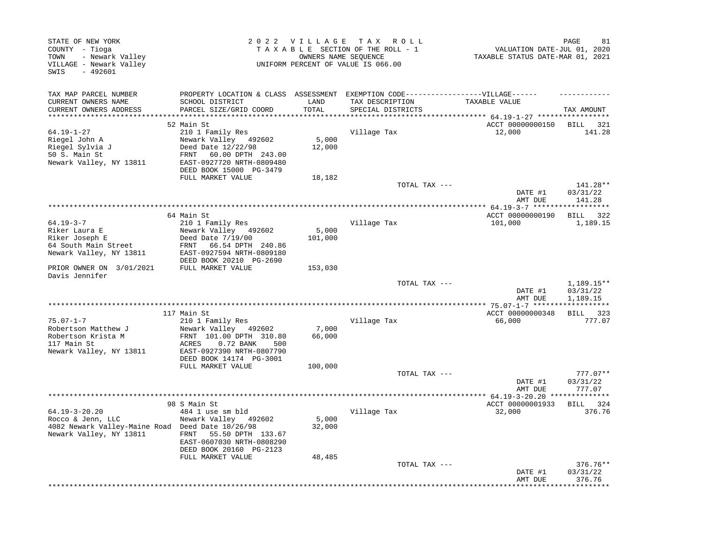| STATE OF NEW YORK<br>COUNTY - Tioga<br>- Newark Valley<br>TOWN<br>VILLAGE - Newark Valley<br>SWIS<br>$-492601$                    |                                                                                                                                                                                                 | 2022 VILLAGE                | T A X<br>R O L L<br>TAXABLE SECTION OF THE ROLL - 1<br>OWNERS NAME SEOUENCE<br>UNIFORM PERCENT OF VALUE IS 066.00 | PAGE<br>81<br>VALUATION DATE-JUL 01, 2020<br>TAXABLE STATUS DATE-MAR 01, 2021 |                                      |  |
|-----------------------------------------------------------------------------------------------------------------------------------|-------------------------------------------------------------------------------------------------------------------------------------------------------------------------------------------------|-----------------------------|-------------------------------------------------------------------------------------------------------------------|-------------------------------------------------------------------------------|--------------------------------------|--|
| TAX MAP PARCEL NUMBER<br>CURRENT OWNERS NAME<br>CURRENT OWNERS ADDRESS                                                            | PROPERTY LOCATION & CLASS ASSESSMENT<br>SCHOOL DISTRICT<br>PARCEL SIZE/GRID COORD                                                                                                               | LAND<br>TOTAL               | EXEMPTION CODE------------------VILLAGE------<br>TAX DESCRIPTION<br>SPECIAL DISTRICTS                             | TAXABLE VALUE                                                                 | TAX AMOUNT                           |  |
| 64.19-1-27<br>Riegel John A<br>Riegel Sylvia J<br>50 S. Main St<br>Newark Valley, NY 13811                                        | 52 Main St<br>210 1 Family Res<br>Newark Valley 492602<br>Deed Date 12/22/98<br>60.00 DPTH 243.00<br>FRNT<br>EAST-0927720 NRTH-0809480<br>DEED BOOK 15000 PG-3479<br>FULL MARKET VALUE          | 5,000<br>12,000<br>18,182   | Village Tax                                                                                                       | ***** 64.19-1-27 ****<br>ACCT 00000000150<br>12,000                           | BILL 321<br>141.28                   |  |
|                                                                                                                                   |                                                                                                                                                                                                 |                             | TOTAL TAX ---                                                                                                     | DATE #1                                                                       | 141.28**<br>03/31/22                 |  |
|                                                                                                                                   | 64 Main St                                                                                                                                                                                      |                             | *************************                                                                                         | AMT DUE<br>$* 64.19 - 3 - 7$ ****                                             | 141.28                               |  |
| $64.19 - 3 - 7$<br>Riker Laura E<br>Riker Joseph E<br>64 South Main Street<br>Newark Valley, NY 13811<br>PRIOR OWNER ON 3/01/2021 | 210 1 Family Res<br>Newark Valley 492602<br>Deed Date 7/19/00<br>66.54 DPTH 240.86<br>FRNT<br>EAST-0927594 NRTH-0809180<br>DEED BOOK 20210 PG-2690<br>FULL MARKET VALUE                         | 5,000<br>101,000<br>153,030 | Village Tax                                                                                                       | ACCT 00000000190<br>101,000                                                   | BILL 322<br>1,189.15                 |  |
| Davis Jennifer                                                                                                                    |                                                                                                                                                                                                 |                             | TOTAL TAX ---                                                                                                     | DATE #1<br>AMT DUE                                                            | $1,189.15**$<br>03/31/22<br>1,189.15 |  |
| $75.07 - 1 - 7$<br>Robertson Matthew J<br>Robertson Krista M<br>117 Main St<br>Newark Valley, NY 13811                            | 117 Main St<br>210 1 Family Res<br>Newark Valley<br>492602<br>FRNT 101.00 DPTH 310.80<br>0.72 BANK<br>ACRES<br>500<br>EAST-0927390 NRTH-0807790<br>DEED BOOK 14174 PG-3001<br>FULL MARKET VALUE | 7,000<br>66,000<br>100,000  | Village Tax                                                                                                       | ACCT 00000000348<br>66,000                                                    | ***********<br>BILL 323<br>777.07    |  |
|                                                                                                                                   |                                                                                                                                                                                                 |                             | TOTAL TAX ---                                                                                                     | DATE #1<br>AMT DUE                                                            | $777.07**$<br>03/31/22<br>777.07     |  |
|                                                                                                                                   |                                                                                                                                                                                                 |                             |                                                                                                                   | ************** 64.19-3-20.20 **                                               | **********                           |  |
| $64.19 - 3 - 20.20$<br>Rocco & Jenn, LLC<br>4082 Newark Valley-Maine Road Deed Date 10/26/98<br>Newark Valley, NY 13811           | 98 S Main St<br>484 1 use sm bld<br>Newark Valley 492602<br>55.50 DPTH 133.67<br>FRNT<br>EAST-0607030 NRTH-0808290<br>DEED BOOK 20160 PG-2123<br>FULL MARKET VALUE                              | 5,000<br>32,000<br>48,485   | Village Tax                                                                                                       | ACCT 00000001933<br>32,000                                                    | 324<br>BILL<br>376.76                |  |
|                                                                                                                                   |                                                                                                                                                                                                 |                             | TOTAL TAX ---                                                                                                     | DATE #1<br>AMT DUE                                                            | $376.76**$<br>03/31/22<br>376.76     |  |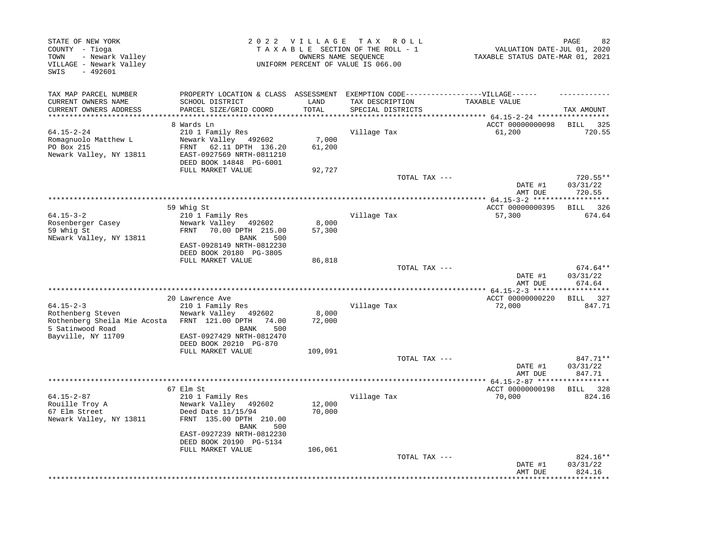| STATE OF NEW YORK<br>COUNTY - Tioga<br>- Newark Valley<br>TOWN<br>VILLAGE - Newark Valley<br>SWIS<br>$-492601$ |                                                                                                                                                                   |                  | 2022 VILLAGE TAX ROLL<br>TAXABLE SECTION OF THE ROLL - 1<br>OWNERS NAME SEQUENCE<br>UNIFORM PERCENT OF VALUE IS 066.00 | VALUATION DATE-JUL 01, 2020<br>TAXABLE STATUS DATE-MAR 01, 2021 | PAGE<br>82                     |
|----------------------------------------------------------------------------------------------------------------|-------------------------------------------------------------------------------------------------------------------------------------------------------------------|------------------|------------------------------------------------------------------------------------------------------------------------|-----------------------------------------------------------------|--------------------------------|
| TAX MAP PARCEL NUMBER<br>CURRENT OWNERS NAME<br>CURRENT OWNERS ADDRESS                                         | PROPERTY LOCATION & CLASS ASSESSMENT EXEMPTION CODE-----------------VILLAGE------<br>SCHOOL DISTRICT<br>PARCEL SIZE/GRID COORD                                    | LAND<br>TOTAL    | TAX DESCRIPTION<br>SPECIAL DISTRICTS                                                                                   | TAXABLE VALUE<br>****** 64.15-2-24 *****                        | TAX AMOUNT                     |
| 64.15-2-24                                                                                                     | 8 Wards Ln<br>210 1 Family Res                                                                                                                                    |                  | Village Tax                                                                                                            | ACCT 00000000098<br>61,200                                      | <b>BILL</b><br>325<br>720.55   |
| Romagnuolo Matthew L<br>PO Box 215<br>Newark Valley, NY 13811                                                  | Newark Valley<br>492602<br>FRNT<br>62.11 DPTH 136.20<br>EAST-0927569 NRTH-0811210<br>DEED BOOK 14848 PG-6001                                                      | 7,000<br>61,200  |                                                                                                                        |                                                                 |                                |
|                                                                                                                | FULL MARKET VALUE                                                                                                                                                 | 92,727           | TOTAL TAX ---                                                                                                          |                                                                 | 720.55**                       |
|                                                                                                                |                                                                                                                                                                   |                  |                                                                                                                        | DATE #1<br>AMT DUE<br>** $64.15 - 3 - 2$ ****                   | 03/31/22<br>720.55             |
|                                                                                                                | 59 Whig St                                                                                                                                                        |                  |                                                                                                                        | ACCT 00000000395                                                | <b>BILL</b><br>326             |
| $64.15 - 3 - 2$<br>Rosenberger Casey<br>59 Whig St<br>NEwark Valley, NY 13811                                  | 210 1 Family Res<br>Newark Valley 492602<br>FRNT<br>70.00 DPTH 215.00<br>BANK<br>500<br>EAST-0928149 NRTH-0812230                                                 | 8,000<br>57,300  | Village Tax                                                                                                            | 57,300                                                          | 674.64                         |
|                                                                                                                | DEED BOOK 20180 PG-3805<br>FULL MARKET VALUE                                                                                                                      |                  |                                                                                                                        |                                                                 |                                |
|                                                                                                                |                                                                                                                                                                   | 86,818           | TOTAL TAX ---                                                                                                          | DATE #1<br>AMT DUE                                              | 674.64**<br>03/31/22<br>674.64 |
|                                                                                                                |                                                                                                                                                                   |                  |                                                                                                                        | *********** 64.15-2-3 *******************<br>ACCT 00000000220   |                                |
| $64.15 - 2 - 3$<br>Rothenberg Steven<br>Rothenberg Sheila Mie Acosta<br>5 Satinwood Road<br>Bayville, NY 11709 | 20 Lawrence Ave<br>210 1 Family Res<br>Newark Valley<br>492602<br>FRNT 121.00 DPTH<br>74.00<br>500<br>BANK<br>EAST-0927429 NRTH-0812470<br>DEED BOOK 20210 PG-870 | 8,000<br>72,000  | Village Tax                                                                                                            | 72,000                                                          | BILL 327<br>847.71             |
|                                                                                                                | FULL MARKET VALUE                                                                                                                                                 | 109,091          |                                                                                                                        |                                                                 |                                |
|                                                                                                                |                                                                                                                                                                   |                  | TOTAL TAX ---                                                                                                          | DATE #1<br>AMT DUE                                              | 847.71**<br>03/31/22<br>847.71 |
|                                                                                                                |                                                                                                                                                                   |                  | **********************                                                                                                 | ** 64.15-2-87 *****                                             |                                |
| $64.15 - 2 - 87$<br>Rouille Troy A<br>67 Elm Street<br>Newark Valley, NY 13811                                 | 67 Elm St<br>210 1 Family Res<br>Newark Valley 492602<br>Deed Date 11/15/94<br>FRNT 135.00 DPTH 210.00<br><b>BANK</b><br>500                                      | 12,000<br>70,000 | Village Tax                                                                                                            | ACCT 00000000198<br>70,000                                      | <b>BILL</b><br>328<br>824.16   |
|                                                                                                                | EAST-0927239 NRTH-0812230<br>DEED BOOK 20190 PG-5134<br>FULL MARKET VALUE                                                                                         | 106,061          |                                                                                                                        |                                                                 |                                |
|                                                                                                                |                                                                                                                                                                   |                  | TOTAL TAX ---                                                                                                          | DATE #1<br>AMT DUE                                              | 824.16**<br>03/31/22<br>824.16 |
|                                                                                                                |                                                                                                                                                                   |                  |                                                                                                                        |                                                                 |                                |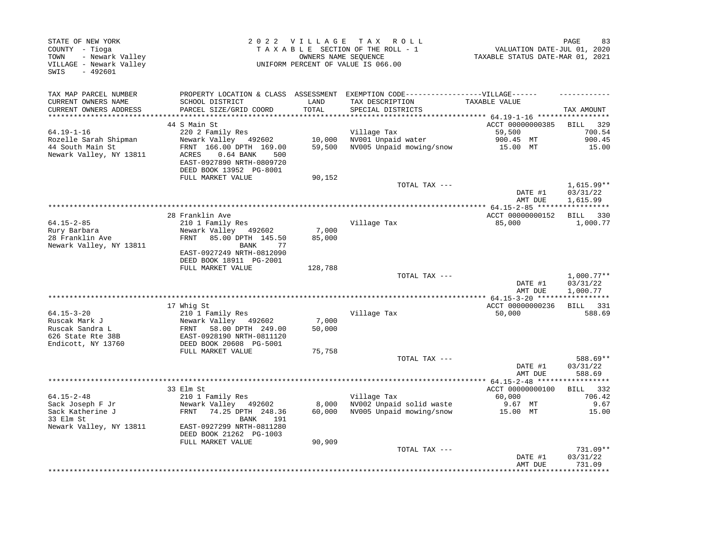| STATE OF NEW YORK<br>COUNTY - Tioga<br>- Newark Valley<br>TOWN<br>VILLAGE - Newark Valley<br>$-492601$<br>SWIS |                                                                                                                                                           | 2022 VILLAGE     | T A X<br>R O L L<br>TAXABLE SECTION OF THE ROLL - 1<br>OWNERS NAME SEQUENCE<br>UNIFORM PERCENT OF VALUE IS 066.00         | VALUATION DATE-JUL 01, 2020<br>TAXABLE STATUS DATE-MAR 01, 2021 | PAGE<br>83                           |
|----------------------------------------------------------------------------------------------------------------|-----------------------------------------------------------------------------------------------------------------------------------------------------------|------------------|---------------------------------------------------------------------------------------------------------------------------|-----------------------------------------------------------------|--------------------------------------|
| TAX MAP PARCEL NUMBER<br>CURRENT OWNERS NAME<br>CURRENT OWNERS ADDRESS                                         | SCHOOL DISTRICT<br>PARCEL SIZE/GRID COORD                                                                                                                 | LAND<br>TOTAL    | PROPERTY LOCATION & CLASS ASSESSMENT EXEMPTION CODE-----------------VILLAGE------<br>TAX DESCRIPTION<br>SPECIAL DISTRICTS | TAXABLE VALUE                                                   | TAX AMOUNT                           |
| *******************                                                                                            |                                                                                                                                                           |                  |                                                                                                                           | ******** 64.19-1-16 ******************                          |                                      |
| $64.19 - 1 - 16$                                                                                               | 44 S Main St<br>220 2 Family Res                                                                                                                          |                  | Village Tax                                                                                                               | ACCT 00000000385<br>59,500                                      | 329<br>BILL<br>700.54                |
| Rozelle Sarah Shipman<br>44 South Main St<br>Newark Valley, NY 13811                                           | Newark Valley 492602<br>FRNT 166.00 DPTH 169.00<br>ACRES<br>$0.64$ BANK<br>500<br>EAST-0927890 NRTH-0809720<br>DEED BOOK 13952 PG-8001                    | 10,000<br>59,500 | NV001 Unpaid water<br>NV005 Unpaid mowing/snow                                                                            | 900.45 MT<br>15.00 MT                                           | 900.45<br>15.00                      |
|                                                                                                                | FULL MARKET VALUE                                                                                                                                         | 90,152           |                                                                                                                           |                                                                 |                                      |
|                                                                                                                |                                                                                                                                                           |                  | TOTAL TAX ---                                                                                                             | DATE #1<br>AMT DUE                                              | $1,615.99**$<br>03/31/22<br>1,615.99 |
|                                                                                                                |                                                                                                                                                           |                  |                                                                                                                           |                                                                 |                                      |
| $64.15 - 2 - 85$<br>Rury Barbara<br>28 Franklin Ave<br>Newark Valley, NY 13811                                 | 28 Franklin Ave<br>210 1 Family Res<br>Newark Valley 492602<br>FRNT<br>85.00 DPTH 145.50<br>BANK<br>77<br>EAST-0927249 NRTH-0812090                       | 7,000<br>85,000  | Village Tax                                                                                                               | ACCT 00000000152<br>85,000                                      | BILL 330<br>1,000.77                 |
|                                                                                                                | DEED BOOK 18911 PG-2001<br>FULL MARKET VALUE                                                                                                              | 128,788          |                                                                                                                           |                                                                 |                                      |
|                                                                                                                |                                                                                                                                                           |                  | TOTAL TAX ---                                                                                                             | DATE #1<br>AMT DUE                                              | $1,000.77**$<br>03/31/22<br>1,000.77 |
|                                                                                                                | 17 Whig St                                                                                                                                                |                  |                                                                                                                           | ACCT 00000000236                                                | BILL 331                             |
| $64.15 - 3 - 20$<br>Ruscak Mark J<br>Ruscak Sandra L<br>626 State Rte 38B<br>Endicott, NY 13760                | 210 1 Family Res<br>Newark Valley 492602<br>58.00 DPTH 249.00<br>FRNT<br>EAST-0928190 NRTH-0811120<br>DEED BOOK 20608 PG-5001                             | 7,000<br>50,000  | Village Tax                                                                                                               | 50,000                                                          | 588.69                               |
|                                                                                                                | FULL MARKET VALUE                                                                                                                                         | 75,758           |                                                                                                                           |                                                                 |                                      |
|                                                                                                                |                                                                                                                                                           |                  | TOTAL TAX ---                                                                                                             | DATE #1<br>AMT DUE                                              | 588.69**<br>03/31/22<br>588.69       |
|                                                                                                                |                                                                                                                                                           |                  |                                                                                                                           |                                                                 | ***********                          |
| $64.15 - 2 - 48$<br>Sack Joseph F Jr<br>Sack Katherine J<br>33 Elm St<br>Newark Valley, NY 13811               | 33 Elm St<br>210 1 Family Res<br>Newark Valley 492602<br>74.25 DPTH 248.36<br>FRNT<br>BANK<br>191<br>EAST-0927299 NRTH-0811280<br>DEED BOOK 21262 PG-1003 | 8,000<br>60,000  | Village Tax<br>NV002 Unpaid solid waste<br>NV005 Unpaid mowing/snow                                                       | ACCT 00000000100<br>60,000<br>9.67 MT<br>15.00 MT               | BILL 332<br>706.42<br>9.67<br>15.00  |
|                                                                                                                | FULL MARKET VALUE                                                                                                                                         | 90,909           | TOTAL TAX ---                                                                                                             | DATE #1<br>AMT DUE                                              | 731.09**<br>03/31/22<br>731.09       |
|                                                                                                                |                                                                                                                                                           |                  |                                                                                                                           |                                                                 | * * * * * * * * * *                  |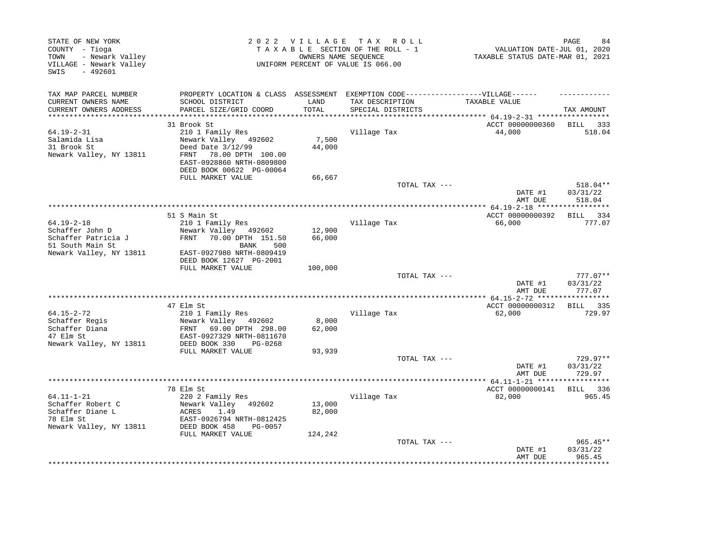| STATE OF NEW YORK<br>COUNTY - Tioga<br>- Newark Valley<br>TOWN<br>VILLAGE - Newark Valley<br>SWIS<br>$-492601$ |                                                                                                                         | 2022 VILLAGE     | T A X<br>R O L L<br>TAXABLE SECTION OF THE ROLL - 1<br>OWNERS NAME SEQUENCE<br>UNIFORM PERCENT OF VALUE IS 066.00 | VALUATION DATE-JUL 01, 2020<br>TAXABLE STATUS DATE-MAR 01, 2021 | PAGE<br>84         |
|----------------------------------------------------------------------------------------------------------------|-------------------------------------------------------------------------------------------------------------------------|------------------|-------------------------------------------------------------------------------------------------------------------|-----------------------------------------------------------------|--------------------|
| TAX MAP PARCEL NUMBER<br>CURRENT OWNERS NAME                                                                   | PROPERTY LOCATION & CLASS ASSESSMENT EXEMPTION CODE-----------------VILLAGE------<br>SCHOOL DISTRICT                    | LAND             | TAX DESCRIPTION                                                                                                   | TAXABLE VALUE                                                   |                    |
| CURRENT OWNERS ADDRESS<br>*********************                                                                | PARCEL SIZE/GRID COORD                                                                                                  | TOTAL            | SPECIAL DISTRICTS                                                                                                 |                                                                 | TAX AMOUNT         |
|                                                                                                                | 31 Brook St                                                                                                             |                  |                                                                                                                   | ACCT 00000000360                                                | BILL 333           |
| $64.19 - 2 - 31$<br>Salamida Lisa<br>31 Brook St<br>Newark Valley, NY 13811                                    | 210 1 Family Res<br>Newark Valley 492602<br>Deed Date 3/12/99<br>78.00 DPTH 100.00<br>FRNT<br>EAST-0928860 NRTH-0809800 | 7,500<br>44,000  | Village Tax                                                                                                       | 44,000                                                          | 518.04             |
|                                                                                                                | DEED BOOK 00622 PG-00064                                                                                                |                  |                                                                                                                   |                                                                 |                    |
|                                                                                                                | FULL MARKET VALUE                                                                                                       | 66,667           | TOTAL TAX ---                                                                                                     |                                                                 | 518.04**           |
|                                                                                                                |                                                                                                                         |                  |                                                                                                                   | DATE #1<br>AMT DUE                                              | 03/31/22<br>518.04 |
|                                                                                                                |                                                                                                                         |                  |                                                                                                                   |                                                                 |                    |
| $64.19 - 2 - 18$                                                                                               | 51 S Main St                                                                                                            |                  |                                                                                                                   | ACCT 00000000392                                                | BILL 334           |
| Schaffer John D                                                                                                | 210 1 Family Res<br>Newark Valley 492602                                                                                | 12,900           | Village Tax                                                                                                       | 66,000                                                          | 777.07             |
| Schaffer Patricia J                                                                                            | FRNT 70.00 DPTH 151.50                                                                                                  | 66,000           |                                                                                                                   |                                                                 |                    |
| 51 South Main St                                                                                               | BANK<br>500                                                                                                             |                  |                                                                                                                   |                                                                 |                    |
| Newark Valley, NY 13811                                                                                        | EAST-0927980 NRTH-0809419                                                                                               |                  |                                                                                                                   |                                                                 |                    |
|                                                                                                                | DEED BOOK 12627 PG-2001                                                                                                 |                  |                                                                                                                   |                                                                 |                    |
|                                                                                                                | FULL MARKET VALUE                                                                                                       | 100,000          | TOTAL TAX ---                                                                                                     |                                                                 | 777.07**           |
|                                                                                                                |                                                                                                                         |                  |                                                                                                                   | DATE #1<br>AMT DUE                                              | 03/31/22<br>777.07 |
|                                                                                                                |                                                                                                                         |                  |                                                                                                                   |                                                                 |                    |
|                                                                                                                | 47 Elm St                                                                                                               |                  |                                                                                                                   | ACCT 00000000312                                                | BILL 335           |
| $64.15 - 2 - 72$<br>Schaffer Regis                                                                             | 210 1 Family Res<br>Newark Valley 492602                                                                                | 8,000            | Village Tax                                                                                                       | 62,000                                                          | 729.97             |
| Schaffer Diana<br>47 Elm St                                                                                    | 69.00 DPTH 298.00<br>FRNT<br>EAST-0927329 NRTH-0811670                                                                  | 62,000           |                                                                                                                   |                                                                 |                    |
| Newark Valley, NY 13811                                                                                        | DEED BOOK 330<br>PG-0268<br>FULL MARKET VALUE                                                                           | 93,939           |                                                                                                                   |                                                                 |                    |
|                                                                                                                |                                                                                                                         |                  | TOTAL TAX ---                                                                                                     |                                                                 | 729.97**           |
|                                                                                                                |                                                                                                                         |                  |                                                                                                                   | DATE #1<br>AMT DUE                                              | 03/31/22<br>729.97 |
|                                                                                                                |                                                                                                                         |                  |                                                                                                                   |                                                                 |                    |
| $64.11 - 1 - 21$                                                                                               | 78 Elm St<br>220 2 Family Res                                                                                           |                  | Village Tax                                                                                                       | ACCT 00000000141<br>82,000                                      | BILL 336<br>965.45 |
| Schaffer Robert C<br>Schaffer Diane L<br>78 Elm St                                                             | Newark Valley 492602<br>ACRES<br>1.49<br>EAST-0926794 NRTH-0812425                                                      | 13,000<br>82,000 |                                                                                                                   |                                                                 |                    |
| Newark Valley, NY 13811                                                                                        | DEED BOOK 458<br>PG-0057                                                                                                |                  |                                                                                                                   |                                                                 |                    |
|                                                                                                                | FULL MARKET VALUE                                                                                                       | 124,242          | TOTAL TAX ---                                                                                                     |                                                                 | $965.45**$         |
|                                                                                                                |                                                                                                                         |                  |                                                                                                                   | DATE #1<br>AMT DUE                                              | 03/31/22<br>965.45 |
|                                                                                                                |                                                                                                                         |                  |                                                                                                                   |                                                                 | **********         |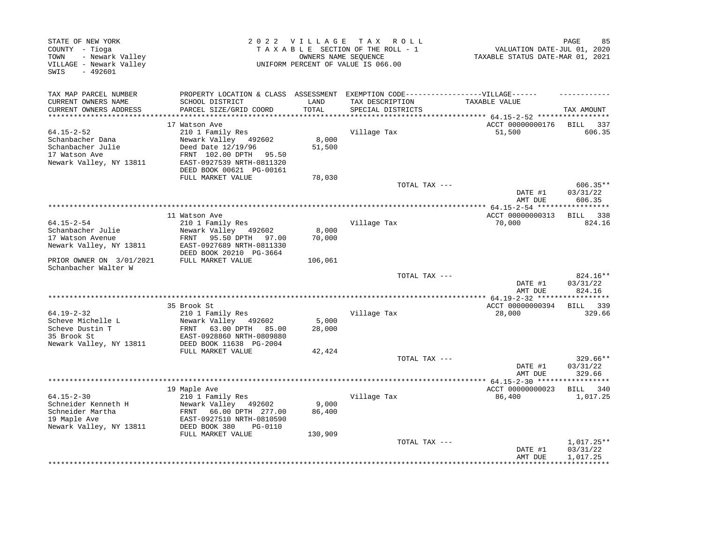| EXEMPTION CODE-----------------VILLAGE------<br>PROPERTY LOCATION & CLASS ASSESSMENT<br>CURRENT OWNERS NAME<br>SCHOOL DISTRICT<br>LAND<br>TAX DESCRIPTION<br>TAXABLE VALUE<br>CURRENT OWNERS ADDRESS<br>PARCEL SIZE/GRID COORD<br>TOTAL<br>TAX AMOUNT<br>SPECIAL DISTRICTS<br>*******************************<br>*********** 64.15-2-52 ******************<br>**********************<br>****************************<br>ACCT 00000000176<br>17 Watson Ave<br>BILL 337<br>210 1 Family Res<br>Village Tax<br>51,500<br>606.35<br>Schanbacher Dana<br>Newark Valley<br>8,000<br>492602<br>Schanbacher Julie<br>Deed Date 12/19/96<br>51,500<br>17 Watson Ave<br>FRNT 102.00 DPTH<br>95.50<br>Newark Valley, NY 13811<br>EAST-0927539 NRTH-0811320<br>DEED BOOK 00621 PG-00161<br>FULL MARKET VALUE<br>78,030<br>$606.35**$<br>TOTAL TAX ---<br>DATE #1<br>03/31/22<br>606.35<br>AMT DUE<br>ACCT 00000000313<br>11 Watson Ave<br><b>BILL</b><br>338<br>$64.15 - 2 - 54$<br>Village Tax<br>824.16<br>210 1 Family Res<br>70,000<br>Schanbacher Julie<br>Newark Valley 492602<br>8,000<br>17 Watson Avenue<br>FRNT 95.50 DPTH<br>70,000<br>97.00<br>Newark Valley, NY 13811<br>EAST-0927689 NRTH-0811330<br>DEED BOOK 20210 PG-3664<br>FULL MARKET VALUE<br>106,061<br>Schanbacher Walter W<br>824.16**<br>TOTAL TAX ---<br>DATE #1<br>03/31/22<br>824.16<br>AMT DUE<br>********<br>35 Brook St<br>ACCT 00000000394<br><b>BILL</b><br>339<br>$64.19 - 2 - 32$<br>210 1 Family Res<br>Village Tax<br>28,000<br>329.66<br>Newark Valley 492602<br>5,000<br>28,000<br>FRNT<br>63.00 DPTH<br>85.00<br>EAST-0928860 NRTH-0809880<br>Newark Valley, NY 13811<br>DEED BOOK 11638 PG-2004<br>FULL MARKET VALUE<br>42,424<br>$329.66**$<br>TOTAL TAX ---<br>DATE #1<br>03/31/22<br>329.66<br>AMT DUE<br>19 Maple Ave<br>ACCT 00000000023<br>BILL 340<br>$64.15 - 2 - 30$<br>210 1 Family Res<br>Village Tax<br>86,400<br>1,017.25<br>9,000<br>Schneider Kenneth H<br>Newark Valley 492602<br>Schneider Martha<br>66.00 DPTH 277.00<br>86,400<br>FRNT<br>19 Maple Ave<br>EAST-0927510 NRTH-0810590<br>DEED BOOK 380<br>PG-0110<br>FULL MARKET VALUE<br>130,909<br>TOTAL TAX ---<br>$1,017.25**$<br>03/31/22<br>DATE #1<br>AMT DUE<br>1,017.25 | STATE OF NEW YORK<br>COUNTY - Tioga<br>- Newark Valley<br>TOWN<br>VILLAGE - Newark Valley<br>$-492601$<br>SWIS | 2022 VILLAGE | T A X<br>R O L L<br>TAXABLE SECTION OF THE ROLL - 1<br>OWNERS NAME SEQUENCE<br>UNIFORM PERCENT OF VALUE IS 066.00 | VALUATION DATE-JUL 01, 2020<br>TAXABLE STATUS DATE-MAR 01, 2021 | PAGE<br>85 |
|--------------------------------------------------------------------------------------------------------------------------------------------------------------------------------------------------------------------------------------------------------------------------------------------------------------------------------------------------------------------------------------------------------------------------------------------------------------------------------------------------------------------------------------------------------------------------------------------------------------------------------------------------------------------------------------------------------------------------------------------------------------------------------------------------------------------------------------------------------------------------------------------------------------------------------------------------------------------------------------------------------------------------------------------------------------------------------------------------------------------------------------------------------------------------------------------------------------------------------------------------------------------------------------------------------------------------------------------------------------------------------------------------------------------------------------------------------------------------------------------------------------------------------------------------------------------------------------------------------------------------------------------------------------------------------------------------------------------------------------------------------------------------------------------------------------------------------------------------------------------------------------------------------------------------------------------------------------------------------------------------------------------------------------------------------------------------------------------------------------------------------------------------------------------------------------------------------------------------------|----------------------------------------------------------------------------------------------------------------|--------------|-------------------------------------------------------------------------------------------------------------------|-----------------------------------------------------------------|------------|
|                                                                                                                                                                                                                                                                                                                                                                                                                                                                                                                                                                                                                                                                                                                                                                                                                                                                                                                                                                                                                                                                                                                                                                                                                                                                                                                                                                                                                                                                                                                                                                                                                                                                                                                                                                                                                                                                                                                                                                                                                                                                                                                                                                                                                                | TAX MAP PARCEL NUMBER                                                                                          |              |                                                                                                                   |                                                                 |            |
|                                                                                                                                                                                                                                                                                                                                                                                                                                                                                                                                                                                                                                                                                                                                                                                                                                                                                                                                                                                                                                                                                                                                                                                                                                                                                                                                                                                                                                                                                                                                                                                                                                                                                                                                                                                                                                                                                                                                                                                                                                                                                                                                                                                                                                |                                                                                                                |              |                                                                                                                   |                                                                 |            |
|                                                                                                                                                                                                                                                                                                                                                                                                                                                                                                                                                                                                                                                                                                                                                                                                                                                                                                                                                                                                                                                                                                                                                                                                                                                                                                                                                                                                                                                                                                                                                                                                                                                                                                                                                                                                                                                                                                                                                                                                                                                                                                                                                                                                                                |                                                                                                                |              |                                                                                                                   |                                                                 |            |
|                                                                                                                                                                                                                                                                                                                                                                                                                                                                                                                                                                                                                                                                                                                                                                                                                                                                                                                                                                                                                                                                                                                                                                                                                                                                                                                                                                                                                                                                                                                                                                                                                                                                                                                                                                                                                                                                                                                                                                                                                                                                                                                                                                                                                                |                                                                                                                |              |                                                                                                                   |                                                                 |            |
|                                                                                                                                                                                                                                                                                                                                                                                                                                                                                                                                                                                                                                                                                                                                                                                                                                                                                                                                                                                                                                                                                                                                                                                                                                                                                                                                                                                                                                                                                                                                                                                                                                                                                                                                                                                                                                                                                                                                                                                                                                                                                                                                                                                                                                | $64.15 - 2 - 52$                                                                                               |              |                                                                                                                   |                                                                 |            |
|                                                                                                                                                                                                                                                                                                                                                                                                                                                                                                                                                                                                                                                                                                                                                                                                                                                                                                                                                                                                                                                                                                                                                                                                                                                                                                                                                                                                                                                                                                                                                                                                                                                                                                                                                                                                                                                                                                                                                                                                                                                                                                                                                                                                                                |                                                                                                                |              |                                                                                                                   |                                                                 |            |
|                                                                                                                                                                                                                                                                                                                                                                                                                                                                                                                                                                                                                                                                                                                                                                                                                                                                                                                                                                                                                                                                                                                                                                                                                                                                                                                                                                                                                                                                                                                                                                                                                                                                                                                                                                                                                                                                                                                                                                                                                                                                                                                                                                                                                                |                                                                                                                |              |                                                                                                                   |                                                                 |            |
|                                                                                                                                                                                                                                                                                                                                                                                                                                                                                                                                                                                                                                                                                                                                                                                                                                                                                                                                                                                                                                                                                                                                                                                                                                                                                                                                                                                                                                                                                                                                                                                                                                                                                                                                                                                                                                                                                                                                                                                                                                                                                                                                                                                                                                |                                                                                                                |              |                                                                                                                   |                                                                 |            |
|                                                                                                                                                                                                                                                                                                                                                                                                                                                                                                                                                                                                                                                                                                                                                                                                                                                                                                                                                                                                                                                                                                                                                                                                                                                                                                                                                                                                                                                                                                                                                                                                                                                                                                                                                                                                                                                                                                                                                                                                                                                                                                                                                                                                                                |                                                                                                                |              |                                                                                                                   |                                                                 |            |
|                                                                                                                                                                                                                                                                                                                                                                                                                                                                                                                                                                                                                                                                                                                                                                                                                                                                                                                                                                                                                                                                                                                                                                                                                                                                                                                                                                                                                                                                                                                                                                                                                                                                                                                                                                                                                                                                                                                                                                                                                                                                                                                                                                                                                                |                                                                                                                |              |                                                                                                                   |                                                                 |            |
|                                                                                                                                                                                                                                                                                                                                                                                                                                                                                                                                                                                                                                                                                                                                                                                                                                                                                                                                                                                                                                                                                                                                                                                                                                                                                                                                                                                                                                                                                                                                                                                                                                                                                                                                                                                                                                                                                                                                                                                                                                                                                                                                                                                                                                |                                                                                                                |              |                                                                                                                   |                                                                 |            |
|                                                                                                                                                                                                                                                                                                                                                                                                                                                                                                                                                                                                                                                                                                                                                                                                                                                                                                                                                                                                                                                                                                                                                                                                                                                                                                                                                                                                                                                                                                                                                                                                                                                                                                                                                                                                                                                                                                                                                                                                                                                                                                                                                                                                                                |                                                                                                                |              |                                                                                                                   |                                                                 |            |
|                                                                                                                                                                                                                                                                                                                                                                                                                                                                                                                                                                                                                                                                                                                                                                                                                                                                                                                                                                                                                                                                                                                                                                                                                                                                                                                                                                                                                                                                                                                                                                                                                                                                                                                                                                                                                                                                                                                                                                                                                                                                                                                                                                                                                                |                                                                                                                |              |                                                                                                                   |                                                                 |            |
|                                                                                                                                                                                                                                                                                                                                                                                                                                                                                                                                                                                                                                                                                                                                                                                                                                                                                                                                                                                                                                                                                                                                                                                                                                                                                                                                                                                                                                                                                                                                                                                                                                                                                                                                                                                                                                                                                                                                                                                                                                                                                                                                                                                                                                |                                                                                                                |              |                                                                                                                   |                                                                 |            |
|                                                                                                                                                                                                                                                                                                                                                                                                                                                                                                                                                                                                                                                                                                                                                                                                                                                                                                                                                                                                                                                                                                                                                                                                                                                                                                                                                                                                                                                                                                                                                                                                                                                                                                                                                                                                                                                                                                                                                                                                                                                                                                                                                                                                                                |                                                                                                                |              |                                                                                                                   |                                                                 |            |
|                                                                                                                                                                                                                                                                                                                                                                                                                                                                                                                                                                                                                                                                                                                                                                                                                                                                                                                                                                                                                                                                                                                                                                                                                                                                                                                                                                                                                                                                                                                                                                                                                                                                                                                                                                                                                                                                                                                                                                                                                                                                                                                                                                                                                                |                                                                                                                |              |                                                                                                                   |                                                                 |            |
|                                                                                                                                                                                                                                                                                                                                                                                                                                                                                                                                                                                                                                                                                                                                                                                                                                                                                                                                                                                                                                                                                                                                                                                                                                                                                                                                                                                                                                                                                                                                                                                                                                                                                                                                                                                                                                                                                                                                                                                                                                                                                                                                                                                                                                |                                                                                                                |              |                                                                                                                   |                                                                 |            |
|                                                                                                                                                                                                                                                                                                                                                                                                                                                                                                                                                                                                                                                                                                                                                                                                                                                                                                                                                                                                                                                                                                                                                                                                                                                                                                                                                                                                                                                                                                                                                                                                                                                                                                                                                                                                                                                                                                                                                                                                                                                                                                                                                                                                                                |                                                                                                                |              |                                                                                                                   |                                                                 |            |
|                                                                                                                                                                                                                                                                                                                                                                                                                                                                                                                                                                                                                                                                                                                                                                                                                                                                                                                                                                                                                                                                                                                                                                                                                                                                                                                                                                                                                                                                                                                                                                                                                                                                                                                                                                                                                                                                                                                                                                                                                                                                                                                                                                                                                                | PRIOR OWNER ON 3/01/2021                                                                                       |              |                                                                                                                   |                                                                 |            |
|                                                                                                                                                                                                                                                                                                                                                                                                                                                                                                                                                                                                                                                                                                                                                                                                                                                                                                                                                                                                                                                                                                                                                                                                                                                                                                                                                                                                                                                                                                                                                                                                                                                                                                                                                                                                                                                                                                                                                                                                                                                                                                                                                                                                                                |                                                                                                                |              |                                                                                                                   |                                                                 |            |
|                                                                                                                                                                                                                                                                                                                                                                                                                                                                                                                                                                                                                                                                                                                                                                                                                                                                                                                                                                                                                                                                                                                                                                                                                                                                                                                                                                                                                                                                                                                                                                                                                                                                                                                                                                                                                                                                                                                                                                                                                                                                                                                                                                                                                                |                                                                                                                |              |                                                                                                                   |                                                                 |            |
|                                                                                                                                                                                                                                                                                                                                                                                                                                                                                                                                                                                                                                                                                                                                                                                                                                                                                                                                                                                                                                                                                                                                                                                                                                                                                                                                                                                                                                                                                                                                                                                                                                                                                                                                                                                                                                                                                                                                                                                                                                                                                                                                                                                                                                |                                                                                                                |              |                                                                                                                   |                                                                 |            |
|                                                                                                                                                                                                                                                                                                                                                                                                                                                                                                                                                                                                                                                                                                                                                                                                                                                                                                                                                                                                                                                                                                                                                                                                                                                                                                                                                                                                                                                                                                                                                                                                                                                                                                                                                                                                                                                                                                                                                                                                                                                                                                                                                                                                                                |                                                                                                                |              |                                                                                                                   |                                                                 |            |
|                                                                                                                                                                                                                                                                                                                                                                                                                                                                                                                                                                                                                                                                                                                                                                                                                                                                                                                                                                                                                                                                                                                                                                                                                                                                                                                                                                                                                                                                                                                                                                                                                                                                                                                                                                                                                                                                                                                                                                                                                                                                                                                                                                                                                                |                                                                                                                |              |                                                                                                                   |                                                                 |            |
|                                                                                                                                                                                                                                                                                                                                                                                                                                                                                                                                                                                                                                                                                                                                                                                                                                                                                                                                                                                                                                                                                                                                                                                                                                                                                                                                                                                                                                                                                                                                                                                                                                                                                                                                                                                                                                                                                                                                                                                                                                                                                                                                                                                                                                | Scheve Michelle L                                                                                              |              |                                                                                                                   |                                                                 |            |
|                                                                                                                                                                                                                                                                                                                                                                                                                                                                                                                                                                                                                                                                                                                                                                                                                                                                                                                                                                                                                                                                                                                                                                                                                                                                                                                                                                                                                                                                                                                                                                                                                                                                                                                                                                                                                                                                                                                                                                                                                                                                                                                                                                                                                                | Scheve Dustin T                                                                                                |              |                                                                                                                   |                                                                 |            |
|                                                                                                                                                                                                                                                                                                                                                                                                                                                                                                                                                                                                                                                                                                                                                                                                                                                                                                                                                                                                                                                                                                                                                                                                                                                                                                                                                                                                                                                                                                                                                                                                                                                                                                                                                                                                                                                                                                                                                                                                                                                                                                                                                                                                                                | 35 Brook St                                                                                                    |              |                                                                                                                   |                                                                 |            |
|                                                                                                                                                                                                                                                                                                                                                                                                                                                                                                                                                                                                                                                                                                                                                                                                                                                                                                                                                                                                                                                                                                                                                                                                                                                                                                                                                                                                                                                                                                                                                                                                                                                                                                                                                                                                                                                                                                                                                                                                                                                                                                                                                                                                                                |                                                                                                                |              |                                                                                                                   |                                                                 |            |
|                                                                                                                                                                                                                                                                                                                                                                                                                                                                                                                                                                                                                                                                                                                                                                                                                                                                                                                                                                                                                                                                                                                                                                                                                                                                                                                                                                                                                                                                                                                                                                                                                                                                                                                                                                                                                                                                                                                                                                                                                                                                                                                                                                                                                                |                                                                                                                |              |                                                                                                                   |                                                                 |            |
|                                                                                                                                                                                                                                                                                                                                                                                                                                                                                                                                                                                                                                                                                                                                                                                                                                                                                                                                                                                                                                                                                                                                                                                                                                                                                                                                                                                                                                                                                                                                                                                                                                                                                                                                                                                                                                                                                                                                                                                                                                                                                                                                                                                                                                |                                                                                                                |              |                                                                                                                   |                                                                 |            |
|                                                                                                                                                                                                                                                                                                                                                                                                                                                                                                                                                                                                                                                                                                                                                                                                                                                                                                                                                                                                                                                                                                                                                                                                                                                                                                                                                                                                                                                                                                                                                                                                                                                                                                                                                                                                                                                                                                                                                                                                                                                                                                                                                                                                                                |                                                                                                                |              |                                                                                                                   |                                                                 |            |
|                                                                                                                                                                                                                                                                                                                                                                                                                                                                                                                                                                                                                                                                                                                                                                                                                                                                                                                                                                                                                                                                                                                                                                                                                                                                                                                                                                                                                                                                                                                                                                                                                                                                                                                                                                                                                                                                                                                                                                                                                                                                                                                                                                                                                                |                                                                                                                |              |                                                                                                                   |                                                                 |            |
|                                                                                                                                                                                                                                                                                                                                                                                                                                                                                                                                                                                                                                                                                                                                                                                                                                                                                                                                                                                                                                                                                                                                                                                                                                                                                                                                                                                                                                                                                                                                                                                                                                                                                                                                                                                                                                                                                                                                                                                                                                                                                                                                                                                                                                |                                                                                                                |              |                                                                                                                   |                                                                 |            |
|                                                                                                                                                                                                                                                                                                                                                                                                                                                                                                                                                                                                                                                                                                                                                                                                                                                                                                                                                                                                                                                                                                                                                                                                                                                                                                                                                                                                                                                                                                                                                                                                                                                                                                                                                                                                                                                                                                                                                                                                                                                                                                                                                                                                                                |                                                                                                                |              |                                                                                                                   |                                                                 |            |
|                                                                                                                                                                                                                                                                                                                                                                                                                                                                                                                                                                                                                                                                                                                                                                                                                                                                                                                                                                                                                                                                                                                                                                                                                                                                                                                                                                                                                                                                                                                                                                                                                                                                                                                                                                                                                                                                                                                                                                                                                                                                                                                                                                                                                                |                                                                                                                |              |                                                                                                                   |                                                                 |            |
|                                                                                                                                                                                                                                                                                                                                                                                                                                                                                                                                                                                                                                                                                                                                                                                                                                                                                                                                                                                                                                                                                                                                                                                                                                                                                                                                                                                                                                                                                                                                                                                                                                                                                                                                                                                                                                                                                                                                                                                                                                                                                                                                                                                                                                |                                                                                                                |              |                                                                                                                   |                                                                 |            |
|                                                                                                                                                                                                                                                                                                                                                                                                                                                                                                                                                                                                                                                                                                                                                                                                                                                                                                                                                                                                                                                                                                                                                                                                                                                                                                                                                                                                                                                                                                                                                                                                                                                                                                                                                                                                                                                                                                                                                                                                                                                                                                                                                                                                                                | Newark Valley, NY 13811                                                                                        |              |                                                                                                                   |                                                                 |            |
|                                                                                                                                                                                                                                                                                                                                                                                                                                                                                                                                                                                                                                                                                                                                                                                                                                                                                                                                                                                                                                                                                                                                                                                                                                                                                                                                                                                                                                                                                                                                                                                                                                                                                                                                                                                                                                                                                                                                                                                                                                                                                                                                                                                                                                |                                                                                                                |              |                                                                                                                   |                                                                 |            |
|                                                                                                                                                                                                                                                                                                                                                                                                                                                                                                                                                                                                                                                                                                                                                                                                                                                                                                                                                                                                                                                                                                                                                                                                                                                                                                                                                                                                                                                                                                                                                                                                                                                                                                                                                                                                                                                                                                                                                                                                                                                                                                                                                                                                                                |                                                                                                                |              |                                                                                                                   |                                                                 |            |
|                                                                                                                                                                                                                                                                                                                                                                                                                                                                                                                                                                                                                                                                                                                                                                                                                                                                                                                                                                                                                                                                                                                                                                                                                                                                                                                                                                                                                                                                                                                                                                                                                                                                                                                                                                                                                                                                                                                                                                                                                                                                                                                                                                                                                                |                                                                                                                |              |                                                                                                                   |                                                                 |            |
|                                                                                                                                                                                                                                                                                                                                                                                                                                                                                                                                                                                                                                                                                                                                                                                                                                                                                                                                                                                                                                                                                                                                                                                                                                                                                                                                                                                                                                                                                                                                                                                                                                                                                                                                                                                                                                                                                                                                                                                                                                                                                                                                                                                                                                |                                                                                                                |              |                                                                                                                   |                                                                 |            |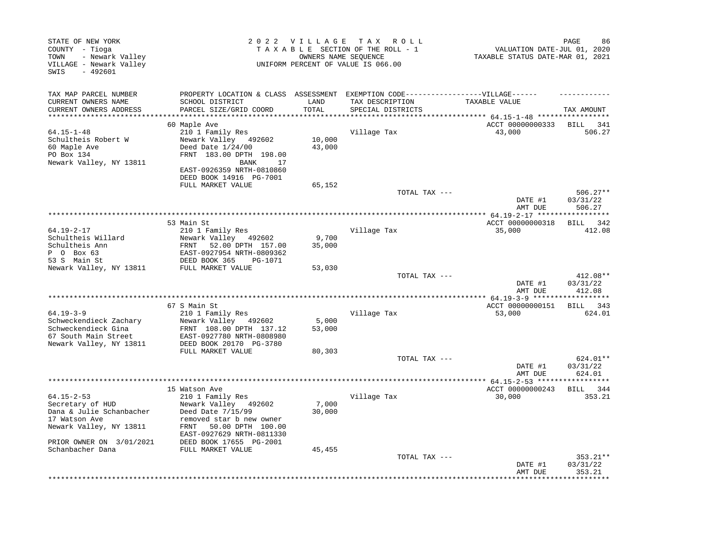| STATE OF NEW YORK<br>COUNTY - Tioga<br>- Newark Valley<br>TOWN<br>VILLAGE - Newark Valley<br>$-492601$<br>SWIS |                                                                                                                                            | 2022 VILLAGE               | T A X<br>R O L L<br>TAXABLE SECTION OF THE ROLL - 1<br>OWNERS NAME SEOUENCE<br>UNIFORM PERCENT OF VALUE IS 066.00 | VALUATION DATE-JUL 01, 2020<br>TAXABLE STATUS DATE-MAR 01, 2021 | PAGE<br>86                         |
|----------------------------------------------------------------------------------------------------------------|--------------------------------------------------------------------------------------------------------------------------------------------|----------------------------|-------------------------------------------------------------------------------------------------------------------|-----------------------------------------------------------------|------------------------------------|
| TAX MAP PARCEL NUMBER                                                                                          | PROPERTY LOCATION & CLASS ASSESSMENT                                                                                                       |                            | EXEMPTION CODE------------------VILLAGE------                                                                     |                                                                 |                                    |
| CURRENT OWNERS NAME<br>CURRENT OWNERS ADDRESS<br>******************                                            | SCHOOL DISTRICT<br>PARCEL SIZE/GRID COORD                                                                                                  | LAND<br>TOTAL<br>********* | TAX DESCRIPTION<br>SPECIAL DISTRICTS                                                                              | TAXABLE VALUE<br>******* 64.15-1-48 ******************          | TAX AMOUNT                         |
|                                                                                                                | 60 Maple Ave                                                                                                                               |                            |                                                                                                                   | ACCT 00000000333                                                | BILL<br>341                        |
| $64.15 - 1 - 48$<br>Schultheis Robert W<br>60 Maple Ave<br>PO Box 134<br>Newark Valley, NY 13811               | 210 1 Family Res<br>Newark Valley 492602<br>Deed Date 1/24/00<br>FRNT 183.00 DPTH 198.00<br><b>BANK</b><br>17<br>EAST-0926359 NRTH-0810860 | 10,000<br>43,000           | Village Tax                                                                                                       | 43,000                                                          | 506.27                             |
|                                                                                                                | DEED BOOK 14916 PG-7001                                                                                                                    |                            |                                                                                                                   |                                                                 |                                    |
|                                                                                                                | FULL MARKET VALUE                                                                                                                          | 65,152                     | TOTAL TAX ---                                                                                                     | DATE #1                                                         | $506.27**$<br>03/31/22             |
|                                                                                                                |                                                                                                                                            |                            |                                                                                                                   | AMT DUE                                                         | 506.27                             |
|                                                                                                                | 53 Main St                                                                                                                                 |                            |                                                                                                                   | ACCT 00000000318                                                | * * * * * * * * * *<br>342<br>BILL |
| $64.19 - 2 - 17$<br>Schultheis Willard                                                                         | 210 1 Family Res<br>Newark Valley 492602                                                                                                   | 9,700                      | Village Tax                                                                                                       | 35,000                                                          | 412.08                             |
| Schultheis Ann<br>P 0 Box 63<br>53 S Main St                                                                   | FRNT<br>52.00 DPTH 157.00<br>EAST-0927954 NRTH-0809362<br>DEED BOOK 365<br>PG-1071                                                         | 35,000                     |                                                                                                                   |                                                                 |                                    |
| Newark Valley, NY 13811                                                                                        | FULL MARKET VALUE                                                                                                                          | 53,030                     |                                                                                                                   |                                                                 |                                    |
|                                                                                                                |                                                                                                                                            |                            | TOTAL TAX ---                                                                                                     | DATE #1<br>AMT DUE                                              | 412.08**<br>03/31/22<br>412.08     |
|                                                                                                                |                                                                                                                                            |                            |                                                                                                                   |                                                                 | * * * * * * * * * *                |
| $64.19 - 3 - 9$                                                                                                | 67 S Main St<br>210 1 Family Res                                                                                                           |                            | Village Tax                                                                                                       | ACCT 00000000151<br>53,000                                      | BILL 343<br>624.01                 |
| Schweckendieck Zachary<br>Schweckendieck Gina<br>67 South Main Street                                          | Newark Valley 492602<br>FRNT 108.00 DPTH 137.12<br>EAST-0927780 NRTH-0808980                                                               | 5,000<br>53,000            |                                                                                                                   |                                                                 |                                    |
| Newark Valley, NY 13811                                                                                        | DEED BOOK 20170 PG-3780                                                                                                                    |                            |                                                                                                                   |                                                                 |                                    |
|                                                                                                                | FULL MARKET VALUE                                                                                                                          | 80,303                     | TOTAL TAX ---                                                                                                     | DATE #1                                                         | 624.01**<br>03/31/22               |
|                                                                                                                |                                                                                                                                            |                            |                                                                                                                   | AMT DUE                                                         | 624.01                             |
|                                                                                                                | 15 Watson Ave                                                                                                                              |                            |                                                                                                                   | $* 64.15 - 2 - 53$ ****<br>ACCT 00000000243                     | 344<br>BILL                        |
| $64.15 - 2 - 53$<br>Secretary of HUD<br>Dana & Julie Schanbacher<br>17 Watson Ave                              | 210 1 Family Res<br>Newark Valley 492602<br>Deed Date 7/15/99<br>removed star b new owner                                                  | 7,000<br>30,000            | Village Tax                                                                                                       | 30,000                                                          | 353.21                             |
| Newark Valley, NY 13811<br>PRIOR OWNER ON 3/01/2021                                                            | FRNT<br>50.00 DPTH 100.00<br>EAST-0927629 NRTH-0811330<br>DEED BOOK 17655 PG-2001                                                          |                            |                                                                                                                   |                                                                 |                                    |
| Schanbacher Dana                                                                                               | FULL MARKET VALUE                                                                                                                          | 45,455                     |                                                                                                                   |                                                                 |                                    |
|                                                                                                                |                                                                                                                                            |                            | TOTAL TAX ---                                                                                                     | DATE #1<br>AMT DUE                                              | 353.21**<br>03/31/22<br>353.21     |
|                                                                                                                |                                                                                                                                            |                            |                                                                                                                   |                                                                 |                                    |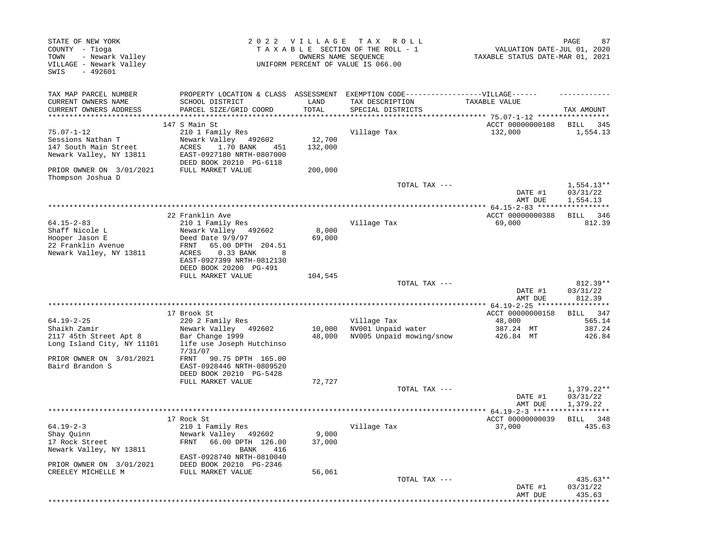| STATE OF NEW YORK<br>COUNTY - Tioga<br>- Newark Valley<br>TOWN<br>VILLAGE - Newark Valley<br>$-492601$<br>SWIS                          |                                                                                                                                                                                                       | 2022 VILLAGE<br>OWNERS NAME SEQUENCE | T A X<br>R O L L<br>TAXABLE SECTION OF THE ROLL - 1<br>UNIFORM PERCENT OF VALUE IS 066.00          | VALUATION DATE-JUL 01, 2020<br>TAXABLE STATUS DATE-MAR 01, 2021                                    | 87<br>PAGE                                |
|-----------------------------------------------------------------------------------------------------------------------------------------|-------------------------------------------------------------------------------------------------------------------------------------------------------------------------------------------------------|--------------------------------------|----------------------------------------------------------------------------------------------------|----------------------------------------------------------------------------------------------------|-------------------------------------------|
| TAX MAP PARCEL NUMBER<br>CURRENT OWNERS NAME<br>CURRENT OWNERS ADDRESS                                                                  | PROPERTY LOCATION & CLASS ASSESSMENT<br>SCHOOL DISTRICT<br>PARCEL SIZE/GRID COORD                                                                                                                     | LAND<br>TOTAL                        | EXEMPTION CODE-----------------VILLAGE------<br>TAX DESCRIPTION<br>SPECIAL DISTRICTS               | TAXABLE VALUE                                                                                      | TAX AMOUNT                                |
| ***********************                                                                                                                 | 147 S Main St                                                                                                                                                                                         |                                      |                                                                                                    | ACCT 00000000108                                                                                   | BILL<br>345                               |
| $75.07 - 1 - 12$<br>Sessions Nathan T<br>147 South Main Street                                                                          | 210 1 Family Res<br>Newark Valley<br>492602<br>ACRES<br>1.70 BANK<br>451                                                                                                                              | 12,700<br>132,000                    | Village Tax                                                                                        | 132,000                                                                                            | 1,554.13                                  |
| Newark Valley, NY 13811<br>PRIOR OWNER ON 3/01/2021                                                                                     | EAST-0927180 NRTH-0807000<br>DEED BOOK 20210 PG-6118<br>FULL MARKET VALUE                                                                                                                             | 200,000                              |                                                                                                    |                                                                                                    |                                           |
| Thompson Joshua D                                                                                                                       |                                                                                                                                                                                                       |                                      | TOTAL TAX ---                                                                                      | DATE #1<br>AMT DUE                                                                                 | $1,554.13**$<br>03/31/22<br>1,554.13      |
|                                                                                                                                         |                                                                                                                                                                                                       |                                      |                                                                                                    |                                                                                                    |                                           |
| $64.15 - 2 - 83$<br>Shaff Nicole L<br>Hooper Jason E<br>22 Franklin Avenue<br>Newark Valley, NY 13811                                   | 22 Franklin Ave<br>210 1 Family Res<br>Newark Valley 492602<br>Deed Date 9/9/97<br>65.00 DPTH 204.51<br>FRNT<br>0.33 BANK<br>ACRES<br>8                                                               | 8,000<br>69,000                      | Village Tax                                                                                        | ACCT 00000000388<br>69,000                                                                         | BILL 346<br>812.39                        |
|                                                                                                                                         | EAST-0927399 NRTH-0812130<br>DEED BOOK 20200 PG-491<br>FULL MARKET VALUE                                                                                                                              | 104,545                              | TOTAL TAX ---                                                                                      | DATE #1                                                                                            | $812.39**$<br>03/31/22                    |
|                                                                                                                                         |                                                                                                                                                                                                       |                                      |                                                                                                    | AMT DUE                                                                                            | 812.39                                    |
| $64.19 - 2 - 25$<br>Shaikh Zamir<br>2117 45th Street Apt 8<br>Long Island City, NY 11101<br>PRIOR OWNER ON 3/01/2021<br>Baird Brandon S | *********************<br>17 Brook St<br>220 2 Family Res<br>Newark Valley 492602<br>Bar Change 1999<br>life use Joseph Hutchinso<br>7/31/07<br>FRNT<br>90.75 DPTH 165.00<br>EAST-0928446 NRTH-0809520 | 10,000<br>48,000                     | *********************************<br>Village Tax<br>NV001 Unpaid water<br>NV005 Unpaid mowing/snow | ************ 64.19-2-25 ******************<br>ACCT 00000000158<br>48,000<br>387.24 MT<br>426.84 MT | 347<br>BILL<br>565.14<br>387.24<br>426.84 |
|                                                                                                                                         | DEED BOOK 20210 PG-5428<br>FULL MARKET VALUE                                                                                                                                                          | 72,727                               |                                                                                                    |                                                                                                    |                                           |
|                                                                                                                                         |                                                                                                                                                                                                       |                                      | TOTAL TAX ---                                                                                      | DATE #1<br>AMT DUE                                                                                 | $1,379.22**$<br>03/31/22<br>1,379.22      |
|                                                                                                                                         | 17 Rock St                                                                                                                                                                                            |                                      |                                                                                                    | **************** 64.19-2-3 *******<br>ACCT 00000000039                                             | ***********<br>BILL<br>348                |
| $64.19 - 2 - 3$<br>Shay Quinn<br>17 Rock Street<br>Newark Valley, NY 13811                                                              | 210 1 Family Res<br>Newark Valley 492602<br>66.00 DPTH 126.00<br>FRNT<br>416<br>BANK                                                                                                                  | 9,000<br>37,000                      | Village Tax                                                                                        | 37,000                                                                                             | 435.63                                    |
| PRIOR OWNER ON 3/01/2021<br>CREELEY MICHELLE M                                                                                          | EAST-0928740 NRTH-0810040<br>DEED BOOK 20210 PG-2346<br>FULL MARKET VALUE                                                                                                                             | 56,061                               |                                                                                                    |                                                                                                    |                                           |
|                                                                                                                                         |                                                                                                                                                                                                       |                                      | TOTAL TAX ---                                                                                      | DATE #1<br>AMT DUE                                                                                 | 435.63**<br>03/31/22<br>435.63            |
|                                                                                                                                         |                                                                                                                                                                                                       |                                      |                                                                                                    | *************************                                                                          |                                           |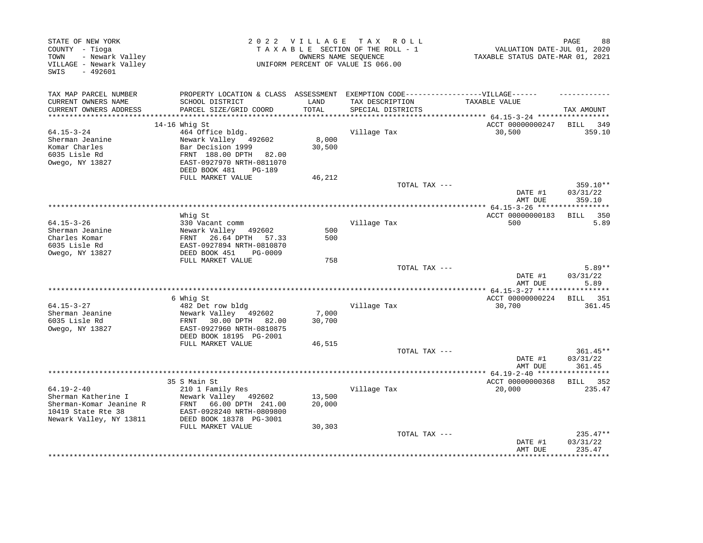| STATE OF NEW YORK<br>COUNTY - Tioga<br>- Newark Valley<br>TOWN<br>VILLAGE - Newark Valley<br>$-492601$<br>SWIS |                                                     | 2022 VILLAGE  | T A X<br>R O L L<br>TAXABLE SECTION OF THE ROLL - 1<br>OWNERS NAME SEQUENCE<br>UNIFORM PERCENT OF VALUE IS 066.00 | VALUATION DATE-JUL 01, 2020<br>TAXABLE STATUS DATE-MAR 01, 2021 | PAGE<br>88           |
|----------------------------------------------------------------------------------------------------------------|-----------------------------------------------------|---------------|-------------------------------------------------------------------------------------------------------------------|-----------------------------------------------------------------|----------------------|
| TAX MAP PARCEL NUMBER                                                                                          | PROPERTY LOCATION & CLASS ASSESSMENT                |               | EXEMPTION CODE------------------VILLAGE------                                                                     |                                                                 |                      |
| CURRENT OWNERS NAME<br>CURRENT OWNERS ADDRESS                                                                  | SCHOOL DISTRICT<br>PARCEL SIZE/GRID COORD           | LAND<br>TOTAL | TAX DESCRIPTION<br>SPECIAL DISTRICTS                                                                              | TAXABLE VALUE                                                   | TAX AMOUNT           |
| *************************                                                                                      |                                                     |               |                                                                                                                   |                                                                 |                      |
|                                                                                                                | $14-16$ Whig St                                     |               |                                                                                                                   | ACCT 00000000247                                                | BILL 349             |
| $64.15 - 3 - 24$                                                                                               | 464 Office bldg.                                    |               | Village Tax                                                                                                       | 30,500                                                          | 359.10               |
| Sherman Jeanine                                                                                                | Newark Valley<br>492602                             | 8,000         |                                                                                                                   |                                                                 |                      |
| Komar Charles                                                                                                  | Bar Decision 1999                                   | 30,500        |                                                                                                                   |                                                                 |                      |
| 6035 Lisle Rd<br>Owego, NY 13827                                                                               | FRNT 188.00 DPTH 82.00<br>EAST-0927970 NRTH-0811070 |               |                                                                                                                   |                                                                 |                      |
|                                                                                                                | DEED BOOK 481<br><b>PG-189</b>                      |               |                                                                                                                   |                                                                 |                      |
|                                                                                                                | FULL MARKET VALUE                                   | 46,212        |                                                                                                                   |                                                                 |                      |
|                                                                                                                |                                                     |               | TOTAL TAX ---                                                                                                     | DATE #1                                                         | 359.10**<br>03/31/22 |
|                                                                                                                |                                                     |               |                                                                                                                   | AMT DUE                                                         | 359.10               |
|                                                                                                                |                                                     |               |                                                                                                                   |                                                                 |                      |
|                                                                                                                | Whig St                                             |               |                                                                                                                   | ACCT 00000000183                                                | BILL 350             |
| $64.15 - 3 - 26$<br>Sherman Jeanine                                                                            | 330 Vacant comm<br>Newark Valley 492602             | 500           | Village Tax                                                                                                       | 500                                                             | 5.89                 |
| Charles Komar                                                                                                  | 26.64 DPTH<br>57.33<br>FRNT                         | 500           |                                                                                                                   |                                                                 |                      |
| 6035 Lisle Rd                                                                                                  | EAST-0927894 NRTH-0810870                           |               |                                                                                                                   |                                                                 |                      |
| Owego, NY 13827                                                                                                | DEED BOOK 451<br>PG-0009                            |               |                                                                                                                   |                                                                 |                      |
|                                                                                                                | FULL MARKET VALUE                                   | 758           |                                                                                                                   |                                                                 |                      |
|                                                                                                                |                                                     |               | TOTAL TAX ---                                                                                                     |                                                                 | $5.89**$             |
|                                                                                                                |                                                     |               |                                                                                                                   | DATE #1<br>AMT DUE                                              | 03/31/22<br>5.89     |
|                                                                                                                |                                                     |               |                                                                                                                   |                                                                 |                      |
| $64.15 - 3 - 27$                                                                                               | 6 Whig St<br>482 Det row bldg                       |               | Village Tax                                                                                                       | ACCT 00000000224<br>30,700                                      | BILL 351<br>361.45   |
| Sherman Jeanine                                                                                                | Newark Valley 492602                                | 7,000         |                                                                                                                   |                                                                 |                      |
| 6035 Lisle Rd                                                                                                  | FRNT<br>30.00 DPTH 82.00                            | 30,700        |                                                                                                                   |                                                                 |                      |
| Owego, NY 13827                                                                                                | EAST-0927960 NRTH-0810875                           |               |                                                                                                                   |                                                                 |                      |
|                                                                                                                | DEED BOOK 18195 PG-2001                             |               |                                                                                                                   |                                                                 |                      |
|                                                                                                                | FULL MARKET VALUE                                   | 46,515        |                                                                                                                   |                                                                 |                      |
|                                                                                                                |                                                     |               | TOTAL TAX ---                                                                                                     |                                                                 | 361.45**             |
|                                                                                                                |                                                     |               |                                                                                                                   | DATE #1<br>AMT DUE                                              | 03/31/22<br>361.45   |
|                                                                                                                |                                                     |               |                                                                                                                   |                                                                 |                      |
|                                                                                                                | 35 S Main St                                        |               |                                                                                                                   | ACCT 00000000368                                                | BILL 352             |
| $64.19 - 2 - 40$                                                                                               | 210 1 Family Res                                    |               | Village Tax                                                                                                       | 20,000                                                          | 235.47               |
| Sherman Katherine I                                                                                            | Newark Valley 492602                                | 13,500        |                                                                                                                   |                                                                 |                      |
| Sherman-Komar Jeanine R                                                                                        | FRNT<br>66.00 DPTH 241.00                           | 20,000        |                                                                                                                   |                                                                 |                      |
| 10419 State Rte 38                                                                                             | EAST-0928240 NRTH-0809800                           |               |                                                                                                                   |                                                                 |                      |
| Newark Valley, NY 13811                                                                                        | DEED BOOK 18378 PG-3001<br>FULL MARKET VALUE        |               |                                                                                                                   |                                                                 |                      |
|                                                                                                                |                                                     | 30,303        | TOTAL TAX ---                                                                                                     |                                                                 | 235.47**             |
|                                                                                                                |                                                     |               |                                                                                                                   | DATE #1<br>AMT DUE                                              | 03/31/22<br>235.47   |
|                                                                                                                |                                                     |               |                                                                                                                   |                                                                 |                      |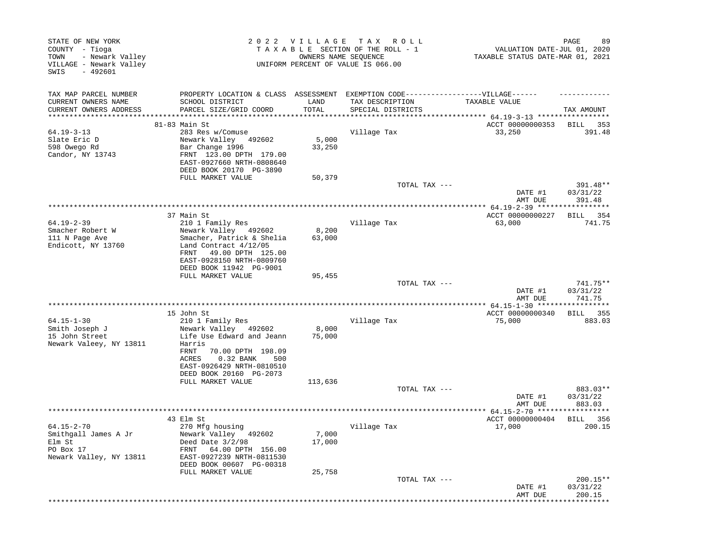| STATE OF NEW YORK<br>COUNTY - Tioga<br>- Newark Valley<br>TOWN<br>VILLAGE - Newark Valley<br>$-492601$<br>SWIS |                                                                                                                                                                                                   | 2022 VILLAGE    | T A X<br>R O L L<br>TAXABLE SECTION OF THE ROLL - 1<br>OWNERS NAME SEQUENCE<br>UNIFORM PERCENT OF VALUE IS 066.00 | VALUATION DATE-JUL 01, 2020<br>TAXABLE STATUS DATE-MAR 01, 2021 | 89<br>PAGE                     |
|----------------------------------------------------------------------------------------------------------------|---------------------------------------------------------------------------------------------------------------------------------------------------------------------------------------------------|-----------------|-------------------------------------------------------------------------------------------------------------------|-----------------------------------------------------------------|--------------------------------|
| TAX MAP PARCEL NUMBER<br>CURRENT OWNERS NAME<br>CURRENT OWNERS ADDRESS<br>***********************              | PROPERTY LOCATION & CLASS ASSESSMENT<br>SCHOOL DISTRICT<br>PARCEL SIZE/GRID COORD                                                                                                                 | LAND<br>TOTAL   | EXEMPTION CODE-----------------VILLAGE------<br>TAX DESCRIPTION<br>SPECIAL DISTRICTS                              | TAXABLE VALUE                                                   | TAX AMOUNT                     |
|                                                                                                                | 81-83 Main St                                                                                                                                                                                     |                 |                                                                                                                   | ACCT 00000000353                                                | BILL<br>353                    |
| $64.19 - 3 - 13$<br>Slate Eric D<br>598 Owego Rd<br>Candor, NY 13743                                           | 283 Res w/Comuse<br>Newark Valley<br>492602<br>Bar Change 1996<br>FRNT 123.00 DPTH 179.00<br>EAST-0927660 NRTH-0808640<br>DEED BOOK 20170 PG-3890                                                 | 5,000<br>33,250 | Village Tax                                                                                                       | 33,250                                                          | 391.48                         |
|                                                                                                                | FULL MARKET VALUE                                                                                                                                                                                 | 50,379          | TOTAL TAX ---                                                                                                     | DATE #1<br>AMT DUE                                              | 391.48**<br>03/31/22<br>391.48 |
|                                                                                                                |                                                                                                                                                                                                   |                 |                                                                                                                   |                                                                 |                                |
| $64.19 - 2 - 39$<br>Smacher Robert W<br>111 N Page Ave<br>Endicott, NY 13760                                   | 37 Main St<br>210 1 Family Res<br>Newark Valley 492602<br>Smacher, Patrick & Shelia<br>Land Contract 4/12/05                                                                                      | 8,200<br>63,000 | Village Tax                                                                                                       | ACCT 00000000227<br>63,000                                      | 354<br>BILL<br>741.75          |
|                                                                                                                | FRNT<br>49.00 DPTH 125.00<br>EAST-0928150 NRTH-0809760<br>DEED BOOK 11942 PG-9001<br>FULL MARKET VALUE                                                                                            | 95,455          | TOTAL TAX ---                                                                                                     |                                                                 | 741.75**                       |
|                                                                                                                |                                                                                                                                                                                                   |                 |                                                                                                                   | DATE #1<br>AMT DUE                                              | 03/31/22<br>741.75             |
|                                                                                                                | 15 John St                                                                                                                                                                                        |                 | *******************************                                                                                   | ************ 64.15-1-30 ******************<br>ACCT 00000000340  | 355<br>BILL                    |
| $64.15 - 1 - 30$<br>Smith Joseph J<br>15 John Street<br>Newark Valeey, NY 13811                                | 210 1 Family Res<br>Newark Valley 492602<br>Life Use Edward and Jeann<br>Harris<br>FRNT<br>70.00 DPTH 198.09<br>0.32 BANK<br>ACRES<br>500<br>EAST-0926429 NRTH-0810510<br>DEED BOOK 20160 PG-2073 | 8,000<br>75,000 | Village Tax                                                                                                       | 75,000                                                          | 883.03                         |
|                                                                                                                | FULL MARKET VALUE                                                                                                                                                                                 | 113,636         |                                                                                                                   |                                                                 |                                |
|                                                                                                                |                                                                                                                                                                                                   |                 | TOTAL TAX ---                                                                                                     | DATE #1<br>AMT DUE                                              | 883.03**<br>03/31/22<br>883.03 |
|                                                                                                                |                                                                                                                                                                                                   |                 |                                                                                                                   | **************** 64.15-2-70 ******************                  |                                |
| $64.15 - 2 - 70$<br>Smithgall James A Jr<br>Elm St<br>PO Box 17<br>Newark Valley, NY 13811                     | 43 Elm St<br>270 Mfg housing<br>Newark Valley 492602<br>Deed Date $3/2/98$<br>64.00 DPTH 156.00<br>FRNT<br>EAST-0927239 NRTH-0811530<br>DEED BOOK 00607 PG-00318                                  | 7,000<br>17,000 | Village Tax                                                                                                       | ACCT 00000000404<br>17,000                                      | BILL<br>- 356<br>200.15        |
|                                                                                                                | FULL MARKET VALUE                                                                                                                                                                                 | 25,758          | TOTAL TAX ---                                                                                                     | DATE #1<br>AMT DUE                                              | 200.15**<br>03/31/22<br>200.15 |
|                                                                                                                |                                                                                                                                                                                                   |                 |                                                                                                                   |                                                                 | **************                 |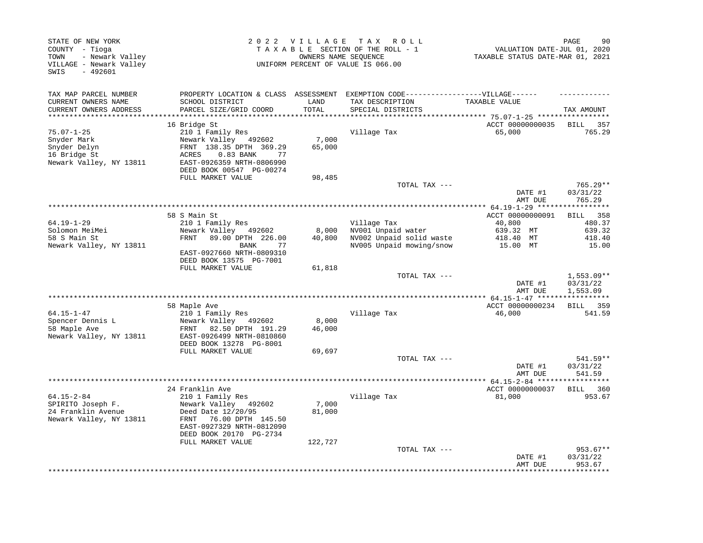| STATE OF NEW YORK<br>COUNTY - Tioga<br>- Newark Valley<br>TOWN<br>VILLAGE - Newark Valley<br>SWIS<br>$-492601$ | 2022 VILLAGE<br>TAX ROLL<br>TAXABLE SECTION OF THE ROLL - 1<br>OWNERS NAME SEOUENCE<br>UNIFORM PERCENT OF VALUE IS 066.00                                |                 |                                                                                           | PAGE<br>90<br>VALUATION DATE-JUL 01, 2020<br>TAXABLE STATUS DATE-MAR 01, 2021 |                                     |  |
|----------------------------------------------------------------------------------------------------------------|----------------------------------------------------------------------------------------------------------------------------------------------------------|-----------------|-------------------------------------------------------------------------------------------|-------------------------------------------------------------------------------|-------------------------------------|--|
| TAX MAP PARCEL NUMBER                                                                                          | PROPERTY LOCATION & CLASS ASSESSMENT                                                                                                                     |                 | EXEMPTION CODE------------------VILLAGE------                                             |                                                                               |                                     |  |
| CURRENT OWNERS NAME<br>CURRENT OWNERS ADDRESS                                                                  | SCHOOL DISTRICT<br>PARCEL SIZE/GRID COORD                                                                                                                | LAND<br>TOTAL   | TAX DESCRIPTION<br>SPECIAL DISTRICTS                                                      | TAXABLE VALUE                                                                 | TAX AMOUNT                          |  |
|                                                                                                                | 16 Bridge St                                                                                                                                             |                 |                                                                                           | ACCT 00000000035                                                              | BILL 357                            |  |
| $75.07 - 1 - 25$<br>Snyder Mark<br>Snyder Delyn<br>16 Bridge St<br>Newark Valley, NY 13811                     | 210 1 Family Res<br>Newark Valley 492602<br>FRNT 138.35 DPTH 369.29<br>ACRES<br>0.83 BANK<br>77<br>EAST-0926359 NRTH-0806990<br>DEED BOOK 00547 PG-00274 | 7,000<br>65,000 | Village Tax                                                                               | 65,000                                                                        | 765.29                              |  |
|                                                                                                                | FULL MARKET VALUE                                                                                                                                        | 98,485          |                                                                                           |                                                                               |                                     |  |
|                                                                                                                |                                                                                                                                                          |                 | TOTAL TAX ---                                                                             | DATE #1<br>AMT DUE                                                            | $765.29**$<br>03/31/22<br>765.29    |  |
|                                                                                                                |                                                                                                                                                          |                 |                                                                                           |                                                                               |                                     |  |
|                                                                                                                | 58 S Main St                                                                                                                                             |                 |                                                                                           | ACCT 00000000091                                                              | <b>BILL</b><br>358                  |  |
| $64.19 - 1 - 29$<br>Solomon MeiMei<br>58 S Main St<br>Newark Valley, NY 13811                                  | 210 1 Family Res<br>Newark Valley<br>492602<br>FRNT<br>89.00 DPTH 226.00<br>77<br><b>BANK</b><br>EAST-0927660 NRTH-0809310<br>DEED BOOK 13575 PG-7001    | 8,000<br>40,800 | Village Tax<br>NV001 Unpaid water<br>NV002 Unpaid solid waste<br>NV005 Unpaid mowing/snow | 40,800<br>639.32 MT<br>418.40 MT<br>15.00 MT                                  | 480.37<br>639.32<br>418.40<br>15.00 |  |
|                                                                                                                | FULL MARKET VALUE                                                                                                                                        | 61,818          | TOTAL TAX ---                                                                             |                                                                               | 1,553.09**                          |  |
|                                                                                                                |                                                                                                                                                          |                 |                                                                                           | DATE #1<br>AMT DUE                                                            | 03/31/22<br>1,553.09                |  |
|                                                                                                                |                                                                                                                                                          |                 |                                                                                           |                                                                               |                                     |  |
| $64.15 - 1 - 47$                                                                                               | 58 Maple Ave                                                                                                                                             |                 |                                                                                           | ACCT 00000000234                                                              | BILL 359                            |  |
| Spencer Dennis L<br>58 Maple Ave<br>Newark Valley, NY 13811                                                    | 210 1 Family Res<br>Newark Valley 492602<br>FRNT<br>82.50 DPTH 191.29<br>EAST-0926499 NRTH-0810860<br>DEED BOOK 13278 PG-8001                            | 8,000<br>46,000 | Village Tax                                                                               | 46,000                                                                        | 541.59                              |  |
|                                                                                                                | FULL MARKET VALUE                                                                                                                                        | 69,697          |                                                                                           |                                                                               |                                     |  |
|                                                                                                                |                                                                                                                                                          |                 | TOTAL TAX ---                                                                             | DATE #1<br>AMT DUE                                                            | $541.59**$<br>03/31/22<br>541.59    |  |
|                                                                                                                |                                                                                                                                                          |                 |                                                                                           | ******* 64.15-2-84 *****                                                      | **********                          |  |
| $64.15 - 2 - 84$                                                                                               | 24 Franklin Ave                                                                                                                                          |                 |                                                                                           | ACCT 00000000037<br>81,000                                                    | 360<br><b>BILL</b><br>953.67        |  |
| SPIRITO Joseph F.<br>24 Franklin Avenue<br>Newark Valley, NY 13811                                             | 210 1 Family Res<br>Newark Valley 492602<br>Deed Date 12/20/95<br>FRNT<br>76.00 DPTH 145.50<br>EAST-0927329 NRTH-0812090<br>DEED BOOK 20170 PG-2734      | 7,000<br>81,000 | Village Tax                                                                               |                                                                               |                                     |  |
|                                                                                                                | FULL MARKET VALUE                                                                                                                                        | 122,727         | TOTAL TAX ---                                                                             | DATE #1                                                                       | 953.67**<br>03/31/22                |  |
|                                                                                                                |                                                                                                                                                          |                 |                                                                                           | AMT DUE                                                                       | 953.67<br>***********               |  |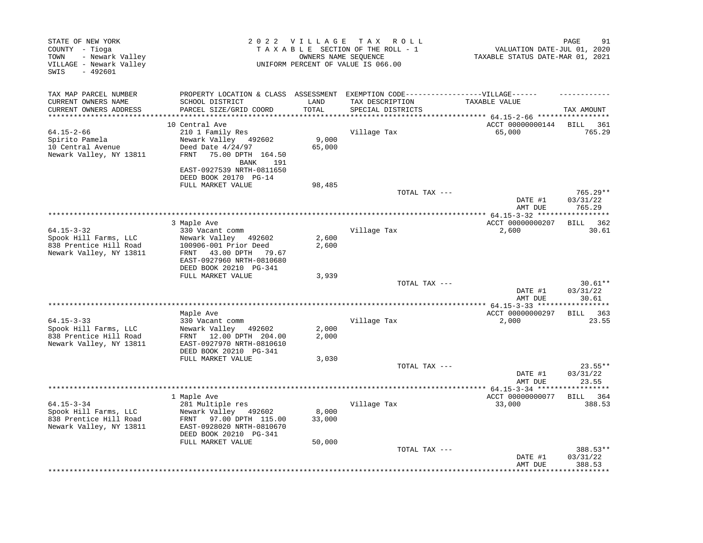| STATE OF NEW YORK<br>COUNTY - Tioga<br>- Newark Valley<br>TOWN<br>VILLAGE - Newark Valley<br>SWIS<br>$-492601$ |                                                         | 2022 VILLAGE | T A X<br>R O L L<br>TAXABLE SECTION OF THE ROLL - 1<br>OWNERS NAME SEOUENCE<br>UNIFORM PERCENT OF VALUE IS 066.00 | VALUATION DATE-JUL 01, 2020<br>TAXABLE STATUS DATE-MAR 01, 2021 | 91<br>PAGE           |
|----------------------------------------------------------------------------------------------------------------|---------------------------------------------------------|--------------|-------------------------------------------------------------------------------------------------------------------|-----------------------------------------------------------------|----------------------|
| TAX MAP PARCEL NUMBER<br>CURRENT OWNERS NAME                                                                   | PROPERTY LOCATION & CLASS ASSESSMENT<br>SCHOOL DISTRICT | LAND         | EXEMPTION CODE------------------VILLAGE------<br>TAX DESCRIPTION                                                  | TAXABLE VALUE                                                   |                      |
| CURRENT OWNERS ADDRESS                                                                                         | PARCEL SIZE/GRID COORD                                  | TOTAL        | SPECIAL DISTRICTS                                                                                                 |                                                                 | TAX AMOUNT           |
| ************************                                                                                       |                                                         |              |                                                                                                                   |                                                                 |                      |
|                                                                                                                | 10 Central Ave                                          |              |                                                                                                                   | ACCT 00000000144                                                | 361<br>BILL          |
| $64.15 - 2 - 66$<br>Spirito Pamela                                                                             | 210 1 Family Res<br>Newark Valley 492602                | 9,000        | Village Tax                                                                                                       | 65,000                                                          | 765.29               |
| 10 Central Avenue                                                                                              | Deed Date $4/24/97$                                     | 65,000       |                                                                                                                   |                                                                 |                      |
| Newark Valley, NY 13811                                                                                        | FRNT<br>75.00 DPTH 164.50<br><b>BANK</b><br>191         |              |                                                                                                                   |                                                                 |                      |
|                                                                                                                | EAST-0927539 NRTH-0811650<br>DEED BOOK 20170 PG-14      |              |                                                                                                                   |                                                                 |                      |
|                                                                                                                | FULL MARKET VALUE                                       | 98,485       | TOTAL TAX ---                                                                                                     |                                                                 | 765.29**             |
|                                                                                                                |                                                         |              |                                                                                                                   | DATE #1<br>AMT DUE                                              | 03/31/22<br>765.29   |
|                                                                                                                |                                                         |              |                                                                                                                   | ************ 64.15-3-32 *****                                   | *******              |
| $64.15 - 3 - 32$                                                                                               | 3 Maple Ave<br>330 Vacant comm                          |              | Village Tax                                                                                                       | ACCT 00000000207<br>2,600                                       | BILL<br>362<br>30.61 |
| Spook Hill Farms, LLC                                                                                          | Newark Valley<br>492602                                 | 2,600        |                                                                                                                   |                                                                 |                      |
| 838 Prentice Hill Road                                                                                         | 100906-001 Prior Deed                                   | 2,600        |                                                                                                                   |                                                                 |                      |
| Newark Valley, NY 13811                                                                                        | FRNT<br>43.00 DPTH<br>79.67                             |              |                                                                                                                   |                                                                 |                      |
|                                                                                                                | EAST-0927960 NRTH-0810680<br>DEED BOOK 20210 PG-341     |              |                                                                                                                   |                                                                 |                      |
|                                                                                                                | FULL MARKET VALUE                                       | 3,939        |                                                                                                                   |                                                                 |                      |
|                                                                                                                |                                                         |              | TOTAL TAX ---                                                                                                     |                                                                 | $30.61**$            |
|                                                                                                                |                                                         |              |                                                                                                                   | DATE #1                                                         | 03/31/22             |
|                                                                                                                |                                                         |              |                                                                                                                   | AMT DUE                                                         | 30.61                |
|                                                                                                                | Maple Ave                                               |              |                                                                                                                   | **** 64.15-3-33 ***<br>ACCT 00000000297                         | 363<br>BILL          |
| $64.15 - 3 - 33$                                                                                               | 330 Vacant comm                                         |              | Village Tax                                                                                                       | 2,000                                                           | 23.55                |
| Spook Hill Farms, LLC                                                                                          | Newark Valley 492602                                    | 2,000        |                                                                                                                   |                                                                 |                      |
| 838 Prentice Hill Road                                                                                         | FRNT 12.00 DPTH 204.00                                  | 2,000        |                                                                                                                   |                                                                 |                      |
| Newark Valley, NY 13811                                                                                        | EAST-0927970 NRTH-0810610                               |              |                                                                                                                   |                                                                 |                      |
|                                                                                                                | DEED BOOK 20210 PG-341<br>FULL MARKET VALUE             | 3,030        |                                                                                                                   |                                                                 |                      |
|                                                                                                                |                                                         |              | TOTAL TAX ---                                                                                                     |                                                                 | $23.55**$            |
|                                                                                                                |                                                         |              |                                                                                                                   | DATE #1                                                         | 03/31/22             |
|                                                                                                                |                                                         |              | **********************                                                                                            | AMT DUE                                                         | 23.55                |
|                                                                                                                | 1 Maple Ave                                             |              |                                                                                                                   | * $64.15 - 3 - 34$ *****<br>ACCT 00000000077                    | BILL 364             |
| $64.15 - 3 - 34$                                                                                               | 281 Multiple res                                        |              | Village Tax                                                                                                       | 33,000                                                          | 388.53               |
| Spook Hill Farms, LLC                                                                                          | Newark Valley 492602                                    | 8,000        |                                                                                                                   |                                                                 |                      |
| 838 Prentice Hill Road                                                                                         | FRNT 97.00 DPTH 115.00                                  | 33,000       |                                                                                                                   |                                                                 |                      |
| Newark Valley, NY 13811                                                                                        | EAST-0928020 NRTH-0810670                               |              |                                                                                                                   |                                                                 |                      |
|                                                                                                                | DEED BOOK 20210 PG-341<br>FULL MARKET VALUE             | 50,000       |                                                                                                                   |                                                                 |                      |
|                                                                                                                |                                                         |              | TOTAL TAX ---                                                                                                     |                                                                 | 388.53**             |
|                                                                                                                |                                                         |              |                                                                                                                   | DATE #1<br>AMT DUE                                              | 03/31/22<br>388.53   |
|                                                                                                                |                                                         |              |                                                                                                                   |                                                                 |                      |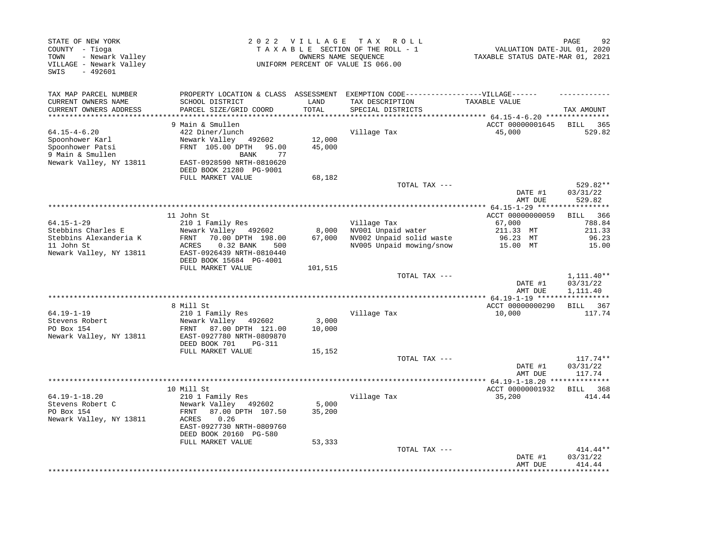| STATE OF NEW YORK<br>COUNTY - Tioga<br>- Newark Valley<br>TOWN<br>VILLAGE - Newark Valley<br>$-492601$<br>SWIS |                                                                                                                                                            | 2022 VILLAGE     | T A X<br>ROLL ROLL<br>TAXABLE SECTION OF THE ROLL - 1<br>OWNERS NAME SEQUENCE<br>UNIFORM PERCENT OF VALUE IS 066.00       | VALUATION DATE-JUL 01, 2020<br>TAXABLE STATUS DATE-MAR 01, 2021 | PAGE<br>92                         |
|----------------------------------------------------------------------------------------------------------------|------------------------------------------------------------------------------------------------------------------------------------------------------------|------------------|---------------------------------------------------------------------------------------------------------------------------|-----------------------------------------------------------------|------------------------------------|
| TAX MAP PARCEL NUMBER<br>CURRENT OWNERS NAME<br>CURRENT OWNERS ADDRESS                                         | SCHOOL DISTRICT<br>PARCEL SIZE/GRID COORD                                                                                                                  | LAND<br>TOTAL    | PROPERTY LOCATION & CLASS ASSESSMENT EXEMPTION CODE-----------------VILLAGE------<br>TAX DESCRIPTION<br>SPECIAL DISTRICTS | TAXABLE VALUE                                                   | TAX AMOUNT                         |
| *******************                                                                                            | **************************                                                                                                                                 |                  |                                                                                                                           | ******** 64.15-4-6.20 ****************                          |                                    |
|                                                                                                                | 9 Main & Smullen                                                                                                                                           |                  |                                                                                                                           | ACCT 00000001645                                                | BILL<br>365                        |
| $64.15 - 4 - 6.20$<br>Spoonhower Karl<br>Spoonhower Patsi<br>9 Main & Smullen<br>Newark Valley, NY 13811       | 422 Diner/lunch<br>Newark Valley 492602<br>FRNT 105.00 DPTH 95.00<br>77<br>BANK<br>EAST-0928590 NRTH-0810620                                               | 12,000<br>45,000 | Village Tax                                                                                                               | 45,000                                                          | 529.82                             |
|                                                                                                                | DEED BOOK 21280 PG-9001                                                                                                                                    |                  |                                                                                                                           |                                                                 |                                    |
|                                                                                                                | FULL MARKET VALUE                                                                                                                                          | 68,182           | TOTAL TAX ---                                                                                                             | DATE #1                                                         | 529.82**<br>03/31/22               |
|                                                                                                                |                                                                                                                                                            |                  |                                                                                                                           | AMT DUE                                                         | 529.82                             |
|                                                                                                                | 11 John St                                                                                                                                                 |                  |                                                                                                                           | ACCT 00000000059                                                | ***********<br><b>BILL</b><br>366  |
| $64.15 - 1 - 29$<br>Stebbins Charles E<br>Stebbins Alexanderia K<br>11 John St<br>Newark Valley, NY 13811      | 210 1 Family Res<br>Newark Valley 492602<br>FRNT<br>70.00 DPTH 198.00<br>0.32 BANK<br>ACRES<br>500<br>EAST-0926439 NRTH-0810440<br>DEED BOOK 15684 PG-4001 | 8,000<br>67,000  | Village Tax<br>NV001 Unpaid water<br>NV002 Unpaid solid waste<br>NV005 Unpaid mowing/snow                                 | 67,000<br>211.33 MT<br>96.23 MT<br>15.00 MT                     | 788.84<br>211.33<br>96.23<br>15.00 |
|                                                                                                                | FULL MARKET VALUE                                                                                                                                          | 101,515          | TOTAL TAX ---                                                                                                             | DATE #1                                                         | 1,111.40**<br>03/31/22             |
|                                                                                                                |                                                                                                                                                            |                  |                                                                                                                           | AMT DUE                                                         | 1,111.40                           |
|                                                                                                                | 8 Mill St                                                                                                                                                  |                  |                                                                                                                           | ACCT 00000000290                                                | BILL 367                           |
| $64.19 - 1 - 19$<br>Stevens Robert<br>PO Box 154<br>Newark Valley, NY 13811                                    | 210 1 Family Res<br>Newark Valley 492602<br>87.00 DPTH 121.00<br>FRNT<br>EAST-0927780 NRTH-0809870<br>DEED BOOK 701<br><b>PG-311</b>                       | 3,000<br>10,000  | Village Tax                                                                                                               | 10,000                                                          | 117.74                             |
|                                                                                                                | FULL MARKET VALUE                                                                                                                                          | 15,152           |                                                                                                                           |                                                                 |                                    |
|                                                                                                                |                                                                                                                                                            |                  | TOTAL TAX ---                                                                                                             | DATE #1<br>AMT DUE                                              | $117.74**$<br>03/31/22<br>117.74   |
|                                                                                                                |                                                                                                                                                            |                  |                                                                                                                           |                                                                 |                                    |
| $64.19 - 1 - 18.20$                                                                                            | 10 Mill St<br>210 1 Family Res                                                                                                                             |                  | Village Tax                                                                                                               | ACCT 00000001932<br>35,200                                      | BILL 368<br>414.44                 |
| Stevens Robert C<br>PO Box 154<br>Newark Valley, NY 13811                                                      | Newark Valley 492602<br>87.00 DPTH 107.50<br>FRNT<br>ACRES<br>0.26<br>EAST-0927730 NRTH-0809760<br>DEED BOOK 20160 PG-580                                  | 5,000<br>35,200  |                                                                                                                           |                                                                 |                                    |
|                                                                                                                | FULL MARKET VALUE                                                                                                                                          | 53,333           | TOTAL TAX ---                                                                                                             | DATE #1<br>AMT DUE                                              | 414.44**<br>03/31/22<br>414.44     |
|                                                                                                                |                                                                                                                                                            |                  |                                                                                                                           |                                                                 |                                    |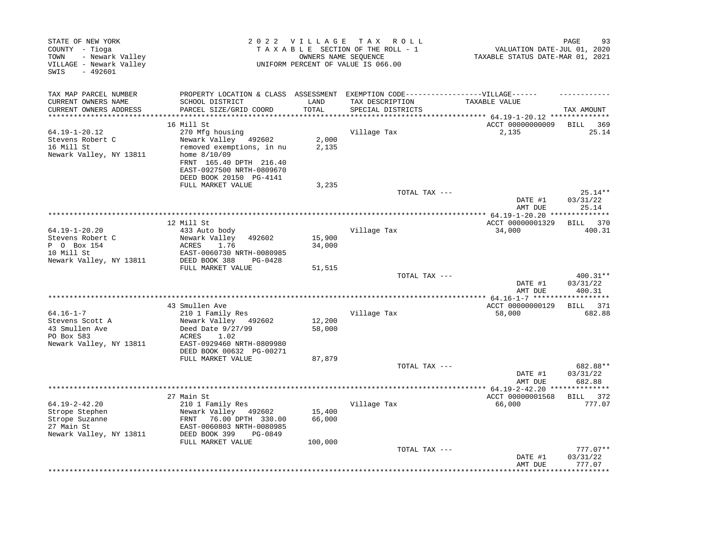| STATE OF NEW YORK<br>COUNTY - Tioga<br>TOWN<br>- Newark Valley<br>VILLAGE - Newark Valley<br>SWIS<br>$-492601$ |                                                       | 2022 VILLAGE TAX | R O L L<br>TAXABLE SECTION OF THE ROLL - 1<br>OWNERS NAME SEOUENCE<br>UNIFORM PERCENT OF VALUE IS 066.00 | VALUATION DATE-JUL 01, 2020<br>TAXABLE STATUS DATE-MAR 01, 2021 | PAGE<br>93           |
|----------------------------------------------------------------------------------------------------------------|-------------------------------------------------------|------------------|----------------------------------------------------------------------------------------------------------|-----------------------------------------------------------------|----------------------|
| TAX MAP PARCEL NUMBER                                                                                          | PROPERTY LOCATION & CLASS ASSESSMENT                  |                  | EXEMPTION CODE------------------VILLAGE------                                                            |                                                                 |                      |
| CURRENT OWNERS NAME                                                                                            | SCHOOL DISTRICT                                       | LAND             | TAX DESCRIPTION                                                                                          | TAXABLE VALUE                                                   |                      |
| CURRENT OWNERS ADDRESS<br>**************************                                                           | PARCEL SIZE/GRID COORD                                | TOTAL            | SPECIAL DISTRICTS                                                                                        |                                                                 | TAX AMOUNT           |
|                                                                                                                | 16 Mill St                                            |                  |                                                                                                          | ACCT 00000000009                                                | BILL<br>- 369        |
| 64.19-1-20.12                                                                                                  | 270 Mfg housing                                       |                  | Village Tax                                                                                              | 2,135                                                           | 25.14                |
| Stevens Robert C                                                                                               | Newark Valley 492602                                  | 2,000            |                                                                                                          |                                                                 |                      |
| 16 Mill St                                                                                                     | removed exemptions, in nu                             | 2,135            |                                                                                                          |                                                                 |                      |
| Newark Valley, NY 13811                                                                                        | home $8/10/09$                                        |                  |                                                                                                          |                                                                 |                      |
|                                                                                                                | FRNT 165.40 DPTH 216.40                               |                  |                                                                                                          |                                                                 |                      |
|                                                                                                                | EAST-0927500 NRTH-0809670                             |                  |                                                                                                          |                                                                 |                      |
|                                                                                                                | DEED BOOK 20150 PG-4141                               |                  |                                                                                                          |                                                                 |                      |
|                                                                                                                | FULL MARKET VALUE                                     | 3,235            | TOTAL TAX ---                                                                                            |                                                                 | $25.14**$            |
|                                                                                                                |                                                       |                  |                                                                                                          | DATE #1                                                         | 03/31/22             |
|                                                                                                                |                                                       |                  |                                                                                                          | AMT DUE                                                         | 25.14                |
|                                                                                                                |                                                       |                  |                                                                                                          |                                                                 | ********             |
|                                                                                                                | 12 Mill St                                            |                  |                                                                                                          | ACCT 00000001329                                                | BILL 370             |
| $64.19 - 1 - 20.20$                                                                                            | 433 Auto body                                         |                  | Village Tax                                                                                              | 34,000                                                          | 400.31               |
| Stevens Robert C                                                                                               | Newark Valley<br>492602                               | 15,900           |                                                                                                          |                                                                 |                      |
| P 0 Box 154<br>10 Mill St                                                                                      | 1.76<br>ACRES<br>EAST-0060730 NRTH-0080985            | 34,000           |                                                                                                          |                                                                 |                      |
| Newark Valley, NY 13811                                                                                        | DEED BOOK 388<br>PG-0428                              |                  |                                                                                                          |                                                                 |                      |
|                                                                                                                | FULL MARKET VALUE                                     | 51,515           |                                                                                                          |                                                                 |                      |
|                                                                                                                |                                                       |                  | TOTAL TAX ---                                                                                            |                                                                 | 400.31**             |
|                                                                                                                |                                                       |                  |                                                                                                          | DATE #1                                                         | 03/31/22             |
|                                                                                                                |                                                       |                  |                                                                                                          | AMT DUE                                                         | 400.31               |
|                                                                                                                |                                                       |                  |                                                                                                          |                                                                 |                      |
| $64.16 - 1 - 7$                                                                                                | 43 Smullen Ave<br>210 1 Family Res                    |                  | Village Tax                                                                                              | ACCT 00000000129<br>58,000                                      | BILL 371<br>682.88   |
| Stevens Scott A                                                                                                | Newark Valley 492602                                  | 12,200           |                                                                                                          |                                                                 |                      |
| 43 Smullen Ave                                                                                                 | Deed Date 9/27/99                                     | 58,000           |                                                                                                          |                                                                 |                      |
| PO Box 583                                                                                                     | ACRES<br>1.02                                         |                  |                                                                                                          |                                                                 |                      |
| Newark Valley, NY 13811                                                                                        | EAST-0929460 NRTH-0809980                             |                  |                                                                                                          |                                                                 |                      |
|                                                                                                                | DEED BOOK 00632 PG-00271                              |                  |                                                                                                          |                                                                 |                      |
|                                                                                                                | FULL MARKET VALUE                                     | 87,879           |                                                                                                          |                                                                 |                      |
|                                                                                                                |                                                       |                  | TOTAL TAX ---                                                                                            | DATE #1                                                         | 682.88**<br>03/31/22 |
|                                                                                                                |                                                       |                  |                                                                                                          | AMT DUE                                                         | 682.88               |
|                                                                                                                |                                                       |                  |                                                                                                          | **** 64.19-2-42.20 *****                                        | * * * * * * * * *    |
|                                                                                                                | 27 Main St                                            |                  |                                                                                                          | ACCT 00000001568                                                | BILL 372             |
| $64.19 - 2 - 42.20$                                                                                            | 210 1 Family Res                                      |                  | Village Tax                                                                                              | 66,000                                                          | 777.07               |
| Strope Stephen                                                                                                 | Newark Valley 492602                                  | 15,400           |                                                                                                          |                                                                 |                      |
| Strope Suzanne                                                                                                 | FRNT<br>76.00 DPTH 330.00                             | 66,000           |                                                                                                          |                                                                 |                      |
| 27 Main St                                                                                                     | EAST-0060803 NRTH-0080985<br>DEED BOOK 399<br>PG-0849 |                  |                                                                                                          |                                                                 |                      |
| Newark Valley, NY 13811                                                                                        | FULL MARKET VALUE                                     | 100,000          |                                                                                                          |                                                                 |                      |
|                                                                                                                |                                                       |                  | TOTAL TAX ---                                                                                            |                                                                 | $777.07**$           |
|                                                                                                                |                                                       |                  |                                                                                                          | DATE #1                                                         | 03/31/22             |
|                                                                                                                |                                                       |                  |                                                                                                          | AMT DUE                                                         | 777.07               |
|                                                                                                                |                                                       |                  |                                                                                                          |                                                                 |                      |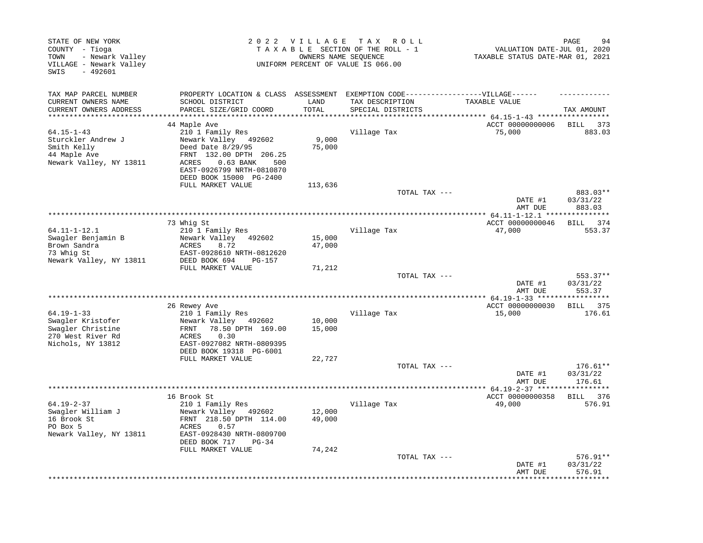| PROPERTY LOCATION & CLASS ASSESSMENT<br>SCHOOL DISTRICT<br>PARCEL SIZE/GRID COORD<br>44 Maple Ave | LAND<br>TOTAL<br>******                                                                                                                                                                                                                                                                                                                                                                                                                                                                                                                                                                                                                                                          | EXEMPTION CODE------------------VILLAGE------<br>TAX DESCRIPTION |                                                   |                                                                                                                                                                                                                             |
|---------------------------------------------------------------------------------------------------|----------------------------------------------------------------------------------------------------------------------------------------------------------------------------------------------------------------------------------------------------------------------------------------------------------------------------------------------------------------------------------------------------------------------------------------------------------------------------------------------------------------------------------------------------------------------------------------------------------------------------------------------------------------------------------|------------------------------------------------------------------|---------------------------------------------------|-----------------------------------------------------------------------------------------------------------------------------------------------------------------------------------------------------------------------------|
|                                                                                                   |                                                                                                                                                                                                                                                                                                                                                                                                                                                                                                                                                                                                                                                                                  |                                                                  | TAXABLE VALUE                                     |                                                                                                                                                                                                                             |
|                                                                                                   |                                                                                                                                                                                                                                                                                                                                                                                                                                                                                                                                                                                                                                                                                  | SPECIAL DISTRICTS                                                |                                                   | TAX AMOUNT                                                                                                                                                                                                                  |
|                                                                                                   |                                                                                                                                                                                                                                                                                                                                                                                                                                                                                                                                                                                                                                                                                  |                                                                  | ***** $64.15 - 1 - 43$ ******<br>ACCT 00000000006 | <b>BILL</b><br>373                                                                                                                                                                                                          |
| $0.63$ BANK<br>500                                                                                | 9,000<br>75,000                                                                                                                                                                                                                                                                                                                                                                                                                                                                                                                                                                                                                                                                  | Village Tax                                                      | 75,000                                            | 883.03                                                                                                                                                                                                                      |
|                                                                                                   | 113,636                                                                                                                                                                                                                                                                                                                                                                                                                                                                                                                                                                                                                                                                          |                                                                  |                                                   |                                                                                                                                                                                                                             |
|                                                                                                   |                                                                                                                                                                                                                                                                                                                                                                                                                                                                                                                                                                                                                                                                                  |                                                                  | DATE #1                                           | 883.03**<br>03/31/22<br>883.03                                                                                                                                                                                              |
|                                                                                                   |                                                                                                                                                                                                                                                                                                                                                                                                                                                                                                                                                                                                                                                                                  |                                                                  |                                                   | * * * * * * * * *                                                                                                                                                                                                           |
|                                                                                                   |                                                                                                                                                                                                                                                                                                                                                                                                                                                                                                                                                                                                                                                                                  |                                                                  | ACCT 00000000046                                  | 374<br>BILL                                                                                                                                                                                                                 |
|                                                                                                   |                                                                                                                                                                                                                                                                                                                                                                                                                                                                                                                                                                                                                                                                                  |                                                                  |                                                   | 553.37                                                                                                                                                                                                                      |
|                                                                                                   |                                                                                                                                                                                                                                                                                                                                                                                                                                                                                                                                                                                                                                                                                  |                                                                  |                                                   |                                                                                                                                                                                                                             |
|                                                                                                   |                                                                                                                                                                                                                                                                                                                                                                                                                                                                                                                                                                                                                                                                                  |                                                                  |                                                   |                                                                                                                                                                                                                             |
| <b>PG-157</b>                                                                                     |                                                                                                                                                                                                                                                                                                                                                                                                                                                                                                                                                                                                                                                                                  |                                                                  |                                                   |                                                                                                                                                                                                                             |
|                                                                                                   | 71,212                                                                                                                                                                                                                                                                                                                                                                                                                                                                                                                                                                                                                                                                           |                                                                  |                                                   |                                                                                                                                                                                                                             |
|                                                                                                   |                                                                                                                                                                                                                                                                                                                                                                                                                                                                                                                                                                                                                                                                                  |                                                                  | DATE #1                                           | 553.37**<br>03/31/22<br>553.37                                                                                                                                                                                              |
|                                                                                                   |                                                                                                                                                                                                                                                                                                                                                                                                                                                                                                                                                                                                                                                                                  |                                                                  |                                                   | * * * * * * * * *                                                                                                                                                                                                           |
|                                                                                                   |                                                                                                                                                                                                                                                                                                                                                                                                                                                                                                                                                                                                                                                                                  |                                                                  | ACCT 00000000030                                  | BILL 375                                                                                                                                                                                                                    |
|                                                                                                   |                                                                                                                                                                                                                                                                                                                                                                                                                                                                                                                                                                                                                                                                                  |                                                                  |                                                   | 176.61                                                                                                                                                                                                                      |
|                                                                                                   |                                                                                                                                                                                                                                                                                                                                                                                                                                                                                                                                                                                                                                                                                  |                                                                  |                                                   |                                                                                                                                                                                                                             |
| 0.30                                                                                              |                                                                                                                                                                                                                                                                                                                                                                                                                                                                                                                                                                                                                                                                                  |                                                                  |                                                   |                                                                                                                                                                                                                             |
|                                                                                                   |                                                                                                                                                                                                                                                                                                                                                                                                                                                                                                                                                                                                                                                                                  |                                                                  |                                                   |                                                                                                                                                                                                                             |
|                                                                                                   |                                                                                                                                                                                                                                                                                                                                                                                                                                                                                                                                                                                                                                                                                  |                                                                  |                                                   | $176.61**$                                                                                                                                                                                                                  |
|                                                                                                   |                                                                                                                                                                                                                                                                                                                                                                                                                                                                                                                                                                                                                                                                                  |                                                                  | DATE #1<br>AMT DUE                                | 03/31/22<br>176.61                                                                                                                                                                                                          |
|                                                                                                   |                                                                                                                                                                                                                                                                                                                                                                                                                                                                                                                                                                                                                                                                                  |                                                                  |                                                   |                                                                                                                                                                                                                             |
|                                                                                                   |                                                                                                                                                                                                                                                                                                                                                                                                                                                                                                                                                                                                                                                                                  |                                                                  |                                                   | BILL 376<br>576.91                                                                                                                                                                                                          |
| 0.57<br>$PG-34$                                                                                   | 12,000<br>49,000                                                                                                                                                                                                                                                                                                                                                                                                                                                                                                                                                                                                                                                                 |                                                                  |                                                   |                                                                                                                                                                                                                             |
|                                                                                                   |                                                                                                                                                                                                                                                                                                                                                                                                                                                                                                                                                                                                                                                                                  |                                                                  | DATE #1<br>AMT DUE                                | $576.91**$<br>03/31/22<br>576.91                                                                                                                                                                                            |
|                                                                                                   | 210 1 Family Res<br>Newark Valley 492602<br>Deed Date 8/29/95<br>FRNT 132.00 DPTH 206.25<br>ACRES<br>EAST-0926799 NRTH-0810870<br>DEED BOOK 15000 PG-2400<br>FULL MARKET VALUE<br>73 Whig St<br>210 1 Family Res<br>Newark Valley<br>492602<br>8.72<br>ACRES<br>EAST-0928610 NRTH-0812620<br>DEED BOOK 694<br>FULL MARKET VALUE<br>26 Rewey Ave<br>210 1 Family Res<br>Newark Valley 492602<br>78.50 DPTH 169.00<br>FRNT<br>ACRES<br>EAST-0927082 NRTH-0809395<br>DEED BOOK 19318 PG-6001<br>FULL MARKET VALUE<br>16 Brook St<br>210 1 Family Res<br>Newark Valley 492602<br>FRNT 218.50 DPTH 114.00<br>ACRES<br>EAST-0928430 NRTH-0809700<br>DEED BOOK 717<br>FULL MARKET VALUE | 15,000<br>47,000<br>10,000<br>15,000<br>22,727<br>74,242         | Village Tax<br>Village Tax<br>Village Tax         | TOTAL TAX ---<br>AMT DUE<br>************* 64.11-1-12.1 ******<br>47,000<br>TOTAL TAX ---<br>AMT DUE<br>15,000<br>TOTAL TAX ---<br>************ 64.19-2-37 ******************<br>ACCT 00000000358<br>49,000<br>TOTAL TAX --- |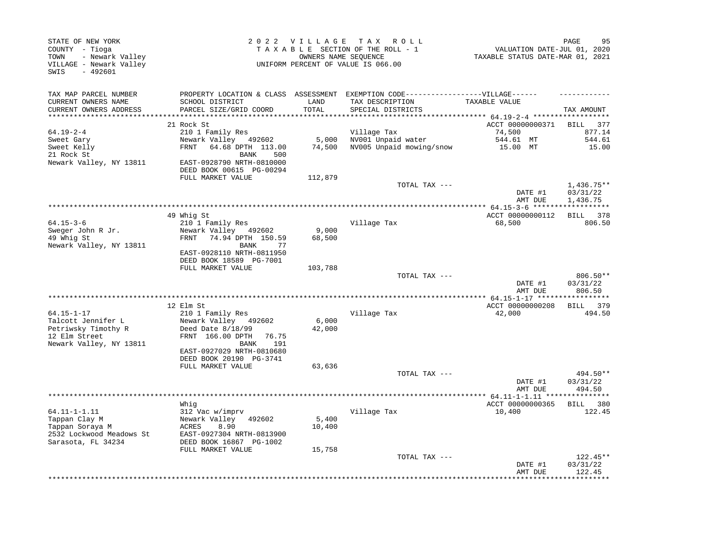| STATE OF NEW YORK<br>COUNTY - Tioga<br>- Newark Valley<br>TOWN<br>VILLAGE - Newark Valley<br>SWIS<br>$-492601$ |                                                                                                                     | 2022 VILLAGE    | TAX ROLL<br>TAXABLE SECTION OF THE ROLL - 1<br>OWNERS NAME SEQUENCE<br>UNIFORM PERCENT OF VALUE IS 066.00                 | VALUATION DATE-JUL 01, 2020<br>TAXABLE STATUS DATE-MAR 01, 2021 | PAGE<br>95                           |
|----------------------------------------------------------------------------------------------------------------|---------------------------------------------------------------------------------------------------------------------|-----------------|---------------------------------------------------------------------------------------------------------------------------|-----------------------------------------------------------------|--------------------------------------|
| TAX MAP PARCEL NUMBER<br>CURRENT OWNERS NAME<br>CURRENT OWNERS ADDRESS                                         | SCHOOL DISTRICT<br>PARCEL SIZE/GRID COORD                                                                           | LAND<br>TOTAL   | PROPERTY LOCATION & CLASS ASSESSMENT EXEMPTION CODE-----------------VILLAGE------<br>TAX DESCRIPTION<br>SPECIAL DISTRICTS | TAXABLE VALUE                                                   | TAX AMOUNT                           |
|                                                                                                                |                                                                                                                     |                 |                                                                                                                           | ******** 64.19-2-4 *******************                          |                                      |
|                                                                                                                | 21 Rock St                                                                                                          |                 |                                                                                                                           | ACCT 00000000371                                                | - 377<br>BILL                        |
| $64.19 - 2 - 4$                                                                                                | 210 1 Family Res                                                                                                    |                 | Village Tax                                                                                                               | 74,500                                                          | 877.14                               |
| Sweet Gary<br>Sweet Kelly<br>21 Rock St                                                                        | Newark Valley 492602<br>FRNT 64.68 DPTH 113.00<br>500<br>BANK                                                       | 5,000<br>74,500 | NV001 Unpaid water<br>NV005 Unpaid mowing/snow                                                                            | 544.61 MT<br>15.00 MT                                           | 544.61<br>15.00                      |
| Newark Valley, NY 13811                                                                                        | EAST-0928790 NRTH-0810000<br>DEED BOOK 00615 PG-00294<br>FULL MARKET VALUE                                          | 112,879         |                                                                                                                           |                                                                 |                                      |
|                                                                                                                |                                                                                                                     |                 | TOTAL TAX ---                                                                                                             | DATE #1<br>AMT DUE                                              | $1,436.75**$<br>03/31/22<br>1,436.75 |
|                                                                                                                |                                                                                                                     |                 |                                                                                                                           |                                                                 |                                      |
| $64.15 - 3 - 6$                                                                                                | 49 Whig St<br>210 1 Family Res                                                                                      |                 | Village Tax                                                                                                               | ACCT 00000000112<br>68,500                                      | BILL 378<br>806.50                   |
| Sweger John R Jr.<br>49 Whig St                                                                                | Newark Valley 492602<br>FRNT 74.94 DPTH 150.59                                                                      | 9,000           |                                                                                                                           |                                                                 |                                      |
| Newark Valley, NY 13811                                                                                        | BANK<br>77<br>EAST-0928110 NRTH-0811950<br>DEED BOOK 18589 PG-7001                                                  | 68,500          |                                                                                                                           |                                                                 |                                      |
|                                                                                                                | FULL MARKET VALUE                                                                                                   | 103,788         |                                                                                                                           |                                                                 |                                      |
|                                                                                                                |                                                                                                                     |                 | TOTAL TAX ---                                                                                                             | DATE #1<br>AMT DUE                                              | 806.50**<br>03/31/22<br>806.50       |
|                                                                                                                |                                                                                                                     |                 |                                                                                                                           | ************ 64.15-1-17 ********                                | * * * * * * * * *                    |
|                                                                                                                | 12 Elm St                                                                                                           |                 |                                                                                                                           | ACCT 00000000208                                                | BILL 379                             |
| $64.15 - 1 - 17$<br>Talcott Jennifer L                                                                         | 210 1 Family Res<br>Newark Valley 492602                                                                            | 6,000           | Village Tax                                                                                                               | 42,000                                                          | 494.50                               |
| Petriwsky Timothy R<br>12 Elm Street<br>Newark Valley, NY 13811                                                | Deed Date 8/18/99<br>FRNT 166.00 DPTH<br>76.75<br>191<br>BANK<br>EAST-0927029 NRTH-0810680                          | 42,000          |                                                                                                                           |                                                                 |                                      |
|                                                                                                                | DEED BOOK 20190 PG-3741<br>FULL MARKET VALUE                                                                        | 63,636          |                                                                                                                           |                                                                 |                                      |
|                                                                                                                |                                                                                                                     |                 | TOTAL TAX ---                                                                                                             | DATE #1<br>AMT DUE                                              | 494.50**<br>03/31/22<br>494.50       |
|                                                                                                                |                                                                                                                     |                 |                                                                                                                           |                                                                 |                                      |
|                                                                                                                | Whiq                                                                                                                |                 |                                                                                                                           | ACCT 00000000365                                                | BILL 380                             |
| 64.11-1-1.11<br>Tappan Clay M<br>Tappan Soraya M<br>2532 Lockwood Meadows St<br>Sarasota, FL 34234             | 312 Vac w/imprv<br>Newark Valley<br>492602<br>8.90<br>ACRES<br>EAST-0927304 NRTH-0813900<br>DEED BOOK 16867 PG-1002 | 5,400<br>10,400 | Village Tax                                                                                                               | 10,400                                                          | 122.45                               |
|                                                                                                                | FULL MARKET VALUE                                                                                                   | 15,758          |                                                                                                                           |                                                                 |                                      |
|                                                                                                                |                                                                                                                     |                 | TOTAL TAX ---                                                                                                             | DATE #1<br>AMT DUE                                              | $122.45**$<br>03/31/22<br>122.45     |
|                                                                                                                |                                                                                                                     |                 |                                                                                                                           |                                                                 |                                      |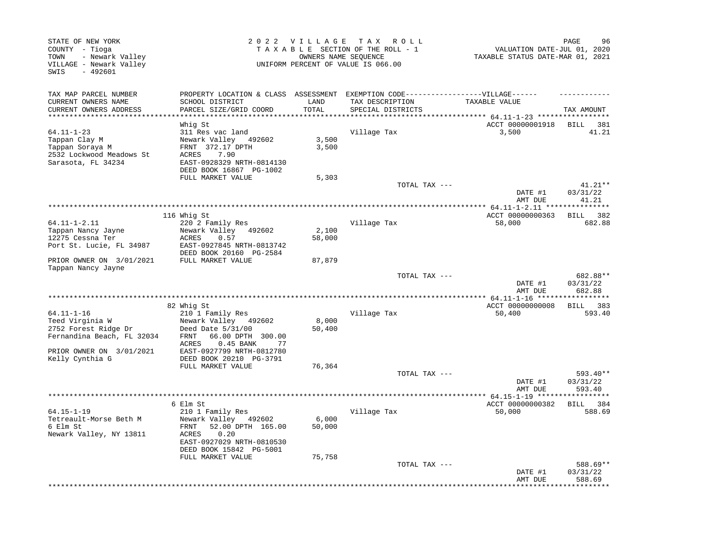| STATE OF NEW YORK<br>COUNTY - Tioga<br>- Newark Valley<br>TOWN<br>VILLAGE - Newark Valley<br>$-492601$<br>SWIS |                                                                                                                                                            | 2022 VILLAGE    | T A X<br>R O L L<br>TAXABLE SECTION OF THE ROLL - 1<br>OWNERS NAME SEOUENCE<br>UNIFORM PERCENT OF VALUE IS 066.00 | VALUATION DATE-JUL 01, 2020<br>TAXABLE STATUS DATE-MAR 01, 2021 | PAGE<br>96                     |
|----------------------------------------------------------------------------------------------------------------|------------------------------------------------------------------------------------------------------------------------------------------------------------|-----------------|-------------------------------------------------------------------------------------------------------------------|-----------------------------------------------------------------|--------------------------------|
| TAX MAP PARCEL NUMBER<br>CURRENT OWNERS NAME<br>CURRENT OWNERS ADDRESS                                         | PROPERTY LOCATION & CLASS ASSESSMENT<br>SCHOOL DISTRICT<br>PARCEL SIZE/GRID COORD                                                                          | LAND<br>TOTAL   | EXEMPTION CODE------------------VILLAGE------<br>TAX DESCRIPTION<br>SPECIAL DISTRICTS                             | TAXABLE VALUE                                                   | TAX AMOUNT                     |
|                                                                                                                | Whig St                                                                                                                                                    |                 |                                                                                                                   | ******* 64.11-1-23 ***********<br>ACCT 00000001918              | BILL<br>381                    |
| $64.11 - 1 - 23$<br>Tappan Clay M<br>Tappan Soraya M<br>2532 Lockwood Meadows St<br>Sarasota, FL 34234         | 311 Res vac land<br>Newark Valley 492602<br>FRNT 372.17 DPTH<br>7.90<br>ACRES<br>EAST-0928329 NRTH-0814130<br>DEED BOOK 16867 PG-1002                      | 3,500<br>3,500  | Village Tax                                                                                                       | 3,500                                                           | 41.21                          |
|                                                                                                                | FULL MARKET VALUE                                                                                                                                          | 5,303           |                                                                                                                   |                                                                 |                                |
|                                                                                                                |                                                                                                                                                            |                 | TOTAL TAX ---                                                                                                     | DATE #1<br>AMT DUE                                              | $41.21**$<br>03/31/22<br>41.21 |
|                                                                                                                |                                                                                                                                                            |                 |                                                                                                                   | ** 64.11-1-2.11 ***                                             | *******                        |
|                                                                                                                | 116 Whig St                                                                                                                                                |                 |                                                                                                                   | ACCT 00000000363                                                | 382<br>BILL                    |
| $64.11 - 1 - 2.11$<br>Tappan Nancy Jayne                                                                       | 220 2 Family Res<br>Newark Valley 492602                                                                                                                   | 2,100           | Village Tax                                                                                                       | 58,000                                                          | 682.88                         |
| 12275 Cessna Ter                                                                                               | ACRES<br>0.57                                                                                                                                              | 58,000          |                                                                                                                   |                                                                 |                                |
| Port St. Lucie, FL 34987                                                                                       | EAST-0927845 NRTH-0813742<br>DEED BOOK 20160 PG-2584                                                                                                       |                 |                                                                                                                   |                                                                 |                                |
| PRIOR OWNER ON 3/01/2021<br>Tappan Nancy Jayne                                                                 | FULL MARKET VALUE                                                                                                                                          | 87,879          |                                                                                                                   |                                                                 |                                |
|                                                                                                                |                                                                                                                                                            |                 | TOTAL TAX ---                                                                                                     | DATE #1<br>AMT DUE                                              | 682.88**<br>03/31/22<br>682.88 |
|                                                                                                                |                                                                                                                                                            |                 |                                                                                                                   |                                                                 |                                |
| $64.11 - 1 - 16$                                                                                               | 82 Whig St<br>210 1 Family Res                                                                                                                             |                 | Village Tax                                                                                                       | ACCT 00000000008<br>50,400                                      | BILL 383<br>593.40             |
| Teed Virginia W<br>2752 Forest Ridge Dr<br>Fernandina Beach, FL 32034<br>PRIOR OWNER ON 3/01/2021              | Newark Valley 492602<br>Deed Date 5/31/00<br>66.00 DPTH 300.00<br>FRNT<br>0.45 BANK<br>ACRES<br>77<br>EAST-0927799 NRTH-0812780                            | 8,000<br>50,400 |                                                                                                                   |                                                                 |                                |
| Kelly Cynthia G                                                                                                | DEED BOOK 20210 PG-3791                                                                                                                                    |                 |                                                                                                                   |                                                                 |                                |
|                                                                                                                | FULL MARKET VALUE                                                                                                                                          | 76,364          |                                                                                                                   |                                                                 |                                |
|                                                                                                                |                                                                                                                                                            |                 | TOTAL TAX ---                                                                                                     | DATE #1<br>AMT DUE                                              | 593.40**<br>03/31/22<br>593.40 |
|                                                                                                                |                                                                                                                                                            |                 |                                                                                                                   | ************** 64.15-1-19 ****                                  |                                |
| $64.15 - 1 - 19$<br>Tetreault-Morse Beth M<br>6 Elm St<br>Newark Valley, NY 13811                              | 6 Elm St<br>210 1 Family Res<br>Newark Valley 492602<br>52.00 DPTH 165.00<br>FRNT<br>0.20<br>ACRES<br>EAST-0927029 NRTH-0810530<br>DEED BOOK 15842 PG-5001 | 6,000<br>50,000 | Village Tax                                                                                                       | ACCT 00000000382<br>50,000                                      | 384<br><b>BILL</b><br>588.69   |
|                                                                                                                | FULL MARKET VALUE                                                                                                                                          | 75,758          | TOTAL TAX ---                                                                                                     | DATE #1<br>AMT DUE                                              | 588.69**<br>03/31/22<br>588.69 |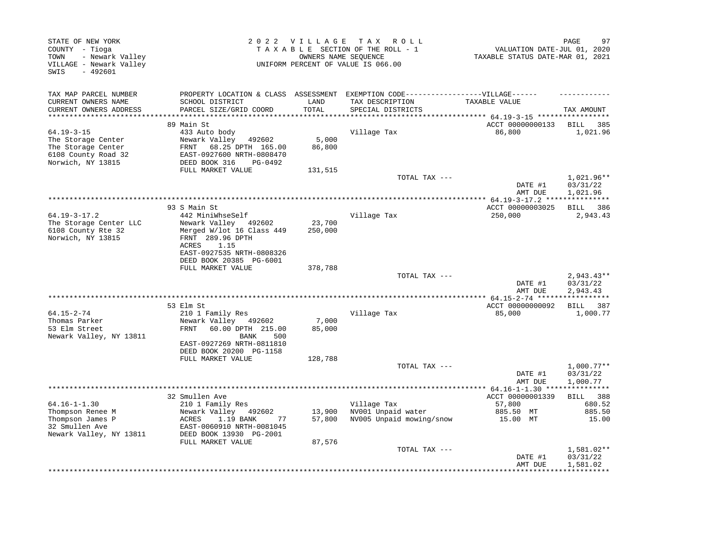| STATE OF NEW YORK<br>COUNTY - Tioga<br>- Newark Valley<br>TOWN<br>VILLAGE - Newark Valley<br>SWIS<br>$-492601$ |                                                                                                                                                                    | 2022 VILLAGE TAX ROLL<br>TAXABLE SECTION OF THE ROLL - 1<br>OWNERS NAME SEQUENCE<br>UNIFORM PERCENT OF VALUE IS 066.00 |                                                                                  |                                                          | 97<br>PAGE<br>VALUATION DATE-JUL 01, 2020<br>TAXABLE STATUS DATE-MAR 01, 2021 |
|----------------------------------------------------------------------------------------------------------------|--------------------------------------------------------------------------------------------------------------------------------------------------------------------|------------------------------------------------------------------------------------------------------------------------|----------------------------------------------------------------------------------|----------------------------------------------------------|-------------------------------------------------------------------------------|
| TAX MAP PARCEL NUMBER                                                                                          |                                                                                                                                                                    |                                                                                                                        | PROPERTY LOCATION & CLASS ASSESSMENT EXEMPTION CODE----------------VILLAGE------ |                                                          |                                                                               |
| CURRENT OWNERS NAME<br>CURRENT OWNERS ADDRESS<br>******************                                            | SCHOOL DISTRICT<br>PARCEL SIZE/GRID COORD                                                                                                                          | LAND<br>TOTAL<br>******                                                                                                | TAX DESCRIPTION<br>SPECIAL DISTRICTS                                             | TAXABLE VALUE<br>******** 64.19-3-15 *****************   | TAX AMOUNT                                                                    |
|                                                                                                                | 89 Main St                                                                                                                                                         |                                                                                                                        |                                                                                  | ACCT 00000000133                                         | 385<br>BILL                                                                   |
| $64.19 - 3 - 15$<br>The Storage Center<br>The Storage Center<br>6108 County Road 32<br>Norwich, NY 13815       | 433 Auto body<br>Newark Valley<br>492602<br>68.25 DPTH 165.00<br>FRNT<br>EAST-0927600 NRTH-0808470<br>DEED BOOK 316<br>PG-0492                                     | 5,000<br>86,800                                                                                                        | Village Tax                                                                      | 86,800                                                   | 1,021.96                                                                      |
|                                                                                                                | FULL MARKET VALUE                                                                                                                                                  | 131,515                                                                                                                | TOTAL TAX ---                                                                    | DATE #1                                                  | 1,021.96**<br>03/31/22                                                        |
|                                                                                                                |                                                                                                                                                                    |                                                                                                                        |                                                                                  | AMT DUE                                                  | 1,021.96                                                                      |
|                                                                                                                | 93 S Main St                                                                                                                                                       |                                                                                                                        |                                                                                  | ACCT 00000003025                                         | BILL 386                                                                      |
| $64.19 - 3 - 17.2$<br>The Storage Center LLC<br>6108 County Rte 32<br>Norwich, NY 13815                        | 442 MiniWhseSelf<br>Newark Valley 492602<br>Merged W/lot 16 Class 449<br>FRNT 289.96 DPTH<br>ACRES<br>1.15<br>EAST-0927535 NRTH-0808326<br>DEED BOOK 20385 PG-6001 | 23,700<br>250,000                                                                                                      | Village Tax                                                                      | 250,000                                                  | 2,943.43                                                                      |
|                                                                                                                | FULL MARKET VALUE                                                                                                                                                  | 378,788                                                                                                                |                                                                                  |                                                          |                                                                               |
|                                                                                                                |                                                                                                                                                                    |                                                                                                                        | TOTAL TAX ---                                                                    | DATE #1<br>AMT DUE                                       | $2,943.43**$<br>03/31/22<br>2,943.43                                          |
|                                                                                                                | 53 Elm St                                                                                                                                                          |                                                                                                                        | ************************                                                         | ****** 64.15-2-74 ******************<br>ACCT 00000000092 | BILL 387                                                                      |
| $64.15 - 2 - 74$<br>Thomas Parker<br>53 Elm Street<br>Newark Valley, NY 13811                                  | 210 1 Family Res<br>Newark Valley<br>492602<br>60.00 DPTH 215.00<br>FRNT<br>BANK<br>500<br>EAST-0927269 NRTH-0811810<br>DEED BOOK 20200 PG-1158                    | 7,000<br>85,000                                                                                                        | Village Tax                                                                      | 85,000                                                   | 1,000.77                                                                      |
|                                                                                                                | FULL MARKET VALUE                                                                                                                                                  | 128,788                                                                                                                |                                                                                  |                                                          |                                                                               |
|                                                                                                                |                                                                                                                                                                    |                                                                                                                        | TOTAL TAX ---                                                                    | DATE #1<br>AMT DUE                                       | $1,000.77**$<br>03/31/22<br>1,000.77                                          |
|                                                                                                                | 32 Smullen Ave                                                                                                                                                     |                                                                                                                        | ******************************                                                   | ***** $64.16 - 1 - 1.30$ ****<br>ACCT 00000001339        | ***********<br>BILL 388                                                       |
| $64.16 - 1 - 1.30$<br>Thompson Renee M<br>Thompson James P<br>32 Smullen Ave<br>Newark Valley, NY 13811        | 210 1 Family Res<br>Newark Valley 492602<br>ACRES<br>1.19 BANK<br>77<br>EAST-0060910 NRTH-0081045<br>DEED BOOK 13930 PG-2001<br>FULL MARKET VALUE                  | 13,900<br>57,800<br>87,576                                                                                             | Village Tax<br>NV001 Unpaid water<br>NV005 Unpaid mowing/snow                    | 57,800<br>885.50 MT<br>15.00 MT                          | 680.52<br>885.50<br>15.00                                                     |
|                                                                                                                |                                                                                                                                                                    |                                                                                                                        | TOTAL TAX ---                                                                    | DATE #1<br>AMT DUE                                       | 1,581.02**<br>03/31/22<br>1,581.02                                            |
|                                                                                                                |                                                                                                                                                                    |                                                                                                                        |                                                                                  |                                                          |                                                                               |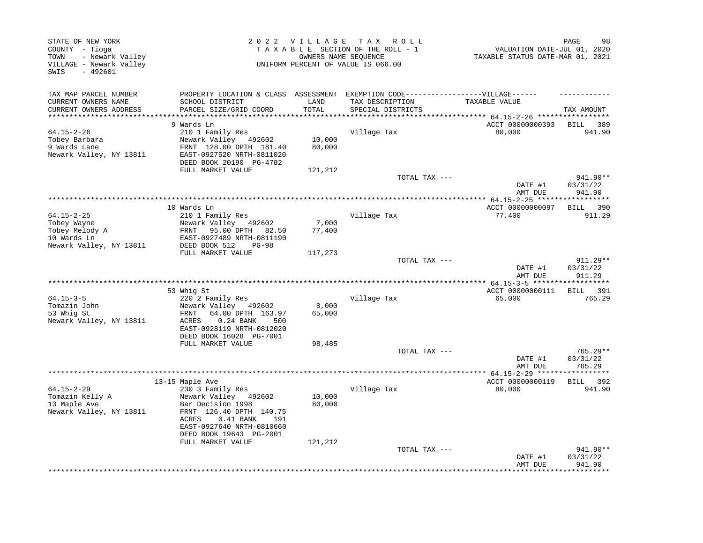| STATE OF NEW YORK<br>COUNTY - Tioga<br>- Newark Valley<br>TOWN<br>VILLAGE - Newark Valley<br>$-492601$<br>SWIS |                                               | 2022 VILLAGE<br>TAX ROLL<br>TAXABLE SECTION OF THE ROLL - 1<br>OWNERS NAME SEQUENCE<br>UNIFORM PERCENT OF VALUE IS 066.00 |                                              |                                | 98<br>PAGE<br>VALUATION DATE-JUL 01, 2020<br>TAXABLE STATUS DATE-MAR 01, 2021 |  |
|----------------------------------------------------------------------------------------------------------------|-----------------------------------------------|---------------------------------------------------------------------------------------------------------------------------|----------------------------------------------|--------------------------------|-------------------------------------------------------------------------------|--|
| TAX MAP PARCEL NUMBER                                                                                          | PROPERTY LOCATION & CLASS ASSESSMENT          |                                                                                                                           | EXEMPTION CODE-----------------VILLAGE------ |                                |                                                                               |  |
| CURRENT OWNERS NAME<br>CURRENT OWNERS ADDRESS                                                                  | SCHOOL DISTRICT<br>PARCEL SIZE/GRID COORD     | LAND<br>TOTAL                                                                                                             | TAX DESCRIPTION<br>SPECIAL DISTRICTS         | TAXABLE VALUE                  | TAX AMOUNT                                                                    |  |
| ********************                                                                                           | ************************                      | * * * * * * * * * *                                                                                                       |                                              |                                |                                                                               |  |
| $64.15 - 2 - 26$                                                                                               | 9 Wards Ln<br>210 1 Family Res                |                                                                                                                           | Village Tax                                  | ACCT 00000000393<br>80,000     | BILL<br>389<br>941.90                                                         |  |
| Tobey Barbara                                                                                                  | Newark Valley 492602                          | 10,000                                                                                                                    |                                              |                                |                                                                               |  |
| 9 Wards Lane                                                                                                   | FRNT 128.00 DPTH 181.40                       | 80,000                                                                                                                    |                                              |                                |                                                                               |  |
| Newark Valley, NY 13811                                                                                        | EAST-0927520 NRTH-0811020                     |                                                                                                                           |                                              |                                |                                                                               |  |
|                                                                                                                | DEED BOOK 20190 PG-4782                       |                                                                                                                           |                                              |                                |                                                                               |  |
|                                                                                                                | FULL MARKET VALUE                             | 121,212                                                                                                                   | TOTAL TAX ---                                |                                | 941.90**                                                                      |  |
|                                                                                                                |                                               |                                                                                                                           |                                              | DATE #1                        | 03/31/22                                                                      |  |
|                                                                                                                |                                               |                                                                                                                           | *************************                    | AMT DUE<br>** 64.15-2-25 ***** | 941.90                                                                        |  |
|                                                                                                                | 10 Wards Ln                                   |                                                                                                                           |                                              | ACCT 00000000097               | 390<br>BILL                                                                   |  |
| $64.15 - 2 - 25$                                                                                               | 210 1 Family Res                              |                                                                                                                           | Village Tax                                  | 77,400                         | 911.29                                                                        |  |
| Tobey Wayne                                                                                                    | Newark Valley 492602                          | 7,000                                                                                                                     |                                              |                                |                                                                               |  |
| Tobey Melody A                                                                                                 | FRNT 95.00 DPTH<br>82.50                      | 77,400                                                                                                                    |                                              |                                |                                                                               |  |
| 10 Wards Ln                                                                                                    | EAST-0927489 NRTH-0811190                     |                                                                                                                           |                                              |                                |                                                                               |  |
| Newark Valley, NY 13811                                                                                        | DEED BOOK 512<br>$PG-98$<br>FULL MARKET VALUE | 117,273                                                                                                                   |                                              |                                |                                                                               |  |
|                                                                                                                |                                               |                                                                                                                           | TOTAL TAX ---                                |                                | 911.29**                                                                      |  |
|                                                                                                                |                                               |                                                                                                                           |                                              | DATE #1<br>AMT DUE             | 03/31/22<br>911.29                                                            |  |
|                                                                                                                |                                               |                                                                                                                           |                                              |                                | ***********                                                                   |  |
|                                                                                                                | 53 Whig St                                    |                                                                                                                           |                                              | ACCT 00000000111               | BILL 391                                                                      |  |
| $64.15 - 3 - 5$<br>Tomazin John                                                                                | 220 2 Family Res<br>Newark Valley 492602      | 8,000                                                                                                                     | Village Tax                                  | 65,000                         | 765.29                                                                        |  |
| 53 Whig St                                                                                                     | FRNT<br>64.00 DPTH 163.97                     | 65,000                                                                                                                    |                                              |                                |                                                                               |  |
| Newark Valley, NY 13811                                                                                        | ACRES<br>$0.24$ BANK<br>500                   |                                                                                                                           |                                              |                                |                                                                               |  |
|                                                                                                                | EAST-0928119 NRTH-0812020                     |                                                                                                                           |                                              |                                |                                                                               |  |
|                                                                                                                | DEED BOOK 16028 PG-7001                       |                                                                                                                           |                                              |                                |                                                                               |  |
|                                                                                                                | FULL MARKET VALUE                             | 98,485                                                                                                                    | TOTAL TAX ---                                |                                | 765.29**                                                                      |  |
|                                                                                                                |                                               |                                                                                                                           |                                              | DATE #1                        | 03/31/22                                                                      |  |
|                                                                                                                |                                               |                                                                                                                           |                                              | AMT DUE                        | 765.29                                                                        |  |
|                                                                                                                |                                               |                                                                                                                           |                                              |                                | ********                                                                      |  |
|                                                                                                                | 13-15 Maple Ave                               |                                                                                                                           |                                              | ACCT 00000000119               | <b>BILL</b><br>392                                                            |  |
| $64.15 - 2 - 29$<br>Tomazin Kelly A                                                                            | 230 3 Family Res<br>Newark Valley 492602      | 10,000                                                                                                                    | Village Tax                                  | 80,000                         | 941.90                                                                        |  |
| 13 Maple Ave                                                                                                   | Bar Decision 1998                             | 80,000                                                                                                                    |                                              |                                |                                                                               |  |
| Newark Valley, NY 13811                                                                                        | FRNT 126.40 DPTH 140.75                       |                                                                                                                           |                                              |                                |                                                                               |  |
|                                                                                                                | ACRES<br>$0.41$ BANK<br>191                   |                                                                                                                           |                                              |                                |                                                                               |  |
|                                                                                                                | EAST-0927640 NRTH-0810660                     |                                                                                                                           |                                              |                                |                                                                               |  |
|                                                                                                                | DEED BOOK 19643 PG-2001                       |                                                                                                                           |                                              |                                |                                                                               |  |
|                                                                                                                | FULL MARKET VALUE                             | 121,212                                                                                                                   | TOTAL TAX ---                                |                                | 941.90**                                                                      |  |
|                                                                                                                |                                               |                                                                                                                           |                                              | DATE #1<br>AMT DUE             | 03/31/22<br>941.90                                                            |  |
|                                                                                                                |                                               |                                                                                                                           |                                              |                                |                                                                               |  |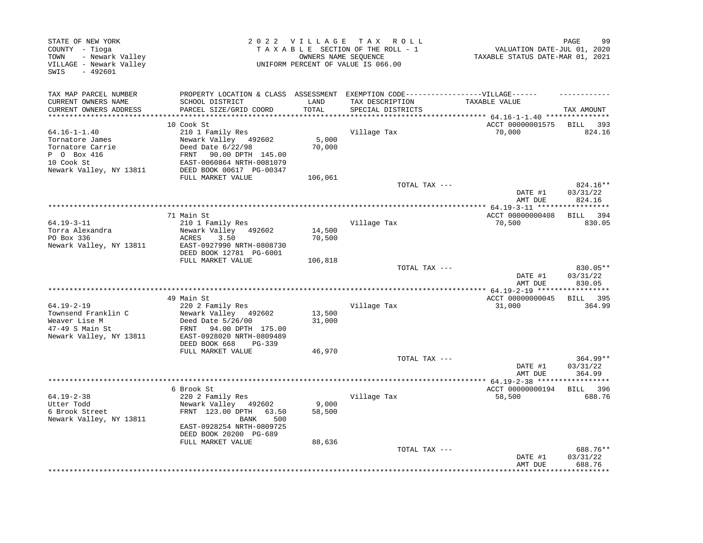| STATE OF NEW YORK<br>COUNTY - Tioga<br>- Newark Valley<br>TOWN<br>VILLAGE - Newark Valley<br>SWIS<br>$-492601$    |                                                                                                                                                        |                  | 2022 VILLAGE TAX ROLL<br>TAXABLE SECTION OF THE ROLL - 1<br>OWNERS NAME SEQUENCE<br>UNIFORM PERCENT OF VALUE IS 066.00 | VALUATION DATE-JUL 01, 2020<br>TAXABLE STATUS DATE-MAR 01, 2021 | PAGE<br>99                     |
|-------------------------------------------------------------------------------------------------------------------|--------------------------------------------------------------------------------------------------------------------------------------------------------|------------------|------------------------------------------------------------------------------------------------------------------------|-----------------------------------------------------------------|--------------------------------|
| TAX MAP PARCEL NUMBER<br>CURRENT OWNERS NAME<br>CURRENT OWNERS ADDRESS                                            | PROPERTY LOCATION & CLASS ASSESSMENT EXEMPTION CODE-----------------VILLAGE------<br>SCHOOL DISTRICT<br>PARCEL SIZE/GRID COORD                         | LAND<br>TOTAL    | TAX DESCRIPTION<br>SPECIAL DISTRICTS                                                                                   | TAXABLE VALUE                                                   | TAX AMOUNT                     |
|                                                                                                                   |                                                                                                                                                        |                  |                                                                                                                        | ************ 64.16-1-1.40 ****************                      |                                |
|                                                                                                                   | 10 Cook St                                                                                                                                             |                  |                                                                                                                        | ACCT 00000001575                                                | BILL 393                       |
| $64.16 - 1 - 1.40$<br>Tornatore James<br>Tornatore Carrie<br>P 0 Box 416<br>10 Cook St<br>Newark Valley, NY 13811 | 210 1 Family Res<br>Newark Valley 492602<br>Deed Date 6/22/98<br>FRNT<br>90.00 DPTH 145.00<br>EAST-0060864 NRTH-0081079<br>DEED BOOK 00617 PG-00347    | 5,000<br>70,000  | Village Tax                                                                                                            | 70,000                                                          | 824.16                         |
|                                                                                                                   | FULL MARKET VALUE                                                                                                                                      | 106,061          |                                                                                                                        |                                                                 |                                |
|                                                                                                                   |                                                                                                                                                        |                  | TOTAL TAX ---                                                                                                          | DATE #1<br>AMT DUE                                              | 824.16**<br>03/31/22<br>824.16 |
|                                                                                                                   |                                                                                                                                                        |                  |                                                                                                                        | **************** 64.19-3-11 *****                               | * * * * * * * * * *            |
|                                                                                                                   | 71 Main St                                                                                                                                             |                  |                                                                                                                        | ACCT 00000000408                                                | BILL 394                       |
| $64.19 - 3 - 11$<br>Torra Alexandra<br>PO Box 336<br>Newark Valley, NY 13811                                      | 210 1 Family Res<br>Newark Valley 492602<br>ACRES<br>3.50<br>EAST-0927990 NRTH-0808730<br>DEED BOOK 12781 PG-6001                                      | 14,500<br>70,500 | Village Tax                                                                                                            | 70,500                                                          | 830.05                         |
|                                                                                                                   | FULL MARKET VALUE                                                                                                                                      | 106,818          |                                                                                                                        |                                                                 |                                |
|                                                                                                                   |                                                                                                                                                        |                  | TOTAL TAX ---                                                                                                          | DATE #1<br>AMT DUE                                              | 830.05**<br>03/31/22<br>830.05 |
|                                                                                                                   |                                                                                                                                                        |                  |                                                                                                                        |                                                                 |                                |
|                                                                                                                   | 49 Main St                                                                                                                                             |                  |                                                                                                                        | ACCT 00000000045                                                | BILL 395                       |
| 64.19-2-19<br>Townsend Franklin C<br>Weaver Lise M<br>47-49 S Main St<br>Newark Valley, NY 13811                  | 220 2 Family Res<br>Newark Valley 492602<br>Deed Date 5/26/00<br>FRNT 94.00 DPTH 175.00<br>EAST-0928020 NRTH-0809489<br>DEED BOOK 668<br>PG-339        | 13,500<br>31,000 | Village Tax                                                                                                            | 31,000                                                          | 364.99                         |
|                                                                                                                   | FULL MARKET VALUE                                                                                                                                      | 46,970           | TOTAL TAX ---                                                                                                          |                                                                 | $364.99**$                     |
|                                                                                                                   |                                                                                                                                                        |                  |                                                                                                                        | DATE #1<br>AMT DUE                                              | 03/31/22<br>364.99             |
|                                                                                                                   |                                                                                                                                                        |                  |                                                                                                                        |                                                                 |                                |
| $64.19 - 2 - 38$<br>Utter Todd<br>6 Brook Street<br>Newark Valley, NY 13811                                       | 6 Brook St<br>220 2 Family Res<br>Newark Valley 492602<br>FRNT 123.00 DPTH 63.50<br>BANK<br>500<br>EAST-0928254 NRTH-0809725<br>DEED BOOK 20200 PG-689 | 9,000<br>58,500  | Village Tax                                                                                                            | ACCT 00000000194<br>58,500                                      | BILL 396<br>688.76             |
|                                                                                                                   |                                                                                                                                                        |                  | TOTAL TAX ---                                                                                                          | DATE #1<br>AMT DUE                                              | 688.76**<br>03/31/22<br>688.76 |
|                                                                                                                   | FULL MARKET VALUE                                                                                                                                      | 88,636           |                                                                                                                        |                                                                 |                                |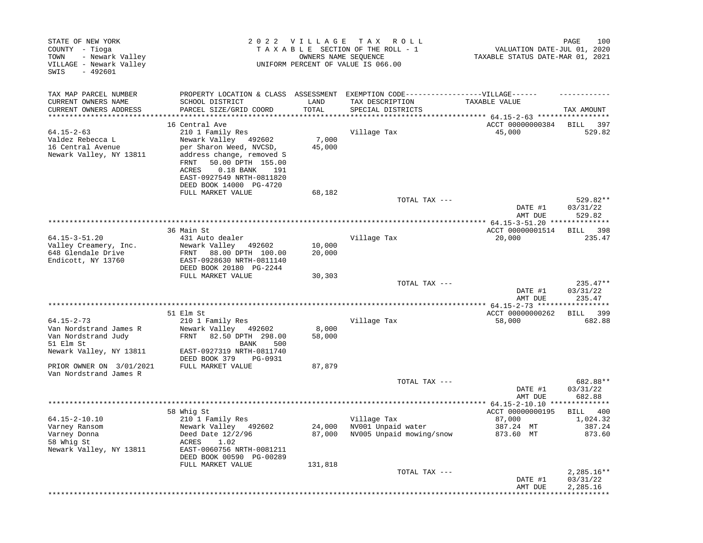| STATE OF NEW YORK<br>COUNTY - Tioga<br>- Newark Valley<br>TOWN<br>VILLAGE - Newark Valley<br>$-492601$<br>SWIS | 2022                                                                                                              | <b>VILLAGE</b><br>OWNERS NAME SEQUENCE | T A X<br>R O L L<br>TAXABLE SECTION OF THE ROLL - 1<br>UNIFORM PERCENT OF VALUE IS 066.00 | VALUATION DATE-JUL 01, 2020<br>TAXABLE STATUS DATE-MAR 01, 2021 | 100<br>PAGE                      |
|----------------------------------------------------------------------------------------------------------------|-------------------------------------------------------------------------------------------------------------------|----------------------------------------|-------------------------------------------------------------------------------------------|-----------------------------------------------------------------|----------------------------------|
| TAX MAP PARCEL NUMBER                                                                                          |                                                                                                                   |                                        | PROPERTY LOCATION & CLASS ASSESSMENT EXEMPTION CODE-----------------VILLAGE------         |                                                                 |                                  |
| CURRENT OWNERS NAME                                                                                            | SCHOOL DISTRICT                                                                                                   | LAND                                   | TAX DESCRIPTION                                                                           | TAXABLE VALUE                                                   |                                  |
| CURRENT OWNERS ADDRESS                                                                                         | PARCEL SIZE/GRID COORD                                                                                            | TOTAL                                  | SPECIAL DISTRICTS                                                                         |                                                                 | TAX AMOUNT                       |
|                                                                                                                | 16 Central Ave                                                                                                    |                                        |                                                                                           | ACCT 00000000384                                                | BILL<br>397                      |
| $64.15 - 2 - 63$                                                                                               | 210 1 Family Res                                                                                                  |                                        | Village Tax                                                                               | 45,000                                                          | 529.82                           |
| Valdez Rebecca L                                                                                               | Newark Valley 492602                                                                                              | 7,000                                  |                                                                                           |                                                                 |                                  |
| 16 Central Avenue<br>Newark Valley, NY 13811                                                                   | per Sharon Weed, NVCSD,<br>address change, removed S<br>50.00 DPTH 155.00<br>FRNT<br>$0.18$ BANK<br>ACRES<br>191  | 45,000                                 |                                                                                           |                                                                 |                                  |
|                                                                                                                | EAST-0927549 NRTH-0811820<br>DEED BOOK 14000 PG-4720                                                              |                                        |                                                                                           |                                                                 |                                  |
|                                                                                                                | FULL MARKET VALUE                                                                                                 | 68,182                                 |                                                                                           |                                                                 |                                  |
|                                                                                                                |                                                                                                                   |                                        | TOTAL TAX ---                                                                             | DATE #1                                                         | 529.82**<br>03/31/22             |
|                                                                                                                |                                                                                                                   |                                        |                                                                                           | AMT DUE                                                         | 529.82                           |
|                                                                                                                | 36 Main St                                                                                                        |                                        |                                                                                           | ACCT 00000001514                                                | BILL<br>398                      |
| $64.15 - 3 - 51.20$                                                                                            | 431 Auto dealer                                                                                                   |                                        | Village Tax                                                                               | 20,000                                                          | 235.47                           |
| Valley Creamery, Inc.<br>648 Glendale Drive<br>Endicott, NY 13760                                              | Newark Valley 492602<br>88.00 DPTH 100.00<br>FRNT<br>EAST-0928630 NRTH-0811140<br>DEED BOOK 20180 PG-2244         | 10,000<br>20,000                       |                                                                                           |                                                                 |                                  |
|                                                                                                                | FULL MARKET VALUE                                                                                                 | 30,303                                 |                                                                                           |                                                                 |                                  |
|                                                                                                                |                                                                                                                   |                                        | TOTAL TAX ---                                                                             | DATE #1<br>AMT DUE                                              | $235.47**$<br>03/31/22<br>235.47 |
|                                                                                                                |                                                                                                                   |                                        |                                                                                           |                                                                 |                                  |
|                                                                                                                | 51 Elm St                                                                                                         |                                        |                                                                                           | ACCT 00000000262                                                | 399<br>BILL                      |
| $64.15 - 2 - 73$<br>Van Nordstrand James R<br>Van Nordstrand Judy<br>51 Elm St<br>Newark Valley, NY 13811      | 210 1 Family Res<br>Newark Valley 492602<br>FRNT<br>82.50 DPTH 298.00<br>BANK<br>500<br>EAST-0927319 NRTH-0811740 | 8,000<br>58,000                        | Village Tax                                                                               | 58,000                                                          | 682.88                           |
|                                                                                                                | DEED BOOK 379<br>PG-0931                                                                                          |                                        |                                                                                           |                                                                 |                                  |
| PRIOR OWNER ON 3/01/2021<br>Van Nordstrand James R                                                             | FULL MARKET VALUE                                                                                                 | 87,879                                 |                                                                                           |                                                                 |                                  |
|                                                                                                                |                                                                                                                   |                                        | TOTAL TAX ---                                                                             |                                                                 | 682.88**                         |
|                                                                                                                |                                                                                                                   |                                        |                                                                                           | DATE #1<br>AMT DUE                                              | 03/31/22<br>682.88               |
|                                                                                                                |                                                                                                                   |                                        |                                                                                           | ACCT 00000000195                                                | BILL                             |
| 64.15-2-10.10                                                                                                  | 58 Whig St<br>210 1 Family Res                                                                                    |                                        | Village Tax                                                                               | 87,000                                                          | 400<br>1,024.32                  |
| Varney Ransom<br>Varney Donna                                                                                  | Newark Valley 492602<br>Deed Date 12/2/96                                                                         | 24,000                                 | NV001 Unpaid water<br>87,000 NV005 Unpaid mowing/snow                                     | 387.24 MT<br>873.60 MT                                          | 387.24<br>873.60                 |
| 58 Whig St<br>Newark Valley, NY 13811                                                                          | ACRES<br>1.02<br>EAST-0060756 NRTH-0081211<br>DEED BOOK 00590 PG-00289                                            |                                        |                                                                                           |                                                                 |                                  |
|                                                                                                                | FULL MARKET VALUE                                                                                                 | 131,818                                | TOTAL TAX ---                                                                             |                                                                 | $2,285.16**$                     |
|                                                                                                                |                                                                                                                   |                                        |                                                                                           | DATE #1<br>AMT DUE                                              | 03/31/22<br>2,285.16             |
|                                                                                                                |                                                                                                                   |                                        |                                                                                           |                                                                 |                                  |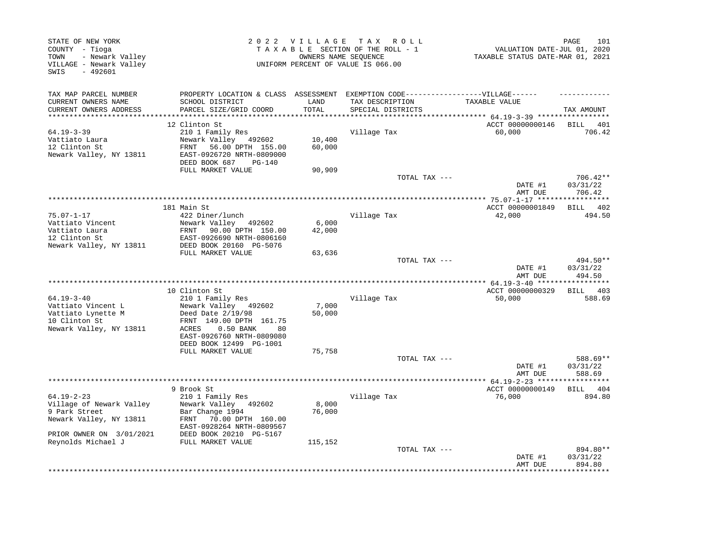| STATE OF NEW YORK<br>COUNTY - Tioga<br>- Newark Valley<br>TOWN<br>VILLAGE - Newark Valley<br>SWIS<br>$-492601$ |                                                | 2022 VILLAGE | TAX ROLL<br>TAXABLE SECTION OF THE ROLL - 1<br>OWNERS NAME SEOUENCE<br>UNIFORM PERCENT OF VALUE IS 066.00 | VALUATION DATE-JUL 01, 2020<br>TAXABLE STATUS DATE-MAR 01, 2021 | 101<br>PAGE        |
|----------------------------------------------------------------------------------------------------------------|------------------------------------------------|--------------|-----------------------------------------------------------------------------------------------------------|-----------------------------------------------------------------|--------------------|
| TAX MAP PARCEL NUMBER                                                                                          | PROPERTY LOCATION & CLASS ASSESSMENT           |              | EXEMPTION CODE------------------VILLAGE------                                                             |                                                                 |                    |
| CURRENT OWNERS NAME                                                                                            | SCHOOL DISTRICT                                | LAND         | TAX DESCRIPTION                                                                                           | TAXABLE VALUE                                                   |                    |
| CURRENT OWNERS ADDRESS<br>*************************                                                            | PARCEL SIZE/GRID COORD                         | TOTAL        | SPECIAL DISTRICTS                                                                                         |                                                                 | TAX AMOUNT         |
|                                                                                                                | 12 Clinton St                                  |              |                                                                                                           | ACCT 00000000146                                                | BILL<br>401        |
| $64.19 - 3 - 39$                                                                                               | 210 1 Family Res                               |              | Village Tax                                                                                               | 60,000                                                          | 706.42             |
| Vattiato Laura                                                                                                 | Newark Valley 492602                           | 10,400       |                                                                                                           |                                                                 |                    |
| 12 Clinton St                                                                                                  | FRNT 56.00 DPTH 155.00                         | 60,000       |                                                                                                           |                                                                 |                    |
| Newark Valley, NY 13811                                                                                        | EAST-0926720 NRTH-0809000                      |              |                                                                                                           |                                                                 |                    |
|                                                                                                                | DEED BOOK 687<br>$PG-140$<br>FULL MARKET VALUE | 90,909       |                                                                                                           |                                                                 |                    |
|                                                                                                                |                                                |              | TOTAL TAX ---                                                                                             |                                                                 | 706.42**           |
|                                                                                                                |                                                |              |                                                                                                           | DATE #1                                                         | 03/31/22           |
|                                                                                                                |                                                |              |                                                                                                           | AMT DUE                                                         | 706.42             |
|                                                                                                                |                                                |              | **********************************                                                                        | ********** 75.07-1-17 *****                                     |                    |
| $75.07 - 1 - 17$                                                                                               | 181 Main St<br>422 Diner/lunch                 |              | Village Tax                                                                                               | ACCT 00000001849<br>42,000                                      | BILL 402<br>494.50 |
| Vattiato Vincent                                                                                               | Newark Valley 492602                           | 6,000        |                                                                                                           |                                                                 |                    |
| Vattiato Laura                                                                                                 | FRNT 90.00 DPTH 150.00                         | 42,000       |                                                                                                           |                                                                 |                    |
| 12 Clinton St                                                                                                  | EAST-0926690 NRTH-0806160                      |              |                                                                                                           |                                                                 |                    |
| Newark Valley, NY 13811                                                                                        | DEED BOOK 20160 PG-5076                        |              |                                                                                                           |                                                                 |                    |
|                                                                                                                | FULL MARKET VALUE                              | 63,636       | TOTAL TAX ---                                                                                             |                                                                 | 494.50**           |
|                                                                                                                |                                                |              |                                                                                                           | DATE #1                                                         | 03/31/22           |
|                                                                                                                |                                                |              |                                                                                                           | AMT DUE                                                         | 494.50             |
|                                                                                                                |                                                |              |                                                                                                           | ** 64.19-3-40 ******                                            |                    |
|                                                                                                                | 10 Clinton St                                  |              |                                                                                                           | ACCT 00000000329                                                | BILL 403           |
| $64.19 - 3 - 40$<br>Vattiato Vincent L                                                                         | 210 1 Family Res<br>Newark Valley 492602       | 7,000        | Village Tax                                                                                               | 50,000                                                          | 588.69             |
| Vattiato Lynette M                                                                                             | Deed Date 2/19/98                              | 50,000       |                                                                                                           |                                                                 |                    |
| 10 Clinton St                                                                                                  | FRNT 149.00 DPTH 161.75                        |              |                                                                                                           |                                                                 |                    |
| Newark Valley, NY 13811                                                                                        | ACRES<br>$0.50$ BANK<br>80                     |              |                                                                                                           |                                                                 |                    |
|                                                                                                                | EAST-0926760 NRTH-0809080                      |              |                                                                                                           |                                                                 |                    |
|                                                                                                                | DEED BOOK 12499 PG-1001                        |              |                                                                                                           |                                                                 |                    |
|                                                                                                                | FULL MARKET VALUE                              | 75,758       | TOTAL TAX ---                                                                                             |                                                                 | 588.69**           |
|                                                                                                                |                                                |              |                                                                                                           | DATE #1                                                         | 03/31/22           |
|                                                                                                                |                                                |              |                                                                                                           | AMT DUE                                                         | 588.69             |
|                                                                                                                |                                                |              | **************************                                                                                | ***** 64.19-2-23 ******                                         |                    |
|                                                                                                                | 9 Brook St                                     |              |                                                                                                           | ACCT 00000000149                                                | BILL 404           |
| $64.19 - 2 - 23$<br>Village of Newark Valley                                                                   | 210 1 Family Res<br>Newark Valley 492602       | 8,000        | Village Tax                                                                                               | 76,000                                                          | 894.80             |
| 9 Park Street                                                                                                  | Bar Change 1994                                | 76,000       |                                                                                                           |                                                                 |                    |
| Newark Valley, NY 13811                                                                                        | FRNT<br>70.00 DPTH 160.00                      |              |                                                                                                           |                                                                 |                    |
|                                                                                                                | EAST-0928264 NRTH-0809567                      |              |                                                                                                           |                                                                 |                    |
| PRIOR OWNER ON 3/01/2021                                                                                       | DEED BOOK 20210 PG-5167                        |              |                                                                                                           |                                                                 |                    |
| Reynolds Michael J                                                                                             | FULL MARKET VALUE                              | 115,152      | TOTAL TAX ---                                                                                             |                                                                 | 894.80**           |
|                                                                                                                |                                                |              |                                                                                                           | DATE #1                                                         | 03/31/22           |
|                                                                                                                |                                                |              |                                                                                                           | AMT DUE                                                         | 894.80             |
|                                                                                                                |                                                |              |                                                                                                           |                                                                 |                    |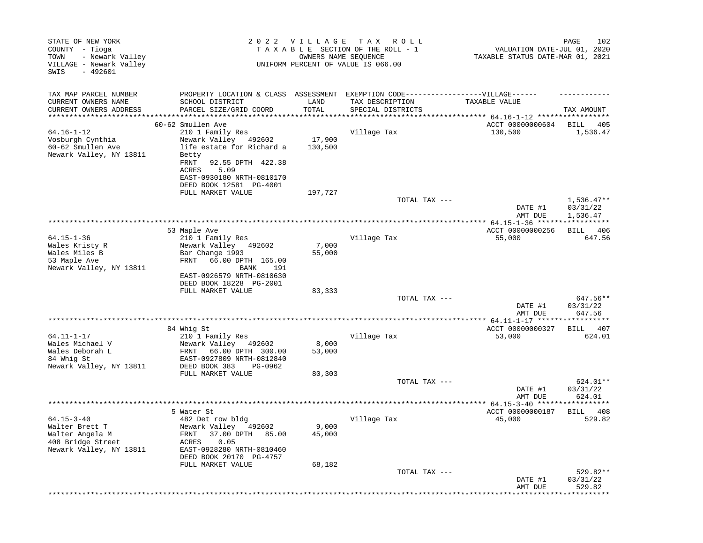| STATE OF NEW YORK<br>COUNTY - Tioga<br>- Newark Valley<br>TOWN<br>VILLAGE - Newark Valley<br>SWIS<br>$-492601$ |                                                                                                                                                           |                   | 2022 VILLAGE TAX ROLL<br>TAXABLE SECTION OF THE ROLL - 1<br>OWNERS NAME SEOUENCE<br>UNIFORM PERCENT OF VALUE IS 066.00 | VALUATION DATE-JUL 01, 2020<br>TAXABLE STATUS DATE-MAR 01, 2021 | 102<br>PAGE                    |
|----------------------------------------------------------------------------------------------------------------|-----------------------------------------------------------------------------------------------------------------------------------------------------------|-------------------|------------------------------------------------------------------------------------------------------------------------|-----------------------------------------------------------------|--------------------------------|
| TAX MAP PARCEL NUMBER                                                                                          | PROPERTY LOCATION & CLASS ASSESSMENT EXEMPTION CODE-----------------VILLAGE------                                                                         |                   |                                                                                                                        |                                                                 |                                |
| CURRENT OWNERS NAME<br>CURRENT OWNERS ADDRESS                                                                  | SCHOOL DISTRICT<br>PARCEL SIZE/GRID COORD                                                                                                                 | LAND<br>TOTAL     | TAX DESCRIPTION<br>SPECIAL DISTRICTS                                                                                   | TAXABLE VALUE                                                   | TAX AMOUNT                     |
|                                                                                                                | 60-62 Smullen Ave                                                                                                                                         |                   |                                                                                                                        | **** 64.16-1-12 ******<br>ACCT 00000000604                      | <b>BILL</b><br>405             |
| $64.16 - 1 - 12$<br>Vosburgh Cynthia<br>60-62 Smullen Ave<br>Newark Valley, NY 13811                           | 210 1 Family Res<br>Newark Valley 492602<br>life estate for Richard a<br>Betty<br>FRNT<br>92.55 DPTH 422.38<br>ACRES<br>5.09<br>EAST-0930180 NRTH-0810170 | 17,900<br>130,500 | Village Tax                                                                                                            | 130,500                                                         | 1,536.47                       |
|                                                                                                                | DEED BOOK 12581 PG-4001                                                                                                                                   |                   |                                                                                                                        |                                                                 |                                |
|                                                                                                                | FULL MARKET VALUE                                                                                                                                         | 197,727           | TOTAL TAX ---                                                                                                          |                                                                 | $1,536.47**$                   |
|                                                                                                                |                                                                                                                                                           |                   |                                                                                                                        | DATE #1<br>AMT DUE                                              | 03/31/22<br>1,536.47           |
|                                                                                                                |                                                                                                                                                           |                   |                                                                                                                        | ************** 64.15-1-36 *****                                 |                                |
|                                                                                                                | 53 Maple Ave                                                                                                                                              |                   |                                                                                                                        | ACCT 00000000256                                                | BILL 406                       |
| $64.15 - 1 - 36$<br>Wales Kristy R<br>Wales Miles B<br>53 Maple Ave<br>Newark Valley, NY 13811                 | 210 1 Family Res<br>Newark Valley 492602<br>Bar Change 1993<br>66.00 DPTH 165.00<br>FRNT<br>BANK<br>191<br>EAST-0926579 NRTH-0810630                      | 7,000<br>55,000   | Village Tax                                                                                                            | 55,000                                                          | 647.56                         |
|                                                                                                                | DEED BOOK 18228 PG-2001<br>FULL MARKET VALUE                                                                                                              | 83,333            |                                                                                                                        |                                                                 |                                |
|                                                                                                                |                                                                                                                                                           |                   | TOTAL TAX ---                                                                                                          | DATE #1<br>AMT DUE                                              | 647.56**<br>03/31/22<br>647.56 |
|                                                                                                                |                                                                                                                                                           |                   |                                                                                                                        |                                                                 | ***********                    |
| 64.11-1-17                                                                                                     | 84 Whig St<br>210 1 Family Res                                                                                                                            |                   | Village Tax                                                                                                            | ACCT 00000000327<br>53,000                                      | 407<br>BILL<br>624.01          |
| Wales Michael V<br>Wales Deborah L<br>84 Whig St<br>Newark Valley, NY 13811                                    | Newark Valley 492602<br>66.00 DPTH 300.00<br>FRNT<br>EAST-0927809 NRTH-0812840<br>DEED BOOK 383<br>PG-0962                                                | 8,000<br>53,000   |                                                                                                                        |                                                                 |                                |
|                                                                                                                | FULL MARKET VALUE                                                                                                                                         | 80,303            |                                                                                                                        |                                                                 |                                |
|                                                                                                                |                                                                                                                                                           |                   | TOTAL TAX ---                                                                                                          | DATE #1<br>AMT DUE                                              | 624.01**<br>03/31/22<br>624.01 |
|                                                                                                                |                                                                                                                                                           |                   |                                                                                                                        |                                                                 |                                |
|                                                                                                                | 5 Water St                                                                                                                                                |                   |                                                                                                                        | ACCT 00000000187                                                | BILL 408                       |
| $64.15 - 3 - 40$<br>Walter Brett T<br>Walter Angela M<br>408 Bridge Street<br>Newark Valley, NY 13811          | 482 Det row bldg<br>Newark Valley 492602<br>37.00 DPTH<br>FRNT<br>85.00<br>0.05<br>ACRES<br>EAST-0928280 NRTH-0810460<br>DEED BOOK 20170 PG-4757          | 9,000<br>45,000   | Village Tax                                                                                                            | 45,000                                                          | 529.82                         |
|                                                                                                                | FULL MARKET VALUE                                                                                                                                         | 68,182            |                                                                                                                        |                                                                 |                                |
|                                                                                                                |                                                                                                                                                           |                   | TOTAL TAX ---                                                                                                          | DATE #1<br>AMT DUE                                              | 529.82**<br>03/31/22<br>529.82 |
|                                                                                                                |                                                                                                                                                           |                   |                                                                                                                        |                                                                 |                                |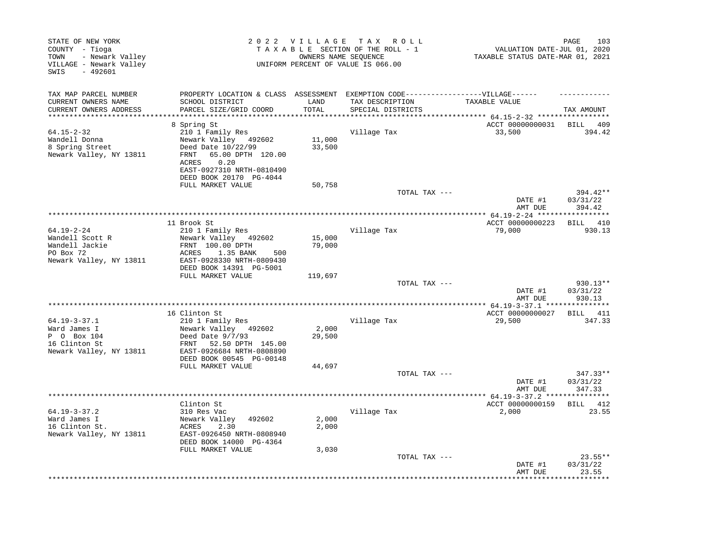| STATE OF NEW YORK<br>COUNTY - Tioga<br>- Newark Valley<br>TOWN<br>VILLAGE - Newark Valley<br>SWIS<br>$-492601$ |                                                                                                                                                                                     | 2022 VILLAGE     | T A X<br>R O L L<br>TAXABLE SECTION OF THE ROLL - 1<br>OWNERS NAME SEQUENCE<br>UNIFORM PERCENT OF VALUE IS 066.00 | VALUATION DATE-JUL 01, 2020<br>TAXABLE STATUS DATE-MAR 01, 2021 | 103<br>PAGE                    |
|----------------------------------------------------------------------------------------------------------------|-------------------------------------------------------------------------------------------------------------------------------------------------------------------------------------|------------------|-------------------------------------------------------------------------------------------------------------------|-----------------------------------------------------------------|--------------------------------|
| TAX MAP PARCEL NUMBER<br>CURRENT OWNERS NAME<br>CURRENT OWNERS ADDRESS                                         | PROPERTY LOCATION & CLASS ASSESSMENT<br>SCHOOL DISTRICT<br>PARCEL SIZE/GRID COORD                                                                                                   | LAND<br>TOTAL    | EXEMPTION CODE------------------VILLAGE------<br>TAX DESCRIPTION<br>SPECIAL DISTRICTS                             | TAXABLE VALUE                                                   | TAX AMOUNT                     |
| *******************                                                                                            |                                                                                                                                                                                     | ******           |                                                                                                                   | ******* 64.15-2-32 ******************                           |                                |
| $64.15 - 2 - 32$<br>Wandell Donna<br>8 Spring Street<br>Newark Valley, NY 13811                                | 8 Spring St<br>210 1 Family Res<br>Newark Valley 492602<br>Deed Date 10/22/99<br>FRNT<br>65.00 DPTH 120.00<br>ACRES<br>0.20<br>EAST-0927310 NRTH-0810490<br>DEED BOOK 20170 PG-4044 | 11,000<br>33,500 | Village Tax                                                                                                       | ACCT 00000000031<br>33,500                                      | <b>BILL</b><br>- 409<br>394.42 |
|                                                                                                                | FULL MARKET VALUE                                                                                                                                                                   | 50,758           | TOTAL TAX ---                                                                                                     | DATE #1                                                         | 394.42**<br>03/31/22           |
|                                                                                                                |                                                                                                                                                                                     |                  |                                                                                                                   | AMT DUE                                                         | 394.42                         |
|                                                                                                                | 11 Brook St                                                                                                                                                                         |                  |                                                                                                                   | ************ 64.19-2-24 ******<br>ACCT 00000000223              | ********<br>410<br>BILL        |
| $64.19 - 2 - 24$<br>Wandell Scott R<br>Wandell Jackie<br>PO Box 72<br>Newark Valley, NY 13811                  | 210 1 Family Res<br>Newark Valley 492602<br>FRNT 100.00 DPTH<br>1.35 BANK<br>ACRES<br>500<br>EAST-0928330 NRTH-0809430                                                              | 15,000<br>79,000 | Village Tax                                                                                                       | 79,000                                                          | 930.13                         |
|                                                                                                                | DEED BOOK 14391 PG-5001<br>FULL MARKET VALUE                                                                                                                                        | 119,697          |                                                                                                                   |                                                                 |                                |
|                                                                                                                |                                                                                                                                                                                     |                  | TOTAL TAX ---                                                                                                     | DATE #1<br>AMT DUE                                              | 930.13**<br>03/31/22<br>930.13 |
|                                                                                                                |                                                                                                                                                                                     |                  |                                                                                                                   |                                                                 |                                |
|                                                                                                                | 16 Clinton St                                                                                                                                                                       |                  |                                                                                                                   | ACCT 00000000027                                                | BILL 411                       |
| $64.19 - 3 - 37.1$<br>Ward James I<br>P 0 Box 104<br>16 Clinton St<br>Newark Valley, NY 13811                  | 210 1 Family Res<br>Newark Valley 492602<br>Deed Date $9/7/93$<br>52.50 DPTH 145.00<br>FRNT<br>EAST-0926684 NRTH-0808890<br>DEED BOOK 00545 PG-00148                                | 2,000<br>29,500  | Village Tax                                                                                                       | 29,500                                                          | 347.33                         |
|                                                                                                                | FULL MARKET VALUE                                                                                                                                                                   | 44,697           |                                                                                                                   |                                                                 |                                |
|                                                                                                                |                                                                                                                                                                                     |                  | TOTAL TAX ---                                                                                                     | DATE #1<br>AMT DUE                                              | 347.33**<br>03/31/22<br>347.33 |
|                                                                                                                |                                                                                                                                                                                     |                  | **************                                                                                                    | $*$ 64.19-3-37.2 *                                              |                                |
| $64.19 - 3 - 37.2$<br>Ward James I<br>16 Clinton St.<br>Newark Valley, NY 13811                                | Clinton St<br>310 Res Vac<br>Newark Valley<br>492602<br>ACRES<br>2.30<br>EAST-0926450 NRTH-0808940<br>DEED BOOK 14000 PG-4364                                                       | 2,000<br>2,000   | Village Tax                                                                                                       | ACCT 00000000159<br>2,000                                       | BILL 412<br>23.55              |
|                                                                                                                | FULL MARKET VALUE                                                                                                                                                                   | 3,030            | TOTAL TAX ---                                                                                                     | DATE #1<br>AMT DUE                                              | $23.55**$<br>03/31/22<br>23.55 |
|                                                                                                                |                                                                                                                                                                                     |                  |                                                                                                                   |                                                                 |                                |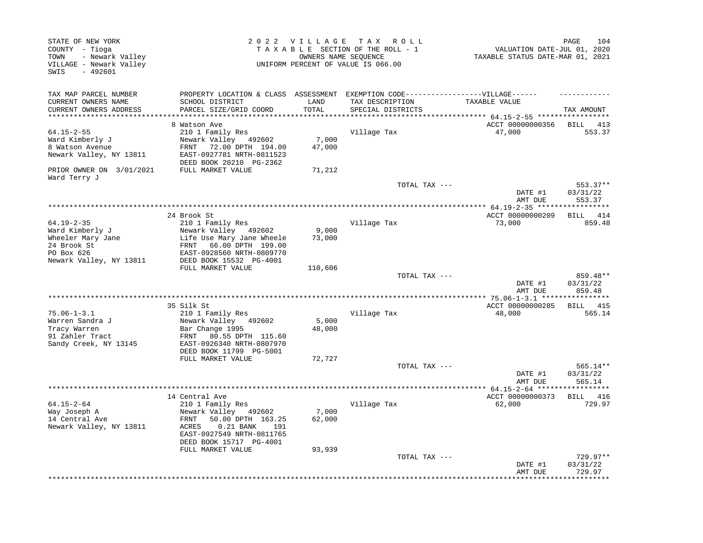| STATE OF NEW YORK<br>COUNTY - Tioga<br>- Newark Valley<br>TOWN<br>VILLAGE - Newark Valley<br>$-492601$<br>SWIS |                                                                                                                                                                                       | 2022 VILLAGE              | TAX ROLL<br>TAXABLE SECTION OF THE ROLL - 1<br>OWNERS NAME SEOUENCE<br>UNIFORM PERCENT OF VALUE IS 066.00 | VALUATION DATE-JUL 01, 2020<br>TAXABLE STATUS DATE-MAR 01, 2021 | PAGE<br>104                      |
|----------------------------------------------------------------------------------------------------------------|---------------------------------------------------------------------------------------------------------------------------------------------------------------------------------------|---------------------------|-----------------------------------------------------------------------------------------------------------|-----------------------------------------------------------------|----------------------------------|
| TAX MAP PARCEL NUMBER                                                                                          | PROPERTY LOCATION & CLASS ASSESSMENT                                                                                                                                                  |                           | EXEMPTION CODE------------------VILLAGE------                                                             |                                                                 |                                  |
| CURRENT OWNERS NAME<br>CURRENT OWNERS ADDRESS                                                                  | SCHOOL DISTRICT<br>PARCEL SIZE/GRID COORD                                                                                                                                             | LAND<br>TOTAL<br>******** | TAX DESCRIPTION<br>SPECIAL DISTRICTS                                                                      | TAXABLE VALUE<br>********* 64.15-2-55 ******************        | TAX AMOUNT                       |
|                                                                                                                | 8 Watson Ave                                                                                                                                                                          |                           |                                                                                                           | ACCT 00000000356                                                | BILL<br>413                      |
| $64.15 - 2 - 55$<br>Ward Kimberly J<br>8 Watson Avenue<br>Newark Valley, NY 13811                              | 210 1 Family Res<br>Newark Valley 492602<br>72.00 DPTH 194.00<br>FRNT<br>EAST-0927781 NRTH-0811523<br>DEED BOOK 20210 PG-2362                                                         | 7,000<br>47,000           | Village Tax                                                                                               | 47,000                                                          | 553.37                           |
| PRIOR OWNER ON 3/01/2021<br>Ward Terry J                                                                       | FULL MARKET VALUE                                                                                                                                                                     | 71,212                    |                                                                                                           |                                                                 |                                  |
|                                                                                                                |                                                                                                                                                                                       |                           | TOTAL TAX ---                                                                                             | DATE #1<br>AMT DUE                                              | $553.37**$<br>03/31/22<br>553.37 |
|                                                                                                                |                                                                                                                                                                                       |                           |                                                                                                           |                                                                 |                                  |
| $64.19 - 2 - 35$<br>Ward Kimberly J<br>Wheeler Mary Jane<br>24 Brook St                                        | 24 Brook St<br>210 1 Family Res<br>Newark Valley 492602<br>Life Use Mary Jane Wheele<br>66.00 DPTH 199.00<br>FRNT                                                                     | 9,000<br>73,000           | Village Tax                                                                                               | ACCT 00000000209<br>73,000                                      | BILL 414<br>859.48               |
| PO Box 626                                                                                                     | EAST-0928560 NRTH-0809770                                                                                                                                                             |                           |                                                                                                           |                                                                 |                                  |
| Newark Valley, NY 13811                                                                                        | DEED BOOK 15532 PG-4001<br>FULL MARKET VALUE                                                                                                                                          | 110,606                   |                                                                                                           |                                                                 |                                  |
|                                                                                                                |                                                                                                                                                                                       |                           | TOTAL TAX ---                                                                                             | DATE #1<br>AMT DUE                                              | 859.48**<br>03/31/22<br>859.48   |
|                                                                                                                |                                                                                                                                                                                       |                           |                                                                                                           |                                                                 |                                  |
|                                                                                                                | 35 Silk St                                                                                                                                                                            |                           |                                                                                                           | ACCT 00000000285                                                | BILL 415                         |
| $75.06 - 1 - 3.1$<br>Warren Sandra J<br>Tracy Warren<br>91 Zahler Tract<br>Sandy Creek, NY 13145               | 210 1 Family Res<br>Newark Valley 492602<br>Bar Change 1995<br>FRNT<br>80.55 DPTH 115.60<br>EAST-0926340 NRTH-0807970                                                                 | 5,000<br>48,000           | Village Tax                                                                                               | 48,000                                                          | 565.14                           |
|                                                                                                                | DEED BOOK 11799 PG-5001<br>FULL MARKET VALUE                                                                                                                                          | 72,727                    |                                                                                                           |                                                                 |                                  |
|                                                                                                                |                                                                                                                                                                                       |                           | TOTAL TAX ---                                                                                             | DATE #1<br>AMT DUE                                              | 565.14**<br>03/31/22<br>565.14   |
|                                                                                                                |                                                                                                                                                                                       |                           |                                                                                                           | *********** 64.15-2-64 ********                                 | * * * * * * * * *                |
| $64.15 - 2 - 64$<br>Way Joseph A<br>14 Central Ave<br>Newark Valley, NY 13811                                  | 14 Central Ave<br>210 1 Family Res<br>Newark Valley 492602<br>50.00 DPTH 163.25<br>FRNT<br><b>ACRES</b><br>$0.21$ BANK<br>191<br>EAST-0927549 NRTH-0811765<br>DEED BOOK 15717 PG-4001 | 7,000<br>62,000           | Village Tax                                                                                               | ACCT 00000000373<br>62,000                                      | BILL 416<br>729.97               |
|                                                                                                                | FULL MARKET VALUE                                                                                                                                                                     | 93,939                    | TOTAL TAX ---                                                                                             | DATE #1<br>AMT DUE                                              | $729.97**$<br>03/31/22<br>729.97 |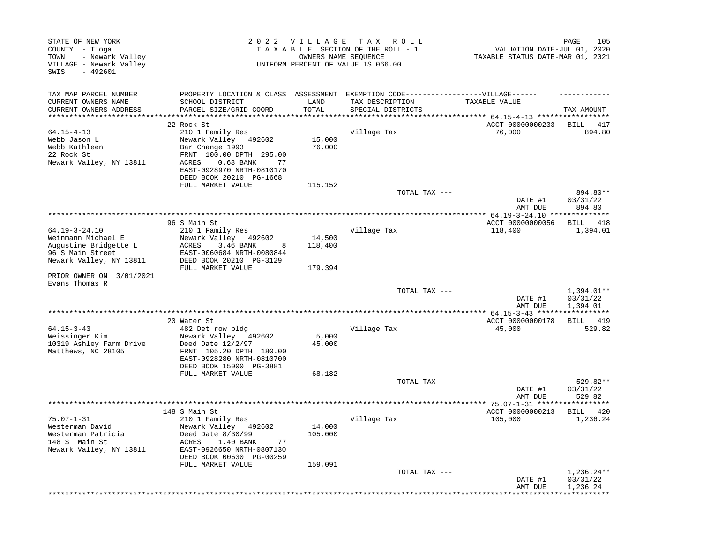| STATE OF NEW YORK<br>COUNTY - Tioga<br>- Newark Valley<br>TOWN<br>VILLAGE - Newark Valley<br>SWIS<br>$-492601$    |                                                                                                                                                                                          |                              | 2022 VILLAGE TAX ROLL<br>TAXABLE SECTION OF THE ROLL - 1<br>OWNERS NAME SEOUENCE<br>UNIFORM PERCENT OF VALUE IS 066.00 | VALUATION DATE-JUL 01, 2020<br>TAXABLE STATUS DATE-MAR 01, 2021 | 105<br>PAGE                          |
|-------------------------------------------------------------------------------------------------------------------|------------------------------------------------------------------------------------------------------------------------------------------------------------------------------------------|------------------------------|------------------------------------------------------------------------------------------------------------------------|-----------------------------------------------------------------|--------------------------------------|
| TAX MAP PARCEL NUMBER<br>CURRENT OWNERS NAME<br>CURRENT OWNERS ADDRESS                                            | PROPERTY LOCATION & CLASS ASSESSMENT EXEMPTION CODE-----------------VILLAGE------<br>SCHOOL DISTRICT<br>PARCEL SIZE/GRID COORD                                                           | LAND<br>TOTAL                | TAX DESCRIPTION<br>SPECIAL DISTRICTS                                                                                   | TAXABLE VALUE                                                   | TAX AMOUNT                           |
|                                                                                                                   |                                                                                                                                                                                          |                              |                                                                                                                        | **** $64.15 - 4 - 13$ *****************                         |                                      |
|                                                                                                                   | 22 Rock St                                                                                                                                                                               |                              |                                                                                                                        | ACCT 00000000233                                                | BILL 417                             |
| $64.15 - 4 - 13$<br>Webb Jason L<br>Webb Kathleen<br>22 Rock St<br>Newark Valley, NY 13811                        | 210 1 Family Res<br>Newark Valley 492602<br>Bar Change 1993<br>FRNT 100.00 DPTH 295.00<br>ACRES<br>$0.68$ BANK<br>77<br>EAST-0928970 NRTH-0810170<br>DEED BOOK 20210 PG-1668             | 15,000<br>76,000             | Village Tax                                                                                                            | 76,000                                                          | 894.80                               |
|                                                                                                                   | FULL MARKET VALUE                                                                                                                                                                        | 115,152                      |                                                                                                                        |                                                                 |                                      |
|                                                                                                                   |                                                                                                                                                                                          |                              | TOTAL TAX ---                                                                                                          | DATE #1<br>AMT DUE                                              | 894.80**<br>03/31/22<br>894.80       |
|                                                                                                                   |                                                                                                                                                                                          |                              |                                                                                                                        |                                                                 |                                      |
| $64.19 - 3 - 24.10$<br>Weinmann Michael E<br>Augustine Bridgette L<br>96 S Main Street<br>Newark Valley, NY 13811 | 96 S Main St<br>210 1 Family Res<br>Newark Valley<br>492602<br>ACRES<br>3.46 BANK<br>8<br>EAST-0060684 NRTH-0080844<br>DEED BOOK 20210 PG-3129                                           | 14,500<br>118,400            | Village Tax                                                                                                            | ACCT 00000000056<br>118,400                                     | BILL 418<br>1,394.01                 |
| PRIOR OWNER ON 3/01/2021<br>Evans Thomas R                                                                        | FULL MARKET VALUE                                                                                                                                                                        | 179,394                      |                                                                                                                        |                                                                 |                                      |
|                                                                                                                   |                                                                                                                                                                                          |                              | TOTAL TAX ---                                                                                                          | DATE #1<br>AMT DUE                                              | 1,394.01**<br>03/31/22<br>1,394.01   |
|                                                                                                                   |                                                                                                                                                                                          |                              |                                                                                                                        | **** $64.15 - 3 - 43$ ******<br>ACCT 00000000178                | ***********<br>BILL 419              |
| $64.15 - 3 - 43$<br>Weissinger Kim<br>10319 Ashley Farm Drive<br>Matthews, NC 28105                               | 20 Water St<br>482 Det row bldg<br>Newark Valley<br>492602<br>Deed Date 12/2/97<br>FRNT 105.20 DPTH 180.00<br>EAST-0928280 NRTH-0810700<br>DEED BOOK 15000 PG-3881                       | 5,000<br>45,000              | Village Tax                                                                                                            | 45,000                                                          | 529.82                               |
|                                                                                                                   | FULL MARKET VALUE                                                                                                                                                                        | 68,182                       |                                                                                                                        |                                                                 |                                      |
|                                                                                                                   |                                                                                                                                                                                          |                              | TOTAL TAX ---                                                                                                          | DATE #1<br>AMT DUE                                              | 529.82**<br>03/31/22<br>529.82       |
| *******************                                                                                               |                                                                                                                                                                                          |                              |                                                                                                                        |                                                                 |                                      |
| $75.07 - 1 - 31$<br>Westerman David<br>Westerman Patricia<br>148 S Main St<br>Newark Valley, NY 13811             | 148 S Main St<br>210 1 Family Res<br>Newark Valley 492602<br>Deed Date 8/30/99<br>1.40 BANK<br>ACRES<br>77<br>EAST-0926650 NRTH-0807130<br>DEED BOOK 00630 PG-00259<br>FULL MARKET VALUE | 14,000<br>105,000<br>159,091 | Village Tax                                                                                                            | ACCT 00000000213<br>105,000                                     | BILL 420<br>1,236.24                 |
|                                                                                                                   |                                                                                                                                                                                          |                              | TOTAL TAX ---                                                                                                          | DATE #1<br>AMT DUE                                              | $1,236.24**$<br>03/31/22<br>1,236.24 |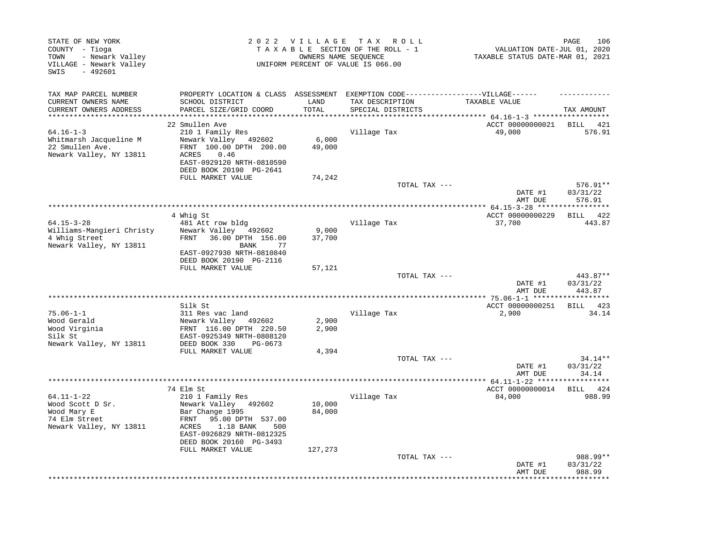| STATE OF NEW YORK<br>COUNTY - Tioga<br>- Newark Valley<br>TOWN<br>VILLAGE - Newark Valley<br>$-492601$<br>SWIS |                                                                                                                                                           |                             | 2022 VILLAGE TAX ROLL<br>TAXABLE SECTION OF THE ROLL - 1<br>OWNERS NAME SEQUENCE<br>UNIFORM PERCENT OF VALUE IS 066.00 | VALUATION DATE-JUL 01, 2020<br>TAXABLE STATUS DATE-MAR 01, 2021 | 106<br>PAGE                      |
|----------------------------------------------------------------------------------------------------------------|-----------------------------------------------------------------------------------------------------------------------------------------------------------|-----------------------------|------------------------------------------------------------------------------------------------------------------------|-----------------------------------------------------------------|----------------------------------|
| TAX MAP PARCEL NUMBER                                                                                          | PROPERTY LOCATION & CLASS ASSESSMENT                                                                                                                      |                             | EXEMPTION CODE------------------VILLAGE------                                                                          |                                                                 |                                  |
| CURRENT OWNERS NAME<br>CURRENT OWNERS ADDRESS<br>********************                                          | SCHOOL DISTRICT<br>PARCEL SIZE/GRID COORD                                                                                                                 | LAND<br>TOTAL<br>********** | TAX DESCRIPTION<br>SPECIAL DISTRICTS                                                                                   | TAXABLE VALUE<br>********** 64.16-1-3 *******************       | TAX AMOUNT                       |
|                                                                                                                | 22 Smullen Ave                                                                                                                                            |                             |                                                                                                                        | ACCT 00000000021                                                | BILL<br>421                      |
| $64.16 - 1 - 3$<br>Whitmarsh Jacqueline M<br>22 Smullen Ave.<br>Newark Valley, NY 13811                        | 210 1 Family Res<br>Newark Valley 492602<br>FRNT 100.00 DPTH 200.00<br>ACRES<br>0.46<br>EAST-0929120 NRTH-0810590<br>DEED BOOK 20190 PG-2641              | 6,000<br>49,000             | Village Tax                                                                                                            | 49,000                                                          | 576.91                           |
|                                                                                                                | FULL MARKET VALUE                                                                                                                                         | 74,242                      |                                                                                                                        |                                                                 |                                  |
|                                                                                                                |                                                                                                                                                           |                             | TOTAL TAX ---                                                                                                          | DATE #1<br>AMT DUE                                              | $576.91**$<br>03/31/22<br>576.91 |
|                                                                                                                |                                                                                                                                                           |                             |                                                                                                                        |                                                                 |                                  |
| $64.15 - 3 - 28$<br>Williams-Mangieri Christy<br>4 Whig Street<br>Newark Valley, NY 13811                      | 4 Whig St<br>481 Att row bldg<br>Newark Valley<br>492602<br>36.00 DPTH 156.00<br>FRNT<br><b>BANK</b><br>77                                                | 9,000<br>37,700             | Village Tax                                                                                                            | ACCT 00000000229<br>37,700                                      | BILL 422<br>443.87               |
|                                                                                                                | EAST-0927930 NRTH-0810840<br>DEED BOOK 20190 PG-2116                                                                                                      |                             |                                                                                                                        |                                                                 |                                  |
|                                                                                                                | FULL MARKET VALUE                                                                                                                                         | 57,121                      |                                                                                                                        |                                                                 |                                  |
|                                                                                                                |                                                                                                                                                           |                             | TOTAL TAX ---                                                                                                          | DATE #1<br>AMT DUE                                              | 443.87**<br>03/31/22<br>443.87   |
|                                                                                                                |                                                                                                                                                           |                             |                                                                                                                        |                                                                 |                                  |
|                                                                                                                | Silk St                                                                                                                                                   |                             |                                                                                                                        | ACCT 00000000251                                                | BILL 423                         |
| $75.06 - 1 - 1$<br>Wood Gerald                                                                                 | 311 Res vac land<br>Newark Valley 492602                                                                                                                  | 2,900                       | Village Tax                                                                                                            | 2,900                                                           | 34.14                            |
| Wood Virginia<br>Silk St<br>Newark Valley, NY 13811                                                            | FRNT 116.00 DPTH 220.50<br>EAST-0925349 NRTH-0808120<br>DEED BOOK 330<br>PG-0673                                                                          | 2,900                       |                                                                                                                        |                                                                 |                                  |
|                                                                                                                | FULL MARKET VALUE                                                                                                                                         | 4,394                       |                                                                                                                        |                                                                 |                                  |
|                                                                                                                |                                                                                                                                                           |                             | TOTAL TAX ---                                                                                                          | DATE #1<br>AMT DUE                                              | 34.14**<br>03/31/22<br>34.14     |
|                                                                                                                |                                                                                                                                                           |                             |                                                                                                                        | *** $64.11 - 1 - 22$ ****                                       |                                  |
| $64.11 - 1 - 22$                                                                                               | 74 Elm St<br>210 1 Family Res                                                                                                                             |                             | Village Tax                                                                                                            | ACCT 00000000014<br>84,000                                      | 424<br>BILL<br>988.99            |
| Wood Scott D Sr.<br>Wood Mary E<br>74 Elm Street<br>Newark Valley, NY 13811                                    | Newark Valley 492602<br>Bar Change 1995<br>FRNT<br>95.00 DPTH 537.00<br>ACRES<br>1.18 BANK<br>500<br>EAST-0926829 NRTH-0812325<br>DEED BOOK 20160 PG-3493 | 10,000<br>84,000            |                                                                                                                        |                                                                 |                                  |
|                                                                                                                | FULL MARKET VALUE                                                                                                                                         | 127,273                     | TOTAL TAX ---                                                                                                          | DATE #1<br>AMT DUE                                              | 988.99**<br>03/31/22<br>988.99   |
|                                                                                                                |                                                                                                                                                           |                             |                                                                                                                        |                                                                 |                                  |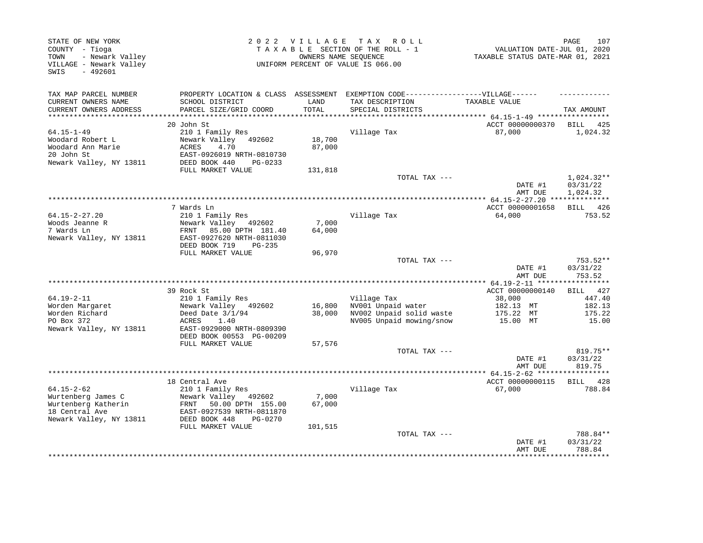| STATE OF NEW YORK<br>COUNTY - Tioga<br>- Newark Valley<br>TOWN<br>VILLAGE - Newark Valley<br>$-492601$<br>SWIS |                                                                                   | OWNERS NAME SEQUENCE | 2022 VILLAGE TAX ROLL<br>TAXABLE SECTION OF THE ROLL - 1<br>UNIFORM PERCENT OF VALUE IS 066.00 | VALUATION DATE-JUL 01, 2020<br>TAXABLE STATUS DATE-MAR 01, 2021 | 107<br>PAGE          |
|----------------------------------------------------------------------------------------------------------------|-----------------------------------------------------------------------------------|----------------------|------------------------------------------------------------------------------------------------|-----------------------------------------------------------------|----------------------|
| TAX MAP PARCEL NUMBER                                                                                          | PROPERTY LOCATION & CLASS ASSESSMENT EXEMPTION CODE-----------------VILLAGE------ |                      |                                                                                                |                                                                 |                      |
| CURRENT OWNERS NAME                                                                                            | SCHOOL DISTRICT                                                                   | LAND                 | TAX DESCRIPTION                                                                                | TAXABLE VALUE                                                   |                      |
| CURRENT OWNERS ADDRESS                                                                                         | PARCEL SIZE/GRID COORD                                                            | TOTAL                | SPECIAL DISTRICTS                                                                              |                                                                 | TAX AMOUNT           |
|                                                                                                                | 20 John St                                                                        |                      |                                                                                                | ACCT 00000000370                                                | BILL 425             |
| $64.15 - 1 - 49$                                                                                               | 210 1 Family Res                                                                  |                      | Village Tax                                                                                    | 87,000                                                          | 1,024.32             |
| Woodard Robert L                                                                                               | Newark Valley<br>492602                                                           | 18,700               |                                                                                                |                                                                 |                      |
| Woodard Ann Marie                                                                                              | 4.70<br>ACRES                                                                     | 87,000               |                                                                                                |                                                                 |                      |
| 20 John St                                                                                                     | EAST-0926019 NRTH-0810730                                                         |                      |                                                                                                |                                                                 |                      |
| Newark Valley, NY 13811                                                                                        | DEED BOOK 440<br>PG-0233                                                          |                      |                                                                                                |                                                                 |                      |
|                                                                                                                | FULL MARKET VALUE                                                                 | 131,818              |                                                                                                |                                                                 |                      |
|                                                                                                                |                                                                                   |                      | TOTAL TAX ---                                                                                  |                                                                 | $1,024.32**$         |
|                                                                                                                |                                                                                   |                      |                                                                                                | DATE #1<br>AMT DUE                                              | 03/31/22<br>1,024.32 |
|                                                                                                                |                                                                                   |                      | ************************************                                                           | *************** 64.15-2-27.20 **************                    |                      |
|                                                                                                                | 7 Wards Ln                                                                        |                      |                                                                                                | ACCT 00000001658                                                | BILL 426             |
| $64.15 - 2 - 27.20$                                                                                            | 210 1 Family Res                                                                  |                      | Village Tax                                                                                    | 64,000                                                          | 753.52               |
| Woods Jeanne R                                                                                                 | Newark Valley 492602                                                              | 7,000                |                                                                                                |                                                                 |                      |
| 7 Wards Ln                                                                                                     | FRNT 85.00 DPTH 181.40                                                            | 64,000               |                                                                                                |                                                                 |                      |
| Newark Valley, NY 13811                                                                                        | EAST-0927620 NRTH-0811030                                                         |                      |                                                                                                |                                                                 |                      |
|                                                                                                                | DEED BOOK 719<br>$PG-235$                                                         |                      |                                                                                                |                                                                 |                      |
|                                                                                                                | FULL MARKET VALUE                                                                 | 96,970               |                                                                                                |                                                                 |                      |
|                                                                                                                |                                                                                   |                      | TOTAL TAX ---                                                                                  | DATE #1                                                         | 753.52**<br>03/31/22 |
|                                                                                                                |                                                                                   |                      |                                                                                                | AMT DUE                                                         | 753.52               |
|                                                                                                                |                                                                                   |                      |                                                                                                |                                                                 | ********             |
|                                                                                                                | 39 Rock St                                                                        |                      |                                                                                                | ACCT 00000000140                                                | 427<br>BILL          |
| $64.19 - 2 - 11$                                                                                               | 210 1 Family Res                                                                  |                      | Village Tax                                                                                    | 38,000                                                          | 447.40               |
| Worden Margaret                                                                                                | Newark Valley 492602                                                              | 16,800               | NV001 Unpaid water                                                                             | 182.13 MT                                                       | 182.13               |
| Worden Richard                                                                                                 | Deed Date $3/1/94$                                                                | 38,000               | NV002 Unpaid solid waste                                                                       | 175.22 MT                                                       | 175.22               |
| PO Box 372                                                                                                     | ACRES<br>1.40                                                                     |                      | NV005 Unpaid mowing/snow                                                                       | 15.00 MT                                                        | 15.00                |
| Newark Valley, NY 13811                                                                                        | EAST-0929000 NRTH-0809390<br>DEED BOOK 00553 PG-00209                             |                      |                                                                                                |                                                                 |                      |
|                                                                                                                | FULL MARKET VALUE                                                                 | 57,576               |                                                                                                |                                                                 |                      |
|                                                                                                                |                                                                                   |                      | TOTAL TAX ---                                                                                  |                                                                 | 819.75**             |
|                                                                                                                |                                                                                   |                      |                                                                                                | DATE #1                                                         | 03/31/22             |
|                                                                                                                |                                                                                   |                      |                                                                                                | AMT DUE                                                         | 819.75               |
|                                                                                                                |                                                                                   |                      |                                                                                                |                                                                 |                      |
|                                                                                                                | 18 Central Ave                                                                    |                      |                                                                                                | ACCT 00000000115                                                | BILL 428             |
| $64.15 - 2 - 62$                                                                                               | 210 1 Family Res                                                                  |                      | Village Tax                                                                                    | 67,000                                                          | 788.84               |
| Wurtenberg James C                                                                                             | Newark Valley 492602                                                              | 7,000                |                                                                                                |                                                                 |                      |
| Wurtenberg Katherin                                                                                            | FRNT<br>50.00 DPTH 155.00                                                         | 67,000               |                                                                                                |                                                                 |                      |
| 18 Central Ave                                                                                                 | EAST-0927539 NRTH-0811870<br>DEED BOOK 448<br>PG-0270                             |                      |                                                                                                |                                                                 |                      |
| Newark Valley, NY 13811                                                                                        | FULL MARKET VALUE                                                                 | 101,515              |                                                                                                |                                                                 |                      |
|                                                                                                                |                                                                                   |                      | TOTAL TAX ---                                                                                  |                                                                 | 788.84**             |
|                                                                                                                |                                                                                   |                      |                                                                                                | DATE #1                                                         | 03/31/22             |
|                                                                                                                |                                                                                   |                      |                                                                                                | AMT DUE                                                         | 788.84               |
|                                                                                                                |                                                                                   |                      |                                                                                                |                                                                 |                      |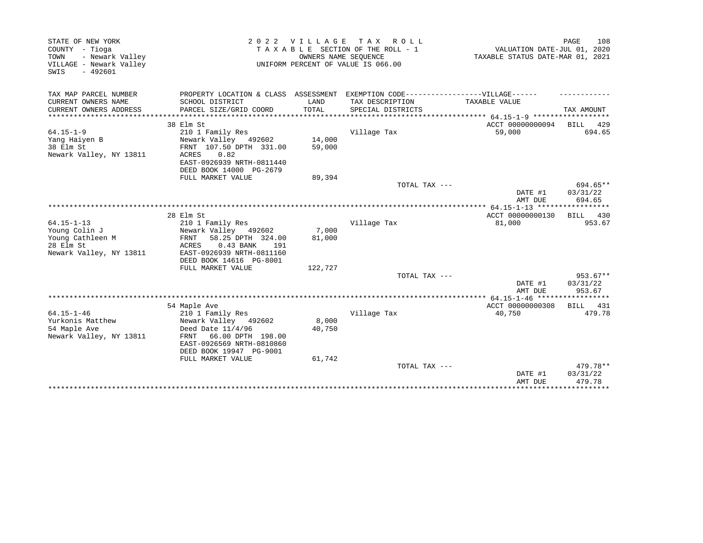| TAXABLE SECTION OF THE ROLL - 1<br>VALUATION DATE-JUL 01, 2020<br>- Newark Valley<br>OWNERS NAME SEOUENCE<br>TAXABLE STATUS DATE-MAR 01, 2021<br>UNIFORM PERCENT OF VALUE IS 066.00<br>$-492601$<br>TAX MAP PARCEL NUMBER<br>PROPERTY LOCATION & CLASS ASSESSMENT EXEMPTION CODE-----------------VILLAGE------<br>SCHOOL DISTRICT<br>LAND<br>TAX DESCRIPTION<br><b>TAXABLE VALUE</b><br>PARCEL SIZE/GRID COORD<br>TOTAL<br>TAX AMOUNT<br>SPECIAL DISTRICTS<br>***************** 64.15-1-9 *************<br>************<br>38 Elm St<br>ACCT 00000000094<br>BILL 429<br>694.65<br>210 1 Family Res<br>Village Tax<br>59,000<br>14,000<br>Newark Valley 492602<br>38 Elm St<br>FRNT 107.50 DPTH 331.00<br>59,000<br>Newark Valley, NY 13811<br>0.82<br>ACRES<br>EAST-0926939 NRTH-0811440<br>DEED BOOK 14000 PG-2679<br>FULL MARKET VALUE<br>89,394<br>694.65**<br>TOTAL TAX ---<br>DATE #1<br>03/31/22<br>AMT DUE<br>694.65<br>28 Elm St<br>ACCT 00000000130<br>BILL 430<br>953.67<br>$64.15 - 1 - 13$<br>210 1 Family Res<br>Village Tax<br>81,000<br>Newark Valley 492602<br>7,000<br>Young Colin J<br>Young Cathleen M<br>58.25 DPTH 324.00<br>81,000<br>FRNT<br>ACRES<br>$0.43$ BANK<br>191<br>EAST-0926939 NRTH-0811160<br>DEED BOOK 14616 PG-8001<br>FULL MARKET VALUE<br>122,727<br>TOTAL TAX ---<br>$953.67**$<br>DATE #1<br>03/31/22<br>953.67<br>AMT DUE<br>54 Maple Ave<br>ACCT 00000000308<br>BILL 431<br>$64.15 - 1 - 46$<br>Village Tax<br>479.78<br>210 1 Family Res<br>40,750<br>Yurkonis Matthew<br>Newark Valley 492602<br>8,000<br>54 Maple Ave<br>Deed Date $11/4/96$<br>40,750<br>66.00 DPTH 198.00<br>Newark Valley, NY 13811<br>FRNT<br>EAST-0926569 NRTH-0810860<br>DEED BOOK 19947 PG-9001<br>61,742<br>FULL MARKET VALUE<br>479.78**<br>TOTAL TAX ---<br>DATE #1<br>03/31/22<br>479.78<br>AMT DUE | STATE OF NEW YORK       | 2022 | <b>VILLAGE</b> | T A X<br>R O L L | 108<br>PAGE |
|-----------------------------------------------------------------------------------------------------------------------------------------------------------------------------------------------------------------------------------------------------------------------------------------------------------------------------------------------------------------------------------------------------------------------------------------------------------------------------------------------------------------------------------------------------------------------------------------------------------------------------------------------------------------------------------------------------------------------------------------------------------------------------------------------------------------------------------------------------------------------------------------------------------------------------------------------------------------------------------------------------------------------------------------------------------------------------------------------------------------------------------------------------------------------------------------------------------------------------------------------------------------------------------------------------------------------------------------------------------------------------------------------------------------------------------------------------------------------------------------------------------------------------------------------------------------------------------------------------------------------------------------------------------------------------------------------------------------------------------------------------------------------------------------------------------------------------|-------------------------|------|----------------|------------------|-------------|
|                                                                                                                                                                                                                                                                                                                                                                                                                                                                                                                                                                                                                                                                                                                                                                                                                                                                                                                                                                                                                                                                                                                                                                                                                                                                                                                                                                                                                                                                                                                                                                                                                                                                                                                                                                                                                             | COUNTY - Tioga          |      |                |                  |             |
|                                                                                                                                                                                                                                                                                                                                                                                                                                                                                                                                                                                                                                                                                                                                                                                                                                                                                                                                                                                                                                                                                                                                                                                                                                                                                                                                                                                                                                                                                                                                                                                                                                                                                                                                                                                                                             | TOWN                    |      |                |                  |             |
|                                                                                                                                                                                                                                                                                                                                                                                                                                                                                                                                                                                                                                                                                                                                                                                                                                                                                                                                                                                                                                                                                                                                                                                                                                                                                                                                                                                                                                                                                                                                                                                                                                                                                                                                                                                                                             | VILLAGE - Newark Valley |      |                |                  |             |
|                                                                                                                                                                                                                                                                                                                                                                                                                                                                                                                                                                                                                                                                                                                                                                                                                                                                                                                                                                                                                                                                                                                                                                                                                                                                                                                                                                                                                                                                                                                                                                                                                                                                                                                                                                                                                             | SWIS                    |      |                |                  |             |
|                                                                                                                                                                                                                                                                                                                                                                                                                                                                                                                                                                                                                                                                                                                                                                                                                                                                                                                                                                                                                                                                                                                                                                                                                                                                                                                                                                                                                                                                                                                                                                                                                                                                                                                                                                                                                             |                         |      |                |                  |             |
|                                                                                                                                                                                                                                                                                                                                                                                                                                                                                                                                                                                                                                                                                                                                                                                                                                                                                                                                                                                                                                                                                                                                                                                                                                                                                                                                                                                                                                                                                                                                                                                                                                                                                                                                                                                                                             |                         |      |                |                  |             |
|                                                                                                                                                                                                                                                                                                                                                                                                                                                                                                                                                                                                                                                                                                                                                                                                                                                                                                                                                                                                                                                                                                                                                                                                                                                                                                                                                                                                                                                                                                                                                                                                                                                                                                                                                                                                                             | CURRENT OWNERS NAME     |      |                |                  |             |
|                                                                                                                                                                                                                                                                                                                                                                                                                                                                                                                                                                                                                                                                                                                                                                                                                                                                                                                                                                                                                                                                                                                                                                                                                                                                                                                                                                                                                                                                                                                                                                                                                                                                                                                                                                                                                             | CURRENT OWNERS ADDRESS  |      |                |                  |             |
|                                                                                                                                                                                                                                                                                                                                                                                                                                                                                                                                                                                                                                                                                                                                                                                                                                                                                                                                                                                                                                                                                                                                                                                                                                                                                                                                                                                                                                                                                                                                                                                                                                                                                                                                                                                                                             |                         |      |                |                  |             |
|                                                                                                                                                                                                                                                                                                                                                                                                                                                                                                                                                                                                                                                                                                                                                                                                                                                                                                                                                                                                                                                                                                                                                                                                                                                                                                                                                                                                                                                                                                                                                                                                                                                                                                                                                                                                                             |                         |      |                |                  |             |
|                                                                                                                                                                                                                                                                                                                                                                                                                                                                                                                                                                                                                                                                                                                                                                                                                                                                                                                                                                                                                                                                                                                                                                                                                                                                                                                                                                                                                                                                                                                                                                                                                                                                                                                                                                                                                             | $64.15 - 1 - 9$         |      |                |                  |             |
|                                                                                                                                                                                                                                                                                                                                                                                                                                                                                                                                                                                                                                                                                                                                                                                                                                                                                                                                                                                                                                                                                                                                                                                                                                                                                                                                                                                                                                                                                                                                                                                                                                                                                                                                                                                                                             | Yang Haiyen B           |      |                |                  |             |
|                                                                                                                                                                                                                                                                                                                                                                                                                                                                                                                                                                                                                                                                                                                                                                                                                                                                                                                                                                                                                                                                                                                                                                                                                                                                                                                                                                                                                                                                                                                                                                                                                                                                                                                                                                                                                             |                         |      |                |                  |             |
|                                                                                                                                                                                                                                                                                                                                                                                                                                                                                                                                                                                                                                                                                                                                                                                                                                                                                                                                                                                                                                                                                                                                                                                                                                                                                                                                                                                                                                                                                                                                                                                                                                                                                                                                                                                                                             |                         |      |                |                  |             |
|                                                                                                                                                                                                                                                                                                                                                                                                                                                                                                                                                                                                                                                                                                                                                                                                                                                                                                                                                                                                                                                                                                                                                                                                                                                                                                                                                                                                                                                                                                                                                                                                                                                                                                                                                                                                                             |                         |      |                |                  |             |
|                                                                                                                                                                                                                                                                                                                                                                                                                                                                                                                                                                                                                                                                                                                                                                                                                                                                                                                                                                                                                                                                                                                                                                                                                                                                                                                                                                                                                                                                                                                                                                                                                                                                                                                                                                                                                             |                         |      |                |                  |             |
|                                                                                                                                                                                                                                                                                                                                                                                                                                                                                                                                                                                                                                                                                                                                                                                                                                                                                                                                                                                                                                                                                                                                                                                                                                                                                                                                                                                                                                                                                                                                                                                                                                                                                                                                                                                                                             |                         |      |                |                  |             |
|                                                                                                                                                                                                                                                                                                                                                                                                                                                                                                                                                                                                                                                                                                                                                                                                                                                                                                                                                                                                                                                                                                                                                                                                                                                                                                                                                                                                                                                                                                                                                                                                                                                                                                                                                                                                                             |                         |      |                |                  |             |
|                                                                                                                                                                                                                                                                                                                                                                                                                                                                                                                                                                                                                                                                                                                                                                                                                                                                                                                                                                                                                                                                                                                                                                                                                                                                                                                                                                                                                                                                                                                                                                                                                                                                                                                                                                                                                             |                         |      |                |                  |             |
|                                                                                                                                                                                                                                                                                                                                                                                                                                                                                                                                                                                                                                                                                                                                                                                                                                                                                                                                                                                                                                                                                                                                                                                                                                                                                                                                                                                                                                                                                                                                                                                                                                                                                                                                                                                                                             |                         |      |                |                  |             |
|                                                                                                                                                                                                                                                                                                                                                                                                                                                                                                                                                                                                                                                                                                                                                                                                                                                                                                                                                                                                                                                                                                                                                                                                                                                                                                                                                                                                                                                                                                                                                                                                                                                                                                                                                                                                                             |                         |      |                |                  |             |
|                                                                                                                                                                                                                                                                                                                                                                                                                                                                                                                                                                                                                                                                                                                                                                                                                                                                                                                                                                                                                                                                                                                                                                                                                                                                                                                                                                                                                                                                                                                                                                                                                                                                                                                                                                                                                             |                         |      |                |                  |             |
|                                                                                                                                                                                                                                                                                                                                                                                                                                                                                                                                                                                                                                                                                                                                                                                                                                                                                                                                                                                                                                                                                                                                                                                                                                                                                                                                                                                                                                                                                                                                                                                                                                                                                                                                                                                                                             |                         |      |                |                  |             |
|                                                                                                                                                                                                                                                                                                                                                                                                                                                                                                                                                                                                                                                                                                                                                                                                                                                                                                                                                                                                                                                                                                                                                                                                                                                                                                                                                                                                                                                                                                                                                                                                                                                                                                                                                                                                                             |                         |      |                |                  |             |
|                                                                                                                                                                                                                                                                                                                                                                                                                                                                                                                                                                                                                                                                                                                                                                                                                                                                                                                                                                                                                                                                                                                                                                                                                                                                                                                                                                                                                                                                                                                                                                                                                                                                                                                                                                                                                             | 28 Elm St               |      |                |                  |             |
|                                                                                                                                                                                                                                                                                                                                                                                                                                                                                                                                                                                                                                                                                                                                                                                                                                                                                                                                                                                                                                                                                                                                                                                                                                                                                                                                                                                                                                                                                                                                                                                                                                                                                                                                                                                                                             | Newark Valley, NY 13811 |      |                |                  |             |
|                                                                                                                                                                                                                                                                                                                                                                                                                                                                                                                                                                                                                                                                                                                                                                                                                                                                                                                                                                                                                                                                                                                                                                                                                                                                                                                                                                                                                                                                                                                                                                                                                                                                                                                                                                                                                             |                         |      |                |                  |             |
|                                                                                                                                                                                                                                                                                                                                                                                                                                                                                                                                                                                                                                                                                                                                                                                                                                                                                                                                                                                                                                                                                                                                                                                                                                                                                                                                                                                                                                                                                                                                                                                                                                                                                                                                                                                                                             |                         |      |                |                  |             |
|                                                                                                                                                                                                                                                                                                                                                                                                                                                                                                                                                                                                                                                                                                                                                                                                                                                                                                                                                                                                                                                                                                                                                                                                                                                                                                                                                                                                                                                                                                                                                                                                                                                                                                                                                                                                                             |                         |      |                |                  |             |
|                                                                                                                                                                                                                                                                                                                                                                                                                                                                                                                                                                                                                                                                                                                                                                                                                                                                                                                                                                                                                                                                                                                                                                                                                                                                                                                                                                                                                                                                                                                                                                                                                                                                                                                                                                                                                             |                         |      |                |                  |             |
|                                                                                                                                                                                                                                                                                                                                                                                                                                                                                                                                                                                                                                                                                                                                                                                                                                                                                                                                                                                                                                                                                                                                                                                                                                                                                                                                                                                                                                                                                                                                                                                                                                                                                                                                                                                                                             |                         |      |                |                  |             |
|                                                                                                                                                                                                                                                                                                                                                                                                                                                                                                                                                                                                                                                                                                                                                                                                                                                                                                                                                                                                                                                                                                                                                                                                                                                                                                                                                                                                                                                                                                                                                                                                                                                                                                                                                                                                                             |                         |      |                |                  |             |
|                                                                                                                                                                                                                                                                                                                                                                                                                                                                                                                                                                                                                                                                                                                                                                                                                                                                                                                                                                                                                                                                                                                                                                                                                                                                                                                                                                                                                                                                                                                                                                                                                                                                                                                                                                                                                             |                         |      |                |                  |             |
|                                                                                                                                                                                                                                                                                                                                                                                                                                                                                                                                                                                                                                                                                                                                                                                                                                                                                                                                                                                                                                                                                                                                                                                                                                                                                                                                                                                                                                                                                                                                                                                                                                                                                                                                                                                                                             |                         |      |                |                  |             |
|                                                                                                                                                                                                                                                                                                                                                                                                                                                                                                                                                                                                                                                                                                                                                                                                                                                                                                                                                                                                                                                                                                                                                                                                                                                                                                                                                                                                                                                                                                                                                                                                                                                                                                                                                                                                                             |                         |      |                |                  |             |
|                                                                                                                                                                                                                                                                                                                                                                                                                                                                                                                                                                                                                                                                                                                                                                                                                                                                                                                                                                                                                                                                                                                                                                                                                                                                                                                                                                                                                                                                                                                                                                                                                                                                                                                                                                                                                             |                         |      |                |                  |             |
|                                                                                                                                                                                                                                                                                                                                                                                                                                                                                                                                                                                                                                                                                                                                                                                                                                                                                                                                                                                                                                                                                                                                                                                                                                                                                                                                                                                                                                                                                                                                                                                                                                                                                                                                                                                                                             |                         |      |                |                  |             |
|                                                                                                                                                                                                                                                                                                                                                                                                                                                                                                                                                                                                                                                                                                                                                                                                                                                                                                                                                                                                                                                                                                                                                                                                                                                                                                                                                                                                                                                                                                                                                                                                                                                                                                                                                                                                                             |                         |      |                |                  |             |
|                                                                                                                                                                                                                                                                                                                                                                                                                                                                                                                                                                                                                                                                                                                                                                                                                                                                                                                                                                                                                                                                                                                                                                                                                                                                                                                                                                                                                                                                                                                                                                                                                                                                                                                                                                                                                             |                         |      |                |                  |             |
|                                                                                                                                                                                                                                                                                                                                                                                                                                                                                                                                                                                                                                                                                                                                                                                                                                                                                                                                                                                                                                                                                                                                                                                                                                                                                                                                                                                                                                                                                                                                                                                                                                                                                                                                                                                                                             |                         |      |                |                  |             |
|                                                                                                                                                                                                                                                                                                                                                                                                                                                                                                                                                                                                                                                                                                                                                                                                                                                                                                                                                                                                                                                                                                                                                                                                                                                                                                                                                                                                                                                                                                                                                                                                                                                                                                                                                                                                                             |                         |      |                |                  |             |
|                                                                                                                                                                                                                                                                                                                                                                                                                                                                                                                                                                                                                                                                                                                                                                                                                                                                                                                                                                                                                                                                                                                                                                                                                                                                                                                                                                                                                                                                                                                                                                                                                                                                                                                                                                                                                             |                         |      |                |                  |             |
|                                                                                                                                                                                                                                                                                                                                                                                                                                                                                                                                                                                                                                                                                                                                                                                                                                                                                                                                                                                                                                                                                                                                                                                                                                                                                                                                                                                                                                                                                                                                                                                                                                                                                                                                                                                                                             |                         |      |                |                  |             |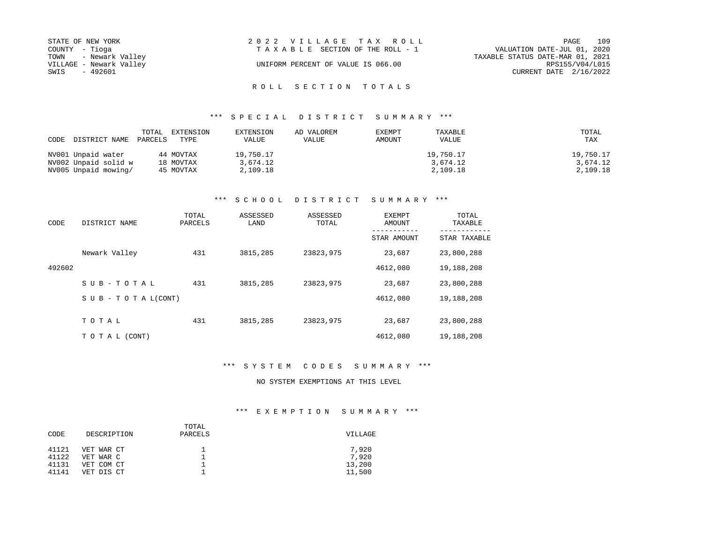| STATE OF NEW YORK       | 2022 VILLAGE TAX ROLL              | 109<br>PAGE                      |
|-------------------------|------------------------------------|----------------------------------|
| COUNTY - Tioga          | TAXABLE SECTION OF THE ROLL - 1    | VALUATION DATE-JUL 01, 2020      |
| TOWN - Newark Valley    |                                    | TAXABLE STATUS DATE-MAR 01, 2021 |
| VILLAGE - Newark Valley | UNIFORM PERCENT OF VALUE IS 066.00 | RPS155/V04/L015                  |
| SWIS<br>- 492601        |                                    | CURRENT DATE $2/16/2022$         |

### \*\*\* S P E C I A L D I S T R I C T S U M M A R Y \*\*\*

| CODE DISTRICT NAME   | PARCELS | TOTAL EXTENSION<br>TYPE | EXTENSION<br><b>VALUE</b> | AD VALOREM<br>VALUE | EXEMPT<br>AMOUNT | TAXABLE<br>VALUE | TOTAL<br>TAX |
|----------------------|---------|-------------------------|---------------------------|---------------------|------------------|------------------|--------------|
| NV001 Unpaid water   |         | 44 MOVTAX               | 19,750.17                 |                     |                  | 19,750.17        | 19,750.17    |
| NV002 Unpaid solid w |         | 18 MOVTAX               | 3,674.12                  |                     |                  | 3,674.12         | 3,674.12     |
| NV005 Unpaid mowing/ |         | 45 MOVTAX               | 2,109.18                  |                     |                  | 2,109.18         | 2,109.18     |

# \*\*\* S C H O O L D I S T R I C T S U M M A R Y \*\*\*

| CODE   | DISTRICT NAME                    | TOTAL<br>PARCELS | ASSESSED<br>LAND | ASSESSED<br>TOTAL | EXEMPT<br>AMOUNT | TOTAL<br>TAXABLE |
|--------|----------------------------------|------------------|------------------|-------------------|------------------|------------------|
|        |                                  |                  |                  |                   | STAR AMOUNT      | STAR TAXABLE     |
|        | Newark Valley                    | 431              | 3815,285         | 23823,975         | 23,687           | 23,800,288       |
| 492602 |                                  |                  |                  |                   | 4612,080         | 19,188,208       |
|        | SUB-TOTAL                        | 431              | 3815,285         | 23823,975         | 23,687           | 23,800,288       |
|        | $S \cup B - T \cup T A L (CONT)$ |                  |                  |                   | 4612,080         | 19,188,208       |
|        | TOTAL                            | 431              | 3815,285         | 23823,975         | 23,687           | 23,800,288       |
|        |                                  |                  |                  |                   |                  |                  |
|        | TO TAL (CONT)                    |                  |                  |                   | 4612,080         | 19,188,208       |

\*\*\* S Y S T E M C O D E S S U M M A R Y \*\*\*

NO SYSTEM EXEMPTIONS AT THIS LEVEL

#### \*\*\* E X E M P T I O N S U M M A R Y \*\*\*

| CODE  | DESCRIPTION | TOTAL<br>PARCELS | VILLAGE |
|-------|-------------|------------------|---------|
| 41121 | VET WAR CT  |                  | 7,920   |
| 41122 | VET WAR C   |                  | 7,920   |
| 41131 | VET COM CT  |                  | 13,200  |
| 41141 | VET DIS CT  |                  | 11,500  |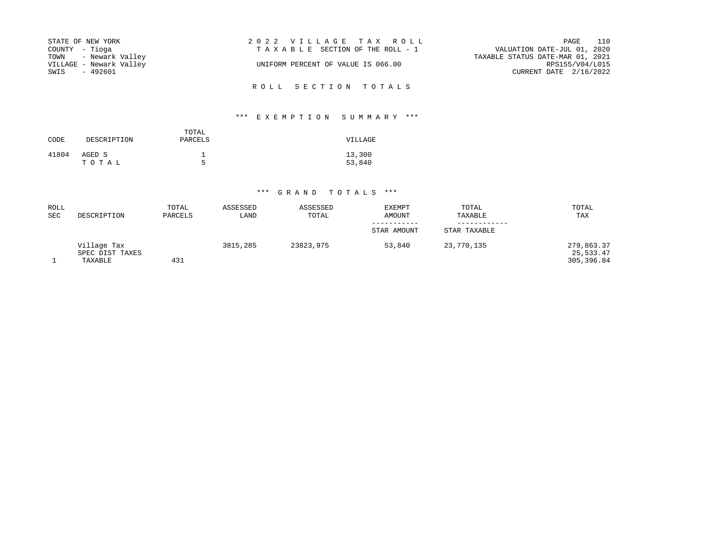| STATE OF NEW YORK       | 2022 VILLAGE TAX ROLL              | 110<br>PAGE                      |
|-------------------------|------------------------------------|----------------------------------|
| COUNTY - Tioga          | TAXABLE SECTION OF THE ROLL - 1    | VALUATION DATE-JUL 01, 2020      |
| TOWN - Newark Valley    |                                    | TAXABLE STATUS DATE-MAR 01, 2021 |
| VILLAGE - Newark Valley | UNIFORM PERCENT OF VALUE IS 066.00 | RPS155/V04/L015                  |
| - 492601<br>SWIS        |                                    | CURRENT DATE 2/16/2022           |
|                         |                                    |                                  |

R O L L S E C T I O N T O T A L S

# \*\*\* E X E M P T I O N S U M M A R Y \*\*\*

| CODE  | DESCRIPTION     | TOTAL<br>PARCELS | VILLAGE          |
|-------|-----------------|------------------|------------------|
| 41804 | AGED S<br>TOTAL | ᠷ                | 13,300<br>53,840 |

| <b>ROLL</b><br><b>SEC</b> | DESCRIPTION                               | TOTAL<br>PARCELS | ASSESSED<br>LAND | ASSESSED<br>TOTAL | EXEMPT<br>AMOUNT | TOTAL<br>TAXABLE | TOTAL<br>TAX                          |
|---------------------------|-------------------------------------------|------------------|------------------|-------------------|------------------|------------------|---------------------------------------|
|                           |                                           |                  |                  |                   | STAR AMOUNT      | STAR TAXABLE     |                                       |
|                           | Village Tax<br>SPEC DIST TAXES<br>TAXABLE | 431              | 3815,285         | 23823,975         | 53,840           | 23,770,135       | 279,863.37<br>25,533.47<br>305,396.84 |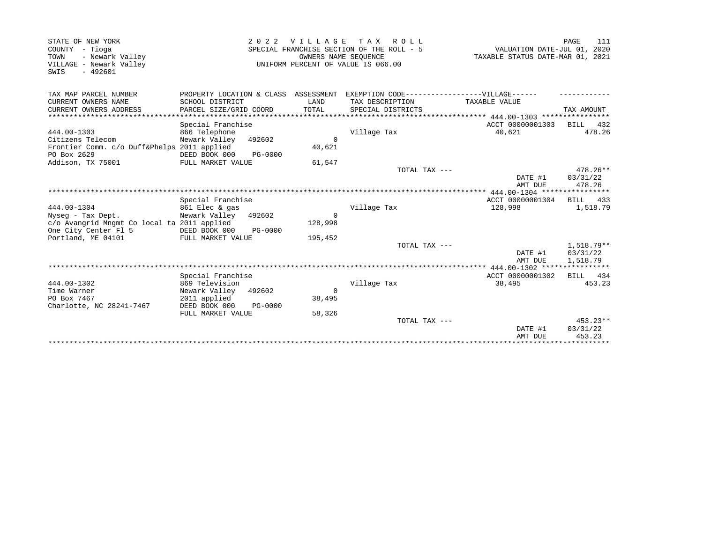| STATE OF NEW YORK                                                                         | 2 0 2 2                                                       | <b>VILLAGE</b>         | T A X<br>ROLL                                                                                           |                                                                 | 111<br>PAGE                          |
|-------------------------------------------------------------------------------------------|---------------------------------------------------------------|------------------------|---------------------------------------------------------------------------------------------------------|-----------------------------------------------------------------|--------------------------------------|
| COUNTY - Tioga<br>- Newark Valley<br>TOWN<br>VILLAGE - Newark Valley<br>$-492601$<br>SWIS |                                                               |                        | SPECIAL FRANCHISE SECTION OF THE ROLL - 5<br>OWNERS NAME SEQUENCE<br>UNIFORM PERCENT OF VALUE IS 066.00 | VALUATION DATE-JUL 01, 2020<br>TAXABLE STATUS DATE-MAR 01, 2021 |                                      |
| TAX MAP PARCEL NUMBER<br>CURRENT OWNERS NAME                                              | PROPERTY LOCATION & CLASS ASSESSMENT<br>SCHOOL DISTRICT       | LAND                   | EXEMPTION CODE-----------------VILLAGE------<br>TAX DESCRIPTION                                         | TAXABLE VALUE                                                   |                                      |
| CURRENT OWNERS ADDRESS                                                                    | PARCEL SIZE/GRID COORD                                        | TOTAL                  | SPECIAL DISTRICTS                                                                                       |                                                                 | TAX AMOUNT                           |
|                                                                                           | Special Franchise                                             |                        |                                                                                                         | ACCT 00000001303                                                | BILL 432                             |
| 444.00-1303<br>Citizens Telecom<br>Frontier Comm. c/o Duff&Phelps 2011 applied            | 866 Telephone<br>Newark Valley<br>492602                      | $\mathbf 0$<br>40,621  | Village Tax                                                                                             | 40,621                                                          | 478.26                               |
| PO Box 2629<br>Addison, TX 75001                                                          | DEED BOOK 000<br><b>PG-0000</b><br>FULL MARKET VALUE          | 61,547                 |                                                                                                         |                                                                 |                                      |
|                                                                                           |                                                               |                        | TOTAL TAX ---                                                                                           | DATE #1<br>AMT DUE                                              | $478.26**$<br>03/31/22<br>478.26     |
|                                                                                           |                                                               |                        |                                                                                                         |                                                                 |                                      |
|                                                                                           | Special Franchise                                             |                        |                                                                                                         | ACCT 00000001304                                                | BILL 433                             |
| 444.00-1304                                                                               | 861 Elec & gas                                                |                        | Village Tax                                                                                             | 128,998                                                         | 1,518.79                             |
| Nyseq - Tax Dept.<br>c/o Avangrid Mngmt Co local ta 2011 applied<br>One City Center Fl 5  | Newark Valley<br>492602<br>DEED BOOK 000<br><b>PG-0000</b>    | $\mathbf 0$<br>128,998 |                                                                                                         |                                                                 |                                      |
| Portland, ME 04101                                                                        | FULL MARKET VALUE                                             | 195,452                |                                                                                                         |                                                                 |                                      |
|                                                                                           |                                                               |                        | TOTAL TAX ---                                                                                           | DATE #1<br>AMT DUE                                              | $1.518.79**$<br>03/31/22<br>1,518.79 |
|                                                                                           |                                                               |                        |                                                                                                         |                                                                 |                                      |
| 444.00-1302                                                                               | Special Franchise<br>869 Television                           |                        | Village Tax                                                                                             | ACCT 00000001302<br>38,495                                      | BILL 434<br>453.23                   |
| Time Warner                                                                               | Newark Valley<br>492602                                       | $\Omega$               |                                                                                                         |                                                                 |                                      |
| PO Box 7467<br>Charlotte, NC 28241-7467                                                   | 2011 applied<br>DEED BOOK 000<br>PG-0000<br>FULL MARKET VALUE | 38,495<br>58,326       |                                                                                                         |                                                                 |                                      |
|                                                                                           |                                                               |                        | TOTAL TAX ---                                                                                           |                                                                 | $453.23**$                           |
|                                                                                           |                                                               |                        |                                                                                                         | DATE #1<br>AMT DUE                                              | 03/31/22<br>453.23                   |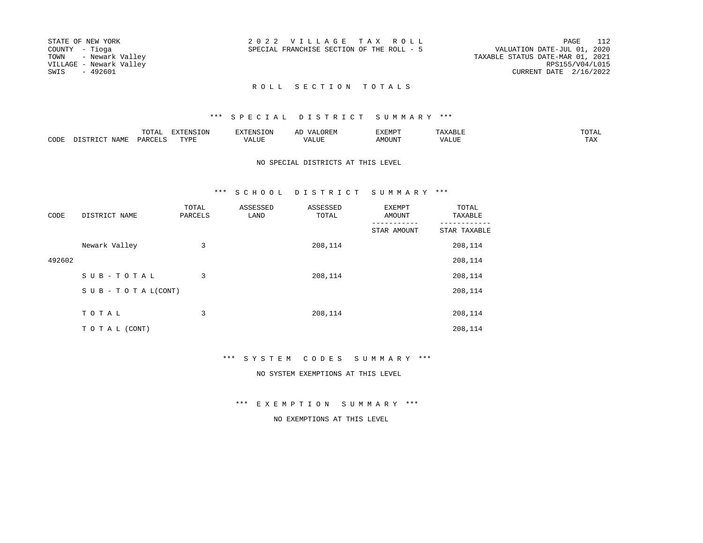| STATE OF NEW YORK       | 2022 VILLAGE TAX ROLL                     | 112<br>PAGE                      |
|-------------------------|-------------------------------------------|----------------------------------|
| COUNTY - Tioga          | SPECIAL FRANCHISE SECTION OF THE ROLL - 5 | VALUATION DATE-JUL 01, 2020      |
| TOWN - Newark Valley    |                                           | TAXABLE STATUS DATE-MAR 01, 2021 |
| VILLAGE - Newark Valley |                                           | RPS155/V04/L015                  |
| SWIS<br>- 492601        |                                           | CURRENT DATE 2/16/2022           |
|                         |                                           |                                  |

# \*\*\* S P E C I A L D I S T R I C T S U M M A R Y \*\*\*

|      | ----<br>◡∸ғ | ---<br>א∩ד סזאיםי<br>. | $\sim$ | <b>YFMD</b> |         | mom አ |
|------|-------------|------------------------|--------|-------------|---------|-------|
| CODE | ◡           | TSTT                   | 7 A I  |             | $V_{A}$ |       |

#### NO SPECIAL DISTRICTS AT THIS LEVEL

#### \*\*\* S C H O O L D I S T R I C T S U M M A R Y \*\*\*

| CODE   | DISTRICT NAME                 | TOTAL<br>PARCELS | ASSESSED<br>LAND | ASSESSED<br>TOTAL | EXEMPT<br>AMOUNT | TOTAL<br>TAXABLE |
|--------|-------------------------------|------------------|------------------|-------------------|------------------|------------------|
|        |                               |                  |                  |                   | STAR AMOUNT      | STAR TAXABLE     |
|        | Newark Valley                 | 3                |                  | 208,114           |                  | 208,114          |
| 492602 |                               |                  |                  |                   |                  | 208,114          |
|        | SUB-TOTAL                     | 3                |                  | 208,114           |                  | 208,114          |
|        | $S \cup B - T O T A L (CONT)$ |                  |                  |                   |                  | 208,114          |
|        |                               |                  |                  |                   |                  |                  |
|        | TOTAL                         | 3                |                  | 208,114           |                  | 208,114          |
|        | TO TAL (CONT)                 |                  |                  |                   |                  | 208,114          |

# \*\*\* S Y S T E M C O D E S S U M M A R Y \*\*\*

#### NO SYSTEM EXEMPTIONS AT THIS LEVEL

\*\*\* E X E M P T I O N S U M M A R Y \*\*\*

#### NO EXEMPTIONS AT THIS LEVEL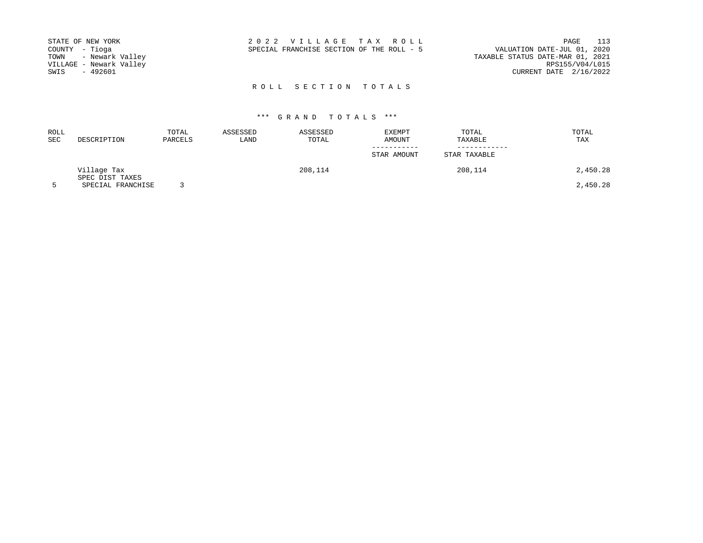| STATE OF NEW YORK       | 2022 VILLAGE TAX ROLL                     | PAGE                             | 113 |
|-------------------------|-------------------------------------------|----------------------------------|-----|
| COUNTY - Tioga          | SPECIAL FRANCHISE SECTION OF THE ROLL - 5 | VALUATION DATE-JUL 01, 2020      |     |
| TOWN - Newark Valley    |                                           | TAXABLE STATUS DATE-MAR 01, 2021 |     |
| VILLAGE - Newark Valley |                                           | RPS155/V04/L015                  |     |
| SWIS<br>- 492601        |                                           | CURRENT DATE 2/16/2022           |     |
|                         |                                           |                                  |     |

| <b>ROLL</b><br>SEC | DESCRIPTION                    | TOTAL<br>PARCELS | ASSESSED<br>LAND | ASSESSED<br>TOTAL | EXEMPT<br><b>AMOUNT</b> | TOTAL<br>TAXABLE | TOTAL<br>TAX |
|--------------------|--------------------------------|------------------|------------------|-------------------|-------------------------|------------------|--------------|
|                    |                                |                  |                  |                   | STAR AMOUNT             | STAR TAXABLE     |              |
|                    | Village Tax<br>SPEC DIST TAXES |                  |                  | 208,114           |                         | 208,114          | 2,450.28     |
| 5                  | SPECIAL FRANCHISE              |                  |                  |                   |                         |                  | 2,450.28     |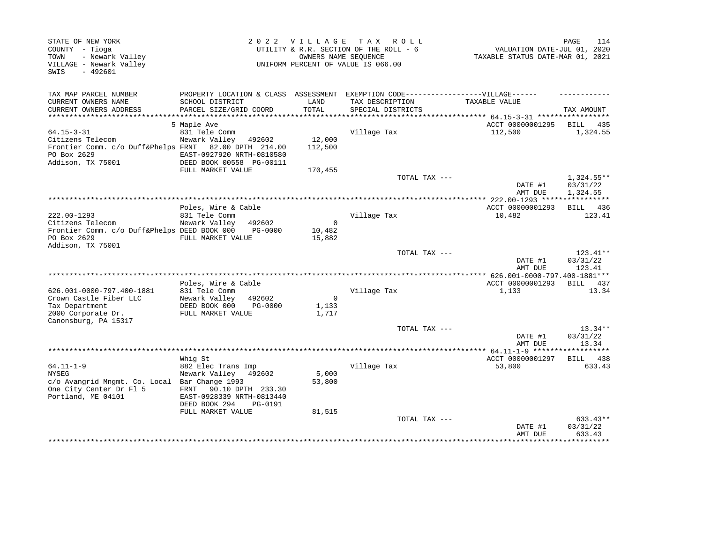| STATE OF NEW YORK<br>COUNTY - Tioga<br>- Newark Valley<br>TOWN<br>VILLAGE - Newark Valley<br>$-492601$<br>SWIS      |                                                                                                                                                        | OWNERS NAME SEOUENCE          | 2022 VILLAGE TAX ROLL<br>UTILITY & R.R. SECTION OF THE ROLL - 6<br>UNIFORM PERCENT OF VALUE IS 066.00 | VALUATION DATE-JUL 01, 2020<br>TAXABLE STATUS DATE-MAR 01, 2021 | 114<br>PAGE                        |
|---------------------------------------------------------------------------------------------------------------------|--------------------------------------------------------------------------------------------------------------------------------------------------------|-------------------------------|-------------------------------------------------------------------------------------------------------|-----------------------------------------------------------------|------------------------------------|
| TAX MAP PARCEL NUMBER                                                                                               |                                                                                                                                                        |                               | PROPERTY LOCATION & CLASS ASSESSMENT EXEMPTION CODE----------------VILLAGE------                      |                                                                 |                                    |
| CURRENT OWNERS NAME                                                                                                 | SCHOOL DISTRICT                                                                                                                                        | LAND                          | TAX DESCRIPTION                                                                                       | TAXABLE VALUE                                                   |                                    |
| CURRENT OWNERS ADDRESS<br>****************                                                                          | PARCEL SIZE/GRID COORD                                                                                                                                 | TOTAL                         | SPECIAL DISTRICTS                                                                                     | ******************* 64.15-3-31 ******************               | TAX AMOUNT                         |
|                                                                                                                     | 5 Maple Ave                                                                                                                                            |                               |                                                                                                       | ACCT 00000001295                                                | BILL 435                           |
| $64.15 - 3 - 31$<br>Citizens Telecom<br>Frontier Comm. c/o Duff&Phelps FRNT<br>PO Box 2629<br>Addison, TX 75001     | 831 Tele Comm<br>Newark Valley<br>492602<br>82.00 DPTH 214.00<br>EAST-0927920 NRTH-0810580<br>DEED BOOK 00558 PG-00111                                 | 12,000<br>112,500             | Village Tax                                                                                           | 112,500                                                         | 1,324.55                           |
|                                                                                                                     | FULL MARKET VALUE                                                                                                                                      | 170,455                       |                                                                                                       |                                                                 |                                    |
|                                                                                                                     |                                                                                                                                                        |                               | TOTAL TAX ---                                                                                         | DATE #1<br>AMT DUE                                              | 1,324.55**<br>03/31/22<br>1,324.55 |
|                                                                                                                     |                                                                                                                                                        |                               |                                                                                                       | ***** 222.00-1293 ****************                              |                                    |
| 222.00-1293<br>Citizens Telecom<br>Frontier Comm. c/o Duff&Phelps DEED BOOK 000<br>PO Box 2629<br>Addison, TX 75001 | Poles, Wire & Cable<br>831 Tele Comm<br>Newark Valley<br>492602<br>PG-0000<br>FULL MARKET VALUE                                                        | $\Omega$<br>10,482<br>15,882  | Village Tax                                                                                           | ACCT 00000001293<br>10,482                                      | BILL 436<br>123.41                 |
|                                                                                                                     |                                                                                                                                                        |                               | TOTAL TAX ---                                                                                         | DATE #1<br>AMT DUE                                              | 123.41**<br>03/31/22<br>123.41     |
|                                                                                                                     |                                                                                                                                                        |                               |                                                                                                       |                                                                 |                                    |
| 626.001-0000-797.400-1881<br>Crown Castle Fiber LLC<br>Tax Department<br>2000 Corporate Dr.<br>Canonsburg, PA 15317 | Poles, Wire & Cable<br>831 Tele Comm<br>Newark Valley<br>492602<br>DEED BOOK 000<br>PG-0000<br>FULL MARKET VALUE                                       | $\mathbf 0$<br>1,133<br>1,717 | Village Tax                                                                                           | ACCT 00000001293<br>1,133                                       | BILL 437<br>13.34                  |
|                                                                                                                     |                                                                                                                                                        |                               | TOTAL TAX ---                                                                                         | DATE #1<br>AMT DUE                                              | $13.34**$<br>03/31/22<br>13.34     |
|                                                                                                                     |                                                                                                                                                        |                               |                                                                                                       | *************** 64.11-1-9 ******                                | ***********                        |
|                                                                                                                     | Whiq St                                                                                                                                                |                               |                                                                                                       | ACCT 00000001297                                                | BILL 438                           |
| $64.11 - 1 - 9$<br><b>NYSEG</b><br>c/o Avangrid Mngmt. Co. Local<br>One City Center Dr Fl 5<br>Portland, ME 04101   | 882 Elec Trans Imp<br>Newark Valley<br>492602<br>Bar Change 1993<br>90.10 DPTH 233.30<br>FRNT<br>EAST-0928339 NRTH-0813440<br>DEED BOOK 294<br>PG-0191 | 5,000<br>53,800               | Village Tax                                                                                           | 53,800                                                          | 633.43                             |
|                                                                                                                     | FULL MARKET VALUE                                                                                                                                      | 81,515                        | TOTAL TAX ---                                                                                         | DATE #1<br>AMT DUE<br>******************************            | 633.43**<br>03/31/22<br>633.43     |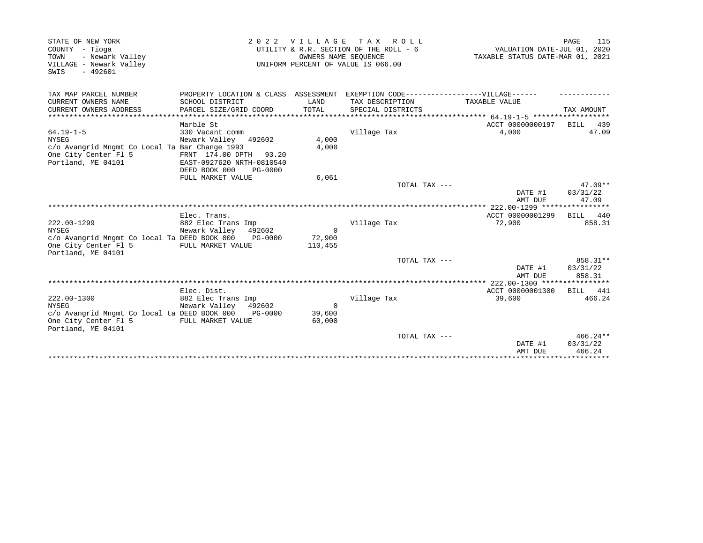| STATE OF NEW YORK<br>COUNTY - Tioga<br>- Newark Valley<br>TOWN<br>VILLAGE - Newark Valley<br>$-492601$<br>SWIS                  | 2 0 2 2                                                                                                                                 |                               | VILLAGE TAX ROLL<br>UTILITY & R.R. SECTION OF THE ROLL - 6<br>OWNERS NAME SEQUENCE<br>UNIFORM PERCENT OF VALUE IS 066.00  | VALUATION DATE-JUL 01, 2020<br>TAXABLE STATUS DATE-MAR 01, 2021 | 115<br>PAGE                      |
|---------------------------------------------------------------------------------------------------------------------------------|-----------------------------------------------------------------------------------------------------------------------------------------|-------------------------------|---------------------------------------------------------------------------------------------------------------------------|-----------------------------------------------------------------|----------------------------------|
| TAX MAP PARCEL NUMBER<br>CURRENT OWNERS NAME<br>CURRENT OWNERS ADDRESS                                                          | SCHOOL DISTRICT<br>PARCEL SIZE/GRID COORD                                                                                               | LAND<br>TOTAL                 | PROPERTY LOCATION & CLASS ASSESSMENT EXEMPTION CODE-----------------VILLAGE------<br>TAX DESCRIPTION<br>SPECIAL DISTRICTS | TAXABLE VALUE                                                   | TAX AMOUNT                       |
| $64.19 - 1 - 5$<br><b>NYSEG</b><br>c/o Avangrid Mngmt Co Local Ta Bar Change 1993<br>One City Center Fl 5<br>Portland, ME 04101 | Marble St<br>330 Vacant comm<br>Newark Valley 492602<br>FRNT 174.00 DPTH 93.20<br>EAST-0927620 NRTH-0810540<br>DEED BOOK 000<br>PG-0000 | 4,000<br>4,000                | Village Tax                                                                                                               | ACCT 00000000197<br>4,000                                       | BILL 439<br>47.09                |
|                                                                                                                                 | FULL MARKET VALUE                                                                                                                       | 6,061                         | TOTAL TAX ---                                                                                                             | DATE #1<br>AMT DUE                                              | $47.09**$<br>03/31/22<br>47.09   |
|                                                                                                                                 |                                                                                                                                         |                               |                                                                                                                           |                                                                 |                                  |
| 222.00-1299<br><b>NYSEG</b><br>c/o Avangrid Mngmt Co local Ta DEED BOOK 000<br>One City Center Fl 5<br>Portland, ME 04101       | Elec. Trans.<br>882 Elec Trans Imp<br>Newark Valley 492602<br>PG-0000<br>FULL MARKET VALUE                                              | $\Omega$<br>72,900<br>110,455 | Village Tax                                                                                                               | ACCT 00000001299<br>72,900                                      | BILL 440<br>858.31               |
|                                                                                                                                 |                                                                                                                                         |                               | TOTAL TAX ---                                                                                                             | DATE #1<br>AMT DUE                                              | 858.31**<br>03/31/22<br>858.31   |
|                                                                                                                                 |                                                                                                                                         |                               |                                                                                                                           |                                                                 |                                  |
| 222.00-1300<br><b>NYSEG</b><br>c/o Avangrid Mngmt Co local ta DEED BOOK 000<br>One City Center Fl 5<br>Portland, ME 04101       | Elec. Dist.<br>882 Elec Trans Imp<br>Newark Valley 492602<br>PG-0000<br>FULL MARKET VALUE                                               | $\Omega$<br>39,600<br>60,000  | Village Tax                                                                                                               | ACCT 00000001300<br>39,600                                      | BILL 441<br>466.24               |
|                                                                                                                                 |                                                                                                                                         |                               | TOTAL TAX ---                                                                                                             | DATE #1<br>AMT DUE                                              | $466.24**$<br>03/31/22<br>466.24 |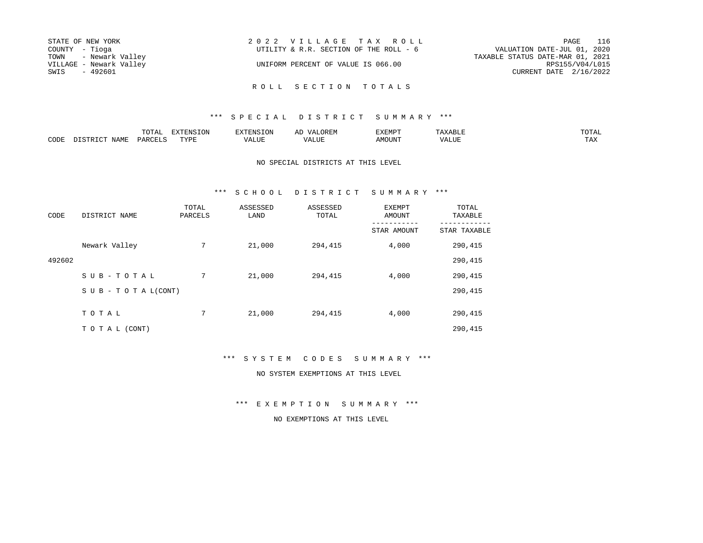| STATE OF NEW YORK       | 2022 VILLAGE TAX ROLL                  | 116<br>PAGE                      |
|-------------------------|----------------------------------------|----------------------------------|
| COUNTY - Tioga          | UTILITY & R.R. SECTION OF THE ROLL - 6 | VALUATION DATE-JUL 01, 2020      |
| TOWN - Newark Valley    |                                        | TAXABLE STATUS DATE-MAR 01, 2021 |
| VILLAGE - Newark Valley | UNIFORM PERCENT OF VALUE IS 066.00     | RPS155/V04/L015                  |
| SWIS<br>- 492601        |                                        | CURRENT DATE 2/16/2022           |
|                         |                                        |                                  |

## \*\*\* S P E C I A L D I S T R I C T S U M M A R Y \*\*\*

|              |      | m^m*<br>TOTUT      | 170707<br>----     | $\cdots$ | F.MD'<br>221 L.L |      | $m \wedge m \wedge r$<br>◡∸∸ |
|--------------|------|--------------------|--------------------|----------|------------------|------|------------------------------|
| ADDE<br>ືບບ⊬ | IAMF | $\sim$<br>∕ ⊂ا∖ (ن | TVDI<br><b>+++</b> |          | . NACTT7         | ,,,, |                              |

NO SPECIAL DISTRICTS AT THIS LEVEL

#### \*\*\* S C H O O L D I S T R I C T S U M M A R Y \*\*\*

| CODE   | DISTRICT NAME                    | TOTAL<br>PARCELS | ASSESSED<br>LAND | ASSESSED<br>TOTAL | EXEMPT<br>AMOUNT | TOTAL<br>TAXABLE |
|--------|----------------------------------|------------------|------------------|-------------------|------------------|------------------|
|        |                                  |                  |                  |                   | STAR AMOUNT      | STAR TAXABLE     |
|        | Newark Valley                    | 7                | 21,000           | 294,415           | 4,000            | 290,415          |
| 492602 |                                  |                  |                  |                   |                  | 290,415          |
|        | SUB-TOTAL                        | 7                | 21,000           | 294,415           | 4,000            | 290,415          |
|        | $S \cup B - T \cup T A L (CONT)$ |                  |                  |                   |                  | 290,415          |
|        | TOTAL                            | 7                | 21,000           | 294,415           | 4,000            | 290,415          |
|        |                                  |                  |                  |                   |                  |                  |
|        | TO TAL (CONT)                    |                  |                  |                   |                  | 290,415          |

\*\*\* S Y S T E M C O D E S S U M M A R Y \*\*\*

NO SYSTEM EXEMPTIONS AT THIS LEVEL

\*\*\* E X E M P T I O N S U M M A R Y \*\*\*

NO EXEMPTIONS AT THIS LEVEL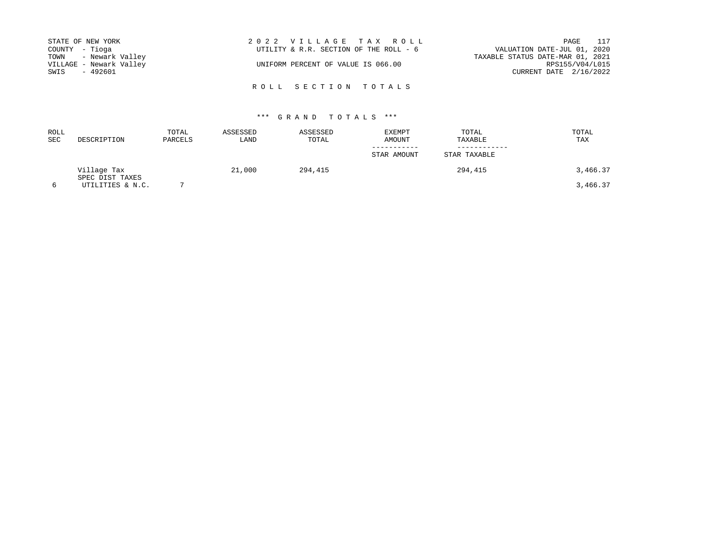| STATE OF NEW YORK       | 2022 VILLAGE TAX ROLL                  | 117<br>PAGE                      |
|-------------------------|----------------------------------------|----------------------------------|
| COUNTY - Tioga          | UTILITY & R.R. SECTION OF THE ROLL - 6 | VALUATION DATE-JUL 01, 2020      |
| TOWN - Newark Valley    |                                        | TAXABLE STATUS DATE-MAR 01, 2021 |
| VILLAGE - Newark Valley | UNIFORM PERCENT OF VALUE IS 066.00     | RPS155/V04/L015                  |
| SWIS<br>- 492601        |                                        | CURRENT DATE $2/16/2022$         |

R O L L S E C T I O N T O T A L S

| <b>ROLL</b><br><b>SEC</b> | DESCRIPTION                         | TOTAL<br>PARCELS | ASSESSED<br>LAND | ASSESSED<br>TOTAL | EXEMPT<br>AMOUNT | TOTAL<br>TAXABLE | TOTAL<br>TAX |
|---------------------------|-------------------------------------|------------------|------------------|-------------------|------------------|------------------|--------------|
|                           |                                     |                  |                  |                   | STAR AMOUNT      | STAR TAXABLE     |              |
|                           | Village Tax                         |                  | 21,000           | 294,415           |                  | 294,415          | 3,466.37     |
| 6                         | SPEC DIST TAXES<br>UTILITIES & N.C. |                  |                  |                   |                  |                  | 3,466.37     |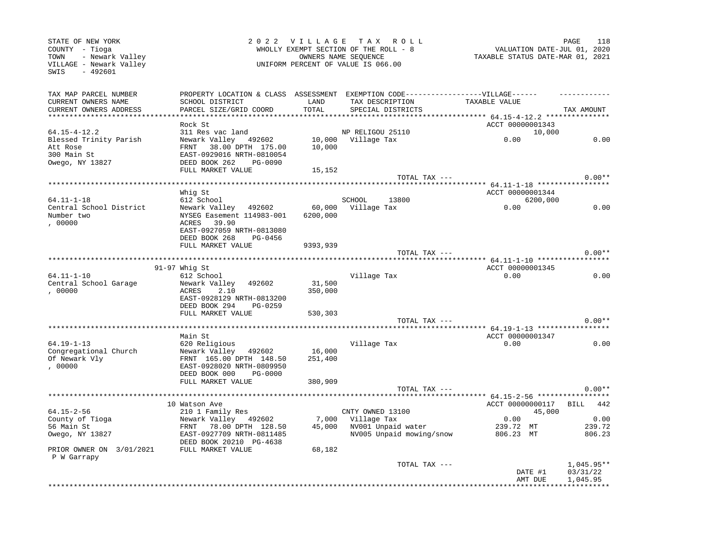| STATE OF NEW YORK<br>COUNTY - Tioga                                    | 2 0 2 2                                                                          | <b>VILLAGE</b><br>WHOLLY EXEMPT SECTION OF THE ROLL - 8    | PAGE<br>118<br>VALUATION DATE-JUL 01, 2020 |                                                    |                         |
|------------------------------------------------------------------------|----------------------------------------------------------------------------------|------------------------------------------------------------|--------------------------------------------|----------------------------------------------------|-------------------------|
| - Newark Valley<br>TOWN<br>VILLAGE - Newark Valley<br>- 492601<br>SWIS |                                                                                  | OWNERS NAME SEQUENCE<br>UNIFORM PERCENT OF VALUE IS 066.00 | TAXABLE STATUS DATE-MAR 01, 2021           |                                                    |                         |
| TAX MAP PARCEL NUMBER                                                  | PROPERTY LOCATION & CLASS ASSESSMENT EXEMPTION CODE----------------VILLAGE------ |                                                            |                                            |                                                    |                         |
| CURRENT OWNERS NAME                                                    | SCHOOL DISTRICT                                                                  | LAND                                                       | TAX DESCRIPTION                            | TAXABLE VALUE                                      |                         |
| CURRENT OWNERS ADDRESS                                                 | PARCEL SIZE/GRID COORD                                                           | TOTAL                                                      | SPECIAL DISTRICTS                          |                                                    | TAX AMOUNT              |
| ***********************                                                |                                                                                  | *************                                              |                                            | ******************** 64.15-4-12.2 **************** |                         |
|                                                                        | Rock St                                                                          |                                                            |                                            | ACCT 00000001343                                   |                         |
| $64.15 - 4 - 12.2$                                                     | 311 Res vac land                                                                 |                                                            | NP RELIGOU 25110                           | 10,000                                             |                         |
| Blessed Trinity Parish                                                 | Newark Valley 492602                                                             |                                                            | 10,000 Village Tax                         | 0.00                                               | 0.00                    |
| Att Rose                                                               | FRNT 38.00 DPTH 175.00                                                           | 10,000                                                     |                                            |                                                    |                         |
| 300 Main St                                                            | EAST-0929016 NRTH-0810054                                                        |                                                            |                                            |                                                    |                         |
| Owego, NY 13827                                                        | DEED BOOK 262<br>PG-0090                                                         |                                                            |                                            |                                                    |                         |
|                                                                        | FULL MARKET VALUE                                                                | 15,152                                                     |                                            |                                                    |                         |
|                                                                        |                                                                                  |                                                            | TOTAL TAX ---                              |                                                    | $0.00**$                |
|                                                                        |                                                                                  |                                                            |                                            | ******* 64.11-1-18 ******************              |                         |
|                                                                        | Whig St                                                                          |                                                            |                                            | ACCT 00000001344                                   |                         |
| $64.11 - 1 - 18$                                                       | 612 School                                                                       |                                                            | SCHOOL<br>13800                            | 6200,000                                           |                         |
| Central School District                                                | Newark Valley 492602                                                             | 60,000                                                     | Village Tax                                | 0.00                                               | 0.00                    |
| Number two                                                             | NYSEG Easement 114983-001                                                        | 6200,000                                                   |                                            |                                                    |                         |
| ,00000                                                                 | 39.90<br>ACRES                                                                   |                                                            |                                            |                                                    |                         |
|                                                                        | EAST-0927059 NRTH-0813080                                                        |                                                            |                                            |                                                    |                         |
|                                                                        | DEED BOOK 268<br>PG-0456                                                         |                                                            |                                            |                                                    |                         |
|                                                                        | FULL MARKET VALUE                                                                | 9393,939                                                   |                                            |                                                    |                         |
|                                                                        |                                                                                  |                                                            | TOTAL TAX ---                              |                                                    | $0.00**$                |
|                                                                        |                                                                                  |                                                            |                                            | ****************** 64.11-1-10 ******************   |                         |
|                                                                        | $91-97$ Whig St                                                                  |                                                            |                                            | ACCT 00000001345                                   |                         |
| 64.11-1-10                                                             | 612 School                                                                       |                                                            | Village Tax                                | 0.00                                               | 0.00                    |
| Central School Garage                                                  | Newark Valley<br>492602                                                          | 31,500                                                     |                                            |                                                    |                         |
| ,00000                                                                 | 2.10<br>ACRES                                                                    | 350,000                                                    |                                            |                                                    |                         |
|                                                                        | EAST-0928129 NRTH-0813200<br>DEED BOOK 294<br>PG-0259                            |                                                            |                                            |                                                    |                         |
|                                                                        | FULL MARKET VALUE                                                                |                                                            |                                            |                                                    |                         |
|                                                                        |                                                                                  | 530,303                                                    | TOTAL TAX ---                              |                                                    | $0.00**$                |
|                                                                        |                                                                                  |                                                            |                                            |                                                    |                         |
|                                                                        | Main St                                                                          |                                                            |                                            | ACCT 00000001347                                   |                         |
| $64.19 - 1 - 13$                                                       | 620 Religious                                                                    |                                                            | Village Tax                                | 0.00                                               | 0.00                    |
| Congregational Church                                                  | Newark Valley 492602                                                             | 16,000                                                     |                                            |                                                    |                         |
| Of Newark Vly                                                          | FRNT 165.00 DPTH 148.50                                                          | 251,400                                                    |                                            |                                                    |                         |
| , 00000                                                                | EAST-0928020 NRTH-0809950                                                        |                                                            |                                            |                                                    |                         |
|                                                                        | DEED BOOK 000<br>PG-0000                                                         |                                                            |                                            |                                                    |                         |
|                                                                        | FULL MARKET VALUE                                                                | 380,909                                                    |                                            |                                                    |                         |
|                                                                        |                                                                                  |                                                            | TOTAL TAX ---                              |                                                    | $0.00**$                |
|                                                                        |                                                                                  |                                                            |                                            |                                                    |                         |
|                                                                        | 10 Watson Ave                                                                    |                                                            |                                            | ACCT 00000000117                                   | BILL 442                |
| 64.15-2-56                                                             | 210 1 Family Res                                                                 |                                                            | CNTY OWNED 13100                           | 45,000                                             |                         |
| County of Tioga                                                        | Newark Valley 492602                                                             | 7,000                                                      | Village Tax                                | 0.00                                               | 0.00                    |
| 56 Main St                                                             | FRNT 78.00 DPTH 128.50                                                           | 45,000                                                     | NV001 Unpaid water                         | 239.72 MT                                          | 239.72                  |
| Owego, NY 13827                                                        | EAST-0927709 NRTH-0811485                                                        |                                                            | NV005 Unpaid mowing/snow                   | 806.23 MT                                          | 806.23                  |
|                                                                        | DEED BOOK 20210 PG-4638                                                          |                                                            |                                            |                                                    |                         |
| PRIOR OWNER ON 3/01/2021                                               | FULL MARKET VALUE                                                                | 68,182                                                     |                                            |                                                    |                         |
| P W Garrapy                                                            |                                                                                  |                                                            |                                            |                                                    |                         |
|                                                                        |                                                                                  |                                                            | TOTAL TAX ---                              |                                                    | 1,045.95**              |
|                                                                        |                                                                                  |                                                            |                                            | DATE #1                                            | 03/31/22                |
|                                                                        |                                                                                  |                                                            |                                            | AMT DUE                                            | 1,045.95                |
|                                                                        |                                                                                  |                                                            |                                            |                                                    | * * * * * * * * * * * * |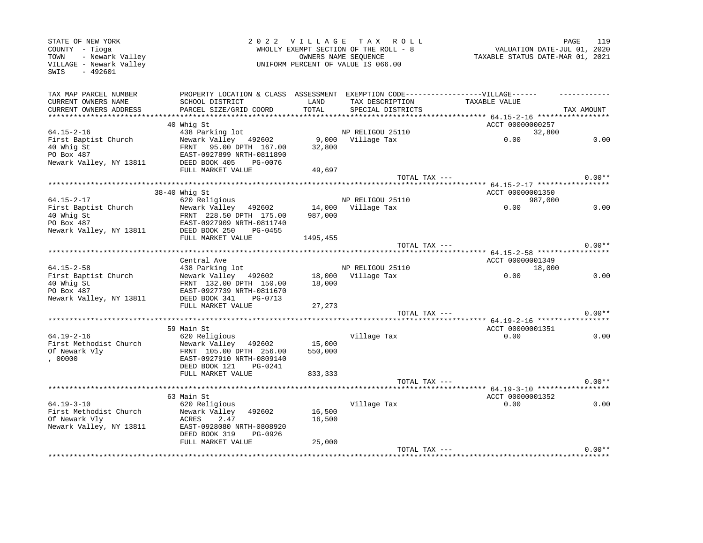| TAX MAP PARCEL NUMBER<br>PROPERTY LOCATION & CLASS ASSESSMENT EXEMPTION CODE-----------------VILLAGE------<br>CURRENT OWNERS NAME<br>SCHOOL DISTRICT<br>LAND<br>TAX DESCRIPTION<br>TAXABLE VALUE<br>TOTAL<br>CURRENT OWNERS ADDRESS<br>PARCEL SIZE/GRID COORD<br>TAX AMOUNT<br>SPECIAL DISTRICTS<br>40 Whig St<br>ACCT 00000000257<br>$64.15 - 2 - 16$<br>438 Parking lot<br>NP RELIGOU 25110<br>32,800<br>First Baptist Church<br>Newark Valley 492602<br>9,000 Village Tax<br>0.00<br>0.00<br>FRNT 95.00 DPTH 167.00<br>40 Whig St<br>32,800<br>PO Box 487<br>EAST-0927899 NRTH-0811890<br>Newark Valley, NY 13811<br>DEED BOOK 405<br>PG-0076<br>FULL MARKET VALUE<br>49,697<br>$0.00**$<br>TOTAL TAX ---<br>$38-40$ Whig St<br>ACCT 00000001350<br>$64.15 - 2 - 17$<br>620 Religious<br>NP RELIGOU 25110<br>987,000<br>0.00<br>First Baptist Church<br>Newark Valley 492602<br>14,000 Village Tax<br>0.00<br>40 Whig St<br>FRNT 228.50 DPTH 175.00<br>987,000<br>PO Box 487<br>EAST-0927909 NRTH-0811740<br>Newark Valley, NY 13811<br>DEED BOOK 250<br>PG-0455<br>FULL MARKET VALUE<br>1495,455<br>$0.00**$<br>TOTAL TAX ---<br>ACCT 00000001349<br>Central Ave<br>$64.15 - 2 - 58$<br>438 Parking lot<br>NP RELIGOU 25110<br>18,000<br>18,000 Village Tax<br>0.00<br>0.00<br>First Baptist Church<br>Newark Valley 492602<br>40 Whig St<br>FRNT 132.00 DPTH 150.00<br>18,000<br>PO Box 487<br>EAST-0927739 NRTH-0811670<br>Newark Valley, NY 13811<br>DEED BOOK 341<br>PG-0713<br>FULL MARKET VALUE<br>27,273<br>$0.00**$<br>TOTAL TAX ---<br>59 Main St<br>ACCT 00000001351<br>$64.19 - 2 - 16$<br>0.00<br>620 Religious<br>Village Tax<br>0.00<br>First Methodist Church<br>Newark Valley 492602<br>15,000<br>Of Newark Vly<br>FRNT 105.00 DPTH 256.00<br>550,000<br>, 00000<br>EAST-0927910 NRTH-0809140<br>DEED BOOK 121<br>PG-0241<br>FULL MARKET VALUE<br>833,333<br>$0.00**$<br>TOTAL TAX ---<br>ACCT 00000001352<br>63 Main St<br>$64.19 - 3 - 10$<br>620 Religious<br>0.00<br>0.00<br>Village Tax<br>First Methodist Church<br>Newark Valley 492602<br>16,500<br>Of Newark Vly<br>2.47<br>ACRES<br>16,500<br>Newark Valley, NY 13811<br>EAST-0928080 NRTH-0808920<br>DEED BOOK 319<br>PG-0926<br>FULL MARKET VALUE<br>25,000<br>$0.00**$<br>TOTAL TAX --- | STATE OF NEW YORK<br>COUNTY - Tioga<br>- Newark Valley<br>TOWN<br>VILLAGE - Newark Valley<br>$-492601$<br>SWIS |  | 2022 VILLAGE TAX ROLL<br>WHOLLY EXEMPT SECTION OF THE ROLL - 8<br>OWNERS NAME SEQUENCE<br>UNIFORM PERCENT OF VALUE IS 066.00 | VALUATION DATE-JUL 01, 2020<br>TAXABLE STATUS DATE-MAR 01, 2021 | 119<br>PAGE |
|--------------------------------------------------------------------------------------------------------------------------------------------------------------------------------------------------------------------------------------------------------------------------------------------------------------------------------------------------------------------------------------------------------------------------------------------------------------------------------------------------------------------------------------------------------------------------------------------------------------------------------------------------------------------------------------------------------------------------------------------------------------------------------------------------------------------------------------------------------------------------------------------------------------------------------------------------------------------------------------------------------------------------------------------------------------------------------------------------------------------------------------------------------------------------------------------------------------------------------------------------------------------------------------------------------------------------------------------------------------------------------------------------------------------------------------------------------------------------------------------------------------------------------------------------------------------------------------------------------------------------------------------------------------------------------------------------------------------------------------------------------------------------------------------------------------------------------------------------------------------------------------------------------------------------------------------------------------------------------------------------------------------------------------------------------------------------------------------------------------------------------------------------------------------------------------------------------------------------------------------------------------------------|----------------------------------------------------------------------------------------------------------------|--|------------------------------------------------------------------------------------------------------------------------------|-----------------------------------------------------------------|-------------|
|                                                                                                                                                                                                                                                                                                                                                                                                                                                                                                                                                                                                                                                                                                                                                                                                                                                                                                                                                                                                                                                                                                                                                                                                                                                                                                                                                                                                                                                                                                                                                                                                                                                                                                                                                                                                                                                                                                                                                                                                                                                                                                                                                                                                                                                                          |                                                                                                                |  |                                                                                                                              |                                                                 |             |
|                                                                                                                                                                                                                                                                                                                                                                                                                                                                                                                                                                                                                                                                                                                                                                                                                                                                                                                                                                                                                                                                                                                                                                                                                                                                                                                                                                                                                                                                                                                                                                                                                                                                                                                                                                                                                                                                                                                                                                                                                                                                                                                                                                                                                                                                          |                                                                                                                |  |                                                                                                                              |                                                                 |             |
|                                                                                                                                                                                                                                                                                                                                                                                                                                                                                                                                                                                                                                                                                                                                                                                                                                                                                                                                                                                                                                                                                                                                                                                                                                                                                                                                                                                                                                                                                                                                                                                                                                                                                                                                                                                                                                                                                                                                                                                                                                                                                                                                                                                                                                                                          |                                                                                                                |  |                                                                                                                              |                                                                 |             |
|                                                                                                                                                                                                                                                                                                                                                                                                                                                                                                                                                                                                                                                                                                                                                                                                                                                                                                                                                                                                                                                                                                                                                                                                                                                                                                                                                                                                                                                                                                                                                                                                                                                                                                                                                                                                                                                                                                                                                                                                                                                                                                                                                                                                                                                                          |                                                                                                                |  |                                                                                                                              |                                                                 |             |
|                                                                                                                                                                                                                                                                                                                                                                                                                                                                                                                                                                                                                                                                                                                                                                                                                                                                                                                                                                                                                                                                                                                                                                                                                                                                                                                                                                                                                                                                                                                                                                                                                                                                                                                                                                                                                                                                                                                                                                                                                                                                                                                                                                                                                                                                          |                                                                                                                |  |                                                                                                                              |                                                                 |             |
|                                                                                                                                                                                                                                                                                                                                                                                                                                                                                                                                                                                                                                                                                                                                                                                                                                                                                                                                                                                                                                                                                                                                                                                                                                                                                                                                                                                                                                                                                                                                                                                                                                                                                                                                                                                                                                                                                                                                                                                                                                                                                                                                                                                                                                                                          |                                                                                                                |  |                                                                                                                              |                                                                 |             |
|                                                                                                                                                                                                                                                                                                                                                                                                                                                                                                                                                                                                                                                                                                                                                                                                                                                                                                                                                                                                                                                                                                                                                                                                                                                                                                                                                                                                                                                                                                                                                                                                                                                                                                                                                                                                                                                                                                                                                                                                                                                                                                                                                                                                                                                                          |                                                                                                                |  |                                                                                                                              |                                                                 |             |
|                                                                                                                                                                                                                                                                                                                                                                                                                                                                                                                                                                                                                                                                                                                                                                                                                                                                                                                                                                                                                                                                                                                                                                                                                                                                                                                                                                                                                                                                                                                                                                                                                                                                                                                                                                                                                                                                                                                                                                                                                                                                                                                                                                                                                                                                          |                                                                                                                |  |                                                                                                                              |                                                                 |             |
|                                                                                                                                                                                                                                                                                                                                                                                                                                                                                                                                                                                                                                                                                                                                                                                                                                                                                                                                                                                                                                                                                                                                                                                                                                                                                                                                                                                                                                                                                                                                                                                                                                                                                                                                                                                                                                                                                                                                                                                                                                                                                                                                                                                                                                                                          |                                                                                                                |  |                                                                                                                              |                                                                 |             |
|                                                                                                                                                                                                                                                                                                                                                                                                                                                                                                                                                                                                                                                                                                                                                                                                                                                                                                                                                                                                                                                                                                                                                                                                                                                                                                                                                                                                                                                                                                                                                                                                                                                                                                                                                                                                                                                                                                                                                                                                                                                                                                                                                                                                                                                                          |                                                                                                                |  |                                                                                                                              |                                                                 |             |
|                                                                                                                                                                                                                                                                                                                                                                                                                                                                                                                                                                                                                                                                                                                                                                                                                                                                                                                                                                                                                                                                                                                                                                                                                                                                                                                                                                                                                                                                                                                                                                                                                                                                                                                                                                                                                                                                                                                                                                                                                                                                                                                                                                                                                                                                          |                                                                                                                |  |                                                                                                                              |                                                                 |             |
|                                                                                                                                                                                                                                                                                                                                                                                                                                                                                                                                                                                                                                                                                                                                                                                                                                                                                                                                                                                                                                                                                                                                                                                                                                                                                                                                                                                                                                                                                                                                                                                                                                                                                                                                                                                                                                                                                                                                                                                                                                                                                                                                                                                                                                                                          |                                                                                                                |  |                                                                                                                              |                                                                 |             |
|                                                                                                                                                                                                                                                                                                                                                                                                                                                                                                                                                                                                                                                                                                                                                                                                                                                                                                                                                                                                                                                                                                                                                                                                                                                                                                                                                                                                                                                                                                                                                                                                                                                                                                                                                                                                                                                                                                                                                                                                                                                                                                                                                                                                                                                                          |                                                                                                                |  |                                                                                                                              |                                                                 |             |
|                                                                                                                                                                                                                                                                                                                                                                                                                                                                                                                                                                                                                                                                                                                                                                                                                                                                                                                                                                                                                                                                                                                                                                                                                                                                                                                                                                                                                                                                                                                                                                                                                                                                                                                                                                                                                                                                                                                                                                                                                                                                                                                                                                                                                                                                          |                                                                                                                |  |                                                                                                                              |                                                                 |             |
|                                                                                                                                                                                                                                                                                                                                                                                                                                                                                                                                                                                                                                                                                                                                                                                                                                                                                                                                                                                                                                                                                                                                                                                                                                                                                                                                                                                                                                                                                                                                                                                                                                                                                                                                                                                                                                                                                                                                                                                                                                                                                                                                                                                                                                                                          |                                                                                                                |  |                                                                                                                              |                                                                 |             |
|                                                                                                                                                                                                                                                                                                                                                                                                                                                                                                                                                                                                                                                                                                                                                                                                                                                                                                                                                                                                                                                                                                                                                                                                                                                                                                                                                                                                                                                                                                                                                                                                                                                                                                                                                                                                                                                                                                                                                                                                                                                                                                                                                                                                                                                                          |                                                                                                                |  |                                                                                                                              |                                                                 |             |
|                                                                                                                                                                                                                                                                                                                                                                                                                                                                                                                                                                                                                                                                                                                                                                                                                                                                                                                                                                                                                                                                                                                                                                                                                                                                                                                                                                                                                                                                                                                                                                                                                                                                                                                                                                                                                                                                                                                                                                                                                                                                                                                                                                                                                                                                          |                                                                                                                |  |                                                                                                                              |                                                                 |             |
|                                                                                                                                                                                                                                                                                                                                                                                                                                                                                                                                                                                                                                                                                                                                                                                                                                                                                                                                                                                                                                                                                                                                                                                                                                                                                                                                                                                                                                                                                                                                                                                                                                                                                                                                                                                                                                                                                                                                                                                                                                                                                                                                                                                                                                                                          |                                                                                                                |  |                                                                                                                              |                                                                 |             |
|                                                                                                                                                                                                                                                                                                                                                                                                                                                                                                                                                                                                                                                                                                                                                                                                                                                                                                                                                                                                                                                                                                                                                                                                                                                                                                                                                                                                                                                                                                                                                                                                                                                                                                                                                                                                                                                                                                                                                                                                                                                                                                                                                                                                                                                                          |                                                                                                                |  |                                                                                                                              |                                                                 |             |
|                                                                                                                                                                                                                                                                                                                                                                                                                                                                                                                                                                                                                                                                                                                                                                                                                                                                                                                                                                                                                                                                                                                                                                                                                                                                                                                                                                                                                                                                                                                                                                                                                                                                                                                                                                                                                                                                                                                                                                                                                                                                                                                                                                                                                                                                          |                                                                                                                |  |                                                                                                                              |                                                                 |             |
|                                                                                                                                                                                                                                                                                                                                                                                                                                                                                                                                                                                                                                                                                                                                                                                                                                                                                                                                                                                                                                                                                                                                                                                                                                                                                                                                                                                                                                                                                                                                                                                                                                                                                                                                                                                                                                                                                                                                                                                                                                                                                                                                                                                                                                                                          |                                                                                                                |  |                                                                                                                              |                                                                 |             |
|                                                                                                                                                                                                                                                                                                                                                                                                                                                                                                                                                                                                                                                                                                                                                                                                                                                                                                                                                                                                                                                                                                                                                                                                                                                                                                                                                                                                                                                                                                                                                                                                                                                                                                                                                                                                                                                                                                                                                                                                                                                                                                                                                                                                                                                                          |                                                                                                                |  |                                                                                                                              |                                                                 |             |
|                                                                                                                                                                                                                                                                                                                                                                                                                                                                                                                                                                                                                                                                                                                                                                                                                                                                                                                                                                                                                                                                                                                                                                                                                                                                                                                                                                                                                                                                                                                                                                                                                                                                                                                                                                                                                                                                                                                                                                                                                                                                                                                                                                                                                                                                          |                                                                                                                |  |                                                                                                                              |                                                                 |             |
|                                                                                                                                                                                                                                                                                                                                                                                                                                                                                                                                                                                                                                                                                                                                                                                                                                                                                                                                                                                                                                                                                                                                                                                                                                                                                                                                                                                                                                                                                                                                                                                                                                                                                                                                                                                                                                                                                                                                                                                                                                                                                                                                                                                                                                                                          |                                                                                                                |  |                                                                                                                              |                                                                 |             |
|                                                                                                                                                                                                                                                                                                                                                                                                                                                                                                                                                                                                                                                                                                                                                                                                                                                                                                                                                                                                                                                                                                                                                                                                                                                                                                                                                                                                                                                                                                                                                                                                                                                                                                                                                                                                                                                                                                                                                                                                                                                                                                                                                                                                                                                                          |                                                                                                                |  |                                                                                                                              |                                                                 |             |
|                                                                                                                                                                                                                                                                                                                                                                                                                                                                                                                                                                                                                                                                                                                                                                                                                                                                                                                                                                                                                                                                                                                                                                                                                                                                                                                                                                                                                                                                                                                                                                                                                                                                                                                                                                                                                                                                                                                                                                                                                                                                                                                                                                                                                                                                          |                                                                                                                |  |                                                                                                                              |                                                                 |             |
|                                                                                                                                                                                                                                                                                                                                                                                                                                                                                                                                                                                                                                                                                                                                                                                                                                                                                                                                                                                                                                                                                                                                                                                                                                                                                                                                                                                                                                                                                                                                                                                                                                                                                                                                                                                                                                                                                                                                                                                                                                                                                                                                                                                                                                                                          |                                                                                                                |  |                                                                                                                              |                                                                 |             |
|                                                                                                                                                                                                                                                                                                                                                                                                                                                                                                                                                                                                                                                                                                                                                                                                                                                                                                                                                                                                                                                                                                                                                                                                                                                                                                                                                                                                                                                                                                                                                                                                                                                                                                                                                                                                                                                                                                                                                                                                                                                                                                                                                                                                                                                                          |                                                                                                                |  |                                                                                                                              |                                                                 |             |
|                                                                                                                                                                                                                                                                                                                                                                                                                                                                                                                                                                                                                                                                                                                                                                                                                                                                                                                                                                                                                                                                                                                                                                                                                                                                                                                                                                                                                                                                                                                                                                                                                                                                                                                                                                                                                                                                                                                                                                                                                                                                                                                                                                                                                                                                          |                                                                                                                |  |                                                                                                                              |                                                                 |             |
|                                                                                                                                                                                                                                                                                                                                                                                                                                                                                                                                                                                                                                                                                                                                                                                                                                                                                                                                                                                                                                                                                                                                                                                                                                                                                                                                                                                                                                                                                                                                                                                                                                                                                                                                                                                                                                                                                                                                                                                                                                                                                                                                                                                                                                                                          |                                                                                                                |  |                                                                                                                              |                                                                 |             |
|                                                                                                                                                                                                                                                                                                                                                                                                                                                                                                                                                                                                                                                                                                                                                                                                                                                                                                                                                                                                                                                                                                                                                                                                                                                                                                                                                                                                                                                                                                                                                                                                                                                                                                                                                                                                                                                                                                                                                                                                                                                                                                                                                                                                                                                                          |                                                                                                                |  |                                                                                                                              |                                                                 |             |
|                                                                                                                                                                                                                                                                                                                                                                                                                                                                                                                                                                                                                                                                                                                                                                                                                                                                                                                                                                                                                                                                                                                                                                                                                                                                                                                                                                                                                                                                                                                                                                                                                                                                                                                                                                                                                                                                                                                                                                                                                                                                                                                                                                                                                                                                          |                                                                                                                |  |                                                                                                                              |                                                                 |             |
|                                                                                                                                                                                                                                                                                                                                                                                                                                                                                                                                                                                                                                                                                                                                                                                                                                                                                                                                                                                                                                                                                                                                                                                                                                                                                                                                                                                                                                                                                                                                                                                                                                                                                                                                                                                                                                                                                                                                                                                                                                                                                                                                                                                                                                                                          |                                                                                                                |  |                                                                                                                              |                                                                 |             |
|                                                                                                                                                                                                                                                                                                                                                                                                                                                                                                                                                                                                                                                                                                                                                                                                                                                                                                                                                                                                                                                                                                                                                                                                                                                                                                                                                                                                                                                                                                                                                                                                                                                                                                                                                                                                                                                                                                                                                                                                                                                                                                                                                                                                                                                                          |                                                                                                                |  |                                                                                                                              |                                                                 |             |
|                                                                                                                                                                                                                                                                                                                                                                                                                                                                                                                                                                                                                                                                                                                                                                                                                                                                                                                                                                                                                                                                                                                                                                                                                                                                                                                                                                                                                                                                                                                                                                                                                                                                                                                                                                                                                                                                                                                                                                                                                                                                                                                                                                                                                                                                          |                                                                                                                |  |                                                                                                                              |                                                                 |             |
|                                                                                                                                                                                                                                                                                                                                                                                                                                                                                                                                                                                                                                                                                                                                                                                                                                                                                                                                                                                                                                                                                                                                                                                                                                                                                                                                                                                                                                                                                                                                                                                                                                                                                                                                                                                                                                                                                                                                                                                                                                                                                                                                                                                                                                                                          |                                                                                                                |  |                                                                                                                              |                                                                 |             |
|                                                                                                                                                                                                                                                                                                                                                                                                                                                                                                                                                                                                                                                                                                                                                                                                                                                                                                                                                                                                                                                                                                                                                                                                                                                                                                                                                                                                                                                                                                                                                                                                                                                                                                                                                                                                                                                                                                                                                                                                                                                                                                                                                                                                                                                                          |                                                                                                                |  |                                                                                                                              |                                                                 |             |
|                                                                                                                                                                                                                                                                                                                                                                                                                                                                                                                                                                                                                                                                                                                                                                                                                                                                                                                                                                                                                                                                                                                                                                                                                                                                                                                                                                                                                                                                                                                                                                                                                                                                                                                                                                                                                                                                                                                                                                                                                                                                                                                                                                                                                                                                          |                                                                                                                |  |                                                                                                                              |                                                                 |             |
|                                                                                                                                                                                                                                                                                                                                                                                                                                                                                                                                                                                                                                                                                                                                                                                                                                                                                                                                                                                                                                                                                                                                                                                                                                                                                                                                                                                                                                                                                                                                                                                                                                                                                                                                                                                                                                                                                                                                                                                                                                                                                                                                                                                                                                                                          |                                                                                                                |  |                                                                                                                              |                                                                 |             |
|                                                                                                                                                                                                                                                                                                                                                                                                                                                                                                                                                                                                                                                                                                                                                                                                                                                                                                                                                                                                                                                                                                                                                                                                                                                                                                                                                                                                                                                                                                                                                                                                                                                                                                                                                                                                                                                                                                                                                                                                                                                                                                                                                                                                                                                                          |                                                                                                                |  |                                                                                                                              |                                                                 |             |
|                                                                                                                                                                                                                                                                                                                                                                                                                                                                                                                                                                                                                                                                                                                                                                                                                                                                                                                                                                                                                                                                                                                                                                                                                                                                                                                                                                                                                                                                                                                                                                                                                                                                                                                                                                                                                                                                                                                                                                                                                                                                                                                                                                                                                                                                          |                                                                                                                |  |                                                                                                                              |                                                                 |             |
|                                                                                                                                                                                                                                                                                                                                                                                                                                                                                                                                                                                                                                                                                                                                                                                                                                                                                                                                                                                                                                                                                                                                                                                                                                                                                                                                                                                                                                                                                                                                                                                                                                                                                                                                                                                                                                                                                                                                                                                                                                                                                                                                                                                                                                                                          |                                                                                                                |  |                                                                                                                              |                                                                 |             |
|                                                                                                                                                                                                                                                                                                                                                                                                                                                                                                                                                                                                                                                                                                                                                                                                                                                                                                                                                                                                                                                                                                                                                                                                                                                                                                                                                                                                                                                                                                                                                                                                                                                                                                                                                                                                                                                                                                                                                                                                                                                                                                                                                                                                                                                                          |                                                                                                                |  |                                                                                                                              |                                                                 |             |
|                                                                                                                                                                                                                                                                                                                                                                                                                                                                                                                                                                                                                                                                                                                                                                                                                                                                                                                                                                                                                                                                                                                                                                                                                                                                                                                                                                                                                                                                                                                                                                                                                                                                                                                                                                                                                                                                                                                                                                                                                                                                                                                                                                                                                                                                          |                                                                                                                |  |                                                                                                                              |                                                                 |             |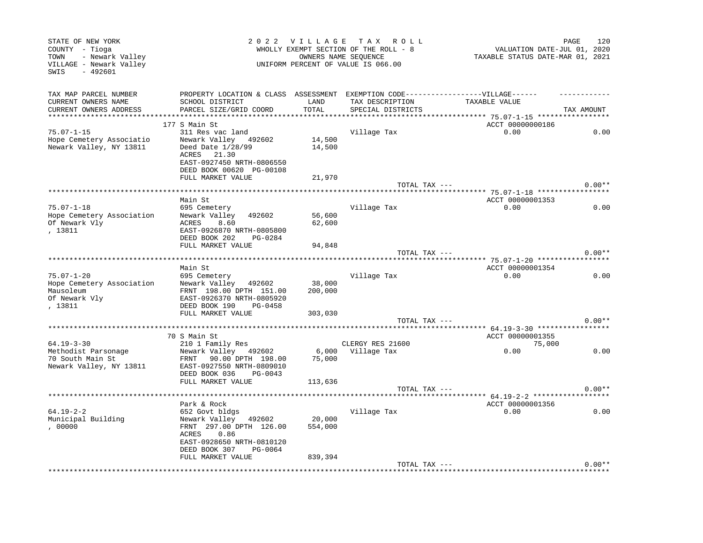| STATE OF NEW YORK<br>COUNTY - Tioga<br>- Newark Valley<br>TOWN<br>VILLAGE - Newark Valley<br>$-492601$<br>SWIS |                                                                                                                   |                  | 2022 VILLAGE TAX ROLL<br>WHOLLY EXEMPT SECTION OF THE ROLL - 8<br>OWNERS NAME SEQUENCE<br>UNIFORM PERCENT OF VALUE IS 066.00 | VALUATION DATE-JUL 01, 2020<br>TAXABLE STATUS DATE-MAR 01, 2021 | 120<br>PAGE |
|----------------------------------------------------------------------------------------------------------------|-------------------------------------------------------------------------------------------------------------------|------------------|------------------------------------------------------------------------------------------------------------------------------|-----------------------------------------------------------------|-------------|
| TAX MAP PARCEL NUMBER                                                                                          | PROPERTY LOCATION & CLASS ASSESSMENT EXEMPTION CODE-----------------VILLAGE------                                 |                  |                                                                                                                              |                                                                 |             |
| CURRENT OWNERS NAME                                                                                            | SCHOOL DISTRICT                                                                                                   | LAND             | TAX DESCRIPTION                                                                                                              | TAXABLE VALUE                                                   |             |
| CURRENT OWNERS ADDRESS                                                                                         | PARCEL SIZE/GRID COORD                                                                                            | TOTAL            | SPECIAL DISTRICTS                                                                                                            |                                                                 | TAX AMOUNT  |
|                                                                                                                | 177 S Main St                                                                                                     |                  |                                                                                                                              | ACCT 00000000186                                                |             |
| $75.07 - 1 - 15$                                                                                               | 311 Res vac land                                                                                                  |                  | Village Tax                                                                                                                  | 0.00                                                            | 0.00        |
| Hope Cemetery Associatio<br>Newark Valley, NY 13811                                                            | Newark Valley 492602<br>Deed Date 1/28/99<br>ACRES 21.30<br>EAST-0927450 NRTH-0806550<br>DEED BOOK 00620 PG-00108 | 14,500<br>14,500 |                                                                                                                              |                                                                 |             |
|                                                                                                                | FULL MARKET VALUE                                                                                                 | 21,970           |                                                                                                                              |                                                                 |             |
|                                                                                                                |                                                                                                                   |                  | TOTAL TAX ---                                                                                                                |                                                                 | $0.00**$    |
|                                                                                                                |                                                                                                                   |                  |                                                                                                                              |                                                                 |             |
| $75.07 - 1 - 18$                                                                                               | Main St<br>695 Cemetery                                                                                           |                  | Village Tax                                                                                                                  | ACCT 00000001353<br>0.00                                        | 0.00        |
| Hope Cemetery Association<br>Of Newark Vly<br>, 13811                                                          | Newark Valley 492602<br>8.60<br>ACRES<br>EAST-0926870 NRTH-0805800                                                | 56,600<br>62,600 |                                                                                                                              |                                                                 |             |
|                                                                                                                | DEED BOOK 202<br>PG-0284                                                                                          |                  |                                                                                                                              |                                                                 |             |
|                                                                                                                | FULL MARKET VALUE                                                                                                 | 94,848           |                                                                                                                              |                                                                 |             |
|                                                                                                                |                                                                                                                   |                  | TOTAL TAX ---                                                                                                                |                                                                 | $0.00**$    |
|                                                                                                                | Main St                                                                                                           |                  |                                                                                                                              | ACCT 00000001354                                                |             |
| $75.07 - 1 - 20$                                                                                               | 695 Cemetery                                                                                                      |                  | Village Tax                                                                                                                  | 0.00                                                            | 0.00        |
| Hope Cemetery Association                                                                                      | Newark Valley 492602                                                                                              | 38,000           |                                                                                                                              |                                                                 |             |
| Mausoleum<br>Of Newark Vly<br>, 13811                                                                          | FRNT 198.00 DPTH 151.00<br>EAST-0926370 NRTH-0805920<br>DEED BOOK 190<br>PG-0458                                  | 200,000          |                                                                                                                              |                                                                 |             |
|                                                                                                                | FULL MARKET VALUE                                                                                                 | 303,030          |                                                                                                                              |                                                                 |             |
|                                                                                                                |                                                                                                                   |                  | TOTAL TAX ---                                                                                                                |                                                                 | $0.00**$    |
|                                                                                                                |                                                                                                                   |                  |                                                                                                                              |                                                                 |             |
|                                                                                                                | 70 S Main St                                                                                                      |                  |                                                                                                                              | ACCT 00000001355                                                |             |
| $64.19 - 3 - 30$<br>Methodist Parsonage                                                                        | 210 1 Family Res<br>Newark Valley 492602                                                                          |                  | CLERGY RES 21600<br>6,000 Village Tax                                                                                        | 75,000<br>0.00                                                  | 0.00        |
| 70 South Main St<br>Newark Valley, NY 13811                                                                    | FRNT 90.00 DPTH 198.00<br>EAST-0927550 NRTH-0809010<br>DEED BOOK 036<br>PG-0043                                   | 75,000           |                                                                                                                              |                                                                 |             |
|                                                                                                                | FULL MARKET VALUE                                                                                                 | 113,636          |                                                                                                                              |                                                                 |             |
|                                                                                                                |                                                                                                                   |                  | TOTAL TAX ---                                                                                                                |                                                                 | $0.00**$    |
|                                                                                                                |                                                                                                                   |                  |                                                                                                                              |                                                                 |             |
| $64.19 - 2 - 2$                                                                                                | Park & Rock<br>652 Govt bldgs                                                                                     |                  | Village Tax                                                                                                                  | ACCT 00000001356<br>0.00                                        | 0.00        |
| Municipal Building                                                                                             | Newark Valley 492602                                                                                              | 20,000           |                                                                                                                              |                                                                 |             |
| ,00000                                                                                                         | FRNT 297.00 DPTH 126.00<br>ACRES 0.86                                                                             | 554,000          |                                                                                                                              |                                                                 |             |
|                                                                                                                | EAST-0928650 NRTH-0810120<br>DEED BOOK 307<br>PG-0064                                                             |                  |                                                                                                                              |                                                                 |             |
|                                                                                                                | FULL MARKET VALUE                                                                                                 | 839,394          |                                                                                                                              |                                                                 |             |
|                                                                                                                |                                                                                                                   |                  | TOTAL TAX ---                                                                                                                |                                                                 | $0.00**$    |
|                                                                                                                |                                                                                                                   |                  |                                                                                                                              |                                                                 |             |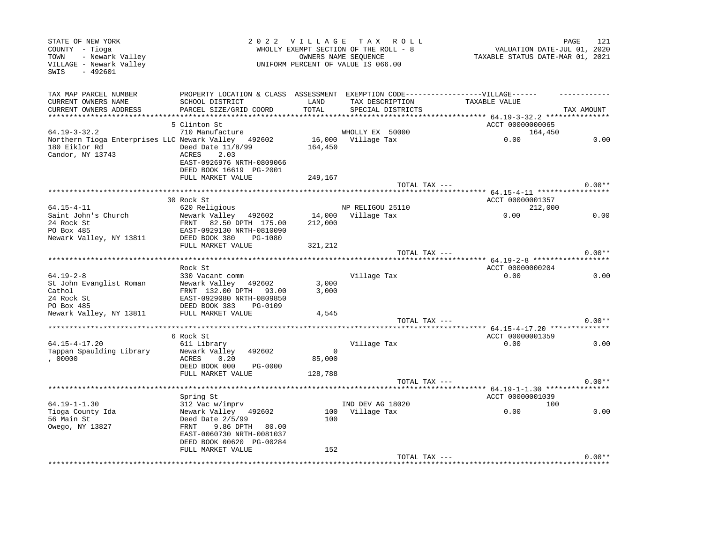| STATE OF NEW YORK<br>COUNTY - Tioga<br>- Newark Valley<br>TOWN<br>VILLAGE - Newark Valley<br>$-492601$<br>SWIS |                                                                                                      | 2022 VILLAGE TAX ROLL<br>WHOLLY EXEMPT SECTION OF THE ROLL - 8<br>OWNERS NAME SEQUENCE<br>UNIFORM PERCENT OF VALUE IS 066.00 |                    |                                        | 121<br>PAGE<br>VALUATION DATE-JUL 01, 2020<br>TAXABLE STATUS DATE-MAR 01, 2021 |
|----------------------------------------------------------------------------------------------------------------|------------------------------------------------------------------------------------------------------|------------------------------------------------------------------------------------------------------------------------------|--------------------|----------------------------------------|--------------------------------------------------------------------------------|
| TAX MAP PARCEL NUMBER<br>CURRENT OWNERS NAME                                                                   | PROPERTY LOCATION & CLASS ASSESSMENT EXEMPTION CODE-----------------VILLAGE------<br>SCHOOL DISTRICT | LAND                                                                                                                         | TAX DESCRIPTION    | TAXABLE VALUE                          |                                                                                |
| CURRENT OWNERS ADDRESS                                                                                         | PARCEL SIZE/GRID COORD                                                                               | TOTAL                                                                                                                        | SPECIAL DISTRICTS  |                                        | TAX AMOUNT                                                                     |
|                                                                                                                |                                                                                                      |                                                                                                                              |                    |                                        |                                                                                |
|                                                                                                                | 5 Clinton St                                                                                         |                                                                                                                              |                    | ACCT 00000000065                       |                                                                                |
| $64.19 - 3 - 32.2$                                                                                             | 710 Manufacture                                                                                      |                                                                                                                              | WHOLLY EX 50000    | 164,450                                |                                                                                |
| Northern Tioga Enterprises LLC Newark Valley 492602                                                            |                                                                                                      |                                                                                                                              | 16,000 Village Tax | 0.00                                   | 0.00                                                                           |
| 180 Eiklor Rd                 Deed Date 11/8/99                                                                |                                                                                                      | 164,450                                                                                                                      |                    |                                        |                                                                                |
| Candor, NY 13743                                                                                               | <b>ACRES</b><br>2.03                                                                                 |                                                                                                                              |                    |                                        |                                                                                |
|                                                                                                                | EAST-0926976 NRTH-0809066                                                                            |                                                                                                                              |                    |                                        |                                                                                |
|                                                                                                                | DEED BOOK 16619 PG-2001<br>FULL MARKET VALUE                                                         |                                                                                                                              |                    |                                        |                                                                                |
|                                                                                                                |                                                                                                      | 249,167                                                                                                                      | TOTAL TAX ---      |                                        | $0.00**$                                                                       |
|                                                                                                                |                                                                                                      |                                                                                                                              |                    |                                        |                                                                                |
|                                                                                                                | 30 Rock St                                                                                           |                                                                                                                              |                    | ACCT 00000001357                       |                                                                                |
| $64.15 - 4 - 11$                                                                                               | 620 Religious                                                                                        |                                                                                                                              | NP RELIGOU 25110   | 212,000                                |                                                                                |
| Saint John's Church                                                                                            | Newark Valley 492602                                                                                 |                                                                                                                              | 14,000 Village Tax | 0.00                                   | 0.00                                                                           |
| 24 Rock St                                                                                                     | FRNT 82.50 DPTH 175.00                                                                               | 212,000                                                                                                                      |                    |                                        |                                                                                |
| PO Box 485                                                                                                     | EAST-0929130 NRTH-0810090                                                                            |                                                                                                                              |                    |                                        |                                                                                |
| Newark Valley, NY 13811 DEED BOOK 380 PG-1080                                                                  |                                                                                                      |                                                                                                                              |                    |                                        |                                                                                |
|                                                                                                                | FULL MARKET VALUE                                                                                    | 321,212                                                                                                                      |                    |                                        |                                                                                |
|                                                                                                                |                                                                                                      |                                                                                                                              | TOTAL TAX ---      |                                        | $0.00**$                                                                       |
|                                                                                                                | Rock St                                                                                              |                                                                                                                              |                    |                                        |                                                                                |
| $64.19 - 2 - 8$                                                                                                | 330 Vacant comm                                                                                      |                                                                                                                              | Village Tax        | ACCT 00000000204<br>0.00               | 0.00                                                                           |
| St John Evanglist Roman                                                                                        | Newark Valley 492602                                                                                 | 3,000                                                                                                                        |                    |                                        |                                                                                |
| Cathol                                                                                                         | FRNT 132.00 DPTH 93.00                                                                               | 3,000                                                                                                                        |                    |                                        |                                                                                |
| 24 Rock St                                                                                                     | EAST-0929080 NRTH-0809850                                                                            |                                                                                                                              |                    |                                        |                                                                                |
| PO Box 485                                                                                                     | DEED BOOK 383 PG-0109                                                                                |                                                                                                                              |                    |                                        |                                                                                |
| Newark Valley, NY 13811                                                                                        | FULL MARKET VALUE                                                                                    | 4,545                                                                                                                        |                    |                                        |                                                                                |
|                                                                                                                |                                                                                                      |                                                                                                                              | TOTAL TAX ---      |                                        | $0.00**$                                                                       |
|                                                                                                                |                                                                                                      |                                                                                                                              |                    |                                        |                                                                                |
|                                                                                                                | 6 Rock St                                                                                            |                                                                                                                              |                    | ACCT 00000001359                       |                                                                                |
| $64.15 - 4 - 17.20$                                                                                            | 611 Library                                                                                          | $\mathbf 0$                                                                                                                  | Village Tax        | 0.00                                   | 0.00                                                                           |
| Tappan Spaulding Library<br>, 00000                                                                            | Newark Valley<br>492602<br>ACRES<br>0.20                                                             | 85,000                                                                                                                       |                    |                                        |                                                                                |
|                                                                                                                | DEED BOOK 000<br>PG-0000                                                                             |                                                                                                                              |                    |                                        |                                                                                |
|                                                                                                                | FULL MARKET VALUE                                                                                    | 128,788                                                                                                                      |                    |                                        |                                                                                |
|                                                                                                                |                                                                                                      |                                                                                                                              | TOTAL TAX ---      |                                        | $0.00**$                                                                       |
|                                                                                                                |                                                                                                      |                                                                                                                              |                    |                                        |                                                                                |
|                                                                                                                | Spring St                                                                                            |                                                                                                                              |                    | ACCT 00000001039                       |                                                                                |
| $64.19 - 1 - 1.30$                                                                                             | 312 Vac w/imprv                                                                                      |                                                                                                                              | IND DEV AG 18020   | 100                                    |                                                                                |
| Tioga County Ida                                                                                               | Newark Valley 492602                                                                                 |                                                                                                                              | 100 Village Tax    | 0.00                                   | 0.00                                                                           |
| 56 Main St                                                                                                     | Deed Date 2/5/99                                                                                     | 100                                                                                                                          |                    |                                        |                                                                                |
| Owego, NY 13827                                                                                                | 9.86 DPTH 80.00<br>FRNT                                                                              |                                                                                                                              |                    |                                        |                                                                                |
|                                                                                                                | EAST-0060730 NRTH-0081037<br>DEED BOOK 00620 PG-00284                                                |                                                                                                                              |                    |                                        |                                                                                |
|                                                                                                                | FULL MARKET VALUE                                                                                    | 152                                                                                                                          |                    |                                        |                                                                                |
|                                                                                                                |                                                                                                      |                                                                                                                              | TOTAL TAX ---      |                                        | $0.00**$                                                                       |
|                                                                                                                |                                                                                                      |                                                                                                                              |                    | ************************************** |                                                                                |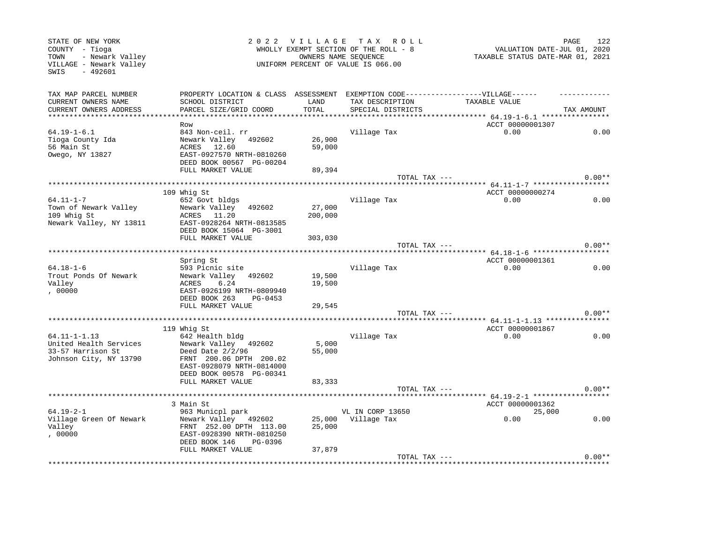| STATE OF NEW YORK<br>COUNTY - Tioga<br>- Newark Valley<br>TOWN<br>VILLAGE - Newark Valley<br>SWIS<br>$-492601$ |                                                                                                                                                                        |                              | 2022 VILLAGE TAX ROLL<br>WHOLLY EXEMPT SECTION OF THE ROLL - 8<br>OWNERS NAME SEQUENCE<br>UNIFORM PERCENT OF VALUE IS 066.00 | VALUATION DATE-JUL 01, 2020<br>TAXABLE STATUS DATE-MAR 01, 2021 | 122<br>PAGE |
|----------------------------------------------------------------------------------------------------------------|------------------------------------------------------------------------------------------------------------------------------------------------------------------------|------------------------------|------------------------------------------------------------------------------------------------------------------------------|-----------------------------------------------------------------|-------------|
| TAX MAP PARCEL NUMBER<br>CURRENT OWNERS NAME<br>CURRENT OWNERS ADDRESS                                         | PROPERTY LOCATION & CLASS ASSESSMENT EXEMPTION CODE-----------------VILLAGE------<br>SCHOOL DISTRICT<br>PARCEL SIZE/GRID COORD                                         | LAND<br>TOTAL                | TAX DESCRIPTION<br>SPECIAL DISTRICTS                                                                                         | TAXABLE VALUE                                                   | TAX AMOUNT  |
|                                                                                                                | Row                                                                                                                                                                    |                              |                                                                                                                              | ACCT 00000001307                                                |             |
| $64.19 - 1 - 6.1$<br>Tioga County Ida<br>56 Main St<br>Owego, NY 13827                                         | 843 Non-ceil. rr<br>Newark Valley 492602<br>ACRES 12.60<br>EAST-0927570 NRTH-0810260<br>DEED BOOK 00567 PG-00204<br>FULL MARKET VALUE                                  | 26,900<br>59,000<br>89,394   | Village Tax                                                                                                                  | 0.00                                                            | 0.00        |
|                                                                                                                |                                                                                                                                                                        |                              | TOTAL TAX ---                                                                                                                |                                                                 | $0.00**$    |
|                                                                                                                |                                                                                                                                                                        |                              |                                                                                                                              |                                                                 |             |
| $64.11 - 1 - 7$<br>Town of Newark Valley<br>109 Whig St<br>Newark Valley, NY 13811                             | 109 Whig St<br>652 Govt bldgs<br>Newark Valley 492602<br>ACRES 11.20<br>EAST-0928264 NRTH-0813585<br>DEED BOOK 15064 PG-3001<br>FULL MARKET VALUE                      | 27,000<br>200,000<br>303,030 | Village Tax                                                                                                                  | ACCT 00000000274<br>0.00                                        | 0.00        |
|                                                                                                                |                                                                                                                                                                        |                              | TOTAL TAX $---$                                                                                                              |                                                                 | $0.00**$    |
|                                                                                                                |                                                                                                                                                                        |                              |                                                                                                                              |                                                                 |             |
|                                                                                                                | Spring St                                                                                                                                                              |                              |                                                                                                                              | ACCT 00000001361                                                |             |
| $64.18 - 1 - 6$<br>Trout Ponds Of Newark<br>Valley<br>,00000                                                   | 593 Picnic site<br>Newark Valley 492602<br>ACRES<br>6.24<br>EAST-0926199 NRTH-0809940<br>DEED BOOK 263<br>PG-0453<br>FULL MARKET VALUE                                 | 19,500<br>19,500<br>29,545   | Village Tax                                                                                                                  | 0.00                                                            | 0.00        |
|                                                                                                                |                                                                                                                                                                        |                              | TOTAL TAX ---                                                                                                                |                                                                 | $0.00**$    |
|                                                                                                                |                                                                                                                                                                        |                              |                                                                                                                              |                                                                 |             |
|                                                                                                                | 119 Whig St                                                                                                                                                            |                              |                                                                                                                              | ACCT 00000001867                                                |             |
| $64.11 - 1 - 1.13$<br>United Health Services<br>33-57 Harrison St<br>Johnson City, NY 13790                    | 642 Health bldg<br>Newark Valley 492602<br>Deed Date $2/2/96$<br>FRNT 200.06 DPTH 200.02<br>EAST-0928079 NRTH-0814000<br>DEED BOOK 00578 PG-00341<br>FULL MARKET VALUE | 5,000<br>55,000<br>83,333    | Village Tax                                                                                                                  | 0.00                                                            | 0.00        |
|                                                                                                                |                                                                                                                                                                        |                              | TOTAL TAX ---                                                                                                                |                                                                 | $0.00**$    |
|                                                                                                                |                                                                                                                                                                        |                              |                                                                                                                              | ACCT 00000001362                                                |             |
| $64.19 - 2 - 1$                                                                                                | 3 Main St<br>963 Municpl park                                                                                                                                          |                              | VL IN CORP 13650                                                                                                             | 25,000                                                          |             |
| Village Green Of Newark<br>Valley<br>,00000                                                                    | Newark Valley 492602<br>FRNT 252.00 DPTH 113.00<br>EAST-0928390 NRTH-0810250<br>DEED BOOK 146<br>PG-0396                                                               | 25,000                       | 25,000 Village Tax                                                                                                           | 0.00                                                            | 0.00        |
|                                                                                                                | FULL MARKET VALUE                                                                                                                                                      | 37,879                       | TOTAL TAX ---                                                                                                                |                                                                 | $0.00**$    |
|                                                                                                                |                                                                                                                                                                        |                              |                                                                                                                              |                                                                 |             |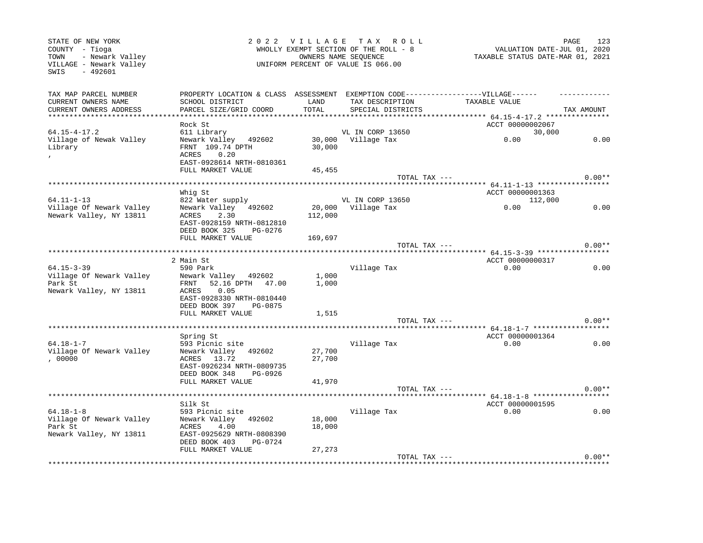| STATE OF NEW YORK<br>COUNTY - Tioga<br>- Newark Valley<br>TOWN<br>VILLAGE - Newark Valley<br>$-492601$<br>SWIS |                                                                                                      |                   | 2022 VILLAGE TAX ROLL<br>WHOLLY EXEMPT SECTION OF THE ROLL - 8<br>OWNERS NAME SEQUENCE<br>UNIFORM PERCENT OF VALUE IS 066.00 | VALUATION DATE-JUL 01, 2020<br>TAXABLE STATUS DATE-MAR 01, 2021 | 123<br>PAGE |
|----------------------------------------------------------------------------------------------------------------|------------------------------------------------------------------------------------------------------|-------------------|------------------------------------------------------------------------------------------------------------------------------|-----------------------------------------------------------------|-------------|
| TAX MAP PARCEL NUMBER<br>CURRENT OWNERS NAME                                                                   | PROPERTY LOCATION & CLASS ASSESSMENT EXEMPTION CODE-----------------VILLAGE------<br>SCHOOL DISTRICT | LAND              | TAX DESCRIPTION                                                                                                              | TAXABLE VALUE                                                   |             |
| CURRENT OWNERS ADDRESS                                                                                         | PARCEL SIZE/GRID COORD                                                                               | TOTAL             | SPECIAL DISTRICTS                                                                                                            |                                                                 | TAX AMOUNT  |
| *************************                                                                                      |                                                                                                      |                   |                                                                                                                              |                                                                 |             |
|                                                                                                                | Rock St                                                                                              |                   |                                                                                                                              | ACCT 00000002067                                                |             |
| $64.15 - 4 - 17.2$                                                                                             | 611 Library                                                                                          |                   | VL IN CORP 13650                                                                                                             | 30,000                                                          |             |
| Village of Newak Valley<br>Library                                                                             | Newark Valley 492602<br>FRNT 109.74 DPTH                                                             | 30,000            | 30,000 Village Tax                                                                                                           | 0.00                                                            | 0.00        |
|                                                                                                                | 0.20<br>ACRES                                                                                        |                   |                                                                                                                              |                                                                 |             |
|                                                                                                                | EAST-0928614 NRTH-0810361                                                                            |                   |                                                                                                                              |                                                                 |             |
|                                                                                                                | FULL MARKET VALUE                                                                                    | 45,455            |                                                                                                                              |                                                                 |             |
|                                                                                                                |                                                                                                      |                   | TOTAL TAX ---                                                                                                                |                                                                 | $0.00**$    |
|                                                                                                                |                                                                                                      |                   |                                                                                                                              |                                                                 |             |
|                                                                                                                | Whig St                                                                                              |                   |                                                                                                                              | ACCT 00000001363                                                |             |
| $64.11 - 1 - 13$                                                                                               | 822 Water supply                                                                                     |                   | VL IN CORP 13650                                                                                                             | 112,000                                                         |             |
| Village Of Newark Valley<br>Newark Valley, NY 13811                                                            | Newark Valley 492602<br>2.30<br>ACRES                                                                | 20,000<br>112,000 | Village Tax                                                                                                                  | 0.00                                                            | 0.00        |
|                                                                                                                | EAST-0928159 NRTH-0812810                                                                            |                   |                                                                                                                              |                                                                 |             |
|                                                                                                                | DEED BOOK 325<br>PG-0276                                                                             |                   |                                                                                                                              |                                                                 |             |
|                                                                                                                | FULL MARKET VALUE                                                                                    | 169,697           |                                                                                                                              |                                                                 |             |
|                                                                                                                |                                                                                                      |                   | TOTAL TAX ---                                                                                                                |                                                                 | $0.00**$    |
| ****************************                                                                                   |                                                                                                      |                   |                                                                                                                              | **************************** 64.15-3-39 *****************       |             |
|                                                                                                                | 2 Main St                                                                                            |                   |                                                                                                                              | ACCT 00000000317                                                |             |
| $64.15 - 3 - 39$                                                                                               | 590 Park                                                                                             |                   | Village Tax                                                                                                                  | 0.00                                                            | 0.00        |
| Village Of Newark Valley                                                                                       | Newark Valley 492602                                                                                 | 1,000             |                                                                                                                              |                                                                 |             |
| Park St<br>Newark Valley, NY 13811                                                                             | FRNT 52.16 DPTH 47.00<br>0.05<br>ACRES                                                               | 1,000             |                                                                                                                              |                                                                 |             |
|                                                                                                                | EAST-0928330 NRTH-0810440                                                                            |                   |                                                                                                                              |                                                                 |             |
|                                                                                                                | DEED BOOK 397<br>PG-0875                                                                             |                   |                                                                                                                              |                                                                 |             |
|                                                                                                                | FULL MARKET VALUE                                                                                    | 1,515             |                                                                                                                              |                                                                 |             |
|                                                                                                                |                                                                                                      |                   | TOTAL TAX ---                                                                                                                |                                                                 | $0.00**$    |
|                                                                                                                |                                                                                                      |                   |                                                                                                                              |                                                                 |             |
|                                                                                                                | Spring St                                                                                            |                   |                                                                                                                              | ACCT 00000001364                                                |             |
| $64.18 - 1 - 7$                                                                                                | 593 Picnic site                                                                                      |                   | Village Tax                                                                                                                  | 0.00                                                            | 0.00        |
| Village Of Newark Valley<br>,00000                                                                             | Newark Valley 492602<br>13.72<br>ACRES                                                               | 27,700<br>27,700  |                                                                                                                              |                                                                 |             |
|                                                                                                                | EAST-0926234 NRTH-0809735                                                                            |                   |                                                                                                                              |                                                                 |             |
|                                                                                                                | DEED BOOK 348<br>PG-0926                                                                             |                   |                                                                                                                              |                                                                 |             |
|                                                                                                                | FULL MARKET VALUE                                                                                    | 41,970            |                                                                                                                              |                                                                 |             |
|                                                                                                                |                                                                                                      |                   | TOTAL TAX ---                                                                                                                |                                                                 | $0.00**$    |
|                                                                                                                |                                                                                                      |                   |                                                                                                                              |                                                                 |             |
|                                                                                                                | Silk St                                                                                              |                   |                                                                                                                              | ACCT 00000001595                                                |             |
| $64.18 - 1 - 8$                                                                                                | 593 Picnic site                                                                                      |                   | Village Tax                                                                                                                  | 0.00                                                            | 0.00        |
| Village Of Newark Valley                                                                                       | Newark Valley 492602                                                                                 | 18,000            |                                                                                                                              |                                                                 |             |
| Park St<br>Newark Valley, NY 13811                                                                             | ACRES<br>4.00<br>EAST-0925629 NRTH-0808390                                                           | 18,000            |                                                                                                                              |                                                                 |             |
|                                                                                                                | DEED BOOK 403<br>PG-0724                                                                             |                   |                                                                                                                              |                                                                 |             |
|                                                                                                                | FULL MARKET VALUE                                                                                    | 27,273            |                                                                                                                              |                                                                 |             |
|                                                                                                                |                                                                                                      |                   | TOTAL TAX ---                                                                                                                |                                                                 | $0.00**$    |
|                                                                                                                |                                                                                                      |                   |                                                                                                                              |                                                                 |             |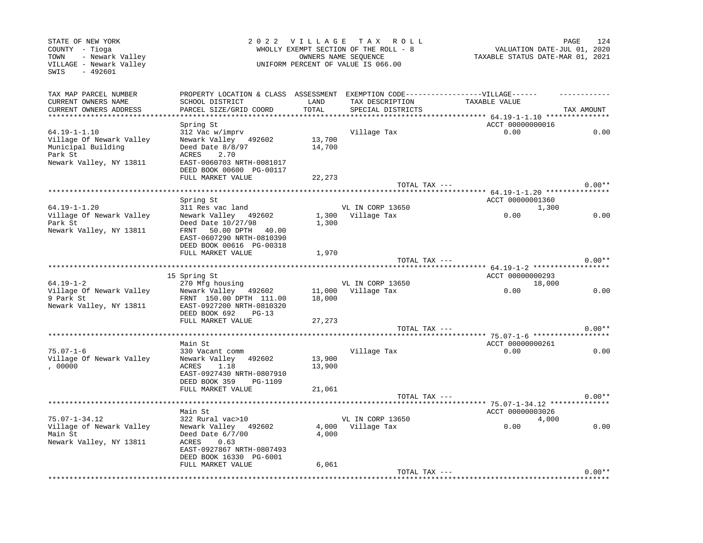| STATE OF NEW YORK<br>COUNTY - Tioga<br>- Newark Valley<br>TOWN<br>VILLAGE - Newark Valley<br>$-492601$<br>SWIS |                                                                                                                                                              |                             | 2022 VILLAGE TAX ROLL<br>WHOLLY EXEMPT SECTION OF THE ROLL - 8<br>OWNERS NAME SEQUENCE<br>UNIFORM PERCENT OF VALUE IS 066.00 | VALUATION DATE-JUL 01, 2020<br>TAXABLE STATUS DATE-MAR 01, 2021 | 124<br>PAGE |
|----------------------------------------------------------------------------------------------------------------|--------------------------------------------------------------------------------------------------------------------------------------------------------------|-----------------------------|------------------------------------------------------------------------------------------------------------------------------|-----------------------------------------------------------------|-------------|
| TAX MAP PARCEL NUMBER<br>CURRENT OWNERS NAME<br>CURRENT OWNERS ADDRESS<br>*********************                | PROPERTY LOCATION & CLASS ASSESSMENT<br>SCHOOL DISTRICT<br>PARCEL SIZE/GRID COORD<br>********************                                                    | LAND<br>TOTAL<br>********** | TAX DESCRIPTION<br>SPECIAL DISTRICTS                                                                                         | EXEMPTION CODE------------------VILLAGE------<br>TAXABLE VALUE  | TAX AMOUNT  |
|                                                                                                                | Spring St                                                                                                                                                    |                             |                                                                                                                              | ACCT 00000000016                                                |             |
| $64.19 - 1 - 1.10$<br>Village Of Newark Valley<br>Municipal Building<br>Park St<br>Newark Valley, NY 13811     | 312 Vac w/imprv<br>Newark Valley 492602<br>Deed Date $8/8/97$<br>ACRES<br>2.70<br>EAST-0060703 NRTH-0081017<br>DEED BOOK 00600 PG-00117                      | 13,700<br>14,700            | Village Tax                                                                                                                  | 0.00                                                            | 0.00        |
|                                                                                                                | FULL MARKET VALUE                                                                                                                                            | 22,273                      | TOTAL TAX ---                                                                                                                |                                                                 | $0.00**$    |
| *************************                                                                                      |                                                                                                                                                              |                             |                                                                                                                              |                                                                 |             |
|                                                                                                                | Spring St                                                                                                                                                    |                             |                                                                                                                              | ACCT 00000001360                                                |             |
| $64.19 - 1 - 1.20$<br>Village Of Newark Valley<br>Park St<br>Newark Valley, NY 13811                           | 311 Res vac land<br>Newark Valley 492602<br>Deed Date 10/27/98<br>FRNT<br>50.00 DPTH 40.00<br>EAST-0607290 NRTH-0810390                                      | 1,300                       | VL IN CORP 13650<br>1,300 Village Tax                                                                                        | 1,300<br>0.00                                                   | 0.00        |
|                                                                                                                | DEED BOOK 00616 PG-00318<br>FULL MARKET VALUE                                                                                                                |                             |                                                                                                                              |                                                                 |             |
|                                                                                                                |                                                                                                                                                              | 1,970                       | TOTAL TAX ---                                                                                                                |                                                                 | $0.00**$    |
|                                                                                                                |                                                                                                                                                              |                             |                                                                                                                              | **** $64.19 - 1 - 2$ ************                               |             |
|                                                                                                                | 15 Spring St                                                                                                                                                 |                             |                                                                                                                              | ACCT 00000000293                                                |             |
| $64.19 - 1 - 2$                                                                                                | 270 Mfg housing                                                                                                                                              |                             | VL IN CORP 13650                                                                                                             | 18,000                                                          |             |
| Village Of Newark Valley<br>9 Park St<br>Newark Valley, NY 13811                                               | Newark Valley 492602<br>FRNT 150.00 DPTH 111.00<br>EAST-0927200 NRTH-0810320<br>DEED BOOK 692<br>$PG-13$<br>FULL MARKET VALUE                                | 18,000<br>27,273            | 11,000 Village Tax                                                                                                           | 0.00                                                            | 0.00        |
|                                                                                                                |                                                                                                                                                              |                             | TOTAL TAX ---                                                                                                                |                                                                 | $0.00**$    |
|                                                                                                                | Main St                                                                                                                                                      |                             |                                                                                                                              | ACCT 00000000261                                                |             |
| $75.07 - 1 - 6$                                                                                                | 330 Vacant comm                                                                                                                                              |                             | Village Tax                                                                                                                  | 0.00                                                            | 0.00        |
| Village Of Newark Valley<br>, 00000                                                                            | Newark Valley<br>492602<br>ACRES<br>1.18<br>EAST-0927430 NRTH-0807910<br>DEED BOOK 359<br>PG-1109<br>FULL MARKET VALUE                                       | 13,900<br>13,900<br>21,061  |                                                                                                                              |                                                                 |             |
|                                                                                                                |                                                                                                                                                              |                             | TOTAL TAX ---                                                                                                                |                                                                 | $0.00**$    |
|                                                                                                                | ********************                                                                                                                                         |                             |                                                                                                                              | ************************** 75.07-1-34.12 ***************        |             |
|                                                                                                                | Main St                                                                                                                                                      |                             |                                                                                                                              | ACCT 00000003026                                                |             |
| $75.07 - 1 - 34.12$<br>Village of Newark Valley<br>Main St<br>Newark Valley, NY 13811                          | 322 Rural vac>10<br>Newark Valley 492602<br>Deed Date $6/7/00$<br>ACRES<br>0.63<br>EAST-0927867 NRTH-0807493<br>DEED BOOK 16330 PG-6001<br>FULL MARKET VALUE | 4,000<br>4,000<br>6,061     | VL IN CORP 13650<br>Village Tax                                                                                              | 4,000<br>0.00                                                   | 0.00        |
|                                                                                                                |                                                                                                                                                              |                             | TOTAL TAX ---                                                                                                                |                                                                 | $0.00**$    |
|                                                                                                                |                                                                                                                                                              |                             |                                                                                                                              | **********************************                              |             |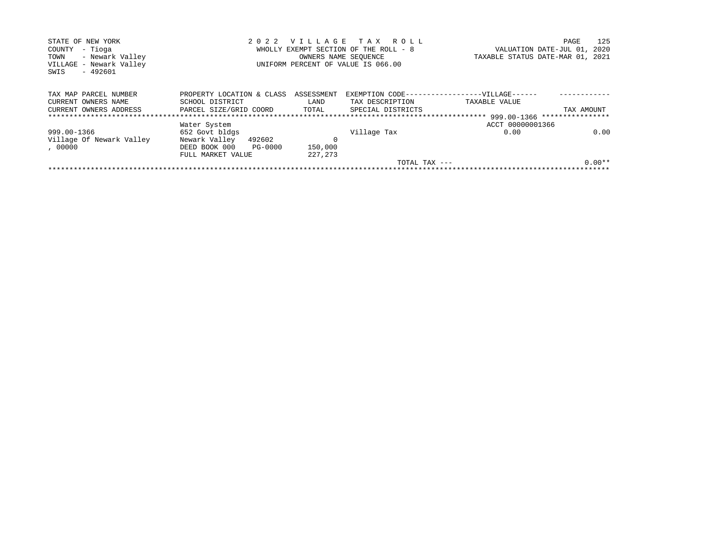| STATE OF NEW YORK        | 2 0 2 2                               |                             | VILLAGE TAX ROLL                   |                                               | PAGE       | 125      |
|--------------------------|---------------------------------------|-----------------------------|------------------------------------|-----------------------------------------------|------------|----------|
| - Tioga<br>COUNTY        | WHOLLY EXEMPT SECTION OF THE ROLL - 8 | VALUATION DATE-JUL 01, 2020 |                                    |                                               |            |          |
| TOWN<br>- Newark Valley  |                                       | OWNERS NAME SEOUENCE        |                                    | TAXABLE STATUS DATE-MAR 01, 2021              |            |          |
| VILLAGE - Newark Valley  |                                       |                             | UNIFORM PERCENT OF VALUE IS 066.00 |                                               |            |          |
| - 492601<br>SWIS         |                                       |                             |                                    |                                               |            |          |
|                          |                                       |                             |                                    |                                               |            |          |
| TAX MAP PARCEL NUMBER    | PROPERTY LOCATION & CLASS             | ASSESSMENT                  |                                    | EXEMPTION CODE------------------VILLAGE------ |            |          |
| CURRENT OWNERS NAME      | SCHOOL DISTRICT                       | LAND                        | TAX DESCRIPTION                    | TAXABLE VALUE                                 |            |          |
| CURRENT OWNERS ADDRESS   | PARCEL SIZE/GRID COORD                | TOTAL                       | SPECIAL DISTRICTS                  |                                               | TAX AMOUNT |          |
|                          |                                       |                             |                                    |                                               |            |          |
|                          | Water System                          |                             |                                    | ACCT 00000001366                              |            |          |
| 999.00-1366              | 652 Govt bldgs                        |                             | Village Tax                        | 0.00                                          |            | 0.00     |
| Village Of Newark Valley | Newark Valley<br>492602               | 0                           |                                    |                                               |            |          |
| , 00000                  | DEED BOOK 000<br>PG-0000              | 150,000                     |                                    |                                               |            |          |
|                          | FULL MARKET VALUE                     | 227, 273                    |                                    |                                               |            |          |
|                          |                                       |                             | TOTAL TAX $---$                    |                                               |            | $0.00**$ |
|                          |                                       |                             |                                    |                                               |            |          |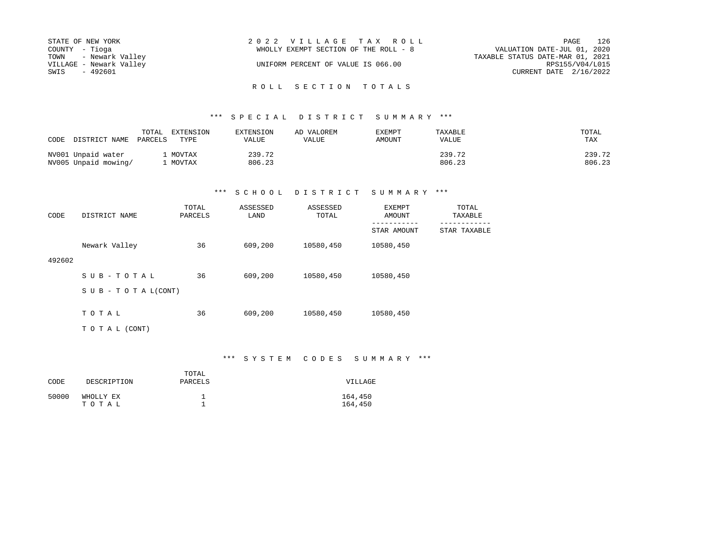| STATE OF NEW YORK       | 2022 VILLAGE TAX ROLL                 | PAGE                             | 126 |
|-------------------------|---------------------------------------|----------------------------------|-----|
| COUNTY - Tioga          | WHOLLY EXEMPT SECTION OF THE ROLL - 8 | VALUATION DATE-JUL 01, 2020      |     |
| TOWN - Newark Valley    |                                       | TAXABLE STATUS DATE-MAR 01, 2021 |     |
| VILLAGE - Newark Valley | UNIFORM PERCENT OF VALUE IS 066.00    | RPS155/V04/L015                  |     |
| SWIS<br>- 492601        |                                       | CURRENT DATE $2/16/2022$         |     |
|                         |                                       |                                  |     |

# \*\*\* S P E C I A L D I S T R I C T S U M M A R Y \*\*\*

| CODE DISTRICT NAME                         | EXTENSION<br>TOTAL<br>PARCELS<br>TYPE | EXTENSION<br>VALUE | AD VALOREM<br>VALUE | <b>EXEMPT</b><br><b>AMOUNT</b> | TAXABLE<br>VALUE | TOTAL<br>TAX     |
|--------------------------------------------|---------------------------------------|--------------------|---------------------|--------------------------------|------------------|------------------|
| NV001 Unpaid water<br>NV005 Unpaid mowing/ | MOVTAX<br>MOVTAX                      | 239.72<br>806.23   |                     |                                | 239.72<br>806.23 | 239.72<br>806.23 |

# \*\*\* S C H O O L D I S T R I C T S U M M A R Y \*\*\*

| CODE   | DISTRICT NAME                    | TOTAL<br>PARCELS | ASSESSED<br>LAND | ASSESSED<br>TOTAL | EXEMPT<br>AMOUNT | TOTAL<br>TAXABLE |
|--------|----------------------------------|------------------|------------------|-------------------|------------------|------------------|
|        |                                  |                  |                  |                   | STAR AMOUNT      | STAR TAXABLE     |
|        | Newark Valley                    | 36               | 609,200          | 10580,450         | 10580,450        |                  |
| 492602 |                                  |                  |                  |                   |                  |                  |
|        | SUB-TOTAL                        | 36               | 609,200          | 10580,450         | 10580,450        |                  |
|        | $S \cup B - T \cup T A L (CONT)$ |                  |                  |                   |                  |                  |
|        |                                  |                  |                  |                   |                  |                  |
|        | TOTAL                            | 36               | 609,200          | 10580,450         | 10580,450        |                  |
|        | TO TAL (CONT)                    |                  |                  |                   |                  |                  |

# \*\*\* S Y S T E M C O D E S S U M M A R Y \*\*\*

| CODE  | DESCRIPTION        | TOTAL<br>PARCELS | VILLAGE            |
|-------|--------------------|------------------|--------------------|
| 50000 | WHOLLY EX<br>тотаь |                  | 164,450<br>164,450 |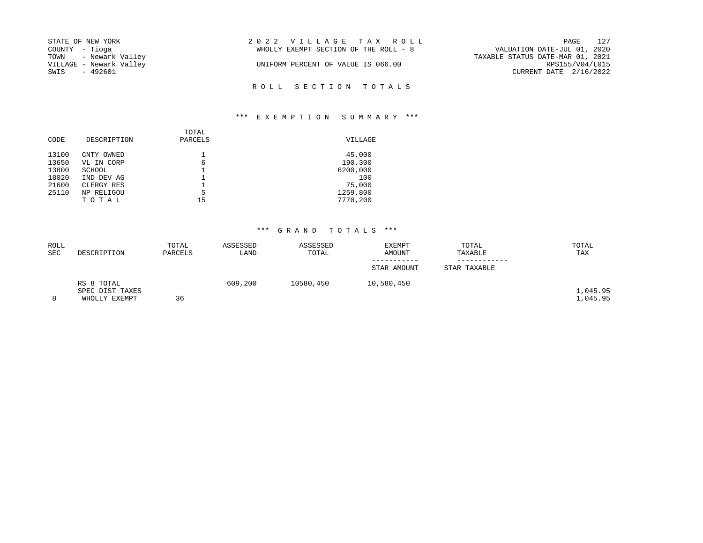| STATE OF NEW YORK       | 2022 VILLAGE TAX ROLL                 | 127<br>PAGE                      |
|-------------------------|---------------------------------------|----------------------------------|
| COUNTY - Tioga          | WHOLLY EXEMPT SECTION OF THE ROLL - 8 | VALUATION DATE-JUL 01, 2020      |
| TOWN - Newark Valley    |                                       | TAXABLE STATUS DATE-MAR 01, 2021 |
| VILLAGE - Newark Valley | UNIFORM PERCENT OF VALUE IS 066.00    | RPS155/V04/L015                  |
| SWIS<br>- 492601        |                                       | CURRENT DATE 2/16/2022           |
|                         |                                       |                                  |

R O L L S E C T I O N T O T A L S

# \*\*\* E X E M P T I O N S U M M A R Y \*\*\*

| CODE  | DESCRIPTION | TOTAL<br>PARCELS | VILLAGE  |
|-------|-------------|------------------|----------|
| 13100 | CNTY OWNED  |                  | 45,000   |
| 13650 | VL IN CORP  | 6                | 190,300  |
| 13800 | SCHOOL      |                  | 6200,000 |
| 18020 | IND DEV AG  |                  | 100      |
| 21600 | CLERGY RES  |                  | 75,000   |
| 25110 | NP RELIGOU  | 5                | 1259,800 |
|       | TOTAL       | 15               | 7770,200 |

| ROLL       |                 | TOTAL   | ASSESSED | ASSESSED  | EXEMPT      | TOTAL        | TOTAL    |
|------------|-----------------|---------|----------|-----------|-------------|--------------|----------|
| <b>SEC</b> | DESCRIPTION     | PARCELS | LAND     | TOTAL     | AMOUNT      | TAXABLE      | TAX      |
|            |                 |         |          |           |             |              |          |
|            |                 |         |          |           | STAR AMOUNT | STAR TAXABLE |          |
|            | RS 8 TOTAL      |         | 609,200  | 10580,450 | 10,580,450  |              |          |
|            | SPEC DIST TAXES |         |          |           |             |              | 1,045.95 |
| 8          | WHOLLY EXEMPT   | 36      |          |           |             |              | 1,045.95 |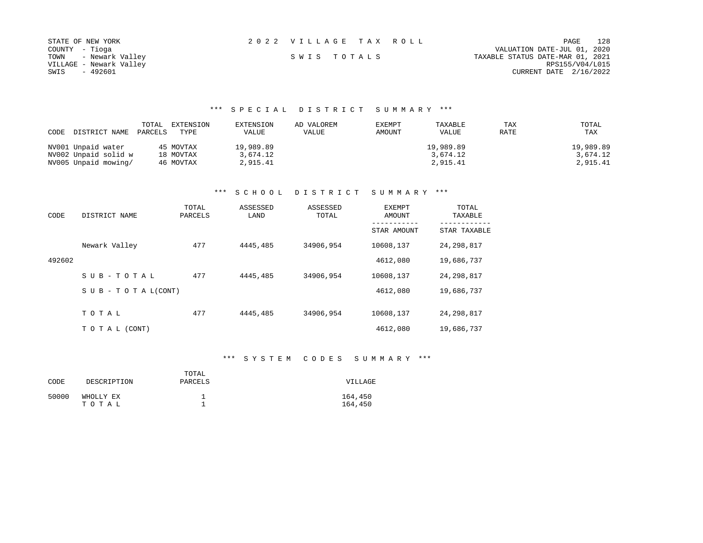| STATE OF NEW YORK       | 2022 VILLAGE TAX ROLL | 128<br>PAGE                      |
|-------------------------|-----------------------|----------------------------------|
| COUNTY - Tioga          |                       | VALUATION DATE-JUL 01, 2020      |
| TOWN - Newark Valley    | SWIS TOTALS           | TAXABLE STATUS DATE-MAR 01, 2021 |
| VILLAGE - Newark Valley |                       | RPS155/V04/L015                  |
| - 492601<br>SWIS        |                       | CURRENT DATE 2/16/2022           |

# \*\*\* S P E C I A L D I S T R I C T S U M M A R Y \*\*\*

|                      | TOTAL   | EXTENSION | EXTENSION | AD VALOREM | EXEMPT | TAXABLE      | TAX  | TOTAL     |
|----------------------|---------|-----------|-----------|------------|--------|--------------|------|-----------|
| CODE DISTRICT NAME   | PARCELS | TYPE      | VALUE     | VALUE      | AMOUNT | <b>VALUE</b> | RATE | TAX       |
|                      |         |           |           |            |        |              |      |           |
| NV001 Unpaid water   |         | 45 MOVTAX | 19,989.89 |            |        | 19,989.89    |      | 19,989.89 |
| NV002 Unpaid solid w |         | 18 MOVTAX | 3,674.12  |            |        | 3,674.12     |      | 3,674.12  |
| NV005 Unpaid mowing/ |         | 46 MOVTAX | 2,915.41  |            |        | 2,915.41     |      | 2,915.41  |

# \*\*\* S C H O O L D I S T R I C T S U M M A R Y \*\*\*

| CODE   | DISTRICT NAME                    | TOTAL<br>PARCELS | ASSESSED<br>LAND | ASSESSED<br>TOTAL | EXEMPT<br>AMOUNT | TOTAL<br>TAXABLE |  |
|--------|----------------------------------|------------------|------------------|-------------------|------------------|------------------|--|
|        |                                  |                  |                  |                   | STAR AMOUNT      | STAR TAXABLE     |  |
|        | Newark Valley                    | 477              | 4445,485         | 34906,954         | 10608,137        | 24, 298, 817     |  |
| 492602 |                                  |                  |                  |                   | 4612,080         | 19,686,737       |  |
|        | SUB-TOTAL                        | 477              | 4445,485         | 34906,954         | 10608,137        | 24, 298, 817     |  |
|        | $S \cup B - T \cup T A L (CONT)$ |                  |                  |                   | 4612,080         | 19,686,737       |  |
|        |                                  |                  |                  |                   |                  |                  |  |
|        | TOTAL                            | 477              | 4445,485         | 34906,954         | 10608,137        | 24, 298, 817     |  |
|        | TO TAL (CONT)                    |                  |                  |                   | 4612,080         | 19,686,737       |  |

# \*\*\* S Y S T E M C O D E S S U M M A R Y \*\*\*

| CODE  | DESCRIPTION        | TOTAL<br>PARCELS | VILLAGE            |
|-------|--------------------|------------------|--------------------|
| 50000 | WHOLLY EX<br>TOTAL |                  | 164,450<br>164,450 |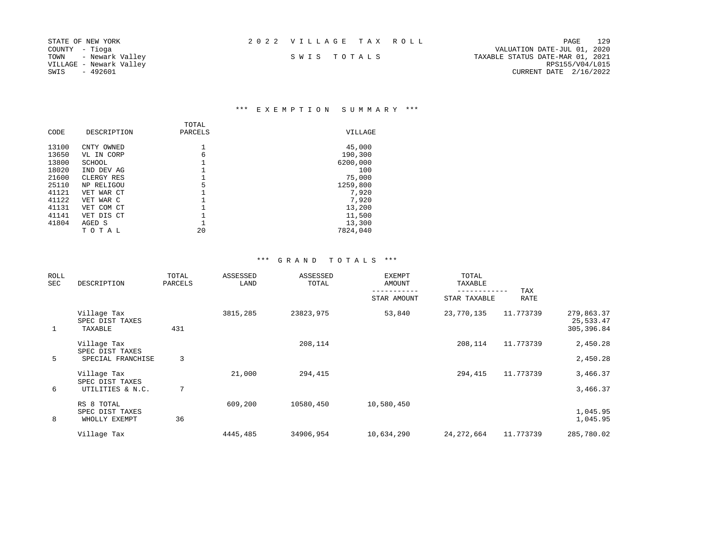|  |  |  |  |  |  |  |  |  |  |  | 2022 VILLAGE TAX ROLL |  |  |  |  |  |  |
|--|--|--|--|--|--|--|--|--|--|--|-----------------------|--|--|--|--|--|--|
|--|--|--|--|--|--|--|--|--|--|--|-----------------------|--|--|--|--|--|--|

COUNTY - Tioga VALUATION DATE-JUL 01, 2020 VILLAGE - Newark Valley RPS155/V04/L015

STATE OF NEW YORK 2 0 2 2 V I L L A G E T A X R O L L PAGE 129 S W I S T O T A L S TANABLE STATUS DATE-MAR 01, 2021<br>RPS155/V04/L015 SWIS - 492601 CURRENT DATE 2/16/2022

# \*\*\* E X E M P T I O N S U M M A R Y \*\*\*

| CODE  | DESCRIPTION | TOTAL<br>PARCELS | VILLAGE  |
|-------|-------------|------------------|----------|
| 13100 | CNTY OWNED  |                  | 45,000   |
| 13650 | VL IN CORP  | 6                | 190,300  |
| 13800 | SCHOOL      |                  | 6200,000 |
| 18020 | IND DEV AG  |                  | 100      |
| 21600 | CLERGY RES  |                  | 75,000   |
| 25110 | NP RELIGOU  | 5                | 1259,800 |
| 41121 | VET WAR CT  |                  | 7,920    |
| 41122 | VET WAR C   |                  | 7,920    |
| 41131 | VET COM CT  |                  | 13,200   |
| 41141 | VET DIS CT  |                  | 11,500   |
| 41804 | AGED S      |                  | 13,300   |
|       | тотаь       | 20               | 7824,040 |

| ROLL<br>SEC | DESCRIPTION                                         | TOTAL<br>PARCELS | ASSESSED<br>LAND | ASSESSED<br>TOTAL | <b>EXEMPT</b><br>AMOUNT | TOTAL<br>TAXABLE           |                    |                                        |
|-------------|-----------------------------------------------------|------------------|------------------|-------------------|-------------------------|----------------------------|--------------------|----------------------------------------|
|             |                                                     |                  |                  |                   | STAR AMOUNT             | ----------<br>STAR TAXABLE | TAX<br><b>RATE</b> |                                        |
| 1           | Village Tax<br>SPEC DIST TAXES<br>TAXABLE           | 431              | 3815,285         | 23823,975         | 53,840                  | 23,770,135                 | 11.773739          | 279,863.37<br>25,533.47<br>305, 396.84 |
| 5           | Village Tax<br>SPEC DIST TAXES<br>SPECIAL FRANCHISE | 3                |                  | 208,114           |                         | 208,114                    | 11.773739          | 2,450.28<br>2,450.28                   |
|             | Village Tax<br>SPEC DIST TAXES                      |                  | 21,000           | 294,415           |                         | 294,415                    | 11.773739          | 3,466.37                               |
| 6           | UTILITIES & N.C.                                    | 7                |                  |                   |                         |                            |                    | 3,466.37                               |
| 8           | RS 8 TOTAL<br>SPEC DIST TAXES<br>WHOLLY EXEMPT      | 36               | 609,200          | 10580,450         | 10,580,450              |                            |                    | 1,045.95<br>1,045.95                   |
|             | Village Tax                                         |                  | 4445,485         | 34906,954         | 10,634,290              | 24,272,664                 | 11.773739          | 285,780.02                             |